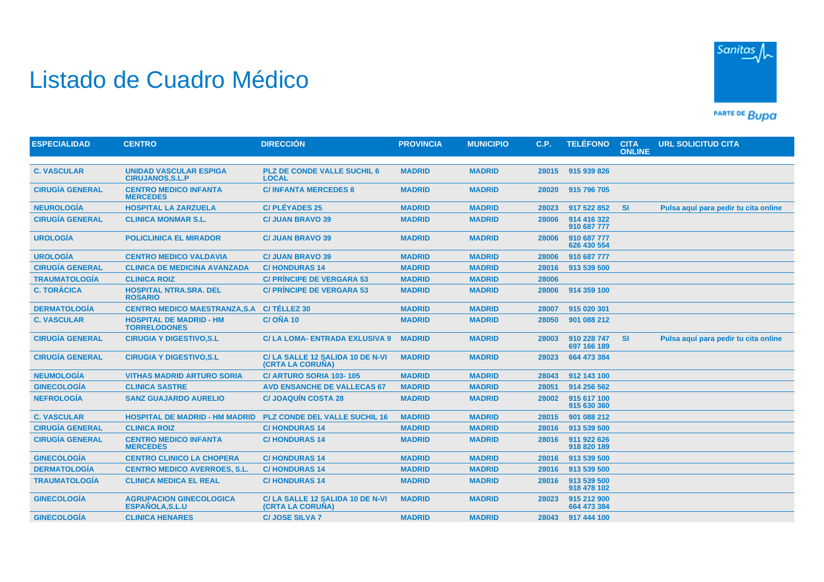## Listado de Cuadro Médico



PARTE DE BUDA

| <b>ESPECIALIDAD</b>    | <b>CENTRO</b>                                            | <b>DIRECCIÓN</b>                                    | <b>PROVINCIA</b> | <b>MUNICIPIO</b> | <b>C.P.</b> | <b>TELÉFONO</b>            | <b>CITA</b><br><b>ONLINE</b> | <b>URL SOLICITUD CITA</b>            |
|------------------------|----------------------------------------------------------|-----------------------------------------------------|------------------|------------------|-------------|----------------------------|------------------------------|--------------------------------------|
|                        |                                                          |                                                     |                  |                  |             |                            |                              |                                      |
| <b>C. VASCULAR</b>     | <b>UNIDAD VASCULAR ESPIGA</b><br><b>CIRUJANOS, S.L.P</b> | <b>PLZ DE CONDE VALLE SUCHIL 6</b><br><b>LOCAL</b>  | <b>MADRID</b>    | <b>MADRID</b>    | 28015       | 915 939 826                |                              |                                      |
| <b>CIRUGÍA GENERAL</b> | <b>CENTRO MEDICO INFANTA</b><br><b>MERCEDES</b>          | <b>C/INFANTA MERCEDES 8</b>                         | <b>MADRID</b>    | <b>MADRID</b>    | 28020       | 915 796 705                |                              |                                      |
| <b>NEUROLOGÍA</b>      | <b>HOSPITAL LA ZARZUELA</b>                              | <b>C/PLÉYADES 25</b>                                | <b>MADRID</b>    | <b>MADRID</b>    | 28023       | 917 522 852                | <b>SI</b>                    | Pulsa aguí para pedir tu cita online |
| <b>CIRUGÍA GENERAL</b> | <b>CLINICA MONMAR S.L.</b>                               | <b>C/ JUAN BRAVO 39</b>                             | <b>MADRID</b>    | <b>MADRID</b>    | 28006       | 914 416 322<br>910 687 777 |                              |                                      |
| <b>UROLOGÍA</b>        | <b>POLICLINICA EL MIRADOR</b>                            | <b>C/ JUAN BRAVO 39</b>                             | <b>MADRID</b>    | <b>MADRID</b>    | 28006       | 910 687 777<br>626 430 554 |                              |                                      |
| <b>UROLOGÍA</b>        | <b>CENTRO MEDICO VALDAVIA</b>                            | <b>C/ JUAN BRAVO 39</b>                             | <b>MADRID</b>    | <b>MADRID</b>    | 28006       | 910 687 777                |                              |                                      |
| <b>CIRUGÍA GENERAL</b> | <b>CLINICA DE MEDICINA AVANZADA</b>                      | <b>C/HONDURAS 14</b>                                | <b>MADRID</b>    | <b>MADRID</b>    | 28016       | 913 539 500                |                              |                                      |
| <b>TRAUMATOLOGÍA</b>   | <b>CLINICA ROIZ</b>                                      | <b>C/ PRÍNCIPE DE VERGARA 53</b>                    | <b>MADRID</b>    | <b>MADRID</b>    | 28006       |                            |                              |                                      |
| <b>C. TORÁCICA</b>     | <b>HOSPITAL NTRA.SRA. DEL</b><br><b>ROSARIO</b>          | <b>C/ PRÍNCIPE DE VERGARA 53</b>                    | <b>MADRID</b>    | <b>MADRID</b>    | 28006       | 914 359 100                |                              |                                      |
| <b>DERMATOLOGIA</b>    | <b>CENTRO MEDICO MAESTRANZA, S.A.</b>                    | C/TÉLLEZ 30                                         | <b>MADRID</b>    | <b>MADRID</b>    | 28007       | 915 020 301                |                              |                                      |
| <b>C. VASCULAR</b>     | <b>HOSPITAL DE MADRID - HM</b><br><b>TORRELODONES</b>    | <b>C/OÑA 10</b>                                     | <b>MADRID</b>    | <b>MADRID</b>    | 28050       | 901 088 212                |                              |                                      |
| <b>CIRUGÍA GENERAL</b> | <b>CIRUGIA Y DIGESTIVO, S.L.</b>                         | <b>C/LA LOMA- ENTRADA EXLUSIVA 9</b>                | <b>MADRID</b>    | <b>MADRID</b>    | 28003       | 910 228 747<br>697 166 189 | <b>SI</b>                    | Pulsa aquí para pedir tu cita online |
| <b>CIRUGÍA GENERAL</b> | <b>CIRUGIA Y DIGESTIVO, S.L.</b>                         | C/LA SALLE 12 SALIDA 10 DE N-VI<br>(CRTA LA CORUÑA) | <b>MADRID</b>    | <b>MADRID</b>    | 28023       | 664 473 384                |                              |                                      |
| <b>NEUMOLOGÍA</b>      | <b>VITHAS MADRID ARTURO SORIA</b>                        | C/ ARTURO SORIA 103-105                             | <b>MADRID</b>    | <b>MADRID</b>    | 28043       | 912 143 100                |                              |                                      |
| <b>GINECOLOGÍA</b>     | <b>CLINICA SASTRE</b>                                    | <b>AVD ENSANCHE DE VALLECAS 67</b>                  | <b>MADRID</b>    | <b>MADRID</b>    | 28051       | 914 256 562                |                              |                                      |
| <b>NEFROLOGÍA</b>      | <b>SANZ GUAJARDO AURELIO</b>                             | <b>C/JOAQUÍN COSTA 28</b>                           | <b>MADRID</b>    | <b>MADRID</b>    | 28002       | 915 617 100<br>915 630 360 |                              |                                      |
| <b>C. VASCULAR</b>     | <b>HOSPITAL DE MADRID - HM MADRID</b>                    | <b>PLZ CONDE DEL VALLE SUCHIL 16</b>                | <b>MADRID</b>    | <b>MADRID</b>    | 28015       | 901 088 212                |                              |                                      |
| <b>CIRUGÍA GENERAL</b> | <b>CLINICA ROIZ</b>                                      | <b>C/HONDURAS14</b>                                 | <b>MADRID</b>    | <b>MADRID</b>    | 28016       | 913 539 500                |                              |                                      |
| <b>CIRUGÍA GENERAL</b> | <b>CENTRO MEDICO INFANTA</b><br><b>MERCEDES</b>          | <b>C/HONDURAS14</b>                                 | <b>MADRID</b>    | <b>MADRID</b>    | 28016       | 911 922 626<br>918 820 189 |                              |                                      |
| <b>GINECOLOGÍA</b>     | <b>CENTRO CLINICO LA CHOPERA</b>                         | <b>C/HONDURAS14</b>                                 | <b>MADRID</b>    | <b>MADRID</b>    | 28016       | 913 539 500                |                              |                                      |
| <b>DERMATOLOGÍA</b>    | <b>CENTRO MEDICO AVERROES, S.L.</b>                      | <b>C/HONDURAS14</b>                                 | <b>MADRID</b>    | <b>MADRID</b>    | 28016       | 913 539 500                |                              |                                      |
| <b>TRAUMATOLOGÍA</b>   | <b>CLINICA MEDICA EL REAL</b>                            | <b>C/HONDURAS 14</b>                                | <b>MADRID</b>    | <b>MADRID</b>    | 28016       | 913 539 500<br>918 478 102 |                              |                                      |
| <b>GINECOLOGÍA</b>     | <b>AGRUPACION GINECOLOGICA</b><br>ESPAÑOLA, S.L.U        | C/LA SALLE 12 SALIDA 10 DE N-VI<br>(CRTA LA CORUÑA) | <b>MADRID</b>    | <b>MADRID</b>    | 28023       | 915 212 900<br>664 473 384 |                              |                                      |
| <b>GINECOLOGÍA</b>     | <b>CLINICA HENARES</b>                                   | <b>C/JOSE SILVA 7</b>                               | <b>MADRID</b>    | <b>MADRID</b>    |             | 28043 917 444 100          |                              |                                      |
|                        |                                                          |                                                     |                  |                  |             |                            |                              |                                      |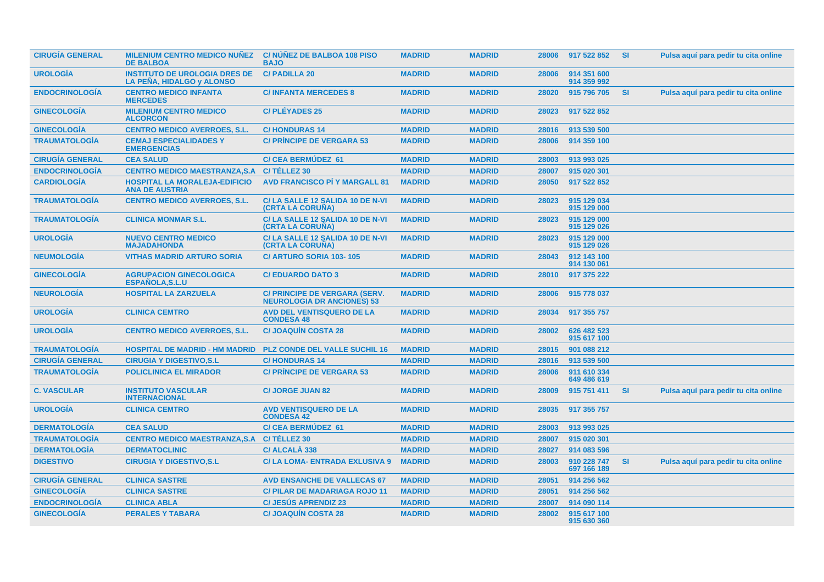| <b>CIRUGÍA GENERAL</b> | <b>MILENIUM CENTRO MEDICO NUÑEZ</b><br><b>DE BALBOA</b>           | <b>C/NUNEZ DE BALBOA 108 PISO</b><br><b>BAJO</b>                   | <b>MADRID</b> | <b>MADRID</b> | 28006 | 917 522 852                | -SI       | Pulsa aquí para pedir tu cita online |
|------------------------|-------------------------------------------------------------------|--------------------------------------------------------------------|---------------|---------------|-------|----------------------------|-----------|--------------------------------------|
| <b>UROLOGÍA</b>        | <b>INSTITUTO DE UROLOGIA DRES DE</b><br>LA PEÑA, HIDALGO y ALONSO | <b>C/PADILLA 20</b>                                                | <b>MADRID</b> | <b>MADRID</b> | 28006 | 914 351 600<br>914 359 992 |           |                                      |
| <b>ENDOCRINOLOGÍA</b>  | <b>CENTRO MEDICO INFANTA</b><br><b>MERCEDES</b>                   | <b>C/INFANTA MERCEDES 8</b>                                        | <b>MADRID</b> | <b>MADRID</b> | 28020 | 915 796 705                | <b>SI</b> | Pulsa aquí para pedir tu cita online |
| <b>GINECOLOGÍA</b>     | <b>MILENIUM CENTRO MEDICO</b><br><b>ALCORCON</b>                  | <b>C/PLÉYADES 25</b>                                               | <b>MADRID</b> | <b>MADRID</b> | 28023 | 917 522 852                |           |                                      |
| <b>GINECOLOGÍA</b>     | <b>CENTRO MEDICO AVERROES, S.L.</b>                               | <b>C/HONDURAS 14</b>                                               | <b>MADRID</b> | <b>MADRID</b> | 28016 | 913 539 500                |           |                                      |
| <b>TRAUMATOLOGIA</b>   | <b>CEMAJ ESPECIALIDADES Y</b><br><b>EMERGENCIAS</b>               | <b>C/ PRINCIPE DE VERGARA 53</b>                                   | <b>MADRID</b> | <b>MADRID</b> | 28006 | 914 359 100                |           |                                      |
| <b>CIRUGÍA GENERAL</b> | <b>CEA SALUD</b>                                                  | <b>C/ CEA BERMUDEZ 61</b>                                          | <b>MADRID</b> | <b>MADRID</b> | 28003 | 913 993 025                |           |                                      |
| <b>ENDOCRINOLOGÍA</b>  | <b>CENTRO MEDICO MAESTRANZA, S.A.</b>                             | C/TÉLLEZ 30                                                        | <b>MADRID</b> | <b>MADRID</b> | 28007 | 915 020 301                |           |                                      |
| <b>CARDIOLOGÍA</b>     | <b>HOSPITAL LA MORALEJA-EDIFICIO</b><br><b>ANA DE AUSTRIA</b>     | <b>AVD FRANCISCO PI Y MARGALL 81</b>                               | <b>MADRID</b> | <b>MADRID</b> | 28050 | 917 522 852                |           |                                      |
| <b>TRAUMATOLOGÍA</b>   | <b>CENTRO MEDICO AVERROES, S.L.</b>                               | C/LA SALLE 12 SALIDA 10 DE N-VI<br>(CRTA LA CORUNA)                | <b>MADRID</b> | <b>MADRID</b> | 28023 | 915 129 034<br>915 129 000 |           |                                      |
| <b>TRAUMATOLOGÍA</b>   | <b>CLINICA MONMAR S.L.</b>                                        | C/ LA SALLE 12 SALIDA 10 DE N-VI<br>(CRTA LA CORUNA)               | <b>MADRID</b> | <b>MADRID</b> | 28023 | 915 129 000<br>915 129 026 |           |                                      |
| <b>UROLOGÍA</b>        | <b>NUEVO CENTRO MEDICO</b><br><b>MAJADAHONDA</b>                  | C/LA SALLE 12 SALIDA 10 DE N-VI<br>(CRTA LA CORUNA)                | <b>MADRID</b> | <b>MADRID</b> | 28023 | 915 129 000<br>915 129 026 |           |                                      |
| <b>NEUMOLOGÍA</b>      | <b>VITHAS MADRID ARTURO SORIA</b>                                 | C/ ARTURO SORIA 103-105                                            | <b>MADRID</b> | <b>MADRID</b> | 28043 | 912 143 100<br>914 130 061 |           |                                      |
| <b>GINECOLOGÍA</b>     | <b>AGRUPACION GINECOLOGICA</b><br><b>ESPAÑOLA, S.L.U</b>          | <b>C/EDUARDO DATO 3</b>                                            | <b>MADRID</b> | <b>MADRID</b> | 28010 | 917 375 222                |           |                                      |
| <b>NEUROLOGÍA</b>      | <b>HOSPITAL LA ZARZUELA</b>                                       | C/ PRINCIPE DE VERGARA (SERV.<br><b>NEUROLOGIA DR ANCIONES) 53</b> | <b>MADRID</b> | <b>MADRID</b> | 28006 | 915 778 037                |           |                                      |
| <b>UROLOGÍA</b>        | <b>CLINICA CEMTRO</b>                                             | <b>AVD DEL VENTISQUERO DE LA</b><br><b>CONDESA 48</b>              | <b>MADRID</b> | <b>MADRID</b> | 28034 | 917 355 757                |           |                                      |
| <b>UROLOGÍA</b>        | <b>CENTRO MEDICO AVERROES, S.L.</b>                               | <b>C/JOAQUIN COSTA 28</b>                                          | <b>MADRID</b> | <b>MADRID</b> | 28002 | 626 482 523<br>915 617 100 |           |                                      |
| <b>TRAUMATOLOGÍA</b>   | <b>HOSPITAL DE MADRID - HM MADRID</b>                             | <b>PLZ CONDE DEL VALLE SUCHIL 16</b>                               | <b>MADRID</b> | <b>MADRID</b> | 28015 | 901 088 212                |           |                                      |
| <b>CIRUGÍA GENERAL</b> | <b>CIRUGIA Y DIGESTIVO, S.L.</b>                                  | <b>C/HONDURAS14</b>                                                | <b>MADRID</b> | <b>MADRID</b> | 28016 | 913 539 500                |           |                                      |
| <b>TRAUMATOLOGÍA</b>   | <b>POLICLINICA EL MIRADOR</b>                                     | <b>C/ PRINCIPE DE VERGARA 53</b>                                   | <b>MADRID</b> | <b>MADRID</b> | 28006 | 911 610 334<br>649 486 619 |           |                                      |
| <b>C. VASCULAR</b>     | <b>INSTITUTO VASCULAR</b><br><b>INTERNACIONAL</b>                 | <b>C/ JORGE JUAN 82</b>                                            | <b>MADRID</b> | <b>MADRID</b> | 28009 | 915 751 411                | <b>SI</b> | Pulsa aquí para pedir tu cita online |
| <b>UROLOGÍA</b>        | <b>CLINICA CEMTRO</b>                                             | <b>AVD VENTISQUERO DE LA</b><br><b>CONDESA 42</b>                  | <b>MADRID</b> | <b>MADRID</b> | 28035 | 917 355 757                |           |                                      |
| <b>DERMATOLOGÍA</b>    | <b>CEA SALUD</b>                                                  | <b>C/ CEA BERMÚDEZ 61</b>                                          | <b>MADRID</b> | <b>MADRID</b> | 28003 | 913 993 025                |           |                                      |
| <b>TRAUMATOLOGÍA</b>   | <b>CENTRO MEDICO MAESTRANZA, S.A.</b>                             | C/TÉLLEZ 30                                                        | <b>MADRID</b> | <b>MADRID</b> | 28007 | 915 020 301                |           |                                      |
| <b>DERMATOLOGÍA</b>    | <b>DERMATOCLINIC</b>                                              | C/ ALCALÁ 338                                                      | <b>MADRID</b> | <b>MADRID</b> | 28027 | 914 083 596                |           |                                      |
| <b>DIGESTIVO</b>       | <b>CIRUGIA Y DIGESTIVO, S.L.</b>                                  | <b>C/LA LOMA- ENTRADA EXLUSIVA 9</b>                               | <b>MADRID</b> | <b>MADRID</b> | 28003 | 910 228 747<br>697 166 189 | <b>SI</b> | Pulsa aquí para pedir tu cita online |
| <b>CIRUGÍA GENERAL</b> | <b>CLINICA SASTRE</b>                                             | <b>AVD ENSANCHE DE VALLECAS 67</b>                                 | <b>MADRID</b> | <b>MADRID</b> | 28051 | 914 256 562                |           |                                      |
| <b>GINECOLOGÍA</b>     | <b>CLINICA SASTRE</b>                                             | <b>C/ PILAR DE MADARIAGA ROJO 11</b>                               | <b>MADRID</b> | <b>MADRID</b> | 28051 | 914 256 562                |           |                                      |
| <b>ENDOCRINOLOGÍA</b>  | <b>CLINICA ABLA</b>                                               | <b>C/ JESUS APRENDIZ 23</b>                                        | <b>MADRID</b> | <b>MADRID</b> | 28007 | 914 090 114                |           |                                      |
| <b>GINECOLOGÍA</b>     | <b>PERALES Y TABARA</b>                                           | <b>C/JOAQUÍN COSTA 28</b>                                          | <b>MADRID</b> | <b>MADRID</b> | 28002 | 915 617 100<br>915 630 360 |           |                                      |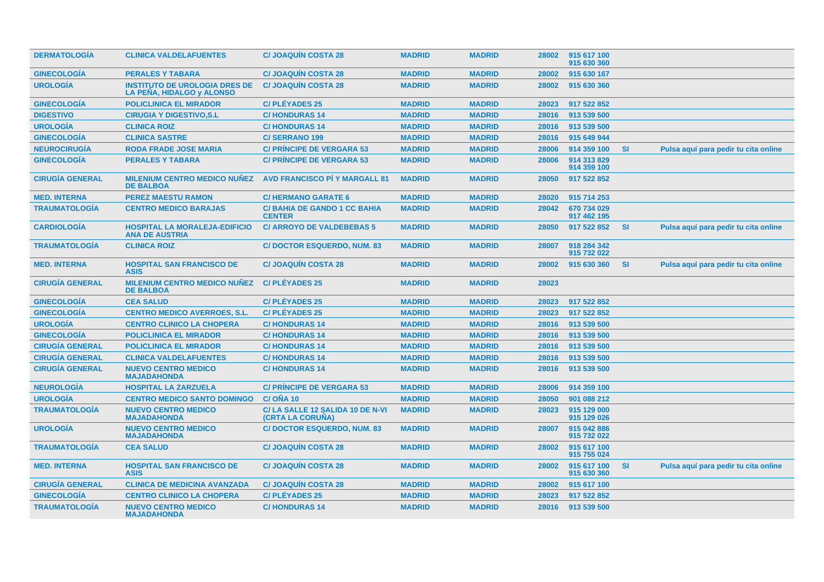| <b>DERMATOLOGÍA</b>    | <b>CLINICA VALDELAFUENTES</b>                                     | <b>C/JOAQUÍN COSTA 28</b>                           | <b>MADRID</b> | <b>MADRID</b> | 28002 | 915 617 100<br>915 630 360 |           |                                      |
|------------------------|-------------------------------------------------------------------|-----------------------------------------------------|---------------|---------------|-------|----------------------------|-----------|--------------------------------------|
| <b>GINECOLOGÍA</b>     | <b>PERALES Y TABARA</b>                                           | <b>C/ JOAQUIN COSTA 28</b>                          | <b>MADRID</b> | <b>MADRID</b> | 28002 | 915 630 167                |           |                                      |
| <b>UROLOGÍA</b>        | <b>INSTITUTO DE UROLOGIA DRES DE</b><br>LA PEÑA, HIDALGO y ALONSO | <b>C/JOAQUIN COSTA 28</b>                           | <b>MADRID</b> | <b>MADRID</b> | 28002 | 915 630 360                |           |                                      |
| <b>GINECOLOGÍA</b>     | <b>POLICLINICA EL MIRADOR</b>                                     | <b>C/PLÉYADES 25</b>                                | <b>MADRID</b> | <b>MADRID</b> | 28023 | 917 522 852                |           |                                      |
| <b>DIGESTIVO</b>       | <b>CIRUGIA Y DIGESTIVO, S.L.</b>                                  | <b>C/HONDURAS14</b>                                 | <b>MADRID</b> | <b>MADRID</b> | 28016 | 913 539 500                |           |                                      |
| <b>UROLOGÍA</b>        | <b>CLINICA ROIZ</b>                                               | <b>C/HONDURAS14</b>                                 | <b>MADRID</b> | <b>MADRID</b> | 28016 | 913 539 500                |           |                                      |
| <b>GINECOLOGÍA</b>     | <b>CLINICA SASTRE</b>                                             | <b>C/SERRANO 199</b>                                | <b>MADRID</b> | <b>MADRID</b> | 28016 | 915 649 944                |           |                                      |
| <b>NEUROCIRUGÍA</b>    | <b>RODA FRADE JOSE MARIA</b>                                      | <b>C/ PRÍNCIPE DE VERGARA 53</b>                    | <b>MADRID</b> | <b>MADRID</b> | 28006 | 914 359 100                | <b>SI</b> | Pulsa aquí para pedir tu cita online |
| <b>GINECOLOGÍA</b>     | <b>PERALES Y TABARA</b>                                           | <b>C/ PRÍNCIPE DE VERGARA 53</b>                    | <b>MADRID</b> | <b>MADRID</b> | 28006 | 914 313 829<br>914 359 100 |           |                                      |
| <b>CIRUGÍA GENERAL</b> | <b>MILENIUM CENTRO MEDICO NUÑEZ</b><br><b>DE BALBOA</b>           | <b>AVD FRANCISCO PI Y MARGALL 81</b>                | <b>MADRID</b> | <b>MADRID</b> | 28050 | 917 522 852                |           |                                      |
| <b>MED. INTERNA</b>    | <b>PEREZ MAESTU RAMON</b>                                         | <b>C/HERMANO GARATE 6</b>                           | <b>MADRID</b> | <b>MADRID</b> | 28020 | 915 714 253                |           |                                      |
| <b>TRAUMATOLOGÍA</b>   | <b>CENTRO MEDICO BARAJAS</b>                                      | <b>C/BAHIA DE GANDO 1 CC BAHIA</b><br><b>CENTER</b> | <b>MADRID</b> | <b>MADRID</b> | 28042 | 670 734 029<br>917 462 195 |           |                                      |
| <b>CARDIOLOGÍA</b>     | <b>HOSPITAL LA MORALEJA-EDIFICIO</b><br><b>ANA DE AUSTRIA</b>     | <b>C/ ARROYO DE VALDEBEBAS 5</b>                    | <b>MADRID</b> | <b>MADRID</b> | 28050 | 917 522 852                | <b>SI</b> | Pulsa aquí para pedir tu cita online |
| <b>TRAUMATOLOGÍA</b>   | <b>CLINICA ROIZ</b>                                               | <b>C/DOCTOR ESQUERDO, NUM. 83</b>                   | <b>MADRID</b> | <b>MADRID</b> | 28007 | 918 284 342<br>915 732 022 |           |                                      |
| <b>MED. INTERNA</b>    | <b>HOSPITAL SAN FRANCISCO DE</b><br><b>ASIS</b>                   | <b>C/JOAQUÍN COSTA 28</b>                           | <b>MADRID</b> | <b>MADRID</b> | 28002 | 915 630 360                | <b>SI</b> | Pulsa aquí para pedir tu cita online |
| <b>CIRUGÍA GENERAL</b> | <b>MILENIUM CENTRO MEDICO NUNEZ</b><br><b>DE BALBOA</b>           | <b>C/PLÉYADES 25</b>                                | <b>MADRID</b> | <b>MADRID</b> | 28023 |                            |           |                                      |
| <b>GINECOLOGÍA</b>     | <b>CEA SALUD</b>                                                  | <b>C/PLÉYADES 25</b>                                | <b>MADRID</b> | <b>MADRID</b> | 28023 | 917 522 852                |           |                                      |
| <b>GINECOLOGÍA</b>     | <b>CENTRO MEDICO AVERROES, S.L.</b>                               | <b>C/PLÉYADES 25</b>                                | <b>MADRID</b> | <b>MADRID</b> | 28023 | 917 522 852                |           |                                      |
| <b>UROLOGÍA</b>        | <b>CENTRO CLINICO LA CHOPERA</b>                                  | <b>C/HONDURAS14</b>                                 | <b>MADRID</b> | <b>MADRID</b> | 28016 | 913 539 500                |           |                                      |
| <b>GINECOLOGÍA</b>     | <b>POLICLINICA EL MIRADOR</b>                                     | <b>C/HONDURAS14</b>                                 | <b>MADRID</b> | <b>MADRID</b> | 28016 | 913 539 500                |           |                                      |
| <b>CIRUGÍA GENERAL</b> | <b>POLICLINICA EL MIRADOR</b>                                     | <b>C/HONDURAS14</b>                                 | <b>MADRID</b> | <b>MADRID</b> | 28016 | 913 539 500                |           |                                      |
| <b>CIRUGÍA GENERAL</b> | <b>CLINICA VALDELAFUENTES</b>                                     | <b>C/HONDURAS14</b>                                 | <b>MADRID</b> | <b>MADRID</b> | 28016 | 913 539 500                |           |                                      |
| <b>CIRUGÍA GENERAL</b> | <b>NUEVO CENTRO MEDICO</b><br><b>MAJADAHONDA</b>                  | <b>C/HONDURAS14</b>                                 | <b>MADRID</b> | <b>MADRID</b> | 28016 | 913 539 500                |           |                                      |
| <b>NEUROLOGÍA</b>      | <b>HOSPITAL LA ZARZUELA</b>                                       | <b>C/ PRÍNCIPE DE VERGARA 53</b>                    | <b>MADRID</b> | <b>MADRID</b> | 28006 | 914 359 100                |           |                                      |
| <b>UROLOGÍA</b>        | <b>CENTRO MEDICO SANTO DOMINGO</b>                                | C/OÑA 10                                            | <b>MADRID</b> | <b>MADRID</b> | 28050 | 901 088 212                |           |                                      |
| <b>TRAUMATOLOGÍA</b>   | <b>NUEVO CENTRO MEDICO</b><br><b>MAJADAHONDA</b>                  | C/LA SALLE 12 SALIDA 10 DE N-VI<br>(CRTA LA CORUNA) | <b>MADRID</b> | <b>MADRID</b> | 28023 | 915 129 000<br>915 129 026 |           |                                      |
| <b>UROLOGÍA</b>        | <b>NUEVO CENTRO MEDICO</b><br><b>MAJADAHONDA</b>                  | <b>C/DOCTOR ESQUERDO, NUM. 83</b>                   | <b>MADRID</b> | <b>MADRID</b> | 28007 | 915 042 886<br>915 732 022 |           |                                      |
| <b>TRAUMATOLOGÍA</b>   | <b>CEA SALUD</b>                                                  | <b>C/ JOAQUIN COSTA 28</b>                          | <b>MADRID</b> | <b>MADRID</b> | 28002 | 915 617 100<br>915 755 024 |           |                                      |
| <b>MED. INTERNA</b>    | <b>HOSPITAL SAN FRANCISCO DE</b><br><b>ASIS</b>                   | <b>C/JOAQUIN COSTA 28</b>                           | <b>MADRID</b> | <b>MADRID</b> | 28002 | 915 617 100<br>915 630 360 | <b>SI</b> | Pulsa aquí para pedir tu cita online |
| <b>CIRUGÍA GENERAL</b> | <b>CLINICA DE MEDICINA AVANZADA</b>                               | <b>C/JOAQUÍN COSTA 28</b>                           | <b>MADRID</b> | <b>MADRID</b> | 28002 | 915 617 100                |           |                                      |
| <b>GINECOLOGÍA</b>     | <b>CENTRO CLINICO LA CHOPERA</b>                                  | <b>C/PLÉYADES 25</b>                                | <b>MADRID</b> | <b>MADRID</b> | 28023 | 917 522 852                |           |                                      |
| <b>TRAUMATOLOGÍA</b>   | <b>NUEVO CENTRO MEDICO</b><br><b>MAJADAHONDA</b>                  | <b>C/HONDURAS 14</b>                                | <b>MADRID</b> | <b>MADRID</b> | 28016 | 913 539 500                |           |                                      |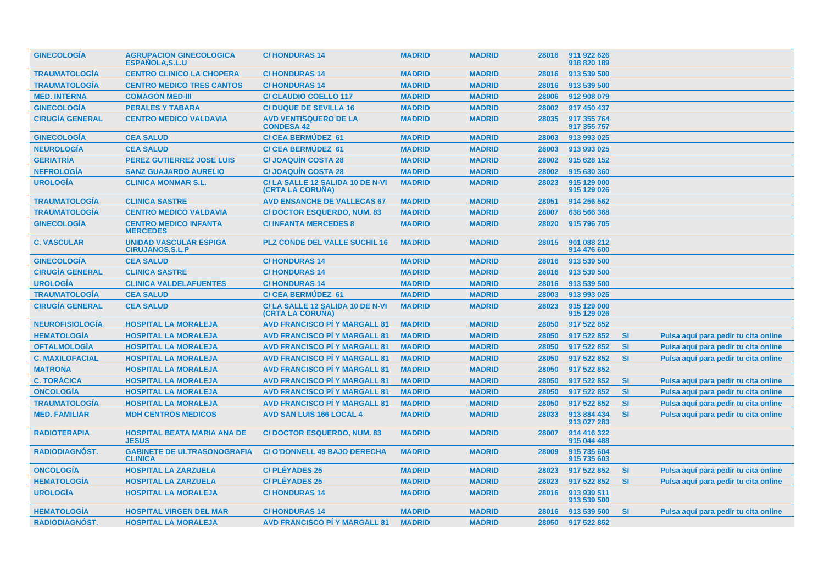| <b>GINECOLOGIA</b>     | <b>AGRUPACION GINECOLOGICA</b><br><b>ESPANOLA.S.L.U</b>  | <b>C/HONDURAS 14</b>                                       | <b>MADRID</b> | <b>MADRID</b> | 28016 | 911 922 626<br>918 820 189 |           |                                      |
|------------------------|----------------------------------------------------------|------------------------------------------------------------|---------------|---------------|-------|----------------------------|-----------|--------------------------------------|
| <b>TRAUMATOLOGÍA</b>   | <b>CENTRO CLINICO LA CHOPERA</b>                         | <b>C/HONDURAS14</b>                                        | <b>MADRID</b> | <b>MADRID</b> | 28016 | 913 539 500                |           |                                      |
| <b>TRAUMATOLOGÍA</b>   | <b>CENTRO MEDICO TRES CANTOS</b>                         | <b>C/HONDURAS14</b>                                        | <b>MADRID</b> | <b>MADRID</b> | 28016 | 913 539 500                |           |                                      |
| <b>MED. INTERNA</b>    | <b>COMAGON MED-III</b>                                   | <b>C/ CLAUDIO COELLO 117</b>                               | <b>MADRID</b> | <b>MADRID</b> | 28006 | 912 908 079                |           |                                      |
| <b>GINECOLOGÍA</b>     | <b>PERALES Y TABARA</b>                                  | <b>C/ DUQUE DE SEVILLA 16</b>                              | <b>MADRID</b> | <b>MADRID</b> | 28002 | 917 450 437                |           |                                      |
| <b>CIRUGÍA GENERAL</b> | <b>CENTRO MEDICO VALDAVIA</b>                            | <b>AVD VENTISQUERO DE LA</b><br><b>CONDESA 42</b>          | <b>MADRID</b> | <b>MADRID</b> | 28035 | 917 355 764<br>917 355 757 |           |                                      |
| <b>GINECOLOGÍA</b>     | <b>CEA SALUD</b>                                         | <b>C/CEA BERMUDEZ 61</b>                                   | <b>MADRID</b> | <b>MADRID</b> | 28003 | 913 993 025                |           |                                      |
| <b>NEUROLOGÍA</b>      | <b>CEA SALUD</b>                                         | <b>C/CEA BERMÚDEZ 61</b>                                   | <b>MADRID</b> | <b>MADRID</b> | 28003 | 913 993 025                |           |                                      |
| <b>GERIATRÍA</b>       | <b>PEREZ GUTIERREZ JOSE LUIS</b>                         | <b>C/ JOAQUÍN COSTA 28</b>                                 | <b>MADRID</b> | <b>MADRID</b> | 28002 | 915 628 152                |           |                                      |
| <b>NEFROLOGÍA</b>      | <b>SANZ GUAJARDO AURELIO</b>                             | <b>C/ JOAQUÍN COSTA 28</b>                                 | <b>MADRID</b> | <b>MADRID</b> | 28002 | 915 630 360                |           |                                      |
| <b>UROLOGÍA</b>        | <b>CLINICA MONMAR S.L.</b>                               | C/LA SALLE 12 SALIDA 10 DE N-VI<br>(CRTA LA CORUÑA)        | <b>MADRID</b> | <b>MADRID</b> | 28023 | 915 129 000<br>915 129 026 |           |                                      |
| <b>TRAUMATOLOGÍA</b>   | <b>CLINICA SASTRE</b>                                    | <b>AVD ENSANCHE DE VALLECAS 67</b>                         | <b>MADRID</b> | <b>MADRID</b> | 28051 | 914 256 562                |           |                                      |
| <b>TRAUMATOLOGÍA</b>   | <b>CENTRO MEDICO VALDAVIA</b>                            | <b>C/DOCTOR ESQUERDO, NUM. 83</b>                          | <b>MADRID</b> | <b>MADRID</b> | 28007 | 638 566 368                |           |                                      |
| <b>GINECOLOGÍA</b>     | <b>CENTRO MEDICO INFANTA</b><br><b>MERCEDES</b>          | <b>C/INFANTA MERCEDES 8</b>                                | <b>MADRID</b> | <b>MADRID</b> | 28020 | 915 796 705                |           |                                      |
| <b>C. VASCULAR</b>     | <b>UNIDAD VASCULAR ESPIGA</b><br><b>CIRUJANOS, S.L.P</b> | <b>PLZ CONDE DEL VALLE SUCHIL 16</b>                       | <b>MADRID</b> | <b>MADRID</b> | 28015 | 901 088 212<br>914 476 600 |           |                                      |
| <b>GINECOLOGÍA</b>     | <b>CEA SALUD</b>                                         | <b>C/HONDURAS14</b>                                        | <b>MADRID</b> | <b>MADRID</b> | 28016 | 913 539 500                |           |                                      |
| <b>CIRUGÍA GENERAL</b> | <b>CLINICA SASTRE</b>                                    | <b>C/HONDURAS14</b>                                        | <b>MADRID</b> | <b>MADRID</b> | 28016 | 913 539 500                |           |                                      |
| <b>UROLOGÍA</b>        | <b>CLINICA VALDELAFUENTES</b>                            | <b>C/HONDURAS14</b>                                        | <b>MADRID</b> | <b>MADRID</b> | 28016 | 913 539 500                |           |                                      |
| <b>TRAUMATOLOGÍA</b>   | <b>CEA SALUD</b>                                         | <b>C/ CEA BERMÚDEZ 61</b>                                  | <b>MADRID</b> | <b>MADRID</b> | 28003 | 913 993 025                |           |                                      |
| <b>CIRUGÍA GENERAL</b> | <b>CEA SALUD</b>                                         | C/LA SALLE 12 SALIDA 10 DE N-VI<br><b>(CRTA LA CORUNA)</b> | <b>MADRID</b> | <b>MADRID</b> | 28023 | 915 129 000<br>915 129 026 |           |                                      |
| <b>NEUROFISIOLOGÍA</b> | <b>HOSPITAL LA MORALEJA</b>                              | <b>AVD FRANCISCO PI Y MARGALL 81</b>                       | <b>MADRID</b> | <b>MADRID</b> | 28050 | 917 522 852                |           |                                      |
| <b>HEMATOLOGÍA</b>     | <b>HOSPITAL LA MORALEJA</b>                              | <b>AVD FRANCISCO PI Y MARGALL 81</b>                       | <b>MADRID</b> | <b>MADRID</b> | 28050 | 917 522 852                | <b>SI</b> | Pulsa aquí para pedir tu cita online |
| <b>OFTALMOLOGÍA</b>    | <b>HOSPITAL LA MORALEJA</b>                              | <b>AVD FRANCISCO PI Y MARGALL 81</b>                       | <b>MADRID</b> | <b>MADRID</b> | 28050 | 917 522 852                | <b>SI</b> | Pulsa aquí para pedir tu cita online |
| <b>C. MAXILOFACIAL</b> | <b>HOSPITAL LA MORALEJA</b>                              | <b>AVD FRANCISCO PI Y MARGALL 81</b>                       | <b>MADRID</b> | <b>MADRID</b> | 28050 | 917 522 852                | SI        | Pulsa aquí para pedir tu cita online |
| <b>MATRONA</b>         | <b>HOSPITAL LA MORALEJA</b>                              | <b>AVD FRANCISCO PÍ Y MARGALL 81</b>                       | <b>MADRID</b> | <b>MADRID</b> | 28050 | 917 522 852                |           |                                      |
| <b>C. TORÁCICA</b>     | <b>HOSPITAL LA MORALEJA</b>                              | <b>AVD FRANCISCO PI Y MARGALL 81</b>                       | <b>MADRID</b> | <b>MADRID</b> | 28050 | 917 522 852                | <b>SI</b> | Pulsa aquí para pedir tu cita online |
| <b>ONCOLOGÍA</b>       | <b>HOSPITAL LA MORALEJA</b>                              | <b>AVD FRANCISCO PI Y MARGALL 81</b>                       | <b>MADRID</b> | <b>MADRID</b> | 28050 | 917 522 852                | <b>SI</b> | Pulsa aquí para pedir tu cita online |
| <b>TRAUMATOLOGIA</b>   | <b>HOSPITAL LA MORALEJA</b>                              | <b>AVD FRANCISCO PI Y MARGALL 81</b>                       | <b>MADRID</b> | <b>MADRID</b> | 28050 | 917 522 852                | <b>SI</b> | Pulsa aquí para pedir tu cita online |
| <b>MED. FAMILIAR</b>   | <b>MDH CENTROS MEDICOS</b>                               | <b>AVD SAN LUIS 166 LOCAL 4</b>                            | <b>MADRID</b> | <b>MADRID</b> | 28033 | 913 884 434<br>913 027 283 | SI        | Pulsa aquí para pedir tu cita online |
| <b>RADIOTERAPIA</b>    | <b>HOSPITAL BEATA MARIA ANA DE</b><br><b>JESUS</b>       | <b>C/DOCTOR ESQUERDO, NUM. 83</b>                          | <b>MADRID</b> | <b>MADRID</b> | 28007 | 914 416 322<br>915 044 488 |           |                                      |
| <b>RADIODIAGNOST.</b>  | <b>GABINETE DE ULTRASONOGRAFIA</b><br><b>CLINICA</b>     | <b>C/O'DONNELL 49 BAJO DERECHA</b>                         | <b>MADRID</b> | <b>MADRID</b> | 28009 | 915 735 604<br>915 735 603 |           |                                      |
| <b>ONCOLOGÍA</b>       | <b>HOSPITAL LA ZARZUELA</b>                              | <b>C/PLÉYADES 25</b>                                       | <b>MADRID</b> | <b>MADRID</b> | 28023 | 917 522 852                | <b>SI</b> | Pulsa aquí para pedir tu cita online |
| <b>HEMATOLOGÍA</b>     | <b>HOSPITAL LA ZARZUELA</b>                              | <b>C/PLÉYADES 25</b>                                       | <b>MADRID</b> | <b>MADRID</b> | 28023 | 917 522 852                | <b>SI</b> | Pulsa aguí para pedir tu cita online |
| <b>UROLOGÍA</b>        | <b>HOSPITAL LA MORALEJA</b>                              | <b>C/HONDURAS14</b>                                        | <b>MADRID</b> | <b>MADRID</b> | 28016 | 913 939 511<br>913 539 500 |           |                                      |
| <b>HEMATOLOGÍA</b>     | <b>HOSPITAL VIRGEN DEL MAR</b>                           | <b>C/HONDURAS14</b>                                        | <b>MADRID</b> | <b>MADRID</b> | 28016 | 913 539 500                | <b>SI</b> | Pulsa aquí para pedir tu cita online |
| RADIODIAGNÓST.         | <b>HOSPITAL LA MORALEJA</b>                              | <b>AVD FRANCISCO PI Y MARGALL 81</b>                       | <b>MADRID</b> | <b>MADRID</b> | 28050 | 917 522 852                |           |                                      |
|                        |                                                          |                                                            |               |               |       |                            |           |                                      |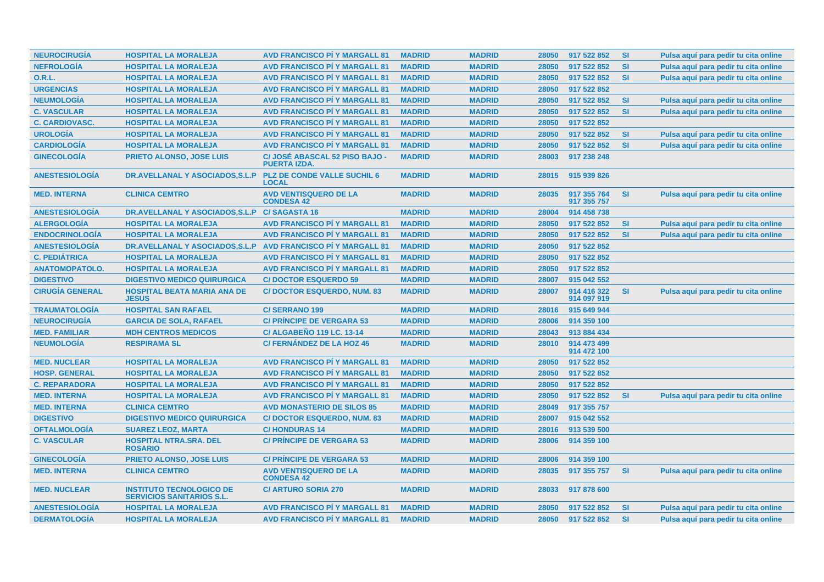| <b>NEUROCIRUGÍA</b>    | <b>HOSPITAL LA MORALEJA</b>                                         | <b>AVD FRANCISCO PI Y MARGALL 81</b>                  | <b>MADRID</b> | <b>MADRID</b> | 28050 | 917 522 852                | <b>SI</b> | Pulsa aquí para pedir tu cita online |
|------------------------|---------------------------------------------------------------------|-------------------------------------------------------|---------------|---------------|-------|----------------------------|-----------|--------------------------------------|
| <b>NEFROLOGÍA</b>      | <b>HOSPITAL LA MORALEJA</b>                                         | <b>AVD FRANCISCO PÍ Y MARGALL 81</b>                  | <b>MADRID</b> | <b>MADRID</b> | 28050 | 917 522 852                | <b>SI</b> | Pulsa aguí para pedir tu cita online |
| <b>O.R.L.</b>          | <b>HOSPITAL LA MORALEJA</b>                                         | <b>AVD FRANCISCO PI Y MARGALL 81</b>                  | <b>MADRID</b> | <b>MADRID</b> | 28050 | 917 522 852                | <b>SI</b> | Pulsa aquí para pedir tu cita online |
| <b>URGENCIAS</b>       | <b>HOSPITAL LA MORALEJA</b>                                         | <b>AVD FRANCISCO PÍ Y MARGALL 81</b>                  | <b>MADRID</b> | <b>MADRID</b> | 28050 | 917 522 852                |           |                                      |
| <b>NEUMOLOGÍA</b>      | <b>HOSPITAL LA MORALEJA</b>                                         | <b>AVD FRANCISCO PI Y MARGALL 81</b>                  | <b>MADRID</b> | <b>MADRID</b> | 28050 | 917 522 852                | <b>SI</b> | Pulsa aquí para pedir tu cita online |
| <b>C. VASCULAR</b>     | <b>HOSPITAL LA MORALEJA</b>                                         | <b>AVD FRANCISCO PÍ Y MARGALL 81</b>                  | <b>MADRID</b> | <b>MADRID</b> | 28050 | 917 522 852                | <b>SI</b> | Pulsa aquí para pedir tu cita online |
| <b>C. CARDIOVASC.</b>  | <b>HOSPITAL LA MORALEJA</b>                                         | <b>AVD FRANCISCO PI Y MARGALL 81</b>                  | <b>MADRID</b> | <b>MADRID</b> | 28050 | 917 522 852                |           |                                      |
| <b>UROLOGÍA</b>        | <b>HOSPITAL LA MORALEJA</b>                                         | <b>AVD FRANCISCO PÍ Y MARGALL 81</b>                  | <b>MADRID</b> | <b>MADRID</b> | 28050 | 917 522 852                | <b>SI</b> | Pulsa aquí para pedir tu cita online |
| <b>CARDIOLOGÍA</b>     | <b>HOSPITAL LA MORALEJA</b>                                         | <b>AVD FRANCISCO PI Y MARGALL 81</b>                  | <b>MADRID</b> | <b>MADRID</b> | 28050 | 917 522 852                | <b>SI</b> | Pulsa aquí para pedir tu cita online |
| <b>GINECOLOGÍA</b>     | <b>PRIETO ALONSO, JOSE LUIS</b>                                     | C/ JOSÉ ABASCAL 52 PISO BAJO -<br><b>PUERTA IZDA.</b> | <b>MADRID</b> | <b>MADRID</b> | 28003 | 917 238 248                |           |                                      |
| <b>ANESTESIOLOGÍA</b>  | DR.AVELLANAL Y ASOCIADOS, S.L.P                                     | <b>PLZ DE CONDE VALLE SUCHIL 6</b><br><b>LOCAL</b>    | <b>MADRID</b> | <b>MADRID</b> | 28015 | 915 939 826                |           |                                      |
| <b>MED. INTERNA</b>    | <b>CLINICA CEMTRO</b>                                               | <b>AVD VENTISQUERO DE LA</b><br><b>CONDESA 42</b>     | <b>MADRID</b> | <b>MADRID</b> | 28035 | 917 355 764<br>917 355 757 | <b>SI</b> | Pulsa aquí para pedir tu cita online |
| <b>ANESTESIOLOGÍA</b>  | DR.AVELLANAL Y ASOCIADOS, S.L.P                                     | <b>C/SAGASTA 16</b>                                   | <b>MADRID</b> | <b>MADRID</b> | 28004 | 914 458 738                |           |                                      |
| <b>ALERGOLOGÍA</b>     | <b>HOSPITAL LA MORALEJA</b>                                         | <b>AVD FRANCISCO PI Y MARGALL 81</b>                  | <b>MADRID</b> | <b>MADRID</b> | 28050 | 917 522 852                | <b>SI</b> | Pulsa aquí para pedir tu cita online |
| <b>ENDOCRINOLOGÍA</b>  | <b>HOSPITAL LA MORALEJA</b>                                         | <b>AVD FRANCISCO PI Y MARGALL 81</b>                  | <b>MADRID</b> | <b>MADRID</b> | 28050 | 917 522 852                | <b>SI</b> | Pulsa aquí para pedir tu cita online |
| <b>ANESTESIOLOGÍA</b>  | DR.AVELLANAL Y ASOCIADOS, S.L.P AVD FRANCISCO PÍ Y MARGALL 81       |                                                       | <b>MADRID</b> | <b>MADRID</b> | 28050 | 917 522 852                |           |                                      |
| <b>C. PEDIÁTRICA</b>   | <b>HOSPITAL LA MORALEJA</b>                                         | <b>AVD FRANCISCO PI Y MARGALL 81</b>                  | <b>MADRID</b> | <b>MADRID</b> | 28050 | 917 522 852                |           |                                      |
| <b>ANATOMOPATOLO.</b>  | <b>HOSPITAL LA MORALEJA</b>                                         | <b>AVD FRANCISCO PI Y MARGALL 81</b>                  | <b>MADRID</b> | <b>MADRID</b> | 28050 | 917 522 852                |           |                                      |
| <b>DIGESTIVO</b>       | <b>DIGESTIVO MEDICO QUIRURGICA</b>                                  | <b>C/DOCTOR ESQUERDO 59</b>                           | <b>MADRID</b> | <b>MADRID</b> | 28007 | 915 042 552                |           |                                      |
| <b>CIRUGÍA GENERAL</b> | <b>HOSPITAL BEATA MARIA ANA DE</b><br><b>JESUS</b>                  | <b>C/DOCTOR ESQUERDO, NUM. 83</b>                     | <b>MADRID</b> | <b>MADRID</b> | 28007 | 914 416 322<br>914 097 919 | <b>SI</b> | Pulsa aquí para pedir tu cita online |
| <b>TRAUMATOLOGÍA</b>   | <b>HOSPITAL SAN RAFAEL</b>                                          | <b>C/SERRANO 199</b>                                  | <b>MADRID</b> | <b>MADRID</b> | 28016 | 915 649 944                |           |                                      |
| <b>NEUROCIRUGÍA</b>    | <b>GARCIA DE SOLA, RAFAEL</b>                                       | <b>C/ PRINCIPE DE VERGARA 53</b>                      | <b>MADRID</b> | <b>MADRID</b> | 28006 | 914 359 100                |           |                                      |
| <b>MED. FAMILIAR</b>   | <b>MDH CENTROS MEDICOS</b>                                          | <b>C/ ALGABEÑO 119 LC. 13-14</b>                      | <b>MADRID</b> | <b>MADRID</b> | 28043 | 913 884 434                |           |                                      |
| <b>NEUMOLOGÍA</b>      | <b>RESPIRAMA SL</b>                                                 | C/FERNANDEZ DE LA HOZ 45                              | <b>MADRID</b> | <b>MADRID</b> | 28010 | 914 473 499<br>914 472 100 |           |                                      |
| <b>MED. NUCLEAR</b>    | <b>HOSPITAL LA MORALEJA</b>                                         | <b>AVD FRANCISCO PÍ Y MARGALL 81</b>                  | <b>MADRID</b> | <b>MADRID</b> | 28050 | 917 522 852                |           |                                      |
| <b>HOSP. GENERAL</b>   | <b>HOSPITAL LA MORALEJA</b>                                         | <b>AVD FRANCISCO PI Y MARGALL 81</b>                  | <b>MADRID</b> | <b>MADRID</b> | 28050 | 917 522 852                |           |                                      |
| <b>C. REPARADORA</b>   | <b>HOSPITAL LA MORALEJA</b>                                         | <b>AVD FRANCISCO PI Y MARGALL 81</b>                  | <b>MADRID</b> | <b>MADRID</b> | 28050 | 917 522 852                |           |                                      |
| <b>MED. INTERNA</b>    | <b>HOSPITAL LA MORALEJA</b>                                         | <b>AVD FRANCISCO PI Y MARGALL 81</b>                  | <b>MADRID</b> | <b>MADRID</b> | 28050 | 917 522 852                | <b>SI</b> | Pulsa aquí para pedir tu cita online |
| <b>MED. INTERNA</b>    | <b>CLINICA CEMTRO</b>                                               | <b>AVD MONASTERIO DE SILOS 85</b>                     | <b>MADRID</b> | <b>MADRID</b> | 28049 | 917 355 757                |           |                                      |
| <b>DIGESTIVO</b>       | <b>DIGESTIVO MEDICO QUIRURGICA</b>                                  | <b>C/DOCTOR ESQUERDO, NUM. 83</b>                     | <b>MADRID</b> | <b>MADRID</b> | 28007 | 915 042 552                |           |                                      |
| <b>OFTALMOLOGÍA</b>    | <b>SUAREZ LEOZ, MARTA</b>                                           | <b>C/HONDURAS14</b>                                   | <b>MADRID</b> | <b>MADRID</b> | 28016 | 913 539 500                |           |                                      |
| <b>C. VASCULAR</b>     | <b>HOSPITAL NTRA.SRA. DEL</b><br><b>ROSARIO</b>                     | <b>C/ PRINCIPE DE VERGARA 53</b>                      | <b>MADRID</b> | <b>MADRID</b> | 28006 | 914 359 100                |           |                                      |
| <b>GINECOLOGÍA</b>     | <b>PRIETO ALONSO, JOSE LUIS</b>                                     | <b>C/ PRINCIPE DE VERGARA 53</b>                      | <b>MADRID</b> | <b>MADRID</b> | 28006 | 914 359 100                |           |                                      |
| <b>MED. INTERNA</b>    | <b>CLINICA CEMTRO</b>                                               | <b>AVD VENTISQUERO DE LA</b><br><b>CONDESA 42</b>     | <b>MADRID</b> | <b>MADRID</b> | 28035 | 917 355 757                | <b>SI</b> | Pulsa aquí para pedir tu cita online |
| <b>MED. NUCLEAR</b>    | <b>INSTITUTO TECNOLOGICO DE</b><br><b>SERVICIOS SANITARIOS S.L.</b> | <b>C/ ARTURO SORIA 270</b>                            | <b>MADRID</b> | <b>MADRID</b> | 28033 | 917 878 600                |           |                                      |
| <b>ANESTESIOLOGIA</b>  | <b>HOSPITAL LA MORALEJA</b>                                         | <b>AVD FRANCISCO PI Y MARGALL 81</b>                  | <b>MADRID</b> | <b>MADRID</b> | 28050 | 917 522 852                | <b>SI</b> | Pulsa aquí para pedir tu cita online |
| <b>DERMATOLOGÍA</b>    | <b>HOSPITAL LA MORALEJA</b>                                         | <b>AVD FRANCISCO PÍ Y MARGALL 81</b>                  | <b>MADRID</b> | <b>MADRID</b> | 28050 | 917 522 852                | <b>SI</b> | Pulsa aquí para pedir tu cita online |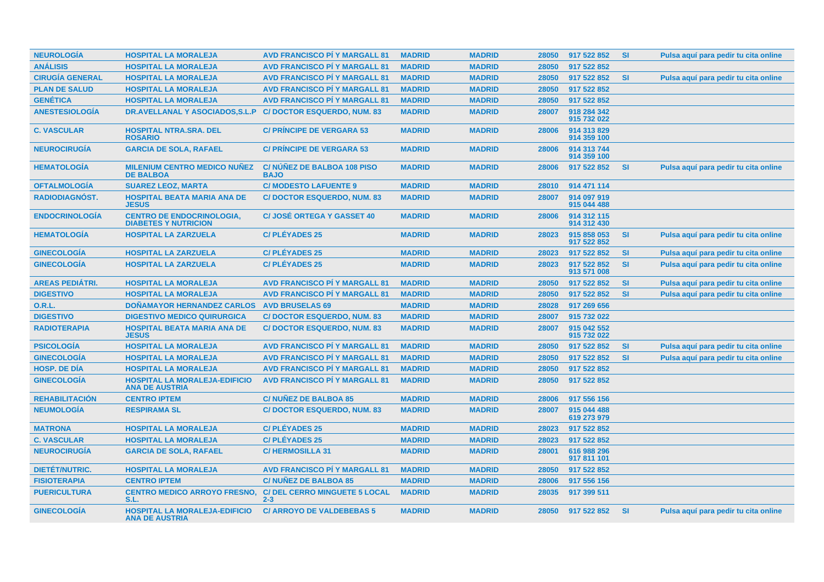| <b>NEUROLOGIA</b>      | <b>HOSPITAL LA MORALEJA</b>                                     | <b>AVD FRANCISCO PI Y MARGALL 81</b>            | <b>MADRID</b> | <b>MADRID</b> | 28050 | 917 522 852                | <b>SI</b> | Pulsa aquí para pedir tu cita online |
|------------------------|-----------------------------------------------------------------|-------------------------------------------------|---------------|---------------|-------|----------------------------|-----------|--------------------------------------|
| <b>ANÁLISIS</b>        | <b>HOSPITAL LA MORALEJA</b>                                     | <b>AVD FRANCISCO PI Y MARGALL 81</b>            | <b>MADRID</b> | <b>MADRID</b> | 28050 | 917 522 852                |           |                                      |
| <b>CIRUGÍA GENERAL</b> | <b>HOSPITAL LA MORALEJA</b>                                     | <b>AVD FRANCISCO PI Y MARGALL 81</b>            | <b>MADRID</b> | <b>MADRID</b> | 28050 | 917 522 852                | <b>SI</b> | Pulsa aguí para pedir tu cita online |
| <b>PLAN DE SALUD</b>   | <b>HOSPITAL LA MORALEJA</b>                                     | <b>AVD FRANCISCO PÍ Y MARGALL 81</b>            | <b>MADRID</b> | <b>MADRID</b> | 28050 | 917 522 852                |           |                                      |
| <b>GENÉTICA</b>        | <b>HOSPITAL LA MORALEJA</b>                                     | <b>AVD FRANCISCO PI Y MARGALL 81</b>            | <b>MADRID</b> | <b>MADRID</b> | 28050 | 917 522 852                |           |                                      |
| <b>ANESTESIOLOGÍA</b>  | DR.AVELLANAL Y ASOCIADOS, S.L.P                                 | <b>C/DOCTOR ESQUERDO, NUM. 83</b>               | <b>MADRID</b> | <b>MADRID</b> | 28007 | 918 284 342<br>915 732 022 |           |                                      |
| <b>C. VASCULAR</b>     | <b>HOSPITAL NTRA.SRA. DEL</b><br><b>ROSARIO</b>                 | <b>C/ PRINCIPE DE VERGARA 53</b>                | <b>MADRID</b> | <b>MADRID</b> | 28006 | 914 313 829<br>914 359 100 |           |                                      |
| <b>NEUROCIRUGÍA</b>    | <b>GARCIA DE SOLA, RAFAEL</b>                                   | <b>C/ PRINCIPE DE VERGARA 53</b>                | <b>MADRID</b> | <b>MADRID</b> | 28006 | 914 313 744<br>914 359 100 |           |                                      |
| <b>HEMATOLOGÍA</b>     | <b>MILENIUM CENTRO MEDICO NUÑEZ</b><br><b>DE BALBOA</b>         | C/NUNEZ DE BALBOA 108 PISO<br><b>BAJO</b>       | <b>MADRID</b> | <b>MADRID</b> | 28006 | 917 522 852                | <b>SI</b> | Pulsa aguí para pedir tu cita online |
| <b>OFTALMOLOGÍA</b>    | <b>SUAREZ LEOZ, MARTA</b>                                       | <b>C/ MODESTO LAFUENTE 9</b>                    | <b>MADRID</b> | <b>MADRID</b> | 28010 | 914 471 114                |           |                                      |
| <b>RADIODIAGNÓST.</b>  | <b>HOSPITAL BEATA MARIA ANA DE</b><br><b>JESUS</b>              | <b>C/DOCTOR ESQUERDO, NUM. 83</b>               | <b>MADRID</b> | <b>MADRID</b> | 28007 | 914 097 919<br>915 044 488 |           |                                      |
| <b>ENDOCRINOLOGÍA</b>  | <b>CENTRO DE ENDOCRINOLOGIA,</b><br><b>DIABETES Y NUTRICION</b> | <b>C/JOSÉ ORTEGA Y GASSET 40</b>                | <b>MADRID</b> | <b>MADRID</b> | 28006 | 914 312 115<br>914 312 430 |           |                                      |
| <b>HEMATOLOGIA</b>     | <b>HOSPITAL LA ZARZUELA</b>                                     | <b>C/PLÉYADES 25</b>                            | <b>MADRID</b> | <b>MADRID</b> | 28023 | 915 858 053<br>917 522 852 | <b>SI</b> | Pulsa aquí para pedir tu cita online |
| <b>GINECOLOGÍA</b>     | <b>HOSPITAL LA ZARZUELA</b>                                     | <b>C/PLÉYADES 25</b>                            | <b>MADRID</b> | <b>MADRID</b> | 28023 | 917 522 852                | <b>SI</b> | Pulsa aquí para pedir tu cita online |
| <b>GINECOLOGIA</b>     | <b>HOSPITAL LA ZARZUELA</b>                                     | <b>C/PLÉYADES 25</b>                            | <b>MADRID</b> | <b>MADRID</b> | 28023 | 917 522 852<br>913 571 008 | <b>SI</b> | Pulsa aquí para pedir tu cita online |
| <b>AREAS PEDIÁTRI.</b> | <b>HOSPITAL LA MORALEJA</b>                                     | <b>AVD FRANCISCO PÍ Y MARGALL 81</b>            | <b>MADRID</b> | <b>MADRID</b> | 28050 | 917 522 852                | <b>SI</b> | Pulsa aquí para pedir tu cita online |
| <b>DIGESTIVO</b>       | <b>HOSPITAL LA MORALEJA</b>                                     | <b>AVD FRANCISCO PI Y MARGALL 81</b>            | <b>MADRID</b> | <b>MADRID</b> | 28050 | 917 522 852                | <b>SI</b> | Pulsa aquí para pedir tu cita online |
| O.R.L.                 | <b>DOÑAMAYOR HERNANDEZ CARLOS</b>                               | <b>AVD BRUSELAS 69</b>                          | <b>MADRID</b> | <b>MADRID</b> | 28028 | 917 269 656                |           |                                      |
| <b>DIGESTIVO</b>       | <b>DIGESTIVO MEDICO QUIRURGICA</b>                              | <b>C/DOCTOR ESQUERDO, NUM, 83</b>               | <b>MADRID</b> | <b>MADRID</b> | 28007 | 915 732 022                |           |                                      |
| <b>RADIOTERAPIA</b>    | <b>HOSPITAL BEATA MARIA ANA DE</b><br><b>JESUS</b>              | <b>C/DOCTOR ESQUERDO, NUM. 83</b>               | <b>MADRID</b> | <b>MADRID</b> | 28007 | 915 042 552<br>915 732 022 |           |                                      |
| <b>PSICOLOGÍA</b>      | <b>HOSPITAL LA MORALEJA</b>                                     | <b>AVD FRANCISCO PI Y MARGALL 81</b>            | <b>MADRID</b> | <b>MADRID</b> | 28050 | 917 522 852                | <b>SI</b> | Pulsa aquí para pedir tu cita online |
| <b>GINECOLOGÍA</b>     | <b>HOSPITAL LA MORALEJA</b>                                     | <b>AVD FRANCISCO PI Y MARGALL 81</b>            | <b>MADRID</b> | <b>MADRID</b> | 28050 | 917 522 852                | <b>SI</b> | Pulsa aquí para pedir tu cita online |
| <b>HOSP, DE DIA</b>    | <b>HOSPITAL LA MORALEJA</b>                                     | <b>AVD FRANCISCO PI Y MARGALL 81</b>            | <b>MADRID</b> | <b>MADRID</b> | 28050 | 917 522 852                |           |                                      |
| <b>GINECOLOGÍA</b>     | <b>HOSPITAL LA MORALEJA-EDIFICIO</b><br><b>ANA DE AUSTRIA</b>   | <b>AVD FRANCISCO PÍ Y MARGALL 81</b>            | <b>MADRID</b> | <b>MADRID</b> | 28050 | 917 522 852                |           |                                      |
| <b>REHABILITACIÓN</b>  | <b>CENTRO IPTEM</b>                                             | <b>C/NUNEZ DE BALBOA 85</b>                     | <b>MADRID</b> | <b>MADRID</b> | 28006 | 917 556 156                |           |                                      |
| <b>NEUMOLOGÍA</b>      | <b>RESPIRAMA SL</b>                                             | <b>C/DOCTOR ESQUERDO, NUM. 83</b>               | <b>MADRID</b> | <b>MADRID</b> | 28007 | 915 044 488<br>619 273 979 |           |                                      |
| <b>MATRONA</b>         | <b>HOSPITAL LA MORALEJA</b>                                     | <b>C/PLÉYADES 25</b>                            | <b>MADRID</b> | <b>MADRID</b> | 28023 | 917 522 852                |           |                                      |
| <b>C. VASCULAR</b>     | <b>HOSPITAL LA MORALEJA</b>                                     | <b>C/PLÉYADES 25</b>                            | <b>MADRID</b> | <b>MADRID</b> | 28023 | 917 522 852                |           |                                      |
| <b>NEUROCIRUGÍA</b>    | <b>GARCIA DE SOLA, RAFAEL</b>                                   | <b>C/HERMOSILLA 31</b>                          | <b>MADRID</b> | <b>MADRID</b> | 28001 | 616 988 296<br>917 811 101 |           |                                      |
| <b>DIETÉT/NUTRIC.</b>  | <b>HOSPITAL LA MORALEJA</b>                                     | <b>AVD FRANCISCO PI Y MARGALL 81</b>            | <b>MADRID</b> | <b>MADRID</b> | 28050 | 917 522 852                |           |                                      |
| <b>FISIOTERAPIA</b>    | <b>CENTRO IPTEM</b>                                             | <b>C/NUÑEZ DE BALBOA 85</b>                     | <b>MADRID</b> | <b>MADRID</b> | 28006 | 917 556 156                |           |                                      |
| <b>PUERICULTURA</b>    | <b>CENTRO MEDICO ARROYO FRESNO,</b><br>S.L.                     | <b>C/ DEL CERRO MINGUETE 5 LOCAL</b><br>$2 - 3$ | <b>MADRID</b> | <b>MADRID</b> | 28035 | 917 399 511                |           |                                      |
| <b>GINECOLOGÍA</b>     | <b>HOSPITAL LA MORALEJA-EDIFICIO</b><br><b>ANA DE AUSTRIA</b>   | <b>C/ ARROYO DE VALDEBEBAS 5</b>                | <b>MADRID</b> | <b>MADRID</b> | 28050 | 917 522 852                | <b>SI</b> | Pulsa aquí para pedir tu cita online |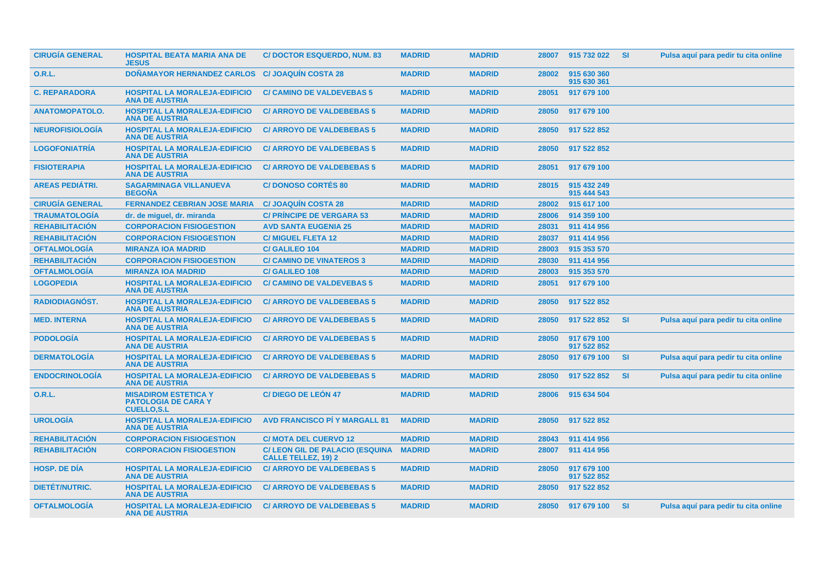| <b>CIRUGÍA GENERAL</b> | <b>HOSPITAL BEATA MARIA ANA DE</b><br><b>JESUS</b>                             | <b>C/DOCTOR ESQUERDO, NUM. 83</b>                                    | <b>MADRID</b> | <b>MADRID</b> |       | 28007 915 732 022          | - SI      | Pulsa aquí para pedir tu cita online |
|------------------------|--------------------------------------------------------------------------------|----------------------------------------------------------------------|---------------|---------------|-------|----------------------------|-----------|--------------------------------------|
| 0.R.L.                 | <b>DONAMAYOR HERNANDEZ CARLOS</b>                                              | <b>C/JOAQUIN COSTA 28</b>                                            | <b>MADRID</b> | <b>MADRID</b> | 28002 | 915 630 360<br>915 630 361 |           |                                      |
| <b>C. REPARADORA</b>   | <b>HOSPITAL LA MORALEJA-EDIFICIO</b><br><b>ANA DE AUSTRIA</b>                  | <b>C/ CAMINO DE VALDEVEBAS 5</b>                                     | <b>MADRID</b> | <b>MADRID</b> | 28051 | 917 679 100                |           |                                      |
| <b>ANATOMOPATOLO.</b>  | <b>HOSPITAL LA MORALEJA-EDIFICIO</b><br><b>ANA DE AUSTRIA</b>                  | <b>C/ ARROYO DE VALDEBEBAS 5</b>                                     | <b>MADRID</b> | <b>MADRID</b> | 28050 | 917 679 100                |           |                                      |
| <b>NEUROFISIOLOGIA</b> | <b>HOSPITAL LA MORALEJA-EDIFICIO</b><br><b>ANA DE AUSTRIA</b>                  | <b>C/ ARROYO DE VALDEBEBAS 5</b>                                     | <b>MADRID</b> | <b>MADRID</b> | 28050 | 917 522 852                |           |                                      |
| <b>LOGOFONIATRIA</b>   | <b>HOSPITAL LA MORALEJA-EDIFICIO</b><br><b>ANA DE AUSTRIA</b>                  | <b>C/ ARROYO DE VALDEBEBAS 5</b>                                     | <b>MADRID</b> | <b>MADRID</b> | 28050 | 917 522 852                |           |                                      |
| <b>FISIOTERAPIA</b>    | <b>HOSPITAL LA MORALEJA-EDIFICIO</b><br><b>ANA DE AUSTRIA</b>                  | <b>C/ ARROYO DE VALDEBEBAS 5</b>                                     | <b>MADRID</b> | <b>MADRID</b> | 28051 | 917 679 100                |           |                                      |
| <b>AREAS PEDIÁTRI.</b> | <b>SAGARMINAGA VILLANUEVA</b><br><b>BEGOÑA</b>                                 | <b>C/DONOSO CORTÉS 80</b>                                            | <b>MADRID</b> | <b>MADRID</b> | 28015 | 915 432 249<br>915 444 543 |           |                                      |
| <b>CIRUGÍA GENERAL</b> | <b>FERNANDEZ CEBRIAN JOSE MARIA</b>                                            | <b>C/JOAQUIN COSTA 28</b>                                            | <b>MADRID</b> | <b>MADRID</b> | 28002 | 915 617 100                |           |                                      |
| <b>TRAUMATOLOGÍA</b>   | dr. de miguel, dr. miranda                                                     | <b>C/ PRINCIPE DE VERGARA 53</b>                                     | <b>MADRID</b> | <b>MADRID</b> | 28006 | 914 359 100                |           |                                      |
| <b>REHABILITACIÓN</b>  | <b>CORPORACION FISIOGESTION</b>                                                | <b>AVD SANTA EUGENIA 25</b>                                          | <b>MADRID</b> | <b>MADRID</b> | 28031 | 911 414 956                |           |                                      |
| <b>REHABILITACIÓN</b>  | <b>CORPORACION FISIOGESTION</b>                                                | <b>C/MIGUEL FLETA 12</b>                                             | <b>MADRID</b> | <b>MADRID</b> | 28037 | 911 414 956                |           |                                      |
| <b>OFTALMOLOGÍA</b>    | <b>MIRANZA IOA MADRID</b>                                                      | <b>C/ GALILEO 104</b>                                                | <b>MADRID</b> | <b>MADRID</b> | 28003 | 915 353 570                |           |                                      |
| <b>REHABILITACIÓN</b>  | <b>CORPORACION FISIOGESTION</b>                                                | <b>C/ CAMINO DE VINATEROS 3</b>                                      | <b>MADRID</b> | <b>MADRID</b> | 28030 | 911 414 956                |           |                                      |
| <b>OFTALMOLOGÍA</b>    | <b>MIRANZA IOA MADRID</b>                                                      | <b>C/ GALILEO 108</b>                                                | <b>MADRID</b> | <b>MADRID</b> | 28003 | 915 353 570                |           |                                      |
| <b>LOGOPEDIA</b>       | <b>HOSPITAL LA MORALEJA-EDIFICIO</b><br><b>ANA DE AUSTRIA</b>                  | <b>C/ CAMINO DE VALDEVEBAS 5</b>                                     | <b>MADRID</b> | <b>MADRID</b> | 28051 | 917 679 100                |           |                                      |
| RADIODIAGNÓST.         | <b>HOSPITAL LA MORALEJA-EDIFICIO</b><br><b>ANA DE AUSTRIA</b>                  | <b>C/ ARROYO DE VALDEBEBAS 5</b>                                     | <b>MADRID</b> | <b>MADRID</b> | 28050 | 917 522 852                |           |                                      |
| <b>MED. INTERNA</b>    | <b>HOSPITAL LA MORALEJA-EDIFICIO</b><br><b>ANA DE AUSTRIA</b>                  | <b>C/ ARROYO DE VALDEBEBAS 5</b>                                     | <b>MADRID</b> | <b>MADRID</b> | 28050 | 917 522 852                | <b>SI</b> | Pulsa aquí para pedir tu cita online |
| <b>PODOLOGÍA</b>       | <b>HOSPITAL LA MORALEJA-EDIFICIO</b><br><b>ANA DE AUSTRIA</b>                  | <b>C/ ARROYO DE VALDEBEBAS 5</b>                                     | <b>MADRID</b> | <b>MADRID</b> | 28050 | 917 679 100<br>917 522 852 |           |                                      |
| <b>DERMATOLOGÍA</b>    | <b>HOSPITAL LA MORALEJA-EDIFICIO</b><br><b>ANA DE AUSTRIA</b>                  | <b>C/ ARROYO DE VALDEBEBAS 5</b>                                     | <b>MADRID</b> | <b>MADRID</b> | 28050 | 917 679 100                | <b>SI</b> | Pulsa aquí para pedir tu cita online |
| <b>ENDOCRINOLOGÍA</b>  | <b>HOSPITAL LA MORALEJA-EDIFICIO</b><br><b>ANA DE AUSTRIA</b>                  | <b>C/ ARROYO DE VALDEBEBAS 5</b>                                     | <b>MADRID</b> | <b>MADRID</b> | 28050 | 917 522 852                | <b>SI</b> | Pulsa aquí para pedir tu cita online |
| <b>O.R.L.</b>          | <b>MISADIROM ESTETICA Y</b><br><b>PATOLOGIA DE CARA Y</b><br><b>CUELLO.S.L</b> | <b>C/DIEGO DE LEÓN 47</b>                                            | <b>MADRID</b> | <b>MADRID</b> | 28006 | 915 634 504                |           |                                      |
| <b>UROLOGIA</b>        | <b>HOSPITAL LA MORALEJA-EDIFICIO</b><br><b>ANA DE AUSTRIA</b>                  | <b>AVD FRANCISCO PI Y MARGALL 81</b>                                 | <b>MADRID</b> | <b>MADRID</b> | 28050 | 917 522 852                |           |                                      |
| <b>REHABILITACION</b>  | <b>CORPORACION FISIOGESTION</b>                                                | <b>C/ MOTA DEL CUERVO 12</b>                                         | <b>MADRID</b> | <b>MADRID</b> | 28043 | 911 414 956                |           |                                      |
| <b>REHABILITACION</b>  | <b>CORPORACION FISIOGESTION</b>                                                | <b>C/ LEON GIL DE PALACIO (ESQUINA</b><br><b>CALLE TELLEZ, 19) 2</b> | <b>MADRID</b> | <b>MADRID</b> | 28007 | 911 414 956                |           |                                      |
| <b>HOSP. DE DIA</b>    | <b>HOSPITAL LA MORALEJA-EDIFICIO</b><br><b>ANA DE AUSTRIA</b>                  | <b>C/ ARROYO DE VALDEBEBAS 5</b>                                     | <b>MADRID</b> | <b>MADRID</b> | 28050 | 917 679 100<br>917 522 852 |           |                                      |
| <b>DIETET/NUTRIC.</b>  | <b>HOSPITAL LA MORALEJA-EDIFICIO</b><br><b>ANA DE AUSTRIA</b>                  | <b>C/ ARROYO DE VALDEBEBAS 5</b>                                     | <b>MADRID</b> | <b>MADRID</b> | 28050 | 917 522 852                |           |                                      |
| <b>OFTALMOLOGÍA</b>    | <b>HOSPITAL LA MORALEJA-EDIFICIO</b><br><b>ANA DE AUSTRIA</b>                  | <b>C/ ARROYO DE VALDEBEBAS 5</b>                                     | <b>MADRID</b> | <b>MADRID</b> |       | 28050 917 679 100          | - SI      | Pulsa aquí para pedir tu cita online |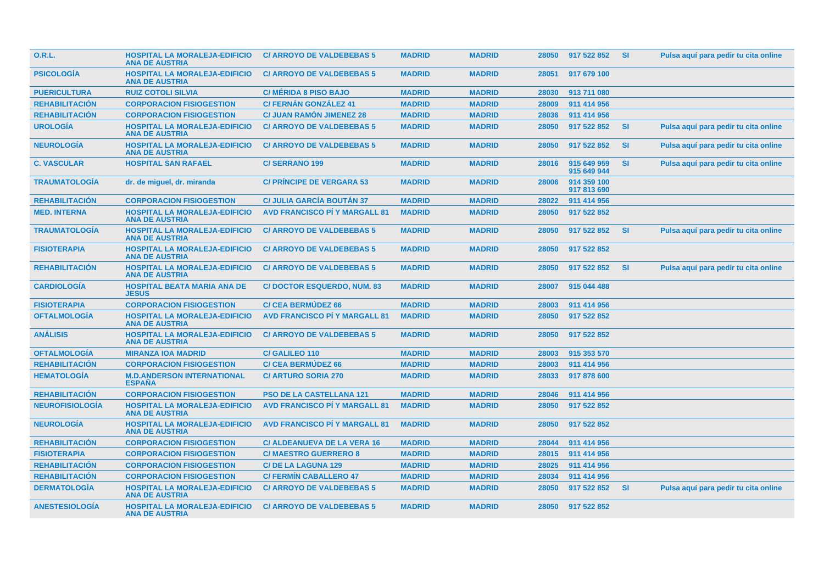| <b>O.R.L.</b>          | <b>HOSPITAL LA MORALEJA-EDIFICIO</b><br><b>ANA DE AUSTRIA</b> | <b>C/ ARROYO DE VALDEBEBAS 5</b>     | <b>MADRID</b> | <b>MADRID</b> | 28050 | 917 522 852                | -SI.      | Pulsa aquí para pedir tu cita online |
|------------------------|---------------------------------------------------------------|--------------------------------------|---------------|---------------|-------|----------------------------|-----------|--------------------------------------|
| <b>PSICOLOGÍA</b>      | <b>HOSPITAL LA MORALEJA-EDIFICIO</b><br><b>ANA DE AUSTRIA</b> | <b>C/ ARROYO DE VALDEBEBAS 5</b>     | <b>MADRID</b> | <b>MADRID</b> | 28051 | 917 679 100                |           |                                      |
| <b>PUERICULTURA</b>    | <b>RUIZ COTOLI SILVIA</b>                                     | <b>C/ MÉRIDA 8 PISO BAJO</b>         | <b>MADRID</b> | <b>MADRID</b> | 28030 | 913 711 080                |           |                                      |
| <b>REHABILITACIÓN</b>  | <b>CORPORACION FISIOGESTION</b>                               | <b>C/FERNÁN GONZÁLEZ 41</b>          | <b>MADRID</b> | <b>MADRID</b> | 28009 | 911 414 956                |           |                                      |
| <b>REHABILITACIÓN</b>  | <b>CORPORACION FISIOGESTION</b>                               | <b>C/ JUAN RAMON JIMENEZ 28</b>      | <b>MADRID</b> | <b>MADRID</b> | 28036 | 911 414 956                |           |                                      |
| <b>UROLOGÍA</b>        | <b>HOSPITAL LA MORALEJA-EDIFICIO</b><br><b>ANA DE AUSTRIA</b> | <b>C/ ARROYO DE VALDEBEBAS 5</b>     | <b>MADRID</b> | <b>MADRID</b> | 28050 | 917 522 852                | <b>SI</b> | Pulsa aquí para pedir tu cita online |
| <b>NEUROLOGIA</b>      | <b>HOSPITAL LA MORALEJA-EDIFICIO</b><br><b>ANA DE AUSTRIA</b> | <b>C/ ARROYO DE VALDEBEBAS 5</b>     | <b>MADRID</b> | <b>MADRID</b> | 28050 | 917 522 852                | <b>SI</b> | Pulsa aquí para pedir tu cita online |
| <b>C. VASCULAR</b>     | <b>HOSPITAL SAN RAFAEL</b>                                    | <b>C/SERRANO 199</b>                 | <b>MADRID</b> | <b>MADRID</b> | 28016 | 915 649 959<br>915 649 944 | <b>SI</b> | Pulsa aquí para pedir tu cita online |
| <b>TRAUMATOLOGÍA</b>   | dr. de miguel, dr. miranda                                    | <b>C/ PRINCIPE DE VERGARA 53</b>     | <b>MADRID</b> | <b>MADRID</b> | 28006 | 914 359 100<br>917 813 690 |           |                                      |
| <b>REHABILITACIÓN</b>  | <b>CORPORACION FISIOGESTION</b>                               | <b>C/ JULIA GARCÍA BOUTÁN 37</b>     | <b>MADRID</b> | <b>MADRID</b> | 28022 | 911 414 956                |           |                                      |
| <b>MED. INTERNA</b>    | <b>HOSPITAL LA MORALEJA-EDIFICIO</b><br><b>ANA DE AUSTRIA</b> | <b>AVD FRANCISCO PÍ Y MARGALL 81</b> | <b>MADRID</b> | <b>MADRID</b> | 28050 | 917 522 852                |           |                                      |
| <b>TRAUMATOLOGIA</b>   | <b>HOSPITAL LA MORALEJA-EDIFICIO</b><br><b>ANA DE AUSTRIA</b> | <b>C/ ARROYO DE VALDEBEBAS 5</b>     | <b>MADRID</b> | <b>MADRID</b> | 28050 | 917 522 852                | <b>SI</b> | Pulsa aquí para pedir tu cita online |
| <b>FISIOTERAPIA</b>    | <b>HOSPITAL LA MORALEJA-EDIFICIO</b><br><b>ANA DE AUSTRIA</b> | <b>C/ ARROYO DE VALDEBEBAS 5</b>     | <b>MADRID</b> | <b>MADRID</b> | 28050 | 917 522 852                |           |                                      |
| <b>REHABILITACIÓN</b>  | <b>HOSPITAL LA MORALEJA-EDIFICIO</b><br><b>ANA DE AUSTRIA</b> | <b>C/ ARROYO DE VALDEBEBAS 5</b>     | <b>MADRID</b> | <b>MADRID</b> | 28050 | 917 522 852                | <b>SI</b> | Pulsa aquí para pedir tu cita online |
| <b>CARDIOLOGIA</b>     | <b>HOSPITAL BEATA MARIA ANA DE</b><br><b>JESUS</b>            | <b>C/DOCTOR ESQUERDO, NUM. 83</b>    | <b>MADRID</b> | <b>MADRID</b> | 28007 | 915 044 488                |           |                                      |
| <b>FISIOTERAPIA</b>    | <b>CORPORACION FISIOGESTION</b>                               | <b>C/ CEA BERMUDEZ 66</b>            | <b>MADRID</b> | <b>MADRID</b> | 28003 | 911 414 956                |           |                                      |
| <b>OFTALMOLOGÍA</b>    | <b>HOSPITAL LA MORALEJA-EDIFICIO</b><br><b>ANA DE AUSTRIA</b> | <b>AVD FRANCISCO PI Y MARGALL 81</b> | <b>MADRID</b> | <b>MADRID</b> | 28050 | 917 522 852                |           |                                      |
| <b>ANÁLISIS</b>        | <b>HOSPITAL LA MORALEJA-EDIFICIO</b><br><b>ANA DE AUSTRIA</b> | <b>C/ ARROYO DE VALDEBEBAS 5</b>     | <b>MADRID</b> | <b>MADRID</b> | 28050 | 917 522 852                |           |                                      |
| <b>OFTALMOLOGÍA</b>    | <b>MIRANZA IOA MADRID</b>                                     | <b>C/ GALILEO 110</b>                | <b>MADRID</b> | <b>MADRID</b> | 28003 | 915 353 570                |           |                                      |
| <b>REHABILITACIÓN</b>  | <b>CORPORACION FISIOGESTION</b>                               | <b>C/ CEA BERMUDEZ 66</b>            | <b>MADRID</b> | <b>MADRID</b> | 28003 | 911 414 956                |           |                                      |
| <b>HEMATOLOGÍA</b>     | <b>M.D.ANDERSON INTERNATIONAL</b><br><b>ESPAÑA</b>            | <b>C/ ARTURO SORIA 270</b>           | <b>MADRID</b> | <b>MADRID</b> | 28033 | 917 878 600                |           |                                      |
| <b>REHABILITACIÓN</b>  | <b>CORPORACION FISIOGESTION</b>                               | <b>PSO DE LA CASTELLANA 121</b>      | <b>MADRID</b> | <b>MADRID</b> | 28046 | 911 414 956                |           |                                      |
| <b>NEUROFISIOLOGÍA</b> | <b>HOSPITAL LA MORALEJA-EDIFICIO</b><br><b>ANA DE AUSTRIA</b> | <b>AVD FRANCISCO PI Y MARGALL 81</b> | <b>MADRID</b> | <b>MADRID</b> | 28050 | 917 522 852                |           |                                      |
| <b>NEUROLOGÍA</b>      | <b>HOSPITAL LA MORALEJA-EDIFICIO</b><br><b>ANA DE AUSTRIA</b> | <b>AVD FRANCISCO PÍ Y MARGALL 81</b> | <b>MADRID</b> | <b>MADRID</b> | 28050 | 917 522 852                |           |                                      |
| <b>REHABILITACIÓN</b>  | <b>CORPORACION FISIOGESTION</b>                               | <b>C/ ALDEANUEVA DE LA VERA 16</b>   | <b>MADRID</b> | <b>MADRID</b> | 28044 | 911 414 956                |           |                                      |
| <b>FISIOTERAPIA</b>    | <b>CORPORACION FISIOGESTION</b>                               | <b>C/MAESTRO GUERRERO 8</b>          | <b>MADRID</b> | <b>MADRID</b> | 28015 | 911 414 956                |           |                                      |
| <b>REHABILITACIÓN</b>  | <b>CORPORACION FISIOGESTION</b>                               | <b>C/DE LA LAGUNA 129</b>            | <b>MADRID</b> | <b>MADRID</b> | 28025 | 911 414 956                |           |                                      |
| <b>REHABILITACIÓN</b>  | <b>CORPORACION FISIOGESTION</b>                               | <b>C/FERMIN CABALLERO 47</b>         | <b>MADRID</b> | <b>MADRID</b> | 28034 | 911 414 956                |           |                                      |
| <b>DERMATOLOGIA</b>    | <b>HOSPITAL LA MORALEJA-EDIFICIO</b><br><b>ANA DE AUSTRIA</b> | <b>C/ ARROYO DE VALDEBEBAS 5</b>     | <b>MADRID</b> | <b>MADRID</b> | 28050 | 917 522 852                | <b>SI</b> | Pulsa aquí para pedir tu cita online |
| <b>ANESTESIOLOGIA</b>  | <b>HOSPITAL LA MORALEJA-EDIFICIO</b><br><b>ANA DE AUSTRIA</b> | <b>C/ ARROYO DE VALDEBEBAS 5</b>     | <b>MADRID</b> | <b>MADRID</b> | 28050 | 917 522 852                |           |                                      |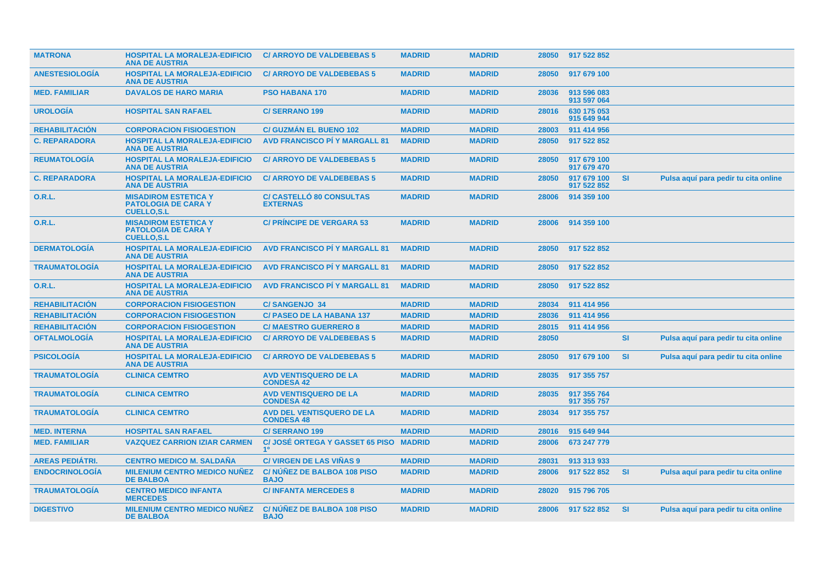| <b>MATRONA</b>         | <b>HOSPITAL LA MORALEJA-EDIFICIO</b><br><b>ANA DE AUSTRIA</b>                  | <b>C/ ARROYO DE VALDEBEBAS 5</b>                         | <b>MADRID</b> | <b>MADRID</b> | 28050 | 917 522 852                |           |                                      |
|------------------------|--------------------------------------------------------------------------------|----------------------------------------------------------|---------------|---------------|-------|----------------------------|-----------|--------------------------------------|
| <b>ANESTESIOLOGIA</b>  | <b>HOSPITAL LA MORALEJA-EDIFICIO</b><br><b>ANA DE AUSTRIA</b>                  | <b>C/ ARROYO DE VALDEBEBAS 5</b>                         | <b>MADRID</b> | <b>MADRID</b> | 28050 | 917 679 100                |           |                                      |
| <b>MED. FAMILIAR</b>   | <b>DAVALOS DE HARO MARIA</b>                                                   | <b>PSO HABANA 170</b>                                    | <b>MADRID</b> | <b>MADRID</b> | 28036 | 913 596 083<br>913 597 064 |           |                                      |
| <b>UROLOGIA</b>        | <b>HOSPITAL SAN RAFAEL</b>                                                     | <b>C/SERRANO 199</b>                                     | <b>MADRID</b> | <b>MADRID</b> | 28016 | 630 175 053<br>915 649 944 |           |                                      |
| <b>REHABILITACION</b>  | <b>CORPORACION FISIOGESTION</b>                                                | <b>C/ GUZMÁN EL BUENO 102</b>                            | <b>MADRID</b> | <b>MADRID</b> | 28003 | 911 414 956                |           |                                      |
| <b>C. REPARADORA</b>   | <b>HOSPITAL LA MORALEJA-EDIFICIO</b><br><b>ANA DE AUSTRIA</b>                  | <b>AVD FRANCISCO PI Y MARGALL 81</b>                     | <b>MADRID</b> | <b>MADRID</b> | 28050 | 917 522 852                |           |                                      |
| <b>REUMATOLOGÍA</b>    | <b>HOSPITAL LA MORALEJA-EDIFICIO</b><br><b>ANA DE AUSTRIA</b>                  | <b>C/ ARROYO DE VALDEBEBAS 5</b>                         | <b>MADRID</b> | <b>MADRID</b> | 28050 | 917 679 100<br>917 679 470 |           |                                      |
| <b>C. REPARADORA</b>   | <b>HOSPITAL LA MORALEJA-EDIFICIO</b><br><b>ANA DE AUSTRIA</b>                  | <b>C/ ARROYO DE VALDEBEBAS 5</b>                         | <b>MADRID</b> | <b>MADRID</b> | 28050 | 917 679 100<br>917 522 852 | <b>SI</b> | Pulsa aquí para pedir tu cita online |
| <b>O.R.L.</b>          | <b>MISADIROM ESTETICA Y</b><br><b>PATOLOGIA DE CARA Y</b><br><b>CUELLO,S.L</b> | <b>C/ CASTELLO 80 CONSULTAS</b><br><b>EXTERNAS</b>       | <b>MADRID</b> | <b>MADRID</b> | 28006 | 914 359 100                |           |                                      |
| <b>O.R.L.</b>          | <b>MISADIROM ESTETICA Y</b><br><b>PATOLOGIA DE CARA Y</b><br><b>CUELLO.S.L</b> | <b>C/ PRINCIPE DE VERGARA 53</b>                         | <b>MADRID</b> | <b>MADRID</b> | 28006 | 914 359 100                |           |                                      |
| <b>DERMATOLOGIA</b>    | <b>HOSPITAL LA MORALEJA-EDIFICIO</b><br><b>ANA DE AUSTRIA</b>                  | <b>AVD FRANCISCO PI Y MARGALL 81</b>                     | <b>MADRID</b> | <b>MADRID</b> | 28050 | 917 522 852                |           |                                      |
| <b>TRAUMATOLOGIA</b>   | <b>HOSPITAL LA MORALEJA-EDIFICIO</b><br><b>ANA DE AUSTRIA</b>                  | <b>AVD FRANCISCO PÍ Y MARGALL 81</b>                     | <b>MADRID</b> | <b>MADRID</b> | 28050 | 917 522 852                |           |                                      |
| <b>O.R.L.</b>          | <b>HOSPITAL LA MORALEJA-EDIFICIO</b><br><b>ANA DE AUSTRIA</b>                  | <b>AVD FRANCISCO PÍ Y MARGALL 81</b>                     | <b>MADRID</b> | <b>MADRID</b> | 28050 | 917 522 852                |           |                                      |
| <b>REHABILITACIÓN</b>  | <b>CORPORACION FISIOGESTION</b>                                                | <b>C/SANGENJO 34</b>                                     | <b>MADRID</b> | <b>MADRID</b> | 28034 | 911 414 956                |           |                                      |
| <b>REHABILITACIÓN</b>  | <b>CORPORACION FISIOGESTION</b>                                                | <b>C/ PASEO DE LA HABANA 137</b>                         | <b>MADRID</b> | <b>MADRID</b> | 28036 | 911 414 956                |           |                                      |
| <b>REHABILITACION</b>  | <b>CORPORACION FISIOGESTION</b>                                                | <b>C/MAESTRO GUERRERO 8</b>                              | <b>MADRID</b> | <b>MADRID</b> | 28015 | 911 414 956                |           |                                      |
| <b>OFTALMOLOGÍA</b>    | <b>HOSPITAL LA MORALEJA-EDIFICIO</b><br><b>ANA DE AUSTRIA</b>                  | <b>C/ ARROYO DE VALDEBEBAS 5</b>                         | <b>MADRID</b> | <b>MADRID</b> | 28050 |                            | <b>SI</b> | Pulsa aquí para pedir tu cita online |
| <b>PSICOLOGIA</b>      | <b>HOSPITAL LA MORALEJA-EDIFICIO</b><br><b>ANA DE AUSTRIA</b>                  | <b>C/ ARROYO DE VALDEBEBAS 5</b>                         | <b>MADRID</b> | <b>MADRID</b> | 28050 | 917 679 100                | <b>SI</b> | Pulsa aquí para pedir tu cita online |
| <b>TRAUMATOLOGÍA</b>   | <b>CLINICA CEMTRO</b>                                                          | <b>AVD VENTISQUERO DE LA</b><br><b>CONDESA 42</b>        | <b>MADRID</b> | <b>MADRID</b> | 28035 | 917 355 757                |           |                                      |
| <b>TRAUMATOLOGÍA</b>   | <b>CLINICA CEMTRO</b>                                                          | <b>AVD VENTISQUERO DE LA</b><br><b>CONDESA 42</b>        | <b>MADRID</b> | <b>MADRID</b> | 28035 | 917 355 764<br>917 355 757 |           |                                      |
| <b>TRAUMATOLOGIA</b>   | <b>CLINICA CEMTRO</b>                                                          | <b>AVD DEL VENTISQUERO DE LA</b><br><b>CONDESA 48</b>    | <b>MADRID</b> | <b>MADRID</b> | 28034 | 917 355 757                |           |                                      |
| <b>MED. INTERNA</b>    | <b>HOSPITAL SAN RAFAEL</b>                                                     | <b>C/SERRANO 199</b>                                     | <b>MADRID</b> | <b>MADRID</b> | 28016 | 915 649 944                |           |                                      |
| <b>MED. FAMILIAR</b>   | <b>VAZQUEZ CARRION IZIAR CARMEN</b>                                            | <b>C/ JOSÉ ORTEGA Y GASSET 65 PISO</b><br>1 <sup>0</sup> | <b>MADRID</b> | <b>MADRID</b> | 28006 | 673 247 779                |           |                                      |
| <b>AREAS PEDIÁTRI.</b> | <b>CENTRO MEDICO M. SALDAÑA</b>                                                | <b>C/ VIRGEN DE LAS VINAS 9</b>                          | <b>MADRID</b> | <b>MADRID</b> | 28031 | 913 313 933                |           |                                      |
| <b>ENDOCRINOLOGIA</b>  | <b>MILENIUM CENTRO MEDICO NUÑEZ</b><br><b>DE BALBOA</b>                        | <b>C/NUNEZ DE BALBOA 108 PISO</b><br><b>BAJO</b>         | <b>MADRID</b> | <b>MADRID</b> | 28006 | 917 522 852                | <b>SI</b> | Pulsa aquí para pedir tu cita online |
| <b>TRAUMATOLOGIA</b>   | <b>CENTRO MEDICO INFANTA</b><br><b>MERCEDES</b>                                | <b>C/INFANTA MERCEDES 8</b>                              | <b>MADRID</b> | <b>MADRID</b> | 28020 | 915 796 705                |           |                                      |
| <b>DIGESTIVO</b>       | <b>MILENIUM CENTRO MEDICO NUÑEZ</b><br><b>DE BALBOA</b>                        | C/ NÚÑEZ DE BALBOA 108 PISO<br><b>BAJO</b>               | <b>MADRID</b> | <b>MADRID</b> | 28006 | 917 522 852                | <b>SI</b> | Pulsa aquí para pedir tu cita online |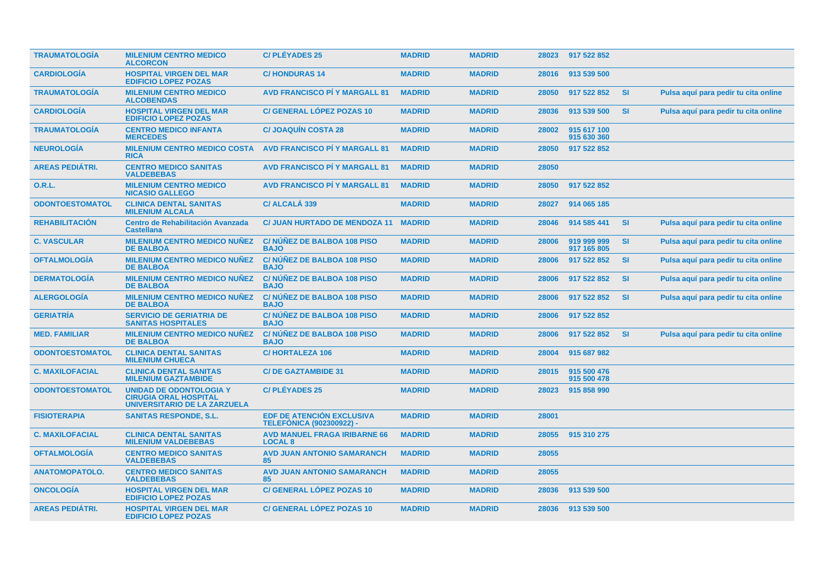| <b>TRAUMATOLOGIA</b>   | <b>MILENIUM CENTRO MEDICO</b><br><b>ALCORCON</b>                                               | <b>C/PLÉYADES 25</b>                                                | <b>MADRID</b> | <b>MADRID</b> |       | 28023 917 522 852          |           |                                      |
|------------------------|------------------------------------------------------------------------------------------------|---------------------------------------------------------------------|---------------|---------------|-------|----------------------------|-----------|--------------------------------------|
| <b>CARDIOLOGIA</b>     | <b>HOSPITAL VIRGEN DEL MAR</b><br><b>EDIFICIO LOPEZ POZAS</b>                                  | <b>C/HONDURAS 14</b>                                                | <b>MADRID</b> | <b>MADRID</b> | 28016 | 913 539 500                |           |                                      |
| <b>TRAUMATOLOGIA</b>   | <b>MILENIUM CENTRO MEDICO</b><br><b>ALCOBENDAS</b>                                             | <b>AVD FRANCISCO PI Y MARGALL 81</b>                                | <b>MADRID</b> | <b>MADRID</b> | 28050 | 917 522 852                | <b>SI</b> | Pulsa aquí para pedir tu cita online |
| <b>CARDIOLOGIA</b>     | <b>HOSPITAL VIRGEN DEL MAR</b><br><b>EDIFICIO LOPEZ POZAS</b>                                  | <b>C/GENERAL LÓPEZ POZAS 10</b>                                     | <b>MADRID</b> | <b>MADRID</b> | 28036 | 913 539 500                | <b>SI</b> | Pulsa aquí para pedir tu cita online |
| <b>TRAUMATOLOGIA</b>   | <b>CENTRO MEDICO INFANTA</b><br><b>MERCEDES</b>                                                | <b>C/ JOAQUIN COSTA 28</b>                                          | <b>MADRID</b> | <b>MADRID</b> | 28002 | 915 617 100<br>915 630 360 |           |                                      |
| <b>NEUROLOGÍA</b>      | <b>MILENIUM CENTRO MEDICO COSTA</b><br><b>RICA</b>                                             | <b>AVD FRANCISCO PI Y MARGALL 81</b>                                | <b>MADRID</b> | <b>MADRID</b> | 28050 | 917 522 852                |           |                                      |
| <b>AREAS PEDIATRI.</b> | <b>CENTRO MEDICO SANITAS</b><br><b>VALDEBEBAS</b>                                              | <b>AVD FRANCISCO PI Y MARGALL 81</b>                                | <b>MADRID</b> | <b>MADRID</b> | 28050 |                            |           |                                      |
| 0.R.L.                 | <b>MILENIUM CENTRO MEDICO</b><br><b>NICASIO GALLEGO</b>                                        | <b>AVD FRANCISCO PI Y MARGALL 81</b>                                | <b>MADRID</b> | <b>MADRID</b> | 28050 | 917 522 852                |           |                                      |
| <b>ODONTOESTOMATOL</b> | <b>CLINICA DENTAL SANITAS</b><br><b>MILENIUM ALCALA</b>                                        | C/ ALCALÁ 339                                                       | <b>MADRID</b> | <b>MADRID</b> | 28027 | 914 065 185                |           |                                      |
| <b>REHABILITACIÓN</b>  | Centro de Rehabilitación Avanzada<br><b>Castellana</b>                                         | <b>C/ JUAN HURTADO DE MENDOZA 11</b>                                | <b>MADRID</b> | <b>MADRID</b> | 28046 | 914 585 441                | <b>SI</b> | Pulsa aquí para pedir tu cita online |
| <b>C. VASCULAR</b>     | <b>MILENIUM CENTRO MEDICO NUNEZ</b><br><b>DE BALBOA</b>                                        | C/NUNEZ DE BALBOA 108 PISO<br><b>BAJO</b>                           | <b>MADRID</b> | <b>MADRID</b> | 28006 | 919 999 999<br>917 165 805 | <b>SI</b> | Pulsa aquí para pedir tu cita online |
| <b>OFTALMOLOGÍA</b>    | <b>MILENIUM CENTRO MEDICO NUÑEZ</b><br><b>DE BALBOA</b>                                        | <b>C/NUNEZ DE BALBOA 108 PISO</b><br><b>BAJO</b>                    | <b>MADRID</b> | <b>MADRID</b> | 28006 | 917 522 852                | <b>SI</b> | Pulsa aquí para pedir tu cita online |
| <b>DERMATOLOGIA</b>    | <b>MILENIUM CENTRO MEDICO NUÑEZ</b><br><b>DE BALBOA</b>                                        | C/NUNEZ DE BALBOA 108 PISO<br><b>BAJO</b>                           | <b>MADRID</b> | <b>MADRID</b> | 28006 | 917 522 852                | <b>SI</b> | Pulsa aquí para pedir tu cita online |
| <b>ALERGOLOGÍA</b>     | <b>MILENIUM CENTRO MEDICO NUNEZ</b><br><b>DE BALBOA</b>                                        | <b>C/NUNEZ DE BALBOA 108 PISO</b><br><b>BAJO</b>                    | <b>MADRID</b> | <b>MADRID</b> | 28006 | 917 522 852                | <b>SI</b> | Pulsa aquí para pedir tu cita online |
| <b>GERIATRÍA</b>       | <b>SERVICIO DE GERIATRIA DE</b><br><b>SANITAS HOSPITALES</b>                                   | C/NUNEZ DE BALBOA 108 PISO<br><b>BAJO</b>                           | <b>MADRID</b> | <b>MADRID</b> | 28006 | 917 522 852                |           |                                      |
| <b>MED. FAMILIAR</b>   | <b>MILENIUM CENTRO MEDICO NUÑEZ</b><br><b>DE BALBOA</b>                                        | C/NUNEZ DE BALBOA 108 PISO<br><b>BAJO</b>                           | <b>MADRID</b> | <b>MADRID</b> | 28006 | 917 522 852                | <b>SI</b> | Pulsa aquí para pedir tu cita online |
| <b>ODONTOESTOMATOL</b> | <b>CLINICA DENTAL SANITAS</b><br><b>MILENIUM CHUECA</b>                                        | <b>C/HORTALEZA 106</b>                                              | <b>MADRID</b> | <b>MADRID</b> | 28004 | 915 687 982                |           |                                      |
| <b>C. MAXILOFACIAL</b> | <b>CLINICA DENTAL SANITAS</b><br><b>MILENIUM GAZTAMBIDE</b>                                    | <b>C/DE GAZTAMBIDE 31</b>                                           | <b>MADRID</b> | <b>MADRID</b> | 28015 | 915 500 476<br>915 500 478 |           |                                      |
| <b>ODONTOESTOMATOL</b> | <b>UNIDAD DE ODONTOLOGIA Y</b><br><b>CIRUGIA ORAL HOSPITAL</b><br>UNIVERSITARIO DE LA ZARZUELA | <b>C/PLÉYADES 25</b>                                                | <b>MADRID</b> | <b>MADRID</b> | 28023 | 915 858 990                |           |                                      |
| <b>FISIOTERAPIA</b>    | <b>SANITAS RESPONDE, S.L.</b>                                                                  | <b>EDF DE ATENCIÓN EXCLUSIVA</b><br><b>TELEFONICA (902300922) -</b> | <b>MADRID</b> | <b>MADRID</b> | 28001 |                            |           |                                      |
| <b>C. MAXILOFACIAL</b> | <b>CLINICA DENTAL SANITAS</b><br><b>MILENIUM VALDEBEBAS</b>                                    | <b>AVD MANUEL FRAGA IRIBARNE 66</b><br><b>LOCAL 8</b>               | <b>MADRID</b> | <b>MADRID</b> | 28055 | 915 310 275                |           |                                      |
| <b>OFTALMOLOGÍA</b>    | <b>CENTRO MEDICO SANITAS</b><br><b>VALDEBEBAS</b>                                              | <b>AVD JUAN ANTONIO SAMARANCH</b><br>85                             | <b>MADRID</b> | <b>MADRID</b> | 28055 |                            |           |                                      |
| <b>ANATOMOPATOLO.</b>  | <b>CENTRO MEDICO SANITAS</b><br><b>VALDEBEBAS</b>                                              | <b>AVD JUAN ANTONIO SAMARANCH</b><br>85                             | <b>MADRID</b> | <b>MADRID</b> | 28055 |                            |           |                                      |
| <b>ONCOLOGIA</b>       | <b>HOSPITAL VIRGEN DEL MAR</b><br><b>EDIFICIO LOPEZ POZAS</b>                                  | C/ GENERAL LÓPEZ POZAS 10                                           | <b>MADRID</b> | <b>MADRID</b> | 28036 | 913 539 500                |           |                                      |
| <b>AREAS PEDIÁTRI.</b> | <b>HOSPITAL VIRGEN DEL MAR</b><br><b>EDIFICIO LOPEZ POZAS</b>                                  | <b>C/ GENERAL LÓPEZ POZAS 10</b>                                    | <b>MADRID</b> | <b>MADRID</b> |       | 28036 913 539 500          |           |                                      |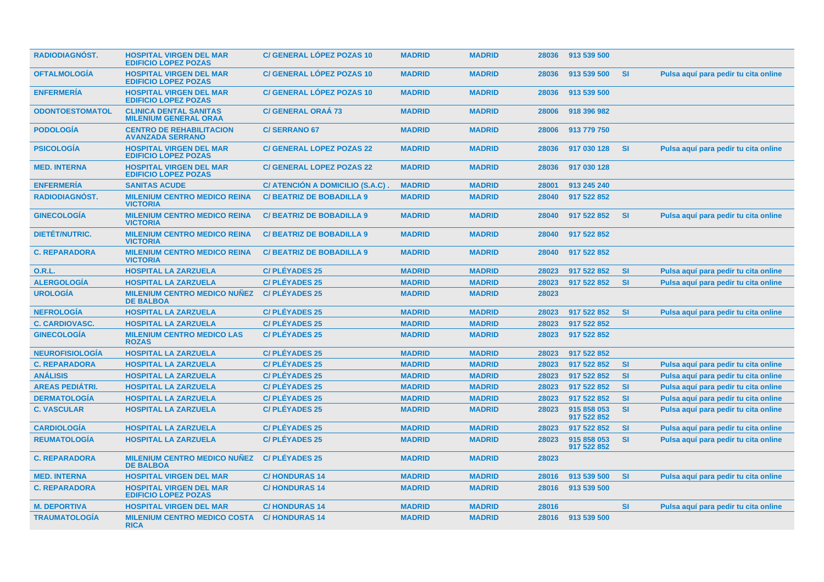| <b>RADIODIAGNÓST.</b>  | <b>HOSPITAL VIRGEN DEL MAR</b><br><b>EDIFICIO LOPEZ POZAS</b> | <b>C/ GENERAL LOPEZ POZAS 10</b> | <b>MADRID</b> | <b>MADRID</b> |       | 28036 913 539 500          |           |                                      |
|------------------------|---------------------------------------------------------------|----------------------------------|---------------|---------------|-------|----------------------------|-----------|--------------------------------------|
| <b>OFTALMOLOGÍA</b>    | <b>HOSPITAL VIRGEN DEL MAR</b><br><b>EDIFICIO LOPEZ POZAS</b> | <b>C/ GENERAL LÓPEZ POZAS 10</b> | <b>MADRID</b> | <b>MADRID</b> | 28036 | 913 539 500                | <b>SI</b> | Pulsa aquí para pedir tu cita online |
| <b>ENFERMERIA</b>      | <b>HOSPITAL VIRGEN DEL MAR</b><br><b>EDIFICIO LOPEZ POZAS</b> | <b>C/ GENERAL LOPEZ POZAS 10</b> | <b>MADRID</b> | <b>MADRID</b> | 28036 | 913 539 500                |           |                                      |
| <b>ODONTOESTOMATOL</b> | <b>CLINICA DENTAL SANITAS</b><br><b>MILENIUM GENERAL ORAA</b> | <b>C/ GENERAL ORAÁ 73</b>        | <b>MADRID</b> | <b>MADRID</b> | 28006 | 918 396 982                |           |                                      |
| <b>PODOLOGIA</b>       | <b>CENTRO DE REHABILITACION</b><br><b>AVANZADA SERRANO</b>    | <b>C/SERRANO 67</b>              | <b>MADRID</b> | <b>MADRID</b> | 28006 | 913 779 750                |           |                                      |
| <b>PSICOLOGÍA</b>      | <b>HOSPITAL VIRGEN DEL MAR</b><br><b>EDIFICIO LOPEZ POZAS</b> | <b>C/ GENERAL LOPEZ POZAS 22</b> | <b>MADRID</b> | <b>MADRID</b> | 28036 | 917 030 128                | <b>SI</b> | Pulsa aquí para pedir tu cita online |
| <b>MED. INTERNA</b>    | <b>HOSPITAL VIRGEN DEL MAR</b><br><b>EDIFICIO LOPEZ POZAS</b> | <b>C/ GENERAL LOPEZ POZAS 22</b> | <b>MADRID</b> | <b>MADRID</b> | 28036 | 917 030 128                |           |                                      |
| <b>ENFERMERÍA</b>      | <b>SANITAS ACUDE</b>                                          | C/ ATENCIÓN A DOMICILIO (S.A.C)  | <b>MADRID</b> | <b>MADRID</b> | 28001 | 913 245 240                |           |                                      |
| <b>RADIODIAGNÓST.</b>  | <b>MILENIUM CENTRO MEDICO REINA</b><br><b>VICTORIA</b>        | <b>C/BEATRIZ DE BOBADILLA 9</b>  | <b>MADRID</b> | <b>MADRID</b> | 28040 | 917 522 852                |           |                                      |
| <b>GINECOLOGÍA</b>     | <b>MILENIUM CENTRO MEDICO REINA</b><br><b>VICTORIA</b>        | <b>C/BEATRIZ DE BOBADILLA 9</b>  | <b>MADRID</b> | <b>MADRID</b> | 28040 | 917 522 852                | <b>SI</b> | Pulsa aquí para pedir tu cita online |
| <b>DIETET/NUTRIC.</b>  | <b>MILENIUM CENTRO MEDICO REINA</b><br><b>VICTORIA</b>        | <b>C/BEATRIZ DE BOBADILLA 9</b>  | <b>MADRID</b> | <b>MADRID</b> | 28040 | 917 522 852                |           |                                      |
| <b>C. REPARADORA</b>   | <b>MILENIUM CENTRO MEDICO REINA</b><br><b>VICTORIA</b>        | <b>C/BEATRIZ DE BOBADILLA 9</b>  | <b>MADRID</b> | <b>MADRID</b> | 28040 | 917 522 852                |           |                                      |
| 0.R.L.                 | <b>HOSPITAL LA ZARZUELA</b>                                   | <b>C/PLÉYADES 25</b>             | <b>MADRID</b> | <b>MADRID</b> | 28023 | 917 522 852                | <b>SI</b> | Pulsa aquí para pedir tu cita online |
| <b>ALERGOLOGÍA</b>     | <b>HOSPITAL LA ZARZUELA</b>                                   | <b>C/PLÉYADES 25</b>             | <b>MADRID</b> | <b>MADRID</b> | 28023 | 917 522 852                | <b>SI</b> | Pulsa aguí para pedir tu cita online |
| <b>UROLOGÍA</b>        | <b>MILENIUM CENTRO MEDICO NUÑEZ</b><br><b>DE BALBOA</b>       | <b>C/PLÉYADES 25</b>             | <b>MADRID</b> | <b>MADRID</b> | 28023 |                            |           |                                      |
| <b>NEFROLOGÍA</b>      | <b>HOSPITAL LA ZARZUELA</b>                                   | <b>C/PLÉYADES 25</b>             | <b>MADRID</b> | <b>MADRID</b> | 28023 | 917 522 852                | <b>SI</b> | Pulsa aquí para pedir tu cita online |
| <b>C. CARDIOVASC.</b>  | <b>HOSPITAL LA ZARZUELA</b>                                   | <b>C/PLÉYADES 25</b>             | <b>MADRID</b> | <b>MADRID</b> | 28023 | 917 522 852                |           |                                      |
| <b>GINECOLOGÍA</b>     | <b>MILENIUM CENTRO MEDICO LAS</b><br><b>ROZAS</b>             | <b>C/PLÉYADES 25</b>             | <b>MADRID</b> | <b>MADRID</b> | 28023 | 917 522 852                |           |                                      |
| <b>NEUROFISIOLOGÍA</b> | <b>HOSPITAL LA ZARZUELA</b>                                   | <b>C/PLÉYADES 25</b>             | <b>MADRID</b> | <b>MADRID</b> | 28023 | 917 522 852                |           |                                      |
| <b>C. REPARADORA</b>   | <b>HOSPITAL LA ZARZUELA</b>                                   | <b>C/PLEYADES 25</b>             | <b>MADRID</b> | <b>MADRID</b> | 28023 | 917 522 852                | <b>SI</b> | Pulsa aquí para pedir tu cita online |
| <b>ANÁLISIS</b>        | <b>HOSPITAL LA ZARZUELA</b>                                   | <b>C/PLÉYADES 25</b>             | <b>MADRID</b> | <b>MADRID</b> | 28023 | 917 522 852                | <b>SI</b> | Pulsa aquí para pedir tu cita online |
| <b>AREAS PEDIÁTRI.</b> | <b>HOSPITAL LA ZARZUELA</b>                                   | <b>C/PLÉYADES 25</b>             | <b>MADRID</b> | <b>MADRID</b> | 28023 | 917 522 852                | <b>SI</b> | Pulsa aquí para pedir tu cita online |
| <b>DERMATOLOGÍA</b>    | <b>HOSPITAL LA ZARZUELA</b>                                   | <b>C/PLÉYADES 25</b>             | <b>MADRID</b> | <b>MADRID</b> | 28023 | 917 522 852                | <b>SI</b> | Pulsa aguí para pedir tu cita online |
| <b>C. VASCULAR</b>     | <b>HOSPITAL LA ZARZUELA</b>                                   | <b>C/PLEYADES 25</b>             | <b>MADRID</b> | <b>MADRID</b> | 28023 | 915 858 053<br>917 522 852 | <b>SI</b> | Pulsa aquí para pedir tu cita online |
| <b>CARDIOLOGÍA</b>     | <b>HOSPITAL LA ZARZUELA</b>                                   | <b>C/PLÉYADES 25</b>             | <b>MADRID</b> | <b>MADRID</b> | 28023 | 917 522 852                | <b>SI</b> | Pulsa aquí para pedir tu cita online |
| <b>REUMATOLOGÍA</b>    | <b>HOSPITAL LA ZARZUELA</b>                                   | <b>C/PLÉYADES 25</b>             | <b>MADRID</b> | <b>MADRID</b> | 28023 | 915 858 053<br>917 522 852 | SI        | Pulsa aquí para pedir tu cita online |
| <b>C. REPARADORA</b>   | <b>MILENIUM CENTRO MEDICO NUÑEZ</b><br><b>DE BALBOA</b>       | <b>C/PLÉYADES 25</b>             | <b>MADRID</b> | <b>MADRID</b> | 28023 |                            |           |                                      |
| <b>MED. INTERNA</b>    | <b>HOSPITAL VIRGEN DEL MAR</b>                                | <b>C/HONDURAS 14</b>             | <b>MADRID</b> | <b>MADRID</b> | 28016 | 913 539 500                | <b>SI</b> | Pulsa aguí para pedir tu cita online |
| <b>C. REPARADORA</b>   | <b>HOSPITAL VIRGEN DEL MAR</b><br><b>EDIFICIO LOPEZ POZAS</b> | <b>C/HONDURAS 14</b>             | <b>MADRID</b> | <b>MADRID</b> | 28016 | 913 539 500                |           |                                      |
| <b>M. DEPORTIVA</b>    | <b>HOSPITAL VIRGEN DEL MAR</b>                                | <b>C/HONDURAS14</b>              | <b>MADRID</b> | <b>MADRID</b> | 28016 |                            | SI        | Pulsa aquí para pedir tu cita online |
| <b>TRAUMATOLOGÍA</b>   | <b>MILENIUM CENTRO MEDICO COSTA</b><br><b>RICA</b>            | <b>C/HONDURAS 14</b>             | <b>MADRID</b> | <b>MADRID</b> | 28016 | 913 539 500                |           |                                      |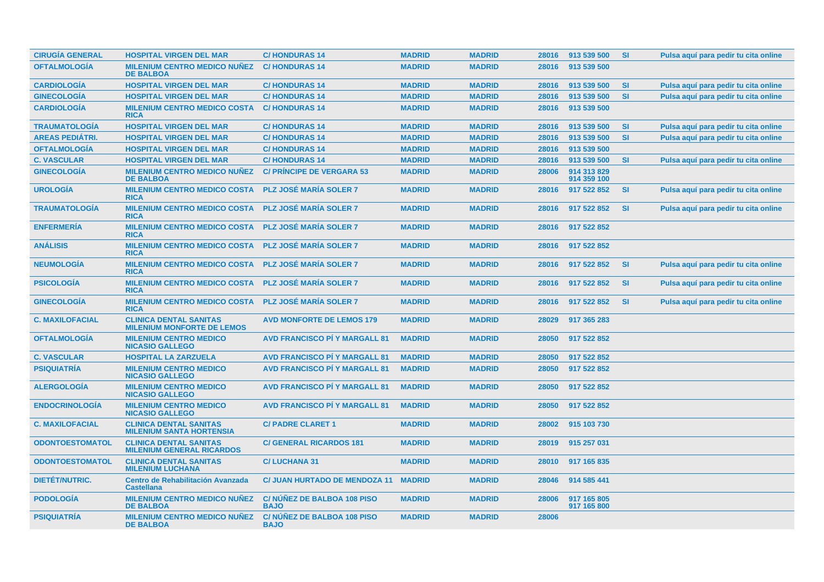| <b>CIRUGÍA GENERAL</b> | <b>HOSPITAL VIRGEN DEL MAR</b>                                     | <b>C/HONDURAS14</b>                              | <b>MADRID</b> | <b>MADRID</b> | 28016 | 913 539 500                | <b>SI</b> | Pulsa aquí para pedir tu cita online |
|------------------------|--------------------------------------------------------------------|--------------------------------------------------|---------------|---------------|-------|----------------------------|-----------|--------------------------------------|
| <b>OFTALMOLOGÍA</b>    | <b>MILENIUM CENTRO MEDICO NUÑEZ</b><br><b>DE BALBOA</b>            | <b>C/HONDURAS 14</b>                             | <b>MADRID</b> | <b>MADRID</b> | 28016 | 913 539 500                |           |                                      |
| <b>CARDIOLOGÍA</b>     | <b>HOSPITAL VIRGEN DEL MAR</b>                                     | <b>C/HONDURAS14</b>                              | <b>MADRID</b> | <b>MADRID</b> | 28016 | 913 539 500                | <b>SI</b> | Pulsa aquí para pedir tu cita online |
| <b>GINECOLOGÍA</b>     | <b>HOSPITAL VIRGEN DEL MAR</b>                                     | <b>C/HONDURAS14</b>                              | <b>MADRID</b> | <b>MADRID</b> | 28016 | 913 539 500                | SI        | Pulsa aquí para pedir tu cita online |
| <b>CARDIOLOGÍA</b>     | <b>MILENIUM CENTRO MEDICO COSTA</b><br><b>RICA</b>                 | <b>C/HONDURAS14</b>                              | <b>MADRID</b> | <b>MADRID</b> | 28016 | 913 539 500                |           |                                      |
| <b>TRAUMATOLOGÍA</b>   | <b>HOSPITAL VIRGEN DEL MAR</b>                                     | <b>C/HONDURAS14</b>                              | <b>MADRID</b> | <b>MADRID</b> | 28016 | 913 539 500                | <b>SI</b> | Pulsa aquí para pedir tu cita online |
| <b>AREAS PEDIÁTRI.</b> | <b>HOSPITAL VIRGEN DEL MAR</b>                                     | <b>C/HONDURAS14</b>                              | <b>MADRID</b> | <b>MADRID</b> | 28016 | 913 539 500                | <b>SI</b> | Pulsa aquí para pedir tu cita online |
| <b>OFTALMOLOGÍA</b>    | <b>HOSPITAL VIRGEN DEL MAR</b>                                     | <b>C/HONDURAS14</b>                              | <b>MADRID</b> | <b>MADRID</b> | 28016 | 913 539 500                |           |                                      |
| <b>C. VASCULAR</b>     | <b>HOSPITAL VIRGEN DEL MAR</b>                                     | <b>C/HONDURAS14</b>                              | <b>MADRID</b> | <b>MADRID</b> | 28016 | 913 539 500                | <b>SI</b> | Pulsa aquí para pedir tu cita online |
| <b>GINECOLOGIA</b>     | <b>MILENIUM CENTRO MEDICO NUÑEZ</b><br><b>DE BALBOA</b>            | <b>C/ PRINCIPE DE VERGARA 53</b>                 | <b>MADRID</b> | <b>MADRID</b> | 28006 | 914 313 829<br>914 359 100 |           |                                      |
| <b>UROLOGÍA</b>        | <b>MILENIUM CENTRO MEDICO COSTA</b><br><b>RICA</b>                 | <b>PLZ JOSÉ MARÍA SOLER 7</b>                    | <b>MADRID</b> | <b>MADRID</b> | 28016 | 917 522 852                | <b>SI</b> | Pulsa aquí para pedir tu cita online |
| <b>TRAUMATOLOGIA</b>   | <b>MILENIUM CENTRO MEDICO COSTA</b><br><b>RICA</b>                 | <b>PLZ JOSÉ MARÍA SOLER 7</b>                    | <b>MADRID</b> | <b>MADRID</b> | 28016 | 917 522 852                | <b>SI</b> | Pulsa aquí para pedir tu cita online |
| <b>ENFERMERÍA</b>      | <b>MILENIUM CENTRO MEDICO COSTA</b><br><b>RICA</b>                 | <b>PLZ JOSÉ MARÍA SOLER 7</b>                    | <b>MADRID</b> | <b>MADRID</b> | 28016 | 917 522 852                |           |                                      |
| <b>ANÁLISIS</b>        | <b>MILENIUM CENTRO MEDICO COSTA</b><br><b>RICA</b>                 | <b>PLZ JOSÉ MARÍA SOLER 7</b>                    | <b>MADRID</b> | <b>MADRID</b> | 28016 | 917 522 852                |           |                                      |
| <b>NEUMOLOGIA</b>      | <b>MILENIUM CENTRO MEDICO COSTA</b><br><b>RICA</b>                 | <b>PLZ JOSÉ MARÍA SOLER 7</b>                    | <b>MADRID</b> | <b>MADRID</b> | 28016 | 917 522 852                | <b>SI</b> | Pulsa aquí para pedir tu cita online |
| <b>PSICOLOGÍA</b>      | <b>MILENIUM CENTRO MEDICO COSTA</b><br><b>RICA</b>                 | <b>PLZ JOSÉ MARÍA SOLER 7</b>                    | <b>MADRID</b> | <b>MADRID</b> | 28016 | 917 522 852                | <b>SI</b> | Pulsa aquí para pedir tu cita online |
| <b>GINECOLOGÍA</b>     | <b>MILENIUM CENTRO MEDICO COSTA</b><br><b>RICA</b>                 | <b>PLZ JOSÉ MARÍA SOLER 7</b>                    | <b>MADRID</b> | <b>MADRID</b> | 28016 | 917 522 852                | <b>SI</b> | Pulsa aquí para pedir tu cita online |
| <b>C. MAXILOFACIAL</b> | <b>CLINICA DENTAL SANITAS</b><br><b>MILENIUM MONFORTE DE LEMOS</b> | <b>AVD MONFORTE DE LEMOS 179</b>                 | <b>MADRID</b> | <b>MADRID</b> | 28029 | 917 365 283                |           |                                      |
| <b>OFTALMOLOGÍA</b>    | <b>MILENIUM CENTRO MEDICO</b><br><b>NICASIO GALLEGO</b>            | <b>AVD FRANCISCO PI Y MARGALL 81</b>             | <b>MADRID</b> | <b>MADRID</b> | 28050 | 917 522 852                |           |                                      |
| <b>C. VASCULAR</b>     | <b>HOSPITAL LA ZARZUELA</b>                                        | <b>AVD FRANCISCO PÍ Y MARGALL 81</b>             | <b>MADRID</b> | <b>MADRID</b> | 28050 | 917 522 852                |           |                                      |
| <b>PSIQUIATRÍA</b>     | <b>MILENIUM CENTRO MEDICO</b><br><b>NICASIO GALLEGO</b>            | <b>AVD FRANCISCO PÍ Y MARGALL 81</b>             | <b>MADRID</b> | <b>MADRID</b> | 28050 | 917 522 852                |           |                                      |
| <b>ALERGOLOGIA</b>     | <b>MILENIUM CENTRO MEDICO</b><br><b>NICASIO GALLEGO</b>            | <b>AVD FRANCISCO PÍ Y MARGALL 81</b>             | <b>MADRID</b> | <b>MADRID</b> | 28050 | 917 522 852                |           |                                      |
| <b>ENDOCRINOLOGIA</b>  | <b>MILENIUM CENTRO MEDICO</b><br><b>NICASIO GALLEGO</b>            | <b>AVD FRANCISCO PÍ Y MARGALL 81</b>             | <b>MADRID</b> | <b>MADRID</b> | 28050 | 917 522 852                |           |                                      |
| <b>C. MAXILOFACIAL</b> | <b>CLINICA DENTAL SANITAS</b><br><b>MILENIUM SANTA HORTENSIA</b>   | <b>C/ PADRE CLARET 1</b>                         | <b>MADRID</b> | <b>MADRID</b> | 28002 | 915 103 730                |           |                                      |
| <b>ODONTOESTOMATOL</b> | <b>CLINICA DENTAL SANITAS</b><br><b>MILENIUM GENERAL RICARDOS</b>  | <b>C/ GENERAL RICARDOS 181</b>                   | <b>MADRID</b> | <b>MADRID</b> | 28019 | 915 257 031                |           |                                      |
| <b>ODONTOESTOMATOL</b> | <b>CLINICA DENTAL SANITAS</b><br><b>MILENIUM LUCHANA</b>           | <b>C/LUCHANA 31</b>                              | <b>MADRID</b> | <b>MADRID</b> | 28010 | 917 165 835                |           |                                      |
| <b>DIETÉT/NUTRIC.</b>  | Centro de Rehabilitación Avanzada<br><b>Castellana</b>             | C/ JUAN HURTADO DE MENDOZA 11 MADRID             |               | <b>MADRID</b> | 28046 | 914 585 441                |           |                                      |
| <b>PODOLOGIA</b>       | <b>MILENIUM CENTRO MEDICO NUÑEZ</b><br><b>DE BALBOA</b>            | <b>C/NUNEZ DE BALBOA 108 PISO</b><br><b>BAJO</b> | <b>MADRID</b> | <b>MADRID</b> | 28006 | 917 165 805<br>917 165 800 |           |                                      |
| <b>PSIQUIATRÍA</b>     | <b>MILENIUM CENTRO MEDICO NUÑEZ</b><br><b>DE BALBOA</b>            | <b>C/NUNEZ DE BALBOA 108 PISO</b><br><b>BAJO</b> | <b>MADRID</b> | <b>MADRID</b> | 28006 |                            |           |                                      |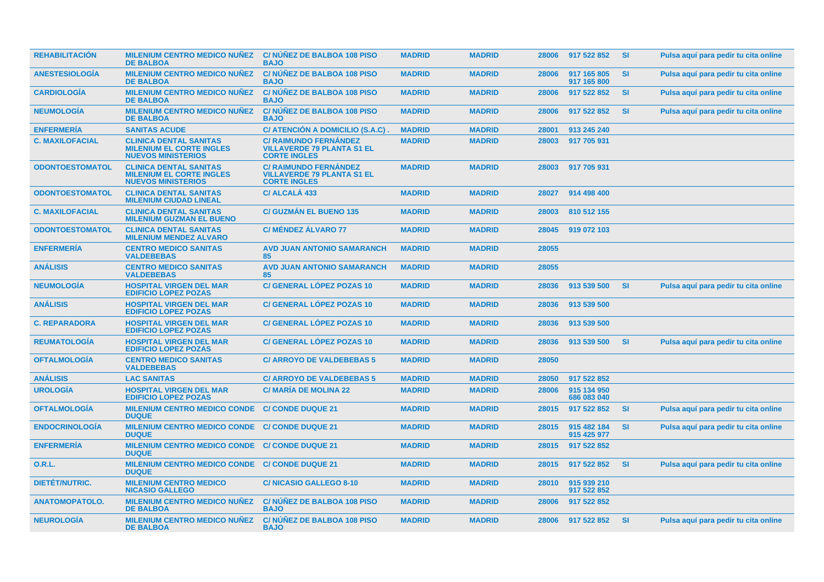| <b>REHABILITACIÓN</b>  | <b>MILENIUM CENTRO MEDICO NUÑEZ</b><br><b>DE BALBOA</b>                                       | <b>C/NUNEZ DE BALBOA 108 PISO</b><br><b>BAJO</b>                                         | <b>MADRID</b> | <b>MADRID</b> | 28006 | 917 522 852                | <b>SI</b> | Pulsa aquí para pedir tu cita online |
|------------------------|-----------------------------------------------------------------------------------------------|------------------------------------------------------------------------------------------|---------------|---------------|-------|----------------------------|-----------|--------------------------------------|
| <b>ANESTESIOLOGIA</b>  | <b>MILENIUM CENTRO MEDICO NUÑEZ</b><br><b>DE BALBOA</b>                                       | <b>C/NUNEZ DE BALBOA 108 PISO</b><br><b>BAJO</b>                                         | <b>MADRID</b> | <b>MADRID</b> | 28006 | 917 165 805<br>917 165 800 | <b>SI</b> | Pulsa aquí para pedir tu cita online |
| <b>CARDIOLOGÍA</b>     | <b>MILENIUM CENTRO MEDICO NUÑEZ</b><br><b>DE BALBOA</b>                                       | C/ NUNEZ DE BALBOA 108 PISO<br><b>BAJO</b>                                               | <b>MADRID</b> | <b>MADRID</b> | 28006 | 917 522 852                | <b>SI</b> | Pulsa aquí para pedir tu cita online |
| <b>NEUMOLOGÍA</b>      | <b>MILENIUM CENTRO MEDICO NUÑEZ</b><br><b>DE BALBOA</b>                                       | C/ NÚÑEZ DE BALBOA 108 PISO<br><b>BAJO</b>                                               | <b>MADRID</b> | <b>MADRID</b> | 28006 | 917 522 852                | <b>SI</b> | Pulsa aquí para pedir tu cita online |
| <b>ENFERMERÍA</b>      | <b>SANITAS ACUDE</b>                                                                          | C/ ATENCIÓN A DOMICILIO (S.A.C)                                                          | <b>MADRID</b> | <b>MADRID</b> | 28001 | 913 245 240                |           |                                      |
| <b>C. MAXILOFACIAL</b> | <b>CLINICA DENTAL SANITAS</b><br><b>MILENIUM EL CORTE INGLES</b><br><b>NUEVOS MINISTERIOS</b> | C/ RAIMUNDO FERNÁNDEZ<br><b>VILLAVERDE 79 PLANTA S1 EL</b><br><b>CORTE INGLES</b>        | <b>MADRID</b> | <b>MADRID</b> | 28003 | 917 705 931                |           |                                      |
| <b>ODONTOESTOMATOL</b> | <b>CLINICA DENTAL SANITAS</b><br><b>MILENIUM EL CORTE INGLES</b><br><b>NUEVOS MINISTERIOS</b> | <b>C/ RAIMUNDO FERNÁNDEZ</b><br><b>VILLAVERDE 79 PLANTA S1 EL</b><br><b>CORTE INGLES</b> | <b>MADRID</b> | <b>MADRID</b> | 28003 | 917 705 931                |           |                                      |
| <b>ODONTOESTOMATOL</b> | <b>CLINICA DENTAL SANITAS</b><br><b>MILENIUM CIUDAD LINEAL</b>                                | C/ ALCALÁ 433                                                                            | <b>MADRID</b> | <b>MADRID</b> | 28027 | 914 498 400                |           |                                      |
| <b>C. MAXILOFACIAL</b> | <b>CLINICA DENTAL SANITAS</b><br><b>MILENIUM GUZMAN EL BUENO</b>                              | <b>C/ GUZMÁN EL BUENO 135</b>                                                            | <b>MADRID</b> | <b>MADRID</b> | 28003 | 810 512 155                |           |                                      |
| <b>ODONTOESTOMATOL</b> | <b>CLINICA DENTAL SANITAS</b><br><b>MILENIUM MENDEZ ALVARO</b>                                | <b>C/ MÉNDEZ ÁLVARO 77</b>                                                               | <b>MADRID</b> | <b>MADRID</b> | 28045 | 919 072 103                |           |                                      |
| <b>ENFERMERIA</b>      | <b>CENTRO MEDICO SANITAS</b><br><b>VALDEBEBAS</b>                                             | <b>AVD JUAN ANTONIO SAMARANCH</b><br>85                                                  | <b>MADRID</b> | <b>MADRID</b> | 28055 |                            |           |                                      |
| <b>ANÁLISIS</b>        | <b>CENTRO MEDICO SANITAS</b><br><b>VALDEBEBAS</b>                                             | <b>AVD JUAN ANTONIO SAMARANCH</b><br>85                                                  | <b>MADRID</b> | <b>MADRID</b> | 28055 |                            |           |                                      |
| <b>NEUMOLOGÍA</b>      | <b>HOSPITAL VIRGEN DEL MAR</b><br><b>EDIFICIO LOPEZ POZAS</b>                                 | <b>C/ GENERAL LÓPEZ POZAS 10</b>                                                         | <b>MADRID</b> | <b>MADRID</b> | 28036 | 913 539 500                | <b>SI</b> | Pulsa aquí para pedir tu cita online |
| <b>ANÁLISIS</b>        | <b>HOSPITAL VIRGEN DEL MAR</b><br><b>EDIFICIO LOPEZ POZAS</b>                                 | <b>C/ GENERAL LÓPEZ POZAS 10</b>                                                         | <b>MADRID</b> | <b>MADRID</b> | 28036 | 913 539 500                |           |                                      |
| <b>C. REPARADORA</b>   | <b>HOSPITAL VIRGEN DEL MAR</b><br><b>EDIFICIO LOPEZ POZAS</b>                                 | <b>C/ GENERAL LÓPEZ POZAS 10</b>                                                         | <b>MADRID</b> | <b>MADRID</b> | 28036 | 913 539 500                |           |                                      |
| <b>REUMATOLOGIA</b>    | <b>HOSPITAL VIRGEN DEL MAR</b><br><b>EDIFICIO LOPEZ POZAS</b>                                 | <b>C/ GENERAL LÓPEZ POZAS 10</b>                                                         | <b>MADRID</b> | <b>MADRID</b> | 28036 | 913 539 500                | <b>SI</b> | Pulsa aquí para pedir tu cita online |
| <b>OFTALMOLOGÍA</b>    | <b>CENTRO MEDICO SANITAS</b><br><b>VALDEBEBAS</b>                                             | <b>C/ ARROYO DE VALDEBEBAS 5</b>                                                         | <b>MADRID</b> | <b>MADRID</b> | 28050 |                            |           |                                      |
| <b>ANÁLISIS</b>        | <b>LAC SANITAS</b>                                                                            | <b>C/ ARROYO DE VALDEBEBAS 5</b>                                                         | <b>MADRID</b> | <b>MADRID</b> | 28050 | 917 522 852                |           |                                      |
| <b>UROLOGÍA</b>        | <b>HOSPITAL VIRGEN DEL MAR</b><br><b>EDIFICIO LOPEZ POZAS</b>                                 | <b>C/ MARÍA DE MOLINA 22</b>                                                             | <b>MADRID</b> | <b>MADRID</b> | 28006 | 915 134 950<br>686 083 040 |           |                                      |
| <b>OFTALMOLOGIA</b>    | <b>MILENIUM CENTRO MEDICO CONDE</b><br><b>DUQUE</b>                                           | <b>C/ CONDE DUQUE 21</b>                                                                 | <b>MADRID</b> | <b>MADRID</b> | 28015 | 917 522 852                | <b>SI</b> | Pulsa aquí para pedir tu cita online |
| <b>ENDOCRINOLOGIA</b>  | <b>MILENIUM CENTRO MEDICO CONDE</b><br><b>DUQUE</b>                                           | <b>C/ CONDE DUQUE 21</b>                                                                 | <b>MADRID</b> | <b>MADRID</b> | 28015 | 915 482 184<br>915 425 977 | SI        | Pulsa aquí para pedir tu cita online |
| <b>ENFERMERIA</b>      | <b>MILENIUM CENTRO MEDICO CONDE C/ CONDE DUQUE 21</b><br><b>DUQUE</b>                         |                                                                                          | <b>MADRID</b> | <b>MADRID</b> | 28015 | 917 522 852                |           |                                      |
| <b>O.R.L.</b>          | MILENIUM CENTRO MEDICO CONDE C/ CONDE DUQUE 21<br><b>DUQUE</b>                                |                                                                                          | <b>MADRID</b> | <b>MADRID</b> | 28015 | 917 522 852                | <b>SI</b> | Pulsa aquí para pedir tu cita online |
| <b>DIETÉT/NUTRIC.</b>  | <b>MILENIUM CENTRO MEDICO</b><br><b>NICASIO GALLEGO</b>                                       | <b>C/NICASIO GALLEGO 8-10</b>                                                            | <b>MADRID</b> | <b>MADRID</b> | 28010 | 915 939 210<br>917 522 852 |           |                                      |
| <b>ANATOMOPATOLO.</b>  | <b>MILENIUM CENTRO MEDICO NUÑEZ</b><br><b>DE BALBOA</b>                                       | C/ NUNEZ DE BALBOA 108 PISO<br><b>BAJO</b>                                               | <b>MADRID</b> | <b>MADRID</b> | 28006 | 917 522 852                |           |                                      |
| <b>NEUROLOGIA</b>      | <b>MILENIUM CENTRO MEDICO NUÑEZ</b><br><b>DE BALBOA</b>                                       | <b>C/NUNEZ DE BALBOA 108 PISO</b><br><b>BAJO</b>                                         | <b>MADRID</b> | <b>MADRID</b> |       | 28006 917 522 852          | -SI.      | Pulsa aguí para pedir tu cita online |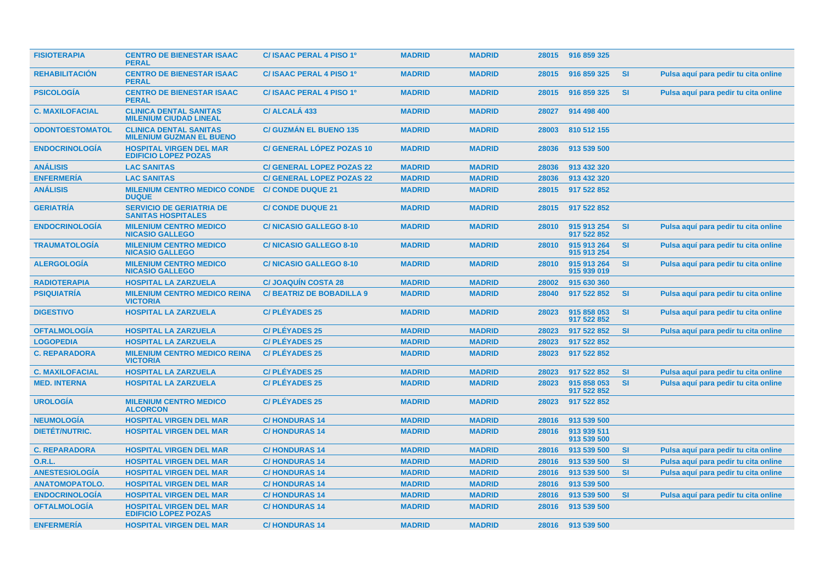| <b>FISIOTERAPIA</b>    | <b>CENTRO DE BIENESTAR ISAAC</b><br><b>PERAL</b>                 | C/ ISAAC PERAL 4 PISO 1º         | <b>MADRID</b> | <b>MADRID</b> |       | 28015 916 859 325          |           |                                      |
|------------------------|------------------------------------------------------------------|----------------------------------|---------------|---------------|-------|----------------------------|-----------|--------------------------------------|
| <b>REHABILITACION</b>  | <b>CENTRO DE BIENESTAR ISAAC</b><br><b>PERAL</b>                 | C/ISAAC PERAL 4 PISO 1º          | <b>MADRID</b> | <b>MADRID</b> | 28015 | 916 859 325                | <b>SI</b> | Pulsa aquí para pedir tu cita online |
| <b>PSICOLOGIA</b>      | <b>CENTRO DE BIENESTAR ISAAC</b><br><b>PERAL</b>                 | C/ISAAC PERAL 4 PISO 1º          | <b>MADRID</b> | <b>MADRID</b> | 28015 | 916 859 325                | <b>SI</b> | Pulsa aquí para pedir tu cita online |
| <b>C. MAXILOFACIAL</b> | <b>CLINICA DENTAL SANITAS</b><br><b>MILENIUM CIUDAD LINEAL</b>   | C/ ALCALÁ 433                    | <b>MADRID</b> | <b>MADRID</b> | 28027 | 914 498 400                |           |                                      |
| <b>ODONTOESTOMATOL</b> | <b>CLINICA DENTAL SANITAS</b><br><b>MILENIUM GUZMAN EL BUENO</b> | <b>C/ GUZMAN EL BUENO 135</b>    | <b>MADRID</b> | <b>MADRID</b> | 28003 | 810 512 155                |           |                                      |
| <b>ENDOCRINOLOGÍA</b>  | <b>HOSPITAL VIRGEN DEL MAR</b><br><b>EDIFICIO LOPEZ POZAS</b>    | <b>C/ GENERAL LÓPEZ POZAS 10</b> | <b>MADRID</b> | <b>MADRID</b> | 28036 | 913 539 500                |           |                                      |
| <b>ANÁLISIS</b>        | <b>LAC SANITAS</b>                                               | <b>C/ GENERAL LOPEZ POZAS 22</b> | <b>MADRID</b> | <b>MADRID</b> | 28036 | 913 432 320                |           |                                      |
| <b>ENFERMERÍA</b>      | <b>LAC SANITAS</b>                                               | <b>C/ GENERAL LOPEZ POZAS 22</b> | <b>MADRID</b> | <b>MADRID</b> | 28036 | 913 432 320                |           |                                      |
| <b>ANÁLISIS</b>        | <b>MILENIUM CENTRO MEDICO CONDE</b><br><b>DUQUE</b>              | <b>C/ CONDE DUQUE 21</b>         | <b>MADRID</b> | <b>MADRID</b> | 28015 | 917 522 852                |           |                                      |
| <b>GERIATRIA</b>       | <b>SERVICIO DE GERIATRIA DE</b><br><b>SANITAS HOSPITALES</b>     | <b>C/ CONDE DUQUE 21</b>         | <b>MADRID</b> | <b>MADRID</b> | 28015 | 917 522 852                |           |                                      |
| <b>ENDOCRINOLOGÍA</b>  | <b>MILENIUM CENTRO MEDICO</b><br><b>NICASIO GALLEGO</b>          | <b>C/NICASIO GALLEGO 8-10</b>    | <b>MADRID</b> | <b>MADRID</b> | 28010 | 915 913 254<br>917 522 852 | SI        | Pulsa aquí para pedir tu cita online |
| <b>TRAUMATOLOGÍA</b>   | <b>MILENIUM CENTRO MEDICO</b><br><b>NICASIO GALLEGO</b>          | <b>C/NICASIO GALLEGO 8-10</b>    | <b>MADRID</b> | <b>MADRID</b> | 28010 | 915 913 264<br>915 913 254 | <b>SI</b> | Pulsa aquí para pedir tu cita online |
| <b>ALERGOLOGÍA</b>     | <b>MILENIUM CENTRO MEDICO</b><br><b>NICASIO GALLEGO</b>          | <b>C/NICASIO GALLEGO 8-10</b>    | <b>MADRID</b> | <b>MADRID</b> | 28010 | 915 913 264<br>915 939 019 | <b>SI</b> | Pulsa aquí para pedir tu cita online |
| <b>RADIOTERAPIA</b>    | <b>HOSPITAL LA ZARZUELA</b>                                      | <b>C/JOAQUIN COSTA 28</b>        | <b>MADRID</b> | <b>MADRID</b> | 28002 | 915 630 360                |           |                                      |
| <b>PSIQUIATRIA</b>     | <b>MILENIUM CENTRO MEDICO REINA</b><br><b>VICTORIA</b>           | <b>C/BEATRIZ DE BOBADILLA 9</b>  | <b>MADRID</b> | <b>MADRID</b> | 28040 | 917 522 852                | <b>SI</b> | Pulsa aquí para pedir tu cita online |
| <b>DIGESTIVO</b>       | <b>HOSPITAL LA ZARZUELA</b>                                      | <b>C/PLEYADES 25</b>             | <b>MADRID</b> | <b>MADRID</b> | 28023 | 915 858 053<br>917 522 852 | SI        | Pulsa aquí para pedir tu cita online |
| <b>OFTALMOLOGÍA</b>    | <b>HOSPITAL LA ZARZUELA</b>                                      | <b>C/PLÉYADES 25</b>             | <b>MADRID</b> | <b>MADRID</b> | 28023 | 917 522 852                | <b>SI</b> | Pulsa aquí para pedir tu cita online |
| <b>LOGOPEDIA</b>       | <b>HOSPITAL LA ZARZUELA</b>                                      | <b>C/PLÉYADES 25</b>             | <b>MADRID</b> | <b>MADRID</b> | 28023 | 917 522 852                |           |                                      |
| <b>C. REPARADORA</b>   | <b>MILENIUM CENTRO MEDICO REINA</b><br><b>VICTORIA</b>           | <b>C/PLÉYADES 25</b>             | <b>MADRID</b> | <b>MADRID</b> | 28023 | 917 522 852                |           |                                      |
| <b>C. MAXILOFACIAL</b> | <b>HOSPITAL LA ZARZUELA</b>                                      | <b>C/PLÉYADES 25</b>             | <b>MADRID</b> | <b>MADRID</b> | 28023 | 917 522 852                | <b>SI</b> | Pulsa aquí para pedir tu cita online |
| <b>MED. INTERNA</b>    | <b>HOSPITAL LA ZARZUELA</b>                                      | <b>C/PLÉYADES 25</b>             | <b>MADRID</b> | <b>MADRID</b> | 28023 | 915 858 053<br>917 522 852 | <b>SI</b> | Pulsa aquí para pedir tu cita online |
| <b>UROLOGIA</b>        | <b>MILENIUM CENTRO MEDICO</b><br><b>ALCORCON</b>                 | <b>C/PLÉYADES 25</b>             | <b>MADRID</b> | <b>MADRID</b> | 28023 | 917 522 852                |           |                                      |
| <b>NEUMOLOGÍA</b>      | <b>HOSPITAL VIRGEN DEL MAR</b>                                   | <b>C/HONDURAS14</b>              | <b>MADRID</b> | <b>MADRID</b> | 28016 | 913 539 500                |           |                                      |
| <b>DIETÉT/NUTRIC.</b>  | <b>HOSPITAL VIRGEN DEL MAR</b>                                   | <b>C/HONDURAS14</b>              | <b>MADRID</b> | <b>MADRID</b> | 28016 | 913 939 511<br>913 539 500 |           |                                      |
| <b>C. REPARADORA</b>   | <b>HOSPITAL VIRGEN DEL MAR</b>                                   | <b>C/HONDURAS14</b>              | <b>MADRID</b> | <b>MADRID</b> | 28016 | 913 539 500                | <b>SI</b> | Pulsa aquí para pedir tu cita online |
| <b>O.R.L.</b>          | <b>HOSPITAL VIRGEN DEL MAR</b>                                   | <b>C/HONDURAS14</b>              | <b>MADRID</b> | <b>MADRID</b> | 28016 | 913 539 500                | <b>SI</b> | Pulsa aquí para pedir tu cita online |
| <b>ANESTESIOLOGÍA</b>  | <b>HOSPITAL VIRGEN DEL MAR</b>                                   | <b>C/HONDURAS14</b>              | <b>MADRID</b> | <b>MADRID</b> | 28016 | 913 539 500                | <b>SI</b> | Pulsa aquí para pedir tu cita online |
| <b>ANATOMOPATOLO.</b>  | <b>HOSPITAL VIRGEN DEL MAR</b>                                   | <b>C/HONDURAS14</b>              | <b>MADRID</b> | <b>MADRID</b> | 28016 | 913 539 500                |           |                                      |
| <b>ENDOCRINOLOGIA</b>  | <b>HOSPITAL VIRGEN DEL MAR</b>                                   | <b>C/HONDURAS14</b>              | <b>MADRID</b> | <b>MADRID</b> | 28016 | 913 539 500                | <b>SI</b> | Pulsa aquí para pedir tu cita online |
| <b>OFTALMOLOGÍA</b>    | <b>HOSPITAL VIRGEN DEL MAR</b><br><b>EDIFICIO LOPEZ POZAS</b>    | <b>C/HONDURAS 14</b>             | <b>MADRID</b> | <b>MADRID</b> | 28016 | 913 539 500                |           |                                      |
| <b>ENFERMERIA</b>      | <b>HOSPITAL VIRGEN DEL MAR</b>                                   | <b>C/HONDURAS 14</b>             | <b>MADRID</b> | <b>MADRID</b> | 28016 | 913 539 500                |           |                                      |
|                        |                                                                  |                                  |               |               |       |                            |           |                                      |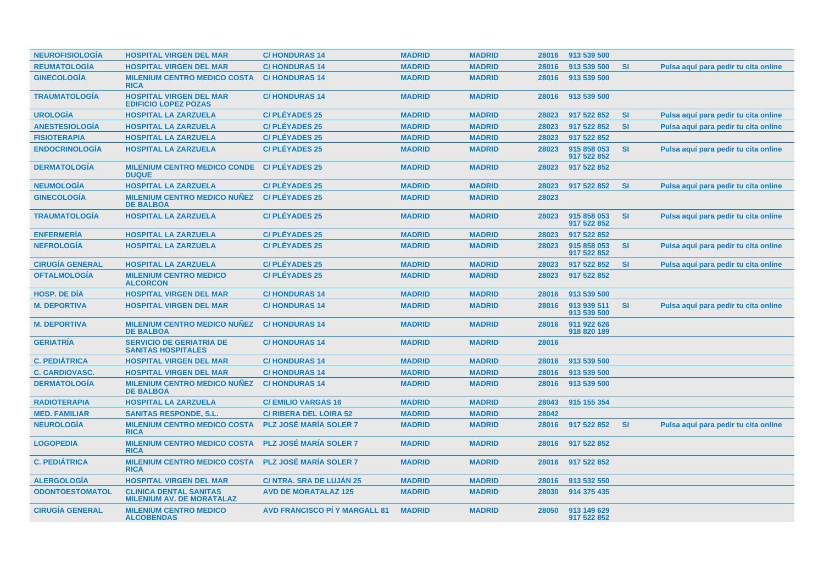| <b>NEUROFISIOLOGÍA</b> | <b>HOSPITAL VIRGEN DEL MAR</b>                                    | <b>C/HONDURAS14</b>                  | <b>MADRID</b> | <b>MADRID</b> | 28016 | 913 539 500                |           |                                      |
|------------------------|-------------------------------------------------------------------|--------------------------------------|---------------|---------------|-------|----------------------------|-----------|--------------------------------------|
| <b>REUMATOLOGÍA</b>    | <b>HOSPITAL VIRGEN DEL MAR</b>                                    | <b>C/HONDURAS14</b>                  | <b>MADRID</b> | <b>MADRID</b> | 28016 | 913 539 500                | <b>SI</b> | Pulsa aquí para pedir tu cita online |
| <b>GINECOLOGÍA</b>     | <b>MILENIUM CENTRO MEDICO COSTA</b><br><b>RICA</b>                | <b>C/HONDURAS14</b>                  | <b>MADRID</b> | <b>MADRID</b> | 28016 | 913 539 500                |           |                                      |
| <b>TRAUMATOLOGIA</b>   | <b>HOSPITAL VIRGEN DEL MAR</b><br><b>EDIFICIO LOPEZ POZAS</b>     | <b>C/HONDURAS14</b>                  | <b>MADRID</b> | <b>MADRID</b> | 28016 | 913 539 500                |           |                                      |
| <b>UROLOGÍA</b>        | <b>HOSPITAL LA ZARZUELA</b>                                       | <b>C/PLÉYADES 25</b>                 | <b>MADRID</b> | <b>MADRID</b> | 28023 | 917 522 852                | <b>SI</b> | Pulsa aguí para pedir tu cita online |
| <b>ANESTESIOLOGÍA</b>  | <b>HOSPITAL LA ZARZUELA</b>                                       | <b>C/PLÉYADES 25</b>                 | <b>MADRID</b> | <b>MADRID</b> | 28023 | 917 522 852                | <b>SI</b> | Pulsa aquí para pedir tu cita online |
| <b>FISIOTERAPIA</b>    | <b>HOSPITAL LA ZARZUELA</b>                                       | <b>C/PLEYADES 25</b>                 | <b>MADRID</b> | <b>MADRID</b> | 28023 | 917 522 852                |           |                                      |
| <b>ENDOCRINOLOGÍA</b>  | <b>HOSPITAL LA ZARZUELA</b>                                       | <b>C/PLÉYADES 25</b>                 | <b>MADRID</b> | <b>MADRID</b> | 28023 | 915 858 053<br>917 522 852 | SI        | Pulsa aquí para pedir tu cita online |
| <b>DERMATOLOGÍA</b>    | <b>MILENIUM CENTRO MEDICO CONDE</b><br><b>DUQUE</b>               | <b>C/PLÉYADES 25</b>                 | <b>MADRID</b> | <b>MADRID</b> | 28023 | 917 522 852                |           |                                      |
| <b>NEUMOLOGÍA</b>      | <b>HOSPITAL LA ZARZUELA</b>                                       | <b>C/PLÉYADES 25</b>                 | <b>MADRID</b> | <b>MADRID</b> | 28023 | 917 522 852                | <b>SI</b> | Pulsa aguí para pedir tu cita online |
| <b>GINECOLOGÍA</b>     | <b>MILENIUM CENTRO MEDICO NUÑEZ</b><br><b>DE BALBOA</b>           | <b>C/PLÉYADES 25</b>                 | <b>MADRID</b> | <b>MADRID</b> | 28023 |                            |           |                                      |
| <b>TRAUMATOLOGÍA</b>   | <b>HOSPITAL LA ZARZUELA</b>                                       | <b>C/PLÉYADES 25</b>                 | <b>MADRID</b> | <b>MADRID</b> | 28023 | 915 858 053<br>917 522 852 | <b>SI</b> | Pulsa aquí para pedir tu cita online |
| <b>ENFERMERIA</b>      | <b>HOSPITAL LA ZARZUELA</b>                                       | <b>C/PLÉYADES 25</b>                 | <b>MADRID</b> | <b>MADRID</b> | 28023 | 917 522 852                |           |                                      |
| <b>NEFROLOGIA</b>      | <b>HOSPITAL LA ZARZUELA</b>                                       | <b>C/PLEYADES 25</b>                 | <b>MADRID</b> | <b>MADRID</b> | 28023 | 915 858 053<br>917 522 852 | <b>SI</b> | Pulsa aquí para pedir tu cita online |
| <b>CIRUGÍA GENERAL</b> | <b>HOSPITAL LA ZARZUELA</b>                                       | <b>C/PLÉYADES 25</b>                 | <b>MADRID</b> | <b>MADRID</b> | 28023 | 917 522 852                | <b>SI</b> | Pulsa aquí para pedir tu cita online |
| <b>OFTALMOLOGÍA</b>    | <b>MILENIUM CENTRO MEDICO</b><br><b>ALCORCON</b>                  | <b>C/PLÉYADES 25</b>                 | <b>MADRID</b> | <b>MADRID</b> | 28023 | 917 522 852                |           |                                      |
| <b>HOSP, DE DIA</b>    | <b>HOSPITAL VIRGEN DEL MAR</b>                                    | <b>C/HONDURAS14</b>                  | <b>MADRID</b> | <b>MADRID</b> | 28016 | 913 539 500                |           |                                      |
| <b>M. DEPORTIVA</b>    | <b>HOSPITAL VIRGEN DEL MAR</b>                                    | <b>C/HONDURAS14</b>                  | <b>MADRID</b> | <b>MADRID</b> | 28016 | 913 939 511<br>913 539 500 | SI        | Pulsa aquí para pedir tu cita online |
| <b>M. DEPORTIVA</b>    | <b>MILENIUM CENTRO MEDICO NUÑEZ</b><br><b>DE BALBOA</b>           | <b>C/HONDURAS 14</b>                 | <b>MADRID</b> | <b>MADRID</b> | 28016 | 911 922 626<br>918 820 189 |           |                                      |
| <b>GERIATRÍA</b>       | <b>SERVICIO DE GERIATRIA DE</b><br><b>SANITAS HOSPITALES</b>      | <b>C/HONDURAS 14</b>                 | <b>MADRID</b> | <b>MADRID</b> | 28016 |                            |           |                                      |
| <b>C. PEDIÁTRICA</b>   | <b>HOSPITAL VIRGEN DEL MAR</b>                                    | <b>C/HONDURAS14</b>                  | <b>MADRID</b> | <b>MADRID</b> | 28016 | 913 539 500                |           |                                      |
| <b>C. CARDIOVASC.</b>  | <b>HOSPITAL VIRGEN DEL MAR</b>                                    | <b>C/HONDURAS14</b>                  | <b>MADRID</b> | <b>MADRID</b> | 28016 | 913 539 500                |           |                                      |
| <b>DERMATOLOGÍA</b>    | <b>MILENIUM CENTRO MEDICO NUÑEZ</b><br><b>DE BALBOA</b>           | <b>C/HONDURAS 14</b>                 | <b>MADRID</b> | <b>MADRID</b> | 28016 | 913 539 500                |           |                                      |
| <b>RADIOTERAPIA</b>    | <b>HOSPITAL LA ZARZUELA</b>                                       | <b>C/EMILIO VARGAS 16</b>            | <b>MADRID</b> | <b>MADRID</b> | 28043 | 915 155 354                |           |                                      |
| <b>MED. FAMILIAR</b>   | <b>SANITAS RESPONDE, S.L.</b>                                     | <b>C/ RIBERA DEL LOIRA 52</b>        | <b>MADRID</b> | <b>MADRID</b> | 28042 |                            |           |                                      |
| <b>NEUROLOGÍA</b>      | <b>MILENIUM CENTRO MEDICO COSTA</b><br><b>RICA</b>                | <b>PLZ JOSÉ MARÍA SOLER 7</b>        | <b>MADRID</b> | <b>MADRID</b> | 28016 | 917 522 852                | <b>SI</b> | Pulsa aquí para pedir tu cita online |
| <b>LOGOPEDIA</b>       | <b>MILENIUM CENTRO MEDICO COSTA</b><br><b>RICA</b>                | <b>PLZ JOSÉ MARÍA SOLER 7</b>        | <b>MADRID</b> | <b>MADRID</b> | 28016 | 917 522 852                |           |                                      |
| <b>C. PEDIÁTRICA</b>   | <b>MILENIUM CENTRO MEDICO COSTA</b><br><b>RICA</b>                | <b>PLZ JOSÉ MARÍA SOLER 7</b>        | <b>MADRID</b> | <b>MADRID</b> | 28016 | 917 522 852                |           |                                      |
| <b>ALERGOLOGÍA</b>     | <b>HOSPITAL VIRGEN DEL MAR</b>                                    | C/ NTRA. SRA DE LUJÁN 25             | <b>MADRID</b> | <b>MADRID</b> | 28016 | 913 532 550                |           |                                      |
| <b>ODONTOESTOMATOL</b> | <b>CLINICA DENTAL SANITAS</b><br><b>MILENIUM AV. DE MORATALAZ</b> | <b>AVD DE MORATALAZ 125</b>          | <b>MADRID</b> | <b>MADRID</b> | 28030 | 914 375 435                |           |                                      |
| <b>CIRUGÍA GENERAL</b> | <b>MILENIUM CENTRO MEDICO</b><br><b>ALCOBENDAS</b>                | <b>AVD FRANCISCO PI Y MARGALL 81</b> | <b>MADRID</b> | <b>MADRID</b> | 28050 | 913 149 629<br>917 522 852 |           |                                      |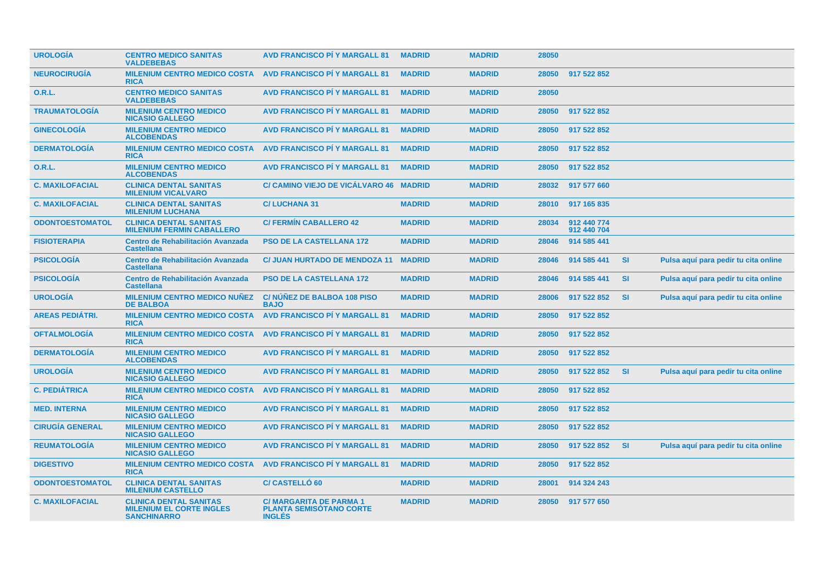| <b>UROLOGÍA</b>        | <b>CENTRO MEDICO SANITAS</b><br><b>VALDEBEBAS</b>                                      | <b>AVD FRANCISCO PI Y MARGALL 81</b>                                       | <b>MADRID</b> | <b>MADRID</b> | 28050 |                            |           |                                      |
|------------------------|----------------------------------------------------------------------------------------|----------------------------------------------------------------------------|---------------|---------------|-------|----------------------------|-----------|--------------------------------------|
| <b>NEUROCIRUGÍA</b>    | <b>MILENIUM CENTRO MEDICO COSTA</b><br><b>RICA</b>                                     | <b>AVD FRANCISCO PÍ Y MARGALL 81</b>                                       | <b>MADRID</b> | <b>MADRID</b> | 28050 | 917 522 852                |           |                                      |
| 0.R.L.                 | <b>CENTRO MEDICO SANITAS</b><br><b>VALDEBEBAS</b>                                      | <b>AVD FRANCISCO PÍ Y MARGALL 81</b>                                       | <b>MADRID</b> | <b>MADRID</b> | 28050 |                            |           |                                      |
| <b>TRAUMATOLOGÍA</b>   | <b>MILENIUM CENTRO MEDICO</b><br><b>NICASIO GALLEGO</b>                                | <b>AVD FRANCISCO PÍ Y MARGALL 81</b>                                       | <b>MADRID</b> | <b>MADRID</b> | 28050 | 917 522 852                |           |                                      |
| <b>GINECOLOGÍA</b>     | <b>MILENIUM CENTRO MEDICO</b><br><b>ALCOBENDAS</b>                                     | <b>AVD FRANCISCO PÍ Y MARGALL 81</b>                                       | <b>MADRID</b> | <b>MADRID</b> | 28050 | 917 522 852                |           |                                      |
| <b>DERMATOLOGÍA</b>    | <b>MILENIUM CENTRO MEDICO COSTA</b><br><b>RICA</b>                                     | <b>AVD FRANCISCO PÍ Y MARGALL 81</b>                                       | <b>MADRID</b> | <b>MADRID</b> | 28050 | 917 522 852                |           |                                      |
| 0.R.L.                 | <b>MILENIUM CENTRO MEDICO</b><br><b>ALCOBENDAS</b>                                     | <b>AVD FRANCISCO PÍ Y MARGALL 81</b>                                       | <b>MADRID</b> | <b>MADRID</b> | 28050 | 917 522 852                |           |                                      |
| <b>C. MAXILOFACIAL</b> | <b>CLINICA DENTAL SANITAS</b><br><b>MILENIUM VICALVARO</b>                             | C/ CAMINO VIEJO DE VICÁLVARO 46 MADRID                                     |               | <b>MADRID</b> | 28032 | 917 577 660                |           |                                      |
| <b>C. MAXILOFACIAL</b> | <b>CLINICA DENTAL SANITAS</b><br><b>MILENIUM LUCHANA</b>                               | <b>C/LUCHANA 31</b>                                                        | <b>MADRID</b> | <b>MADRID</b> | 28010 | 917 165 835                |           |                                      |
| <b>ODONTOESTOMATOL</b> | <b>CLINICA DENTAL SANITAS</b><br><b>MILENIUM FERMIN CABALLERO</b>                      | <b>C/ FERMIN CABALLERO 42</b>                                              | <b>MADRID</b> | <b>MADRID</b> | 28034 | 912 440 774<br>912 440 704 |           |                                      |
| <b>FISIOTERAPIA</b>    | <b>Centro de Rehabilitación Avanzada</b><br><b>Castellana</b>                          | <b>PSO DE LA CASTELLANA 172</b>                                            | <b>MADRID</b> | <b>MADRID</b> | 28046 | 914 585 441                |           |                                      |
| <b>PSICOLOGÍA</b>      | Centro de Rehabilitación Avanzada<br><b>Castellana</b>                                 | <b>C/ JUAN HURTADO DE MENDOZA 11</b>                                       | <b>MADRID</b> | <b>MADRID</b> | 28046 | 914 585 441                | <b>SI</b> | Pulsa aquí para pedir tu cita online |
| <b>PSICOLOGÍA</b>      | Centro de Rehabilitación Avanzada<br><b>Castellana</b>                                 | <b>PSO DE LA CASTELLANA 172</b>                                            | <b>MADRID</b> | <b>MADRID</b> | 28046 | 914 585 441                | <b>SI</b> | Pulsa aquí para pedir tu cita online |
| <b>UROLOGÍA</b>        | <b>MILENIUM CENTRO MEDICO NUNEZ</b><br><b>DE BALBOA</b>                                | C/NUNEZ DE BALBOA 108 PISO<br><b>BAJO</b>                                  | <b>MADRID</b> | <b>MADRID</b> | 28006 | 917 522 852                | <b>SI</b> | Pulsa aquí para pedir tu cita online |
| <b>AREAS PEDIÁTRI.</b> | <b>MILENIUM CENTRO MEDICO COSTA</b><br><b>RICA</b>                                     | <b>AVD FRANCISCO PÍ Y MARGALL 81</b>                                       | <b>MADRID</b> | <b>MADRID</b> | 28050 | 917 522 852                |           |                                      |
| <b>OFTALMOLOGÍA</b>    | <b>MILENIUM CENTRO MEDICO COSTA</b><br><b>RICA</b>                                     | <b>AVD FRANCISCO PÍ Y MARGALL 81</b>                                       | <b>MADRID</b> | <b>MADRID</b> | 28050 | 917 522 852                |           |                                      |
| <b>DERMATOLOGÍA</b>    | <b>MILENIUM CENTRO MEDICO</b><br><b>ALCOBENDAS</b>                                     | <b>AVD FRANCISCO PI Y MARGALL 81</b>                                       | <b>MADRID</b> | <b>MADRID</b> | 28050 | 917 522 852                |           |                                      |
| <b>UROLOGÍA</b>        | <b>MILENIUM CENTRO MEDICO</b><br><b>NICASIO GALLEGO</b>                                | <b>AVD FRANCISCO PÍ Y MARGALL 81</b>                                       | <b>MADRID</b> | <b>MADRID</b> | 28050 | 917 522 852                | <b>SI</b> | Pulsa aquí para pedir tu cita online |
| <b>C. PEDIÁTRICA</b>   | <b>MILENIUM CENTRO MEDICO COSTA</b><br><b>RICA</b>                                     | <b>AVD FRANCISCO PÍ Y MARGALL 81</b>                                       | <b>MADRID</b> | <b>MADRID</b> | 28050 | 917 522 852                |           |                                      |
| <b>MED. INTERNA</b>    | <b>MILENIUM CENTRO MEDICO</b><br><b>NICASIO GALLEGO</b>                                | <b>AVD FRANCISCO PI Y MARGALL 81</b>                                       | <b>MADRID</b> | <b>MADRID</b> | 28050 | 917 522 852                |           |                                      |
| <b>CIRUGÍA GENERAL</b> | <b>MILENIUM CENTRO MEDICO</b><br><b>NICASIO GALLEGO</b>                                | <b>AVD FRANCISCO PÍ Y MARGALL 81</b>                                       | <b>MADRID</b> | <b>MADRID</b> | 28050 | 917 522 852                |           |                                      |
| <b>REUMATOLOGÍA</b>    | <b>MILENIUM CENTRO MEDICO</b><br><b>NICASIO GALLEGO</b>                                | <b>AVD FRANCISCO PÍ Y MARGALL 81</b>                                       | <b>MADRID</b> | <b>MADRID</b> | 28050 | 917 522 852                | <b>SI</b> | Pulsa aquí para pedir tu cita online |
| <b>DIGESTIVO</b>       | <b>MILENIUM CENTRO MEDICO COSTA</b><br><b>RICA</b>                                     | <b>AVD FRANCISCO PI Y MARGALL 81</b>                                       | <b>MADRID</b> | <b>MADRID</b> | 28050 | 917 522 852                |           |                                      |
| <b>ODONTOESTOMATOL</b> | <b>CLINICA DENTAL SANITAS</b><br><b>MILENIUM CASTELLO</b>                              | <b>C/ CASTELLÓ 60</b>                                                      | <b>MADRID</b> | <b>MADRID</b> | 28001 | 914 324 243                |           |                                      |
| <b>C. MAXILOFACIAL</b> | <b>CLINICA DENTAL SANITAS</b><br><b>MILENIUM EL CORTE INGLES</b><br><b>SANCHINARRO</b> | C/ MARGARITA DE PARMA 1<br><b>PLANTA SEMISOTANO CORTE</b><br><b>INGLÉS</b> | <b>MADRID</b> | <b>MADRID</b> | 28050 | 917 577 650                |           |                                      |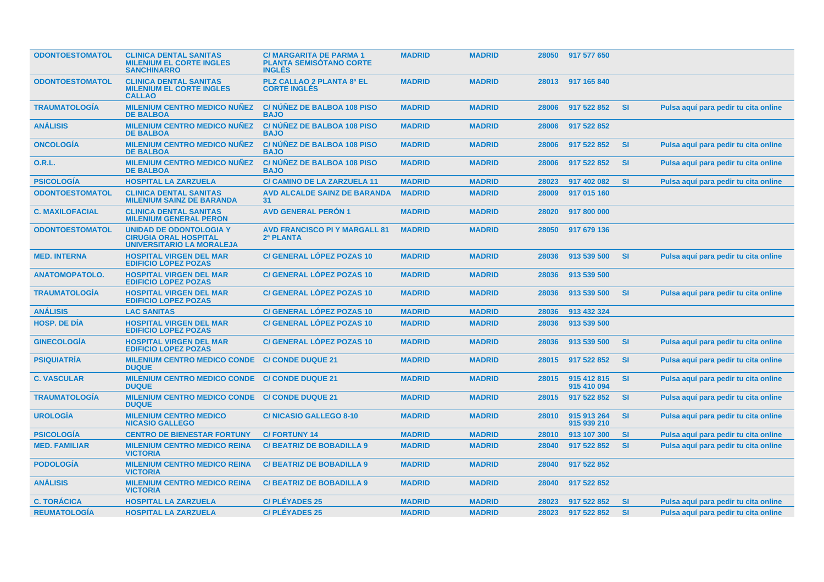| <b>ODONTOESTOMATOL</b> | <b>CLINICA DENTAL SANITAS</b><br><b>MILENIUM EL CORTE INGLES</b><br><b>SANCHINARRO</b>             | <b>C/MARGARITA DE PARMA 1</b><br><b>PLANTA SEMISÓTANO CORTE</b><br><b>INGLÉS</b> | <b>MADRID</b> | <b>MADRID</b> |       | 28050 917 577 650          |           |                                      |
|------------------------|----------------------------------------------------------------------------------------------------|----------------------------------------------------------------------------------|---------------|---------------|-------|----------------------------|-----------|--------------------------------------|
| <b>ODONTOESTOMATOL</b> | <b>CLINICA DENTAL SANITAS</b><br><b>MILENIUM EL CORTE INGLES</b><br><b>CALLAO</b>                  | <b>PLZ CALLAO 2 PLANTA 8ª EL</b><br><b>CORTE INGLÉS</b>                          | <b>MADRID</b> | <b>MADRID</b> |       | 28013 917 165 840          |           |                                      |
| <b>TRAUMATOLOGÍA</b>   | <b>MILENIUM CENTRO MEDICO NUÑEZ</b><br><b>DE BALBOA</b>                                            | C/ NÚÑEZ DE BALBOA 108 PISO<br><b>BAJO</b>                                       | <b>MADRID</b> | <b>MADRID</b> | 28006 | 917 522 852                | <b>SI</b> | Pulsa aquí para pedir tu cita online |
| <b>ANÁLISIS</b>        | <b>MILENIUM CENTRO MEDICO NUÑEZ</b><br><b>DE BALBOA</b>                                            | <b>C/NUNEZ DE BALBOA 108 PISO</b><br><b>BAJO</b>                                 | <b>MADRID</b> | <b>MADRID</b> | 28006 | 917 522 852                |           |                                      |
| <b>ONCOLOGIA</b>       | <b>MILENIUM CENTRO MEDICO NUÑEZ</b><br><b>DE BALBOA</b>                                            | <b>C/NUNEZ DE BALBOA 108 PISO</b><br><b>BAJO</b>                                 | <b>MADRID</b> | <b>MADRID</b> | 28006 | 917 522 852                | <b>SI</b> | Pulsa aquí para pedir tu cita online |
| 0.R.L.                 | <b>MILENIUM CENTRO MEDICO NUÑEZ</b><br><b>DE BALBOA</b>                                            | <b>C/NUNEZ DE BALBOA 108 PISO</b><br><b>BAJO</b>                                 | <b>MADRID</b> | <b>MADRID</b> | 28006 | 917 522 852                | <b>SI</b> | Pulsa aquí para pedir tu cita online |
| <b>PSICOLOGÍA</b>      | <b>HOSPITAL LA ZARZUELA</b>                                                                        | <b>C/ CAMINO DE LA ZARZUELA 11</b>                                               | <b>MADRID</b> | <b>MADRID</b> | 28023 | 917 402 082                | <b>SI</b> | Pulsa aquí para pedir tu cita online |
| <b>ODONTOESTOMATOL</b> | <b>CLINICA DENTAL SANITAS</b><br><b>MILENIUM SAINZ DE BARANDA</b>                                  | <b>AVD ALCALDE SAINZ DE BARANDA</b><br>31                                        | <b>MADRID</b> | <b>MADRID</b> | 28009 | 917 015 160                |           |                                      |
| <b>C. MAXILOFACIAL</b> | <b>CLINICA DENTAL SANITAS</b><br><b>MILENIUM GENERAL PERON</b>                                     | <b>AVD GENERAL PERON 1</b>                                                       | <b>MADRID</b> | <b>MADRID</b> | 28020 | 917 800 000                |           |                                      |
| <b>ODONTOESTOMATOL</b> | <b>UNIDAD DE ODONTOLOGIA Y</b><br><b>CIRUGIA ORAL HOSPITAL</b><br><b>UNIVERSITARIO LA MORALEJA</b> | <b>AVD FRANCISCO PI Y MARGALL 81</b><br>2ª PLANTA                                | <b>MADRID</b> | <b>MADRID</b> | 28050 | 917 679 136                |           |                                      |
| <b>MED. INTERNA</b>    | <b>HOSPITAL VIRGEN DEL MAR</b><br><b>EDIFICIO LOPEZ POZAS</b>                                      | <b>C/ GENERAL LÓPEZ POZAS 10</b>                                                 | <b>MADRID</b> | <b>MADRID</b> | 28036 | 913 539 500                | <b>SI</b> | Pulsa aquí para pedir tu cita online |
| <b>ANATOMOPATOLO.</b>  | <b>HOSPITAL VIRGEN DEL MAR</b><br><b>EDIFICIO LOPEZ POZAS</b>                                      | <b>C/ GENERAL LÓPEZ POZAS 10</b>                                                 | <b>MADRID</b> | <b>MADRID</b> | 28036 | 913 539 500                |           |                                      |
| <b>TRAUMATOLOGIA</b>   | <b>HOSPITAL VIRGEN DEL MAR</b><br><b>EDIFICIO LOPEZ POZAS</b>                                      | <b>C/ GENERAL LÓPEZ POZAS 10</b>                                                 | <b>MADRID</b> | <b>MADRID</b> | 28036 | 913 539 500                | <b>SI</b> | Pulsa aquí para pedir tu cita online |
| <b>ANÁLISIS</b>        | <b>LAC SANITAS</b>                                                                                 | <b>C/ GENERAL LÓPEZ POZAS 10</b>                                                 | <b>MADRID</b> | <b>MADRID</b> | 28036 | 913 432 324                |           |                                      |
| <b>HOSP. DE DÍA</b>    | <b>HOSPITAL VIRGEN DEL MAR</b><br><b>EDIFICIO LOPEZ POZAS</b>                                      | <b>C/ GENERAL LÓPEZ POZAS 10</b>                                                 | <b>MADRID</b> | <b>MADRID</b> | 28036 | 913 539 500                |           |                                      |
| <b>GINECOLOGÍA</b>     | <b>HOSPITAL VIRGEN DEL MAR</b><br><b>EDIFICIO LOPEZ POZAS</b>                                      | <b>C/GENERAL LÓPEZ POZAS 10</b>                                                  | <b>MADRID</b> | <b>MADRID</b> | 28036 | 913 539 500                | <b>SI</b> | Pulsa aquí para pedir tu cita online |
| <b>PSIQUIATRÍA</b>     | <b>MILENIUM CENTRO MEDICO CONDE</b><br><b>DUQUE</b>                                                | <b>C/ CONDE DUQUE 21</b>                                                         | <b>MADRID</b> | <b>MADRID</b> | 28015 | 917 522 852                | <b>SI</b> | Pulsa aquí para pedir tu cita online |
| <b>C. VASCULAR</b>     | <b>MILENIUM CENTRO MEDICO CONDE</b><br><b>DUQUE</b>                                                | <b>C/ CONDE DUQUE 21</b>                                                         | <b>MADRID</b> | <b>MADRID</b> | 28015 | 915 412 815<br>915 410 094 | <b>SI</b> | Pulsa aquí para pedir tu cita online |
| <b>TRAUMATOLOGIA</b>   | MILENIUM CENTRO MEDICO CONDE C/ CONDE DUQUE 21<br><b>DUQUE</b>                                     |                                                                                  | <b>MADRID</b> | <b>MADRID</b> | 28015 | 917 522 852                | <b>SI</b> | Pulsa aquí para pedir tu cita online |
| <b>UROLOGÍA</b>        | <b>MILENIUM CENTRO MEDICO</b><br><b>NICASIO GALLEGO</b>                                            | <b>C/NICASIO GALLEGO 8-10</b>                                                    | <b>MADRID</b> | <b>MADRID</b> | 28010 | 915 913 264<br>915 939 210 | <b>SI</b> | Pulsa aquí para pedir tu cita online |
| <b>PSICOLOGIA</b>      | <b>CENTRO DE BIENESTAR FORTUNY</b>                                                                 | <b>C/FORTUNY 14</b>                                                              | <b>MADRID</b> | <b>MADRID</b> | 28010 | 913 107 300                | <b>SI</b> | Pulsa aquí para pedir tu cita online |
| <b>MED. FAMILIAR</b>   | <b>MILENIUM CENTRO MEDICO REINA</b><br><b>VICTORIA</b>                                             | <b>C/BEATRIZ DE BOBADILLA 9</b>                                                  | <b>MADRID</b> | <b>MADRID</b> | 28040 | 917 522 852                | <b>SI</b> | Pulsa aquí para pedir tu cita online |
| <b>PODOLOGÍA</b>       | <b>MILENIUM CENTRO MEDICO REINA</b><br><b>VICTORIA</b>                                             | <b>C/BEATRIZ DE BOBADILLA 9</b>                                                  | <b>MADRID</b> | <b>MADRID</b> | 28040 | 917 522 852                |           |                                      |
| <b>ANÁLISIS</b>        | <b>MILENIUM CENTRO MEDICO REINA</b><br><b>VICTORIA</b>                                             | <b>C/BEATRIZ DE BOBADILLA 9</b>                                                  | <b>MADRID</b> | <b>MADRID</b> | 28040 | 917 522 852                |           |                                      |
| <b>C. TORÁCICA</b>     | <b>HOSPITAL LA ZARZUELA</b>                                                                        | <b>C/PLÉYADES 25</b>                                                             | <b>MADRID</b> | <b>MADRID</b> | 28023 | 917 522 852                | <b>SI</b> | Pulsa aguí para pedir tu cita online |
| <b>REUMATOLOGÍA</b>    | <b>HOSPITAL LA ZARZUELA</b>                                                                        | <b>C/PLÉYADES 25</b>                                                             | <b>MADRID</b> | <b>MADRID</b> | 28023 | 917 522 852                | <b>SI</b> | Pulsa aquí para pedir tu cita online |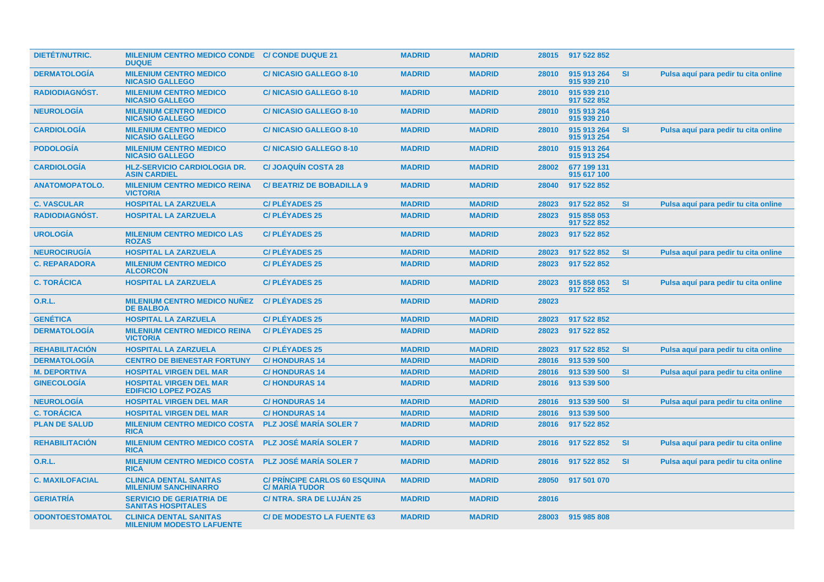| <b>DIETET/NUTRIC.</b>  | MILENIUM CENTRO MEDICO CONDE C/ CONDE DUQUE 21<br><b>DUQUE</b>    |                                                              | <b>MADRID</b> | <b>MADRID</b> |       | 28015 917 522 852          |           |                                      |
|------------------------|-------------------------------------------------------------------|--------------------------------------------------------------|---------------|---------------|-------|----------------------------|-----------|--------------------------------------|
| <b>DERMATOLOGÍA</b>    | <b>MILENIUM CENTRO MEDICO</b><br><b>NICASIO GALLEGO</b>           | <b>C/NICASIO GALLEGO 8-10</b>                                | <b>MADRID</b> | <b>MADRID</b> | 28010 | 915 913 264<br>915 939 210 | <b>SI</b> | Pulsa aquí para pedir tu cita online |
| <b>RADIODIAGNOST.</b>  | <b>MILENIUM CENTRO MEDICO</b><br><b>NICASIO GALLEGO</b>           | <b>C/NICASIO GALLEGO 8-10</b>                                | <b>MADRID</b> | <b>MADRID</b> | 28010 | 915 939 210<br>917 522 852 |           |                                      |
| <b>NEUROLOGÍA</b>      | <b>MILENIUM CENTRO MEDICO</b><br><b>NICASIO GALLEGO</b>           | <b>C/NICASIO GALLEGO 8-10</b>                                | <b>MADRID</b> | <b>MADRID</b> | 28010 | 915 913 264<br>915 939 210 |           |                                      |
| <b>CARDIOLOGÍA</b>     | <b>MILENIUM CENTRO MEDICO</b><br><b>NICASIO GALLEGO</b>           | <b>C/NICASIO GALLEGO 8-10</b>                                | <b>MADRID</b> | <b>MADRID</b> | 28010 | 915 913 264<br>915 913 254 | <b>SI</b> | Pulsa aquí para pedir tu cita online |
| <b>PODOLOGIA</b>       | <b>MILENIUM CENTRO MEDICO</b><br><b>NICASIO GALLEGO</b>           | <b>C/NICASIO GALLEGO 8-10</b>                                | <b>MADRID</b> | <b>MADRID</b> | 28010 | 915 913 264<br>915 913 254 |           |                                      |
| <b>CARDIOLOGÍA</b>     | <b>HLZ-SERVICIO CARDIOLOGIA DR.</b><br><b>ASIN CARDIEL</b>        | <b>C/ JOAQUÍN COSTA 28</b>                                   | <b>MADRID</b> | <b>MADRID</b> | 28002 | 677 199 131<br>915 617 100 |           |                                      |
| <b>ANATOMOPATOLO.</b>  | <b>MILENIUM CENTRO MEDICO REINA</b><br><b>VICTORIA</b>            | <b>C/BEATRIZ DE BOBADILLA 9</b>                              | <b>MADRID</b> | <b>MADRID</b> | 28040 | 917 522 852                |           |                                      |
| <b>C. VASCULAR</b>     | <b>HOSPITAL LA ZARZUELA</b>                                       | <b>C/PLÉYADES 25</b>                                         | <b>MADRID</b> | <b>MADRID</b> | 28023 | 917 522 852                | <b>SI</b> | Pulsa aquí para pedir tu cita online |
| <b>RADIODIAGNÓST.</b>  | <b>HOSPITAL LA ZARZUELA</b>                                       | <b>C/PLÉYADES 25</b>                                         | <b>MADRID</b> | <b>MADRID</b> | 28023 | 915 858 053<br>917 522 852 |           |                                      |
| <b>UROLOGÍA</b>        | <b>MILENIUM CENTRO MEDICO LAS</b><br><b>ROZAS</b>                 | <b>C/PLÉYADES 25</b>                                         | <b>MADRID</b> | <b>MADRID</b> | 28023 | 917 522 852                |           |                                      |
| <b>NEUROCIRUGIA</b>    | <b>HOSPITAL LA ZARZUELA</b>                                       | <b>C/PLÉYADES 25</b>                                         | <b>MADRID</b> | <b>MADRID</b> | 28023 | 917 522 852                | <b>SI</b> | Pulsa aguí para pedir tu cita online |
| <b>C. REPARADORA</b>   | <b>MILENIUM CENTRO MEDICO</b><br><b>ALCORCON</b>                  | <b>C/PLÉYADES 25</b>                                         | <b>MADRID</b> | <b>MADRID</b> | 28023 | 917 522 852                |           |                                      |
| <b>C. TORÁCICA</b>     | <b>HOSPITAL LA ZARZUELA</b>                                       | <b>C/PLÉYADES 25</b>                                         | <b>MADRID</b> | <b>MADRID</b> | 28023 | 915 858 053<br>917 522 852 | <b>SI</b> | Pulsa aquí para pedir tu cita online |
| <b>O.R.L.</b>          | <b>MILENIUM CENTRO MEDICO NUÑEZ</b><br><b>DE BALBOA</b>           | <b>C/PLÉYADES 25</b>                                         | <b>MADRID</b> | <b>MADRID</b> | 28023 |                            |           |                                      |
| <b>GENÉTICA</b>        | <b>HOSPITAL LA ZARZUELA</b>                                       | <b>C/PLÉYADES 25</b>                                         | <b>MADRID</b> | <b>MADRID</b> | 28023 | 917 522 852                |           |                                      |
| <b>DERMATOLOGÍA</b>    | <b>MILENIUM CENTRO MEDICO REINA</b><br><b>VICTORIA</b>            | <b>C/PLÉYADES 25</b>                                         | <b>MADRID</b> | <b>MADRID</b> | 28023 | 917 522 852                |           |                                      |
| <b>REHABILITACIÓN</b>  | <b>HOSPITAL LA ZARZUELA</b>                                       | <b>C/PLÉYADES 25</b>                                         | <b>MADRID</b> | <b>MADRID</b> | 28023 | 917 522 852                | <b>SI</b> | Pulsa aquí para pedir tu cita online |
| <b>DERMATOLOGÍA</b>    | <b>CENTRO DE BIENESTAR FORTUNY</b>                                | <b>C/HONDURAS14</b>                                          | <b>MADRID</b> | <b>MADRID</b> | 28016 | 913 539 500                |           |                                      |
| <b>M. DEPORTIVA</b>    | <b>HOSPITAL VIRGEN DEL MAR</b>                                    | <b>C/HONDURAS14</b>                                          | <b>MADRID</b> | <b>MADRID</b> | 28016 | 913 539 500                | <b>SI</b> | Pulsa aquí para pedir tu cita online |
| <b>GINECOLOGIA</b>     | <b>HOSPITAL VIRGEN DEL MAR</b><br><b>EDIFICIO LOPEZ POZAS</b>     | <b>C/HONDURAS 14</b>                                         | <b>MADRID</b> | <b>MADRID</b> | 28016 | 913 539 500                |           |                                      |
| <b>NEUROLOGÍA</b>      | <b>HOSPITAL VIRGEN DEL MAR</b>                                    | <b>C/HONDURAS14</b>                                          | <b>MADRID</b> | <b>MADRID</b> | 28016 | 913 539 500                | <b>SI</b> | Pulsa aquí para pedir tu cita online |
| <b>C. TORÁCICA</b>     | <b>HOSPITAL VIRGEN DEL MAR</b>                                    | <b>C/HONDURAS14</b>                                          | <b>MADRID</b> | <b>MADRID</b> | 28016 | 913 539 500                |           |                                      |
| <b>PLAN DE SALUD</b>   | <b>MILENIUM CENTRO MEDICO COSTA</b><br><b>RICA</b>                | <b>PLZ JOSÉ MARÍA SOLER 7</b>                                | <b>MADRID</b> | <b>MADRID</b> | 28016 | 917 522 852                |           |                                      |
| <b>REHABILITACIÓN</b>  | <b>MILENIUM CENTRO MEDICO COSTA</b><br><b>RICA</b>                | <b>PLZ JOSÉ MARÍA SOLER 7</b>                                | <b>MADRID</b> | <b>MADRID</b> | 28016 | 917 522 852                | <b>SI</b> | Pulsa aquí para pedir tu cita online |
| 0.R.L.                 | <b>MILENIUM CENTRO MEDICO COSTA</b><br><b>RICA</b>                | <b>PLZ JOSÉ MARÍA SOLER 7</b>                                | <b>MADRID</b> | <b>MADRID</b> | 28016 | 917 522 852                | <b>SI</b> | Pulsa aquí para pedir tu cita online |
| <b>C. MAXILOFACIAL</b> | <b>CLINICA DENTAL SANITAS</b><br><b>MILENIUM SANCHINARRO</b>      | <b>C/ PRINCIPE CARLOS 60 ESQUINA</b><br><b>C/MARIA TUDOR</b> | <b>MADRID</b> | <b>MADRID</b> | 28050 | 917 501 070                |           |                                      |
| <b>GERIATRÍA</b>       | <b>SERVICIO DE GERIATRIA DE</b><br><b>SANITAS HOSPITALES</b>      | <b>C/ NTRA. SRA DE LUJÁN 25</b>                              | <b>MADRID</b> | <b>MADRID</b> | 28016 |                            |           |                                      |
| <b>ODONTOESTOMATOL</b> | <b>CLINICA DENTAL SANITAS</b><br><b>MILENIUM MODESTO LAFUENTE</b> | <b>C/DE MODESTO LA FUENTE 63</b>                             | <b>MADRID</b> | <b>MADRID</b> |       | 28003 915 985 808          |           |                                      |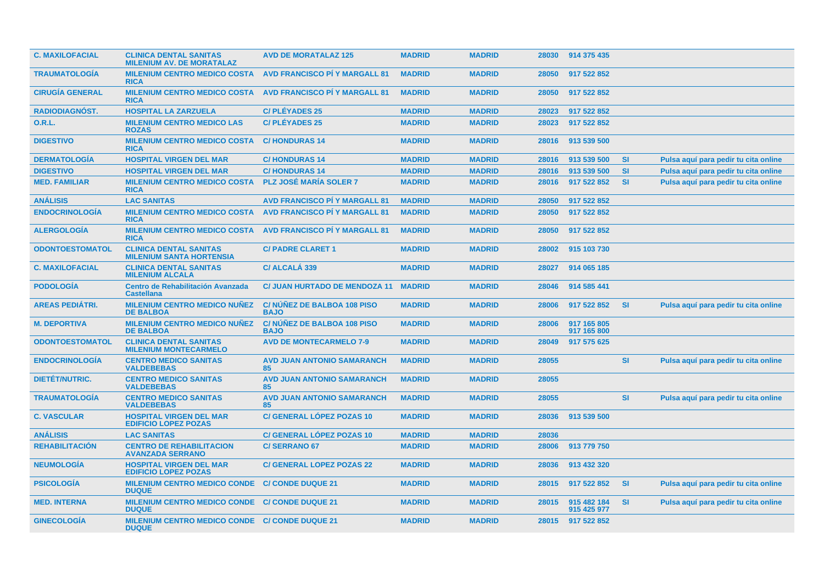| <b>C. MAXILOFACIAL</b> | <b>CLINICA DENTAL SANITAS</b><br><b>MILENIUM AV. DE MORATALAZ</b> | <b>AVD DE MORATALAZ 125</b>               | <b>MADRID</b> | <b>MADRID</b> |       | 28030 914 375 435          |           |                                      |
|------------------------|-------------------------------------------------------------------|-------------------------------------------|---------------|---------------|-------|----------------------------|-----------|--------------------------------------|
| <b>TRAUMATOLOGIA</b>   | <b>MILENIUM CENTRO MEDICO COSTA</b><br><b>RICA</b>                | <b>AVD FRANCISCO PI Y MARGALL 81</b>      | <b>MADRID</b> | <b>MADRID</b> | 28050 | 917 522 852                |           |                                      |
| <b>CIRUGÍA GENERAL</b> | <b>MILENIUM CENTRO MEDICO COSTA</b><br><b>RICA</b>                | <b>AVD FRANCISCO PI Y MARGALL 81</b>      | <b>MADRID</b> | <b>MADRID</b> | 28050 | 917 522 852                |           |                                      |
| RADIODIAGNÓST.         | <b>HOSPITAL LA ZARZUELA</b>                                       | <b>C/PLÉYADES 25</b>                      | <b>MADRID</b> | <b>MADRID</b> | 28023 | 917 522 852                |           |                                      |
| <b>O.R.L.</b>          | <b>MILENIUM CENTRO MEDICO LAS</b><br><b>ROZAS</b>                 | <b>C/PLÉYADES 25</b>                      | <b>MADRID</b> | <b>MADRID</b> | 28023 | 917 522 852                |           |                                      |
| <b>DIGESTIVO</b>       | <b>MILENIUM CENTRO MEDICO COSTA</b><br><b>RICA</b>                | <b>C/HONDURAS 14</b>                      | <b>MADRID</b> | <b>MADRID</b> | 28016 | 913 539 500                |           |                                      |
| <b>DERMATOLOGÍA</b>    | <b>HOSPITAL VIRGEN DEL MAR</b>                                    | <b>C/HONDURAS14</b>                       | <b>MADRID</b> | <b>MADRID</b> | 28016 | 913 539 500                | <b>SI</b> | Pulsa aquí para pedir tu cita online |
| <b>DIGESTIVO</b>       | <b>HOSPITAL VIRGEN DEL MAR</b>                                    | <b>C/HONDURAS14</b>                       | <b>MADRID</b> | <b>MADRID</b> | 28016 | 913 539 500                | <b>SI</b> | Pulsa aquí para pedir tu cita online |
| <b>MED. FAMILIAR</b>   | <b>MILENIUM CENTRO MEDICO COSTA</b><br><b>RICA</b>                | <b>PLZ JOSÉ MARÍA SOLER 7</b>             | <b>MADRID</b> | <b>MADRID</b> | 28016 | 917 522 852                | <b>SI</b> | Pulsa aquí para pedir tu cita online |
| <b>ANÁLISIS</b>        | <b>LAC SANITAS</b>                                                | <b>AVD FRANCISCO PI Y MARGALL 81</b>      | <b>MADRID</b> | <b>MADRID</b> | 28050 | 917 522 852                |           |                                      |
| <b>ENDOCRINOLOGÍA</b>  | <b>MILENIUM CENTRO MEDICO COSTA</b><br><b>RICA</b>                | <b>AVD FRANCISCO PI Y MARGALL 81</b>      | <b>MADRID</b> | <b>MADRID</b> | 28050 | 917 522 852                |           |                                      |
| <b>ALERGOLOGIA</b>     | <b>MILENIUM CENTRO MEDICO COSTA</b><br><b>RICA</b>                | <b>AVD FRANCISCO PÍ Y MARGALL 81</b>      | <b>MADRID</b> | <b>MADRID</b> | 28050 | 917 522 852                |           |                                      |
| <b>ODONTOESTOMATOL</b> | <b>CLINICA DENTAL SANITAS</b><br><b>MILENIUM SANTA HORTENSIA</b>  | <b>C/ PADRE CLARET 1</b>                  | <b>MADRID</b> | <b>MADRID</b> | 28002 | 915 103 730                |           |                                      |
| <b>C. MAXILOFACIAL</b> | <b>CLINICA DENTAL SANITAS</b><br><b>MILENIUM ALCALA</b>           | C/ ALCALÁ 339                             | <b>MADRID</b> | <b>MADRID</b> | 28027 | 914 065 185                |           |                                      |
| <b>PODOLOGÍA</b>       | Centro de Rehabilitación Avanzada<br><b>Castellana</b>            | <b>C/ JUAN HURTADO DE MENDOZA 11</b>      | <b>MADRID</b> | <b>MADRID</b> | 28046 | 914 585 441                |           |                                      |
| <b>AREAS PEDIÁTRI.</b> | <b>MILENIUM CENTRO MEDICO NUÑEZ</b><br><b>DE BALBOA</b>           | C/NUNEZ DE BALBOA 108 PISO<br><b>BAJO</b> | <b>MADRID</b> | <b>MADRID</b> | 28006 | 917 522 852                | <b>SI</b> | Pulsa aquí para pedir tu cita online |
| <b>M. DEPORTIVA</b>    | <b>MILENIUM CENTRO MEDICO NUÑEZ</b><br><b>DE BALBOA</b>           | C/NUNEZ DE BALBOA 108 PISO<br><b>BAJO</b> | <b>MADRID</b> | <b>MADRID</b> | 28006 | 917 165 805<br>917 165 800 |           |                                      |
| <b>ODONTOESTOMATOL</b> | <b>CLINICA DENTAL SANITAS</b><br><b>MILENIUM MONTECARMELO</b>     | <b>AVD DE MONTECARMELO 7-9</b>            | <b>MADRID</b> | <b>MADRID</b> | 28049 | 917 575 625                |           |                                      |
| <b>ENDOCRINOLOGIA</b>  | <b>CENTRO MEDICO SANITAS</b><br><b>VALDEBEBAS</b>                 | <b>AVD JUAN ANTONIO SAMARANCH</b><br>85   | <b>MADRID</b> | <b>MADRID</b> | 28055 |                            | <b>SI</b> | Pulsa aquí para pedir tu cita online |
| <b>DIETÉT/NUTRIC.</b>  | <b>CENTRO MEDICO SANITAS</b><br><b>VALDEBEBAS</b>                 | <b>AVD JUAN ANTONIO SAMARANCH</b><br>85   | <b>MADRID</b> | <b>MADRID</b> | 28055 |                            |           |                                      |
| <b>TRAUMATOLOGÍA</b>   | <b>CENTRO MEDICO SANITAS</b><br><b>VALDEBEBAS</b>                 | <b>AVD JUAN ANTONIO SAMARANCH</b><br>85   | <b>MADRID</b> | <b>MADRID</b> | 28055 |                            | <b>SI</b> | Pulsa aquí para pedir tu cita online |
| <b>C. VASCULAR</b>     | <b>HOSPITAL VIRGEN DEL MAR</b><br><b>EDIFICIO LOPEZ POZAS</b>     | <b>C/ GENERAL LÓPEZ POZAS 10</b>          | <b>MADRID</b> | <b>MADRID</b> | 28036 | 913 539 500                |           |                                      |
| <b>ANÁLISIS</b>        | <b>LAC SANITAS</b>                                                | <b>C/ GENERAL LÓPEZ POZAS 10</b>          | <b>MADRID</b> | <b>MADRID</b> | 28036 |                            |           |                                      |
| <b>REHABILITACIÓN</b>  | <b>CENTRO DE REHABILITACION</b><br><b>AVANZADA SERRANO</b>        | <b>C/SERRANO 67</b>                       | <b>MADRID</b> | <b>MADRID</b> | 28006 | 913 779 750                |           |                                      |
| <b>NEUMOLOGIA</b>      | <b>HOSPITAL VIRGEN DEL MAR</b><br><b>EDIFICIO LOPEZ POZAS</b>     | <b>C/ GENERAL LOPEZ POZAS 22</b>          | <b>MADRID</b> | <b>MADRID</b> | 28036 | 913 432 320                |           |                                      |
| <b>PSICOLOGIA</b>      | <b>MILENIUM CENTRO MEDICO CONDE</b><br><b>DUQUE</b>               | <b>C/ CONDE DUQUE 21</b>                  | <b>MADRID</b> | <b>MADRID</b> | 28015 | 917 522 852                | <b>SI</b> | Pulsa aquí para pedir tu cita online |
| <b>MED. INTERNA</b>    | <b>MILENIUM CENTRO MEDICO CONDE</b><br><b>DUQUE</b>               | <b>C/ CONDE DUQUE 21</b>                  | <b>MADRID</b> | <b>MADRID</b> | 28015 | 915 482 184<br>915 425 977 | <b>SI</b> | Pulsa aquí para pedir tu cita online |
| <b>GINECOLOGÍA</b>     | MILENIUM CENTRO MEDICO CONDE C/ CONDE DUQUE 21<br><b>DUQUE</b>    |                                           | <b>MADRID</b> | <b>MADRID</b> | 28015 | 917 522 852                |           |                                      |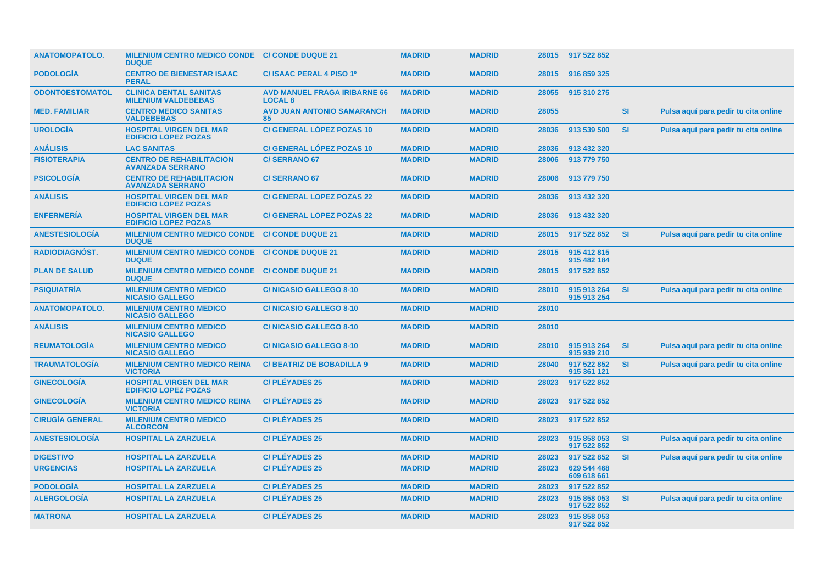| <b>ANATOMOPATOLO.</b>  | MILENIUM CENTRO MEDICO CONDE C/ CONDE DUQUE 21<br><b>DUQUE</b> |                                                       | <b>MADRID</b> | <b>MADRID</b> |       | 28015 917 522 852          |           |                                      |
|------------------------|----------------------------------------------------------------|-------------------------------------------------------|---------------|---------------|-------|----------------------------|-----------|--------------------------------------|
| <b>PODOLOGIA</b>       | <b>CENTRO DE BIENESTAR ISAAC</b><br><b>PERAL</b>               | C/ ISAAC PERAL 4 PISO 1º                              | <b>MADRID</b> | <b>MADRID</b> | 28015 | 916 859 325                |           |                                      |
| <b>ODONTOESTOMATOL</b> | <b>CLINICA DENTAL SANITAS</b><br><b>MILENIUM VALDEBEBAS</b>    | <b>AVD MANUEL FRAGA IRIBARNE 66</b><br><b>LOCAL 8</b> | <b>MADRID</b> | <b>MADRID</b> | 28055 | 915 310 275                |           |                                      |
| <b>MED. FAMILIAR</b>   | <b>CENTRO MEDICO SANITAS</b><br><b>VALDEBEBAS</b>              | <b>AVD JUAN ANTONIO SAMARANCH</b><br>85               | <b>MADRID</b> | <b>MADRID</b> | 28055 |                            | SI        | Pulsa aquí para pedir tu cita online |
| <b>UROLOGÍA</b>        | <b>HOSPITAL VIRGEN DEL MAR</b><br><b>EDIFICIO LOPEZ POZAS</b>  | <b>C/ GENERAL LÓPEZ POZAS 10</b>                      | <b>MADRID</b> | <b>MADRID</b> | 28036 | 913 539 500                | <b>SI</b> | Pulsa aquí para pedir tu cita online |
| <b>ANÁLISIS</b>        | <b>LAC SANITAS</b>                                             | C/ GENERAL LÓPEZ POZAS 10                             | <b>MADRID</b> | <b>MADRID</b> | 28036 | 913 432 320                |           |                                      |
| <b>FISIOTERAPIA</b>    | <b>CENTRO DE REHABILITACION</b><br><b>AVANZADA SERRANO</b>     | <b>C/SERRANO 67</b>                                   | <b>MADRID</b> | <b>MADRID</b> | 28006 | 913 779 750                |           |                                      |
| <b>PSICOLOGIA</b>      | <b>CENTRO DE REHABILITACION</b><br><b>AVANZADA SERRANO</b>     | <b>C/SERRANO 67</b>                                   | <b>MADRID</b> | <b>MADRID</b> | 28006 | 913 779 750                |           |                                      |
| <b>ANÁLISIS</b>        | <b>HOSPITAL VIRGEN DEL MAR</b><br><b>EDIFICIO LOPEZ POZAS</b>  | <b>C/ GENERAL LOPEZ POZAS 22</b>                      | <b>MADRID</b> | <b>MADRID</b> | 28036 | 913 432 320                |           |                                      |
| <b>ENFERMERÍA</b>      | <b>HOSPITAL VIRGEN DEL MAR</b><br><b>EDIFICIO LOPEZ POZAS</b>  | <b>C/ GENERAL LOPEZ POZAS 22</b>                      | <b>MADRID</b> | <b>MADRID</b> | 28036 | 913 432 320                |           |                                      |
| <b>ANESTESIOLOGIA</b>  | <b>MILENIUM CENTRO MEDICO CONDE</b><br><b>DUQUE</b>            | <b>C/ CONDE DUQUE 21</b>                              | <b>MADRID</b> | <b>MADRID</b> | 28015 | 917 522 852                | <b>SI</b> | Pulsa aquí para pedir tu cita online |
| <b>RADIODIAGNÓST.</b>  | <b>MILENIUM CENTRO MEDICO CONDE</b><br><b>DUQUE</b>            | <b>C/ CONDE DUQUE 21</b>                              | <b>MADRID</b> | <b>MADRID</b> | 28015 | 915 412 815<br>915 482 184 |           |                                      |
| <b>PLAN DE SALUD</b>   | <b>MILENIUM CENTRO MEDICO CONDE</b><br><b>DUQUE</b>            | <b>C/ CONDE DUQUE 21</b>                              | <b>MADRID</b> | <b>MADRID</b> | 28015 | 917 522 852                |           |                                      |
| <b>PSIQUIATRÍA</b>     | <b>MILENIUM CENTRO MEDICO</b><br><b>NICASIO GALLEGO</b>        | <b>C/NICASIO GALLEGO 8-10</b>                         | <b>MADRID</b> | <b>MADRID</b> | 28010 | 915 913 264<br>915 913 254 | <b>SI</b> | Pulsa aquí para pedir tu cita online |
| <b>ANATOMOPATOLO.</b>  | <b>MILENIUM CENTRO MEDICO</b><br><b>NICASIO GALLEGO</b>        | <b>C/NICASIO GALLEGO 8-10</b>                         | <b>MADRID</b> | <b>MADRID</b> | 28010 |                            |           |                                      |
| <b>ANÁLISIS</b>        | <b>MILENIUM CENTRO MEDICO</b><br><b>NICASIO GALLEGO</b>        | <b>C/NICASIO GALLEGO 8-10</b>                         | <b>MADRID</b> | <b>MADRID</b> | 28010 |                            |           |                                      |
| <b>REUMATOLOGÍA</b>    | <b>MILENIUM CENTRO MEDICO</b><br><b>NICASIO GALLEGO</b>        | <b>C/NICASIO GALLEGO 8-10</b>                         | <b>MADRID</b> | <b>MADRID</b> | 28010 | 915 913 264<br>915 939 210 | SI        | Pulsa aquí para pedir tu cita online |
| <b>TRAUMATOLOGÍA</b>   | <b>MILENIUM CENTRO MEDICO REINA</b><br><b>VICTORIA</b>         | <b>C/BEATRIZ DE BOBADILLA 9</b>                       | <b>MADRID</b> | <b>MADRID</b> | 28040 | 917 522 852<br>915 361 121 | <b>SI</b> | Pulsa aquí para pedir tu cita online |
| <b>GINECOLOGIA</b>     | <b>HOSPITAL VIRGEN DEL MAR</b><br><b>EDIFICIO LOPEZ POZAS</b>  | <b>C/PLÉYADES 25</b>                                  | <b>MADRID</b> | <b>MADRID</b> | 28023 | 917 522 852                |           |                                      |
| <b>GINECOLOGIA</b>     | <b>MILENIUM CENTRO MEDICO REINA</b><br><b>VICTORIA</b>         | <b>C/PLÉYADES 25</b>                                  | <b>MADRID</b> | <b>MADRID</b> | 28023 | 917 522 852                |           |                                      |
| <b>CIRUGÍA GENERAL</b> | <b>MILENIUM CENTRO MEDICO</b><br><b>ALCORCON</b>               | <b>C/PLÉYADES 25</b>                                  | <b>MADRID</b> | <b>MADRID</b> | 28023 | 917 522 852                |           |                                      |
| <b>ANESTESIOLOGIA</b>  | <b>HOSPITAL LA ZARZUELA</b>                                    | <b>C/PLÉYADES 25</b>                                  | <b>MADRID</b> | <b>MADRID</b> | 28023 | 915 858 053<br>917 522 852 | SI        | Pulsa aquí para pedir tu cita online |
| <b>DIGESTIVO</b>       | <b>HOSPITAL LA ZARZUELA</b>                                    | <b>C/PLÉYADES 25</b>                                  | <b>MADRID</b> | <b>MADRID</b> | 28023 | 917 522 852                | <b>SI</b> | Pulsa aquí para pedir tu cita online |
| <b>URGENCIAS</b>       | <b>HOSPITAL LA ZARZUELA</b>                                    | <b>C/PLÉYADES 25</b>                                  | <b>MADRID</b> | <b>MADRID</b> | 28023 | 629 544 468<br>609 618 661 |           |                                      |
| <b>PODOLOGÍA</b>       | <b>HOSPITAL LA ZARZUELA</b>                                    | <b>C/PLÉYADES 25</b>                                  | <b>MADRID</b> | <b>MADRID</b> | 28023 | 917 522 852                |           |                                      |
| <b>ALERGOLOGÍA</b>     | <b>HOSPITAL LA ZARZUELA</b>                                    | <b>C/PLÉYADES 25</b>                                  | <b>MADRID</b> | <b>MADRID</b> | 28023 | 915 858 053<br>917 522 852 | <b>SI</b> | Pulsa aquí para pedir tu cita online |
| <b>MATRONA</b>         | <b>HOSPITAL LA ZARZUELA</b>                                    | <b>C/PLÉYADES 25</b>                                  | <b>MADRID</b> | <b>MADRID</b> | 28023 | 915 858 053<br>917 522 852 |           |                                      |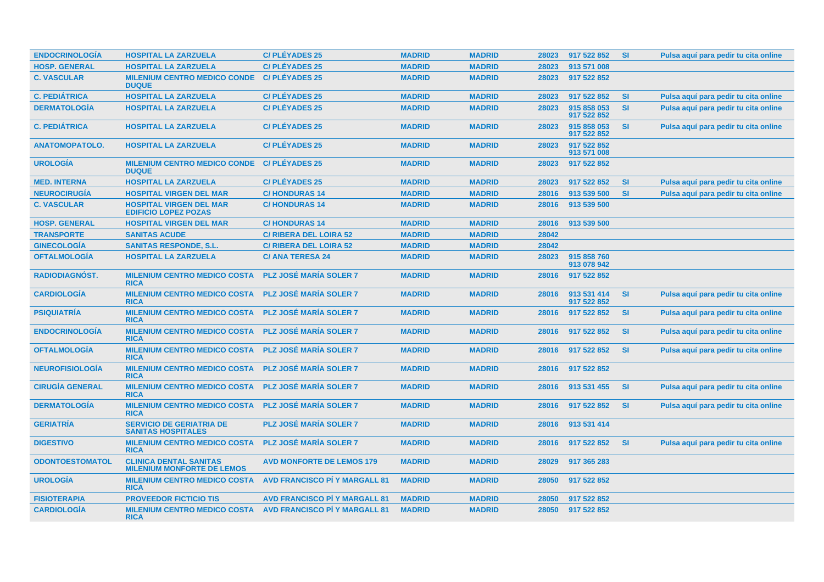| <b>ENDOCRINOLOGÍA</b>  | <b>HOSPITAL LA ZARZUELA</b>                                        | <b>C/PLÉYADES 25</b>                 | <b>MADRID</b> | <b>MADRID</b> | 28023 | 917 522 852                | <b>SI</b> | Pulsa aquí para pedir tu cita online |
|------------------------|--------------------------------------------------------------------|--------------------------------------|---------------|---------------|-------|----------------------------|-----------|--------------------------------------|
| <b>HOSP. GENERAL</b>   | <b>HOSPITAL LA ZARZUELA</b>                                        | <b>C/PLÉYADES 25</b>                 | <b>MADRID</b> | <b>MADRID</b> | 28023 | 913 571 008                |           |                                      |
| <b>C. VASCULAR</b>     | <b>MILENIUM CENTRO MEDICO CONDE</b><br><b>DUQUE</b>                | <b>C/PLÉYADES 25</b>                 | <b>MADRID</b> | <b>MADRID</b> | 28023 | 917 522 852                |           |                                      |
| <b>C. PEDIÁTRICA</b>   | <b>HOSPITAL LA ZARZUELA</b>                                        | <b>C/PLÉYADES 25</b>                 | <b>MADRID</b> | <b>MADRID</b> | 28023 | 917 522 852                | <b>SI</b> | Pulsa aquí para pedir tu cita online |
| <b>DERMATOLOGÍA</b>    | <b>HOSPITAL LA ZARZUELA</b>                                        | <b>C/PLÉYADES 25</b>                 | <b>MADRID</b> | <b>MADRID</b> | 28023 | 915 858 053<br>917 522 852 | <b>SI</b> | Pulsa aquí para pedir tu cita online |
| <b>C. PEDIÁTRICA</b>   | <b>HOSPITAL LA ZARZUELA</b>                                        | <b>C/PLÉYADES 25</b>                 | <b>MADRID</b> | <b>MADRID</b> | 28023 | 915 858 053<br>917 522 852 | <b>SI</b> | Pulsa aquí para pedir tu cita online |
| <b>ANATOMOPATOLO.</b>  | <b>HOSPITAL LA ZARZUELA</b>                                        | <b>C/PLÉYADES 25</b>                 | <b>MADRID</b> | <b>MADRID</b> | 28023 | 917 522 852<br>913 571 008 |           |                                      |
| <b>UROLOGÍA</b>        | <b>MILENIUM CENTRO MEDICO CONDE</b><br><b>DUQUE</b>                | <b>C/PLÉYADES 25</b>                 | <b>MADRID</b> | <b>MADRID</b> | 28023 | 917 522 852                |           |                                      |
| <b>MED. INTERNA</b>    | <b>HOSPITAL LA ZARZUELA</b>                                        | <b>C/PLÉYADES 25</b>                 | <b>MADRID</b> | <b>MADRID</b> | 28023 | 917 522 852                | <b>SI</b> | Pulsa aquí para pedir tu cita online |
| <b>NEUROCIRUGÍA</b>    | <b>HOSPITAL VIRGEN DEL MAR</b>                                     | <b>C/HONDURAS 14</b>                 | <b>MADRID</b> | <b>MADRID</b> | 28016 | 913 539 500                | <b>SI</b> | Pulsa aquí para pedir tu cita online |
| <b>C. VASCULAR</b>     | <b>HOSPITAL VIRGEN DEL MAR</b><br><b>EDIFICIO LOPEZ POZAS</b>      | <b>C/HONDURAS 14</b>                 | <b>MADRID</b> | <b>MADRID</b> | 28016 | 913 539 500                |           |                                      |
| <b>HOSP. GENERAL</b>   | <b>HOSPITAL VIRGEN DEL MAR</b>                                     | <b>C/HONDURAS 14</b>                 | <b>MADRID</b> | <b>MADRID</b> | 28016 | 913 539 500                |           |                                      |
| <b>TRANSPORTE</b>      | <b>SANITAS ACUDE</b>                                               | <b>C/ RIBERA DEL LOIRA 52</b>        | <b>MADRID</b> | <b>MADRID</b> | 28042 |                            |           |                                      |
| <b>GINECOLOGÍA</b>     | <b>SANITAS RESPONDE, S.L.</b>                                      | <b>C/RIBERA DEL LOIRA 52</b>         | <b>MADRID</b> | <b>MADRID</b> | 28042 |                            |           |                                      |
| <b>OFTALMOLOGÍA</b>    | <b>HOSPITAL LA ZARZUELA</b>                                        | <b>C/ ANA TERESA 24</b>              | <b>MADRID</b> | <b>MADRID</b> | 28023 | 915 858 760<br>913 078 942 |           |                                      |
| <b>RADIODIAGNÓST.</b>  | <b>MILENIUM CENTRO MEDICO COSTA</b><br><b>RICA</b>                 | <b>PLZ JOSÉ MARÍA SOLER 7</b>        | <b>MADRID</b> | <b>MADRID</b> | 28016 | 917 522 852                |           |                                      |
| <b>CARDIOLOGÍA</b>     | <b>MILENIUM CENTRO MEDICO COSTA</b><br><b>RICA</b>                 | <b>PLZ JOSÉ MARÍA SOLER 7</b>        | <b>MADRID</b> | <b>MADRID</b> | 28016 | 913 531 414<br>917 522 852 | <b>SI</b> | Pulsa aquí para pedir tu cita online |
| <b>PSIQUIATRÍA</b>     | <b>MILENIUM CENTRO MEDICO COSTA</b><br><b>RICA</b>                 | <b>PLZ JOSÉ MARÍA SOLER 7</b>        | <b>MADRID</b> | <b>MADRID</b> | 28016 | 917 522 852                | <b>SI</b> | Pulsa aquí para pedir tu cita online |
| <b>ENDOCRINOLOGÍA</b>  | <b>MILENIUM CENTRO MEDICO COSTA</b><br><b>RICA</b>                 | <b>PLZ JOSÉ MARÍA SOLER 7</b>        | <b>MADRID</b> | <b>MADRID</b> | 28016 | 917 522 852                | <b>SI</b> | Pulsa aquí para pedir tu cita online |
| <b>OFTALMOLOGÍA</b>    | <b>MILENIUM CENTRO MEDICO COSTA</b><br><b>RICA</b>                 | <b>PLZ JOSÉ MARÍA SOLER 7</b>        | <b>MADRID</b> | <b>MADRID</b> | 28016 | 917 522 852                | <b>SI</b> | Pulsa aquí para pedir tu cita online |
| <b>NEUROFISIOLOGIA</b> | <b>MILENIUM CENTRO MEDICO COSTA</b><br><b>RICA</b>                 | <b>PLZ JOSÉ MARÍA SOLER 7</b>        | <b>MADRID</b> | <b>MADRID</b> | 28016 | 917 522 852                |           |                                      |
| <b>CIRUGÍA GENERAL</b> | <b>MILENIUM CENTRO MEDICO COSTA</b><br><b>RICA</b>                 | <b>PLZ JOSÉ MARÍA SOLER 7</b>        | <b>MADRID</b> | <b>MADRID</b> | 28016 | 913 531 455                | <b>SI</b> | Pulsa aquí para pedir tu cita online |
| <b>DERMATOLOGÍA</b>    | <b>MILENIUM CENTRO MEDICO COSTA</b><br><b>RICA</b>                 | <b>PLZ JOSÉ MARÍA SOLER 7</b>        | <b>MADRID</b> | <b>MADRID</b> | 28016 | 917 522 852                | <b>SI</b> | Pulsa aquí para pedir tu cita online |
| <b>GERIATRÍA</b>       | <b>SERVICIO DE GERIATRIA DE</b><br><b>SANITAS HOSPITALES</b>       | <b>PLZ JOSÉ MARÍA SOLER 7</b>        | <b>MADRID</b> | <b>MADRID</b> | 28016 | 913 531 414                |           |                                      |
| <b>DIGESTIVO</b>       | <b>MILENIUM CENTRO MEDICO COSTA</b><br><b>RICA</b>                 | <b>PLZ JOSÉ MARÍA SOLER 7</b>        | <b>MADRID</b> | <b>MADRID</b> | 28016 | 917 522 852                | <b>SI</b> | Pulsa aquí para pedir tu cita online |
| <b>ODONTOESTOMATOL</b> | <b>CLINICA DENTAL SANITAS</b><br><b>MILENIUM MONFORTE DE LEMOS</b> | <b>AVD MONFORTE DE LEMOS 179</b>     | <b>MADRID</b> | <b>MADRID</b> | 28029 | 917 365 283                |           |                                      |
| <b>UROLOGÍA</b>        | <b>MILENIUM CENTRO MEDICO COSTA</b><br><b>RICA</b>                 | <b>AVD FRANCISCO PÍ Y MARGALL 81</b> | <b>MADRID</b> | <b>MADRID</b> | 28050 | 917 522 852                |           |                                      |
| <b>FISIOTERAPIA</b>    | <b>PROVEEDOR FICTICIO TIS</b>                                      | <b>AVD FRANCISCO PÍ Y MARGALL 81</b> | <b>MADRID</b> | <b>MADRID</b> | 28050 | 917 522 852                |           |                                      |
| <b>CARDIOLOGÍA</b>     | <b>MILENIUM CENTRO MEDICO COSTA</b><br><b>RICA</b>                 | <b>AVD FRANCISCO PI Y MARGALL 81</b> | <b>MADRID</b> | <b>MADRID</b> | 28050 | 917 522 852                |           |                                      |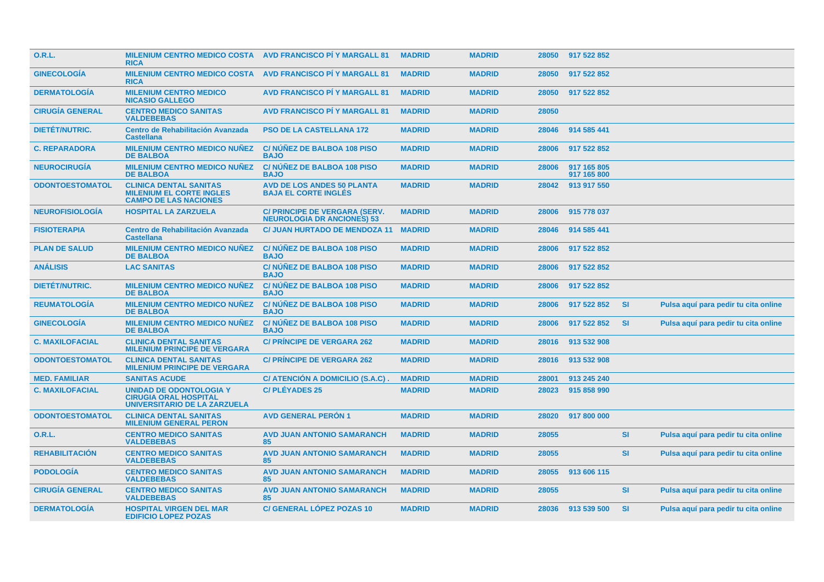| <b>O.R.L.</b>          | <b>MILENIUM CENTRO MEDICO COSTA AVD FRANCISCO PI Y MARGALL 81</b><br><b>RICA</b>                 |                                                                    | <b>MADRID</b> | <b>MADRID</b> |       | 28050 917 522 852          |           |                                      |
|------------------------|--------------------------------------------------------------------------------------------------|--------------------------------------------------------------------|---------------|---------------|-------|----------------------------|-----------|--------------------------------------|
| <b>GINECOLOGIA</b>     | <b>MILENIUM CENTRO MEDICO COSTA</b><br><b>RICA</b>                                               | <b>AVD FRANCISCO PI Y MARGALL 81</b>                               | <b>MADRID</b> | <b>MADRID</b> | 28050 | 917 522 852                |           |                                      |
| <b>DERMATOLOGÍA</b>    | <b>MILENIUM CENTRO MEDICO</b><br><b>NICASIO GALLEGO</b>                                          | <b>AVD FRANCISCO PÍ Y MARGALL 81</b>                               | <b>MADRID</b> | <b>MADRID</b> | 28050 | 917 522 852                |           |                                      |
| <b>CIRUGÍA GENERAL</b> | <b>CENTRO MEDICO SANITAS</b><br><b>VALDEBEBAS</b>                                                | <b>AVD FRANCISCO PÍ Y MARGALL 81</b>                               | <b>MADRID</b> | <b>MADRID</b> | 28050 |                            |           |                                      |
| <b>DIETÉT/NUTRIC.</b>  | <b>Centro de Rehabilitación Avanzada</b><br><b>Castellana</b>                                    | <b>PSO DE LA CASTELLANA 172</b>                                    | <b>MADRID</b> | <b>MADRID</b> | 28046 | 914 585 441                |           |                                      |
| <b>C. REPARADORA</b>   | <b>MILENIUM CENTRO MEDICO NUÑEZ</b><br><b>DE BALBOA</b>                                          | <b>C/NUNEZ DE BALBOA 108 PISO</b><br><b>BAJO</b>                   | <b>MADRID</b> | <b>MADRID</b> | 28006 | 917 522 852                |           |                                      |
| <b>NEUROCIRUGIA</b>    | <b>MILENIUM CENTRO MEDICO NUÑEZ</b><br><b>DE BALBOA</b>                                          | C/ NÚÑEZ DE BALBOA 108 PISO<br><b>BAJO</b>                         | <b>MADRID</b> | <b>MADRID</b> | 28006 | 917 165 805<br>917 165 800 |           |                                      |
| <b>ODONTOESTOMATOL</b> | <b>CLINICA DENTAL SANITAS</b><br><b>MILENIUM EL CORTE INGLES</b><br><b>CAMPO DE LAS NACIONES</b> | <b>AVD DE LOS ANDES 50 PLANTA</b><br><b>BAJA EL CORTE INGLÉS</b>   | <b>MADRID</b> | <b>MADRID</b> | 28042 | 913 917 550                |           |                                      |
| <b>NEUROFISIOLOGÍA</b> | <b>HOSPITAL LA ZARZUELA</b>                                                                      | C/ PRINCIPE DE VERGARA (SERV.<br><b>NEUROLOGIA DR ANCIONES) 53</b> | <b>MADRID</b> | <b>MADRID</b> | 28006 | 915 778 037                |           |                                      |
| <b>FISIOTERAPIA</b>    | <b>Centro de Rehabilitación Avanzada</b><br><b>Castellana</b>                                    | <b>C/ JUAN HURTADO DE MENDOZA 11</b>                               | <b>MADRID</b> | <b>MADRID</b> | 28046 | 914 585 441                |           |                                      |
| <b>PLAN DE SALUD</b>   | <b>MILENIUM CENTRO MEDICO NUÑEZ</b><br><b>DE BALBOA</b>                                          | C/NUNEZ DE BALBOA 108 PISO<br><b>BAJO</b>                          | <b>MADRID</b> | <b>MADRID</b> | 28006 | 917 522 852                |           |                                      |
| <b>ANÁLISIS</b>        | <b>LAC SANITAS</b>                                                                               | <b>C/NUNEZ DE BALBOA 108 PISO</b><br><b>BAJO</b>                   | <b>MADRID</b> | <b>MADRID</b> | 28006 | 917 522 852                |           |                                      |
| <b>DIETÉT/NUTRIC.</b>  | <b>MILENIUM CENTRO MEDICO NUNEZ</b><br><b>DE BALBOA</b>                                          | <b>C/NUNEZ DE BALBOA 108 PISO</b><br><b>BAJO</b>                   | <b>MADRID</b> | <b>MADRID</b> | 28006 | 917 522 852                |           |                                      |
| <b>REUMATOLOGÍA</b>    | <b>MILENIUM CENTRO MEDICO NUÑEZ</b><br><b>DE BALBOA</b>                                          | C/ NUNEZ DE BALBOA 108 PISO<br><b>BAJO</b>                         | <b>MADRID</b> | <b>MADRID</b> | 28006 | 917 522 852                | <b>SI</b> | Pulsa aquí para pedir tu cita online |
| <b>GINECOLOGIA</b>     | <b>MILENIUM CENTRO MEDICO NUÑEZ</b><br><b>DE BALBOA</b>                                          | C/NUNEZ DE BALBOA 108 PISO<br><b>BAJO</b>                          | <b>MADRID</b> | <b>MADRID</b> | 28006 | 917 522 852                | <b>SI</b> | Pulsa aquí para pedir tu cita online |
| <b>C. MAXILOFACIAL</b> | <b>CLINICA DENTAL SANITAS</b><br><b>MILENIUM PRINCIPE DE VERGARA</b>                             | <b>C/ PRINCIPE DE VERGARA 262</b>                                  | <b>MADRID</b> | <b>MADRID</b> | 28016 | 913 532 908                |           |                                      |
| <b>ODONTOESTOMATOL</b> | <b>CLINICA DENTAL SANITAS</b><br><b>MILENIUM PRINCIPE DE VERGARA</b>                             | <b>C/ PRINCIPE DE VERGARA 262</b>                                  | <b>MADRID</b> | <b>MADRID</b> | 28016 | 913 532 908                |           |                                      |
| <b>MED. FAMILIAR</b>   | <b>SANITAS ACUDE</b>                                                                             | C/ ATENCIÓN A DOMICILIO (S.A.C).                                   | <b>MADRID</b> | <b>MADRID</b> | 28001 | 913 245 240                |           |                                      |
| <b>C. MAXILOFACIAL</b> | <b>UNIDAD DE ODONTOLOGIA Y</b><br><b>CIRUGIA ORAL HOSPITAL</b><br>UNIVERSITARIO DE LA ZARZUELA   | <b>C/PLÉYADES 25</b>                                               | <b>MADRID</b> | <b>MADRID</b> | 28023 | 915 858 990                |           |                                      |
| <b>ODONTOESTOMATOL</b> | <b>CLINICA DENTAL SANITAS</b><br><b>MILENIUM GENERAL PERON</b>                                   | <b>AVD GENERAL PERON 1</b>                                         | <b>MADRID</b> | <b>MADRID</b> | 28020 | 917 800 000                |           |                                      |
| O.R.L.                 | <b>CENTRO MEDICO SANITAS</b><br><b>VALDEBEBAS</b>                                                | <b>AVD JUAN ANTONIO SAMARANCH</b><br>85                            | <b>MADRID</b> | <b>MADRID</b> | 28055 |                            | <b>SI</b> | Pulsa aquí para pedir tu cita online |
| <b>REHABILITACIÓN</b>  | <b>CENTRO MEDICO SANITAS</b><br><b>VALDEBEBAS</b>                                                | <b>AVD JUAN ANTONIO SAMARANCH</b><br>85                            | <b>MADRID</b> | <b>MADRID</b> | 28055 |                            | <b>SI</b> | Pulsa aquí para pedir tu cita online |
| <b>PODOLOGIA</b>       | <b>CENTRO MEDICO SANITAS</b><br><b>VALDEBEBAS</b>                                                | <b>AVD JUAN ANTONIO SAMARANCH</b><br>85                            | <b>MADRID</b> | <b>MADRID</b> | 28055 | 913 606 115                |           |                                      |
| <b>CIRUGÍA GENERAL</b> | <b>CENTRO MEDICO SANITAS</b><br><b>VALDEBEBAS</b>                                                | <b>AVD JUAN ANTONIO SAMARANCH</b><br>85                            | <b>MADRID</b> | <b>MADRID</b> | 28055 |                            | <b>SI</b> | Pulsa aquí para pedir tu cita online |
| <b>DERMATOLOGIA</b>    | <b>HOSPITAL VIRGEN DEL MAR</b><br><b>EDIFICIO LOPEZ POZAS</b>                                    | <b>C/ GENERAL LOPEZ POZAS 10</b>                                   | <b>MADRID</b> | <b>MADRID</b> |       | 28036 913 539 500          | -SI       | Pulsa aquí para pedir tu cita online |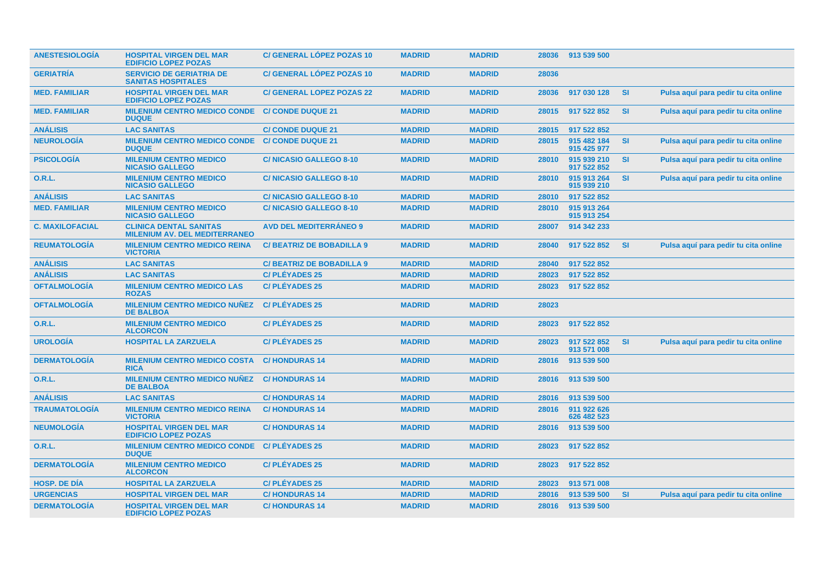| <b>ANESTESIOLOGIA</b>  | <b>HOSPITAL VIRGEN DEL MAR</b><br><b>EDIFICIO LOPEZ POZAS</b>         | <b>C/ GENERAL LÓPEZ POZAS 10</b> | <b>MADRID</b> | <b>MADRID</b> | 28036 | 913 539 500                |           |                                      |
|------------------------|-----------------------------------------------------------------------|----------------------------------|---------------|---------------|-------|----------------------------|-----------|--------------------------------------|
| <b>GERIATRÍA</b>       | <b>SERVICIO DE GERIATRIA DE</b><br><b>SANITAS HOSPITALES</b>          | <b>C/ GENERAL LÓPEZ POZAS 10</b> | <b>MADRID</b> | <b>MADRID</b> | 28036 |                            |           |                                      |
| <b>MED. FAMILIAR</b>   | <b>HOSPITAL VIRGEN DEL MAR</b><br><b>EDIFICIO LOPEZ POZAS</b>         | <b>C/ GENERAL LOPEZ POZAS 22</b> | <b>MADRID</b> | <b>MADRID</b> | 28036 | 917 030 128                | <b>SI</b> | Pulsa aquí para pedir tu cita online |
| <b>MED. FAMILIAR</b>   | <b>MILENIUM CENTRO MEDICO CONDE</b><br><b>DUQUE</b>                   | <b>C/ CONDE DUQUE 21</b>         | <b>MADRID</b> | <b>MADRID</b> | 28015 | 917 522 852                | <b>SI</b> | Pulsa aquí para pedir tu cita online |
| <b>ANÁLISIS</b>        | <b>LAC SANITAS</b>                                                    | <b>C/ CONDE DUQUE 21</b>         | <b>MADRID</b> | <b>MADRID</b> | 28015 | 917 522 852                |           |                                      |
| <b>NEUROLOGÍA</b>      | <b>MILENIUM CENTRO MEDICO CONDE</b><br><b>DUQUE</b>                   | <b>C/ CONDE DUQUE 21</b>         | <b>MADRID</b> | <b>MADRID</b> | 28015 | 915 482 184<br>915 425 977 | SI        | Pulsa aquí para pedir tu cita online |
| <b>PSICOLOGÍA</b>      | <b>MILENIUM CENTRO MEDICO</b><br><b>NICASIO GALLEGO</b>               | <b>C/NICASIO GALLEGO 8-10</b>    | <b>MADRID</b> | <b>MADRID</b> | 28010 | 915 939 210<br>917 522 852 | <b>SI</b> | Pulsa aquí para pedir tu cita online |
| 0.R.L.                 | <b>MILENIUM CENTRO MEDICO</b><br><b>NICASIO GALLEGO</b>               | <b>C/NICASIO GALLEGO 8-10</b>    | <b>MADRID</b> | <b>MADRID</b> | 28010 | 915 913 264<br>915 939 210 | <b>SI</b> | Pulsa aquí para pedir tu cita online |
| <b>ANÁLISIS</b>        | <b>LAC SANITAS</b>                                                    | <b>C/NICASIO GALLEGO 8-10</b>    | <b>MADRID</b> | <b>MADRID</b> | 28010 | 917 522 852                |           |                                      |
| <b>MED. FAMILIAR</b>   | <b>MILENIUM CENTRO MEDICO</b><br><b>NICASIO GALLEGO</b>               | <b>C/NICASIO GALLEGO 8-10</b>    | <b>MADRID</b> | <b>MADRID</b> | 28010 | 915 913 264<br>915 913 254 |           |                                      |
| <b>C. MAXILOFACIAL</b> | <b>CLINICA DENTAL SANITAS</b><br><b>MILENIUM AV. DEL MEDITERRANEO</b> | <b>AVD DEL MEDITERRÁNEO 9</b>    | <b>MADRID</b> | <b>MADRID</b> | 28007 | 914 342 233                |           |                                      |
| <b>REUMATOLOGIA</b>    | <b>MILENIUM CENTRO MEDICO REINA</b><br><b>VICTORIA</b>                | <b>C/BEATRIZ DE BOBADILLA 9</b>  | <b>MADRID</b> | <b>MADRID</b> | 28040 | 917 522 852                | <b>SI</b> | Pulsa aquí para pedir tu cita online |
| <b>ANÁLISIS</b>        | <b>LAC SANITAS</b>                                                    | <b>C/BEATRIZ DE BOBADILLA 9</b>  | <b>MADRID</b> | <b>MADRID</b> | 28040 | 917 522 852                |           |                                      |
| <b>ANÁLISIS</b>        | <b>LAC SANITAS</b>                                                    | <b>C/PLÉYADES 25</b>             | <b>MADRID</b> | <b>MADRID</b> | 28023 | 917 522 852                |           |                                      |
| <b>OFTALMOLOGÍA</b>    | <b>MILENIUM CENTRO MEDICO LAS</b><br><b>ROZAS</b>                     | <b>C/PLÉYADES 25</b>             | <b>MADRID</b> | <b>MADRID</b> | 28023 | 917 522 852                |           |                                      |
| <b>OFTALMOLOGÍA</b>    | <b>MILENIUM CENTRO MEDICO NUÑEZ</b><br><b>DE BALBOA</b>               | <b>C/PLÉYADES 25</b>             | <b>MADRID</b> | <b>MADRID</b> | 28023 |                            |           |                                      |
| 0.R.L.                 | <b>MILENIUM CENTRO MEDICO</b><br><b>ALCORCON</b>                      | <b>C/PLÉYADES 25</b>             | <b>MADRID</b> | <b>MADRID</b> | 28023 | 917 522 852                |           |                                      |
| <b>UROLOGÍA</b>        | <b>HOSPITAL LA ZARZUELA</b>                                           | <b>C/PLÉYADES 25</b>             | <b>MADRID</b> | <b>MADRID</b> | 28023 | 917 522 852<br>913 571 008 | <b>SI</b> | Pulsa aquí para pedir tu cita online |
| <b>DERMATOLOGIA</b>    | <b>MILENIUM CENTRO MEDICO COSTA</b><br><b>RICA</b>                    | <b>C/HONDURAS 14</b>             | <b>MADRID</b> | <b>MADRID</b> | 28016 | 913 539 500                |           |                                      |
| 0.R.L.                 | <b>MILENIUM CENTRO MEDICO NUÑEZ</b><br><b>DE BALBOA</b>               | <b>C/HONDURAS 14</b>             | <b>MADRID</b> | <b>MADRID</b> | 28016 | 913 539 500                |           |                                      |
| <b>ANÁLISIS</b>        | <b>LAC SANITAS</b>                                                    | <b>C/HONDURAS 14</b>             | <b>MADRID</b> | <b>MADRID</b> | 28016 | 913 539 500                |           |                                      |
| <b>TRAUMATOLOGÍA</b>   | <b>MILENIUM CENTRO MEDICO REINA</b><br><b>VICTORIA</b>                | <b>C/HONDURAS 14</b>             | <b>MADRID</b> | <b>MADRID</b> | 28016 | 911 922 626<br>626 482 523 |           |                                      |
| <b>NEUMOLOGÍA</b>      | <b>HOSPITAL VIRGEN DEL MAR</b><br><b>EDIFICIO LOPEZ POZAS</b>         | <b>C/HONDURAS 14</b>             | <b>MADRID</b> | <b>MADRID</b> | 28016 | 913 539 500                |           |                                      |
| 0.R.L.                 | <b>MILENIUM CENTRO MEDICO CONDE</b><br><b>DUQUE</b>                   | <b>C/PLÉYADES 25</b>             | <b>MADRID</b> | <b>MADRID</b> | 28023 | 917 522 852                |           |                                      |
| <b>DERMATOLOGÍA</b>    | <b>MILENIUM CENTRO MEDICO</b><br><b>ALCORCON</b>                      | <b>C/PLÉYADES 25</b>             | <b>MADRID</b> | <b>MADRID</b> | 28023 | 917 522 852                |           |                                      |
| <b>HOSP, DE DIA</b>    | <b>HOSPITAL LA ZARZUELA</b>                                           | <b>C/PLÉYADES 25</b>             | <b>MADRID</b> | <b>MADRID</b> | 28023 | 913 571 008                |           |                                      |
| <b>URGENCIAS</b>       | <b>HOSPITAL VIRGEN DEL MAR</b>                                        | <b>C/HONDURAS 14</b>             | <b>MADRID</b> | <b>MADRID</b> | 28016 | 913 539 500                | <b>SI</b> | Pulsa aguí para pedir tu cita online |
| <b>DERMATOLOGÍA</b>    | <b>HOSPITAL VIRGEN DEL MAR</b><br><b>EDIFICIO LOPEZ POZAS</b>         | <b>C/HONDURAS 14</b>             | <b>MADRID</b> | <b>MADRID</b> |       | 28016 913 539 500          |           |                                      |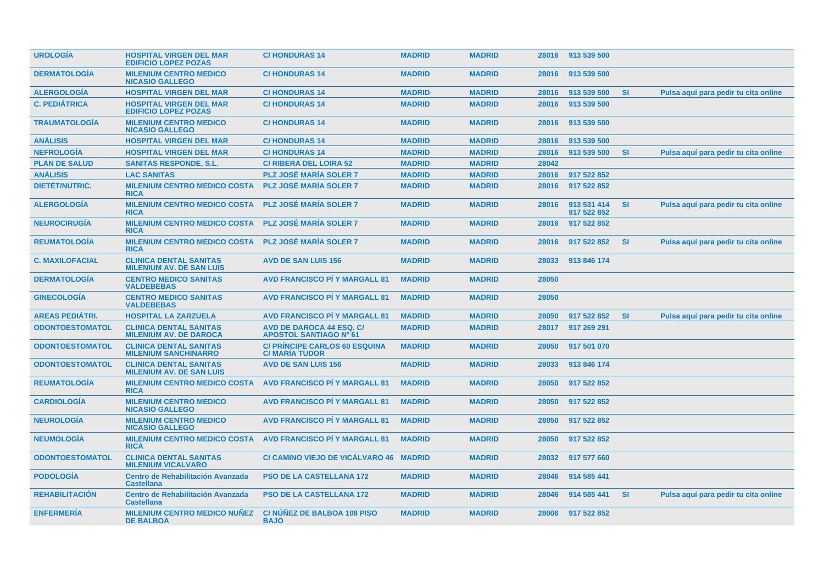| <b>UROLOGIA</b>        | <b>HOSPITAL VIRGEN DEL MAR</b><br><b>EDIFICIO LOPEZ POZAS</b>    | <b>C/HONDURAS 14</b>                                             | <b>MADRID</b> | <b>MADRID</b> |       | 28016 913 539 500          |           |                                      |
|------------------------|------------------------------------------------------------------|------------------------------------------------------------------|---------------|---------------|-------|----------------------------|-----------|--------------------------------------|
| <b>DERMATOLOGIA</b>    | <b>MILENIUM CENTRO MEDICO</b><br><b>NICASIO GALLEGO</b>          | <b>C/HONDURAS 14</b>                                             | <b>MADRID</b> | <b>MADRID</b> | 28016 | 913 539 500                |           |                                      |
| <b>ALERGOLOGIA</b>     | <b>HOSPITAL VIRGEN DEL MAR</b>                                   | <b>C/HONDURAS14</b>                                              | <b>MADRID</b> | <b>MADRID</b> | 28016 | 913 539 500                | <b>SI</b> | Pulsa aquí para pedir tu cita online |
| <b>C. PEDIÁTRICA</b>   | <b>HOSPITAL VIRGEN DEL MAR</b><br><b>EDIFICIO LOPEZ POZAS</b>    | <b>C/HONDURAS 14</b>                                             | <b>MADRID</b> | <b>MADRID</b> | 28016 | 913 539 500                |           |                                      |
| <b>TRAUMATOLOGÍA</b>   | <b>MILENIUM CENTRO MEDICO</b><br><b>NICASIO GALLEGO</b>          | <b>C/HONDURAS 14</b>                                             | <b>MADRID</b> | <b>MADRID</b> | 28016 | 913 539 500                |           |                                      |
| <b>ANÁLISIS</b>        | <b>HOSPITAL VIRGEN DEL MAR</b>                                   | <b>C/HONDURAS 14</b>                                             | <b>MADRID</b> | <b>MADRID</b> | 28016 | 913 539 500                |           |                                      |
| <b>NEFROLOGÍA</b>      | <b>HOSPITAL VIRGEN DEL MAR</b>                                   | <b>C/HONDURAS14</b>                                              | <b>MADRID</b> | <b>MADRID</b> | 28016 | 913 539 500                | <b>SI</b> | Pulsa aquí para pedir tu cita online |
| <b>PLAN DE SALUD</b>   | <b>SANITAS RESPONDE, S.L.</b>                                    | <b>C/ RIBERA DEL LOIRA 52</b>                                    | <b>MADRID</b> | <b>MADRID</b> | 28042 |                            |           |                                      |
| <b>ANÁLISIS</b>        | <b>LAC SANITAS</b>                                               | <b>PLZ JOSÉ MARÍA SOLER 7</b>                                    | <b>MADRID</b> | <b>MADRID</b> | 28016 | 917 522 852                |           |                                      |
| <b>DIETÉT/NUTRIC.</b>  | <b>MILENIUM CENTRO MEDICO COSTA</b><br><b>RICA</b>               | <b>PLZ JOSÉ MARÍA SOLER 7</b>                                    | <b>MADRID</b> | <b>MADRID</b> | 28016 | 917 522 852                |           |                                      |
| <b>ALERGOLOGÍA</b>     | <b>MILENIUM CENTRO MEDICO COSTA</b><br><b>RICA</b>               | <b>PLZ JOSÉ MARÍA SOLER 7</b>                                    | <b>MADRID</b> | <b>MADRID</b> | 28016 | 913 531 414<br>917 522 852 | <b>SI</b> | Pulsa aquí para pedir tu cita online |
| <b>NEUROCIRUGÍA</b>    | <b>MILENIUM CENTRO MEDICO COSTA</b><br><b>RICA</b>               | <b>PLZ JOSÉ MARÍA SOLER 7</b>                                    | <b>MADRID</b> | <b>MADRID</b> | 28016 | 917 522 852                |           |                                      |
| <b>REUMATOLOGÍA</b>    | <b>MILENIUM CENTRO MEDICO COSTA</b><br><b>RICA</b>               | <b>PLZ JOSÉ MARÍA SOLER 7</b>                                    | <b>MADRID</b> | <b>MADRID</b> | 28016 | 917 522 852                | <b>SI</b> | Pulsa aquí para pedir tu cita online |
| <b>C. MAXILOFACIAL</b> | <b>CLINICA DENTAL SANITAS</b><br><b>MILENIUM AV. DE SAN LUIS</b> | <b>AVD DE SAN LUIS 156</b>                                       | <b>MADRID</b> | <b>MADRID</b> | 28033 | 913 846 174                |           |                                      |
| <b>DERMATOLOGÍA</b>    | <b>CENTRO MEDICO SANITAS</b><br><b>VALDEBEBAS</b>                | <b>AVD FRANCISCO PÍ Y MARGALL 81</b>                             | <b>MADRID</b> | <b>MADRID</b> | 28050 |                            |           |                                      |
| <b>GINECOLOGÍA</b>     | <b>CENTRO MEDICO SANITAS</b><br><b>VALDEBEBAS</b>                | <b>AVD FRANCISCO PÍ Y MARGALL 81</b>                             | <b>MADRID</b> | <b>MADRID</b> | 28050 |                            |           |                                      |
| <b>AREAS PEDIÁTRI.</b> | <b>HOSPITAL LA ZARZUELA</b>                                      | <b>AVD FRANCISCO PI Y MARGALL 81</b>                             | <b>MADRID</b> | <b>MADRID</b> | 28050 | 917 522 852                | <b>SI</b> | Pulsa aquí para pedir tu cita online |
| <b>ODONTOESTOMATOL</b> | <b>CLINICA DENTAL SANITAS</b><br><b>MILENIUM AV. DE DAROCA</b>   | <b>AVD DE DAROCA 44 ESQ. C/</b><br><b>APOSTOL SANTIAGO Nº 61</b> | <b>MADRID</b> | <b>MADRID</b> | 28017 | 917 269 291                |           |                                      |
| <b>ODONTOESTOMATOL</b> | <b>CLINICA DENTAL SANITAS</b><br><b>MILENIUM SANCHINARRO</b>     | <b>C/ PRINCIPE CARLOS 60 ESQUINA</b><br><b>C/MARIA TUDOR</b>     | <b>MADRID</b> | <b>MADRID</b> | 28050 | 917 501 070                |           |                                      |
| <b>ODONTOESTOMATOL</b> | <b>CLINICA DENTAL SANITAS</b><br><b>MILENIUM AV. DE SAN LUIS</b> | <b>AVD DE SAN LUIS 156</b>                                       | <b>MADRID</b> | <b>MADRID</b> | 28033 | 913 846 174                |           |                                      |
| <b>REUMATOLOGIA</b>    | <b>MILENIUM CENTRO MEDICO COSTA</b><br><b>RICA</b>               | <b>AVD FRANCISCO PÍ Y MARGALL 81</b>                             | <b>MADRID</b> | <b>MADRID</b> | 28050 | 917 522 852                |           |                                      |
| <b>CARDIOLOGIA</b>     | <b>MILENIUM CENTRO MEDICO</b><br><b>NICASIO GALLEGO</b>          | <b>AVD FRANCISCO PI Y MARGALL 81</b>                             | <b>MADRID</b> | <b>MADRID</b> | 28050 | 917 522 852                |           |                                      |
| <b>NEUROLOGIA</b>      | <b>MILENIUM CENTRO MEDICO</b><br><b>NICASIO GALLEGO</b>          | <b>AVD FRANCISCO PI Y MARGALL 81</b>                             | <b>MADRID</b> | <b>MADRID</b> | 28050 | 917 522 852                |           |                                      |
| <b>NEUMOLOGIA</b>      | <b>MILENIUM CENTRO MEDICO COSTA</b><br><b>RICA</b>               | <b>AVD FRANCISCO PÍ Y MARGALL 81</b>                             | <b>MADRID</b> | <b>MADRID</b> | 28050 | 917 522 852                |           |                                      |
| <b>ODONTOESTOMATOL</b> | <b>CLINICA DENTAL SANITAS</b><br><b>MILENIUM VICALVARO</b>       | C/ CAMINO VIEJO DE VICÁLVARO 46 MADRID                           |               | <b>MADRID</b> | 28032 | 917 577 660                |           |                                      |
| <b>PODOLOGIA</b>       | Centro de Rehabilitación Avanzada<br><b>Castellana</b>           | <b>PSO DE LA CASTELLANA 172</b>                                  | <b>MADRID</b> | <b>MADRID</b> | 28046 | 914 585 441                |           |                                      |
| <b>REHABILITACIÓN</b>  | <b>Centro de Rehabilitación Avanzada</b><br><b>Castellana</b>    | <b>PSO DE LA CASTELLANA 172</b>                                  | <b>MADRID</b> | <b>MADRID</b> | 28046 | 914 585 441                | <b>SI</b> | Pulsa aquí para pedir tu cita online |
| <b>ENFERMERÍA</b>      | <b>MILENIUM CENTRO MEDICO NUÑEZ</b><br><b>DE BALBOA</b>          | C/NUNEZ DE BALBOA 108 PISO<br><b>BAJO</b>                        | <b>MADRID</b> | <b>MADRID</b> | 28006 | 917 522 852                |           |                                      |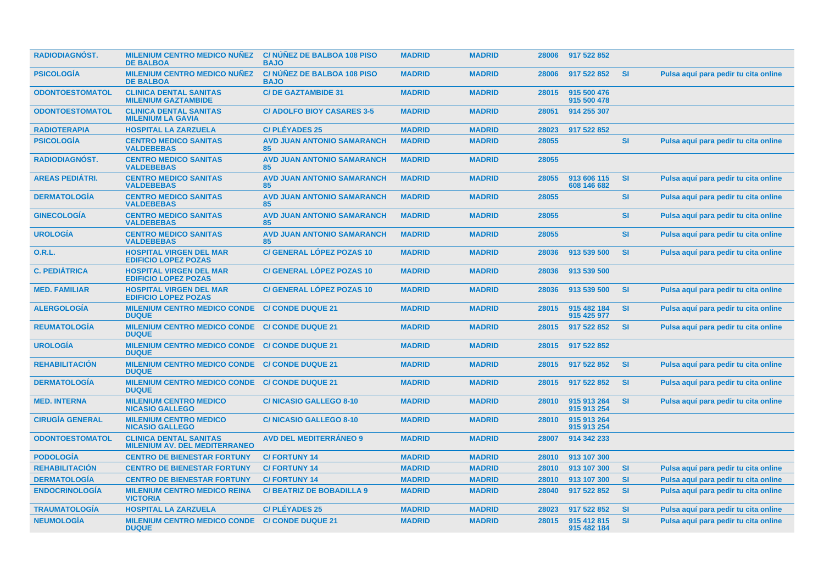| <b>RADIODIAGNÓST.</b>  | <b>MILENIUM CENTRO MEDICO NUÑEZ</b><br><b>DE BALBOA</b>               | <b>C/NUNEZ DE BALBOA 108 PISO</b><br><b>BAJO</b> | <b>MADRID</b> | <b>MADRID</b> | 28006 | 917 522 852                |           |                                      |
|------------------------|-----------------------------------------------------------------------|--------------------------------------------------|---------------|---------------|-------|----------------------------|-----------|--------------------------------------|
| <b>PSICOLOGIA</b>      | <b>MILENIUM CENTRO MEDICO NUÑEZ</b><br><b>DE BALBOA</b>               | <b>C/NUNEZ DE BALBOA 108 PISO</b><br><b>BAJO</b> | <b>MADRID</b> | <b>MADRID</b> | 28006 | 917 522 852                | <b>SI</b> | Pulsa aquí para pedir tu cita online |
| <b>ODONTOESTOMATOL</b> | <b>CLINICA DENTAL SANITAS</b><br><b>MILENIUM GAZTAMBIDE</b>           | <b>C/DE GAZTAMBIDE 31</b>                        | <b>MADRID</b> | <b>MADRID</b> | 28015 | 915 500 476<br>915 500 478 |           |                                      |
| <b>ODONTOESTOMATOL</b> | <b>CLINICA DENTAL SANITAS</b><br><b>MILENIUM LA GAVIA</b>             | <b>C/ ADOLFO BIOY CASARES 3-5</b>                | <b>MADRID</b> | <b>MADRID</b> | 28051 | 914 255 307                |           |                                      |
| <b>RADIOTERAPIA</b>    | <b>HOSPITAL LA ZARZUELA</b>                                           | <b>C/PLÉYADES 25</b>                             | <b>MADRID</b> | <b>MADRID</b> | 28023 | 917 522 852                |           |                                      |
| <b>PSICOLOGÍA</b>      | <b>CENTRO MEDICO SANITAS</b><br><b>VALDEBEBAS</b>                     | <b>AVD JUAN ANTONIO SAMARANCH</b><br>85          | <b>MADRID</b> | <b>MADRID</b> | 28055 |                            | <b>SI</b> | Pulsa aquí para pedir tu cita online |
| <b>RADIODIAGNÓST.</b>  | <b>CENTRO MEDICO SANITAS</b><br><b>VALDEBEBAS</b>                     | <b>AVD JUAN ANTONIO SAMARANCH</b><br>85          | <b>MADRID</b> | <b>MADRID</b> | 28055 |                            |           |                                      |
| <b>AREAS PEDIÁTRI.</b> | <b>CENTRO MEDICO SANITAS</b><br><b>VALDEBEBAS</b>                     | <b>AVD JUAN ANTONIO SAMARANCH</b><br>85          | <b>MADRID</b> | <b>MADRID</b> | 28055 | 913 606 115<br>608 146 682 | <b>SI</b> | Pulsa aquí para pedir tu cita online |
| <b>DERMATOLOGIA</b>    | <b>CENTRO MEDICO SANITAS</b><br><b>VALDEBEBAS</b>                     | <b>AVD JUAN ANTONIO SAMARANCH</b><br>85          | <b>MADRID</b> | <b>MADRID</b> | 28055 |                            | SI        | Pulsa aquí para pedir tu cita online |
| <b>GINECOLOGÍA</b>     | <b>CENTRO MEDICO SANITAS</b><br><b>VALDEBEBAS</b>                     | <b>AVD JUAN ANTONIO SAMARANCH</b><br>85          | <b>MADRID</b> | <b>MADRID</b> | 28055 |                            | <b>SI</b> | Pulsa aquí para pedir tu cita online |
| <b>UROLOGÍA</b>        | <b>CENTRO MEDICO SANITAS</b><br><b>VALDEBEBAS</b>                     | <b>AVD JUAN ANTONIO SAMARANCH</b><br>85          | <b>MADRID</b> | <b>MADRID</b> | 28055 |                            | <b>SI</b> | Pulsa aquí para pedir tu cita online |
| <b>O.R.L.</b>          | <b>HOSPITAL VIRGEN DEL MAR</b><br><b>EDIFICIO LOPEZ POZAS</b>         | <b>C/ GENERAL LÓPEZ POZAS 10</b>                 | <b>MADRID</b> | <b>MADRID</b> | 28036 | 913 539 500                | SI        | Pulsa aquí para pedir tu cita online |
| <b>C. PEDIÁTRICA</b>   | <b>HOSPITAL VIRGEN DEL MAR</b><br><b>EDIFICIO LOPEZ POZAS</b>         | <b>C/ GENERAL LÓPEZ POZAS 10</b>                 | <b>MADRID</b> | <b>MADRID</b> | 28036 | 913 539 500                |           |                                      |
| <b>MED. FAMILIAR</b>   | <b>HOSPITAL VIRGEN DEL MAR</b><br><b>EDIFICIO LOPEZ POZAS</b>         | <b>C/ GENERAL LÓPEZ POZAS 10</b>                 | <b>MADRID</b> | <b>MADRID</b> | 28036 | 913 539 500                | <b>SI</b> | Pulsa aquí para pedir tu cita online |
| <b>ALERGOLOGIA</b>     | <b>MILENIUM CENTRO MEDICO CONDE</b><br><b>DUQUE</b>                   | <b>C/ CONDE DUQUE 21</b>                         | <b>MADRID</b> | <b>MADRID</b> | 28015 | 915 482 184<br>915 425 977 | <b>SI</b> | Pulsa aquí para pedir tu cita online |
| <b>REUMATOLOGÍA</b>    | MILENIUM CENTRO MEDICO CONDE C/ CONDE DUQUE 21<br><b>DUQUE</b>        |                                                  | <b>MADRID</b> | <b>MADRID</b> | 28015 | 917 522 852                | <b>SI</b> | Pulsa aquí para pedir tu cita online |
| <b>UROLOGÍA</b>        | <b>MILENIUM CENTRO MEDICO CONDE</b><br><b>DUQUE</b>                   | <b>C/ CONDE DUQUE 21</b>                         | <b>MADRID</b> | <b>MADRID</b> | 28015 | 917 522 852                |           |                                      |
| <b>REHABILITACION</b>  | MILENIUM CENTRO MEDICO CONDE C/ CONDE DUQUE 21<br><b>DUQUE</b>        |                                                  | <b>MADRID</b> | <b>MADRID</b> | 28015 | 917 522 852                | <b>SI</b> | Pulsa aguí para pedir tu cita online |
| <b>DERMATOLOGIA</b>    | <b>MILENIUM CENTRO MEDICO CONDE</b><br><b>DUQUE</b>                   | <b>C/ CONDE DUQUE 21</b>                         | <b>MADRID</b> | <b>MADRID</b> | 28015 | 917 522 852                | <b>SI</b> | Pulsa aquí para pedir tu cita online |
| <b>MED. INTERNA</b>    | <b>MILENIUM CENTRO MEDICO</b><br><b>NICASIO GALLEGO</b>               | <b>C/NICASIO GALLEGO 8-10</b>                    | <b>MADRID</b> | <b>MADRID</b> | 28010 | 915 913 264<br>915 913 254 | <b>SI</b> | Pulsa aquí para pedir tu cita online |
| <b>CIRUGÍA GENERAL</b> | <b>MILENIUM CENTRO MEDICO</b><br><b>NICASIO GALLEGO</b>               | <b>C/NICASIO GALLEGO 8-10</b>                    | <b>MADRID</b> | <b>MADRID</b> | 28010 | 915 913 264<br>915 913 254 |           |                                      |
| <b>ODONTOESTOMATOL</b> | <b>CLINICA DENTAL SANITAS</b><br><b>MILENIUM AV. DEL MEDITERRANEO</b> | <b>AVD DEL MEDITERRANEO 9</b>                    | <b>MADRID</b> | <b>MADRID</b> | 28007 | 914 342 233                |           |                                      |
| <b>PODOLOGIA</b>       | <b>CENTRO DE BIENESTAR FORTUNY</b>                                    | <b>C/FORTUNY 14</b>                              | <b>MADRID</b> | <b>MADRID</b> | 28010 | 913 107 300                |           |                                      |
| <b>REHABILITACIÓN</b>  | <b>CENTRO DE BIENESTAR FORTUNY</b>                                    | <b>C/FORTUNY 14</b>                              | <b>MADRID</b> | <b>MADRID</b> | 28010 | 913 107 300                | SI        | Pulsa aquí para pedir tu cita online |
| <b>DERMATOLOGÍA</b>    | <b>CENTRO DE BIENESTAR FORTUNY</b>                                    | <b>C/FORTUNY 14</b>                              | <b>MADRID</b> | <b>MADRID</b> | 28010 | 913 107 300                | SI        | Pulsa aquí para pedir tu cita online |
| <b>ENDOCRINOLOGÍA</b>  | <b>MILENIUM CENTRO MEDICO REINA</b><br><b>VICTORIA</b>                | <b>C/BEATRIZ DE BOBADILLA 9</b>                  | <b>MADRID</b> | <b>MADRID</b> | 28040 | 917 522 852                | <b>SI</b> | Pulsa aquí para pedir tu cita online |
| <b>TRAUMATOLOGIA</b>   | <b>HOSPITAL LA ZARZUELA</b>                                           | <b>C/PLEYADES 25</b>                             | <b>MADRID</b> | <b>MADRID</b> | 28023 | 917 522 852                | <b>SI</b> | Pulsa aquí para pedir tu cita online |
| <b>NEUMOLOGIA</b>      | <b>MILENIUM CENTRO MEDICO CONDE</b><br><b>DUQUE</b>                   | <b>C/ CONDE DUQUE 21</b>                         | <b>MADRID</b> | <b>MADRID</b> | 28015 | 915 412 815<br>915 482 184 | <b>SI</b> | Pulsa aquí para pedir tu cita online |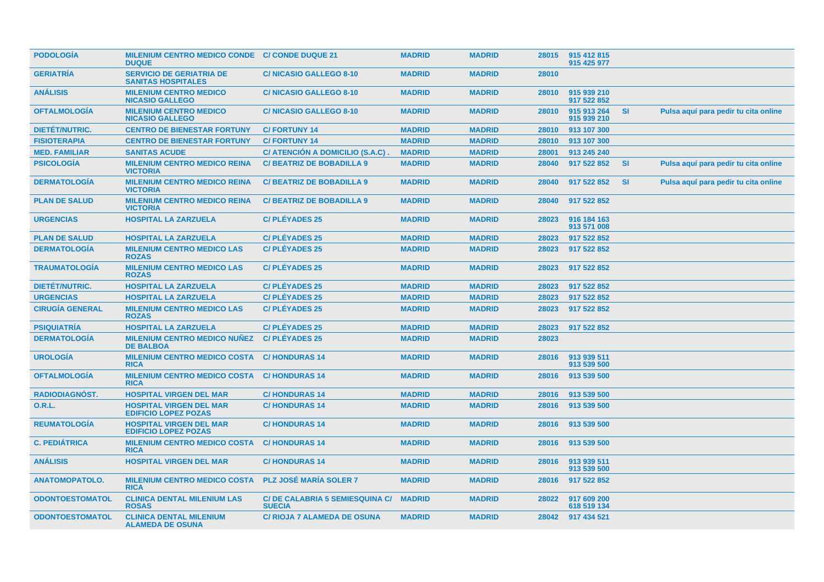| <b>PODOLOGIA</b>       | MILENIUM CENTRO MEDICO CONDE C/ CONDE DUQUE 21<br><b>DUQUE</b> |                                                        | <b>MADRID</b> | <b>MADRID</b> | 28015 | 915 412 815<br>915 425 977 |           |                                      |
|------------------------|----------------------------------------------------------------|--------------------------------------------------------|---------------|---------------|-------|----------------------------|-----------|--------------------------------------|
| <b>GERIATRIA</b>       | <b>SERVICIO DE GERIATRIA DE</b><br><b>SANITAS HOSPITALES</b>   | <b>C/NICASIO GALLEGO 8-10</b>                          | <b>MADRID</b> | <b>MADRID</b> | 28010 |                            |           |                                      |
| <b>ANÁLISIS</b>        | <b>MILENIUM CENTRO MEDICO</b><br><b>NICASIO GALLEGO</b>        | <b>C/NICASIO GALLEGO 8-10</b>                          | <b>MADRID</b> | <b>MADRID</b> | 28010 | 915 939 210<br>917 522 852 |           |                                      |
| <b>OFTALMOLOGIA</b>    | <b>MILENIUM CENTRO MEDICO</b><br><b>NICASIO GALLEGO</b>        | <b>C/NICASIO GALLEGO 8-10</b>                          | <b>MADRID</b> | <b>MADRID</b> | 28010 | 915 913 264<br>915 939 210 | <b>SI</b> | Pulsa aquí para pedir tu cita online |
| DIETÉT/NUTRIC.         | <b>CENTRO DE BIENESTAR FORTUNY</b>                             | <b>C/FORTUNY 14</b>                                    | <b>MADRID</b> | <b>MADRID</b> | 28010 | 913 107 300                |           |                                      |
| <b>FISIOTERAPIA</b>    | <b>CENTRO DE BIENESTAR FORTUNY</b>                             | <b>C/FORTUNY 14</b>                                    | <b>MADRID</b> | <b>MADRID</b> | 28010 | 913 107 300                |           |                                      |
| <b>MED. FAMILIAR</b>   | <b>SANITAS ACUDE</b>                                           | C/ ATENCIÓN A DOMICILIO (S.A.C)                        | <b>MADRID</b> | <b>MADRID</b> | 28001 | 913 245 240                |           |                                      |
| <b>PSICOLOGÍA</b>      | <b>MILENIUM CENTRO MEDICO REINA</b><br><b>VICTORIA</b>         | <b>C/BEATRIZ DE BOBADILLA 9</b>                        | <b>MADRID</b> | <b>MADRID</b> | 28040 | 917 522 852                | <b>SI</b> | Pulsa aquí para pedir tu cita online |
| <b>DERMATOLOGÍA</b>    | <b>MILENIUM CENTRO MEDICO REINA</b><br><b>VICTORIA</b>         | <b>C/BEATRIZ DE BOBADILLA 9</b>                        | <b>MADRID</b> | <b>MADRID</b> | 28040 | 917 522 852                | <b>SI</b> | Pulsa aquí para pedir tu cita online |
| <b>PLAN DE SALUD</b>   | <b>MILENIUM CENTRO MEDICO REINA</b><br><b>VICTORIA</b>         | <b>C/BEATRIZ DE BOBADILLA 9</b>                        | <b>MADRID</b> | <b>MADRID</b> | 28040 | 917 522 852                |           |                                      |
| <b>URGENCIAS</b>       | <b>HOSPITAL LA ZARZUELA</b>                                    | <b>C/PLÉYADES 25</b>                                   | <b>MADRID</b> | <b>MADRID</b> | 28023 | 916 184 163<br>913 571 008 |           |                                      |
| <b>PLAN DE SALUD</b>   | <b>HOSPITAL LA ZARZUELA</b>                                    | <b>C/PLÉYADES 25</b>                                   | <b>MADRID</b> | <b>MADRID</b> | 28023 | 917 522 852                |           |                                      |
| <b>DERMATOLOGÍA</b>    | <b>MILENIUM CENTRO MEDICO LAS</b><br><b>ROZAS</b>              | <b>C/PLÉYADES 25</b>                                   | <b>MADRID</b> | <b>MADRID</b> | 28023 | 917 522 852                |           |                                      |
| <b>TRAUMATOLOGÍA</b>   | <b>MILENIUM CENTRO MEDICO LAS</b><br><b>ROZAS</b>              | <b>C/PLÉYADES 25</b>                                   | <b>MADRID</b> | <b>MADRID</b> | 28023 | 917 522 852                |           |                                      |
| <b>DIETET/NUTRIC.</b>  | <b>HOSPITAL LA ZARZUELA</b>                                    | <b>C/PLEYADES 25</b>                                   | <b>MADRID</b> | <b>MADRID</b> | 28023 | 917 522 852                |           |                                      |
| <b>URGENCIAS</b>       | <b>HOSPITAL LA ZARZUELA</b>                                    | <b>C/PLÉYADES 25</b>                                   | <b>MADRID</b> | <b>MADRID</b> | 28023 | 917 522 852                |           |                                      |
| <b>CIRUGÍA GENERAL</b> | <b>MILENIUM CENTRO MEDICO LAS</b><br><b>ROZAS</b>              | <b>C/PLEYADES 25</b>                                   | <b>MADRID</b> | <b>MADRID</b> | 28023 | 917 522 852                |           |                                      |
| <b>PSIQUIATRÍA</b>     | <b>HOSPITAL LA ZARZUELA</b>                                    | <b>C/PLÉYADES 25</b>                                   | <b>MADRID</b> | <b>MADRID</b> | 28023 | 917 522 852                |           |                                      |
| <b>DERMATOLOGÍA</b>    | <b>MILENIUM CENTRO MEDICO NUÑEZ</b><br><b>DE BALBOA</b>        | <b>C/PLÉYADES 25</b>                                   | <b>MADRID</b> | <b>MADRID</b> | 28023 |                            |           |                                      |
| <b>UROLOGÍA</b>        | <b>MILENIUM CENTRO MEDICO COSTA</b><br><b>RICA</b>             | <b>C/HONDURAS 14</b>                                   | <b>MADRID</b> | <b>MADRID</b> | 28016 | 913 939 511<br>913 539 500 |           |                                      |
| <b>OFTALMOLOGÍA</b>    | MILENIUM CENTRO MEDICO COSTA C/ HONDURAS 14<br><b>RICA</b>     |                                                        | <b>MADRID</b> | <b>MADRID</b> | 28016 | 913 539 500                |           |                                      |
| <b>RADIODIAGNÓST.</b>  | <b>HOSPITAL VIRGEN DEL MAR</b>                                 | <b>C/HONDURAS 14</b>                                   | <b>MADRID</b> | <b>MADRID</b> | 28016 | 913 539 500                |           |                                      |
| <b>O.R.L.</b>          | <b>HOSPITAL VIRGEN DEL MAR</b><br><b>EDIFICIO LOPEZ POZAS</b>  | <b>C/HONDURAS 14</b>                                   | <b>MADRID</b> | <b>MADRID</b> | 28016 | 913 539 500                |           |                                      |
| <b>REUMATOLOGIA</b>    | <b>HOSPITAL VIRGEN DEL MAR</b><br><b>EDIFICIO LOPEZ POZAS</b>  | <b>C/HONDURAS 14</b>                                   | <b>MADRID</b> | <b>MADRID</b> | 28016 | 913 539 500                |           |                                      |
| <b>C. PEDIÁTRICA</b>   | <b>MILENIUM CENTRO MEDICO COSTA</b><br><b>RICA</b>             | <b>C/HONDURAS 14</b>                                   | <b>MADRID</b> | <b>MADRID</b> | 28016 | 913 539 500                |           |                                      |
| <b>ANÁLISIS</b>        | <b>HOSPITAL VIRGEN DEL MAR</b>                                 | <b>C/HONDURAS14</b>                                    | <b>MADRID</b> | <b>MADRID</b> | 28016 | 913 939 511<br>913 539 500 |           |                                      |
| <b>ANATOMOPATOLO.</b>  | <b>MILENIUM CENTRO MEDICO COSTA</b><br><b>RICA</b>             | <b>PLZ JOSÉ MARÍA SOLER 7</b>                          | <b>MADRID</b> | <b>MADRID</b> | 28016 | 917 522 852                |           |                                      |
| <b>ODONTOESTOMATOL</b> | <b>CLINICA DENTAL MILENIUM LAS</b><br><b>ROSAS</b>             | <b>C/DE CALABRIA 5 SEMIESQUINA C/</b><br><b>SUECIA</b> | <b>MADRID</b> | <b>MADRID</b> | 28022 | 917 609 200<br>618 519 134 |           |                                      |
| <b>ODONTOESTOMATOL</b> | <b>CLINICA DENTAL MILENIUM</b><br><b>ALAMEDA DE OSUNA</b>      | <b>C/ RIOJA 7 ALAMEDA DE OSUNA</b>                     | <b>MADRID</b> | <b>MADRID</b> |       | 28042 917 434 521          |           |                                      |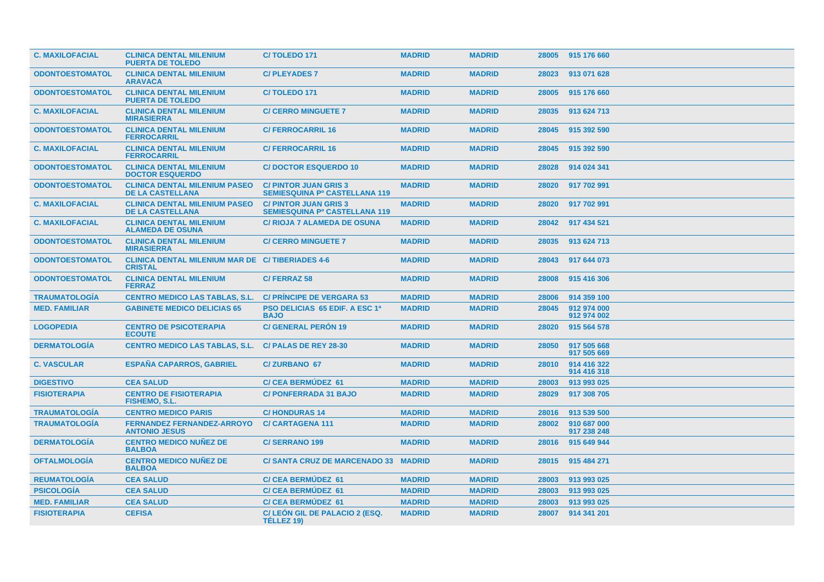| <b>C. MAXILOFACIAL</b> | <b>CLINICA DENTAL MILENIUM</b><br><b>PUERTA DE TOLEDO</b>                | C/TOLEDO <sub>171</sub>                                             | <b>MADRID</b> | <b>MADRID</b> | 28005 | 915 176 660                |
|------------------------|--------------------------------------------------------------------------|---------------------------------------------------------------------|---------------|---------------|-------|----------------------------|
| <b>ODONTOESTOMATOL</b> | <b>CLINICA DENTAL MILENIUM</b><br><b>ARAVACA</b>                         | <b>C/PLEYADES 7</b>                                                 | <b>MADRID</b> | <b>MADRID</b> | 28023 | 913 071 628                |
| <b>ODONTOESTOMATOL</b> | <b>CLINICA DENTAL MILENIUM</b><br><b>PUERTA DE TOLEDO</b>                | <b>C/TOLEDO 171</b>                                                 | <b>MADRID</b> | <b>MADRID</b> | 28005 | 915 176 660                |
| <b>C. MAXILOFACIAL</b> | <b>CLINICA DENTAL MILENIUM</b><br><b>MIRASIERRA</b>                      | <b>C/ CERRO MINGUETE 7</b>                                          | <b>MADRID</b> | <b>MADRID</b> | 28035 | 913 624 713                |
| <b>ODONTOESTOMATOL</b> | <b>CLINICA DENTAL MILENIUM</b><br><b>FERROCARRIL</b>                     | <b>C/FERROCARRIL 16</b>                                             | <b>MADRID</b> | <b>MADRID</b> | 28045 | 915 392 590                |
| <b>C. MAXILOFACIAL</b> | <b>CLINICA DENTAL MILENIUM</b><br><b>FERROCARRIL</b>                     | <b>C/FERROCARRIL 16</b>                                             | <b>MADRID</b> | <b>MADRID</b> | 28045 | 915 392 590                |
| <b>ODONTOESTOMATOL</b> | <b>CLINICA DENTAL MILENIUM</b><br><b>DOCTOR ESQUERDO</b>                 | <b>C/DOCTOR ESQUERDO 10</b>                                         | <b>MADRID</b> | <b>MADRID</b> | 28028 | 914 024 341                |
| <b>ODONTOESTOMATOL</b> | <b>CLINICA DENTAL MILENIUM PASEO</b><br><b>DE LA CASTELLANA</b>          | <b>C/PINTOR JUAN GRIS 3</b><br><b>SEMIESQUINA Pº CASTELLANA 119</b> | <b>MADRID</b> | <b>MADRID</b> | 28020 | 917 702 991                |
| <b>C. MAXILOFACIAL</b> | <b>CLINICA DENTAL MILENIUM PASEO</b><br><b>DE LA CASTELLANA</b>          | <b>C/PINTOR JUAN GRIS 3</b><br><b>SEMIESQUINA Pº CASTELLANA 119</b> | <b>MADRID</b> | <b>MADRID</b> | 28020 | 917 702 991                |
| <b>C. MAXILOFACIAL</b> | <b>CLINICA DENTAL MILENIUM</b><br><b>ALAMEDA DE OSUNA</b>                | <b>C/ RIOJA 7 ALAMEDA DE OSUNA</b>                                  | <b>MADRID</b> | <b>MADRID</b> | 28042 | 917 434 521                |
| <b>ODONTOESTOMATOL</b> | <b>CLINICA DENTAL MILENIUM</b><br><b>MIRASIERRA</b>                      | <b>C/ CERRO MINGUETE 7</b>                                          | <b>MADRID</b> | <b>MADRID</b> | 28035 | 913 624 713                |
| <b>ODONTOESTOMATOL</b> | <b>CLINICA DENTAL MILENIUM MAR DE C/TIBERIADES 4-6</b><br><b>CRISTAL</b> |                                                                     | <b>MADRID</b> | <b>MADRID</b> | 28043 | 917 644 073                |
| <b>ODONTOESTOMATOL</b> | <b>CLINICA DENTAL MILENIUM</b><br><b>FERRAZ</b>                          | <b>C/FERRAZ 58</b>                                                  | <b>MADRID</b> | <b>MADRID</b> | 28008 | 915 416 306                |
| <b>TRAUMATOLOGIA</b>   | <b>CENTRO MEDICO LAS TABLAS, S.L.</b>                                    | <b>C/ PRINCIPE DE VERGARA 53</b>                                    | <b>MADRID</b> | <b>MADRID</b> | 28006 | 914 359 100                |
| <b>MED. FAMILIAR</b>   | <b>GABINETE MEDICO DELICIAS 65</b>                                       | <b>PSO DELICIAS 65 EDIF. A ESC 1ª</b><br><b>BAJO</b>                | <b>MADRID</b> | <b>MADRID</b> | 28045 | 912 974 000<br>912 974 002 |
| <b>LOGOPEDIA</b>       | <b>CENTRO DE PSICOTERAPIA</b><br><b>ECOUTE</b>                           | <b>C/ GENERAL PERON 19</b>                                          | <b>MADRID</b> | <b>MADRID</b> | 28020 | 915 564 578                |
| <b>DERMATOLOGÍA</b>    | <b>CENTRO MEDICO LAS TABLAS, S.L.</b>                                    | <b>C/PALAS DE REY 28-30</b>                                         | <b>MADRID</b> | <b>MADRID</b> | 28050 | 917 505 668<br>917 505 669 |
| <b>C. VASCULAR</b>     | <b>ESPAÑA CAPARROS, GABRIEL</b>                                          | <b>C/ZURBANO 67</b>                                                 | <b>MADRID</b> | <b>MADRID</b> | 28010 | 914 416 322<br>914 416 318 |
| <b>DIGESTIVO</b>       | <b>CEA SALUD</b>                                                         | <b>C/CEA BERMUDEZ 61</b>                                            | <b>MADRID</b> | <b>MADRID</b> | 28003 | 913 993 025                |
| <b>FISIOTERAPIA</b>    | <b>CENTRO DE FISIOTERAPIA</b><br><b>FISHEMO, S.L.</b>                    | <b>C/PONFERRADA 31 BAJO</b>                                         | <b>MADRID</b> | <b>MADRID</b> | 28029 | 917 308 705                |
| <b>TRAUMATOLOGIA</b>   | <b>CENTRO MEDICO PARIS</b>                                               | <b>C/HONDURAS 14</b>                                                | <b>MADRID</b> | <b>MADRID</b> | 28016 | 913 539 500                |
| <b>TRAUMATOLOGIA</b>   | <b>FERNANDEZ FERNANDEZ-ARROYO</b><br><b>ANTONIO JESUS</b>                | <b>C/CARTAGENA 111</b>                                              | <b>MADRID</b> | <b>MADRID</b> | 28002 | 910 687 000<br>917 238 248 |
| <b>DERMATOLOGIA</b>    | <b>CENTRO MEDICO NUNEZ DE</b><br><b>BALBOA</b>                           | <b>C/SERRANO 199</b>                                                | <b>MADRID</b> | <b>MADRID</b> | 28016 | 915 649 944                |
| <b>OFTALMOLOGÍA</b>    | <b>CENTRO MEDICO NUNEZ DE</b><br><b>BALBOA</b>                           | C/SANTA CRUZ DE MARCENADO 33 MADRID                                 |               | <b>MADRID</b> | 28015 | 915 484 271                |
| <b>REUMATOLOGÍA</b>    | <b>CEA SALUD</b>                                                         | <b>C/CEA BERMUDEZ 61</b>                                            | <b>MADRID</b> | <b>MADRID</b> | 28003 | 913 993 025                |
| <b>PSICOLOGIA</b>      | <b>CEA SALUD</b>                                                         | <b>C/CEA BERMUDEZ 61</b>                                            | <b>MADRID</b> | <b>MADRID</b> | 28003 | 913 993 025                |
| <b>MED. FAMILIAR</b>   | <b>CEA SALUD</b>                                                         | <b>C/CEA BERMUDEZ 61</b>                                            | <b>MADRID</b> | <b>MADRID</b> | 28003 | 913 993 025                |
| <b>FISIOTERAPIA</b>    | <b>CEFISA</b>                                                            | C/LEÓN GIL DE PALACIO 2 (ESQ.<br>TÉLLEZ 19)                         | <b>MADRID</b> | <b>MADRID</b> | 28007 | 914 341 201                |
|                        |                                                                          |                                                                     |               |               |       |                            |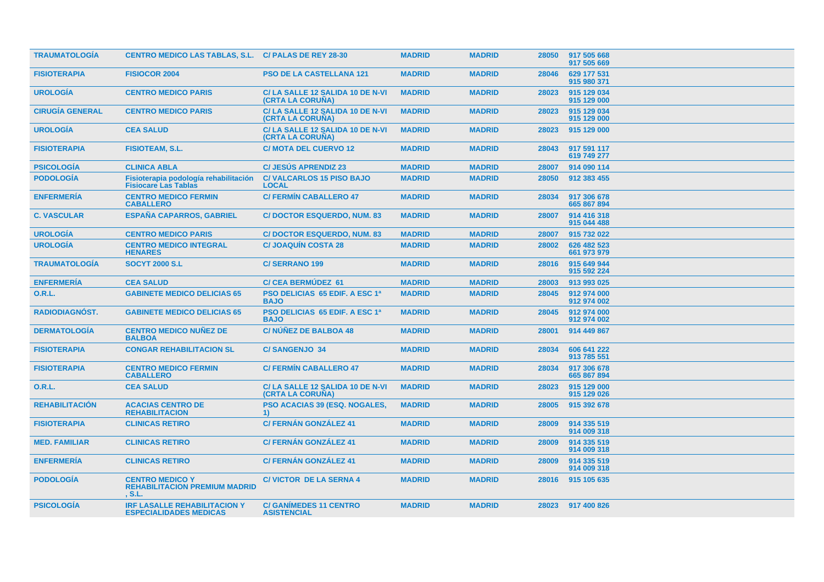| <b>TRAUMATOLOGÍA</b>   | <b>CENTRO MEDICO LAS TABLAS, S.L. C/ PALAS DE REY 28-30</b>           |                                                                     | <b>MADRID</b> | <b>MADRID</b> | 28050 | 917 505 668<br>917 505 669 |
|------------------------|-----------------------------------------------------------------------|---------------------------------------------------------------------|---------------|---------------|-------|----------------------------|
| <b>FISIOTERAPIA</b>    | <b>FISIOCOR 2004</b>                                                  | <b>PSO DE LA CASTELLANA 121</b>                                     | <b>MADRID</b> | <b>MADRID</b> | 28046 | 629 177 531<br>915 980 371 |
| <b>UROLOGIA</b>        | <b>CENTRO MEDICO PARIS</b>                                            | C/LA SALLE 12 SALIDA 10 DE N-VI<br>(CRTA LA CORUÑA)                 | <b>MADRID</b> | <b>MADRID</b> | 28023 | 915 129 034<br>915 129 000 |
| <b>CIRUGÍA GENERAL</b> | <b>CENTRO MEDICO PARIS</b>                                            | C/LA SALLE 12 SALIDA 10 DE N-VI<br>(CRTA LA CORUÑA)                 | <b>MADRID</b> | <b>MADRID</b> | 28023 | 915 129 034<br>915 129 000 |
| <b>UROLOGÍA</b>        | <b>CEA SALUD</b>                                                      | C/LA SALLE 12 SALIDA 10 DE N-VI<br><b>(CRTA LA CORUÑA)</b>          | <b>MADRID</b> | <b>MADRID</b> | 28023 | 915 129 000                |
| <b>FISIOTERAPIA</b>    | <b>FISIOTEAM, S.L.</b>                                                | <b>C/ MOTA DEL CUERVO 12</b>                                        | <b>MADRID</b> | <b>MADRID</b> | 28043 | 917 591 117<br>619 749 277 |
| <b>PSICOLOGÍA</b>      | <b>CLINICA ABLA</b>                                                   | <b>C/JESÚS APRENDIZ 23</b>                                          | <b>MADRID</b> | <b>MADRID</b> | 28007 | 914 090 114                |
| <b>PODOLOGÍA</b>       | Fisioterapia podología rehabilitación<br><b>Fisiocare Las Tablas</b>  | <b>C/VALCARLOS 15 PISO BAJO</b><br><b>LOCAL</b>                     | <b>MADRID</b> | <b>MADRID</b> | 28050 | 912 383 455                |
| <b>ENFERMERIA</b>      | <b>CENTRO MEDICO FERMIN</b><br><b>CABALLERO</b>                       | <b>C/ FERMÍN CABALLERO 47</b>                                       | <b>MADRID</b> | <b>MADRID</b> | 28034 | 917 306 678<br>665 867 894 |
| <b>C. VASCULAR</b>     | <b>ESPANA CAPARROS, GABRIEL</b>                                       | <b>C/DOCTOR ESQUERDO, NUM. 83</b>                                   | <b>MADRID</b> | <b>MADRID</b> | 28007 | 914 416 318<br>915 044 488 |
| <b>UROLOGÍA</b>        | <b>CENTRO MEDICO PARIS</b>                                            | <b>C/DOCTOR ESQUERDO, NUM. 83</b>                                   | <b>MADRID</b> | <b>MADRID</b> | 28007 | 915 732 022                |
| <b>UROLOGÍA</b>        | <b>CENTRO MEDICO INTEGRAL</b><br><b>HENARES</b>                       | <b>C/JOAQUIN COSTA 28</b>                                           | <b>MADRID</b> | <b>MADRID</b> | 28002 | 626 482 523<br>661 973 979 |
| <b>TRAUMATOLOGÍA</b>   | <b>SOCYT 2000 S.L</b>                                                 | <b>C/SERRANO 199</b>                                                | <b>MADRID</b> | <b>MADRID</b> | 28016 | 915 649 944<br>915 592 224 |
| <b>ENFERMERÍA</b>      | <b>CEA SALUD</b>                                                      | <b>C/CEA BERMUDEZ 61</b>                                            | <b>MADRID</b> | <b>MADRID</b> | 28003 | 913 993 025                |
| <b>O.R.L.</b>          | <b>GABINETE MEDICO DELICIAS 65</b>                                    | <b>PSO DELICIAS 65 EDIF. A ESC 1ª</b><br><b>BAJO</b>                | <b>MADRID</b> | <b>MADRID</b> | 28045 | 912 974 000<br>912 974 002 |
| <b>RADIODIAGNÓST.</b>  | <b>GABINETE MEDICO DELICIAS 65</b>                                    | <b>PSO DELICIAS 65 EDIF. A ESC 1ª</b><br><b>BAJO</b>                | <b>MADRID</b> | <b>MADRID</b> | 28045 | 912 974 000<br>912 974 002 |
| <b>DERMATOLOGÍA</b>    | <b>CENTRO MEDICO NUÑEZ DE</b><br><b>BALBOA</b>                        | C/NÚÑEZ DE BALBOA 48                                                | <b>MADRID</b> | <b>MADRID</b> | 28001 | 914 449 867                |
| <b>FISIOTERAPIA</b>    | <b>CONGAR REHABILITACION SL</b>                                       | <b>C/SANGENJO 34</b>                                                | <b>MADRID</b> | <b>MADRID</b> | 28034 | 606 641 222<br>913 785 551 |
| <b>FISIOTERAPIA</b>    | <b>CENTRO MEDICO FERMIN</b><br><b>CABALLERO</b>                       | <b>C/ FERMIN CABALLERO 47</b>                                       | <b>MADRID</b> | <b>MADRID</b> | 28034 | 917 306 678<br>665 867 894 |
| <b>O.R.L.</b>          | <b>CEA SALUD</b>                                                      | C/LA SALLE 12 SALIDA 10 DE N-VI<br>(CRTA LA CORUÑA)                 | <b>MADRID</b> | <b>MADRID</b> | 28023 | 915 129 000<br>915 129 026 |
| <b>REHABILITACIÓN</b>  | <b>ACACIAS CENTRO DE</b><br><b>REHABILITACION</b>                     | <b>PSO ACACIAS 39 (ESQ. NOGALES,</b><br>$\left( \mathbf{1} \right)$ | <b>MADRID</b> | <b>MADRID</b> | 28005 | 915 392 678                |
| <b>FISIOTERAPIA</b>    | <b>CLINICAS RETIRO</b>                                                | <b>C/ FERNÁN GONZÁLEZ 41</b>                                        | <b>MADRID</b> | <b>MADRID</b> | 28009 | 914 335 519<br>914 009 318 |
| <b>MED. FAMILIAR</b>   | <b>CLINICAS RETIRO</b>                                                | <b>C/ FERNÁN GONZÁLEZ 41</b>                                        | <b>MADRID</b> | <b>MADRID</b> | 28009 | 914 335 519<br>914 009 318 |
| <b>ENFERMERÍA</b>      | <b>CLINICAS RETIRO</b>                                                | <b>C/ FERNÁN GONZÁLEZ 41</b>                                        | <b>MADRID</b> | <b>MADRID</b> | 28009 | 914 335 519<br>914 009 318 |
| <b>PODOLOGIA</b>       | <b>CENTRO MEDICO Y</b><br><b>REHABILITACION PREMIUM MADRID</b><br>S.L | <b>C/VICTOR DE LA SERNA 4</b>                                       | <b>MADRID</b> | <b>MADRID</b> | 28016 | 915 105 635                |
| <b>PSICOLOGIA</b>      | <b>IRF LASALLE REHABILITACION Y</b><br><b>ESPECIALIDADES MEDICAS</b>  | <b>C/ GANÍMEDES 11 CENTRO</b><br><b>ASISTENCIAL</b>                 | <b>MADRID</b> | <b>MADRID</b> |       | 28023 917 400 826          |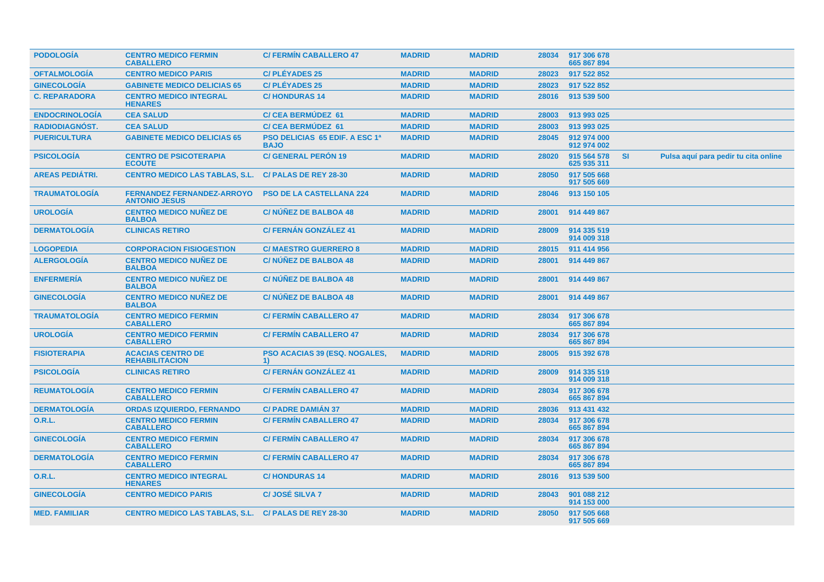| <b>PODOLOGIA</b>       | <b>CENTRO MEDICO FERMIN</b><br><b>CABALLERO</b>           | <b>C/ FERMIN CABALLERO 47</b>                        | <b>MADRID</b> | <b>MADRID</b> | 28034 | 917 306 678<br>665 867 894 |           |                                      |
|------------------------|-----------------------------------------------------------|------------------------------------------------------|---------------|---------------|-------|----------------------------|-----------|--------------------------------------|
| <b>OFTALMOLOGIA</b>    | <b>CENTRO MEDICO PARIS</b>                                | <b>C/PLÉYADES 25</b>                                 | <b>MADRID</b> | <b>MADRID</b> | 28023 | 917 522 852                |           |                                      |
| <b>GINECOLOGÍA</b>     | <b>GABINETE MEDICO DELICIAS 65</b>                        | <b>C/PLÉYADES 25</b>                                 | <b>MADRID</b> | <b>MADRID</b> | 28023 | 917 522 852                |           |                                      |
| <b>C. REPARADORA</b>   | <b>CENTRO MEDICO INTEGRAL</b><br><b>HENARES</b>           | <b>C/HONDURAS14</b>                                  | <b>MADRID</b> | <b>MADRID</b> | 28016 | 913 539 500                |           |                                      |
| <b>ENDOCRINOLOGÍA</b>  | <b>CEA SALUD</b>                                          | <b>C/ CEA BERMUDEZ 61</b>                            | <b>MADRID</b> | <b>MADRID</b> | 28003 | 913 993 025                |           |                                      |
| RADIODIAGNÓST.         | <b>CEA SALUD</b>                                          | <b>C/ CEA BERMUDEZ 61</b>                            | <b>MADRID</b> | <b>MADRID</b> | 28003 | 913 993 025                |           |                                      |
| <b>PUERICULTURA</b>    | <b>GABINETE MEDICO DELICIAS 65</b>                        | <b>PSO DELICIAS 65 EDIF. A ESC 1ª</b><br><b>BAJO</b> | <b>MADRID</b> | <b>MADRID</b> | 28045 | 912 974 000<br>912 974 002 |           |                                      |
| <b>PSICOLOGIA</b>      | <b>CENTRO DE PSICOTERAPIA</b><br><b>ECOUTE</b>            | <b>C/ GENERAL PERON 19</b>                           | <b>MADRID</b> | <b>MADRID</b> | 28020 | 915 564 578<br>625 935 311 | <b>SI</b> | Pulsa aquí para pedir tu cita online |
| <b>AREAS PEDIATRI.</b> | <b>CENTRO MEDICO LAS TABLAS, S.L.</b>                     | C/ PALAS DE REY 28-30                                | <b>MADRID</b> | <b>MADRID</b> | 28050 | 917 505 668<br>917 505 669 |           |                                      |
| <b>TRAUMATOLOGÍA</b>   | <b>FERNANDEZ FERNANDEZ-ARROYO</b><br><b>ANTONIO JESUS</b> | <b>PSO DE LA CASTELLANA 224</b>                      | <b>MADRID</b> | <b>MADRID</b> | 28046 | 913 150 105                |           |                                      |
| <b>UROLOGÍA</b>        | <b>CENTRO MEDICO NUÑEZ DE</b><br><b>BALBOA</b>            | <b>C/NUNEZ DE BALBOA 48</b>                          | <b>MADRID</b> | <b>MADRID</b> | 28001 | 914 449 867                |           |                                      |
| <b>DERMATOLOGÍA</b>    | <b>CLINICAS RETIRO</b>                                    | <b>C/FERNÁN GONZÁLEZ 41</b>                          | <b>MADRID</b> | <b>MADRID</b> | 28009 | 914 335 519<br>914 009 318 |           |                                      |
| <b>LOGOPEDIA</b>       | <b>CORPORACION FISIOGESTION</b>                           | <b>C/MAESTRO GUERRERO 8</b>                          | <b>MADRID</b> | <b>MADRID</b> | 28015 | 911 414 956                |           |                                      |
| <b>ALERGOLOGÍA</b>     | <b>CENTRO MEDICO NUÑEZ DE</b><br><b>BALBOA</b>            | <b>C/NUNEZ DE BALBOA 48</b>                          | <b>MADRID</b> | <b>MADRID</b> | 28001 | 914 449 867                |           |                                      |
| <b>ENFERMERÍA</b>      | <b>CENTRO MEDICO NUÑEZ DE</b><br><b>BALBOA</b>            | C/NÚÑEZ DE BALBOA 48                                 | <b>MADRID</b> | <b>MADRID</b> | 28001 | 914 449 867                |           |                                      |
| <b>GINECOLOGÍA</b>     | <b>CENTRO MEDICO NUÑEZ DE</b><br><b>BALBOA</b>            | <b>C/NUNEZ DE BALBOA 48</b>                          | <b>MADRID</b> | <b>MADRID</b> | 28001 | 914 449 867                |           |                                      |
| <b>TRAUMATOLOGIA</b>   | <b>CENTRO MEDICO FERMIN</b><br><b>CABALLERO</b>           | <b>C/ FERMIN CABALLERO 47</b>                        | <b>MADRID</b> | <b>MADRID</b> | 28034 | 917 306 678<br>665 867 894 |           |                                      |
| <b>UROLOGIA</b>        | <b>CENTRO MEDICO FERMIN</b><br><b>CABALLERO</b>           | <b>C/ FERMIN CABALLERO 47</b>                        | <b>MADRID</b> | <b>MADRID</b> | 28034 | 917 306 678<br>665 867 894 |           |                                      |
| <b>FISIOTERAPIA</b>    | <b>ACACIAS CENTRO DE</b><br><b>REHABILITACION</b>         | <b>PSO ACACIAS 39 (ESQ. NOGALES,</b><br>1)           | <b>MADRID</b> | <b>MADRID</b> | 28005 | 915 392 678                |           |                                      |
| <b>PSICOLOGÍA</b>      | <b>CLINICAS RETIRO</b>                                    | <b>C/ FERNÁN GONZÁLEZ 41</b>                         | <b>MADRID</b> | <b>MADRID</b> | 28009 | 914 335 519<br>914 009 318 |           |                                      |
| <b>REUMATOLOGÍA</b>    | <b>CENTRO MEDICO FERMIN</b><br><b>CABALLERO</b>           | <b>C/ FERMIN CABALLERO 47</b>                        | <b>MADRID</b> | <b>MADRID</b> | 28034 | 917 306 678<br>665 867 894 |           |                                      |
| <b>DERMATOLOGÍA</b>    | <b>ORDAS IZQUIERDO, FERNANDO</b>                          | <b>C/ PADRE DAMIAN 37</b>                            | <b>MADRID</b> | <b>MADRID</b> | 28036 | 913 431 432                |           |                                      |
| 0.R.L.                 | <b>CENTRO MEDICO FERMIN</b><br><b>CABALLERO</b>           | <b>C/ FERMIN CABALLERO 47</b>                        | <b>MADRID</b> | <b>MADRID</b> | 28034 | 917 306 678<br>665 867 894 |           |                                      |
| <b>GINECOLOGÍA</b>     | <b>CENTRO MEDICO FERMIN</b><br><b>CABALLERO</b>           | <b>C/ FERMIN CABALLERO 47</b>                        | <b>MADRID</b> | <b>MADRID</b> | 28034 | 917 306 678<br>665 867 894 |           |                                      |
| <b>DERMATOLOGÍA</b>    | <b>CENTRO MEDICO FERMIN</b><br><b>CABALLERO</b>           | <b>C/ FERMIN CABALLERO 47</b>                        | <b>MADRID</b> | <b>MADRID</b> | 28034 | 917 306 678<br>665 867 894 |           |                                      |
| 0.R.L.                 | <b>CENTRO MEDICO INTEGRAL</b><br><b>HENARES</b>           | <b>C/HONDURAS 14</b>                                 | <b>MADRID</b> | <b>MADRID</b> | 28016 | 913 539 500                |           |                                      |
| <b>GINECOLOGÍA</b>     | <b>CENTRO MEDICO PARIS</b>                                | <b>C/JOSÉ SILVA 7</b>                                | <b>MADRID</b> | <b>MADRID</b> | 28043 | 901 088 212<br>914 153 000 |           |                                      |
| <b>MED. FAMILIAR</b>   | CENTRO MEDICO LAS TABLAS, S.L. C/ PALAS DE REY 28-30      |                                                      | <b>MADRID</b> | <b>MADRID</b> | 28050 | 917 505 668<br>917 505 669 |           |                                      |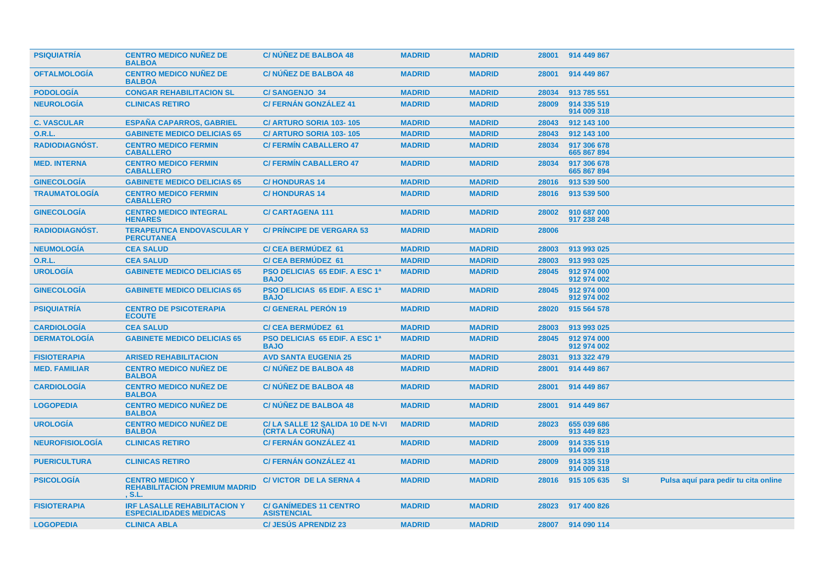| <b>PSIQUIATRIA</b>     | <b>CENTRO MEDICO NUÑEZ DE</b><br><b>BALBOA</b>                           | <b>C/NUNEZ DE BALBOA 48</b>                                 | <b>MADRID</b> | <b>MADRID</b> | 28001 | 914 449 867                |           |                                      |
|------------------------|--------------------------------------------------------------------------|-------------------------------------------------------------|---------------|---------------|-------|----------------------------|-----------|--------------------------------------|
| <b>OFTALMOLOGIA</b>    | <b>CENTRO MEDICO NUNEZ DE</b><br><b>BALBOA</b>                           | <b>C/NUNEZ DE BALBOA 48</b>                                 | <b>MADRID</b> | <b>MADRID</b> | 28001 | 914 449 867                |           |                                      |
| <b>PODOLOGÍA</b>       | <b>CONGAR REHABILITACION SL</b>                                          | <b>C/SANGENJO 34</b>                                        | <b>MADRID</b> | <b>MADRID</b> | 28034 | 913 785 551                |           |                                      |
| <b>NEUROLOGÍA</b>      | <b>CLINICAS RETIRO</b>                                                   | <b>C/ FERNÁN GONZÁLEZ 41</b>                                | <b>MADRID</b> | <b>MADRID</b> | 28009 | 914 335 519<br>914 009 318 |           |                                      |
| <b>C. VASCULAR</b>     | <b>ESPAÑA CAPARROS, GABRIEL</b>                                          | C/ ARTURO SORIA 103-105                                     | <b>MADRID</b> | <b>MADRID</b> | 28043 | 912 143 100                |           |                                      |
| <b>O.R.L.</b>          | <b>GABINETE MEDICO DELICIAS 65</b>                                       | C/ ARTURO SORIA 103-105                                     | <b>MADRID</b> | <b>MADRID</b> | 28043 | 912 143 100                |           |                                      |
| <b>RADIODIAGNÓST.</b>  | <b>CENTRO MEDICO FERMIN</b><br><b>CABALLERO</b>                          | <b>C/ FERMIN CABALLERO 47</b>                               | <b>MADRID</b> | <b>MADRID</b> | 28034 | 917 306 678<br>665 867 894 |           |                                      |
| <b>MED. INTERNA</b>    | <b>CENTRO MEDICO FERMIN</b><br><b>CABALLERO</b>                          | <b>C/ FERMIN CABALLERO 47</b>                               | <b>MADRID</b> | <b>MADRID</b> | 28034 | 917 306 678<br>665 867 894 |           |                                      |
| <b>GINECOLOGÍA</b>     | <b>GABINETE MEDICO DELICIAS 65</b>                                       | <b>C/HONDURAS 14</b>                                        | <b>MADRID</b> | <b>MADRID</b> | 28016 | 913 539 500                |           |                                      |
| <b>TRAUMATOLOGÍA</b>   | <b>CENTRO MEDICO FERMIN</b><br><b>CABALLERO</b>                          | <b>C/HONDURAS14</b>                                         | <b>MADRID</b> | <b>MADRID</b> | 28016 | 913 539 500                |           |                                      |
| <b>GINECOLOGÍA</b>     | <b>CENTRO MEDICO INTEGRAL</b><br><b>HENARES</b>                          | <b>C/CARTAGENA 111</b>                                      | <b>MADRID</b> | <b>MADRID</b> | 28002 | 910 687 000<br>917 238 248 |           |                                      |
| <b>RADIODIAGNOST.</b>  | <b>TERAPEUTICA ENDOVASCULAR Y</b><br><b>PERCUTANEA</b>                   | <b>C/ PRINCIPE DE VERGARA 53</b>                            | <b>MADRID</b> | <b>MADRID</b> | 28006 |                            |           |                                      |
| <b>NEUMOLOGÍA</b>      | <b>CEA SALUD</b>                                                         | <b>C/ CEA BERMUDEZ 61</b>                                   | <b>MADRID</b> | <b>MADRID</b> | 28003 | 913 993 025                |           |                                      |
| <b>O.R.L.</b>          | <b>CEA SALUD</b>                                                         | <b>C/CEA BERMUDEZ 61</b>                                    | <b>MADRID</b> | <b>MADRID</b> | 28003 | 913 993 025                |           |                                      |
| <b>UROLOGÍA</b>        | <b>GABINETE MEDICO DELICIAS 65</b>                                       | <b>PSO DELICIAS 65 EDIF. A ESC 1ª</b><br><b>BAJO</b>        | <b>MADRID</b> | <b>MADRID</b> | 28045 | 912 974 000<br>912 974 002 |           |                                      |
| <b>GINECOLOGÍA</b>     | <b>GABINETE MEDICO DELICIAS 65</b>                                       | <b>PSO DELICIAS 65 EDIF. A ESC 1ª</b><br><b>BAJO</b>        | <b>MADRID</b> | <b>MADRID</b> | 28045 | 912 974 000<br>912 974 002 |           |                                      |
| <b>PSIQUIATRIA</b>     | <b>CENTRO DE PSICOTERAPIA</b><br><b>ECOUTE</b>                           | <b>C/ GENERAL PERON 19</b>                                  | <b>MADRID</b> | <b>MADRID</b> | 28020 | 915 564 578                |           |                                      |
| <b>CARDIOLOGÍA</b>     | <b>CEA SALUD</b>                                                         | <b>C/CEA BERMUDEZ 61</b>                                    | <b>MADRID</b> | <b>MADRID</b> | 28003 | 913 993 025                |           |                                      |
| <b>DERMATOLOGÍA</b>    | <b>GABINETE MEDICO DELICIAS 65</b>                                       | PSO DELICIAS 65 EDIF. A ESC 1ª<br><b>BAJO</b>               | <b>MADRID</b> | <b>MADRID</b> | 28045 | 912 974 000<br>912 974 002 |           |                                      |
| <b>FISIOTERAPIA</b>    | <b>ARISED REHABILITACION</b>                                             | <b>AVD SANTA EUGENIA 25</b>                                 | <b>MADRID</b> | <b>MADRID</b> | 28031 | 913 322 479                |           |                                      |
| <b>MED. FAMILIAR</b>   | <b>CENTRO MEDICO NUNEZ DE</b><br><b>BALBOA</b>                           | <b>C/NUNEZ DE BALBOA 48</b>                                 | <b>MADRID</b> | <b>MADRID</b> | 28001 | 914 449 867                |           |                                      |
| <b>CARDIOLOGIA</b>     | <b>CENTRO MEDICO NUÑEZ DE</b><br><b>BALBOA</b>                           | <b>C/NUNEZ DE BALBOA 48</b>                                 | <b>MADRID</b> | <b>MADRID</b> | 28001 | 914 449 867                |           |                                      |
| <b>LOGOPEDIA</b>       | <b>CENTRO MEDICO NUÑEZ DE</b><br><b>BALBOA</b>                           | C/NÚÑEZ DE BALBOA 48                                        | <b>MADRID</b> | <b>MADRID</b> | 28001 | 914 449 867                |           |                                      |
| <b>UROLOGIA</b>        | <b>CENTRO MEDICO NUÑEZ DE</b><br><b>BALBOA</b>                           | C/ LA SALLE 12 SALIDA 10 DE N-VI<br><b>(CRTA LA CORUNA)</b> | <b>MADRID</b> | <b>MADRID</b> | 28023 | 655 039 686<br>913 449 823 |           |                                      |
| <b>NEUROFISIOLOGIA</b> | <b>CLINICAS RETIRO</b>                                                   | <b>C/ FERNÁN GONZÁLEZ 41</b>                                | <b>MADRID</b> | <b>MADRID</b> | 28009 | 914 335 519<br>914 009 318 |           |                                      |
| <b>PUERICULTURA</b>    | <b>CLINICAS RETIRO</b>                                                   | <b>C/ FERNÁN GONZÁLEZ 41</b>                                | <b>MADRID</b> | <b>MADRID</b> | 28009 | 914 335 519<br>914 009 318 |           |                                      |
| <b>PSICOLOGÍA</b>      | <b>CENTRO MEDICO Y</b><br><b>REHABILITACION PREMIUM MADRID</b><br>. S.L. | <b>C/ VICTOR DE LA SERNA 4</b>                              | <b>MADRID</b> | <b>MADRID</b> | 28016 | 915 105 635                | <b>SI</b> | Pulsa aquí para pedir tu cita online |
| <b>FISIOTERAPIA</b>    | <b>IRF LASALLE REHABILITACION Y</b><br><b>ESPECIALIDADES MEDICAS</b>     | <b>C/ GANIMEDES 11 CENTRO</b><br><b>ASISTENCIAL</b>         | <b>MADRID</b> | <b>MADRID</b> | 28023 | 917 400 826                |           |                                      |
| <b>LOGOPEDIA</b>       | <b>CLINICA ABLA</b>                                                      | <b>C/ JESUS APRENDIZ 23</b>                                 | <b>MADRID</b> | <b>MADRID</b> |       | 28007 914 090 114          |           |                                      |
|                        |                                                                          |                                                             |               |               |       |                            |           |                                      |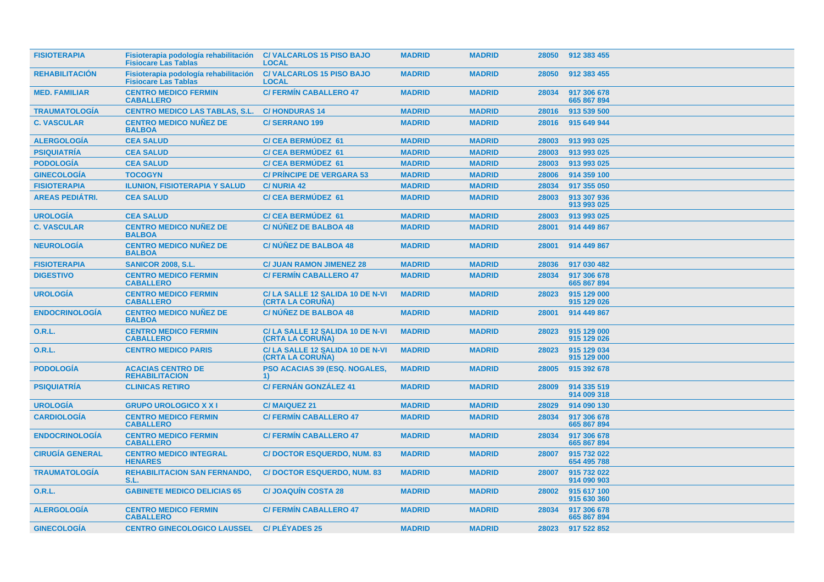| <b>FISIOTERAPIA</b>    | Fisioterapia podología rehabilitación<br><b>Fisiocare Las Tablas</b> | <b>C/VALCARLOS 15 PISO BAJO</b><br><b>LOCAL</b>                    | <b>MADRID</b> | <b>MADRID</b> | 28050 | 912 383 455                |
|------------------------|----------------------------------------------------------------------|--------------------------------------------------------------------|---------------|---------------|-------|----------------------------|
| <b>REHABILITACION</b>  | Fisioterapia podología rehabilitación<br><b>Fisiocare Las Tablas</b> | <b>C/VALCARLOS 15 PISO BAJO</b><br><b>LOCAL</b>                    | <b>MADRID</b> | <b>MADRID</b> | 28050 | 912 383 455                |
| <b>MED. FAMILIAR</b>   | <b>CENTRO MEDICO FERMIN</b><br><b>CABALLERO</b>                      | <b>C/ FERMÍN CABALLERO 47</b>                                      | <b>MADRID</b> | <b>MADRID</b> | 28034 | 917 306 678<br>665 867 894 |
| <b>TRAUMATOLOGIA</b>   | <b>CENTRO MEDICO LAS TABLAS, S.L.</b>                                | <b>C/HONDURAS 14</b>                                               | <b>MADRID</b> | <b>MADRID</b> | 28016 | 913 539 500                |
| <b>C. VASCULAR</b>     | <b>CENTRO MEDICO NUNEZ DE</b><br><b>BALBOA</b>                       | <b>C/SERRANO 199</b>                                               | <b>MADRID</b> | <b>MADRID</b> | 28016 | 915 649 944                |
| <b>ALERGOLOGIA</b>     | <b>CEA SALUD</b>                                                     | <b>C/ CEA BERMUDEZ 61</b>                                          | <b>MADRID</b> | <b>MADRID</b> | 28003 | 913 993 025                |
| <b>PSIQUIATRÍA</b>     | <b>CEA SALUD</b>                                                     | <b>C/ CEA BERMUDEZ 61</b>                                          | <b>MADRID</b> | <b>MADRID</b> | 28003 | 913 993 025                |
| <b>PODOLOGÍA</b>       | <b>CEA SALUD</b>                                                     | <b>C/CEA BERMUDEZ 61</b>                                           | <b>MADRID</b> | <b>MADRID</b> | 28003 | 913 993 025                |
| <b>GINECOLOGÍA</b>     | <b>TOCOGYN</b>                                                       | <b>C/ PRINCIPE DE VERGARA 53</b>                                   | <b>MADRID</b> | <b>MADRID</b> | 28006 | 914 359 100                |
| <b>FISIOTERAPIA</b>    | <b>ILUNION, FISIOTERAPIA Y SALUD</b>                                 | <b>C/NURIA 42</b>                                                  | <b>MADRID</b> | <b>MADRID</b> | 28034 | 917 355 050                |
| <b>AREAS PEDIATRI.</b> | <b>CEA SALUD</b>                                                     | <b>C/ CEA BERMUDEZ 61</b>                                          | <b>MADRID</b> | <b>MADRID</b> | 28003 | 913 307 936<br>913 993 025 |
| <b>UROLOGÍA</b>        | <b>CEA SALUD</b>                                                     | <b>C/CEA BERMUDEZ 61</b>                                           | <b>MADRID</b> | <b>MADRID</b> | 28003 | 913 993 025                |
| <b>C. VASCULAR</b>     | <b>CENTRO MEDICO NUÑEZ DE</b><br><b>BALBOA</b>                       | <b>C/NUNEZ DE BALBOA 48</b>                                        | <b>MADRID</b> | <b>MADRID</b> | 28001 | 914 449 867                |
| <b>NEUROLOGÍA</b>      | <b>CENTRO MEDICO NUÑEZ DE</b><br><b>BALBOA</b>                       | <b>C/NÚÑEZ DE BALBOA 48</b>                                        | <b>MADRID</b> | <b>MADRID</b> | 28001 | 914 449 867                |
| <b>FISIOTERAPIA</b>    | <b>SANICOR 2008, S.L.</b>                                            | <b>C/ JUAN RAMON JIMENEZ 28</b>                                    | <b>MADRID</b> | <b>MADRID</b> | 28036 | 917 030 482                |
| <b>DIGESTIVO</b>       | <b>CENTRO MEDICO FERMIN</b><br><b>CABALLERO</b>                      | <b>C/ FERMIN CABALLERO 47</b>                                      | <b>MADRID</b> | <b>MADRID</b> | 28034 | 917 306 678<br>665 867 894 |
| <b>UROLOGIA</b>        | <b>CENTRO MEDICO FERMIN</b><br><b>CABALLERO</b>                      | C/LA SALLE 12 SALIDA 10 DE N-VI<br>(CRTA LA CORUNA)                | <b>MADRID</b> | <b>MADRID</b> | 28023 | 915 129 000<br>915 129 026 |
| <b>ENDOCRINOLOGIA</b>  | <b>CENTRO MEDICO NUÑEZ DE</b><br><b>BALBOA</b>                       | C/NÚÑEZ DE BALBOA 48                                               | <b>MADRID</b> | <b>MADRID</b> | 28001 | 914 449 867                |
| 0.R.L.                 | <b>CENTRO MEDICO FERMIN</b><br><b>CABALLERO</b>                      | C/LA SALLE 12 SALIDA 10 DE N-VI<br><b>(CRTA LA CORUNA)</b>         | <b>MADRID</b> | <b>MADRID</b> | 28023 | 915 129 000<br>915 129 026 |
| <b>O.R.L.</b>          | <b>CENTRO MEDICO PARIS</b>                                           | C/LA SALLE 12 SALIDA 10 DE N-VI<br>(CRTA LA CORUNA)                | <b>MADRID</b> | <b>MADRID</b> | 28023 | 915 129 034<br>915 129 000 |
| <b>PODOLOGIA</b>       | <b>ACACIAS CENTRO DE</b><br><b>REHABILITACION</b>                    | <b>PSO ACACIAS 39 (ESQ. NOGALES,</b><br>$\left( \mathbf{1}\right)$ | <b>MADRID</b> | <b>MADRID</b> | 28005 | 915 392 678                |
| <b>PSIQUIATRÍA</b>     | <b>CLINICAS RETIRO</b>                                               | <b>C/ FERNÁN GONZÁLEZ 41</b>                                       | <b>MADRID</b> | <b>MADRID</b> | 28009 | 914 335 519<br>914 009 318 |
| <b>UROLOGÍA</b>        | <b>GRUPO UROLOGICO X X I</b>                                         | <b>C/MAIQUEZ 21</b>                                                | <b>MADRID</b> | <b>MADRID</b> | 28029 | 914 090 130                |
| <b>CARDIOLOGIA</b>     | <b>CENTRO MEDICO FERMIN</b><br><b>CABALLERO</b>                      | <b>C/ FERMIN CABALLERO 47</b>                                      | <b>MADRID</b> | <b>MADRID</b> | 28034 | 917 306 678<br>665 867 894 |
| <b>ENDOCRINOLOGIA</b>  | <b>CENTRO MEDICO FERMIN</b><br><b>CABALLERO</b>                      | <b>C/ FERMIN CABALLERO 47</b>                                      | <b>MADRID</b> | <b>MADRID</b> | 28034 | 917 306 678<br>665 867 894 |
| <b>CIRUGÍA GENERAL</b> | <b>CENTRO MEDICO INTEGRAL</b><br><b>HENARES</b>                      | <b>C/DOCTOR ESQUERDO, NUM. 83</b>                                  | <b>MADRID</b> | <b>MADRID</b> | 28007 | 915 732 022<br>654 495 788 |
| <b>TRAUMATOLOGIA</b>   | <b>REHABILITACION SAN FERNANDO,</b><br>S.L.                          | <b>C/DOCTOR ESQUERDO, NUM. 83</b>                                  | <b>MADRID</b> | <b>MADRID</b> | 28007 | 915 732 022<br>914 090 903 |
| 0.R.L.                 | <b>GABINETE MEDICO DELICIAS 65</b>                                   | <b>C/JOAQUIN COSTA 28</b>                                          | <b>MADRID</b> | <b>MADRID</b> | 28002 | 915 617 100<br>915 630 360 |
| <b>ALERGOLOGÍA</b>     | <b>CENTRO MEDICO FERMIN</b><br><b>CABALLERO</b>                      | <b>C/ FERMIN CABALLERO 47</b>                                      | <b>MADRID</b> | <b>MADRID</b> | 28034 | 917 306 678<br>665 867 894 |
| <b>GINECOLOGÍA</b>     | <b>CENTRO GINECOLOGICO LAUSSEL</b>                                   | <b>C/PLÉYADES 25</b>                                               | <b>MADRID</b> | <b>MADRID</b> | 28023 | 917 522 852                |
|                        |                                                                      |                                                                    |               |               |       |                            |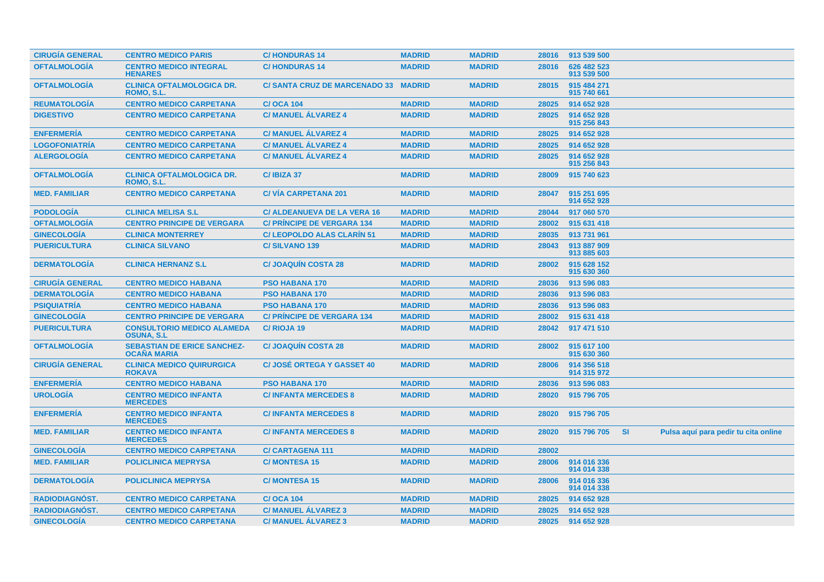| <b>CIRUGÍA GENERAL</b> | <b>CENTRO MEDICO PARIS</b>                               | <b>C/HONDURAS14</b>                 | <b>MADRID</b> | <b>MADRID</b> | 28016 | 913 539 500                |           |                                      |
|------------------------|----------------------------------------------------------|-------------------------------------|---------------|---------------|-------|----------------------------|-----------|--------------------------------------|
| <b>OFTALMOLOGÍA</b>    | <b>CENTRO MEDICO INTEGRAL</b><br><b>HENARES</b>          | <b>C/HONDURAS14</b>                 | <b>MADRID</b> | <b>MADRID</b> | 28016 | 626 482 523<br>913 539 500 |           |                                      |
| <b>OFTALMOLOGIA</b>    | <b>CLINICA OFTALMOLOGICA DR.</b><br>ROMO, S.L.           | <b>C/SANTA CRUZ DE MARCENADO 33</b> | <b>MADRID</b> | <b>MADRID</b> | 28015 | 915 484 271<br>915 740 661 |           |                                      |
| <b>REUMATOLOGÍA</b>    | <b>CENTRO MEDICO CARPETANA</b>                           | <b>C/OCA 104</b>                    | <b>MADRID</b> | <b>MADRID</b> | 28025 | 914 652 928                |           |                                      |
| <b>DIGESTIVO</b>       | <b>CENTRO MEDICO CARPETANA</b>                           | <b>C/ MANUEL ÁLVAREZ 4</b>          | <b>MADRID</b> | <b>MADRID</b> | 28025 | 914 652 928<br>915 256 843 |           |                                      |
| <b>ENFERMERÍA</b>      | <b>CENTRO MEDICO CARPETANA</b>                           | <b>C/ MANUEL ALVAREZ 4</b>          | <b>MADRID</b> | <b>MADRID</b> | 28025 | 914 652 928                |           |                                      |
| <b>LOGOFONIATRIA</b>   | <b>CENTRO MEDICO CARPETANA</b>                           | <b>C/ MANUEL ALVAREZ 4</b>          | <b>MADRID</b> | <b>MADRID</b> | 28025 | 914 652 928                |           |                                      |
| <b>ALERGOLOGÍA</b>     | <b>CENTRO MEDICO CARPETANA</b>                           | <b>C/ MANUEL ÁLVAREZ 4</b>          | <b>MADRID</b> | <b>MADRID</b> | 28025 | 914 652 928<br>915 256 843 |           |                                      |
| <b>OFTALMOLOGIA</b>    | <b>CLINICA OFTALMOLOGICA DR.</b><br>ROMO, S.L.           | C/IBIZA 37                          | <b>MADRID</b> | <b>MADRID</b> | 28009 | 915 740 623                |           |                                      |
| <b>MED. FAMILIAR</b>   | <b>CENTRO MEDICO CARPETANA</b>                           | <b>C/VIA CARPETANA 201</b>          | <b>MADRID</b> | <b>MADRID</b> | 28047 | 915 251 695<br>914 652 928 |           |                                      |
| <b>PODOLOGÍA</b>       | <b>CLINICA MELISA S.L</b>                                | <b>C/ ALDEANUEVA DE LA VERA 16</b>  | <b>MADRID</b> | <b>MADRID</b> | 28044 | 917 060 570                |           |                                      |
| <b>OFTALMOLOGÍA</b>    | <b>CENTRO PRINCIPE DE VERGARA</b>                        | <b>C/ PRINCIPE DE VERGARA 134</b>   | <b>MADRID</b> | <b>MADRID</b> | 28002 | 915 631 418                |           |                                      |
| <b>GINECOLOGÍA</b>     | <b>CLINICA MONTERREY</b>                                 | <b>C/ LEOPOLDO ALAS CLARIN 51</b>   | <b>MADRID</b> | <b>MADRID</b> | 28035 | 913 731 961                |           |                                      |
| <b>PUERICULTURA</b>    | <b>CLINICA SILVANO</b>                                   | <b>C/SILVANO 139</b>                | <b>MADRID</b> | <b>MADRID</b> | 28043 | 913 887 909<br>913 885 603 |           |                                      |
| <b>DERMATOLOGÍA</b>    | <b>CLINICA HERNANZ S.L.</b>                              | <b>C/JOAQUIN COSTA 28</b>           | <b>MADRID</b> | <b>MADRID</b> | 28002 | 915 628 152<br>915 630 360 |           |                                      |
| <b>CIRUGÍA GENERAL</b> | <b>CENTRO MEDICO HABANA</b>                              | <b>PSO HABANA 170</b>               | <b>MADRID</b> | <b>MADRID</b> | 28036 | 913 596 083                |           |                                      |
| <b>DERMATOLOGÍA</b>    | <b>CENTRO MEDICO HABANA</b>                              | <b>PSO HABANA 170</b>               | <b>MADRID</b> | <b>MADRID</b> | 28036 | 913 596 083                |           |                                      |
| <b>PSIQUIATRÍA</b>     | <b>CENTRO MEDICO HABANA</b>                              | PSO HABANA 170                      | <b>MADRID</b> | <b>MADRID</b> | 28036 | 913 596 083                |           |                                      |
| <b>GINECOLOGÍA</b>     | <b>CENTRO PRINCIPE DE VERGARA</b>                        | <b>C/ PRÍNCIPE DE VERGARA 134</b>   | <b>MADRID</b> | <b>MADRID</b> | 28002 | 915 631 418                |           |                                      |
| <b>PUERICULTURA</b>    | <b>CONSULTORIO MEDICO ALAMEDA</b><br><b>OSUNA, S.L</b>   | C/RIOJA 19                          | <b>MADRID</b> | <b>MADRID</b> | 28042 | 917 471 510                |           |                                      |
| <b>OFTALMOLOGÍA</b>    | <b>SEBASTIAN DE ERICE SANCHEZ-</b><br><b>OCANA MARIA</b> | <b>C/JOAQUIN COSTA 28</b>           | <b>MADRID</b> | <b>MADRID</b> | 28002 | 915 617 100<br>915 630 360 |           |                                      |
| <b>CIRUGÍA GENERAL</b> | <b>CLINICA MEDICO QUIRURGICA</b><br><b>ROKAVA</b>        | <b>C/JOSÉ ORTEGA Y GASSET 40</b>    | <b>MADRID</b> | <b>MADRID</b> | 28006 | 914 356 518<br>914 315 972 |           |                                      |
| <b>ENFERMERIA</b>      | <b>CENTRO MEDICO HABANA</b>                              | <b>PSO HABANA 170</b>               | <b>MADRID</b> | <b>MADRID</b> | 28036 | 913 596 083                |           |                                      |
| <b>UROLOGÍA</b>        | <b>CENTRO MEDICO INFANTA</b><br><b>MERCEDES</b>          | <b>C/INFANTA MERCEDES 8</b>         | <b>MADRID</b> | <b>MADRID</b> | 28020 | 915 796 705                |           |                                      |
| <b>ENFERMERÍA</b>      | <b>CENTRO MEDICO INFANTA</b><br><b>MERCEDES</b>          | <b>C/INFANTA MERCEDES 8</b>         | <b>MADRID</b> | <b>MADRID</b> | 28020 | 915 796 705                |           |                                      |
| <b>MED. FAMILIAR</b>   | <b>CENTRO MEDICO INFANTA</b><br><b>MERCEDES</b>          | <b>C/INFANTA MERCEDES 8</b>         | <b>MADRID</b> | <b>MADRID</b> | 28020 | 915 796 705                | <b>SI</b> | Pulsa aquí para pedir tu cita online |
| <b>GINECOLOGÍA</b>     | <b>CENTRO MEDICO CARPETANA</b>                           | <b>C/CARTAGENA 111</b>              | <b>MADRID</b> | <b>MADRID</b> | 28002 |                            |           |                                      |
| <b>MED. FAMILIAR</b>   | <b>POLICLINICA MEPRYSA</b>                               | <b>C/MONTESA 15</b>                 | <b>MADRID</b> | <b>MADRID</b> | 28006 | 914 016 336<br>914 014 338 |           |                                      |
| <b>DERMATOLOGÍA</b>    | <b>POLICLINICA MEPRYSA</b>                               | <b>C/MONTESA 15</b>                 | <b>MADRID</b> | <b>MADRID</b> | 28006 | 914 016 336<br>914 014 338 |           |                                      |
| <b>RADIODIAGNOST.</b>  | <b>CENTRO MEDICO CARPETANA</b>                           | <b>C/OCA 104</b>                    | <b>MADRID</b> | <b>MADRID</b> | 28025 | 914 652 928                |           |                                      |
| RADIODIAGNÓST.         | <b>CENTRO MEDICO CARPETANA</b>                           | <b>C/ MANUEL ALVAREZ 3</b>          | <b>MADRID</b> | <b>MADRID</b> | 28025 | 914 652 928                |           |                                      |
| <b>GINECOLOGÍA</b>     | <b>CENTRO MEDICO CARPETANA</b>                           | <b>C/ MANUEL ALVAREZ 3</b>          | <b>MADRID</b> | <b>MADRID</b> | 28025 | 914 652 928                |           |                                      |
|                        |                                                          |                                     |               |               |       |                            |           |                                      |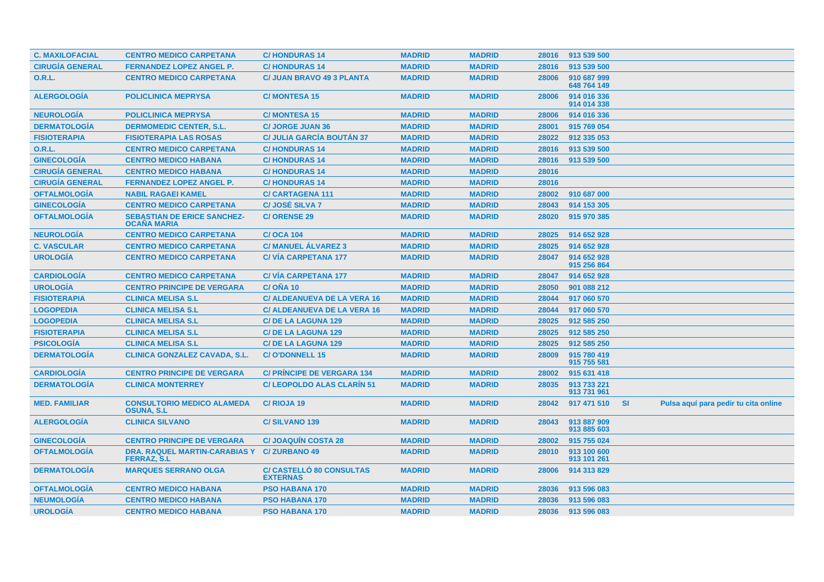| <b>C. MAXILOFACIAL</b> | <b>CENTRO MEDICO CARPETANA</b>                                     | <b>C/HONDURAS14</b>                                | <b>MADRID</b> | <b>MADRID</b> | 28016 | 913 539 500                |           |                                      |
|------------------------|--------------------------------------------------------------------|----------------------------------------------------|---------------|---------------|-------|----------------------------|-----------|--------------------------------------|
| <b>CIRUGÍA GENERAL</b> | <b>FERNANDEZ LOPEZ ANGEL P.</b>                                    | <b>C/HONDURAS 14</b>                               | <b>MADRID</b> | <b>MADRID</b> | 28016 | 913 539 500                |           |                                      |
| <b>O.R.L.</b>          | <b>CENTRO MEDICO CARPETANA</b>                                     | <b>C/ JUAN BRAVO 49 3 PLANTA</b>                   | <b>MADRID</b> | <b>MADRID</b> | 28006 | 910 687 999<br>648 764 149 |           |                                      |
| <b>ALERGOLOGÍA</b>     | <b>POLICLINICA MEPRYSA</b>                                         | <b>C/MONTESA 15</b>                                | <b>MADRID</b> | <b>MADRID</b> | 28006 | 914 016 336<br>914 014 338 |           |                                      |
| <b>NEUROLOGÍA</b>      | <b>POLICLINICA MEPRYSA</b>                                         | <b>C/MONTESA 15</b>                                | <b>MADRID</b> | <b>MADRID</b> | 28006 | 914 016 336                |           |                                      |
| <b>DERMATOLOGÍA</b>    | <b>DERMOMEDIC CENTER, S.L.</b>                                     | <b>C/ JORGE JUAN 36</b>                            | <b>MADRID</b> | <b>MADRID</b> | 28001 | 915 769 054                |           |                                      |
| <b>FISIOTERAPIA</b>    | <b>FISIOTERAPIA LAS ROSAS</b>                                      | <b>C/ JULIA GARCÍA BOUTÁN 37</b>                   | <b>MADRID</b> | <b>MADRID</b> | 28022 | 912 335 053                |           |                                      |
| <b>O.R.L.</b>          | <b>CENTRO MEDICO CARPETANA</b>                                     | <b>C/HONDURAS 14</b>                               | <b>MADRID</b> | <b>MADRID</b> | 28016 | 913 539 500                |           |                                      |
| <b>GINECOLOGÍA</b>     | <b>CENTRO MEDICO HABANA</b>                                        | <b>C/HONDURAS14</b>                                | <b>MADRID</b> | <b>MADRID</b> | 28016 | 913 539 500                |           |                                      |
| <b>CIRUGÍA GENERAL</b> | <b>CENTRO MEDICO HABANA</b>                                        | <b>C/HONDURAS14</b>                                | <b>MADRID</b> | <b>MADRID</b> | 28016 |                            |           |                                      |
| <b>CIRUGÍA GENERAL</b> | <b>FERNANDEZ LOPEZ ANGEL P.</b>                                    | <b>C/HONDURAS 14</b>                               | <b>MADRID</b> | <b>MADRID</b> | 28016 |                            |           |                                      |
| <b>OFTALMOLOGIA</b>    | <b>NABIL RAGAEI KAMEL</b>                                          | <b>C/CARTAGENA 111</b>                             | <b>MADRID</b> | <b>MADRID</b> | 28002 | 910 687 000                |           |                                      |
| <b>GINECOLOGÍA</b>     | <b>CENTRO MEDICO CARPETANA</b>                                     | <b>C/JOSÉ SILVA 7</b>                              | <b>MADRID</b> | <b>MADRID</b> | 28043 | 914 153 305                |           |                                      |
| <b>OFTALMOLOGIA</b>    | <b>SEBASTIAN DE ERICE SANCHEZ-</b><br><b>OCAÑA MARIA</b>           | <b>C/ORENSE 29</b>                                 | <b>MADRID</b> | <b>MADRID</b> | 28020 | 915 970 385                |           |                                      |
| <b>NEUROLOGÍA</b>      | <b>CENTRO MEDICO CARPETANA</b>                                     | <b>C/OCA 104</b>                                   | <b>MADRID</b> | <b>MADRID</b> | 28025 | 914 652 928                |           |                                      |
| <b>C. VASCULAR</b>     | <b>CENTRO MEDICO CARPETANA</b>                                     | <b>C/ MANUEL ALVAREZ 3</b>                         | <b>MADRID</b> | <b>MADRID</b> | 28025 | 914 652 928                |           |                                      |
| <b>UROLOGÍA</b>        | <b>CENTRO MEDICO CARPETANA</b>                                     | <b>C/VIA CARPETANA 177</b>                         | <b>MADRID</b> | <b>MADRID</b> | 28047 | 914 652 928<br>915 256 864 |           |                                      |
| <b>CARDIOLOGIA</b>     | <b>CENTRO MEDICO CARPETANA</b>                                     | <b>C/VIA CARPETANA 177</b>                         | <b>MADRID</b> | <b>MADRID</b> | 28047 | 914 652 928                |           |                                      |
| <b>UROLOGÍA</b>        | <b>CENTRO PRINCIPE DE VERGARA</b>                                  | <b>C/ONA 10</b>                                    | <b>MADRID</b> | <b>MADRID</b> | 28050 | 901 088 212                |           |                                      |
| <b>FISIOTERAPIA</b>    | <b>CLINICA MELISA S.L</b>                                          | <b>C/ ALDEANUEVA DE LA VERA 16</b>                 | <b>MADRID</b> | <b>MADRID</b> | 28044 | 917 060 570                |           |                                      |
| <b>LOGOPEDIA</b>       | <b>CLINICA MELISA S.L</b>                                          | <b>C/ ALDEANUEVA DE LA VERA 16</b>                 | <b>MADRID</b> | <b>MADRID</b> | 28044 | 917 060 570                |           |                                      |
| <b>LOGOPEDIA</b>       | <b>CLINICA MELISA S.L</b>                                          | <b>C/DE LA LAGUNA 129</b>                          | <b>MADRID</b> | <b>MADRID</b> | 28025 | 912 585 250                |           |                                      |
| <b>FISIOTERAPIA</b>    | <b>CLINICA MELISA S.L</b>                                          | <b>C/DE LA LAGUNA 129</b>                          | <b>MADRID</b> | <b>MADRID</b> | 28025 | 912 585 250                |           |                                      |
| <b>PSICOLOGÍA</b>      | <b>CLINICA MELISA S.L</b>                                          | <b>C/DE LA LAGUNA 129</b>                          | <b>MADRID</b> | <b>MADRID</b> | 28025 | 912 585 250                |           |                                      |
| <b>DERMATOLOGIA</b>    | <b>CLINICA GONZALEZ CAVADA, S.L.</b>                               | <b>C/O'DONNELL 15</b>                              | <b>MADRID</b> | <b>MADRID</b> | 28009 | 915 780 419<br>915 755 581 |           |                                      |
| <b>CARDIOLOGÍA</b>     | <b>CENTRO PRINCIPE DE VERGARA</b>                                  | <b>C/ PRINCIPE DE VERGARA 134</b>                  | <b>MADRID</b> | <b>MADRID</b> | 28002 | 915 631 418                |           |                                      |
| <b>DERMATOLOGÍA</b>    | <b>CLINICA MONTERREY</b>                                           | <b>C/LEOPOLDO ALAS CLARIN 51</b>                   | <b>MADRID</b> | <b>MADRID</b> | 28035 | 913 733 221<br>913 731 961 |           |                                      |
| <b>MED. FAMILIAR</b>   | <b>CONSULTORIO MEDICO ALAMEDA</b><br><b>OSUNA, S.L</b>             | C/RIOJA 19                                         | <b>MADRID</b> | <b>MADRID</b> | 28042 | 917 471 510                | <b>SI</b> | Pulsa aquí para pedir tu cita online |
| <b>ALERGOLOGÍA</b>     | <b>CLINICA SILVANO</b>                                             | <b>C/SILVANO 139</b>                               | <b>MADRID</b> | <b>MADRID</b> | 28043 | 913 887 909<br>913 885 603 |           |                                      |
| <b>GINECOLOGIA</b>     | <b>CENTRO PRINCIPE DE VERGARA</b>                                  | <b>C/JOAQUIN COSTA 28</b>                          | <b>MADRID</b> | <b>MADRID</b> | 28002 | 915 755 024                |           |                                      |
| <b>OFTALMOLOGIA</b>    | DRA. RAQUEL MARTIN-CARABIAS Y C/ ZURBANO 49<br><b>FERRAZ, S.L.</b> |                                                    | <b>MADRID</b> | <b>MADRID</b> | 28010 | 913 100 600<br>913 101 261 |           |                                      |
| <b>DERMATOLOGIA</b>    | <b>MARQUES SERRANO OLGA</b>                                        | <b>C/ CASTELLÓ 80 CONSULTAS</b><br><b>EXTERNAS</b> | <b>MADRID</b> | <b>MADRID</b> | 28006 | 914 313 829                |           |                                      |
| <b>OFTALMOLOGÍA</b>    | <b>CENTRO MEDICO HABANA</b>                                        | <b>PSO HABANA 170</b>                              | <b>MADRID</b> | <b>MADRID</b> | 28036 | 913 596 083                |           |                                      |
| <b>NEUMOLOGÍA</b>      | <b>CENTRO MEDICO HABANA</b>                                        | <b>PSO HABANA 170</b>                              | <b>MADRID</b> | <b>MADRID</b> | 28036 | 913 596 083                |           |                                      |
| <b>UROLOGIA</b>        | <b>CENTRO MEDICO HABANA</b>                                        | <b>PSO HABANA 170</b>                              | <b>MADRID</b> | <b>MADRID</b> | 28036 | 913 596 083                |           |                                      |
|                        |                                                                    |                                                    |               |               |       |                            |           |                                      |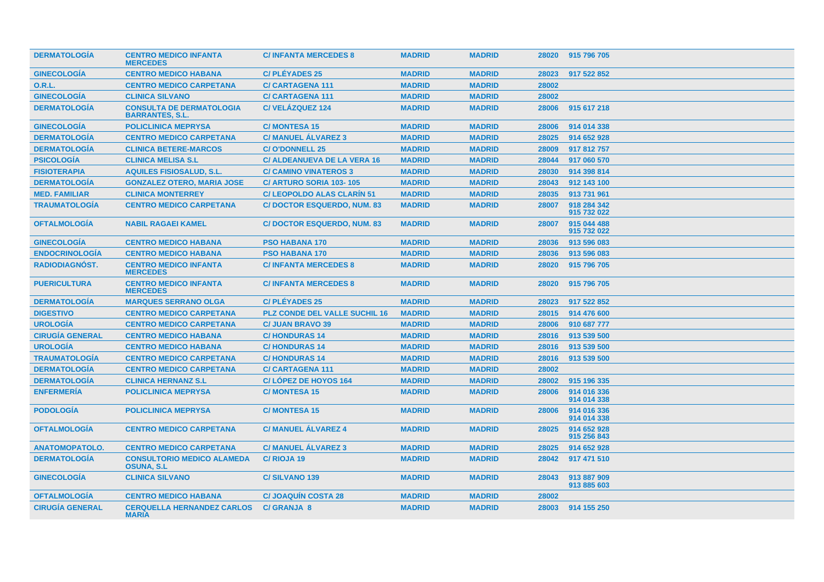| <b>DERMATOLOGIA</b>    | <b>CENTRO MEDICO INFANTA</b><br><b>MERCEDES</b>           | <b>C/INFANTA MERCEDES 8</b>          | <b>MADRID</b> | <b>MADRID</b> | 28020 | 915 796 705                |
|------------------------|-----------------------------------------------------------|--------------------------------------|---------------|---------------|-------|----------------------------|
| <b>GINECOLOGIA</b>     | <b>CENTRO MEDICO HABANA</b>                               | <b>C/PLÉYADES 25</b>                 | <b>MADRID</b> | <b>MADRID</b> | 28023 | 917 522 852                |
| <b>O.R.L.</b>          | <b>CENTRO MEDICO CARPETANA</b>                            | <b>C/CARTAGENA 111</b>               | <b>MADRID</b> | <b>MADRID</b> | 28002 |                            |
| <b>GINECOLOGÍA</b>     | <b>CLINICA SILVANO</b>                                    | <b>C/CARTAGENA 111</b>               | <b>MADRID</b> | <b>MADRID</b> | 28002 |                            |
| <b>DERMATOLOGÍA</b>    | <b>CONSULTA DE DERMATOLOGIA</b><br><b>BARRANTES, S.L.</b> | <b>C/VELÁZQUEZ 124</b>               | <b>MADRID</b> | <b>MADRID</b> | 28006 | 915 617 218                |
| <b>GINECOLOGÍA</b>     | <b>POLICLINICA MEPRYSA</b>                                | <b>C/MONTESA 15</b>                  | <b>MADRID</b> | <b>MADRID</b> | 28006 | 914 014 338                |
| <b>DERMATOLOGÍA</b>    | <b>CENTRO MEDICO CARPETANA</b>                            | <b>C/ MANUEL ÁLVAREZ 3</b>           | <b>MADRID</b> | <b>MADRID</b> | 28025 | 914 652 928                |
| <b>DERMATOLOGÍA</b>    | <b>CLINICA BETERE-MARCOS</b>                              | <b>C/O'DONNELL 25</b>                | <b>MADRID</b> | <b>MADRID</b> | 28009 | 917 812 757                |
| <b>PSICOLOGÍA</b>      | <b>CLINICA MELISA S.L</b>                                 | <b>C/ ALDEANUEVA DE LA VERA 16</b>   | <b>MADRID</b> | <b>MADRID</b> | 28044 | 917 060 570                |
| <b>FISIOTERAPIA</b>    | <b>AQUILES FISIOSALUD, S.L.</b>                           | <b>C/ CAMINO VINATEROS 3</b>         | <b>MADRID</b> | <b>MADRID</b> | 28030 | 914 398 814                |
| <b>DERMATOLOGÍA</b>    | <b>GONZALEZ OTERO, MARIA JOSE</b>                         | C/ ARTURO SORIA 103-105              | <b>MADRID</b> | <b>MADRID</b> | 28043 | 912 143 100                |
| <b>MED. FAMILIAR</b>   | <b>CLINICA MONTERREY</b>                                  | <b>C/LEOPOLDO ALAS CLARÍN 51</b>     | <b>MADRID</b> | <b>MADRID</b> | 28035 | 913 731 961                |
| <b>TRAUMATOLOGIA</b>   | <b>CENTRO MEDICO CARPETANA</b>                            | <b>C/DOCTOR ESQUERDO, NUM. 83</b>    | <b>MADRID</b> | <b>MADRID</b> | 28007 | 918 284 342<br>915 732 022 |
| <b>OFTALMOLOGÍA</b>    | <b>NABIL RAGAEI KAMEL</b>                                 | <b>C/DOCTOR ESQUERDO, NUM. 83</b>    | <b>MADRID</b> | <b>MADRID</b> | 28007 | 915 044 488<br>915 732 022 |
| <b>GINECOLOGÍA</b>     | <b>CENTRO MEDICO HABANA</b>                               | <b>PSO HABANA 170</b>                | <b>MADRID</b> | <b>MADRID</b> | 28036 | 913 596 083                |
| <b>ENDOCRINOLOGÍA</b>  | <b>CENTRO MEDICO HABANA</b>                               | <b>PSO HABANA 170</b>                | <b>MADRID</b> | <b>MADRID</b> | 28036 | 913 596 083                |
| <b>RADIODIAGNÓST.</b>  | <b>CENTRO MEDICO INFANTA</b><br><b>MERCEDES</b>           | <b>C/INFANTA MERCEDES 8</b>          | <b>MADRID</b> | <b>MADRID</b> | 28020 | 915 796 705                |
| <b>PUERICULTURA</b>    | <b>CENTRO MEDICO INFANTA</b><br><b>MERCEDES</b>           | <b>C/INFANTA MERCEDES 8</b>          | <b>MADRID</b> | <b>MADRID</b> | 28020 | 915 796 705                |
| <b>DERMATOLOGÍA</b>    | <b>MARQUES SERRANO OLGA</b>                               | <b>C/PLÉYADES 25</b>                 | <b>MADRID</b> | <b>MADRID</b> | 28023 | 917 522 852                |
| <b>DIGESTIVO</b>       | <b>CENTRO MEDICO CARPETANA</b>                            | <b>PLZ CONDE DEL VALLE SUCHIL 16</b> | <b>MADRID</b> | <b>MADRID</b> | 28015 | 914 476 600                |
| <b>UROLOGIA</b>        | <b>CENTRO MEDICO CARPETANA</b>                            | <b>C/ JUAN BRAVO 39</b>              | <b>MADRID</b> | <b>MADRID</b> | 28006 | 910 687 777                |
| <b>CIRUGÍA GENERAL</b> | <b>CENTRO MEDICO HABANA</b>                               | <b>C/HONDURAS14</b>                  | <b>MADRID</b> | <b>MADRID</b> | 28016 | 913 539 500                |
| <b>UROLOGÍA</b>        | <b>CENTRO MEDICO HABANA</b>                               | <b>C/HONDURAS14</b>                  | <b>MADRID</b> | <b>MADRID</b> | 28016 | 913 539 500                |
| <b>TRAUMATOLOGÍA</b>   | <b>CENTRO MEDICO CARPETANA</b>                            | <b>C/HONDURAS14</b>                  | <b>MADRID</b> | <b>MADRID</b> | 28016 | 913 539 500                |
| <b>DERMATOLOGÍA</b>    | <b>CENTRO MEDICO CARPETANA</b>                            | <b>C/CARTAGENA 111</b>               | <b>MADRID</b> | <b>MADRID</b> | 28002 |                            |
| <b>DERMATOLOGIA</b>    | <b>CLINICA HERNANZ S.L</b>                                | C/LÓPEZ DE HOYOS 164                 | <b>MADRID</b> | <b>MADRID</b> | 28002 | 915 196 335                |
| <b>ENFERMERÍA</b>      | <b>POLICLINICA MEPRYSA</b>                                | <b>C/MONTESA 15</b>                  | <b>MADRID</b> | <b>MADRID</b> | 28006 | 914 016 336<br>914 014 338 |
| <b>PODOLOGÍA</b>       | <b>POLICLINICA MEPRYSA</b>                                | <b>C/MONTESA 15</b>                  | <b>MADRID</b> | <b>MADRID</b> | 28006 | 914 016 336<br>914 014 338 |
| <b>OFTALMOLOGÍA</b>    | <b>CENTRO MEDICO CARPETANA</b>                            | <b>C/ MANUEL ÁLVAREZ 4</b>           | <b>MADRID</b> | <b>MADRID</b> | 28025 | 914 652 928<br>915 256 843 |
| <b>ANATOMOPATOLO.</b>  | <b>CENTRO MEDICO CARPETANA</b>                            | <b>C/ MANUEL ALVAREZ 3</b>           | <b>MADRID</b> | <b>MADRID</b> | 28025 | 914 652 928                |
| <b>DERMATOLOGÍA</b>    | <b>CONSULTORIO MEDICO ALAMEDA</b><br><b>OSUNA, S.L.</b>   | C/ RIOJA 19                          | <b>MADRID</b> | <b>MADRID</b> | 28042 | 917 471 510                |
| <b>GINECOLOGÍA</b>     | <b>CLINICA SILVANO</b>                                    | <b>C/SILVANO 139</b>                 | <b>MADRID</b> | <b>MADRID</b> | 28043 | 913 887 909<br>913 885 603 |
| <b>OFTALMOLOGÍA</b>    | <b>CENTRO MEDICO HABANA</b>                               | <b>C/JOAQUIN COSTA 28</b>            | <b>MADRID</b> | <b>MADRID</b> | 28002 |                            |
| <b>CIRUGÍA GENERAL</b> | <b>CERQUELLA HERNANDEZ CARLOS</b><br><b>MARIA</b>         | <b>C/ GRANJA 8</b>                   | <b>MADRID</b> | <b>MADRID</b> | 28003 | 914 155 250                |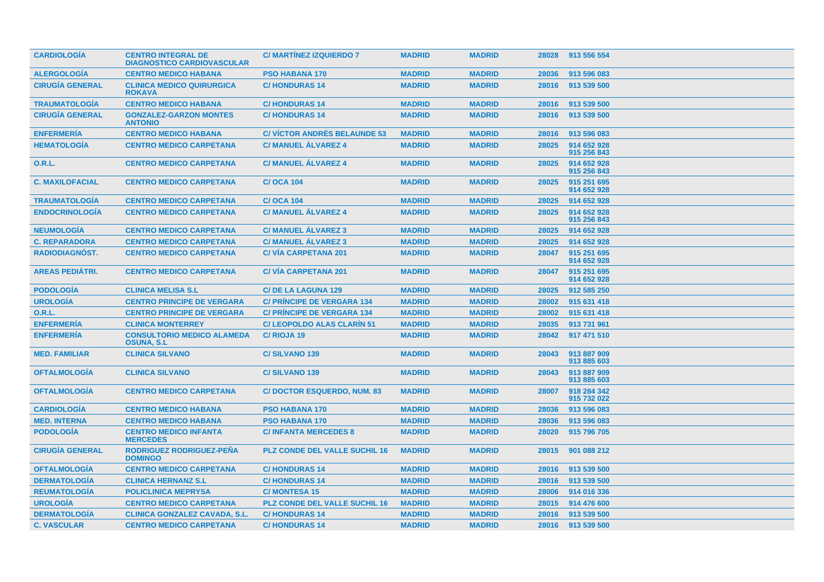| <b>CARDIOLOGÍA</b>     | <b>CENTRO INTEGRAL DE</b><br><b>DIAGNOSTICO CARDIOVASCULAR</b> | <b>C/ MARTINEZ IZQUIERDO 7</b>       | <b>MADRID</b> | <b>MADRID</b> | 28028 | 913 556 554                |
|------------------------|----------------------------------------------------------------|--------------------------------------|---------------|---------------|-------|----------------------------|
| <b>ALERGOLOGIA</b>     | <b>CENTRO MEDICO HABANA</b>                                    | <b>PSO HABANA 170</b>                | <b>MADRID</b> | <b>MADRID</b> | 28036 | 913 596 083                |
| <b>CIRUGÍA GENERAL</b> | <b>CLINICA MEDICO QUIRURGICA</b><br><b>ROKAVA</b>              | <b>C/HONDURAS 14</b>                 | <b>MADRID</b> | <b>MADRID</b> | 28016 | 913 539 500                |
| <b>TRAUMATOLOGIA</b>   | <b>CENTRO MEDICO HABANA</b>                                    | <b>C/HONDURAS14</b>                  | <b>MADRID</b> | <b>MADRID</b> | 28016 | 913 539 500                |
| <b>CIRUGÍA GENERAL</b> | <b>GONZALEZ-GARZON MONTES</b><br><b>ANTONIO</b>                | <b>C/HONDURAS 14</b>                 | <b>MADRID</b> | <b>MADRID</b> | 28016 | 913 539 500                |
| <b>ENFERMERÍA</b>      | <b>CENTRO MEDICO HABANA</b>                                    | <b>C/ VICTOR ANDRÉS BELAUNDE 53</b>  | <b>MADRID</b> | <b>MADRID</b> | 28016 | 913 596 083                |
| <b>HEMATOLOGIA</b>     | <b>CENTRO MEDICO CARPETANA</b>                                 | <b>C/MANUEL ALVAREZ 4</b>            | <b>MADRID</b> | <b>MADRID</b> | 28025 | 914 652 928<br>915 256 843 |
| <b>O.R.L.</b>          | <b>CENTRO MEDICO CARPETANA</b>                                 | <b>C/MANUEL ÁLVAREZ 4</b>            | <b>MADRID</b> | <b>MADRID</b> | 28025 | 914 652 928<br>915 256 843 |
| <b>C. MAXILOFACIAL</b> | <b>CENTRO MEDICO CARPETANA</b>                                 | <b>C/OCA 104</b>                     | <b>MADRID</b> | <b>MADRID</b> | 28025 | 915 251 695<br>914 652 928 |
| <b>TRAUMATOLOGÍA</b>   | <b>CENTRO MEDICO CARPETANA</b>                                 | <b>C/OCA 104</b>                     | <b>MADRID</b> | <b>MADRID</b> | 28025 | 914 652 928                |
| <b>ENDOCRINOLOGÍA</b>  | <b>CENTRO MEDICO CARPETANA</b>                                 | <b>C/MANUEL ALVAREZ 4</b>            | <b>MADRID</b> | <b>MADRID</b> | 28025 | 914 652 928<br>915 256 843 |
| <b>NEUMOLOGÍA</b>      | <b>CENTRO MEDICO CARPETANA</b>                                 | <b>C/ MANUEL ALVAREZ 3</b>           | <b>MADRID</b> | <b>MADRID</b> | 28025 | 914 652 928                |
| <b>C. REPARADORA</b>   | <b>CENTRO MEDICO CARPETANA</b>                                 | <b>C/ MANUEL ALVAREZ 3</b>           | <b>MADRID</b> | <b>MADRID</b> | 28025 | 914 652 928                |
| <b>RADIODIAGNOST.</b>  | <b>CENTRO MEDICO CARPETANA</b>                                 | <b>C/VIA CARPETANA 201</b>           | <b>MADRID</b> | <b>MADRID</b> | 28047 | 915 251 695<br>914 652 928 |
| <b>AREAS PEDIÁTRI.</b> | <b>CENTRO MEDICO CARPETANA</b>                                 | <b>C/VIA CARPETANA 201</b>           | <b>MADRID</b> | <b>MADRID</b> | 28047 | 915 251 695<br>914 652 928 |
| <b>PODOLOGIA</b>       | <b>CLINICA MELISA S.L.</b>                                     | <b>C/DE LA LAGUNA 129</b>            | <b>MADRID</b> | <b>MADRID</b> | 28025 | 912 585 250                |
| <b>UROLOGIA</b>        | <b>CENTRO PRINCIPE DE VERGARA</b>                              | <b>C/ PRINCIPE DE VERGARA 134</b>    | <b>MADRID</b> | <b>MADRID</b> | 28002 | 915 631 418                |
| <b>O.R.L.</b>          | <b>CENTRO PRINCIPE DE VERGARA</b>                              | <b>C/ PRINCIPE DE VERGARA 134</b>    | <b>MADRID</b> | <b>MADRID</b> | 28002 | 915 631 418                |
| <b>ENFERMERÍA</b>      | <b>CLINICA MONTERREY</b>                                       | <b>C/LEOPOLDO ALAS CLARIN 51</b>     | <b>MADRID</b> | <b>MADRID</b> | 28035 | 913 731 961                |
| <b>ENFERMERÍA</b>      | <b>CONSULTORIO MEDICO ALAMEDA</b><br><b>OSUNA, S.L.</b>        | C/RIOJA 19                           | <b>MADRID</b> | <b>MADRID</b> | 28042 | 917 471 510                |
| <b>MED. FAMILIAR</b>   | <b>CLINICA SILVANO</b>                                         | <b>C/SILVANO 139</b>                 | <b>MADRID</b> | <b>MADRID</b> | 28043 | 913 887 909<br>913 885 603 |
| <b>OFTALMOLOGÍA</b>    | <b>CLINICA SILVANO</b>                                         | C/SILVANO 139                        | <b>MADRID</b> | <b>MADRID</b> | 28043 | 913 887 909<br>913 885 603 |
| <b>OFTALMOLOGÍA</b>    | <b>CENTRO MEDICO CARPETANA</b>                                 | <b>C/DOCTOR ESQUERDO, NUM. 83</b>    | <b>MADRID</b> | <b>MADRID</b> | 28007 | 918 284 342<br>915 732 022 |
| <b>CARDIOLOGÍA</b>     | <b>CENTRO MEDICO HABANA</b>                                    | <b>PSO HABANA 170</b>                | <b>MADRID</b> | <b>MADRID</b> | 28036 | 913 596 083                |
| <b>MED. INTERNA</b>    | <b>CENTRO MEDICO HABANA</b>                                    | <b>PSO HABANA 170</b>                | <b>MADRID</b> | <b>MADRID</b> | 28036 | 913 596 083                |
| <b>PODOLOGÍA</b>       | <b>CENTRO MEDICO INFANTA</b><br><b>MERCEDES</b>                | <b>C/INFANTA MERCEDES 8</b>          | <b>MADRID</b> | <b>MADRID</b> | 28020 | 915 796 705                |
| <b>CIRUGIA GENERAL</b> | RODRIGUEZ RODRIGUEZ-PEÑA<br><b>DOMINGO</b>                     | <b>PLZ CONDE DEL VALLE SUCHIL 16</b> | <b>MADRID</b> | <b>MADRID</b> | 28015 | 901 088 212                |
| <b>OFTALMOLOGIA</b>    | <b>CENTRO MEDICO CARPETANA</b>                                 | <b>C/HONDURAS14</b>                  | <b>MADRID</b> | <b>MADRID</b> | 28016 | 913 539 500                |
| <b>DERMATOLOGÍA</b>    | <b>CLINICA HERNANZ S.L</b>                                     | <b>C/HONDURAS14</b>                  | <b>MADRID</b> | <b>MADRID</b> | 28016 | 913 539 500                |
| <b>REUMATOLOGÍA</b>    | <b>POLICLINICA MEPRYSA</b>                                     | <b>C/MONTESA 15</b>                  | <b>MADRID</b> | <b>MADRID</b> | 28006 | 914 016 336                |
| <b>UROLOGIA</b>        | <b>CENTRO MEDICO CARPETANA</b>                                 | <b>PLZ CONDE DEL VALLE SUCHIL 16</b> | <b>MADRID</b> | <b>MADRID</b> | 28015 | 914 476 600                |
| <b>DERMATOLOGIA</b>    | <b>CLINICA GONZALEZ CAVADA, S.L.</b>                           | <b>C/HONDURAS 14</b>                 | <b>MADRID</b> | <b>MADRID</b> | 28016 | 913 539 500                |
| <b>C. VASCULAR</b>     | <b>CENTRO MEDICO CARPETANA</b>                                 | <b>C/HONDURAS 14</b>                 | <b>MADRID</b> | <b>MADRID</b> | 28016 | 913 539 500                |
|                        |                                                                |                                      |               |               |       |                            |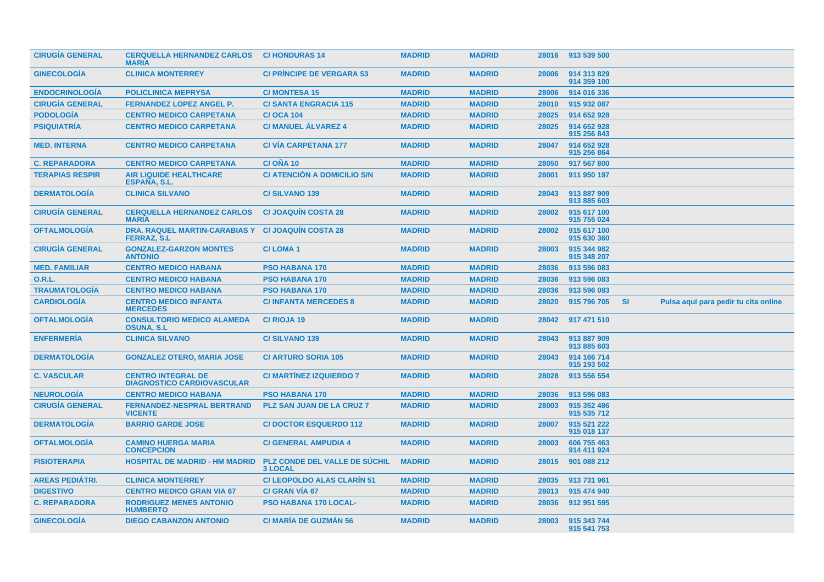| <b>CIRUGIA GENERAL</b> | <b>CERQUELLA HERNANDEZ CARLOS</b><br><b>MARIA</b>                        | <b>C/HONDURAS14</b>                                    | <b>MADRID</b> | <b>MADRID</b> | 28016 | 913 539 500                |           |                                      |
|------------------------|--------------------------------------------------------------------------|--------------------------------------------------------|---------------|---------------|-------|----------------------------|-----------|--------------------------------------|
| <b>GINECOLOGIA</b>     | <b>CLINICA MONTERREY</b>                                                 | <b>C/ PRINCIPE DE VERGARA 53</b>                       | <b>MADRID</b> | <b>MADRID</b> | 28006 | 914 313 829<br>914 359 100 |           |                                      |
| <b>ENDOCRINOLOGIA</b>  | <b>POLICLINICA MEPRYSA</b>                                               | <b>C/MONTESA 15</b>                                    | <b>MADRID</b> | <b>MADRID</b> | 28006 | 914 016 336                |           |                                      |
| <b>CIRUGÍA GENERAL</b> | <b>FERNANDEZ LOPEZ ANGEL P.</b>                                          | <b>C/SANTA ENGRACIA 115</b>                            | <b>MADRID</b> | <b>MADRID</b> | 28010 | 915 932 087                |           |                                      |
| <b>PODOLOGÍA</b>       | <b>CENTRO MEDICO CARPETANA</b>                                           | <b>C/OCA 104</b>                                       | <b>MADRID</b> | <b>MADRID</b> | 28025 | 914 652 928                |           |                                      |
| <b>PSIQUIATRÍA</b>     | <b>CENTRO MEDICO CARPETANA</b>                                           | <b>C/ MANUEL ALVAREZ 4</b>                             | <b>MADRID</b> | <b>MADRID</b> | 28025 | 914 652 928<br>915 256 843 |           |                                      |
| <b>MED. INTERNA</b>    | <b>CENTRO MEDICO CARPETANA</b>                                           | <b>C/VIA CARPETANA 177</b>                             | <b>MADRID</b> | <b>MADRID</b> | 28047 | 914 652 928<br>915 256 864 |           |                                      |
| <b>C. REPARADORA</b>   | <b>CENTRO MEDICO CARPETANA</b>                                           | C/ONA 10                                               | <b>MADRID</b> | <b>MADRID</b> | 28050 | 917 567 800                |           |                                      |
| <b>TERAPIAS RESPIR</b> | <b>AIR LIQUIDE HEALTHCARE</b><br><b>ESPANA, S.L.</b>                     | <b>C/ ATENCION A DOMICILIO S/N</b>                     | <b>MADRID</b> | <b>MADRID</b> | 28001 | 911 950 197                |           |                                      |
| <b>DERMATOLOGÍA</b>    | <b>CLINICA SILVANO</b>                                                   | C/SILVANO <sub>139</sub>                               | <b>MADRID</b> | <b>MADRID</b> | 28043 | 913 887 909<br>913 885 603 |           |                                      |
| <b>CIRUGÍA GENERAL</b> | <b>CERQUELLA HERNANDEZ CARLOS</b><br><b>MARIA</b>                        | <b>C/JOAQUIN COSTA 28</b>                              | <b>MADRID</b> | <b>MADRID</b> | 28002 | 915 617 100<br>915 755 024 |           |                                      |
| <b>OFTALMOLOGÍA</b>    | DRA. RAQUEL MARTIN-CARABIAS Y C/ JOAQUÍN COSTA 28<br><b>FERRAZ, S.L.</b> |                                                        | <b>MADRID</b> | <b>MADRID</b> | 28002 | 915 617 100<br>915 630 360 |           |                                      |
| <b>CIRUGIA GENERAL</b> | <b>GONZALEZ-GARZON MONTES</b><br><b>ANTONIO</b>                          | <b>C/LOMA1</b>                                         | <b>MADRID</b> | <b>MADRID</b> | 28003 | 915 344 982<br>915 348 207 |           |                                      |
| <b>MED. FAMILIAR</b>   | <b>CENTRO MEDICO HABANA</b>                                              | <b>PSO HABANA 170</b>                                  | <b>MADRID</b> | <b>MADRID</b> | 28036 | 913 596 083                |           |                                      |
| <b>O.R.L.</b>          | <b>CENTRO MEDICO HABANA</b>                                              | <b>PSO HABANA 170</b>                                  | <b>MADRID</b> | <b>MADRID</b> | 28036 | 913 596 083                |           |                                      |
| <b>TRAUMATOLOGÍA</b>   | <b>CENTRO MEDICO HABANA</b>                                              | <b>PSO HABANA 170</b>                                  | <b>MADRID</b> | <b>MADRID</b> | 28036 | 913 596 083                |           |                                      |
| <b>CARDIOLOGÍA</b>     | <b>CENTRO MEDICO INFANTA</b><br><b>MERCEDES</b>                          | <b>C/INFANTA MERCEDES 8</b>                            | <b>MADRID</b> | <b>MADRID</b> | 28020 | 915 796 705                | <b>SI</b> | Pulsa aquí para pedir tu cita online |
| <b>OFTALMOLOGÍA</b>    | <b>CONSULTORIO MEDICO ALAMEDA</b><br><b>OSUNA, S.L.</b>                  | C/RIOJA 19                                             | <b>MADRID</b> | <b>MADRID</b> | 28042 | 917 471 510                |           |                                      |
| <b>ENFERMERIA</b>      | <b>CLINICA SILVANO</b>                                                   | <b>C/SILVANO 139</b>                                   | <b>MADRID</b> | <b>MADRID</b> | 28043 | 913 887 909<br>913 885 603 |           |                                      |
| <b>DERMATOLOGIA</b>    | <b>GONZALEZ OTERO, MARIA JOSE</b>                                        | <b>C/ ARTURO SORIA 105</b>                             | <b>MADRID</b> | <b>MADRID</b> | 28043 | 914 166 714<br>915 193 502 |           |                                      |
| <b>C. VASCULAR</b>     | <b>CENTRO INTEGRAL DE</b><br><b>DIAGNOSTICO CARDIOVASCULAR</b>           | <b>C/MARTINEZ IZQUIERDO 7</b>                          | <b>MADRID</b> | <b>MADRID</b> | 28028 | 913 556 554                |           |                                      |
| <b>NEUROLOGÍA</b>      | <b>CENTRO MEDICO HABANA</b>                                              | <b>PSO HABANA 170</b>                                  | <b>MADRID</b> | <b>MADRID</b> | 28036 | 913 596 083                |           |                                      |
| <b>CIRUGÍA GENERAL</b> | <b>FERNANDEZ-NESPRAL BERTRAND</b><br><b>VICENTE</b>                      | <b>PLZ SAN JUAN DE LA CRUZ 7</b>                       | <b>MADRID</b> | <b>MADRID</b> | 28003 | 915 352 486<br>915 535 712 |           |                                      |
| <b>DERMATOLOGIA</b>    | <b>BARRIO GARDE JOSE</b>                                                 | <b>C/DOCTOR ESQUERDO 112</b>                           | <b>MADRID</b> | <b>MADRID</b> | 28007 | 915 521 222<br>915 018 137 |           |                                      |
| <b>OFTALMOLOGIA</b>    | <b>CAMINO HUERGA MARIA</b><br><b>CONCEPCION</b>                          | <b>C/ GENERAL AMPUDIA 4</b>                            | <b>MADRID</b> | <b>MADRID</b> | 28003 | 606 755 463<br>914 411 924 |           |                                      |
| <b>FISIOTERAPIA</b>    | <b>HOSPITAL DE MADRID - HM MADRID</b>                                    | <b>PLZ CONDE DEL VALLE DE SÚCHIL</b><br><b>3 LOCAL</b> | <b>MADRID</b> | <b>MADRID</b> | 28015 | 901 088 212                |           |                                      |
| <b>AREAS PEDIÁTRI.</b> | <b>CLINICA MONTERREY</b>                                                 | <b>C/LEOPOLDO ALAS CLARIN 51</b>                       | <b>MADRID</b> | <b>MADRID</b> | 28035 | 913 731 961                |           |                                      |
| <b>DIGESTIVO</b>       | <b>CENTRO MEDICO GRAN VIA 67</b>                                         | <b>C/ GRAN VIA 67</b>                                  | <b>MADRID</b> | <b>MADRID</b> | 28013 | 915 474 940                |           |                                      |
| <b>C. REPARADORA</b>   | <b>RODRIGUEZ MENES ANTONIO</b><br><b>HUMBERTO</b>                        | <b>PSO HABANA 170 LOCAL-</b>                           | <b>MADRID</b> | <b>MADRID</b> | 28036 | 912 951 595                |           |                                      |
| <b>GINECOLOGIA</b>     | <b>DIEGO CABANZON ANTONIO</b>                                            | <b>C/ MARÍA DE GUZMÁN 56</b>                           | <b>MADRID</b> | <b>MADRID</b> | 28003 | 915 343 744<br>915 541 753 |           |                                      |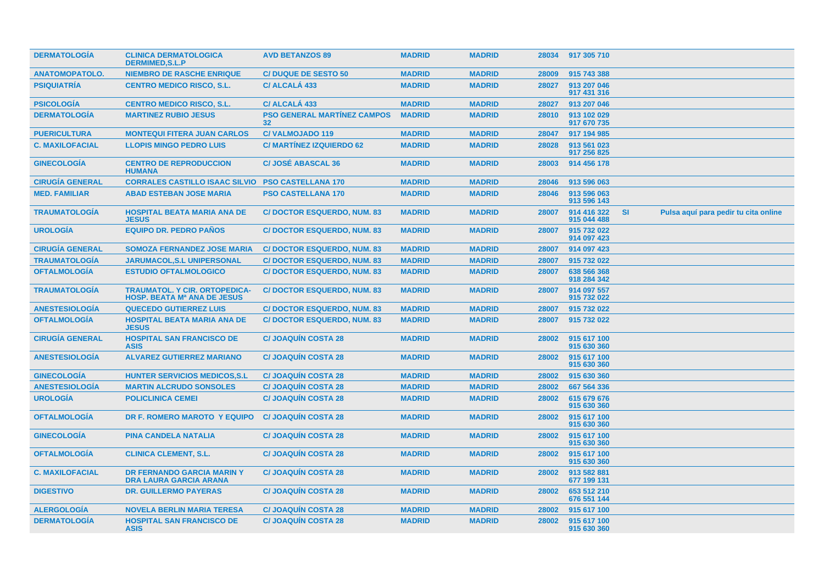| <b>DERMATOLOGÍA</b>    | <b>CLINICA DERMATOLOGICA</b><br><b>DERMIMED.S.L.P</b>                      | <b>AVD BETANZOS 89</b>                                | <b>MADRID</b> | <b>MADRID</b> | 28034 | 917 305 710                |    |                                      |
|------------------------|----------------------------------------------------------------------------|-------------------------------------------------------|---------------|---------------|-------|----------------------------|----|--------------------------------------|
| <b>ANATOMOPATOLO.</b>  | <b>NIEMBRO DE RASCHE ENRIQUE</b>                                           | <b>C/ DUQUE DE SESTO 50</b>                           | <b>MADRID</b> | <b>MADRID</b> | 28009 | 915 743 388                |    |                                      |
| <b>PSIQUIATRÍA</b>     | <b>CENTRO MEDICO RISCO, S.L.</b>                                           | <b>C/ALCALÁ 433</b>                                   | <b>MADRID</b> | <b>MADRID</b> | 28027 | 913 207 046<br>917 431 316 |    |                                      |
| <b>PSICOLOGÍA</b>      | <b>CENTRO MEDICO RISCO, S.L.</b>                                           | C/ ALCALA 433                                         | <b>MADRID</b> | <b>MADRID</b> | 28027 | 913 207 046                |    |                                      |
| <b>DERMATOLOGÍA</b>    | <b>MARTINEZ RUBIO JESUS</b>                                                | <b>PSO GENERAL MARTÍNEZ CAMPOS</b><br>32 <sub>2</sub> | <b>MADRID</b> | <b>MADRID</b> | 28010 | 913 102 029<br>917 670 735 |    |                                      |
| <b>PUERICULTURA</b>    | <b>MONTEQUI FITERA JUAN CARLOS</b>                                         | <b>C/VALMOJADO 119</b>                                | <b>MADRID</b> | <b>MADRID</b> | 28047 | 917 194 985                |    |                                      |
| <b>C. MAXILOFACIAL</b> | <b>LLOPIS MINGO PEDRO LUIS</b>                                             | <b>C/ MARTINEZ IZQUIERDO 62</b>                       | <b>MADRID</b> | <b>MADRID</b> | 28028 | 913 561 023<br>917 256 825 |    |                                      |
| <b>GINECOLOGÍA</b>     | <b>CENTRO DE REPRODUCCION</b><br><b>HUMANA</b>                             | <b>C/JOSÉ ABASCAL 36</b>                              | <b>MADRID</b> | <b>MADRID</b> | 28003 | 914 456 178                |    |                                      |
| <b>CIRUGÍA GENERAL</b> | <b>CORRALES CASTILLO ISAAC SILVIO</b>                                      | <b>PSO CASTELLANA 170</b>                             | <b>MADRID</b> | <b>MADRID</b> | 28046 | 913 596 063                |    |                                      |
| <b>MED. FAMILIAR</b>   | <b>ABAD ESTEBAN JOSE MARIA</b>                                             | <b>PSO CASTELLANA 170</b>                             | <b>MADRID</b> | <b>MADRID</b> | 28046 | 913 596 063<br>913 596 143 |    |                                      |
| <b>TRAUMATOLOGÍA</b>   | <b>HOSPITAL BEATA MARIA ANA DE</b><br><b>JESUS</b>                         | <b>C/DOCTOR ESQUERDO, NUM. 83</b>                     | <b>MADRID</b> | <b>MADRID</b> | 28007 | 914 416 322<br>915 044 488 | SI | Pulsa aquí para pedir tu cita online |
| <b>UROLOGÍA</b>        | <b>EQUIPO DR. PEDRO PAÑOS</b>                                              | <b>C/DOCTOR ESQUERDO, NUM. 83</b>                     | <b>MADRID</b> | <b>MADRID</b> | 28007 | 915 732 022<br>914 097 423 |    |                                      |
| <b>CIRUGÍA GENERAL</b> | <b>SOMOZA FERNANDEZ JOSE MARIA</b>                                         | <b>C/DOCTOR ESQUERDO, NUM. 83</b>                     | <b>MADRID</b> | <b>MADRID</b> | 28007 | 914 097 423                |    |                                      |
| <b>TRAUMATOLOGÍA</b>   | <b>JARUMACOL, S.L UNIPERSONAL</b>                                          | <b>C/DOCTOR ESQUERDO, NUM. 83</b>                     | <b>MADRID</b> | <b>MADRID</b> | 28007 | 915 732 022                |    |                                      |
| <b>OFTALMOLOGÍA</b>    | <b>ESTUDIO OFTALMOLOGICO</b>                                               | <b>C/DOCTOR ESQUERDO, NUM. 83</b>                     | <b>MADRID</b> | <b>MADRID</b> | 28007 | 638 566 368<br>918 284 342 |    |                                      |
| <b>TRAUMATOLOGÍA</b>   | <b>TRAUMATOL. Y CIR. ORTOPEDICA-</b><br><b>HOSP. BEATA Mª ANA DE JESUS</b> | <b>C/DOCTOR ESQUERDO, NUM. 83</b>                     | <b>MADRID</b> | <b>MADRID</b> | 28007 | 914 097 557<br>915 732 022 |    |                                      |
| <b>ANESTESIOLOGÍA</b>  | <b>QUECEDO GUTIERREZ LUIS</b>                                              | <b>C/DOCTOR ESQUERDO, NUM. 83</b>                     | <b>MADRID</b> | <b>MADRID</b> | 28007 | 915 732 022                |    |                                      |
| <b>OFTALMOLOGÍA</b>    | <b>HOSPITAL BEATA MARIA ANA DE</b><br><b>JESUS</b>                         | <b>C/DOCTOR ESQUERDO, NUM. 83</b>                     | <b>MADRID</b> | <b>MADRID</b> | 28007 | 915 732 022                |    |                                      |
| <b>CIRUGÍA GENERAL</b> | <b>HOSPITAL SAN FRANCISCO DE</b><br><b>ASIS</b>                            | <b>C/JOAQUIN COSTA 28</b>                             | <b>MADRID</b> | <b>MADRID</b> | 28002 | 915 617 100<br>915 630 360 |    |                                      |
| <b>ANESTESIOLOGÍA</b>  | <b>ALVAREZ GUTIERREZ MARIANO</b>                                           | <b>C/JOAQUIN COSTA 28</b>                             | <b>MADRID</b> | <b>MADRID</b> | 28002 | 915 617 100<br>915 630 360 |    |                                      |
| <b>GINECOLOGÍA</b>     | <b>HUNTER SERVICIOS MEDICOS, S.L.</b>                                      | <b>C/JOAQUIN COSTA 28</b>                             | <b>MADRID</b> | <b>MADRID</b> | 28002 | 915 630 360                |    |                                      |
| <b>ANESTESIOLOGÍA</b>  | <b>MARTIN ALCRUDO SONSOLES</b>                                             | <b>C/JOAQUIN COSTA 28</b>                             | <b>MADRID</b> | <b>MADRID</b> | 28002 | 667 564 336                |    |                                      |
| <b>UROLOGÍA</b>        | <b>POLICLINICA CEMEI</b>                                                   | <b>C/JOAQUIN COSTA 28</b>                             | <b>MADRID</b> | <b>MADRID</b> | 28002 | 615 679 676<br>915 630 360 |    |                                      |
| <b>OFTALMOLOGÍA</b>    | DR F. ROMERO MAROTO Y EQUIPO                                               | <b>C/JOAQUIN COSTA 28</b>                             | <b>MADRID</b> | <b>MADRID</b> | 28002 | 915 617 100<br>915 630 360 |    |                                      |
| <b>GINECOLOGÍA</b>     | <b>PINA CANDELA NATALIA</b>                                                | <b>C/JOAQUIN COSTA 28</b>                             | <b>MADRID</b> | <b>MADRID</b> | 28002 | 915 617 100<br>915 630 360 |    |                                      |
| <b>OFTALMOLOGÍA</b>    | <b>CLINICA CLEMENT, S.L.</b>                                               | <b>C/JOAQUIN COSTA 28</b>                             | <b>MADRID</b> | <b>MADRID</b> | 28002 | 915 617 100<br>915 630 360 |    |                                      |
| <b>C. MAXILOFACIAL</b> | <b>DR FERNANDO GARCIA MARIN Y</b><br><b>DRA LAURA GARCIA ARANA</b>         | <b>C/JOAQUIN COSTA 28</b>                             | <b>MADRID</b> | <b>MADRID</b> | 28002 | 913 582 881<br>677 199 131 |    |                                      |
| <b>DIGESTIVO</b>       | <b>DR. GUILLERMO PAYERAS</b>                                               | <b>C/JOAQUIN COSTA 28</b>                             | <b>MADRID</b> | <b>MADRID</b> | 28002 | 653 512 210<br>676 551 144 |    |                                      |
| <b>ALERGOLOGIA</b>     | <b>NOVELA BERLIN MARIA TERESA</b>                                          | <b>C/JOAQUIN COSTA 28</b>                             | <b>MADRID</b> | <b>MADRID</b> | 28002 | 915 617 100                |    |                                      |
| <b>DERMATOLOGÍA</b>    | <b>HOSPITAL SAN FRANCISCO DE</b><br><b>ASIS</b>                            | <b>C/JOAQUIN COSTA 28</b>                             | <b>MADRID</b> | <b>MADRID</b> | 28002 | 915 617 100<br>915 630 360 |    |                                      |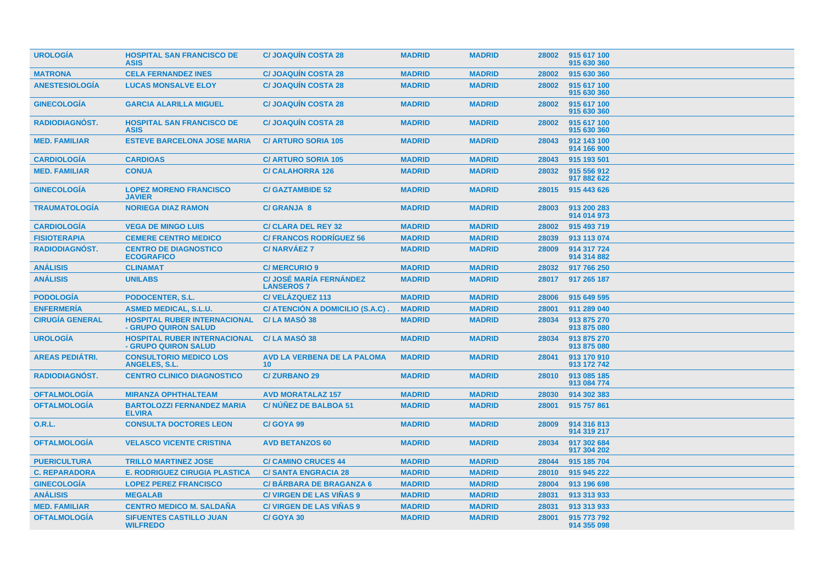| <b>UROLOGIA</b>        | <b>HOSPITAL SAN FRANCISCO DE</b><br><b>ASIS</b>             | <b>C/JOAQUIN COSTA 28</b>                             | <b>MADRID</b> | <b>MADRID</b> | 28002 | 915 617 100<br>915 630 360 |
|------------------------|-------------------------------------------------------------|-------------------------------------------------------|---------------|---------------|-------|----------------------------|
| <b>MATRONA</b>         | <b>CELA FERNANDEZ INES</b>                                  | <b>C/JOAQUIN COSTA 28</b>                             | <b>MADRID</b> | <b>MADRID</b> | 28002 | 915 630 360                |
| <b>ANESTESIOLOGÍA</b>  | <b>LUCAS MONSALVE ELOY</b>                                  | <b>C/JOAQUIN COSTA 28</b>                             | <b>MADRID</b> | <b>MADRID</b> | 28002 | 915 617 100<br>915 630 360 |
| <b>GINECOLOGIA</b>     | <b>GARCIA ALARILLA MIGUEL</b>                               | <b>C/JOAQUIN COSTA 28</b>                             | <b>MADRID</b> | <b>MADRID</b> | 28002 | 915 617 100<br>915 630 360 |
| <b>RADIODIAGNÓST.</b>  | <b>HOSPITAL SAN FRANCISCO DE</b><br><b>ASIS</b>             | <b>C/JOAQUIN COSTA 28</b>                             | <b>MADRID</b> | <b>MADRID</b> | 28002 | 915 617 100<br>915 630 360 |
| <b>MED. FAMILIAR</b>   | <b>ESTEVE BARCELONA JOSE MARIA</b>                          | <b>C/ ARTURO SORIA 105</b>                            | <b>MADRID</b> | <b>MADRID</b> | 28043 | 912 143 100<br>914 166 900 |
| <b>CARDIOLOGÍA</b>     | <b>CARDIOAS</b>                                             | <b>C/ ARTURO SORIA 105</b>                            | <b>MADRID</b> | <b>MADRID</b> | 28043 | 915 193 501                |
| <b>MED. FAMILIAR</b>   | <b>CONUA</b>                                                | <b>C/CALAHORRA 126</b>                                | <b>MADRID</b> | <b>MADRID</b> | 28032 | 915 556 912<br>917 882 622 |
| <b>GINECOLOGÍA</b>     | <b>LOPEZ MORENO FRANCISCO</b><br><b>JAVIER</b>              | <b>C/GAZTAMBIDE 52</b>                                | <b>MADRID</b> | <b>MADRID</b> | 28015 | 915 443 626                |
| <b>TRAUMATOLOGIA</b>   | <b>NORIEGA DIAZ RAMON</b>                                   | <b>C/ GRANJA 8</b>                                    | <b>MADRID</b> | <b>MADRID</b> | 28003 | 913 200 283<br>914 014 973 |
| <b>CARDIOLOGÍA</b>     | <b>VEGA DE MINGO LUIS</b>                                   | <b>C/ CLARA DEL REY 32</b>                            | <b>MADRID</b> | <b>MADRID</b> | 28002 | 915 493 719                |
| <b>FISIOTERAPIA</b>    | <b>CEMERE CENTRO MEDICO</b>                                 | <b>C/ FRANCOS RODRÍGUEZ 56</b>                        | <b>MADRID</b> | <b>MADRID</b> | 28039 | 913 113 074                |
| <b>RADIODIAGNÓST.</b>  | <b>CENTRO DE DIAGNOSTICO</b><br><b>ECOGRAFICO</b>           | <b>C/NARVÁEZ 7</b>                                    | <b>MADRID</b> | <b>MADRID</b> | 28009 | 914 317 724<br>914 314 882 |
| <b>ANÁLISIS</b>        | <b>CLINAMAT</b>                                             | <b>C/MERCURIO 9</b>                                   | <b>MADRID</b> | <b>MADRID</b> | 28032 | 917 766 250                |
| <b>ANÁLISIS</b>        | <b>UNILABS</b>                                              | <b>C/ JOSÉ MARÍA FERNÁNDEZ</b><br><b>LANSEROS 7</b>   | <b>MADRID</b> | <b>MADRID</b> | 28017 | 917 265 187                |
| <b>PODOLOGÍA</b>       | <b>PODOCENTER, S.L.</b>                                     | C/VELÁZQUEZ 113                                       | <b>MADRID</b> | <b>MADRID</b> | 28006 | 915 649 595                |
| <b>ENFERMERIA</b>      | <b>ASMED MEDICAL, S.L.U.</b>                                | C/ ATENCION A DOMICILIO (S.A.C).                      | <b>MADRID</b> | <b>MADRID</b> | 28001 | 911 289 040                |
| <b>CIRUGÍA GENERAL</b> | <b>HOSPITAL RUBER INTERNACIONAL</b><br>- GRUPO QUIRON SALUD | C/LA MASO 38                                          | <b>MADRID</b> | <b>MADRID</b> | 28034 | 913 875 270<br>913 875 080 |
| <b>UROLOGÍA</b>        | <b>HOSPITAL RUBER INTERNACIONAL</b><br>- GRUPO QUIRON SALUD | C/LA MASO 38                                          | <b>MADRID</b> | <b>MADRID</b> | 28034 | 913 875 270<br>913 875 080 |
| <b>AREAS PEDIÁTRI.</b> | <b>CONSULTORIO MEDICO LOS</b><br><b>ANGELES, S.L.</b>       | <b>AVD LA VERBENA DE LA PALOMA</b><br>10 <sup>°</sup> | <b>MADRID</b> | <b>MADRID</b> | 28041 | 913 170 910<br>913 172 742 |
| <b>RADIODIAGNÓST.</b>  | <b>CENTRO CLINICO DIAGNOSTICO</b>                           | <b>C/ZURBANO 29</b>                                   | <b>MADRID</b> | <b>MADRID</b> | 28010 | 913 085 185<br>913 084 774 |
| <b>OFTALMOLOGÍA</b>    | <b>MIRANZA OPHTHALTEAM</b>                                  | <b>AVD MORATALAZ 157</b>                              | <b>MADRID</b> | <b>MADRID</b> | 28030 | 914 302 383                |
| <b>OFTALMOLOGÍA</b>    | <b>BARTOLOZZI FERNANDEZ MARIA</b><br><b>ELVIRA</b>          | C/NÚÑEZ DE BALBOA 51                                  | <b>MADRID</b> | <b>MADRID</b> | 28001 | 915 757 861                |
| O.R.L.                 | <b>CONSULTA DOCTORES LEON</b>                               | C/GOYA 99                                             | <b>MADRID</b> | <b>MADRID</b> | 28009 | 914 316 813<br>914 319 217 |
| <b>OFTALMOLOGÍA</b>    | <b>VELASCO VICENTE CRISTINA</b>                             | <b>AVD BETANZOS 60</b>                                | <b>MADRID</b> | <b>MADRID</b> | 28034 | 917 302 684<br>917 304 202 |
| <b>PUERICULTURA</b>    | <b>TRILLO MARTINEZ JOSE</b>                                 | <b>C/ CAMINO CRUCES 44</b>                            | <b>MADRID</b> | <b>MADRID</b> | 28044 | 915 185 704                |
| <b>C. REPARADORA</b>   | <b>E. RODRIGUEZ CIRUGIA PLASTICA</b>                        | <b>C/SANTA ENGRACIA 28</b>                            | <b>MADRID</b> | <b>MADRID</b> | 28010 | 915 945 222                |
| <b>GINECOLOGÍA</b>     | <b>LOPEZ PEREZ FRANCISCO</b>                                | <b>C/BÁRBARA DE BRAGANZA 6</b>                        | <b>MADRID</b> | <b>MADRID</b> | 28004 | 913 196 698                |
| <b>ANÁLISIS</b>        | <b>MEGALAB</b>                                              | <b>C/ VIRGEN DE LAS VIÑAS 9</b>                       | <b>MADRID</b> | <b>MADRID</b> | 28031 | 913 313 933                |
| <b>MED. FAMILIAR</b>   | <b>CENTRO MEDICO M. SALDAÑA</b>                             | <b>C/ VIRGEN DE LAS VIÑAS 9</b>                       | <b>MADRID</b> | <b>MADRID</b> | 28031 | 913 313 933                |
| <b>OFTALMOLOGÍA</b>    | <b>SIFUENTES CASTILLO JUAN</b><br><b>WILFREDO</b>           | C/GOYA 30                                             | <b>MADRID</b> | <b>MADRID</b> | 28001 | 915 773 792<br>914 355 098 |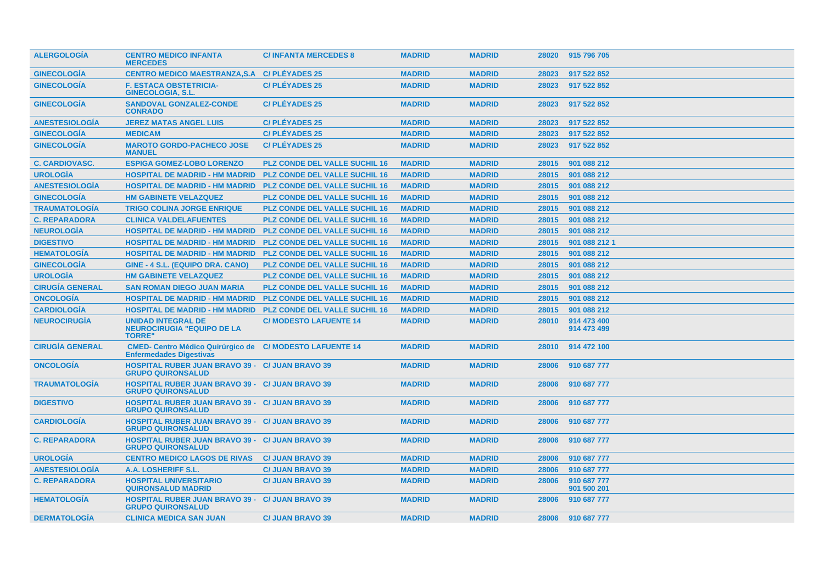| <b>ALERGOLOGIA</b>     | <b>CENTRO MEDICO INFANTA</b><br><b>MERCEDES</b>                                    | <b>C/INFANTA MERCEDES 8</b>          | <b>MADRID</b> | <b>MADRID</b> | 28020 | 915 796 705                |
|------------------------|------------------------------------------------------------------------------------|--------------------------------------|---------------|---------------|-------|----------------------------|
| <b>GINECOLOGIA</b>     | CENTRO MEDICO MAESTRANZA, S.A C/ PLÉYADES 25                                       |                                      | <b>MADRID</b> | <b>MADRID</b> | 28023 | 917 522 852                |
| <b>GINECOLOGIA</b>     | <b>F. ESTACA OBSTETRICIA-</b><br><b>GINECOLOGIA, S.L.</b>                          | <b>C/PLEYADES 25</b>                 | <b>MADRID</b> | <b>MADRID</b> | 28023 | 917 522 852                |
| <b>GINECOLOGIA</b>     | <b>SANDOVAL GONZALEZ-CONDE</b><br><b>CONRADO</b>                                   | <b>C/PLEYADES 25</b>                 | <b>MADRID</b> | <b>MADRID</b> | 28023 | 917 522 852                |
| <b>ANESTESIOLOGIA</b>  | <b>JEREZ MATAS ANGEL LUIS</b>                                                      | <b>C/PLÉYADES 25</b>                 | <b>MADRID</b> | <b>MADRID</b> | 28023 | 917 522 852                |
| <b>GINECOLOGÍA</b>     | <b>MEDICAM</b>                                                                     | <b>C/PLÉYADES 25</b>                 | <b>MADRID</b> | <b>MADRID</b> | 28023 | 917 522 852                |
| <b>GINECOLOGÍA</b>     | <b>MAROTO GORDO-PACHECO JOSE</b><br><b>MANUEL</b>                                  | <b>C/PLÉYADES 25</b>                 | <b>MADRID</b> | <b>MADRID</b> | 28023 | 917 522 852                |
| <b>C. CARDIOVASC.</b>  | <b>ESPIGA GOMEZ-LOBO LORENZO</b>                                                   | <b>PLZ CONDE DEL VALLE SUCHIL 16</b> | <b>MADRID</b> | <b>MADRID</b> | 28015 | 901 088 212                |
| <b>UROLOGIA</b>        | <b>HOSPITAL DE MADRID - HM MADRID</b>                                              | <b>PLZ CONDE DEL VALLE SUCHIL 16</b> | <b>MADRID</b> | <b>MADRID</b> | 28015 | 901 088 212                |
| <b>ANESTESIOLOGÍA</b>  | <b>HOSPITAL DE MADRID - HM MADRID</b>                                              | <b>PLZ CONDE DEL VALLE SUCHIL 16</b> | <b>MADRID</b> | <b>MADRID</b> | 28015 | 901 088 212                |
| <b>GINECOLOGÍA</b>     | <b>HM GABINETE VELAZQUEZ</b>                                                       | <b>PLZ CONDE DEL VALLE SUCHIL 16</b> | <b>MADRID</b> | <b>MADRID</b> | 28015 | 901 088 212                |
| <b>TRAUMATOLOGÍA</b>   | <b>TRIGO COLINA JORGE ENRIQUE</b>                                                  | PLZ CONDE DEL VALLE SUCHIL 16        | <b>MADRID</b> | <b>MADRID</b> | 28015 | 901 088 212                |
| <b>C. REPARADORA</b>   | <b>CLINICA VALDELAFUENTES</b>                                                      | <b>PLZ CONDE DEL VALLE SUCHIL 16</b> | <b>MADRID</b> | <b>MADRID</b> | 28015 | 901 088 212                |
| <b>NEUROLOGÍA</b>      | <b>HOSPITAL DE MADRID - HM MADRID</b>                                              | <b>PLZ CONDE DEL VALLE SUCHIL 16</b> | <b>MADRID</b> | <b>MADRID</b> | 28015 | 901 088 212                |
| <b>DIGESTIVO</b>       | <b>HOSPITAL DE MADRID - HM MADRID</b>                                              | <b>PLZ CONDE DEL VALLE SUCHIL 16</b> | <b>MADRID</b> | <b>MADRID</b> | 28015 | 901 088 212 1              |
| <b>HEMATOLOGÍA</b>     | <b>HOSPITAL DE MADRID - HM MADRID</b>                                              | <b>PLZ CONDE DEL VALLE SUCHIL 16</b> | <b>MADRID</b> | <b>MADRID</b> | 28015 | 901 088 212                |
| <b>GINECOLOGÍA</b>     | GINE - 4 S.L. (EQUIPO DRA. CANO)                                                   | <b>PLZ CONDE DEL VALLE SUCHIL 16</b> | <b>MADRID</b> | <b>MADRID</b> | 28015 | 901 088 212                |
| <b>UROLOGIA</b>        | <b>HM GABINETE VELAZQUEZ</b>                                                       | <b>PLZ CONDE DEL VALLE SUCHIL 16</b> | <b>MADRID</b> | <b>MADRID</b> | 28015 | 901 088 212                |
| <b>CIRUGÍA GENERAL</b> | <b>SAN ROMAN DIEGO JUAN MARIA</b>                                                  | <b>PLZ CONDE DEL VALLE SUCHIL 16</b> | <b>MADRID</b> | <b>MADRID</b> | 28015 | 901 088 212                |
| <b>ONCOLOGIA</b>       | <b>HOSPITAL DE MADRID - HM MADRID</b>                                              | <b>PLZ CONDE DEL VALLE SUCHIL 16</b> | <b>MADRID</b> | <b>MADRID</b> | 28015 | 901 088 212                |
| <b>CARDIOLOGÍA</b>     | <b>HOSPITAL DE MADRID - HM MADRID</b>                                              | <b>PLZ CONDE DEL VALLE SUCHIL 16</b> | <b>MADRID</b> | <b>MADRID</b> | 28015 | 901 088 212                |
| <b>NEUROCIRUGÍA</b>    | <b>UNIDAD INTEGRAL DE</b><br><b>NEUROCIRUGIA "EQUIPO DE LA</b><br><b>TORRE"</b>    | <b>C/MODESTO LAFUENTE 14</b>         | <b>MADRID</b> | <b>MADRID</b> | 28010 | 914 473 400<br>914 473 499 |
| <b>CIRUGIA GENERAL</b> | <b>CMED- Centro Médico Quirúrgico de</b><br><b>Enfermedades Digestivas</b>         | <b>C/MODESTO LAFUENTE 14</b>         | <b>MADRID</b> | <b>MADRID</b> | 28010 | 914 472 100                |
| <b>ONCOLOGIA</b>       | <b>HOSPITAL RUBER JUAN BRAVO 39 - C/ JUAN BRAVO 39</b><br><b>GRUPO QUIRONSALUD</b> |                                      | <b>MADRID</b> | <b>MADRID</b> | 28006 | 910 687 777                |
| <b>TRAUMATOLOGIA</b>   | <b>HOSPITAL RUBER JUAN BRAVO 39 - C/ JUAN BRAVO 39</b><br><b>GRUPO QUIRONSALUD</b> |                                      | <b>MADRID</b> | <b>MADRID</b> | 28006 | 910 687 777                |
| <b>DIGESTIVO</b>       | <b>HOSPITAL RUBER JUAN BRAVO 39 - C/ JUAN BRAVO 39</b><br><b>GRUPO QUIRONSALUD</b> |                                      | <b>MADRID</b> | <b>MADRID</b> | 28006 | 910 687 777                |
| <b>CARDIOLOGÍA</b>     | <b>HOSPITAL RUBER JUAN BRAVO 39 - C/ JUAN BRAVO 39</b><br><b>GRUPO QUIRONSALUD</b> |                                      | <b>MADRID</b> | <b>MADRID</b> | 28006 | 910 687 777                |
| <b>C. REPARADORA</b>   | <b>HOSPITAL RUBER JUAN BRAVO 39 - C/ JUAN BRAVO 39</b><br><b>GRUPO QUIRONSALUD</b> |                                      | <b>MADRID</b> | <b>MADRID</b> | 28006 | 910 687 777                |
| <b>UROLOGIA</b>        | <b>CENTRO MEDICO LAGOS DE RIVAS</b>                                                | <b>C/ JUAN BRAVO 39</b>              | <b>MADRID</b> | <b>MADRID</b> | 28006 | 910 687 777                |
| <b>ANESTESIOLOGIA</b>  | A.A. LOSHERIFF S.L.                                                                | <b>C/ JUAN BRAVO 39</b>              | <b>MADRID</b> | <b>MADRID</b> | 28006 | 910 687 777                |
| <b>C. REPARADORA</b>   | <b>HOSPITAL UNIVERSITARIO</b><br><b>QUIRONSALUD MADRID</b>                         | <b>C/ JUAN BRAVO 39</b>              | <b>MADRID</b> | <b>MADRID</b> | 28006 | 910 687 777<br>901 500 201 |
| <b>HEMATOLOGIA</b>     | <b>HOSPITAL RUBER JUAN BRAVO 39 -</b><br><b>GRUPO QUIRONSALUD</b>                  | <b>C/ JUAN BRAVO 39</b>              | <b>MADRID</b> | <b>MADRID</b> | 28006 | 910 687 777                |
| <b>DERMATOLOGIA</b>    | <b>CLINICA MEDICA SAN JUAN</b>                                                     | <b>C/ JUAN BRAVO 39</b>              | <b>MADRID</b> | <b>MADRID</b> | 28006 | 910 687 777                |
|                        |                                                                                    |                                      |               |               |       |                            |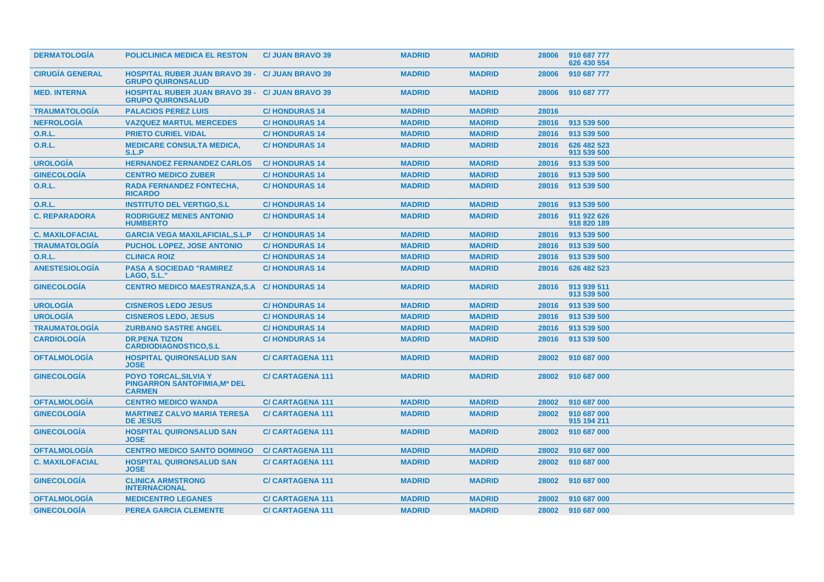| <b>DERMATOLOGIA</b>    | <b>POLICLINICA MEDICA EL RESTON</b>                                                  | <b>C/ JUAN BRAVO 39</b> | <b>MADRID</b> | <b>MADRID</b> | 28006 | 910 687 777<br>626 430 554 |
|------------------------|--------------------------------------------------------------------------------------|-------------------------|---------------|---------------|-------|----------------------------|
| <b>CIRUGIA GENERAL</b> | <b>HOSPITAL RUBER JUAN BRAVO 39 - C/ JUAN BRAVO 39</b><br><b>GRUPO QUIRONSALUD</b>   |                         | <b>MADRID</b> | <b>MADRID</b> | 28006 | 910 687 777                |
| <b>MED. INTERNA</b>    | <b>HOSPITAL RUBER JUAN BRAVO 39 - C/ JUAN BRAVO 39</b><br><b>GRUPO QUIRONSALUD</b>   |                         | <b>MADRID</b> | <b>MADRID</b> | 28006 | 910 687 777                |
| <b>TRAUMATOLOGÍA</b>   | <b>PALACIOS PEREZ LUIS</b>                                                           | <b>C/HONDURAS 14</b>    | <b>MADRID</b> | <b>MADRID</b> | 28016 |                            |
| <b>NEFROLOGÍA</b>      | <b>VAZQUEZ MARTUL MERCEDES</b>                                                       | <b>C/HONDURAS 14</b>    | <b>MADRID</b> | <b>MADRID</b> | 28016 | 913 539 500                |
| <b>O.R.L.</b>          | <b>PRIETO CURIEL VIDAL</b>                                                           | <b>C/HONDURAS14</b>     | <b>MADRID</b> | <b>MADRID</b> | 28016 | 913 539 500                |
| <b>O.R.L.</b>          | <b>MEDICARE CONSULTA MEDICA,</b><br>S.L.P                                            | <b>C/HONDURAS 14</b>    | <b>MADRID</b> | <b>MADRID</b> | 28016 | 626 482 523<br>913 539 500 |
| <b>UROLOGIA</b>        | <b>HERNANDEZ FERNANDEZ CARLOS</b>                                                    | <b>C/HONDURAS 14</b>    | <b>MADRID</b> | <b>MADRID</b> | 28016 | 913 539 500                |
| <b>GINECOLOGIA</b>     | <b>CENTRO MEDICO ZUBER</b>                                                           | <b>C/HONDURAS14</b>     | <b>MADRID</b> | <b>MADRID</b> | 28016 | 913 539 500                |
| <b>O.R.L.</b>          | <b>RADA FERNANDEZ FONTECHA,</b><br><b>RICARDO</b>                                    | <b>C/HONDURAS14</b>     | <b>MADRID</b> | <b>MADRID</b> | 28016 | 913 539 500                |
| <b>O.R.L.</b>          | <b>INSTITUTO DEL VERTIGO, S.L.</b>                                                   | <b>C/HONDURAS14</b>     | <b>MADRID</b> | <b>MADRID</b> | 28016 | 913 539 500                |
| <b>C. REPARADORA</b>   | <b>RODRIGUEZ MENES ANTONIO</b><br><b>HUMBERTO</b>                                    | <b>C/HONDURAS14</b>     | <b>MADRID</b> | <b>MADRID</b> | 28016 | 911 922 626<br>918 820 189 |
| <b>C. MAXILOFACIAL</b> | <b>GARCIA VEGA MAXILAFICIAL, S.L.P</b>                                               | <b>C/HONDURAS14</b>     | <b>MADRID</b> | <b>MADRID</b> | 28016 | 913 539 500                |
| <b>TRAUMATOLOGÍA</b>   | <b>PUCHOL LOPEZ, JOSE ANTONIO</b>                                                    | <b>C/HONDURAS 14</b>    | <b>MADRID</b> | <b>MADRID</b> | 28016 | 913 539 500                |
| <b>O.R.L.</b>          | <b>CLINICA ROIZ</b>                                                                  | <b>C/HONDURAS 14</b>    | <b>MADRID</b> | <b>MADRID</b> | 28016 | 913 539 500                |
| <b>ANESTESIOLOGÍA</b>  | <b>PASA A SOCIEDAD "RAMIREZ</b><br><b>LAGO, S.L."</b>                                | <b>C/HONDURAS 14</b>    | <b>MADRID</b> | <b>MADRID</b> | 28016 | 626 482 523                |
| <b>GINECOLOGIA</b>     | <b>CENTRO MEDICO MAESTRANZA, S.A C/ HONDURAS 14</b>                                  |                         | <b>MADRID</b> | <b>MADRID</b> | 28016 | 913 939 511<br>913 539 500 |
| <b>UROLOGÍA</b>        | <b>CISNEROS LEDO JESUS</b>                                                           | <b>C/HONDURAS14</b>     | <b>MADRID</b> | <b>MADRID</b> | 28016 | 913 539 500                |
| <b>UROLOGÍA</b>        | <b>CISNEROS LEDO, JESUS</b>                                                          | <b>C/HONDURAS14</b>     | <b>MADRID</b> | <b>MADRID</b> | 28016 | 913 539 500                |
| <b>TRAUMATOLOGÍA</b>   | <b>ZURBANO SASTRE ANGEL</b>                                                          | <b>C/HONDURAS 14</b>    | <b>MADRID</b> | <b>MADRID</b> | 28016 | 913 539 500                |
| <b>CARDIOLOGÍA</b>     | <b>DR.PENA TIZON</b><br><b>CARDIODIAGNOSTICO.S.L</b>                                 | <b>C/HONDURAS 14</b>    | <b>MADRID</b> | <b>MADRID</b> | 28016 | 913 539 500                |
| <b>OFTALMOLOGÍA</b>    | <b>HOSPITAL QUIRONSALUD SAN</b><br><b>JOSE</b>                                       | <b>C/CARTAGENA 111</b>  | <b>MADRID</b> | <b>MADRID</b> | 28002 | 910 687 000                |
| <b>GINECOLOGIA</b>     | <b>POYO TORCAL, SILVIA Y</b><br><b>PINGARRON SANTOFIMIA, Mª DEL</b><br><b>CARMEN</b> | <b>C/CARTAGENA 111</b>  | <b>MADRID</b> | <b>MADRID</b> | 28002 | 910 687 000                |
| <b>OFTALMOLOGIA</b>    | <b>CENTRO MEDICO WANDA</b>                                                           | <b>C/CARTAGENA 111</b>  | <b>MADRID</b> | <b>MADRID</b> | 28002 | 910 687 000                |
| <b>GINECOLOGÍA</b>     | <b>MARTINEZ CALVO MARIA TERESA</b><br><b>DE JESUS</b>                                | <b>C/CARTAGENA 111</b>  | <b>MADRID</b> | <b>MADRID</b> | 28002 | 910 687 000<br>915 194 211 |
| <b>GINECOLOGIA</b>     | <b>HOSPITAL QUIRONSALUD SAN</b><br><b>JOSE</b>                                       | <b>C/CARTAGENA 111</b>  | <b>MADRID</b> | <b>MADRID</b> | 28002 | 910 687 000                |
| <b>OFTALMOLOGIA</b>    | <b>CENTRO MEDICO SANTO DOMINGO</b>                                                   | <b>C/CARTAGENA 111</b>  | <b>MADRID</b> | <b>MADRID</b> | 28002 | 910 687 000                |
| <b>C. MAXILOFACIAL</b> | <b>HOSPITAL QUIRONSALUD SAN</b><br><b>JOSE</b>                                       | <b>C/CARTAGENA 111</b>  | <b>MADRID</b> | <b>MADRID</b> | 28002 | 910 687 000                |
| <b>GINECOLOGIA</b>     | <b>CLINICA ARMSTRONG</b><br><b>INTERNACIONAL</b>                                     | <b>C/CARTAGENA 111</b>  | <b>MADRID</b> | <b>MADRID</b> | 28002 | 910 687 000                |
| <b>OFTALMOLOGIA</b>    | <b>MEDICENTRO LEGANES</b>                                                            | <b>C/CARTAGENA 111</b>  | <b>MADRID</b> | <b>MADRID</b> | 28002 | 910 687 000                |
| <b>GINECOLOGIA</b>     | <b>PEREA GARCIA CLEMENTE</b>                                                         | <b>C/CARTAGENA 111</b>  | <b>MADRID</b> | <b>MADRID</b> | 28002 | 910 687 000                |
|                        |                                                                                      |                         |               |               |       |                            |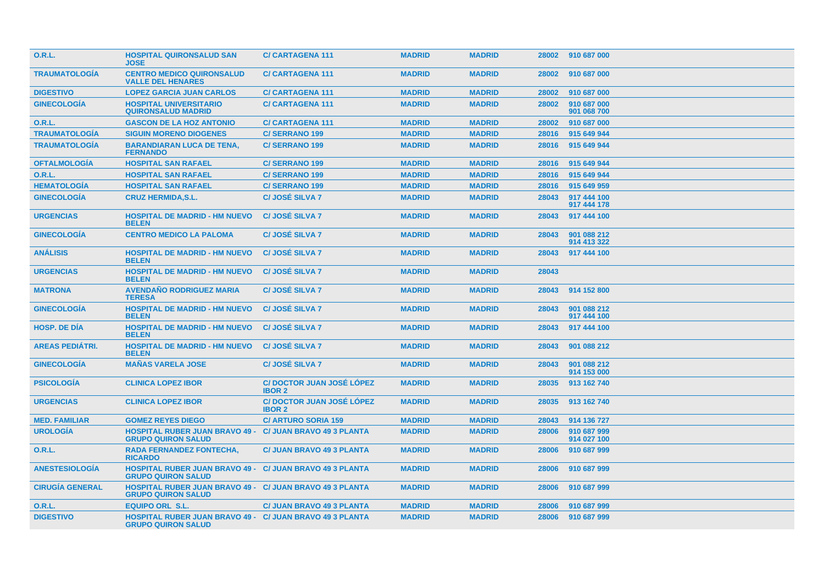| <b>O.R.L.</b>          | <b>HOSPITAL QUIRONSALUD SAN</b><br>JOSE                                                      | <b>C/CARTAGENA 111</b>                           | <b>MADRID</b> | <b>MADRID</b> |       | 28002 910 687 000          |  |
|------------------------|----------------------------------------------------------------------------------------------|--------------------------------------------------|---------------|---------------|-------|----------------------------|--|
| <b>TRAUMATOLOGÍA</b>   | <b>CENTRO MEDICO QUIRONSALUD</b><br><b>VALLE DEL HENARES</b>                                 | <b>C/CARTAGENA 111</b>                           | <b>MADRID</b> | <b>MADRID</b> | 28002 | 910 687 000                |  |
| <b>DIGESTIVO</b>       | <b>LOPEZ GARCIA JUAN CARLOS</b>                                                              | <b>C/CARTAGENA 111</b>                           | <b>MADRID</b> | <b>MADRID</b> | 28002 | 910 687 000                |  |
| <b>GINECOLOGIA</b>     | <b>HOSPITAL UNIVERSITARIO</b><br><b>QUIRONSALUD MADRID</b>                                   | <b>C/CARTAGENA 111</b>                           | <b>MADRID</b> | <b>MADRID</b> | 28002 | 910 687 000<br>901 068 700 |  |
| <b>O.R.L.</b>          | <b>GASCON DE LA HOZ ANTONIO</b>                                                              | <b>C/CARTAGENA 111</b>                           | <b>MADRID</b> | <b>MADRID</b> | 28002 | 910 687 000                |  |
| <b>TRAUMATOLOGÍA</b>   | <b>SIGUIN MORENO DIOGENES</b>                                                                | <b>C/SERRANO 199</b>                             | <b>MADRID</b> | <b>MADRID</b> | 28016 | 915 649 944                |  |
| <b>TRAUMATOLOGÍA</b>   | <b>BARANDIARAN LUCA DE TENA,</b><br><b>FERNANDO</b>                                          | <b>C/SERRANO 199</b>                             | <b>MADRID</b> | <b>MADRID</b> | 28016 | 915 649 944                |  |
| <b>OFTALMOLOGÍA</b>    | <b>HOSPITAL SAN RAFAEL</b>                                                                   | <b>C/SERRANO 199</b>                             | <b>MADRID</b> | <b>MADRID</b> | 28016 | 915 649 944                |  |
| 0.R.L.                 | <b>HOSPITAL SAN RAFAEL</b>                                                                   | <b>C/SERRANO 199</b>                             | <b>MADRID</b> | <b>MADRID</b> | 28016 | 915 649 944                |  |
| <b>HEMATOLOGÍA</b>     | <b>HOSPITAL SAN RAFAEL</b>                                                                   | <b>C/SERRANO 199</b>                             | <b>MADRID</b> | <b>MADRID</b> | 28016 | 915 649 959                |  |
| <b>GINECOLOGÍA</b>     | <b>CRUZ HERMIDA, S.L.</b>                                                                    | <b>C/JOSÉ SILVA 7</b>                            | <b>MADRID</b> | <b>MADRID</b> | 28043 | 917 444 100<br>917 444 178 |  |
| <b>URGENCIAS</b>       | <b>HOSPITAL DE MADRID - HM NUEVO</b><br><b>BELEN</b>                                         | <b>C/JOSÉ SILVA 7</b>                            | <b>MADRID</b> | <b>MADRID</b> | 28043 | 917 444 100                |  |
| <b>GINECOLOGIA</b>     | <b>CENTRO MEDICO LA PALOMA</b>                                                               | <b>C/JOSÉ SILVA 7</b>                            | <b>MADRID</b> | <b>MADRID</b> | 28043 | 901 088 212<br>914 413 322 |  |
| <b>ANÁLISIS</b>        | <b>HOSPITAL DE MADRID - HM NUEVO</b><br><b>BELEN</b>                                         | <b>C/JOSÉ SILVA 7</b>                            | <b>MADRID</b> | <b>MADRID</b> | 28043 | 917 444 100                |  |
| <b>URGENCIAS</b>       | <b>HOSPITAL DE MADRID - HM NUEVO</b><br><b>BELEN</b>                                         | <b>C/JOSÉ SILVA 7</b>                            | <b>MADRID</b> | <b>MADRID</b> | 28043 |                            |  |
| <b>MATRONA</b>         | <b>AVENDAÑO RODRIGUEZ MARIA</b><br><b>TERESA</b>                                             | <b>C/JOSÉ SILVA 7</b>                            | <b>MADRID</b> | <b>MADRID</b> | 28043 | 914 152 800                |  |
| <b>GINECOLOGÍA</b>     | <b>HOSPITAL DE MADRID - HM NUEVO</b><br><b>BELEN</b>                                         | <b>C/JOSÉ SILVA 7</b>                            | <b>MADRID</b> | <b>MADRID</b> | 28043 | 901 088 212<br>917 444 100 |  |
| <b>HOSP, DE DIA</b>    | <b>HOSPITAL DE MADRID - HM NUEVO</b><br><b>BELEN</b>                                         | <b>C/JOSÉ SILVA 7</b>                            | <b>MADRID</b> | <b>MADRID</b> | 28043 | 917 444 100                |  |
| <b>AREAS PEDIÁTRI.</b> | <b>HOSPITAL DE MADRID - HM NUEVO</b><br><b>BELEN</b>                                         | <b>C/JOSÉ SILVA 7</b>                            | <b>MADRID</b> | <b>MADRID</b> | 28043 | 901 088 212                |  |
| <b>GINECOLOGIA</b>     | <b>MANAS VARELA JOSE</b>                                                                     | <b>C/JOSE SILVA 7</b>                            | <b>MADRID</b> | <b>MADRID</b> | 28043 | 901 088 212<br>914 153 000 |  |
| <b>PSICOLOGÍA</b>      | <b>CLINICA LOPEZ IBOR</b>                                                                    | <b>C/DOCTOR JUAN JOSÉ LÓPEZ</b><br><b>IBOR 2</b> | <b>MADRID</b> | <b>MADRID</b> | 28035 | 913 162 740                |  |
| <b>URGENCIAS</b>       | <b>CLINICA LOPEZ IBOR</b>                                                                    | <b>C/DOCTOR JUAN JOSÉ LOPEZ</b><br><b>IBOR 2</b> | <b>MADRID</b> | <b>MADRID</b> | 28035 | 913 162 740                |  |
| <b>MED. FAMILIAR</b>   | <b>GOMEZ REYES DIEGO</b>                                                                     | <b>C/ ARTURO SORIA 159</b>                       | <b>MADRID</b> | <b>MADRID</b> | 28043 | 914 136 727                |  |
| <b>UROLOGÍA</b>        | <b>HOSPITAL RUBER JUAN BRAVO 49 - C/ JUAN BRAVO 49 3 PLANTA</b><br><b>GRUPO QUIRON SALUD</b> |                                                  | <b>MADRID</b> | <b>MADRID</b> | 28006 | 910 687 999<br>914 027 100 |  |
| 0.R.L.                 | <b>RADA FERNANDEZ FONTECHA,</b><br><b>RICARDO</b>                                            | <b>C/ JUAN BRAVO 49 3 PLANTA</b>                 | <b>MADRID</b> | <b>MADRID</b> | 28006 | 910 687 999                |  |
| <b>ANESTESIOLOGÍA</b>  | <b>HOSPITAL RUBER JUAN BRAVO 49 - C/ JUAN BRAVO 49 3 PLANTA</b><br><b>GRUPO QUIRON SALUD</b> |                                                  | <b>MADRID</b> | <b>MADRID</b> | 28006 | 910 687 999                |  |
| <b>CIRUGÍA GENERAL</b> | <b>HOSPITAL RUBER JUAN BRAVO 49 - C/ JUAN BRAVO 49 3 PLANTA</b><br><b>GRUPO QUIRON SALUD</b> |                                                  | <b>MADRID</b> | <b>MADRID</b> | 28006 | 910 687 999                |  |
| 0.R.L.                 | <b>EQUIPO ORL S.L.</b>                                                                       | <b>C/ JUAN BRAVO 49 3 PLANTA</b>                 | <b>MADRID</b> | <b>MADRID</b> | 28006 | 910 687 999                |  |
| <b>DIGESTIVO</b>       | <b>HOSPITAL RUBER JUAN BRAVO 49 - C/ JUAN BRAVO 49 3 PLANTA</b><br><b>GRUPO QUIRON SALUD</b> |                                                  | <b>MADRID</b> | <b>MADRID</b> | 28006 | 910 687 999                |  |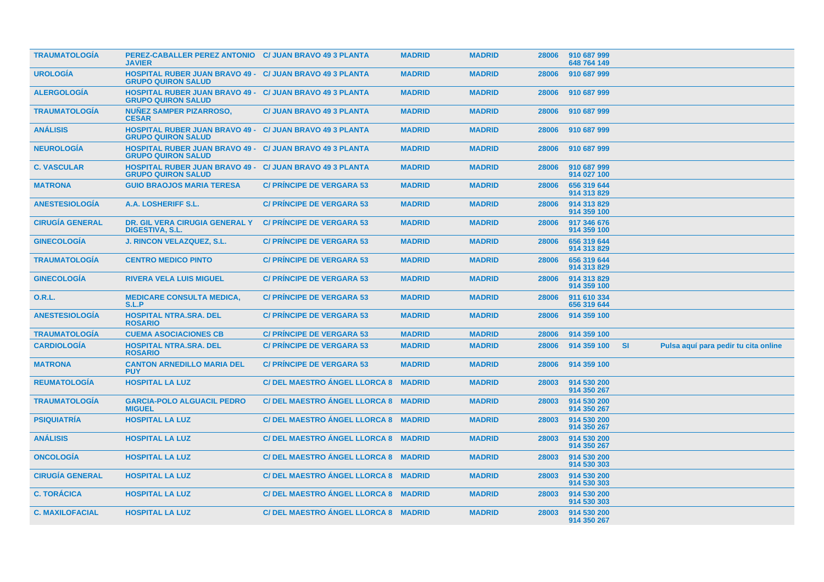| <b>TRAUMATOLOGIA</b>   | PEREZ-CABALLER PEREZ ANTONIO C/ JUAN BRAVO 49 3 PLANTA<br><b>JAVIER</b>                      |                                      | <b>MADRID</b> | <b>MADRID</b> | 28006 | 910 687 999<br>648 764 149 |           |                                      |  |
|------------------------|----------------------------------------------------------------------------------------------|--------------------------------------|---------------|---------------|-------|----------------------------|-----------|--------------------------------------|--|
| <b>UROLOGÍA</b>        | <b>HOSPITAL RUBER JUAN BRAVO 49 - C/ JUAN BRAVO 49 3 PLANTA</b><br><b>GRUPO QUIRON SALUD</b> |                                      | <b>MADRID</b> | <b>MADRID</b> | 28006 | 910 687 999                |           |                                      |  |
| <b>ALERGOLOGÍA</b>     | <b>HOSPITAL RUBER JUAN BRAVO 49 - C/ JUAN BRAVO 49 3 PLANTA</b><br><b>GRUPO QUIRON SALUD</b> |                                      | <b>MADRID</b> | <b>MADRID</b> | 28006 | 910 687 999                |           |                                      |  |
| <b>TRAUMATOLOGIA</b>   | <b>NUÑEZ SAMPER PIZARROSO,</b><br><b>CESAR</b>                                               | <b>C/ JUAN BRAVO 49 3 PLANTA</b>     | <b>MADRID</b> | <b>MADRID</b> | 28006 | 910 687 999                |           |                                      |  |
| <b>ANÁLISIS</b>        | <b>HOSPITAL RUBER JUAN BRAVO 49 -</b><br><b>GRUPO QUIRON SALUD</b>                           | <b>C/ JUAN BRAVO 49 3 PLANTA</b>     | <b>MADRID</b> | <b>MADRID</b> | 28006 | 910 687 999                |           |                                      |  |
| <b>NEUROLOGÍA</b>      | <b>HOSPITAL RUBER JUAN BRAVO 49 - C/ JUAN BRAVO 49 3 PLANTA</b><br><b>GRUPO QUIRON SALUD</b> |                                      | <b>MADRID</b> | <b>MADRID</b> | 28006 | 910 687 999                |           |                                      |  |
| <b>C. VASCULAR</b>     | HOSPITAL RUBER JUAN BRAVO 49 - C/ JUAN BRAVO 49 3 PLANTA<br><b>GRUPO QUIRON SALUD</b>        |                                      | <b>MADRID</b> | <b>MADRID</b> | 28006 | 910 687 999<br>914 027 100 |           |                                      |  |
| <b>MATRONA</b>         | <b>GUIO BRAOJOS MARIA TERESA</b>                                                             | <b>C/ PRINCIPE DE VERGARA 53</b>     | <b>MADRID</b> | <b>MADRID</b> | 28006 | 656 319 644<br>914 313 829 |           |                                      |  |
| <b>ANESTESIOLOGÍA</b>  | A.A. LOSHERIFF S.L.                                                                          | <b>C/ PRINCIPE DE VERGARA 53</b>     | <b>MADRID</b> | <b>MADRID</b> | 28006 | 914 313 829<br>914 359 100 |           |                                      |  |
| <b>CIRUGÍA GENERAL</b> | DR. GIL VERA CIRUGIA GENERAL Y<br><b>DIGESTIVA, S.L.</b>                                     | <b>C/ PRINCIPE DE VERGARA 53</b>     | <b>MADRID</b> | <b>MADRID</b> | 28006 | 917 346 676<br>914 359 100 |           |                                      |  |
| <b>GINECOLOGÍA</b>     | <b>J. RINCON VELAZQUEZ, S.L.</b>                                                             | <b>C/ PRINCIPE DE VERGARA 53</b>     | <b>MADRID</b> | <b>MADRID</b> | 28006 | 656 319 644<br>914 313 829 |           |                                      |  |
| <b>TRAUMATOLOGÍA</b>   | <b>CENTRO MEDICO PINTO</b>                                                                   | <b>C/PRINCIPE DE VERGARA 53</b>      | <b>MADRID</b> | <b>MADRID</b> | 28006 | 656 319 644<br>914 313 829 |           |                                      |  |
| <b>GINECOLOGÍA</b>     | <b>RIVERA VELA LUIS MIGUEL</b>                                                               | <b>C/ PRINCIPE DE VERGARA 53</b>     | <b>MADRID</b> | <b>MADRID</b> | 28006 | 914 313 829<br>914 359 100 |           |                                      |  |
| 0.R.L.                 | <b>MEDICARE CONSULTA MEDICA,</b><br>S.L.P                                                    | <b>C/ PRINCIPE DE VERGARA 53</b>     | <b>MADRID</b> | <b>MADRID</b> | 28006 | 911 610 334<br>656 319 644 |           |                                      |  |
| <b>ANESTESIOLOGIA</b>  | <b>HOSPITAL NTRA.SRA. DEL</b><br><b>ROSARIO</b>                                              | <b>C/ PRINCIPE DE VERGARA 53</b>     | <b>MADRID</b> | <b>MADRID</b> | 28006 | 914 359 100                |           |                                      |  |
| <b>TRAUMATOLOGÍA</b>   | <b>CUEMA ASOCIACIONES CB</b>                                                                 | <b>C/ PRINCIPE DE VERGARA 53</b>     | <b>MADRID</b> | <b>MADRID</b> | 28006 | 914 359 100                |           |                                      |  |
| <b>CARDIOLOGÍA</b>     | <b>HOSPITAL NTRA.SRA. DEL</b><br><b>ROSARIO</b>                                              | <b>C/ PRINCIPE DE VERGARA 53</b>     | <b>MADRID</b> | <b>MADRID</b> | 28006 | 914 359 100                | <b>SI</b> | Pulsa aquí para pedir tu cita online |  |
| <b>MATRONA</b>         | <b>CANTON ARNEDILLO MARIA DEL</b><br><b>PUY</b>                                              | <b>C/ PRINCIPE DE VERGARA 53</b>     | <b>MADRID</b> | <b>MADRID</b> | 28006 | 914 359 100                |           |                                      |  |
| <b>REUMATOLOGÍA</b>    | <b>HOSPITAL LA LUZ</b>                                                                       | C/DEL MAESTRO ANGEL LLORCA 8 MADRID  |               | <b>MADRID</b> | 28003 | 914 530 200<br>914 350 267 |           |                                      |  |
| <b>TRAUMATOLOGIA</b>   | <b>GARCIA-POLO ALGUACIL PEDRO</b><br><b>MIGUEL</b>                                           | C/DEL MAESTRO ANGEL LLORCA 8 MADRID  |               | <b>MADRID</b> | 28003 | 914 530 200<br>914 350 267 |           |                                      |  |
| <b>PSIQUIATRÍA</b>     | <b>HOSPITAL LA LUZ</b>                                                                       | C/DEL MAESTRO ANGEL LLORCA 8 MADRID  |               | <b>MADRID</b> | 28003 | 914 530 200<br>914 350 267 |           |                                      |  |
| <b>ANÁLISIS</b>        | <b>HOSPITAL LA LUZ</b>                                                                       | C/DEL MAESTRO ANGEL LLORCA 8 MADRID  |               | <b>MADRID</b> | 28003 | 914 530 200<br>914 350 267 |           |                                      |  |
| <b>ONCOLOGIA</b>       | <b>HOSPITAL LA LUZ</b>                                                                       | C/ DEL MAESTRO ÁNGEL LLORCA 8 MADRID |               | <b>MADRID</b> | 28003 | 914 530 200<br>914 530 303 |           |                                      |  |
| <b>CIRUGÍA GENERAL</b> | <b>HOSPITAL LA LUZ</b>                                                                       | C/DEL MAESTRO ANGEL LLORCA 8 MADRID  |               | <b>MADRID</b> | 28003 | 914 530 200<br>914 530 303 |           |                                      |  |
| <b>C. TORÁCICA</b>     | <b>HOSPITAL LA LUZ</b>                                                                       | C/DEL MAESTRO ANGEL LLORCA 8 MADRID  |               | <b>MADRID</b> | 28003 | 914 530 200<br>914 530 303 |           |                                      |  |
| <b>C. MAXILOFACIAL</b> | <b>HOSPITAL LA LUZ</b>                                                                       | C/DEL MAESTRO ANGEL LLORCA 8 MADRID  |               | <b>MADRID</b> | 28003 | 914 530 200<br>914 350 267 |           |                                      |  |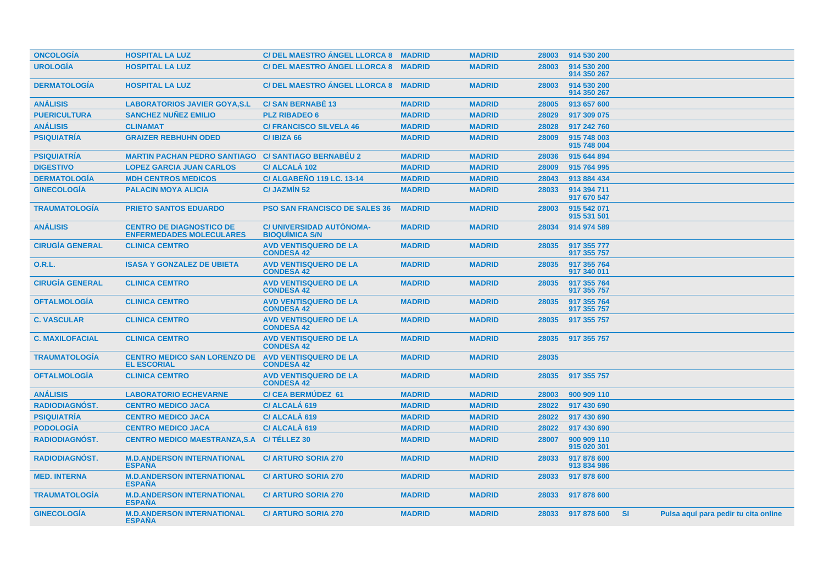| <b>ONCOLOGIA</b>       | <b>HOSPITAL LA LUZ</b>                                             | C/ DEL MAESTRO ANGEL LLORCA 8 MADRID              |               | <b>MADRID</b> | 28003 | 914 530 200                |           |                                      |
|------------------------|--------------------------------------------------------------------|---------------------------------------------------|---------------|---------------|-------|----------------------------|-----------|--------------------------------------|
| <b>UROLOGÍA</b>        | <b>HOSPITAL LA LUZ</b>                                             | <b>C/DEL MAESTRO ANGEL LLORCA 8</b>               | <b>MADRID</b> | <b>MADRID</b> | 28003 | 914 530 200<br>914 350 267 |           |                                      |
| <b>DERMATOLOGÍA</b>    | <b>HOSPITAL LA LUZ</b>                                             | C/ DEL MAESTRO ÁNGEL LLORCA 8 MADRID              |               | <b>MADRID</b> | 28003 | 914 530 200<br>914 350 267 |           |                                      |
| <b>ANALISIS</b>        | <b>LABORATORIOS JAVIER GOYA, S.L.</b>                              | <b>C/SAN BERNABE 13</b>                           | <b>MADRID</b> | <b>MADRID</b> | 28005 | 913 657 600                |           |                                      |
| <b>PUERICULTURA</b>    | <b>SANCHEZ NUÑEZ EMILIO</b>                                        | <b>PLZ RIBADEO 6</b>                              | <b>MADRID</b> | <b>MADRID</b> | 28029 | 917 309 075                |           |                                      |
| <b>ANÁLISIS</b>        | <b>CLINAMAT</b>                                                    | <b>C/ FRANCISCO SILVELA 46</b>                    | <b>MADRID</b> | <b>MADRID</b> | 28028 | 917 242 760                |           |                                      |
| <b>PSIQUIATRÍA</b>     | <b>GRAIZER REBHUHN ODED</b>                                        | C/IBIZA 66                                        | <b>MADRID</b> | <b>MADRID</b> | 28009 | 915 748 003<br>915 748 004 |           |                                      |
| <b>PSIQUIATRÍA</b>     | <b>MARTIN PACHAN PEDRO SANTIAGO</b>                                | <b>C/ SANTIAGO BERNABÉU 2</b>                     | <b>MADRID</b> | <b>MADRID</b> | 28036 | 915 644 894                |           |                                      |
| <b>DIGESTIVO</b>       | <b>LOPEZ GARCIA JUAN CARLOS</b>                                    | C/ ALCALA 102                                     | <b>MADRID</b> | <b>MADRID</b> | 28009 | 915 764 995                |           |                                      |
| <b>DERMATOLOGÍA</b>    | <b>MDH CENTROS MEDICOS</b>                                         | <b>C/ ALGABEÑO 119 LC. 13-14</b>                  | <b>MADRID</b> | <b>MADRID</b> | 28043 | 913 884 434                |           |                                      |
| <b>GINECOLOGÍA</b>     | <b>PALACIN MOYA ALICIA</b>                                         | <b>C/ JAZMIN 52</b>                               | <b>MADRID</b> | <b>MADRID</b> | 28033 | 914 394 711<br>917 670 547 |           |                                      |
| <b>TRAUMATOLOGÍA</b>   | <b>PRIETO SANTOS EDUARDO</b>                                       | <b>PSO SAN FRANCISCO DE SALES 36</b>              | <b>MADRID</b> | <b>MADRID</b> | 28003 | 915 542 071<br>915 531 501 |           |                                      |
| <b>ANÁLISIS</b>        | <b>CENTRO DE DIAGNOSTICO DE</b><br><b>ENFERMEDADES MOLECULARES</b> | C/ UNIVERSIDAD AUTÓNOMA-<br><b>BIOQUIMICA S/N</b> | <b>MADRID</b> | <b>MADRID</b> | 28034 | 914 974 589                |           |                                      |
| <b>CIRUGÍA GENERAL</b> | <b>CLINICA CEMTRO</b>                                              | <b>AVD VENTISQUERO DE LA</b><br><b>CONDESA 42</b> | <b>MADRID</b> | <b>MADRID</b> | 28035 | 917 355 777<br>917 355 757 |           |                                      |
| 0.R.L.                 | <b>ISASA Y GONZALEZ DE UBIETA</b>                                  | <b>AVD VENTISQUERO DE LA</b><br><b>CONDESA 42</b> | <b>MADRID</b> | <b>MADRID</b> | 28035 | 917 355 764<br>917 340 011 |           |                                      |
| <b>CIRUGÍA GENERAL</b> | <b>CLINICA CEMTRO</b>                                              | <b>AVD VENTISQUERO DE LA</b><br><b>CONDESA 42</b> | <b>MADRID</b> | <b>MADRID</b> | 28035 | 917 355 764<br>917 355 757 |           |                                      |
| <b>OFTALMOLOGÍA</b>    | <b>CLINICA CEMTRO</b>                                              | <b>AVD VENTISQUERO DE LA</b><br><b>CONDESA 42</b> | <b>MADRID</b> | <b>MADRID</b> | 28035 | 917 355 764<br>917 355 757 |           |                                      |
| <b>C. VASCULAR</b>     | <b>CLINICA CEMTRO</b>                                              | <b>AVD VENTISQUERO DE LA</b><br><b>CONDESA 42</b> | <b>MADRID</b> | <b>MADRID</b> | 28035 | 917 355 757                |           |                                      |
| <b>C. MAXILOFACIAL</b> | <b>CLINICA CEMTRO</b>                                              | <b>AVD VENTISQUERO DE LA</b><br><b>CONDESA 42</b> | <b>MADRID</b> | <b>MADRID</b> | 28035 | 917 355 757                |           |                                      |
| <b>TRAUMATOLOGIA</b>   | <b>CENTRO MEDICO SAN LORENZO DE</b><br><b>EL ESCORIAL</b>          | <b>AVD VENTISQUERO DE LA</b><br><b>CONDESA 42</b> | <b>MADRID</b> | <b>MADRID</b> | 28035 |                            |           |                                      |
| <b>OFTALMOLOGIA</b>    | <b>CLINICA CEMTRO</b>                                              | <b>AVD VENTISQUERO DE LA</b><br><b>CONDESA 42</b> | <b>MADRID</b> | <b>MADRID</b> | 28035 | 917 355 757                |           |                                      |
| <b>ANÁLISIS</b>        | <b>LABORATORIO ECHEVARNE</b>                                       | <b>C/CEA BERMUDEZ 61</b>                          | <b>MADRID</b> | <b>MADRID</b> | 28003 | 900 909 110                |           |                                      |
| <b>RADIODIAGNÓST.</b>  | <b>CENTRO MEDICO JACA</b>                                          | C/ ALCALA 619                                     | <b>MADRID</b> | <b>MADRID</b> | 28022 | 917 430 690                |           |                                      |
| <b>PSIQUIATRÍA</b>     | <b>CENTRO MEDICO JACA</b>                                          | C/ ALCALÁ 619                                     | <b>MADRID</b> | <b>MADRID</b> | 28022 | 917 430 690                |           |                                      |
| <b>PODOLOGÍA</b>       | <b>CENTRO MEDICO JACA</b>                                          | C/ ALCALA 619                                     | <b>MADRID</b> | <b>MADRID</b> | 28022 | 917 430 690                |           |                                      |
| RADIODIAGNÓST.         | <b>CENTRO MEDICO MAESTRANZA, S.A</b>                               | C/TÉLLEZ 30                                       | <b>MADRID</b> | <b>MADRID</b> | 28007 | 900 909 110<br>915 020 301 |           |                                      |
| <b>RADIODIAGNOST.</b>  | <b>M.D.ANDERSON INTERNATIONAL</b><br><b>ESPAÑA</b>                 | <b>C/ ARTURO SORIA 270</b>                        | <b>MADRID</b> | <b>MADRID</b> | 28033 | 917 878 600<br>913 834 986 |           |                                      |
| <b>MED. INTERNA</b>    | <b>M.D.ANDERSON INTERNATIONAL</b><br><b>ESPAÑA</b>                 | <b>C/ ARTURO SORIA 270</b>                        | <b>MADRID</b> | <b>MADRID</b> | 28033 | 917 878 600                |           |                                      |
| <b>TRAUMATOLOGIA</b>   | <b>M.D.ANDERSON INTERNATIONAL</b><br><b>ESPAÑA</b>                 | <b>C/ ARTURO SORIA 270</b>                        | <b>MADRID</b> | <b>MADRID</b> | 28033 | 917 878 600                |           |                                      |
| <b>GINECOLOGIA</b>     | <b>M.D.ANDERSON INTERNATIONAL</b><br><b>ESPANA</b>                 | <b>C/ ARTURO SORIA 270</b>                        | <b>MADRID</b> | <b>MADRID</b> | 28033 | 917 878 600                | <b>SI</b> | Pulsa aquí para pedir tu cita online |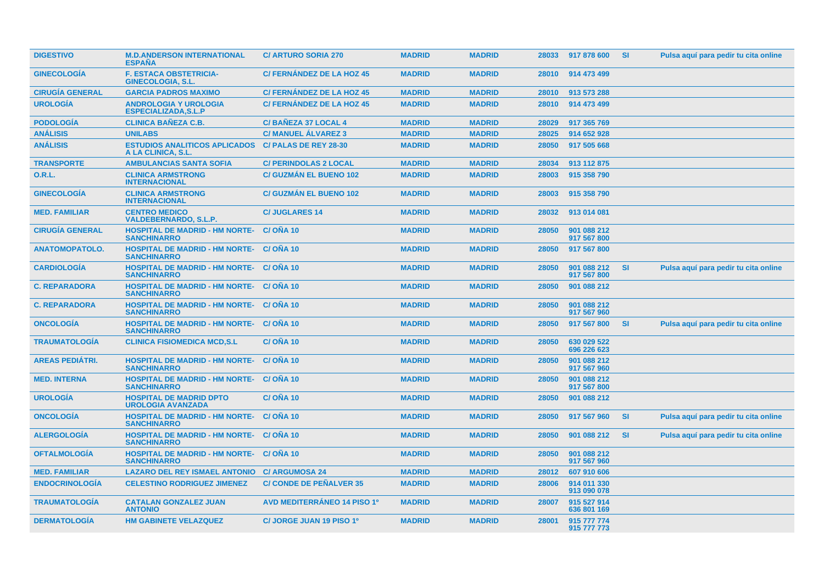| <b>DIGESTIVO</b>       | <b>M.D.ANDERSON INTERNATIONAL</b><br><b>ESPANA</b>                    | <b>C/ ARTURO SORIA 270</b>         | <b>MADRID</b> | <b>MADRID</b> | 28033 | 917 878 600                | -SI       | Pulsa aquí para pedir tu cita online |
|------------------------|-----------------------------------------------------------------------|------------------------------------|---------------|---------------|-------|----------------------------|-----------|--------------------------------------|
| <b>GINECOLOGÍA</b>     | <b>F. ESTACA OBSTETRICIA-</b><br><b>GINECOLOGIA, S.L.</b>             | <b>C/ FERNÁNDEZ DE LA HOZ 45</b>   | <b>MADRID</b> | <b>MADRID</b> | 28010 | 914 473 499                |           |                                      |
| <b>CIRUGÍA GENERAL</b> | <b>GARCIA PADROS MAXIMO</b>                                           | <b>C/FERNANDEZ DE LA HOZ 45</b>    | <b>MADRID</b> | <b>MADRID</b> | 28010 | 913 573 288                |           |                                      |
| <b>UROLOGIA</b>        | <b>ANDROLOGIA Y UROLOGIA</b><br><b>ESPECIALIZADA, S.L.P</b>           | <b>C/ FERNANDEZ DE LA HOZ 45</b>   | <b>MADRID</b> | <b>MADRID</b> | 28010 | 914 473 499                |           |                                      |
| <b>PODOLOGÍA</b>       | <b>CLINICA BAÑEZA C.B.</b>                                            | C/BAÑEZA 37 LOCAL 4                | <b>MADRID</b> | <b>MADRID</b> | 28029 | 917 365 769                |           |                                      |
| <b>ANÁLISIS</b>        | <b>UNILABS</b>                                                        | <b>C/ MANUEL ÁLVAREZ 3</b>         | <b>MADRID</b> | <b>MADRID</b> | 28025 | 914 652 928                |           |                                      |
| <b>ANÁLISIS</b>        | <b>ESTUDIOS ANALITICOS APLICADOS</b><br>A LA CLINICA, S.L.            | <b>C/ PALAS DE REY 28-30</b>       | <b>MADRID</b> | <b>MADRID</b> | 28050 | 917 505 668                |           |                                      |
| <b>TRANSPORTE</b>      | <b>AMBULANCIAS SANTA SOFIA</b>                                        | <b>C/ PERINDOLAS 2 LOCAL</b>       | <b>MADRID</b> | <b>MADRID</b> | 28034 | 913 112 875                |           |                                      |
| <b>O.R.L.</b>          | <b>CLINICA ARMSTRONG</b><br><b>INTERNACIONAL</b>                      | <b>C/ GUZMAN EL BUENO 102</b>      | <b>MADRID</b> | <b>MADRID</b> | 28003 | 915 358 790                |           |                                      |
| <b>GINECOLOGIA</b>     | <b>CLINICA ARMSTRONG</b><br><b>INTERNACIONAL</b>                      | <b>C/ GUZMÁN EL BUENO 102</b>      | <b>MADRID</b> | <b>MADRID</b> | 28003 | 915 358 790                |           |                                      |
| <b>MED. FAMILIAR</b>   | <b>CENTRO MEDICO</b><br><b>VALDEBERNARDO, S.L.P.</b>                  | <b>C/JUGLARES 14</b>               | <b>MADRID</b> | <b>MADRID</b> | 28032 | 913 014 081                |           |                                      |
| <b>CIRUGÍA GENERAL</b> | <b>HOSPITAL DE MADRID - HM NORTE-</b><br><b>SANCHINARRO</b>           | C/ONA 10                           | <b>MADRID</b> | <b>MADRID</b> | 28050 | 901 088 212<br>917 567 800 |           |                                      |
| <b>ANATOMOPATOLO.</b>  | <b>HOSPITAL DE MADRID - HM NORTE- C/ OÑA 10</b><br><b>SANCHINARRO</b> |                                    | <b>MADRID</b> | <b>MADRID</b> | 28050 | 917 567 800                |           |                                      |
| <b>CARDIOLOGIA</b>     | <b>HOSPITAL DE MADRID - HM NORTE- C/ONA 10</b><br><b>SANCHINARRO</b>  |                                    | <b>MADRID</b> | <b>MADRID</b> | 28050 | 901 088 212<br>917 567 800 | <b>SI</b> | Pulsa aquí para pedir tu cita online |
| <b>C. REPARADORA</b>   | <b>HOSPITAL DE MADRID - HM NORTE- C/OÑA 10</b><br><b>SANCHINARRO</b>  |                                    | <b>MADRID</b> | <b>MADRID</b> | 28050 | 901 088 212                |           |                                      |
| <b>C. REPARADORA</b>   | <b>HOSPITAL DE MADRID - HM NORTE- C/OÑA 10</b><br><b>SANCHINARRO</b>  |                                    | <b>MADRID</b> | <b>MADRID</b> | 28050 | 901 088 212<br>917 567 960 |           |                                      |
| <b>ONCOLOGIA</b>       | <b>HOSPITAL DE MADRID - HM NORTE- C/ OÑA 10</b><br><b>SANCHINARRO</b> |                                    | <b>MADRID</b> | <b>MADRID</b> | 28050 | 917 567 800                | <b>SI</b> | Pulsa aquí para pedir tu cita online |
| <b>TRAUMATOLOGIA</b>   | <b>CLINICA FISIOMEDICA MCD,S.L</b>                                    | C/OÑA 10                           | <b>MADRID</b> | <b>MADRID</b> | 28050 | 630 029 522<br>696 226 623 |           |                                      |
| <b>AREAS PEDIÁTRI.</b> | <b>HOSPITAL DE MADRID - HM NORTE-</b><br><b>SANCHINARRO</b>           | C/ONA 10                           | <b>MADRID</b> | <b>MADRID</b> | 28050 | 901 088 212<br>917 567 960 |           |                                      |
| <b>MED. INTERNA</b>    | <b>HOSPITAL DE MADRID - HM NORTE- C/ OÑA 10</b><br><b>SANCHINARRO</b> |                                    | <b>MADRID</b> | <b>MADRID</b> | 28050 | 901 088 212<br>917 567 800 |           |                                      |
| <b>UROLOGÍA</b>        | <b>HOSPITAL DE MADRID DPTO</b><br><b>UROLOGIA AVANZADA</b>            | <b>C/OÑA 10</b>                    | <b>MADRID</b> | <b>MADRID</b> | 28050 | 901 088 212                |           |                                      |
| <b>ONCOLOGIA</b>       | <b>HOSPITAL DE MADRID - HM NORTE- C/ OÑA 10</b><br><b>SANCHINARRO</b> |                                    | <b>MADRID</b> | <b>MADRID</b> | 28050 | 917 567 960                | <b>SI</b> | Pulsa aquí para pedir tu cita online |
| <b>ALERGOLOGIA</b>     | <b>HOSPITAL DE MADRID - HM NORTE- C/ OÑA 10</b><br><b>SANCHINARRO</b> |                                    | <b>MADRID</b> | <b>MADRID</b> | 28050 | 901 088 212                | <b>SI</b> | Pulsa aquí para pedir tu cita online |
| <b>OFTALMOLOGIA</b>    | <b>HOSPITAL DE MADRID - HM NORTE- C/ OÑA 10</b><br><b>SANCHINARRO</b> |                                    | <b>MADRID</b> | <b>MADRID</b> | 28050 | 901 088 212<br>917 567 960 |           |                                      |
| <b>MED. FAMILIAR</b>   | <b>LAZARO DEL REY ISMAEL ANTONIO</b>                                  | <b>C/ ARGUMOSA 24</b>              | <b>MADRID</b> | <b>MADRID</b> | 28012 | 607 910 606                |           |                                      |
| <b>ENDOCRINOLOGÍA</b>  | <b>CELESTINO RODRIGUEZ JIMENEZ</b>                                    | <b>C/ CONDE DE PEÑALVER 35</b>     | <b>MADRID</b> | <b>MADRID</b> | 28006 | 914 011 330<br>913 090 078 |           |                                      |
| <b>TRAUMATOLOGIA</b>   | <b>CATALAN GONZALEZ JUAN</b><br><b>ANTONIO</b>                        | <b>AVD MEDITERRÁNEO 14 PISO 1º</b> | <b>MADRID</b> | <b>MADRID</b> | 28007 | 915 527 914<br>636 801 169 |           |                                      |
| <b>DERMATOLOGÍA</b>    | <b>HM GABINETE VELAZQUEZ</b>                                          | C/ JORGE JUAN 19 PISO 1º           | <b>MADRID</b> | <b>MADRID</b> | 28001 | 915 777 774<br>915 777 773 |           |                                      |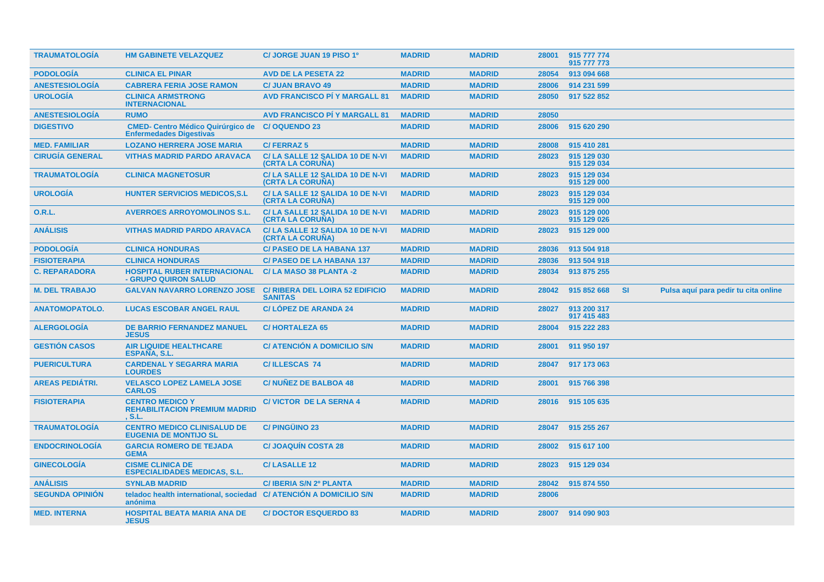| <b>TRAUMATOLOGIA</b>   | <b>HM GABINETE VELAZQUEZ</b>                                               | C/ JORGE JUAN 19 PISO 1º                                 | <b>MADRID</b> | <b>MADRID</b> | 28001 | 915 777 774<br>915 777 773 |           |                                      |
|------------------------|----------------------------------------------------------------------------|----------------------------------------------------------|---------------|---------------|-------|----------------------------|-----------|--------------------------------------|
| <b>PODOLOGÍA</b>       | <b>CLINICA EL PINAR</b>                                                    | <b>AVD DE LA PESETA 22</b>                               | <b>MADRID</b> | <b>MADRID</b> | 28054 | 913 094 668                |           |                                      |
| <b>ANESTESIOLOGÍA</b>  | <b>CABRERA FERIA JOSE RAMON</b>                                            | <b>C/ JUAN BRAVO 49</b>                                  | <b>MADRID</b> | <b>MADRID</b> | 28006 | 914 231 599                |           |                                      |
| <b>UROLOGÍA</b>        | <b>CLINICA ARMSTRONG</b><br><b>INTERNACIONAL</b>                           | <b>AVD FRANCISCO PI Y MARGALL 81</b>                     | <b>MADRID</b> | <b>MADRID</b> | 28050 | 917 522 852                |           |                                      |
| <b>ANESTESIOLOGÍA</b>  | <b>RUMO</b>                                                                | <b>AVD FRANCISCO PI Y MARGALL 81</b>                     | <b>MADRID</b> | <b>MADRID</b> | 28050 |                            |           |                                      |
| <b>DIGESTIVO</b>       | <b>CMED- Centro Médico Quirúrgico de</b><br><b>Enfermedades Digestivas</b> | <b>C/OQUENDO 23</b>                                      | <b>MADRID</b> | <b>MADRID</b> | 28006 | 915 620 290                |           |                                      |
| <b>MED. FAMILIAR</b>   | <b>LOZANO HERRERA JOSE MARIA</b>                                           | <b>C/FERRAZ5</b>                                         | <b>MADRID</b> | <b>MADRID</b> | 28008 | 915 410 281                |           |                                      |
| <b>CIRUGÍA GENERAL</b> | <b>VITHAS MADRID PARDO ARAVACA</b>                                         | C/LA SALLE 12 SALIDA 10 DE N-VI<br>(CRTA LA CORUÑA)      | <b>MADRID</b> | <b>MADRID</b> | 28023 | 915 129 030<br>915 129 034 |           |                                      |
| <b>TRAUMATOLOGÍA</b>   | <b>CLINICA MAGNETOSUR</b>                                                  | C/LA SALLE 12 SALIDA 10 DE N-VI<br>(CRTA LA CORUNA)      | <b>MADRID</b> | <b>MADRID</b> | 28023 | 915 129 034<br>915 129 000 |           |                                      |
| <b>UROLOGÍA</b>        | <b>HUNTER SERVICIOS MEDICOS, S.L.</b>                                      | C/LA SALLE 12 SALIDA 10 DE N-VI<br>(CRTA LA CORUNA)      | <b>MADRID</b> | <b>MADRID</b> | 28023 | 915 129 034<br>915 129 000 |           |                                      |
| <b>O.R.L.</b>          | <b>AVERROES ARROYOMOLINOS S.L.</b>                                         | C/LA SALLE 12 SALIDA 10 DE N-VI<br>(CRTA LA CORUNA)      | <b>MADRID</b> | <b>MADRID</b> | 28023 | 915 129 000<br>915 129 026 |           |                                      |
| <b>ANÁLISIS</b>        | <b>VITHAS MADRID PARDO ARAVACA</b>                                         | C/LA SALLE 12 SALIDA 10 DE N-VI<br>(CRTA LA CORUÑA)      | <b>MADRID</b> | <b>MADRID</b> | 28023 | 915 129 000                |           |                                      |
| <b>PODOLOGÍA</b>       | <b>CLINICA HONDURAS</b>                                                    | <b>C/ PASEO DE LA HABANA 137</b>                         | <b>MADRID</b> | <b>MADRID</b> | 28036 | 913 504 918                |           |                                      |
| <b>FISIOTERAPIA</b>    | <b>CLINICA HONDURAS</b>                                                    | <b>C/ PASEO DE LA HABANA 137</b>                         | <b>MADRID</b> | <b>MADRID</b> | 28036 | 913 504 918                |           |                                      |
| <b>C. REPARADORA</b>   | <b>HOSPITAL RUBER INTERNACIONAL</b><br>- GRUPO QUIRON SALUD                | C/LA MASO 38 PLANTA -2                                   | <b>MADRID</b> | <b>MADRID</b> | 28034 | 913 875 255                |           |                                      |
|                        |                                                                            |                                                          |               |               |       |                            |           |                                      |
| <b>M. DEL TRABAJO</b>  | <b>GALVAN NAVARRO LORENZO JOSE</b>                                         | <b>C/ RIBERA DEL LOIRA 52 EDIFICIO</b><br><b>SANITAS</b> | <b>MADRID</b> | <b>MADRID</b> | 28042 | 915 852 668                | <b>SI</b> | Pulsa aquí para pedir tu cita online |
| <b>ANATOMOPATOLO.</b>  | <b>LUCAS ESCOBAR ANGEL RAUL</b>                                            | <b>C/LOPEZ DE ARANDA 24</b>                              | <b>MADRID</b> | <b>MADRID</b> | 28027 | 913 200 317<br>917 415 483 |           |                                      |
| <b>ALERGOLOGIA</b>     | <b>DE BARRIO FERNANDEZ MANUEL</b><br><b>JESUS</b>                          | <b>C/HORTALEZA 65</b>                                    | <b>MADRID</b> | <b>MADRID</b> | 28004 | 915 222 283                |           |                                      |
| <b>GESTIÓN CASOS</b>   | <b>AIR LIQUIDE HEALTHCARE</b><br><b>ESPANA, S.L.</b>                       | <b>C/ ATENCIÓN A DOMICILIO S/N</b>                       | <b>MADRID</b> | <b>MADRID</b> | 28001 | 911 950 197                |           |                                      |
| <b>PUERICULTURA</b>    | <b>CARDENAL Y SEGARRA MARIA</b><br><b>LOURDES</b>                          | <b>C/ILLESCAS 74</b>                                     | <b>MADRID</b> | <b>MADRID</b> | 28047 | 917 173 063                |           |                                      |
| <b>AREAS PEDIÁTRI.</b> | <b>VELASCO LOPEZ LAMELA JOSE</b><br><b>CARLOS</b>                          | <b>C/NUNEZ DE BALBOA 48</b>                              | <b>MADRID</b> | <b>MADRID</b> | 28001 | 915 766 398                |           |                                      |
| <b>FISIOTERAPIA</b>    | <b>CENTRO MEDICO Y</b><br><b>REHABILITACION PREMIUM MADRID</b><br>, S.L.   | <b>C/ VICTOR DE LA SERNA 4</b>                           | <b>MADRID</b> | <b>MADRID</b> | 28016 | 915 105 635                |           |                                      |
| <b>TRAUMATOLOGÍA</b>   | <b>CENTRO MEDICO CLINISALUD DE</b><br><b>EUGENIA DE MONTIJO SL</b>         | <b>C/PINGÜINO 23</b>                                     | <b>MADRID</b> | <b>MADRID</b> | 28047 | 915 255 267                |           |                                      |
| <b>ENDOCRINOLOGÍA</b>  | <b>GARCIA ROMERO DE TEJADA</b><br><b>GEMA</b>                              | <b>C/JOAQUÍN COSTA 28</b>                                | <b>MADRID</b> | <b>MADRID</b> | 28002 | 915 617 100                |           |                                      |
| <b>GINECOLOGÍA</b>     | <b>CISME CLINICA DE</b><br><b>ESPECIALIDADES MEDICAS, S.L.</b>             | <b>C/LASALLE 12</b>                                      | <b>MADRID</b> | <b>MADRID</b> | 28023 | 915 129 034                |           |                                      |
| <b>ANÁLISIS</b>        | <b>SYNLAB MADRID</b>                                                       | C/ IBERIA S/N 2º PLANTA                                  | <b>MADRID</b> | <b>MADRID</b> | 28042 | 915 874 550                |           |                                      |
| <b>SEGUNDA OPINIÓN</b> | teladoc health international, sociedad<br>anónima                          | <b>C/ ATENCIÓN A DOMICILIO S/N</b>                       | <b>MADRID</b> | <b>MADRID</b> | 28006 |                            |           |                                      |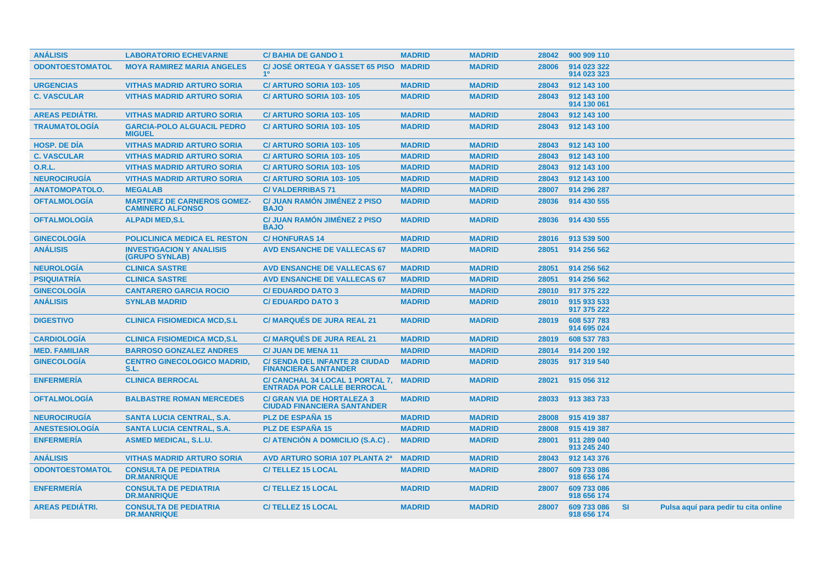| <b>ANÁLISIS</b>        | <b>LABORATORIO ECHEVARNE</b>                                  | <b>C/BAHIA DE GANDO 1</b>                                               | <b>MADRID</b> | <b>MADRID</b> | 28042 | 900 909 110                |           |                                      |
|------------------------|---------------------------------------------------------------|-------------------------------------------------------------------------|---------------|---------------|-------|----------------------------|-----------|--------------------------------------|
| <b>ODONTOESTOMATOL</b> | <b>MOYA RAMIREZ MARIA ANGELES</b>                             | <b>C/ JOSÉ ORTEGA Y GASSET 65 PISO</b><br>1 <sup>0</sup>                | <b>MADRID</b> | <b>MADRID</b> | 28006 | 914 023 322<br>914 023 323 |           |                                      |
| <b>URGENCIAS</b>       | <b>VITHAS MADRID ARTURO SORIA</b>                             | C/ ARTURO SORIA 103-105                                                 | <b>MADRID</b> | <b>MADRID</b> | 28043 | 912 143 100                |           |                                      |
| <b>C. VASCULAR</b>     | <b>VITHAS MADRID ARTURO SORIA</b>                             | C/ ARTURO SORIA 103-105                                                 | <b>MADRID</b> | <b>MADRID</b> | 28043 | 912 143 100<br>914 130 061 |           |                                      |
| <b>AREAS PEDIÁTRI.</b> | <b>VITHAS MADRID ARTURO SORIA</b>                             | C/ ARTURO SORIA 103-105                                                 | <b>MADRID</b> | <b>MADRID</b> | 28043 | 912 143 100                |           |                                      |
| <b>TRAUMATOLOGÍA</b>   | <b>GARCIA-POLO ALGUACIL PEDRO</b><br><b>MIGUEL</b>            | C/ ARTURO SORIA 103-105                                                 | <b>MADRID</b> | <b>MADRID</b> | 28043 | 912 143 100                |           |                                      |
| <b>HOSP, DE DÍA</b>    | <b>VITHAS MADRID ARTURO SORIA</b>                             | C/ ARTURO SORIA 103-105                                                 | <b>MADRID</b> | <b>MADRID</b> | 28043 | 912 143 100                |           |                                      |
| <b>C. VASCULAR</b>     | <b>VITHAS MADRID ARTURO SORIA</b>                             | C/ ARTURO SORIA 103-105                                                 | <b>MADRID</b> | <b>MADRID</b> | 28043 | 912 143 100                |           |                                      |
| 0.R.L.                 | <b>VITHAS MADRID ARTURO SORIA</b>                             | C/ ARTURO SORIA 103-105                                                 | <b>MADRID</b> | <b>MADRID</b> | 28043 | 912 143 100                |           |                                      |
| <b>NEUROCIRUGÍA</b>    | <b>VITHAS MADRID ARTURO SORIA</b>                             | C/ ARTURO SORIA 103-105                                                 | <b>MADRID</b> | <b>MADRID</b> | 28043 | 912 143 100                |           |                                      |
| <b>ANATOMOPATOLO.</b>  | <b>MEGALAB</b>                                                | <b>C/VALDERRIBAS 71</b>                                                 | <b>MADRID</b> | <b>MADRID</b> | 28007 | 914 296 287                |           |                                      |
| <b>OFTALMOLOGÍA</b>    | <b>MARTINEZ DE CARNEROS GOMEZ-</b><br><b>CAMINERO ALFONSO</b> | <b>C/ JUAN RAMÓN JIMÉNEZ 2 PISO</b><br><b>BAJO</b>                      | <b>MADRID</b> | <b>MADRID</b> | 28036 | 914 430 555                |           |                                      |
| <b>OFTALMOLOGÍA</b>    | <b>ALPADI MED, S.L</b>                                        | <b>C/ JUAN RAMON JIMÉNEZ 2 PISO</b><br><b>BAJO</b>                      | <b>MADRID</b> | <b>MADRID</b> | 28036 | 914 430 555                |           |                                      |
| <b>GINECOLOGÍA</b>     | <b>POLICLINICA MEDICA EL RESTON</b>                           | <b>C/HONFURAS14</b>                                                     | <b>MADRID</b> | <b>MADRID</b> | 28016 | 913 539 500                |           |                                      |
| <b>ANÁLISIS</b>        | <b>INVESTIGACION Y ANALISIS</b><br><b>(GRUPO SYNLAB)</b>      | <b>AVD ENSANCHE DE VALLECAS 67</b>                                      | <b>MADRID</b> | <b>MADRID</b> | 28051 | 914 256 562                |           |                                      |
| <b>NEUROLOGIA</b>      | <b>CLINICA SASTRE</b>                                         | <b>AVD ENSANCHE DE VALLECAS 67</b>                                      | <b>MADRID</b> | <b>MADRID</b> | 28051 | 914 256 562                |           |                                      |
| <b>PSIQUIATRÍA</b>     | <b>CLINICA SASTRE</b>                                         | <b>AVD ENSANCHE DE VALLECAS 67</b>                                      | <b>MADRID</b> | <b>MADRID</b> | 28051 | 914 256 562                |           |                                      |
| <b>GINECOLOGÍA</b>     | <b>CANTARERO GARCIA ROCIO</b>                                 | <b>C/EDUARDO DATO 3</b>                                                 | <b>MADRID</b> | <b>MADRID</b> | 28010 | 917 375 222                |           |                                      |
| <b>ANÁLISIS</b>        | <b>SYNLAB MADRID</b>                                          | <b>C/EDUARDO DATO 3</b>                                                 | <b>MADRID</b> | <b>MADRID</b> | 28010 | 915 933 533<br>917 375 222 |           |                                      |
| <b>DIGESTIVO</b>       | <b>CLINICA FISIOMEDICA MCD,S.L</b>                            | <b>C/ MARQUÉS DE JURA REAL 21</b>                                       | <b>MADRID</b> | <b>MADRID</b> | 28019 | 608 537 783<br>914 695 024 |           |                                      |
| <b>CARDIOLOGÍA</b>     | <b>CLINICA FISIOMEDICA MCD,S.L</b>                            | <b>C/ MARQUÉS DE JURA REAL 21</b>                                       | <b>MADRID</b> | <b>MADRID</b> | 28019 | 608 537 783                |           |                                      |
| <b>MED. FAMILIAR</b>   | <b>BARROSO GONZALEZ ANDRES</b>                                | <b>C/ JUAN DE MENA 11</b>                                               | <b>MADRID</b> | <b>MADRID</b> | 28014 | 914 200 192                |           |                                      |
| <b>GINECOLOGÍA</b>     | <b>CENTRO GINECOLOGICO MADRID,</b><br>S.L.                    | <b>C/ SENDA DEL INFANTE 28 CIUDAD</b><br><b>FINANCIERA SANTANDER</b>    | <b>MADRID</b> | <b>MADRID</b> | 28035 | 917 319 540                |           |                                      |
| <b>ENFERMERIA</b>      | <b>CLINICA BERROCAL</b>                                       | C/ CANCHAL 34 LOCAL 1 PORTAL 7,<br><b>ENTRADA POR CALLE BERROCAL</b>    | <b>MADRID</b> | <b>MADRID</b> | 28021 | 915 056 312                |           |                                      |
| <b>OFTALMOLOGÍA</b>    | <b>BALBASTRE ROMAN MERCEDES</b>                               | <b>C/ GRAN VIA DE HORTALEZA 3</b><br><b>CIUDAD FINANCIERA SANTANDER</b> | <b>MADRID</b> | <b>MADRID</b> | 28033 | 913 383 733                |           |                                      |
| <b>NEUROCIRUGIA</b>    | <b>SANTA LUCIA CENTRAL, S.A.</b>                              | <b>PLZ DE ESPAÑA 15</b>                                                 | <b>MADRID</b> | <b>MADRID</b> | 28008 | 915 419 387                |           |                                      |
| <b>ANESTESIOLOGIA</b>  | <b>SANTA LUCIA CENTRAL, S.A.</b>                              | <b>PLZ DE ESPANA 15</b>                                                 | <b>MADRID</b> | <b>MADRID</b> | 28008 | 915 419 387                |           |                                      |
| <b>ENFERMERÍA</b>      | <b>ASMED MEDICAL, S.L.U.</b>                                  | C/ ATENCIÓN A DOMICILIO (S.A.C).                                        | <b>MADRID</b> | <b>MADRID</b> | 28001 | 911 289 040<br>913 245 240 |           |                                      |
| <b>ANÁLISIS</b>        | <b>VITHAS MADRID ARTURO SORIA</b>                             | AVD ARTURO SORIA 107 PLANTA 2ª                                          | <b>MADRID</b> | <b>MADRID</b> | 28043 | 912 143 376                |           |                                      |
| <b>ODONTOESTOMATOL</b> | <b>CONSULTA DE PEDIATRIA</b><br><b>DR.MANRIQUE</b>            | <b>C/TELLEZ 15 LOCAL</b>                                                | <b>MADRID</b> | <b>MADRID</b> | 28007 | 609 733 086<br>918 656 174 |           |                                      |
| <b>ENFERMERIA</b>      | <b>CONSULTA DE PEDIATRIA</b><br><b>DR.MANRIQUE</b>            | <b>C/TELLEZ 15 LOCAL</b>                                                | <b>MADRID</b> | <b>MADRID</b> | 28007 | 609 733 086<br>918 656 174 |           |                                      |
| <b>AREAS PEDIÁTRI.</b> | <b>CONSULTA DE PEDIATRIA</b><br><b>DR.MANRIQUE</b>            | <b>C/TELLEZ 15 LOCAL</b>                                                | <b>MADRID</b> | <b>MADRID</b> | 28007 | 609 733 086<br>918 656 174 | <b>SI</b> | Pulsa aquí para pedir tu cita online |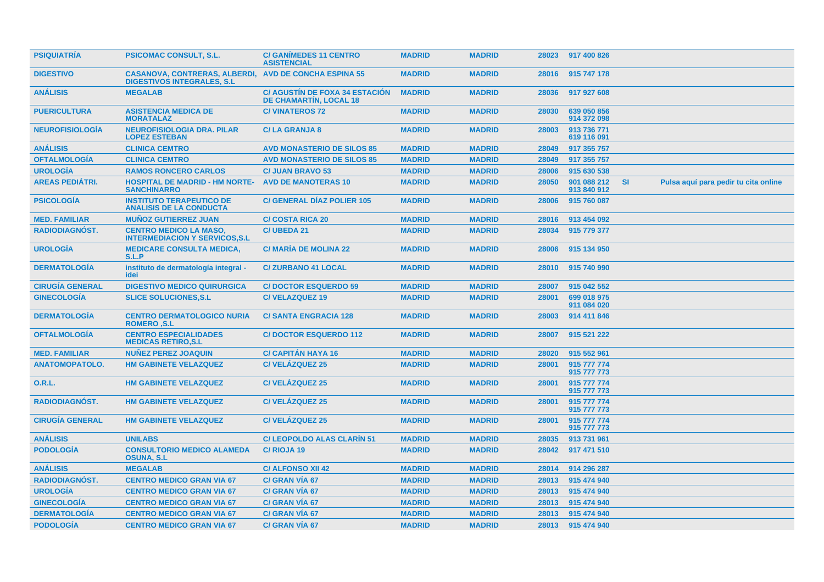| <b>PSIQUIATRIA</b>     | <b>PSICOMAC CONSULT, S.L.</b>                                                                      | <b>C/ GANIMEDES 11 CENTRO</b><br><b>ASISTENCIAL</b>                    | <b>MADRID</b> | <b>MADRID</b> |       | 28023 917 400 826          |           |                                      |  |
|------------------------|----------------------------------------------------------------------------------------------------|------------------------------------------------------------------------|---------------|---------------|-------|----------------------------|-----------|--------------------------------------|--|
| <b>DIGESTIVO</b>       | <b>CASANOVA, CONTRERAS, ALBERDI, AVD DE CONCHA ESPINA 55</b><br><b>DIGESTIVOS INTEGRALES, S.L.</b> |                                                                        | <b>MADRID</b> | <b>MADRID</b> | 28016 | 915 747 178                |           |                                      |  |
| <b>ANÁLISIS</b>        | <b>MEGALAB</b>                                                                                     | <b>C/ AGUSTIN DE FOXA 34 ESTACION</b><br><b>DE CHAMARTÍN, LOCAL 18</b> | <b>MADRID</b> | <b>MADRID</b> | 28036 | 917 927 608                |           |                                      |  |
| <b>PUERICULTURA</b>    | <b>ASISTENCIA MEDICA DE</b><br><b>MORATALAZ</b>                                                    | <b>C/VINATEROS 72</b>                                                  | <b>MADRID</b> | <b>MADRID</b> | 28030 | 639 050 856<br>914 372 098 |           |                                      |  |
| <b>NEUROFISIOLOGIA</b> | <b>NEUROFISIOLOGIA DRA. PILAR</b><br><b>LOPEZ ESTEBAN</b>                                          | <b>C/LA GRANJA 8</b>                                                   | <b>MADRID</b> | <b>MADRID</b> | 28003 | 913 736 771<br>619 116 091 |           |                                      |  |
| <b>ANÁLISIS</b>        | <b>CLINICA CEMTRO</b>                                                                              | <b>AVD MONASTERIO DE SILOS 85</b>                                      | <b>MADRID</b> | <b>MADRID</b> | 28049 | 917 355 757                |           |                                      |  |
| <b>OFTALMOLOGÍA</b>    | <b>CLINICA CEMTRO</b>                                                                              | <b>AVD MONASTERIO DE SILOS 85</b>                                      | <b>MADRID</b> | <b>MADRID</b> | 28049 | 917 355 757                |           |                                      |  |
| <b>UROLOGÍA</b>        | <b>RAMOS RONCERO CARLOS</b>                                                                        | <b>C/ JUAN BRAVO 53</b>                                                | <b>MADRID</b> | <b>MADRID</b> | 28006 | 915 630 538                |           |                                      |  |
| <b>AREAS PEDIATRI.</b> | <b>HOSPITAL DE MADRID - HM NORTE-</b><br><b>SANCHINARRO</b>                                        | <b>AVD DE MANOTERAS 10</b>                                             | <b>MADRID</b> | <b>MADRID</b> | 28050 | 901 088 212<br>913 840 912 | <b>SI</b> | Pulsa aquí para pedir tu cita online |  |
| <b>PSICOLOGÍA</b>      | <b>INSTITUTO TERAPEUTICO DE</b><br><b>ANALISIS DE LA CONDUCTA</b>                                  | <b>C/ GENERAL DIAZ POLIER 105</b>                                      | <b>MADRID</b> | <b>MADRID</b> | 28006 | 915 760 087                |           |                                      |  |
| <b>MED. FAMILIAR</b>   | <b>MUÑOZ GUTIERREZ JUAN</b>                                                                        | <b>C/ COSTA RICA 20</b>                                                | <b>MADRID</b> | <b>MADRID</b> | 28016 | 913 454 092                |           |                                      |  |
| RADIODIAGNÓST.         | <b>CENTRO MEDICO LA MASO,</b><br><b>INTERMEDIACION Y SERVICOS, S.L.</b>                            | <b>C/ UBEDA 21</b>                                                     | <b>MADRID</b> | <b>MADRID</b> | 28034 | 915 779 377                |           |                                      |  |
| <b>UROLOGIA</b>        | <b>MEDICARE CONSULTA MEDICA,</b><br>S.L.P                                                          | <b>C/ MARIA DE MOLINA 22</b>                                           | <b>MADRID</b> | <b>MADRID</b> | 28006 | 915 134 950                |           |                                      |  |
| <b>DERMATOLOGIA</b>    | instituto de dermatología integral -<br>idei                                                       | <b>C/ZURBANO 41 LOCAL</b>                                              | <b>MADRID</b> | <b>MADRID</b> | 28010 | 915 740 990                |           |                                      |  |
| <b>CIRUGÍA GENERAL</b> | <b>DIGESTIVO MEDICO QUIRURGICA</b>                                                                 | <b>C/DOCTOR ESQUERDO 59</b>                                            | <b>MADRID</b> | <b>MADRID</b> | 28007 | 915 042 552                |           |                                      |  |
| <b>GINECOLOGÍA</b>     | <b>SLICE SOLUCIONES, S.L.</b>                                                                      | <b>C/VELAZQUEZ 19</b>                                                  | <b>MADRID</b> | <b>MADRID</b> | 28001 | 699 018 975<br>911 084 020 |           |                                      |  |
| <b>DERMATOLOGÍA</b>    | <b>CENTRO DERMATOLOGICO NURIA</b><br><b>ROMERO .S.L</b>                                            | <b>C/SANTA ENGRACIA 128</b>                                            | <b>MADRID</b> | <b>MADRID</b> | 28003 | 914 411 846                |           |                                      |  |
| <b>OFTALMOLOGÍA</b>    | <b>CENTRO ESPECIALIDADES</b><br><b>MEDICAS RETIRO, S.L</b>                                         | <b>C/DOCTOR ESQUERDO 112</b>                                           | <b>MADRID</b> | <b>MADRID</b> | 28007 | 915 521 222                |           |                                      |  |
| <b>MED. FAMILIAR</b>   | <b>NUNEZ PEREZ JOAQUIN</b>                                                                         | <b>C/ CAPITAN HAYA 16</b>                                              | <b>MADRID</b> | <b>MADRID</b> | 28020 | 915 552 961                |           |                                      |  |
| <b>ANATOMOPATOLO.</b>  | <b>HM GABINETE VELAZQUEZ</b>                                                                       | <b>C/VELÁZQUEZ 25</b>                                                  | <b>MADRID</b> | <b>MADRID</b> | 28001 | 915 777 774<br>915 777 773 |           |                                      |  |
| <b>O.R.L.</b>          | <b>HM GABINETE VELAZQUEZ</b>                                                                       | <b>C/VELÁZQUEZ 25</b>                                                  | <b>MADRID</b> | <b>MADRID</b> | 28001 | 915 777 774<br>915 777 773 |           |                                      |  |
| <b>RADIODIAGNOST.</b>  | <b>HM GABINETE VELAZQUEZ</b>                                                                       | <b>C/VELAZQUEZ 25</b>                                                  | <b>MADRID</b> | <b>MADRID</b> | 28001 | 915 777 774<br>915 777 773 |           |                                      |  |
| <b>CIRUGÍA GENERAL</b> | <b>HM GABINETE VELAZQUEZ</b>                                                                       | <b>C/VELÁZQUEZ 25</b>                                                  | <b>MADRID</b> | <b>MADRID</b> | 28001 | 915 777 774<br>915 777 773 |           |                                      |  |
| <b>ANÁLISIS</b>        | <b>UNILABS</b>                                                                                     | <b>C/ LEOPOLDO ALAS CLARIN 51</b>                                      | <b>MADRID</b> | <b>MADRID</b> | 28035 | 913 731 961                |           |                                      |  |
| <b>PODOLOGIA</b>       | <b>CONSULTORIO MEDICO ALAMEDA</b><br><b>OSUNA, S.L</b>                                             | C/RIOJA 19                                                             | <b>MADRID</b> | <b>MADRID</b> | 28042 | 917 471 510                |           |                                      |  |
| <b>ANÁLISIS</b>        | <b>MEGALAB</b>                                                                                     | <b>C/ ALFONSO XII 42</b>                                               | <b>MADRID</b> | <b>MADRID</b> | 28014 | 914 296 287                |           |                                      |  |
| <b>RADIODIAGNÓST.</b>  | <b>CENTRO MEDICO GRAN VIA 67</b>                                                                   | C/ GRAN VIA 67                                                         | <b>MADRID</b> | <b>MADRID</b> | 28013 | 915 474 940                |           |                                      |  |
| <b>UROLOGÍA</b>        | <b>CENTRO MEDICO GRAN VIA 67</b>                                                                   | C/ GRAN VIA 67                                                         | <b>MADRID</b> | <b>MADRID</b> | 28013 | 915 474 940                |           |                                      |  |
| <b>GINECOLOGÍA</b>     | <b>CENTRO MEDICO GRAN VIA 67</b>                                                                   | C/ GRAN VIA 67                                                         | <b>MADRID</b> | <b>MADRID</b> | 28013 | 915 474 940                |           |                                      |  |
| <b>DERMATOLOGÍA</b>    | <b>CENTRO MEDICO GRAN VIA 67</b>                                                                   | <b>C/ GRAN VIA 67</b>                                                  | <b>MADRID</b> | <b>MADRID</b> | 28013 | 915 474 940                |           |                                      |  |
| <b>PODOLOGIA</b>       | <b>CENTRO MEDICO GRAN VIA 67</b>                                                                   | C/ GRAN VIA 67                                                         | <b>MADRID</b> | <b>MADRID</b> |       | 28013 915 474 940          |           |                                      |  |
|                        |                                                                                                    |                                                                        |               |               |       |                            |           |                                      |  |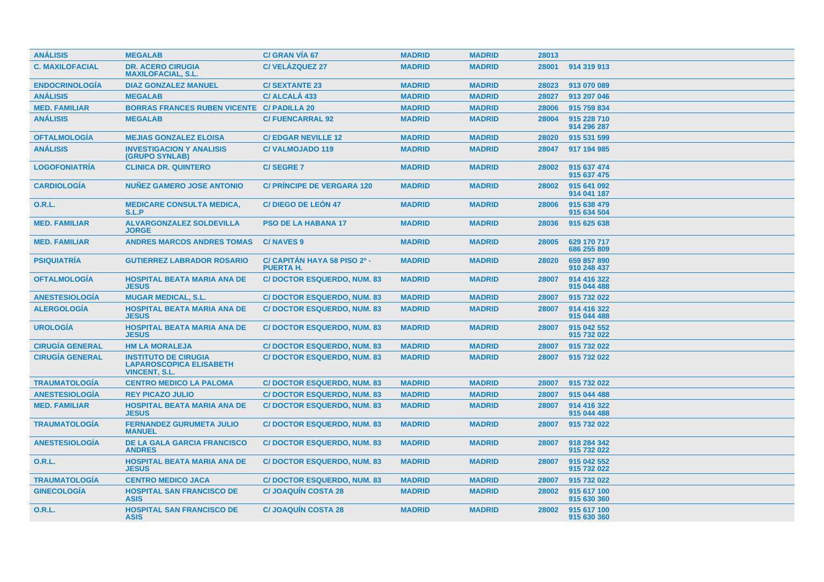| <b>ANÁLISIS</b>        | <b>MEGALAB</b>                                                                        | C/ GRAN VIA 67                                   | <b>MADRID</b> | <b>MADRID</b> | 28013 |                            |
|------------------------|---------------------------------------------------------------------------------------|--------------------------------------------------|---------------|---------------|-------|----------------------------|
| <b>C. MAXILOFACIAL</b> | <b>DR. ACERO CIRUGIA</b><br><b>MAXILOFACIAL, S.L.</b>                                 | <b>C/VELÁZQUEZ 27</b>                            | <b>MADRID</b> | <b>MADRID</b> | 28001 | 914 319 913                |
| <b>ENDOCRINOLOGIA</b>  | <b>DIAZ GONZALEZ MANUEL</b>                                                           | <b>C/SEXTANTE 23</b>                             | <b>MADRID</b> | <b>MADRID</b> | 28023 | 913 070 089                |
| <b>ANÁLISIS</b>        | <b>MEGALAB</b>                                                                        | C/ ALCALA 433                                    | <b>MADRID</b> | <b>MADRID</b> | 28027 | 913 207 046                |
| <b>MED. FAMILIAR</b>   | <b>BORRAS FRANCES RUBEN VICENTE C/ PADILLA 20</b>                                     |                                                  | <b>MADRID</b> | <b>MADRID</b> | 28006 | 915 759 834                |
| <b>ANÁLISIS</b>        | <b>MEGALAB</b>                                                                        | <b>C/FUENCARRAL 92</b>                           | <b>MADRID</b> | <b>MADRID</b> | 28004 | 915 228 710<br>914 296 287 |
| <b>OFTALMOLOGÍA</b>    | <b>MEJIAS GONZALEZ ELOISA</b>                                                         | <b>C/EDGAR NEVILLE 12</b>                        | <b>MADRID</b> | <b>MADRID</b> | 28020 | 915 531 599                |
| <b>ANÁLISIS</b>        | <b>INVESTIGACION Y ANALISIS</b><br>(GRUPO SYNLAB)                                     | <b>C/VALMOJADO 119</b>                           | <b>MADRID</b> | <b>MADRID</b> | 28047 | 917 194 985                |
| <b>LOGOFONIATRÍA</b>   | <b>CLINICA DR. QUINTERO</b>                                                           | <b>C/SEGRE 7</b>                                 | <b>MADRID</b> | <b>MADRID</b> | 28002 | 915 637 474<br>915 637 475 |
| <b>CARDIOLOGIA</b>     | <b>NUÑEZ GAMERO JOSE ANTONIO</b>                                                      | <b>C/ PRINCIPE DE VERGARA 120</b>                | <b>MADRID</b> | <b>MADRID</b> | 28002 | 915 641 092<br>914 041 187 |
| <b>O.R.L.</b>          | <b>MEDICARE CONSULTA MEDICA,</b><br>S.L.P                                             | <b>C/DIEGO DE LEÓN 47</b>                        | <b>MADRID</b> | <b>MADRID</b> | 28006 | 915 638 479<br>915 634 504 |
| <b>MED. FAMILIAR</b>   | <b>ALVARGONZALEZ SOLDEVILLA</b><br><b>JORGE</b>                                       | <b>PSO DE LA HABANA 17</b>                       | <b>MADRID</b> | <b>MADRID</b> | 28036 | 915 625 638                |
| <b>MED. FAMILIAR</b>   | <b>ANDRES MARCOS ANDRES TOMAS</b>                                                     | <b>C/NAVES 9</b>                                 | <b>MADRID</b> | <b>MADRID</b> | 28005 | 629 170 717<br>686 255 809 |
| <b>PSIQUIATRÍA</b>     | <b>GUTIERREZ LABRADOR ROSARIO</b>                                                     | C/ CAPITAN HAYA 58 PISO 2º -<br><b>PUERTA H.</b> | <b>MADRID</b> | <b>MADRID</b> | 28020 | 659 857 890<br>910 248 437 |
| <b>OFTALMOLOGÍA</b>    | <b>HOSPITAL BEATA MARIA ANA DE</b><br><b>JESUS</b>                                    | <b>C/DOCTOR ESQUERDO, NUM. 83</b>                | <b>MADRID</b> | <b>MADRID</b> | 28007 | 914 416 322<br>915 044 488 |
| <b>ANESTESIOLOGÍA</b>  | <b>MUGAR MEDICAL, S.L.</b>                                                            | <b>C/DOCTOR ESQUERDO, NUM. 83</b>                | <b>MADRID</b> | <b>MADRID</b> | 28007 | 915 732 022                |
| <b>ALERGOLOGÍA</b>     | <b>HOSPITAL BEATA MARIA ANA DE</b><br><b>JESUS</b>                                    | <b>C/DOCTOR ESQUERDO, NUM. 83</b>                | <b>MADRID</b> | <b>MADRID</b> | 28007 | 914 416 322<br>915 044 488 |
| <b>UROLOGIA</b>        | <b>HOSPITAL BEATA MARIA ANA DE</b><br><b>JESUS</b>                                    | <b>C/DOCTOR ESQUERDO, NUM. 83</b>                | <b>MADRID</b> | <b>MADRID</b> | 28007 | 915 042 552<br>915 732 022 |
| <b>CIRUGIA GENERAL</b> | <b>HM LA MORALEJA</b>                                                                 | <b>C/DOCTOR ESQUERDO, NUM. 83</b>                | <b>MADRID</b> | <b>MADRID</b> | 28007 | 915 732 022                |
| <b>CIRUGÍA GENERAL</b> | <b>INSTITUTO DE CIRUGIA</b><br><b>LAPAROSCOPICA ELISABETH</b><br><b>VINCENT, S.L.</b> | <b>C/DOCTOR ESQUERDO, NUM. 83</b>                | <b>MADRID</b> | <b>MADRID</b> | 28007 | 915 732 022                |
| <b>TRAUMATOLOGÍA</b>   | <b>CENTRO MEDICO LA PALOMA</b>                                                        | <b>C/DOCTOR ESQUERDO, NUM. 83</b>                | <b>MADRID</b> | <b>MADRID</b> | 28007 | 915 732 022                |
| <b>ANESTESIOLOGÍA</b>  | <b>REY PICAZO JULIO</b>                                                               | <b>C/DOCTOR ESQUERDO, NUM. 83</b>                | <b>MADRID</b> | <b>MADRID</b> | 28007 | 915 044 488                |
| <b>MED. FAMILIAR</b>   | <b>HOSPITAL BEATA MARIA ANA DE</b><br><b>JESUS</b>                                    | <b>C/DOCTOR ESQUERDO, NUM. 83</b>                | <b>MADRID</b> | <b>MADRID</b> | 28007 | 914 416 322<br>915 044 488 |
| <b>TRAUMATOLOGÍA</b>   | <b>FERNANDEZ GURUMETA JULIO</b><br><b>MANUEL</b>                                      | <b>C/DOCTOR ESQUERDO, NUM. 83</b>                | <b>MADRID</b> | <b>MADRID</b> | 28007 | 915 732 022                |
| <b>ANESTESIOLOGIA</b>  | <b>DE LA GALA GARCIA FRANCISCO</b><br><b>ANDRES</b>                                   | <b>C/DOCTOR ESQUERDO, NUM. 83</b>                | <b>MADRID</b> | <b>MADRID</b> | 28007 | 918 284 342<br>915 732 022 |
| 0.R.L.                 | <b>HOSPITAL BEATA MARIA ANA DE</b><br><b>JESUS</b>                                    | <b>C/DOCTOR ESQUERDO, NUM. 83</b>                | <b>MADRID</b> | <b>MADRID</b> | 28007 | 915 042 552<br>915 732 022 |
| <b>TRAUMATOLOGIA</b>   | <b>CENTRO MEDICO JACA</b>                                                             | <b>C/DOCTOR ESQUERDO, NUM. 83</b>                | <b>MADRID</b> | <b>MADRID</b> | 28007 | 915 732 022                |
| <b>GINECOLOGIA</b>     | <b>HOSPITAL SAN FRANCISCO DE</b><br><b>ASIS</b>                                       | <b>C/JOAQUIN COSTA 28</b>                        | <b>MADRID</b> | <b>MADRID</b> | 28002 | 915 617 100<br>915 630 360 |
| <b>O.R.L.</b>          | <b>HOSPITAL SAN FRANCISCO DE</b><br><b>ASIS</b>                                       | <b>C/JOAQUÍN COSTA 28</b>                        | <b>MADRID</b> | <b>MADRID</b> | 28002 | 915 617 100<br>915 630 360 |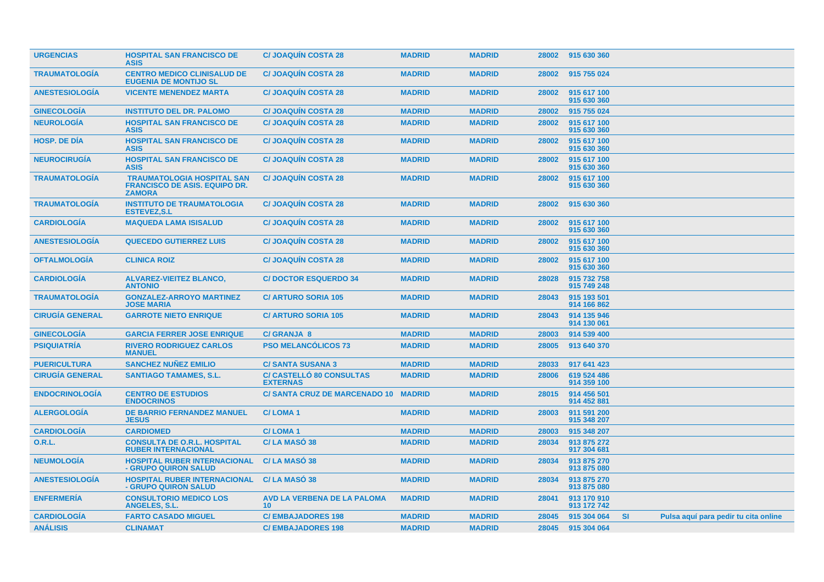| <b>URGENCIAS</b>       | <b>HOSPITAL SAN FRANCISCO DE</b><br><b>ASIS</b>                                            | <b>C/JOAQUIN COSTA 28</b>                             | <b>MADRID</b> | <b>MADRID</b> | 28002 | 915 630 360                |           |                                      |  |
|------------------------|--------------------------------------------------------------------------------------------|-------------------------------------------------------|---------------|---------------|-------|----------------------------|-----------|--------------------------------------|--|
| <b>TRAUMATOLOGIA</b>   | <b>CENTRO MEDICO CLINISALUD DE</b><br><b>EUGENIA DE MONTIJO SL</b>                         | <b>C/JOAQUIN COSTA 28</b>                             | <b>MADRID</b> | <b>MADRID</b> | 28002 | 915 755 024                |           |                                      |  |
| <b>ANESTESIOLOGIA</b>  | <b>VICENTE MENENDEZ MARTA</b>                                                              | <b>C/JOAQUIN COSTA 28</b>                             | <b>MADRID</b> | <b>MADRID</b> | 28002 | 915 617 100<br>915 630 360 |           |                                      |  |
| <b>GINECOLOGÍA</b>     | <b>INSTITUTO DEL DR. PALOMO</b>                                                            | <b>C/ JOAQUÍN COSTA 28</b>                            | <b>MADRID</b> | <b>MADRID</b> | 28002 | 915 755 024                |           |                                      |  |
| <b>NEUROLOGÍA</b>      | <b>HOSPITAL SAN FRANCISCO DE</b><br><b>ASIS</b>                                            | <b>C/JOAQUIN COSTA 28</b>                             | <b>MADRID</b> | <b>MADRID</b> | 28002 | 915 617 100<br>915 630 360 |           |                                      |  |
| <b>HOSP. DE DÍA</b>    | <b>HOSPITAL SAN FRANCISCO DE</b><br><b>ASIS</b>                                            | <b>C/JOAQUIN COSTA 28</b>                             | <b>MADRID</b> | <b>MADRID</b> | 28002 | 915 617 100<br>915 630 360 |           |                                      |  |
| <b>NEUROCIRUGIA</b>    | <b>HOSPITAL SAN FRANCISCO DE</b><br><b>ASIS</b>                                            | <b>C/JOAQUIN COSTA 28</b>                             | <b>MADRID</b> | <b>MADRID</b> | 28002 | 915 617 100<br>915 630 360 |           |                                      |  |
| <b>TRAUMATOLOGÍA</b>   | <b>TRAUMATOLOGIA HOSPITAL SAN</b><br><b>FRANCISCO DE ASIS, EQUIPO DR.</b><br><b>ZAMORA</b> | <b>C/JOAQUIN COSTA 28</b>                             | <b>MADRID</b> | <b>MADRID</b> | 28002 | 915 617 100<br>915 630 360 |           |                                      |  |
| <b>TRAUMATOLOGÍA</b>   | <b>INSTITUTO DE TRAUMATOLOGIA</b><br><b>ESTEVEZ, S.L</b>                                   | <b>C/JOAQUIN COSTA 28</b>                             | <b>MADRID</b> | <b>MADRID</b> | 28002 | 915 630 360                |           |                                      |  |
| <b>CARDIOLOGÍA</b>     | <b>MAQUEDA LAMA ISISALUD</b>                                                               | <b>C/JOAQUIN COSTA 28</b>                             | <b>MADRID</b> | <b>MADRID</b> | 28002 | 915 617 100<br>915 630 360 |           |                                      |  |
| <b>ANESTESIOLOGÍA</b>  | <b>QUECEDO GUTIERREZ LUIS</b>                                                              | <b>C/JOAQUIN COSTA 28</b>                             | <b>MADRID</b> | <b>MADRID</b> | 28002 | 915 617 100<br>915 630 360 |           |                                      |  |
| <b>OFTALMOLOGÍA</b>    | <b>CLINICA ROIZ</b>                                                                        | <b>C/JOAQUIN COSTA 28</b>                             | <b>MADRID</b> | <b>MADRID</b> | 28002 | 915 617 100<br>915 630 360 |           |                                      |  |
| <b>CARDIOLOGÍA</b>     | <b>ALVAREZ-VIEITEZ BLANCO,</b><br><b>ANTONIO</b>                                           | <b>C/DOCTOR ESQUERDO 34</b>                           | <b>MADRID</b> | <b>MADRID</b> | 28028 | 915 732 758<br>915 749 248 |           |                                      |  |
| <b>TRAUMATOLOGÍA</b>   | <b>GONZALEZ-ARROYO MARTINEZ</b><br><b>JOSE MARIA</b>                                       | <b>C/ ARTURO SORIA 105</b>                            | <b>MADRID</b> | <b>MADRID</b> | 28043 | 915 193 501<br>914 166 862 |           |                                      |  |
| <b>CIRUGÍA GENERAL</b> | <b>GARROTE NIETO ENRIQUE</b>                                                               | <b>C/ ARTURO SORIA 105</b>                            | <b>MADRID</b> | <b>MADRID</b> | 28043 | 914 135 946<br>914 130 061 |           |                                      |  |
| <b>GINECOLOGÍA</b>     | <b>GARCIA FERRER JOSE ENRIQUE</b>                                                          | <b>C/ GRANJA 8</b>                                    | <b>MADRID</b> | <b>MADRID</b> | 28003 | 914 539 400                |           |                                      |  |
| <b>PSIQUIATRÍA</b>     | <b>RIVERO RODRIGUEZ CARLOS</b><br><b>MANUEL</b>                                            | <b>PSO MELANCÓLICOS 73</b>                            | <b>MADRID</b> | <b>MADRID</b> | 28005 | 913 640 370                |           |                                      |  |
| <b>PUERICULTURA</b>    | <b>SANCHEZ NUÑEZ EMILIO</b>                                                                | <b>C/SANTA SUSANA 3</b>                               | <b>MADRID</b> | <b>MADRID</b> | 28033 | 917 641 423                |           |                                      |  |
| <b>CIRUGÍA GENERAL</b> | <b>SANTIAGO TAMAMES, S.L.</b>                                                              | <b>C/ CASTELLÓ 80 CONSULTAS</b><br><b>EXTERNAS</b>    | <b>MADRID</b> | <b>MADRID</b> | 28006 | 619 524 486<br>914 359 100 |           |                                      |  |
| <b>ENDOCRINOLOGÍA</b>  | <b>CENTRO DE ESTUDIOS</b><br><b>ENDOCRINOS</b>                                             | C/SANTA CRUZ DE MARCENADO 10 MADRID                   |               | <b>MADRID</b> | 28015 | 914 456 501<br>914 452 881 |           |                                      |  |
| <b>ALERGOLOGÍA</b>     | <b>DE BARRIO FERNANDEZ MANUEL</b><br><b>JESUS</b>                                          | <b>C/LOMA1</b>                                        | <b>MADRID</b> | <b>MADRID</b> | 28003 | 911 591 200<br>915 348 207 |           |                                      |  |
| <b>CARDIOLOGÍA</b>     | <b>CARDIOMED</b>                                                                           | <b>C/LOMA1</b>                                        | <b>MADRID</b> | <b>MADRID</b> | 28003 | 915 348 207                |           |                                      |  |
| 0.R.L.                 | <b>CONSULTA DE O.R.L. HOSPITAL</b><br><b>RUBER INTERNACIONAL</b>                           | C/LA MASÓ 38                                          | <b>MADRID</b> | <b>MADRID</b> | 28034 | 913 875 272<br>917 304 681 |           |                                      |  |
| <b>NEUMOLOGÍA</b>      | <b>HOSPITAL RUBER INTERNACIONAL</b><br>- GRUPO QUIRON SALUD                                | C/LA MASO 38                                          | <b>MADRID</b> | <b>MADRID</b> | 28034 | 913 875 270<br>913 875 080 |           |                                      |  |
| <b>ANESTESIOLOGIA</b>  | <b>HOSPITAL RUBER INTERNACIONAL</b><br>- GRUPO QUIRON SALUD                                | <b>C/LA MASO 38</b>                                   | <b>MADRID</b> | <b>MADRID</b> | 28034 | 913 875 270<br>913 875 080 |           |                                      |  |
| <b>ENFERMERIA</b>      | <b>CONSULTORIO MEDICO LOS</b><br><b>ANGELES, S.L.</b>                                      | <b>AVD LA VERBENA DE LA PALOMA</b><br>10 <sup>°</sup> | <b>MADRID</b> | <b>MADRID</b> | 28041 | 913 170 910<br>913 172 742 |           |                                      |  |
| <b>CARDIOLOGIA</b>     | <b>FARTO CASADO MIGUEL</b>                                                                 | <b>C/EMBAJADORES 198</b>                              | <b>MADRID</b> | <b>MADRID</b> | 28045 | 915 304 064                | <b>SI</b> | Pulsa aquí para pedir tu cita online |  |
| <b>ANALISIS</b>        | <b>CLINAMAT</b>                                                                            | <b>C/EMBAJADORES 198</b>                              | <b>MADRID</b> | <b>MADRID</b> | 28045 | 915 304 064                |           |                                      |  |
|                        |                                                                                            |                                                       |               |               |       |                            |           |                                      |  |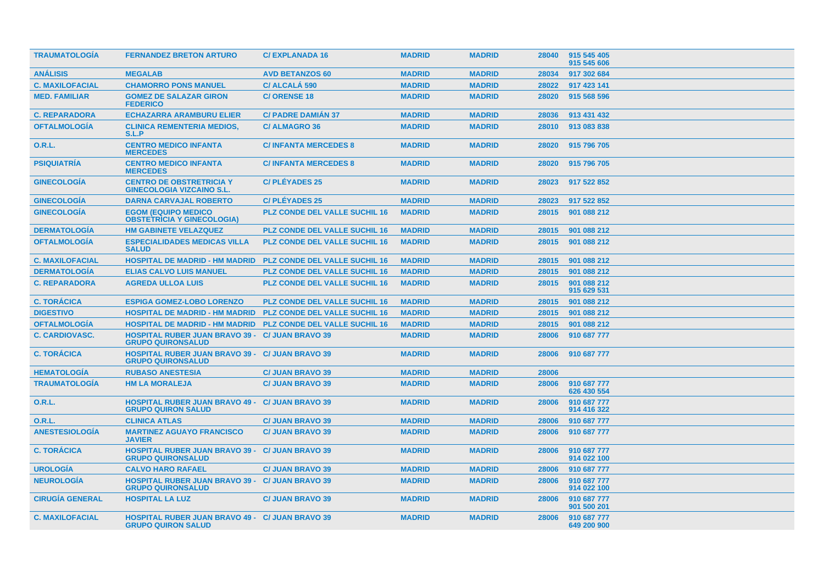| <b>TRAUMATOLOGIA</b>   | <b>FERNANDEZ BRETON ARTURO</b>                                                      | <b>C/EXPLANADA 16</b>                | <b>MADRID</b> | <b>MADRID</b> | 28040 | 915 545 405<br>915 545 606 |
|------------------------|-------------------------------------------------------------------------------------|--------------------------------------|---------------|---------------|-------|----------------------------|
| <b>ANÁLISIS</b>        | <b>MEGALAB</b>                                                                      | <b>AVD BETANZOS 60</b>               | <b>MADRID</b> | <b>MADRID</b> | 28034 | 917 302 684                |
| <b>C. MAXILOFACIAL</b> | <b>CHAMORRO PONS MANUEL</b>                                                         | <b>C/ALCALA 590</b>                  | <b>MADRID</b> | <b>MADRID</b> | 28022 | 917 423 141                |
| <b>MED. FAMILIAR</b>   | <b>GOMEZ DE SALAZAR GIRON</b><br><b>FEDERICO</b>                                    | <b>C/ORENSE 18</b>                   | <b>MADRID</b> | <b>MADRID</b> | 28020 | 915 568 596                |
| <b>C. REPARADORA</b>   | <b>ECHAZARRA ARAMBURU ELIER</b>                                                     | <b>C/ PADRE DAMIAN 37</b>            | <b>MADRID</b> | <b>MADRID</b> | 28036 | 913 431 432                |
| <b>OFTALMOLOGIA</b>    | <b>CLINICA REMENTERIA MEDIOS,</b><br>S.L.P                                          | <b>C/ALMAGRO 36</b>                  | <b>MADRID</b> | <b>MADRID</b> | 28010 | 913 083 838                |
| <b>O.R.L.</b>          | <b>CENTRO MEDICO INFANTA</b><br><b>MERCEDES</b>                                     | <b>C/INFANTA MERCEDES 8</b>          | <b>MADRID</b> | <b>MADRID</b> | 28020 | 915 796 705                |
| <b>PSIQUIATRÍA</b>     | <b>CENTRO MEDICO INFANTA</b><br><b>MERCEDES</b>                                     | <b>C/INFANTA MERCEDES 8</b>          | <b>MADRID</b> | <b>MADRID</b> | 28020 | 915 796 705                |
| <b>GINECOLOGIA</b>     | <b>CENTRO DE OBSTRETRICIA Y</b><br><b>GINECOLOGIA VIZCAINO S.L.</b>                 | <b>C/PLÉYADES 25</b>                 | <b>MADRID</b> | <b>MADRID</b> | 28023 | 917 522 852                |
| <b>GINECOLOGÍA</b>     | <b>DARNA CARVAJAL ROBERTO</b>                                                       | <b>C/PLÉYADES 25</b>                 | <b>MADRID</b> | <b>MADRID</b> | 28023 | 917 522 852                |
| <b>GINECOLOGÍA</b>     | <b>EGOM (EQUIPO MEDICO)</b><br><b>OBSTETRICIA Y GINECOLOGIA)</b>                    | <b>PLZ CONDE DEL VALLE SUCHIL 16</b> | <b>MADRID</b> | <b>MADRID</b> | 28015 | 901 088 212                |
| <b>DERMATOLOGÍA</b>    | <b>HM GABINETE VELAZQUEZ</b>                                                        | <b>PLZ CONDE DEL VALLE SUCHIL 16</b> | <b>MADRID</b> | <b>MADRID</b> | 28015 | 901 088 212                |
| <b>OFTALMOLOGÍA</b>    | <b>ESPECIALIDADES MEDICAS VILLA</b><br><b>SALUD</b>                                 | <b>PLZ CONDE DEL VALLE SUCHIL 16</b> | <b>MADRID</b> | <b>MADRID</b> | 28015 | 901 088 212                |
| <b>C. MAXILOFACIAL</b> | <b>HOSPITAL DE MADRID - HM MADRID</b>                                               | <b>PLZ CONDE DEL VALLE SUCHIL 16</b> | <b>MADRID</b> | <b>MADRID</b> | 28015 | 901 088 212                |
| <b>DERMATOLOGÍA</b>    | <b>ELIAS CALVO LUIS MANUEL</b>                                                      | <b>PLZ CONDE DEL VALLE SUCHIL 16</b> | <b>MADRID</b> | <b>MADRID</b> | 28015 | 901 088 212                |
| <b>C. REPARADORA</b>   | <b>AGREDA ULLOA LUIS</b>                                                            | <b>PLZ CONDE DEL VALLE SUCHIL 16</b> | <b>MADRID</b> | <b>MADRID</b> | 28015 | 901 088 212<br>915 629 531 |
| <b>C. TORÁCICA</b>     | <b>ESPIGA GOMEZ-LOBO LORENZO</b>                                                    | <b>PLZ CONDE DEL VALLE SUCHIL 16</b> | <b>MADRID</b> | <b>MADRID</b> | 28015 | 901 088 212                |
| <b>DIGESTIVO</b>       | <b>HOSPITAL DE MADRID - HM MADRID</b>                                               | <b>PLZ CONDE DEL VALLE SUCHIL 16</b> | <b>MADRID</b> | <b>MADRID</b> | 28015 | 901 088 212                |
| <b>OFTALMOLOGIA</b>    | <b>HOSPITAL DE MADRID - HM MADRID</b>                                               | <b>PLZ CONDE DEL VALLE SUCHIL 16</b> | <b>MADRID</b> | <b>MADRID</b> | 28015 | 901 088 212                |
| <b>C. CARDIOVASC.</b>  | <b>HOSPITAL RUBER JUAN BRAVO 39 - C/ JUAN BRAVO 39</b><br><b>GRUPO QUIRONSALUD</b>  |                                      | <b>MADRID</b> | <b>MADRID</b> | 28006 | 910 687 777                |
| <b>C. TORÁCICA</b>     | <b>HOSPITAL RUBER JUAN BRAVO 39 - C/ JUAN BRAVO 39</b><br><b>GRUPO QUIRONSALUD</b>  |                                      | <b>MADRID</b> | <b>MADRID</b> | 28006 | 910 687 777                |
| <b>HEMATOLOGÍA</b>     | <b>RUBASO ANESTESIA</b>                                                             | <b>C/ JUAN BRAVO 39</b>              | <b>MADRID</b> | <b>MADRID</b> | 28006 |                            |
| <b>TRAUMATOLOGIA</b>   | <b>HM LA MORALEJA</b>                                                               | <b>C/ JUAN BRAVO 39</b>              | <b>MADRID</b> | <b>MADRID</b> | 28006 | 910 687 777<br>626 430 554 |
| <b>O.R.L.</b>          | <b>HOSPITAL RUBER JUAN BRAVO 49 - C/ JUAN BRAVO 39</b><br><b>GRUPO QUIRON SALUD</b> |                                      | <b>MADRID</b> | <b>MADRID</b> | 28006 | 910 687 777<br>914 416 322 |
| 0.R.L.                 | <b>CLINICA ATLAS</b>                                                                | <b>C/ JUAN BRAVO 39</b>              | <b>MADRID</b> | <b>MADRID</b> | 28006 | 910 687 777                |
| <b>ANESTESIOLOGIA</b>  | <b>MARTINEZ AGUAYO FRANCISCO</b><br><b>JAVIER</b>                                   | <b>C/ JUAN BRAVO 39</b>              | <b>MADRID</b> | <b>MADRID</b> | 28006 | 910 687 777                |
| <b>C. TORÁCICA</b>     | <b>HOSPITAL RUBER JUAN BRAVO 39 - C/ JUAN BRAVO 39</b><br><b>GRUPO QUIRONSALUD</b>  |                                      | <b>MADRID</b> | <b>MADRID</b> | 28006 | 910 687 777<br>914 022 100 |
| <b>UROLOGÍA</b>        | <b>CALVO HARO RAFAEL</b>                                                            | <b>C/ JUAN BRAVO 39</b>              | <b>MADRID</b> | <b>MADRID</b> | 28006 | 910 687 777                |
| <b>NEUROLOGÍA</b>      | <b>HOSPITAL RUBER JUAN BRAVO 39 - C/ JUAN BRAVO 39</b><br><b>GRUPO QUIRONSALUD</b>  |                                      | <b>MADRID</b> | <b>MADRID</b> | 28006 | 910 687 777<br>914 022 100 |
| <b>CIRUGÍA GENERAL</b> | <b>HOSPITAL LA LUZ</b>                                                              | <b>C/JUAN BRAVO 39</b>               | <b>MADRID</b> | <b>MADRID</b> | 28006 | 910 687 777<br>901 500 201 |
| <b>C. MAXILOFACIAL</b> | <b>HOSPITAL RUBER JUAN BRAVO 49 - C/ JUAN BRAVO 39</b><br><b>GRUPO QUIRON SALUD</b> |                                      | <b>MADRID</b> | <b>MADRID</b> | 28006 | 910 687 777<br>649 200 900 |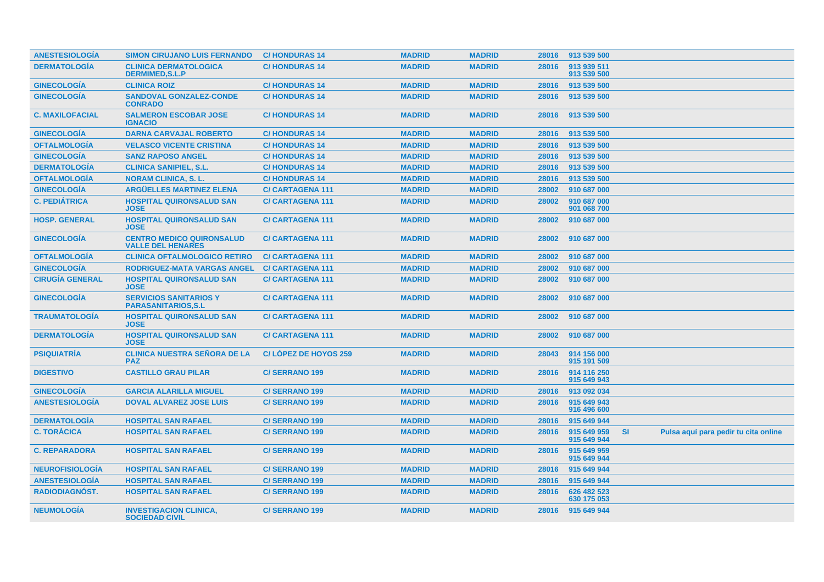| <b>ANESTESIOLOGÍA</b>  | <b>SIMON CIRUJANO LUIS FERNANDO</b>                          | <b>C/HONDURAS14</b>     | <b>MADRID</b> | <b>MADRID</b> |       | 28016 913 539 500          |           |                                      |
|------------------------|--------------------------------------------------------------|-------------------------|---------------|---------------|-------|----------------------------|-----------|--------------------------------------|
| <b>DERMATOLOGÍA</b>    | <b>CLINICA DERMATOLOGICA</b><br><b>DERMIMED, S.L.P</b>       | <b>C/HONDURAS14</b>     | <b>MADRID</b> | <b>MADRID</b> | 28016 | 913 939 511<br>913 539 500 |           |                                      |
| <b>GINECOLOGÍA</b>     | <b>CLINICA ROIZ</b>                                          | <b>C/HONDURAS14</b>     | <b>MADRID</b> | <b>MADRID</b> | 28016 | 913 539 500                |           |                                      |
| <b>GINECOLOGÍA</b>     | <b>SANDOVAL GONZALEZ-CONDE</b><br><b>CONRADO</b>             | <b>C/HONDURAS14</b>     | <b>MADRID</b> | <b>MADRID</b> | 28016 | 913 539 500                |           |                                      |
| <b>C. MAXILOFACIAL</b> | <b>SALMERON ESCOBAR JOSE</b><br><b>IGNACIO</b>               | <b>C/HONDURAS14</b>     | <b>MADRID</b> | <b>MADRID</b> | 28016 | 913 539 500                |           |                                      |
| <b>GINECOLOGÍA</b>     | <b>DARNA CARVAJAL ROBERTO</b>                                | <b>C/HONDURAS 14</b>    | <b>MADRID</b> | <b>MADRID</b> | 28016 | 913 539 500                |           |                                      |
| <b>OFTALMOLOGÍA</b>    | <b>VELASCO VICENTE CRISTINA</b>                              | <b>C/HONDURAS14</b>     | <b>MADRID</b> | <b>MADRID</b> | 28016 | 913 539 500                |           |                                      |
| <b>GINECOLOGÍA</b>     | <b>SANZ RAPOSO ANGEL</b>                                     | <b>C/HONDURAS14</b>     | <b>MADRID</b> | <b>MADRID</b> | 28016 | 913 539 500                |           |                                      |
| <b>DERMATOLOGÍA</b>    | <b>CLINICA SANIPIEL, S.L.</b>                                | <b>C/HONDURAS14</b>     | <b>MADRID</b> | <b>MADRID</b> | 28016 | 913 539 500                |           |                                      |
| <b>OFTALMOLOGÍA</b>    | <b>NORAM CLINICA, S. L.</b>                                  | <b>C/HONDURAS14</b>     | <b>MADRID</b> | <b>MADRID</b> | 28016 | 913 539 500                |           |                                      |
| <b>GINECOLOGÍA</b>     | <b>ARGÜELLES MARTINEZ ELENA</b>                              | <b>C/CARTAGENA 111</b>  | <b>MADRID</b> | <b>MADRID</b> | 28002 | 910 687 000                |           |                                      |
| <b>C. PEDIÁTRICA</b>   | <b>HOSPITAL QUIRONSALUD SAN</b><br><b>JOSE</b>               | <b>C/CARTAGENA 111</b>  | <b>MADRID</b> | <b>MADRID</b> | 28002 | 910 687 000<br>901 068 700 |           |                                      |
| <b>HOSP. GENERAL</b>   | <b>HOSPITAL QUIRONSALUD SAN</b><br><b>JOSE</b>               | <b>C/CARTAGENA 111</b>  | <b>MADRID</b> | <b>MADRID</b> | 28002 | 910 687 000                |           |                                      |
| <b>GINECOLOGÍA</b>     | <b>CENTRO MEDICO QUIRONSALUD</b><br><b>VALLE DEL HENARES</b> | <b>C/CARTAGENA 111</b>  | <b>MADRID</b> | <b>MADRID</b> | 28002 | 910 687 000                |           |                                      |
| <b>OFTALMOLOGIA</b>    | <b>CLINICA OFTALMOLOGICO RETIRO</b>                          | <b>C/CARTAGENA 111</b>  | <b>MADRID</b> | <b>MADRID</b> | 28002 | 910 687 000                |           |                                      |
| <b>GINECOLOGÍA</b>     | <b>RODRIGUEZ-MATA VARGAS ANGEL</b>                           | <b>C/ CARTAGENA 111</b> | <b>MADRID</b> | <b>MADRID</b> | 28002 | 910 687 000                |           |                                      |
| <b>CIRUGÍA GENERAL</b> | <b>HOSPITAL QUIRONSALUD SAN</b><br><b>JOSE</b>               | <b>C/CARTAGENA 111</b>  | <b>MADRID</b> | <b>MADRID</b> | 28002 | 910 687 000                |           |                                      |
| <b>GINECOLOGÍA</b>     | <b>SERVICIOS SANITARIOS Y</b><br><b>PARASANITARIOS, S.L.</b> | <b>C/CARTAGENA 111</b>  | <b>MADRID</b> | <b>MADRID</b> | 28002 | 910 687 000                |           |                                      |
| <b>TRAUMATOLOGÍA</b>   | <b>HOSPITAL QUIRONSALUD SAN</b><br><b>JOSE</b>               | <b>C/CARTAGENA 111</b>  | <b>MADRID</b> | <b>MADRID</b> | 28002 | 910 687 000                |           |                                      |
| <b>DERMATOLOGIA</b>    | <b>HOSPITAL QUIRONSALUD SAN</b><br><b>JOSE</b>               | <b>C/CARTAGENA 111</b>  | <b>MADRID</b> | <b>MADRID</b> | 28002 | 910 687 000                |           |                                      |
| <b>PSIQUIATRÍA</b>     | <b>CLINICA NUESTRA SEÑORA DE LA</b><br><b>PAZ</b>            | C/LOPEZ DE HOYOS 259    | <b>MADRID</b> | <b>MADRID</b> | 28043 | 914 156 000<br>915 191 509 |           |                                      |
| <b>DIGESTIVO</b>       | <b>CASTILLO GRAU PILAR</b>                                   | <b>C/SERRANO 199</b>    | <b>MADRID</b> | <b>MADRID</b> | 28016 | 914 116 250<br>915 649 943 |           |                                      |
| <b>GINECOLOGÍA</b>     | <b>GARCIA ALARILLA MIGUEL</b>                                | <b>C/SERRANO 199</b>    | <b>MADRID</b> | <b>MADRID</b> | 28016 | 913 092 034                |           |                                      |
| <b>ANESTESIOLOGÍA</b>  | <b>DOVAL ALVAREZ JOSE LUIS</b>                               | <b>C/SERRANO 199</b>    | <b>MADRID</b> | <b>MADRID</b> | 28016 | 915 649 943<br>916 496 600 |           |                                      |
| <b>DERMATOLOGIA</b>    | <b>HOSPITAL SAN RAFAEL</b>                                   | <b>C/SERRANO 199</b>    | <b>MADRID</b> | <b>MADRID</b> | 28016 | 915 649 944                |           |                                      |
| <b>C. TORÁCICA</b>     | <b>HOSPITAL SAN RAFAEL</b>                                   | <b>C/SERRANO 199</b>    | <b>MADRID</b> | <b>MADRID</b> | 28016 | 915 649 959<br>915 649 944 | <b>SI</b> | Pulsa aquí para pedir tu cita online |
| <b>C. REPARADORA</b>   | <b>HOSPITAL SAN RAFAEL</b>                                   | <b>C/SERRANO 199</b>    | <b>MADRID</b> | <b>MADRID</b> | 28016 | 915 649 959<br>915 649 944 |           |                                      |
| <b>NEUROFISIOLOGÍA</b> | <b>HOSPITAL SAN RAFAEL</b>                                   | <b>C/SERRANO 199</b>    | <b>MADRID</b> | <b>MADRID</b> | 28016 | 915 649 944                |           |                                      |
| <b>ANESTESIOLOGÍA</b>  | <b>HOSPITAL SAN RAFAEL</b>                                   | C/SERRANO 199           | <b>MADRID</b> | <b>MADRID</b> | 28016 | 915 649 944                |           |                                      |
| <b>RADIODIAGNOST.</b>  | <b>HOSPITAL SAN RAFAEL</b>                                   | <b>C/SERRANO 199</b>    | <b>MADRID</b> | <b>MADRID</b> | 28016 | 626 482 523<br>630 175 053 |           |                                      |
| <b>NEUMOLOGIA</b>      | <b>INVESTIGACION CLINICA,</b><br><b>SOCIEDAD CIVIL</b>       | <b>C/SERRANO 199</b>    | <b>MADRID</b> | <b>MADRID</b> |       | 28016 915 649 944          |           |                                      |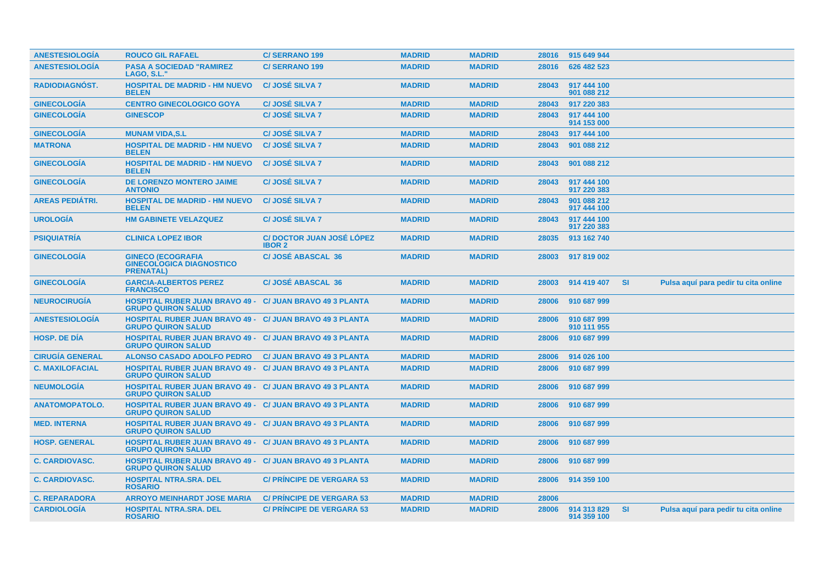| <b>ANESTESIOLOGIA</b>  | <b>ROUCO GIL RAFAEL</b>                                                                      | <b>C/SERRANO 199</b>                             | <b>MADRID</b> | <b>MADRID</b> | 28016 | 915 649 944                |           |                                      |
|------------------------|----------------------------------------------------------------------------------------------|--------------------------------------------------|---------------|---------------|-------|----------------------------|-----------|--------------------------------------|
| <b>ANESTESIOLOGIA</b>  | <b>PASA A SOCIEDAD "RAMIREZ</b><br>LAGO, S.L.'                                               | <b>C/SERRANO 199</b>                             | <b>MADRID</b> | <b>MADRID</b> | 28016 | 626 482 523                |           |                                      |
| <b>RADIODIAGNÓST.</b>  | <b>HOSPITAL DE MADRID - HM NUEVO</b><br><b>BELEN</b>                                         | <b>C/JOSÉ SILVA 7</b>                            | <b>MADRID</b> | <b>MADRID</b> | 28043 | 917 444 100<br>901 088 212 |           |                                      |
| <b>GINECOLOGÍA</b>     | <b>CENTRO GINECOLOGICO GOYA</b>                                                              | <b>C/JOSÉ SILVA 7</b>                            | <b>MADRID</b> | <b>MADRID</b> | 28043 | 917 220 383                |           |                                      |
| <b>GINECOLOGIA</b>     | <b>GINESCOP</b>                                                                              | C/JOSÉ SILVA 7                                   | <b>MADRID</b> | <b>MADRID</b> | 28043 | 917 444 100<br>914 153 000 |           |                                      |
| <b>GINECOLOGÍA</b>     | <b>MUNAM VIDA, S.L</b>                                                                       | <b>C/JOSÉ SILVA 7</b>                            | <b>MADRID</b> | <b>MADRID</b> | 28043 | 917 444 100                |           |                                      |
| <b>MATRONA</b>         | <b>HOSPITAL DE MADRID - HM NUEVO</b><br><b>BELEN</b>                                         | <b>C/JOSÉ SILVA 7</b>                            | <b>MADRID</b> | <b>MADRID</b> | 28043 | 901 088 212                |           |                                      |
| <b>GINECOLOGIA</b>     | <b>HOSPITAL DE MADRID - HM NUEVO</b><br><b>BELEN</b>                                         | <b>C/JOSÉ SILVA 7</b>                            | <b>MADRID</b> | <b>MADRID</b> | 28043 | 901 088 212                |           |                                      |
| <b>GINECOLOGÍA</b>     | <b>DE LORENZO MONTERO JAIME</b><br><b>ANTONIO</b>                                            | <b>C/JOSÉ SILVA 7</b>                            | <b>MADRID</b> | <b>MADRID</b> | 28043 | 917 444 100<br>917 220 383 |           |                                      |
| <b>AREAS PEDIÁTRI.</b> | <b>HOSPITAL DE MADRID - HM NUEVO</b><br><b>BELEN</b>                                         | <b>C/JOSÉ SILVA 7</b>                            | <b>MADRID</b> | <b>MADRID</b> | 28043 | 901 088 212<br>917 444 100 |           |                                      |
| <b>UROLOGIA</b>        | <b>HM GABINETE VELAZQUEZ</b>                                                                 | <b>C/JOSÉ SILVA 7</b>                            | <b>MADRID</b> | <b>MADRID</b> | 28043 | 917 444 100<br>917 220 383 |           |                                      |
| <b>PSIQUIATRÍA</b>     | <b>CLINICA LOPEZ IBOR</b>                                                                    | <b>C/DOCTOR JUAN JOSÉ LÓPEZ</b><br><b>IBOR 2</b> | <b>MADRID</b> | <b>MADRID</b> | 28035 | 913 162 740                |           |                                      |
| <b>GINECOLOGÍA</b>     | <b>GINECO (ECOGRAFIA</b><br><b>GINECOLOGICA DIAGNOSTICO</b><br><b>PRENATAL)</b>              | <b>C/JOSÉ ABASCAL 36</b>                         | <b>MADRID</b> | <b>MADRID</b> | 28003 | 917 819 002                |           |                                      |
| <b>GINECOLOGÍA</b>     | <b>GARCIA-ALBERTOS PEREZ</b><br><b>FRANCISCO</b>                                             | <b>C/JOSÉ ABASCAL 36</b>                         | <b>MADRID</b> | <b>MADRID</b> | 28003 | 914 419 407                | <b>SI</b> | Pulsa aquí para pedir tu cita online |
| <b>NEUROCIRUGIA</b>    | <b>HOSPITAL RUBER JUAN BRAVO 49 -</b><br><b>GRUPO QUIRON SALUD</b>                           | <b>C/ JUAN BRAVO 49 3 PLANTA</b>                 | <b>MADRID</b> | <b>MADRID</b> | 28006 | 910 687 999                |           |                                      |
| <b>ANESTESIOLOGÍA</b>  | <b>HOSPITAL RUBER JUAN BRAVO 49 - C/ JUAN BRAVO 49 3 PLANTA</b><br><b>GRUPO QUIRON SALUD</b> |                                                  | <b>MADRID</b> | <b>MADRID</b> | 28006 | 910 687 999<br>910 111 955 |           |                                      |
| <b>HOSP, DE DIA</b>    | <b>HOSPITAL RUBER JUAN BRAVO 49 - C/ JUAN BRAVO 49 3 PLANTA</b><br><b>GRUPO QUIRON SALUD</b> |                                                  | <b>MADRID</b> | <b>MADRID</b> | 28006 | 910 687 999                |           |                                      |
| <b>CIRUGÍA GENERAL</b> | <b>ALONSO CASADO ADOLFO PEDRO</b>                                                            | <b>C/ JUAN BRAVO 49 3 PLANTA</b>                 | <b>MADRID</b> | <b>MADRID</b> | 28006 | 914 026 100                |           |                                      |
| <b>C. MAXILOFACIAL</b> | <b>HOSPITAL RUBER JUAN BRAVO 49 - C/ JUAN BRAVO 49 3 PLANTA</b><br><b>GRUPO QUIRON SALUD</b> |                                                  | <b>MADRID</b> | <b>MADRID</b> | 28006 | 910 687 999                |           |                                      |
| <b>NEUMOLOGÍA</b>      | <b>HOSPITAL RUBER JUAN BRAVO 49 - C/ JUAN BRAVO 49 3 PLANTA</b><br><b>GRUPO QUIRON SALUD</b> |                                                  | <b>MADRID</b> | <b>MADRID</b> | 28006 | 910 687 999                |           |                                      |
| <b>ANATOMOPATOLO.</b>  | <b>HOSPITAL RUBER JUAN BRAVO 49 - C/ JUAN BRAVO 49 3 PLANTA</b><br><b>GRUPO QUIRON SALUD</b> |                                                  | <b>MADRID</b> | <b>MADRID</b> | 28006 | 910 687 999                |           |                                      |
| <b>MED. INTERNA</b>    | <b>HOSPITAL RUBER JUAN BRAVO 49 - C/ JUAN BRAVO 49 3 PLANTA</b><br><b>GRUPO QUIRON SALUD</b> |                                                  | <b>MADRID</b> | <b>MADRID</b> | 28006 | 910 687 999                |           |                                      |
| <b>HOSP. GENERAL</b>   | HOSPITAL RUBER JUAN BRAVO 49 - C/ JUAN BRAVO 49 3 PLANTA<br><b>GRUPO QUIRON SALUD</b>        |                                                  | <b>MADRID</b> | <b>MADRID</b> | 28006 | 910 687 999                |           |                                      |
| <b>C. CARDIOVASC.</b>  | <b>HOSPITAL RUBER JUAN BRAVO 49 - C/ JUAN BRAVO 49 3 PLANTA</b><br><b>GRUPO QUIRON SALUD</b> |                                                  | <b>MADRID</b> | <b>MADRID</b> | 28006 | 910 687 999                |           |                                      |
| <b>C. CARDIOVASC.</b>  | <b>HOSPITAL NTRA.SRA. DEL</b><br><b>ROSARIO</b>                                              | <b>C/ PRINCIPE DE VERGARA 53</b>                 | <b>MADRID</b> | <b>MADRID</b> | 28006 | 914 359 100                |           |                                      |
| <b>C. REPARADORA</b>   | <b>ARROYO MEINHARDT JOSE MARIA</b>                                                           | <b>C/ PRINCIPE DE VERGARA 53</b>                 | <b>MADRID</b> | <b>MADRID</b> | 28006 |                            |           |                                      |
| <b>CARDIOLOGIA</b>     | <b>HOSPITAL NTRA.SRA. DEL</b><br><b>ROSARIO</b>                                              | <b>C/ PRINCIPE DE VERGARA 53</b>                 | <b>MADRID</b> | <b>MADRID</b> | 28006 | 914 313 829<br>914 359 100 | <b>SI</b> | Pulsa aquí para pedir tu cita online |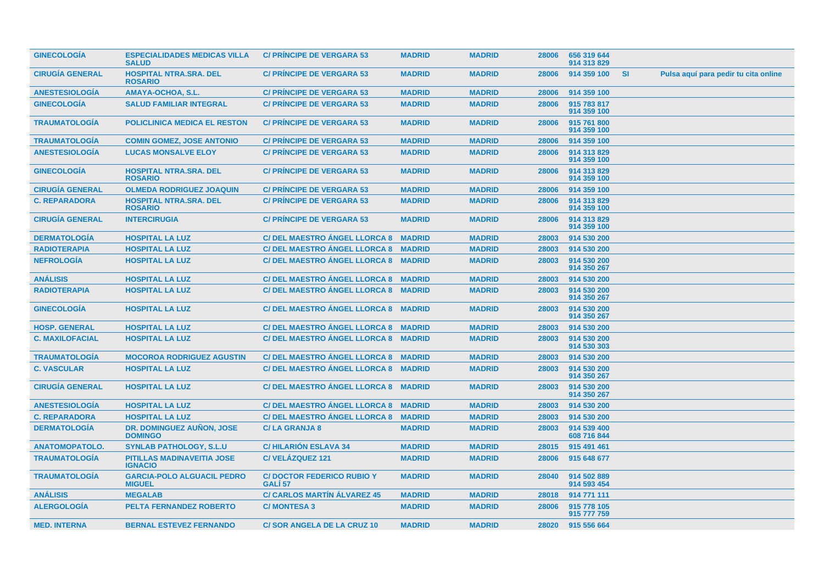| <b>GINECOLOGIA</b>     | <b>ESPECIALIDADES MEDICAS VILLA</b><br><b>SALUD</b> | <b>C/ PRINCIPE DE VERGARA 53</b>                       | <b>MADRID</b> | <b>MADRID</b> | 28006 | 656 319 644<br>914 313 829 |           |                                      |
|------------------------|-----------------------------------------------------|--------------------------------------------------------|---------------|---------------|-------|----------------------------|-----------|--------------------------------------|
| <b>CIRUGÍA GENERAL</b> | <b>HOSPITAL NTRA.SRA. DEL</b><br><b>ROSARIO</b>     | <b>C/ PRINCIPE DE VERGARA 53</b>                       | <b>MADRID</b> | <b>MADRID</b> | 28006 | 914 359 100                | <b>SI</b> | Pulsa aquí para pedir tu cita online |
| <b>ANESTESIOLOGIA</b>  | AMAYA-OCHOA, S.L.                                   | <b>C/ PRINCIPE DE VERGARA 53</b>                       | <b>MADRID</b> | <b>MADRID</b> | 28006 | 914 359 100                |           |                                      |
| <b>GINECOLOGÍA</b>     | <b>SALUD FAMILIAR INTEGRAL</b>                      | <b>C/ PRINCIPE DE VERGARA 53</b>                       | <b>MADRID</b> | <b>MADRID</b> | 28006 | 915 783 817<br>914 359 100 |           |                                      |
| <b>TRAUMATOLOGÍA</b>   | <b>POLICLINICA MEDICA EL RESTON</b>                 | <b>C/ PRINCIPE DE VERGARA 53</b>                       | <b>MADRID</b> | <b>MADRID</b> | 28006 | 915 761 800<br>914 359 100 |           |                                      |
| <b>TRAUMATOLOGÍA</b>   | <b>COMIN GOMEZ, JOSE ANTONIO</b>                    | <b>C/ PRINCIPE DE VERGARA 53</b>                       | <b>MADRID</b> | <b>MADRID</b> | 28006 | 914 359 100                |           |                                      |
| <b>ANESTESIOLOGIA</b>  | <b>LUCAS MONSALVE ELOY</b>                          | <b>C/ PRINCIPE DE VERGARA 53</b>                       | <b>MADRID</b> | <b>MADRID</b> | 28006 | 914 313 829<br>914 359 100 |           |                                      |
| <b>GINECOLOGIA</b>     | <b>HOSPITAL NTRA.SRA. DEL</b><br><b>ROSARIO</b>     | <b>C/ PRINCIPE DE VERGARA 53</b>                       | <b>MADRID</b> | <b>MADRID</b> | 28006 | 914 313 829<br>914 359 100 |           |                                      |
| <b>CIRUGIA GENERAL</b> | <b>OLMEDA RODRIGUEZ JOAQUIN</b>                     | <b>C/ PRINCIPE DE VERGARA 53</b>                       | <b>MADRID</b> | <b>MADRID</b> | 28006 | 914 359 100                |           |                                      |
| <b>C. REPARADORA</b>   | <b>HOSPITAL NTRA.SRA. DEL</b><br><b>ROSARIO</b>     | <b>C/ PRINCIPE DE VERGARA 53</b>                       | <b>MADRID</b> | <b>MADRID</b> | 28006 | 914 313 829<br>914 359 100 |           |                                      |
| <b>CIRUGÍA GENERAL</b> | <b>INTERCIRUGIA</b>                                 | <b>C/ PRÍNCIPE DE VERGARA 53</b>                       | <b>MADRID</b> | <b>MADRID</b> | 28006 | 914 313 829<br>914 359 100 |           |                                      |
| <b>DERMATOLOGÍA</b>    | <b>HOSPITAL LA LUZ</b>                              | C/ DEL MAESTRO ANGEL LLORCA 8 MADRID                   |               | <b>MADRID</b> | 28003 | 914 530 200                |           |                                      |
| <b>RADIOTERAPIA</b>    | <b>HOSPITAL LA LUZ</b>                              | C/ DEL MAESTRO ANGEL LLORCA 8 MADRID                   |               | <b>MADRID</b> | 28003 | 914 530 200                |           |                                      |
| <b>NEFROLOGÍA</b>      | <b>HOSPITAL LA LUZ</b>                              | C/DEL MAESTRO ANGEL LLORCA 8 MADRID                    |               | <b>MADRID</b> | 28003 | 914 530 200<br>914 350 267 |           |                                      |
| <b>ANÁLISIS</b>        | <b>HOSPITAL LA LUZ</b>                              | C/DEL MAESTRO ANGEL LLORCA 8 MADRID                    |               | <b>MADRID</b> | 28003 | 914 530 200                |           |                                      |
| <b>RADIOTERAPIA</b>    | <b>HOSPITAL LA LUZ</b>                              | C/DEL MAESTRO ANGEL LLORCA 8 MADRID                    |               | <b>MADRID</b> | 28003 | 914 530 200<br>914 350 267 |           |                                      |
| <b>GINECOLOGIA</b>     | <b>HOSPITAL LA LUZ</b>                              | C/ DEL MAESTRO ÁNGEL LLORCA 8 MADRID                   |               | <b>MADRID</b> | 28003 | 914 530 200<br>914 350 267 |           |                                      |
| <b>HOSP. GENERAL</b>   | <b>HOSPITAL LA LUZ</b>                              | C/ DEL MAESTRO ANGEL LLORCA 8 MADRID                   |               | <b>MADRID</b> | 28003 | 914 530 200                |           |                                      |
| <b>C. MAXILOFACIAL</b> | <b>HOSPITAL LA LUZ</b>                              | C/ DEL MAESTRO ÁNGEL LLORCA 8 MADRID                   |               | <b>MADRID</b> | 28003 | 914 530 200<br>914 530 303 |           |                                      |
| <b>TRAUMATOLOGÍA</b>   | <b>MOCOROA RODRIGUEZ AGUSTIN</b>                    | C/ DEL MAESTRO ANGEL LLORCA 8 MADRID                   |               | <b>MADRID</b> | 28003 | 914 530 200                |           |                                      |
| <b>C. VASCULAR</b>     | <b>HOSPITAL LA LUZ</b>                              | C/ DEL MAESTRO ANGEL LLORCA 8 MADRID                   |               | <b>MADRID</b> | 28003 | 914 530 200<br>914 350 267 |           |                                      |
| <b>CIRUGÍA GENERAL</b> | <b>HOSPITAL LA LUZ</b>                              | C/DEL MAESTRO ANGEL LLORCA 8 MADRID                    |               | <b>MADRID</b> | 28003 | 914 530 200<br>914 350 267 |           |                                      |
| <b>ANESTESIOLOGIA</b>  | <b>HOSPITAL LA LUZ</b>                              | C/ DEL MAESTRO ANGEL LLORCA 8 MADRID                   |               | <b>MADRID</b> | 28003 | 914 530 200                |           |                                      |
| <b>C. REPARADORA</b>   | <b>HOSPITAL LA LUZ</b>                              | C/ DEL MAESTRO ÁNGEL LLORCA 8 MADRID                   |               | <b>MADRID</b> | 28003 | 914 530 200                |           |                                      |
| <b>DERMATOLOGÍA</b>    | DR. DOMINGUEZ AUÑON, JOSE<br><b>DOMINGO</b>         | <b>C/LA GRANJA 8</b>                                   | <b>MADRID</b> | <b>MADRID</b> | 28003 | 914 539 400<br>608 716 844 |           |                                      |
| <b>ANATOMOPATOLO.</b>  | <b>SYNLAB PATHOLOGY, S.L.U</b>                      | <b>C/HILARION ESLAVA 34</b>                            | <b>MADRID</b> | <b>MADRID</b> | 28015 | 915 491 461                |           |                                      |
| <b>TRAUMATOLOGÍA</b>   | PITILLAS MADINAVEITIA JOSE<br><b>IGNACIO</b>        | C/VELÁZQUEZ 121                                        | <b>MADRID</b> | <b>MADRID</b> | 28006 | 915 648 677                |           |                                      |
| <b>TRAUMATOLOGIA</b>   | <b>GARCIA-POLO ALGUACIL PEDRO</b><br><b>MIGUEL</b>  | <b>C/DOCTOR FEDERICO RUBIO Y</b><br>GALI <sub>57</sub> | <b>MADRID</b> | <b>MADRID</b> | 28040 | 914 502 889<br>914 593 454 |           |                                      |
| <b>ANÁLISIS</b>        | <b>MEGALAB</b>                                      | <b>C/ CARLOS MARTIN ALVAREZ 45</b>                     | <b>MADRID</b> | <b>MADRID</b> | 28018 | 914 771 111                |           |                                      |
| <b>ALERGOLOGIA</b>     | <b>PELTA FERNANDEZ ROBERTO</b>                      | <b>C/ MONTESA 3</b>                                    | <b>MADRID</b> | <b>MADRID</b> | 28006 | 915 778 105<br>915 777 759 |           |                                      |
| <b>MED. INTERNA</b>    | <b>BERNAL ESTEVEZ FERNANDO</b>                      | <b>C/SOR ANGELA DE LA CRUZ 10</b>                      | <b>MADRID</b> | <b>MADRID</b> | 28020 | 915 556 664                |           |                                      |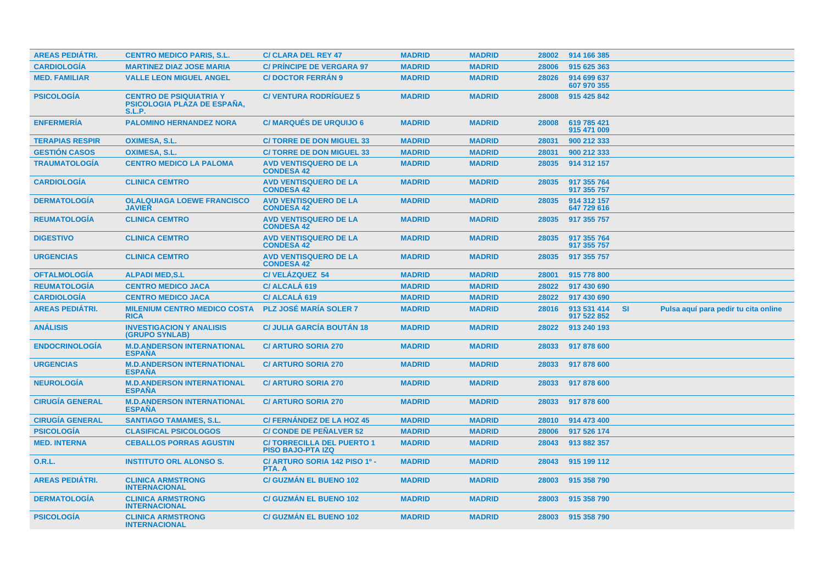| <b>AREAS PEDIÁTRI.</b> | <b>CENTRO MEDICO PARIS, S.L.</b>                                                      | <b>C/ CLARA DEL REY 47</b>                                   | <b>MADRID</b> | <b>MADRID</b> | 28002 | 914 166 385                |           |                                      |  |
|------------------------|---------------------------------------------------------------------------------------|--------------------------------------------------------------|---------------|---------------|-------|----------------------------|-----------|--------------------------------------|--|
| <b>CARDIOLOGÍA</b>     | <b>MARTINEZ DIAZ JOSE MARIA</b>                                                       | <b>C/ PRINCIPE DE VERGARA 97</b>                             | <b>MADRID</b> | <b>MADRID</b> | 28006 | 915 625 363                |           |                                      |  |
| <b>MED. FAMILIAR</b>   | <b>VALLE LEON MIGUEL ANGEL</b>                                                        | <b>C/DOCTOR FERRAN 9</b>                                     | <b>MADRID</b> | <b>MADRID</b> | 28026 | 914 699 637<br>607 970 355 |           |                                      |  |
| <b>PSICOLOGÍA</b>      | <b>CENTRO DE PSIQUIATRIA Y</b><br><b>PSICOLOGIA PLAZA DE ESPAÑA,</b><br><b>S.L.P.</b> | <b>C/VENTURA RODRIGUEZ 5</b>                                 | <b>MADRID</b> | <b>MADRID</b> | 28008 | 915 425 842                |           |                                      |  |
| <b>ENFERMERIA</b>      | <b>PALOMINO HERNANDEZ NORA</b>                                                        | <b>C/ MARQUÉS DE URQUIJO 6</b>                               | <b>MADRID</b> | <b>MADRID</b> | 28008 | 619 785 421<br>915 471 009 |           |                                      |  |
| <b>TERAPIAS RESPIR</b> | OXIMESA, S.L.                                                                         | <b>C/TORRE DE DON MIGUEL 33</b>                              | <b>MADRID</b> | <b>MADRID</b> | 28031 | 900 212 333                |           |                                      |  |
| <b>GESTIÓN CASOS</b>   | <b>OXIMESA, S.L.</b>                                                                  | <b>C/TORRE DE DON MIGUEL 33</b>                              | <b>MADRID</b> | <b>MADRID</b> | 28031 | 900 212 333                |           |                                      |  |
| <b>TRAUMATOLOGÍA</b>   | <b>CENTRO MEDICO LA PALOMA</b>                                                        | <b>AVD VENTISQUERO DE LA</b><br><b>CONDESA 42</b>            | <b>MADRID</b> | <b>MADRID</b> | 28035 | 914 312 157                |           |                                      |  |
| <b>CARDIOLOGIA</b>     | <b>CLINICA CEMTRO</b>                                                                 | <b>AVD VENTISQUERO DE LA</b><br><b>CONDESA 42</b>            | <b>MADRID</b> | <b>MADRID</b> | 28035 | 917 355 764<br>917 355 757 |           |                                      |  |
| <b>DERMATOLOGIA</b>    | <b>OLALQUIAGA LOEWE FRANCISCO</b><br><b>JAVIER</b>                                    | <b>AVD VENTISQUERO DE LA</b><br><b>CONDESA 42</b>            | <b>MADRID</b> | <b>MADRID</b> | 28035 | 914 312 157<br>647 729 616 |           |                                      |  |
| <b>REUMATOLOGIA</b>    | <b>CLINICA CEMTRO</b>                                                                 | <b>AVD VENTISQUERO DE LA</b><br><b>CONDESA 42</b>            | <b>MADRID</b> | <b>MADRID</b> | 28035 | 917 355 757                |           |                                      |  |
| <b>DIGESTIVO</b>       | <b>CLINICA CEMTRO</b>                                                                 | <b>AVD VENTISQUERO DE LA</b><br><b>CONDESA 42</b>            | <b>MADRID</b> | <b>MADRID</b> | 28035 | 917 355 764<br>917 355 757 |           |                                      |  |
| <b>URGENCIAS</b>       | <b>CLINICA CEMTRO</b>                                                                 | <b>AVD VENTISQUERO DE LA</b><br><b>CONDESA 42</b>            | <b>MADRID</b> | <b>MADRID</b> | 28035 | 917 355 757                |           |                                      |  |
| <b>OFTALMOLOGIA</b>    | <b>ALPADI MED.S.L</b>                                                                 | C/VELÁZQUEZ 54                                               | <b>MADRID</b> | <b>MADRID</b> | 28001 | 915 778 800                |           |                                      |  |
| <b>REUMATOLOGÍA</b>    | <b>CENTRO MEDICO JACA</b>                                                             | C/ ALCALA 619                                                | <b>MADRID</b> | <b>MADRID</b> | 28022 | 917 430 690                |           |                                      |  |
| <b>CARDIOLOGÍA</b>     | <b>CENTRO MEDICO JACA</b>                                                             | C/ ALCALÁ 619                                                | <b>MADRID</b> | <b>MADRID</b> | 28022 | 917 430 690                |           |                                      |  |
| <b>AREAS PEDIATRI.</b> | <b>MILENIUM CENTRO MEDICO COSTA</b><br><b>RICA</b>                                    | <b>PLZ JOSÉ MARÍA SOLER 7</b>                                | <b>MADRID</b> | <b>MADRID</b> | 28016 | 913 531 414<br>917 522 852 | <b>SI</b> | Pulsa aquí para pedir tu cita online |  |
| ANÁLISIS               | <b>INVESTIGACION Y ANALISIS</b><br>(GRUPO SYNLAB)                                     | <b>C/ JULIA GARCÍA BOUTÁN 18</b>                             | <b>MADRID</b> | <b>MADRID</b> | 28022 | 913 240 193                |           |                                      |  |
| <b>ENDOCRINOLOGÍA</b>  | <b>M.D.ANDERSON INTERNATIONAL</b><br><b>ESPANA</b>                                    | <b>C/ ARTURO SORIA 270</b>                                   | <b>MADRID</b> | <b>MADRID</b> | 28033 | 917 878 600                |           |                                      |  |
| <b>URGENCIAS</b>       | <b>M.D.ANDERSON INTERNATIONAL</b><br><b>ESPAÑA</b>                                    | <b>C/ ARTURO SORIA 270</b>                                   | <b>MADRID</b> | <b>MADRID</b> | 28033 | 917 878 600                |           |                                      |  |
| <b>NEUROLOGIA</b>      | <b>M.D.ANDERSON INTERNATIONAL</b><br><b>ESPAÑA</b>                                    | <b>C/ ARTURO SORIA 270</b>                                   | <b>MADRID</b> | <b>MADRID</b> | 28033 | 917 878 600                |           |                                      |  |
| <b>CIRUGÍA GENERAL</b> | <b>M.D.ANDERSON INTERNATIONAL</b><br><b>ESPANA</b>                                    | <b>C/ ARTURO SORIA 270</b>                                   | <b>MADRID</b> | <b>MADRID</b> | 28033 | 917 878 600                |           |                                      |  |
| <b>CIRUGÍA GENERAL</b> | <b>SANTIAGO TAMAMES, S.L.</b>                                                         | C/ FERNÁNDEZ DE LA HOZ 45                                    | <b>MADRID</b> | <b>MADRID</b> | 28010 | 914 473 400                |           |                                      |  |
| <b>PSICOLOGÍA</b>      | <b>CLASIFICAL PSICOLOGOS</b>                                                          | <b>C/ CONDE DE PEÑALVER 52</b>                               | <b>MADRID</b> | <b>MADRID</b> | 28006 | 917 526 174                |           |                                      |  |
| <b>MED. INTERNA</b>    | <b>CEBALLOS PORRAS AGUSTIN</b>                                                        | <b>C/TORRECILLA DEL PUERTO 1</b><br><b>PISO BAJO-PTA IZQ</b> | <b>MADRID</b> | <b>MADRID</b> | 28043 | 913 882 357                |           |                                      |  |
| <b>O.R.L.</b>          | <b>INSTITUTO ORL ALONSO S.</b>                                                        | C/ ARTURO SORIA 142 PISO 1º -<br>PTA. A                      | <b>MADRID</b> | <b>MADRID</b> | 28043 | 915 199 112                |           |                                      |  |
| <b>AREAS PEDIÁTRI.</b> | <b>CLINICA ARMSTRONG</b><br><b>INTERNACIONAL</b>                                      | <b>C/ GUZMAN EL BUENO 102</b>                                | <b>MADRID</b> | <b>MADRID</b> | 28003 | 915 358 790                |           |                                      |  |
| <b>DERMATOLOGIA</b>    | <b>CLINICA ARMSTRONG</b><br><b>INTERNACIONAL</b>                                      | <b>C/ GUZMAN EL BUENO 102</b>                                | <b>MADRID</b> | <b>MADRID</b> | 28003 | 915 358 790                |           |                                      |  |
| <b>PSICOLOGÍA</b>      | <b>CLINICA ARMSTRONG</b><br><b>INTERNACIONAL</b>                                      | <b>C/ GUZMAN EL BUENO 102</b>                                | <b>MADRID</b> | <b>MADRID</b> |       | 28003 915 358 790          |           |                                      |  |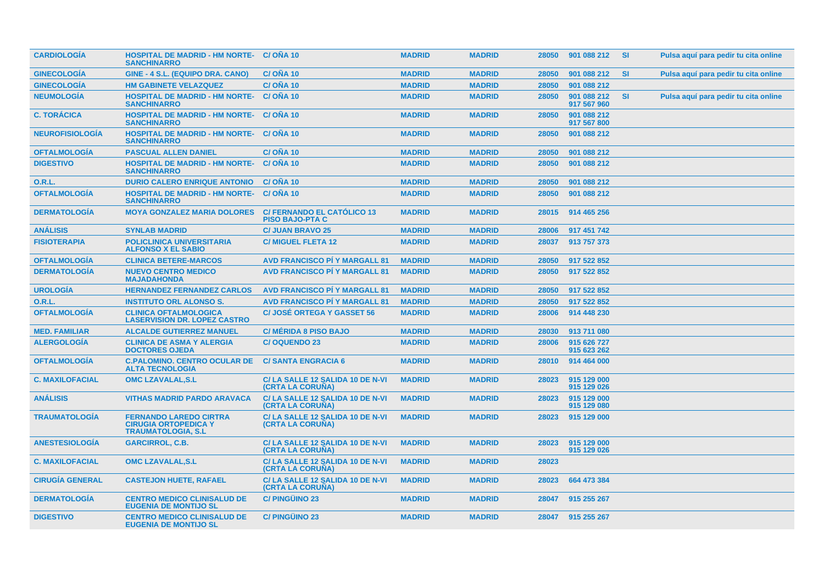| <b>CARDIOLOGIA</b>     | <b>HOSPITAL DE MADRID - HM NORTE- C/ONA 10</b><br><b>SANCHINARRO</b>                      |                                                             | <b>MADRID</b> | <b>MADRID</b> | 28050 | 901 088 212                | -SI       | Pulsa aquí para pedir tu cita online |
|------------------------|-------------------------------------------------------------------------------------------|-------------------------------------------------------------|---------------|---------------|-------|----------------------------|-----------|--------------------------------------|
| <b>GINECOLOGÍA</b>     | GINE - 4 S.L. (EQUIPO DRA. CANO)                                                          | <b>C/OÑA 10</b>                                             | <b>MADRID</b> | <b>MADRID</b> | 28050 | 901 088 212                | <b>SI</b> | Pulsa aquí para pedir tu cita online |
| <b>GINECOLOGÍA</b>     | <b>HM GABINETE VELAZQUEZ</b>                                                              | C/OÑA 10                                                    | <b>MADRID</b> | <b>MADRID</b> | 28050 | 901 088 212                |           |                                      |
| <b>NEUMOLOGÍA</b>      | <b>HOSPITAL DE MADRID - HM NORTE-</b><br><b>SANCHINARRO</b>                               | C/ONA 10                                                    | <b>MADRID</b> | <b>MADRID</b> | 28050 | 901 088 212<br>917 567 960 | <b>SI</b> | Pulsa aquí para pedir tu cita online |
| <b>C. TORÁCICA</b>     | <b>HOSPITAL DE MADRID - HM NORTE- C/ OÑA 10</b><br><b>SANCHINARRO</b>                     |                                                             | <b>MADRID</b> | <b>MADRID</b> | 28050 | 901 088 212<br>917 567 800 |           |                                      |
| <b>NEUROFISIOLOGÍA</b> | <b>HOSPITAL DE MADRID - HM NORTE- C/ OÑA 10</b><br><b>SANCHINARRO</b>                     |                                                             | <b>MADRID</b> | <b>MADRID</b> | 28050 | 901 088 212                |           |                                      |
| <b>OFTALMOLOGIA</b>    | <b>PASCUAL ALLEN DANIEL</b>                                                               | <b>C/ONA 10</b>                                             | <b>MADRID</b> | <b>MADRID</b> | 28050 | 901 088 212                |           |                                      |
| <b>DIGESTIVO</b>       | <b>HOSPITAL DE MADRID - HM NORTE-</b><br><b>SANCHINARRO</b>                               | C/ONA 10                                                    | <b>MADRID</b> | <b>MADRID</b> | 28050 | 901 088 212                |           |                                      |
| 0.R.L.                 | <b>DURIO CALERO ENRIQUE ANTONIO</b>                                                       | C/ONA 10                                                    | <b>MADRID</b> | <b>MADRID</b> | 28050 | 901 088 212                |           |                                      |
| <b>OFTALMOLOGÍA</b>    | <b>HOSPITAL DE MADRID - HM NORTE-</b><br><b>SANCHINARRO</b>                               | C/ONA 10                                                    | <b>MADRID</b> | <b>MADRID</b> | 28050 | 901 088 212                |           |                                      |
| <b>DERMATOLOGIA</b>    | <b>MOYA GONZALEZ MARIA DOLORES</b>                                                        | <b>C/ FERNANDO EL CATÓLICO 13</b><br><b>PISO BAJO-PTA C</b> | <b>MADRID</b> | <b>MADRID</b> | 28015 | 914 465 256                |           |                                      |
| <b>ANÁLISIS</b>        | <b>SYNLAB MADRID</b>                                                                      | <b>C/ JUAN BRAVO 25</b>                                     | <b>MADRID</b> | <b>MADRID</b> | 28006 | 917 451 742                |           |                                      |
| <b>FISIOTERAPIA</b>    | <b>POLICLINICA UNIVERSITARIA</b><br><b>ALFONSO X EL SABIO</b>                             | <b>C/ MIGUEL FLETA 12</b>                                   | <b>MADRID</b> | <b>MADRID</b> | 28037 | 913 757 373                |           |                                      |
| <b>OFTALMOLOGÍA</b>    | <b>CLINICA BETERE-MARCOS</b>                                                              | <b>AVD FRANCISCO PI Y MARGALL 81</b>                        | <b>MADRID</b> | <b>MADRID</b> | 28050 | 917 522 852                |           |                                      |
| <b>DERMATOLOGÍA</b>    | <b>NUEVO CENTRO MEDICO</b><br><b>MAJADAHONDA</b>                                          | <b>AVD FRANCISCO PI Y MARGALL 81</b>                        | <b>MADRID</b> | <b>MADRID</b> | 28050 | 917 522 852                |           |                                      |
| <b>UROLOGÍA</b>        | <b>HERNANDEZ FERNANDEZ CARLOS</b>                                                         | <b>AVD FRANCISCO PÍ Y MARGALL 81</b>                        | <b>MADRID</b> | <b>MADRID</b> | 28050 | 917 522 852                |           |                                      |
| O.R.L.                 | <b>INSTITUTO ORL ALONSO S.</b>                                                            | <b>AVD FRANCISCO PI Y MARGALL 81</b>                        | <b>MADRID</b> | <b>MADRID</b> | 28050 | 917 522 852                |           |                                      |
| <b>OFTALMOLOGÍA</b>    | <b>CLINICA OFTALMOLOGICA</b><br><b>LASERVISION DR. LOPEZ CASTRO</b>                       | <b>C/JOSÉ ORTEGA Y GASSET 56</b>                            | <b>MADRID</b> | <b>MADRID</b> | 28006 | 914 448 230                |           |                                      |
| <b>MED. FAMILIAR</b>   | <b>ALCALDE GUTIERREZ MANUEL</b>                                                           | <b>C/ MÉRIDA 8 PISO BAJO</b>                                | <b>MADRID</b> | <b>MADRID</b> | 28030 | 913 711 080                |           |                                      |
| <b>ALERGOLOGÍA</b>     | <b>CLINICA DE ASMA Y ALERGIA</b><br><b>DOCTORES OJEDA</b>                                 | <b>C/OQUENDO 23</b>                                         | <b>MADRID</b> | <b>MADRID</b> | 28006 | 915 626 727<br>915 623 262 |           |                                      |
| <b>OFTALMOLOGIA</b>    | <b>C.PALOMINO, CENTRO OCULAR DE</b><br><b>ALTA TECNOLOGIA</b>                             | <b>C/SANTA ENGRACIA 6</b>                                   | <b>MADRID</b> | <b>MADRID</b> | 28010 | 914 464 000                |           |                                      |
| <b>C. MAXILOFACIAL</b> | <b>OMC LZAVALAL, S.L</b>                                                                  | C/LA SALLE 12 SALIDA 10 DE N-VI<br>(CRTA LA CORUÑA)         | <b>MADRID</b> | <b>MADRID</b> | 28023 | 915 129 000<br>915 129 026 |           |                                      |
| <b>ANÁLISIS</b>        | <b>VITHAS MADRID PARDO ARAVACA</b>                                                        | C/LA SALLE 12 SALIDA 10 DE N-VI<br><b>(CRTA LA CORUNA)</b>  | <b>MADRID</b> | <b>MADRID</b> | 28023 | 915 129 000<br>915 129 080 |           |                                      |
| <b>TRAUMATOLOGÍA</b>   | <b>FERNANDO LAREDO CIRTRA</b><br><b>CIRUGIA ORTOPEDICA Y</b><br><b>TRAUMATOLOGIA, S.L</b> | C/LA SALLE 12 SALIDA 10 DE N-VI<br>(CRTA LA CORUNA)         | <b>MADRID</b> | <b>MADRID</b> | 28023 | 915 129 000                |           |                                      |
| <b>ANESTESIOLOGÍA</b>  | <b>GARCIRROL, C.B.</b>                                                                    | C/LA SALLE 12 SALIDA 10 DE N-VI<br>(CRTA LA CORUÑA)         | <b>MADRID</b> | <b>MADRID</b> | 28023 | 915 129 000<br>915 129 026 |           |                                      |
| <b>C. MAXILOFACIAL</b> | <b>OMC LZAVALAL, S.L</b>                                                                  | C/LA SALLE 12 SALIDA 10 DE N-VI<br><b>(CRTA LA CORUNA)</b>  | <b>MADRID</b> | <b>MADRID</b> | 28023 |                            |           |                                      |
| <b>CIRUGÍA GENERAL</b> | <b>CASTEJON HUETE, RAFAEL</b>                                                             | C/LA SALLE 12 SALIDA 10 DE N-VI<br>(CRTA LA CORUÑA)         | <b>MADRID</b> | <b>MADRID</b> | 28023 | 664 473 384                |           |                                      |
| <b>DERMATOLOGIA</b>    | <b>CENTRO MEDICO CLINISALUD DE</b><br><b>EUGENIA DE MONTIJO SL</b>                        | <b>C/PINGUINO 23</b>                                        | <b>MADRID</b> | <b>MADRID</b> | 28047 | 915 255 267                |           |                                      |
| <b>DIGESTIVO</b>       | <b>CENTRO MEDICO CLINISALUD DE</b><br><b>EUGENIA DE MONTIJO SL</b>                        | <b>C/PINGÜINO 23</b>                                        | <b>MADRID</b> | <b>MADRID</b> | 28047 | 915 255 267                |           |                                      |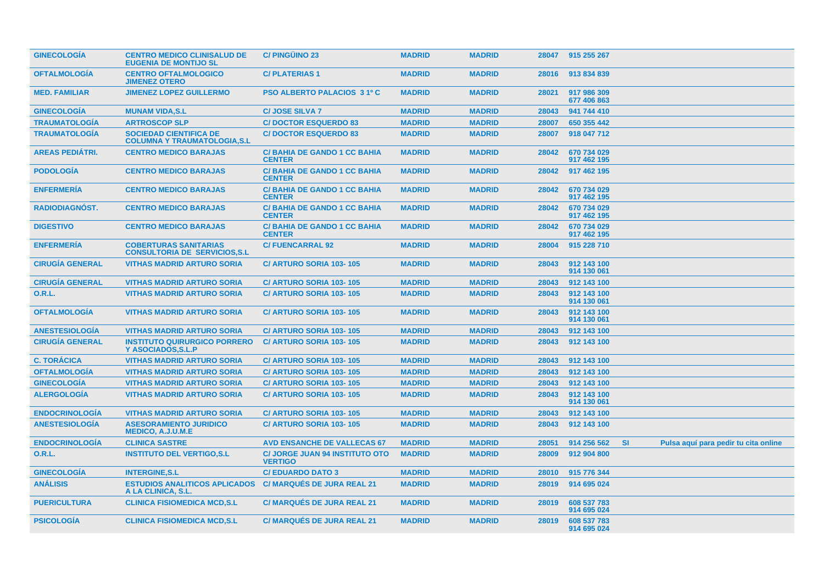| <b>GINECOLOGIA</b>     | <b>CENTRO MEDICO CLINISALUD DE</b><br><b>EUGENIA DE MONTIJO SL</b>    | <b>C/PINGÜINO 23</b>                                    | <b>MADRID</b> | <b>MADRID</b> | 28047 | 915 255 267                |           |                                      |
|------------------------|-----------------------------------------------------------------------|---------------------------------------------------------|---------------|---------------|-------|----------------------------|-----------|--------------------------------------|
| <b>OFTALMOLOGIA</b>    | <b>CENTRO OFTALMOLOGICO</b><br><b>JIMENEZ OTERO</b>                   | <b>C/PLATERIAS1</b>                                     | <b>MADRID</b> | <b>MADRID</b> | 28016 | 913 834 839                |           |                                      |
| <b>MED. FAMILIAR</b>   | <b>JIMENEZ LOPEZ GUILLERMO</b>                                        | <b>PSO ALBERTO PALACIOS 3 1º C</b>                      | <b>MADRID</b> | <b>MADRID</b> | 28021 | 917 986 309<br>677 406 863 |           |                                      |
| <b>GINECOLOGÍA</b>     | <b>MUNAM VIDA, S.L</b>                                                | <b>C/JOSE SILVA 7</b>                                   | <b>MADRID</b> | <b>MADRID</b> | 28043 | 941 744 410                |           |                                      |
| <b>TRAUMATOLOGÍA</b>   | <b>ARTROSCOP SLP</b>                                                  | <b>C/DOCTOR ESQUERDO 83</b>                             | <b>MADRID</b> | <b>MADRID</b> | 28007 | 650 355 442                |           |                                      |
| <b>TRAUMATOLOGÍA</b>   | <b>SOCIEDAD CIENTIFICA DE</b><br><b>COLUMNA Y TRAUMATOLOGIA, S.L</b>  | <b>C/DOCTOR ESQUERDO 83</b>                             | <b>MADRID</b> | <b>MADRID</b> | 28007 | 918 047 712                |           |                                      |
| <b>AREAS PEDIÁTRI.</b> | <b>CENTRO MEDICO BARAJAS</b>                                          | <b>C/BAHIA DE GANDO 1 CC BAHIA</b><br><b>CENTER</b>     | <b>MADRID</b> | <b>MADRID</b> | 28042 | 670 734 029<br>917 462 195 |           |                                      |
| <b>PODOLOGIA</b>       | <b>CENTRO MEDICO BARAJAS</b>                                          | <b>C/BAHIA DE GANDO 1 CC BAHIA</b><br><b>CENTER</b>     | <b>MADRID</b> | <b>MADRID</b> | 28042 | 917 462 195                |           |                                      |
| <b>ENFERMERIA</b>      | <b>CENTRO MEDICO BARAJAS</b>                                          | <b>C/BAHIA DE GANDO 1 CC BAHIA</b><br><b>CENTER</b>     | <b>MADRID</b> | <b>MADRID</b> | 28042 | 670 734 029<br>917 462 195 |           |                                      |
| <b>RADIODIAGNÓST.</b>  | <b>CENTRO MEDICO BARAJAS</b>                                          | <b>C/BAHIA DE GANDO 1 CC BAHIA</b><br><b>CENTER</b>     | <b>MADRID</b> | <b>MADRID</b> | 28042 | 670 734 029<br>917 462 195 |           |                                      |
| <b>DIGESTIVO</b>       | <b>CENTRO MEDICO BARAJAS</b>                                          | <b>C/BAHIA DE GANDO 1 CC BAHIA</b><br><b>CENTER</b>     | <b>MADRID</b> | <b>MADRID</b> | 28042 | 670 734 029<br>917 462 195 |           |                                      |
| <b>ENFERMERÍA</b>      | <b>COBERTURAS SANITARIAS</b><br><b>CONSULTORIA DE SERVICIOS, S.L.</b> | <b>C/FUENCARRAL 92</b>                                  | <b>MADRID</b> | <b>MADRID</b> | 28004 | 915 228 710                |           |                                      |
| <b>CIRUGIA GENERAL</b> | <b>VITHAS MADRID ARTURO SORIA</b>                                     | <b>C/ ARTURO SORIA 103-105</b>                          | <b>MADRID</b> | <b>MADRID</b> | 28043 | 912 143 100<br>914 130 061 |           |                                      |
| <b>CIRUGÍA GENERAL</b> | <b>VITHAS MADRID ARTURO SORIA</b>                                     | C/ ARTURO SORIA 103-105                                 | <b>MADRID</b> | <b>MADRID</b> | 28043 | 912 143 100                |           |                                      |
| <b>O.R.L.</b>          | <b>VITHAS MADRID ARTURO SORIA</b>                                     | C/ ARTURO SORIA 103-105                                 | <b>MADRID</b> | <b>MADRID</b> | 28043 | 912 143 100<br>914 130 061 |           |                                      |
| <b>OFTALMOLOGÍA</b>    | <b>VITHAS MADRID ARTURO SORIA</b>                                     | C/ ARTURO SORIA 103-105                                 | <b>MADRID</b> | <b>MADRID</b> | 28043 | 912 143 100<br>914 130 061 |           |                                      |
| <b>ANESTESIOLOGÍA</b>  | <b>VITHAS MADRID ARTURO SORIA</b>                                     | <b>C/ ARTURO SORIA 103-105</b>                          | <b>MADRID</b> | <b>MADRID</b> | 28043 | 912 143 100                |           |                                      |
| <b>CIRUGÍA GENERAL</b> | <b>INSTITUTO QUIRURGICO PORRERO</b><br>Y ASOCIADOS.S.L.P              | <b>C/ ARTURO SORIA 103-105</b>                          | <b>MADRID</b> | <b>MADRID</b> | 28043 | 912 143 100                |           |                                      |
| <b>C. TORÁCICA</b>     | <b>VITHAS MADRID ARTURO SORIA</b>                                     | C/ ARTURO SORIA 103-105                                 | <b>MADRID</b> | <b>MADRID</b> | 28043 | 912 143 100                |           |                                      |
| <b>OFTALMOLOGIA</b>    | <b>VITHAS MADRID ARTURO SORIA</b>                                     | C/ ARTURO SORIA 103-105                                 | <b>MADRID</b> | <b>MADRID</b> | 28043 | 912 143 100                |           |                                      |
| <b>GINECOLOGÍA</b>     | <b>VITHAS MADRID ARTURO SORIA</b>                                     | C/ ARTURO SORIA 103-105                                 | <b>MADRID</b> | <b>MADRID</b> | 28043 | 912 143 100                |           |                                      |
| <b>ALERGOLOGÍA</b>     | <b>VITHAS MADRID ARTURO SORIA</b>                                     | <b>C/ ARTURO SORIA 103-105</b>                          | <b>MADRID</b> | <b>MADRID</b> | 28043 | 912 143 100<br>914 130 061 |           |                                      |
| <b>ENDOCRINOLOGÍA</b>  | <b>VITHAS MADRID ARTURO SORIA</b>                                     | C/ ARTURO SORIA 103-105                                 | <b>MADRID</b> | <b>MADRID</b> | 28043 | 912 143 100                |           |                                      |
| <b>ANESTESIOLOGIA</b>  | <b>ASESORAMIENTO JURIDICO</b><br><b>MEDICO, A.J.U.M.E</b>             | C/ ARTURO SORIA 103-105                                 | <b>MADRID</b> | <b>MADRID</b> | 28043 | 912 143 100                |           |                                      |
| <b>ENDOCRINOLOGIA</b>  | <b>CLINICA SASTRE</b>                                                 | <b>AVD ENSANCHE DE VALLECAS 67</b>                      | <b>MADRID</b> | <b>MADRID</b> | 28051 | 914 256 562                | <b>SI</b> | Pulsa aquí para pedir tu cita online |
| 0.R.L.                 | <b>INSTITUTO DEL VERTIGO, S.L.</b>                                    | <b>C/ JORGE JUAN 94 INSTITUTO OTO</b><br><b>VERTIGO</b> | <b>MADRID</b> | <b>MADRID</b> | 28009 | 912 904 800                |           |                                      |
| <b>GINECOLOGÍA</b>     | <b>INTERGINE, S.L</b>                                                 | <b>C/EDUARDO DATO 3</b>                                 | <b>MADRID</b> | <b>MADRID</b> | 28010 | 915 776 344                |           |                                      |
| <b>ANÁLISIS</b>        | <b>ESTUDIOS ANALITICOS APLICADOS</b><br>A LA CLINICA, S.L.            | <b>C/ MARQUÉS DE JURA REAL 21</b>                       | <b>MADRID</b> | <b>MADRID</b> | 28019 | 914 695 024                |           |                                      |
| <b>PUERICULTURA</b>    | <b>CLINICA FISIOMEDICA MCD,S.L</b>                                    | <b>C/ MARQUÉS DE JURA REAL 21</b>                       | <b>MADRID</b> | <b>MADRID</b> | 28019 | 608 537 783<br>914 695 024 |           |                                      |
| <b>PSICOLOGIA</b>      | <b>CLINICA FISIOMEDICA MCD.S.L</b>                                    | <b>C/MARQUÉS DE JURA REAL 21</b>                        | <b>MADRID</b> | <b>MADRID</b> | 28019 | 608 537 783<br>914 695 024 |           |                                      |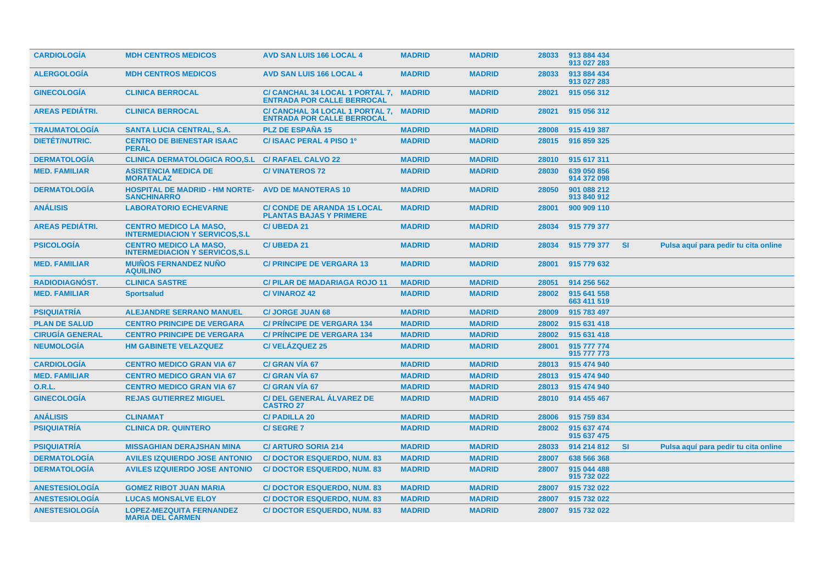| <b>CARDIOLOGIA</b>     | <b>MDH CENTROS MEDICOS</b>                                              | <b>AVD SAN LUIS 166 LOCAL 4</b>                                      | <b>MADRID</b> | <b>MADRID</b> | 28033 | 913 884 434<br>913 027 283 |           |                                      |
|------------------------|-------------------------------------------------------------------------|----------------------------------------------------------------------|---------------|---------------|-------|----------------------------|-----------|--------------------------------------|
| <b>ALERGOLOGIA</b>     | <b>MDH CENTROS MEDICOS</b>                                              | <b>AVD SAN LUIS 166 LOCAL 4</b>                                      | <b>MADRID</b> | <b>MADRID</b> | 28033 | 913 884 434<br>913 027 283 |           |                                      |
| <b>GINECOLOGÍA</b>     | <b>CLINICA BERROCAL</b>                                                 | C/ CANCHAL 34 LOCAL 1 PORTAL 7,<br><b>ENTRADA POR CALLE BERROCAL</b> | <b>MADRID</b> | <b>MADRID</b> | 28021 | 915 056 312                |           |                                      |
| <b>AREAS PEDIÁTRI.</b> | <b>CLINICA BERROCAL</b>                                                 | C/ CANCHAL 34 LOCAL 1 PORTAL 7,<br><b>ENTRADA POR CALLE BERROCAL</b> | <b>MADRID</b> | <b>MADRID</b> | 28021 | 915 056 312                |           |                                      |
| <b>TRAUMATOLOGIA</b>   | <b>SANTA LUCIA CENTRAL, S.A.</b>                                        | <b>PLZ DE ESPAÑA 15</b>                                              | <b>MADRID</b> | <b>MADRID</b> | 28008 | 915 419 387                |           |                                      |
| <b>DIETET/NUTRIC.</b>  | <b>CENTRO DE BIENESTAR ISAAC</b><br><b>PERAL</b>                        | C/ ISAAC PERAL 4 PISO 1º                                             | <b>MADRID</b> | <b>MADRID</b> | 28015 | 916 859 325                |           |                                      |
| <b>DERMATOLOGÍA</b>    | <b>CLINICA DERMATOLOGICA ROO,S.L</b>                                    | <b>C/ RAFAEL CALVO 22</b>                                            | <b>MADRID</b> | <b>MADRID</b> | 28010 | 915 617 311                |           |                                      |
| <b>MED. FAMILIAR</b>   | <b>ASISTENCIA MEDICA DE</b><br><b>MORATALAZ</b>                         | <b>C/VINATEROS 72</b>                                                | <b>MADRID</b> | <b>MADRID</b> | 28030 | 639 050 856<br>914 372 098 |           |                                      |
| <b>DERMATOLOGÍA</b>    | <b>HOSPITAL DE MADRID - HM NORTE-</b><br><b>SANCHINARRO</b>             | <b>AVD DE MANOTERAS 10</b>                                           | <b>MADRID</b> | <b>MADRID</b> | 28050 | 901 088 212<br>913 840 912 |           |                                      |
| <b>ANÁLISIS</b>        | <b>LABORATORIO ECHEVARNE</b>                                            | <b>C/ CONDE DE ARANDA 15 LOCAL</b><br><b>PLANTAS BAJAS Y PRIMERE</b> | <b>MADRID</b> | <b>MADRID</b> | 28001 | 900 909 110                |           |                                      |
| <b>AREAS PEDIÁTRI.</b> | <b>CENTRO MEDICO LA MASO,</b><br><b>INTERMEDIACION Y SERVICOS, S.L.</b> | <b>C/ UBEDA 21</b>                                                   | <b>MADRID</b> | <b>MADRID</b> | 28034 | 915 779 377                |           |                                      |
| <b>PSICOLOGÍA</b>      | <b>CENTRO MEDICO LA MASO.</b><br><b>INTERMEDIACION Y SERVICOS, S.L.</b> | <b>C/UBEDA 21</b>                                                    | <b>MADRID</b> | <b>MADRID</b> | 28034 | 915 779 377                | -SI       | Pulsa aquí para pedir tu cita online |
| <b>MED. FAMILIAR</b>   | <b>MUIÑOS FERNANDEZ NUÑO</b><br><b>AQUILINO</b>                         | <b>C/ PRINCIPE DE VERGARA 13</b>                                     | <b>MADRID</b> | <b>MADRID</b> | 28001 | 915 779 632                |           |                                      |
| <b>RADIODIAGNÓST.</b>  | <b>CLINICA SASTRE</b>                                                   | <b>C/PILAR DE MADARIAGA ROJO 11</b>                                  | <b>MADRID</b> | <b>MADRID</b> | 28051 | 914 256 562                |           |                                      |
| <b>MED. FAMILIAR</b>   | <b>Sportsalud</b>                                                       | <b>C/VINAROZ 42</b>                                                  | <b>MADRID</b> | <b>MADRID</b> | 28002 | 915 641 558<br>663 411 519 |           |                                      |
| <b>PSIQUIATRÍA</b>     | <b>ALEJANDRE SERRANO MANUEL</b>                                         | <b>C/ JORGE JUAN 68</b>                                              | <b>MADRID</b> | <b>MADRID</b> | 28009 | 915 783 497                |           |                                      |
| <b>PLAN DE SALUD</b>   | <b>CENTRO PRINCIPE DE VERGARA</b>                                       | <b>C/ PRINCIPE DE VERGARA 134</b>                                    | <b>MADRID</b> | <b>MADRID</b> | 28002 | 915 631 418                |           |                                      |
| <b>CIRUGIA GENERAL</b> | <b>CENTRO PRINCIPE DE VERGARA</b>                                       | <b>C/ PRINCIPE DE VERGARA 134</b>                                    | <b>MADRID</b> | <b>MADRID</b> | 28002 | 915 631 418                |           |                                      |
| <b>NEUMOLOGÍA</b>      | <b>HM GABINETE VELAZQUEZ</b>                                            | <b>C/VELÁZQUEZ 25</b>                                                | <b>MADRID</b> | <b>MADRID</b> | 28001 | 915 777 774<br>915 777 773 |           |                                      |
| <b>CARDIOLOGÍA</b>     | <b>CENTRO MEDICO GRAN VIA 67</b>                                        | C/ GRAN VIA 67                                                       | <b>MADRID</b> | <b>MADRID</b> | 28013 | 915 474 940                |           |                                      |
| <b>MED. FAMILIAR</b>   | <b>CENTRO MEDICO GRAN VIA 67</b>                                        | C/ GRAN VIA 67                                                       | <b>MADRID</b> | <b>MADRID</b> | 28013 | 915 474 940                |           |                                      |
| <b>O.R.L.</b>          | <b>CENTRO MEDICO GRAN VIA 67</b>                                        | <b>C/ GRAN VÍA 67</b>                                                | <b>MADRID</b> | <b>MADRID</b> | 28013 | 915 474 940                |           |                                      |
| <b>GINECOLOGÍA</b>     | <b>REJAS GUTIERREZ MIGUEL</b>                                           | C/ DEL GENERAL ÁLVAREZ DE<br><b>CASTRO 27</b>                        | <b>MADRID</b> | <b>MADRID</b> | 28010 | 914 455 467                |           |                                      |
| <b>ANÁLISIS</b>        | <b>CLINAMAT</b>                                                         | <b>C/PADILLA 20</b>                                                  | <b>MADRID</b> | <b>MADRID</b> | 28006 | 915 759 834                |           |                                      |
| <b>PSIQUIATRIA</b>     | <b>CLINICA DR. QUINTERO</b>                                             | <b>C/SEGRE7</b>                                                      | <b>MADRID</b> | <b>MADRID</b> | 28002 | 915 637 474<br>915 637 475 |           |                                      |
| <b>PSIQUIATRÍA</b>     | <b>MISSAGHIAN DERAJSHAN MINA</b>                                        | <b>C/ ARTURO SORIA 214</b>                                           | <b>MADRID</b> | <b>MADRID</b> | 28033 | 914 214 812                | <b>SI</b> | Pulsa aquí para pedir tu cita online |
| <b>DERMATOLOGIA</b>    | <b>AVILES IZQUIERDO JOSE ANTONIO</b>                                    | <b>C/DOCTOR ESQUERDO, NUM. 83</b>                                    | <b>MADRID</b> | <b>MADRID</b> | 28007 | 638 566 368                |           |                                      |
| <b>DERMATOLOGÍA</b>    | <b>AVILES IZQUIERDO JOSE ANTONIO</b>                                    | <b>C/DOCTOR ESQUERDO, NUM. 83</b>                                    | <b>MADRID</b> | <b>MADRID</b> | 28007 | 915 044 488<br>915 732 022 |           |                                      |
| <b>ANESTESIOLOGIA</b>  | <b>GOMEZ RIBOT JUAN MARIA</b>                                           | <b>C/DOCTOR ESQUERDO, NUM. 83</b>                                    | <b>MADRID</b> | <b>MADRID</b> | 28007 | 915 732 022                |           |                                      |
| <b>ANESTESIOLOGIA</b>  | <b>LUCAS MONSALVE ELOY</b>                                              | <b>C/DOCTOR ESQUERDO, NUM. 83</b>                                    | <b>MADRID</b> | <b>MADRID</b> | 28007 | 915 732 022                |           |                                      |
| <b>ANESTESIOLOGÍA</b>  | <b>LOPEZ-MEZQUITA FERNANDEZ</b><br><b>MARIA DEL CARMEN</b>              | <b>C/DOCTOR ESQUERDO, NUM. 83</b>                                    | <b>MADRID</b> | <b>MADRID</b> | 28007 | 915 732 022                |           |                                      |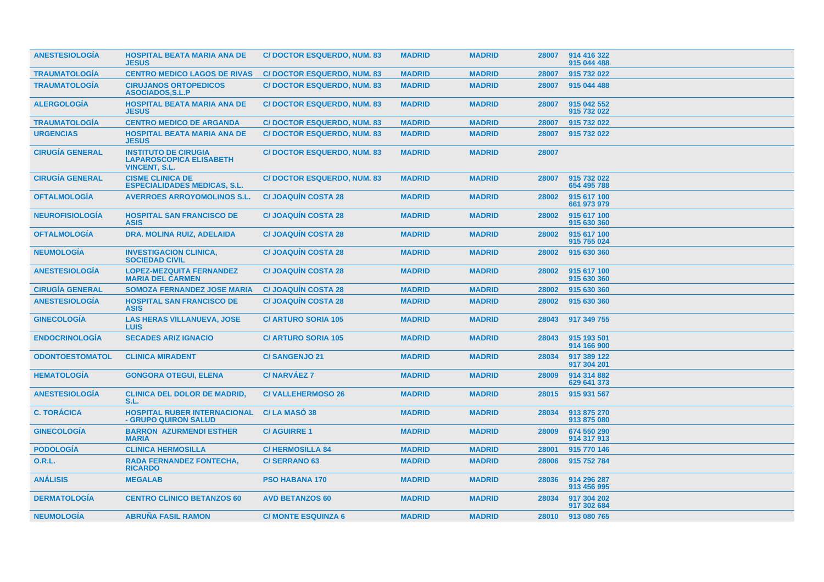| <b>ANESTESIOLOGIA</b>  | <b>HOSPITAL BEATA MARIA ANA DE</b><br><b>JESUS</b>                                    | <b>C/DOCTOR ESQUERDO, NUM. 83</b> | <b>MADRID</b> | <b>MADRID</b> | 28007 | 914 416 322<br>915 044 488 |
|------------------------|---------------------------------------------------------------------------------------|-----------------------------------|---------------|---------------|-------|----------------------------|
| <b>TRAUMATOLOGIA</b>   | <b>CENTRO MEDICO LAGOS DE RIVAS</b>                                                   | <b>C/DOCTOR ESQUERDO, NUM. 83</b> | <b>MADRID</b> | <b>MADRID</b> | 28007 | 915 732 022                |
| <b>TRAUMATOLOGÍA</b>   | <b>CIRUJANOS ORTOPEDICOS</b><br>ASOCIADOS, S.L.P                                      | <b>C/DOCTOR ESQUERDO, NUM. 83</b> | <b>MADRID</b> | <b>MADRID</b> | 28007 | 915 044 488                |
| <b>ALERGOLOGIA</b>     | <b>HOSPITAL BEATA MARIA ANA DE</b><br><b>JESUS</b>                                    | <b>C/DOCTOR ESQUERDO, NUM. 83</b> | <b>MADRID</b> | <b>MADRID</b> | 28007 | 915 042 552<br>915 732 022 |
| <b>TRAUMATOLOGIA</b>   | <b>CENTRO MEDICO DE ARGANDA</b>                                                       | <b>C/DOCTOR ESQUERDO, NUM. 83</b> | <b>MADRID</b> | <b>MADRID</b> | 28007 | 915 732 022                |
| <b>URGENCIAS</b>       | <b>HOSPITAL BEATA MARIA ANA DE</b><br><b>JESUS</b>                                    | <b>C/DOCTOR ESQUERDO, NUM. 83</b> | <b>MADRID</b> | <b>MADRID</b> | 28007 | 915 732 022                |
| <b>CIRUGÍA GENERAL</b> | <b>INSTITUTO DE CIRUGIA</b><br><b>LAPAROSCOPICA ELISABETH</b><br><b>VINCENT, S.L.</b> | <b>C/DOCTOR ESQUERDO, NUM. 83</b> | <b>MADRID</b> | <b>MADRID</b> | 28007 |                            |
| <b>CIRUGÍA GENERAL</b> | <b>CISME CLINICA DE</b><br><b>ESPECIALIDADES MEDICAS, S.L.</b>                        | <b>C/DOCTOR ESQUERDO, NUM. 83</b> | <b>MADRID</b> | <b>MADRID</b> | 28007 | 915 732 022<br>654 495 788 |
| <b>OFTALMOLOGIA</b>    | <b>AVERROES ARROYOMOLINOS S.L.</b>                                                    | <b>C/JOAQUIN COSTA 28</b>         | <b>MADRID</b> | <b>MADRID</b> | 28002 | 915 617 100<br>661 973 979 |
| <b>NEUROFISIOLOGIA</b> | <b>HOSPITAL SAN FRANCISCO DE</b><br><b>ASIS</b>                                       | <b>C/JOAQUIN COSTA 28</b>         | <b>MADRID</b> | <b>MADRID</b> | 28002 | 915 617 100<br>915 630 360 |
| <b>OFTALMOLOGIA</b>    | DRA. MOLINA RUIZ, ADELAIDA                                                            | <b>C/JOAQUIN COSTA 28</b>         | <b>MADRID</b> | <b>MADRID</b> | 28002 | 915 617 100<br>915 755 024 |
| <b>NEUMOLOGIA</b>      | <b>INVESTIGACION CLINICA,</b><br><b>SOCIEDAD CIVIL</b>                                | <b>C/JOAQUIN COSTA 28</b>         | <b>MADRID</b> | <b>MADRID</b> | 28002 | 915 630 360                |
| <b>ANESTESIOLOGIA</b>  | <b>LOPEZ-MEZQUITA FERNANDEZ</b><br><b>MARIA DEL CARMEN</b>                            | <b>C/JOAQUIN COSTA 28</b>         | <b>MADRID</b> | <b>MADRID</b> | 28002 | 915 617 100<br>915 630 360 |
| <b>CIRUGIA GENERAL</b> | <b>SOMOZA FERNANDEZ JOSE MARIA</b>                                                    | <b>C/JOAQUIN COSTA 28</b>         | <b>MADRID</b> | <b>MADRID</b> | 28002 | 915 630 360                |
| <b>ANESTESIOLOGIA</b>  | <b>HOSPITAL SAN FRANCISCO DE</b><br><b>ASIS</b>                                       | <b>C/JOAQUIN COSTA 28</b>         | <b>MADRID</b> | <b>MADRID</b> | 28002 | 915 630 360                |
| <b>GINECOLOGIA</b>     | <b>LAS HERAS VILLANUEVA, JOSE</b><br><b>LUIS</b>                                      | <b>C/ ARTURO SORIA 105</b>        | <b>MADRID</b> | <b>MADRID</b> | 28043 | 917 349 755                |
| <b>ENDOCRINOLOGIA</b>  | <b>SECADES ARIZ IGNACIO</b>                                                           | <b>C/ ARTURO SORIA 105</b>        | <b>MADRID</b> | <b>MADRID</b> | 28043 | 915 193 501<br>914 166 900 |
| <b>ODONTOESTOMATOL</b> | <b>CLINICA MIRADENT</b>                                                               | <b>C/SANGENJO 21</b>              | <b>MADRID</b> | <b>MADRID</b> | 28034 | 917 389 122<br>917 304 201 |
| <b>HEMATOLOGIA</b>     | <b>GONGORA OTEGUI, ELENA</b>                                                          | <b>C/NARVAEZ 7</b>                | <b>MADRID</b> | <b>MADRID</b> | 28009 | 914 314 882<br>629 641 373 |
| <b>ANESTESIOLOGIA</b>  | <b>CLINICA DEL DOLOR DE MADRID,</b><br>S.L.                                           | <b>C/VALLEHERMOSO 26</b>          | <b>MADRID</b> | <b>MADRID</b> | 28015 | 915 931 567                |
| <b>C. TORÁCICA</b>     | <b>HOSPITAL RUBER INTERNACIONAL</b><br>- GRUPO QUIRON SALUD                           | <b>C/LA MASO 38</b>               | <b>MADRID</b> | <b>MADRID</b> | 28034 | 913 875 270<br>913 875 080 |
| <b>GINECOLOGIA</b>     | <b>BARRON AZURMENDI ESTHER</b><br><b>MARIA</b>                                        | <b>C/AGUIRRE1</b>                 | <b>MADRID</b> | <b>MADRID</b> | 28009 | 674 550 290<br>914 317 913 |
| <b>PODOLOGIA</b>       | <b>CLINICA HERMOSILLA</b>                                                             | <b>C/HERMOSILLA 84</b>            | <b>MADRID</b> | <b>MADRID</b> | 28001 | 915 770 146                |
| <b>O.R.L.</b>          | <b>RADA FERNANDEZ FONTECHA,</b><br><b>RICARDO</b>                                     | <b>C/SERRANO 63</b>               | <b>MADRID</b> | <b>MADRID</b> | 28006 | 915 752 784                |
| <b>ANÁLISIS</b>        | <b>MEGALAB</b>                                                                        | <b>PSO HABANA 170</b>             | <b>MADRID</b> | <b>MADRID</b> | 28036 | 914 296 287<br>913 456 995 |
| <b>DERMATOLOGÍA</b>    | <b>CENTRO CLINICO BETANZOS 60</b>                                                     | <b>AVD BETANZOS 60</b>            | <b>MADRID</b> | <b>MADRID</b> | 28034 | 917 304 202<br>917 302 684 |
| <b>NEUMOLOGÍA</b>      | <b>ABRUÑA FASIL RAMON</b>                                                             | <b>C/ MONTE ESQUINZA 6</b>        | <b>MADRID</b> | <b>MADRID</b> | 28010 | 913 080 765                |
|                        |                                                                                       |                                   |               |               |       |                            |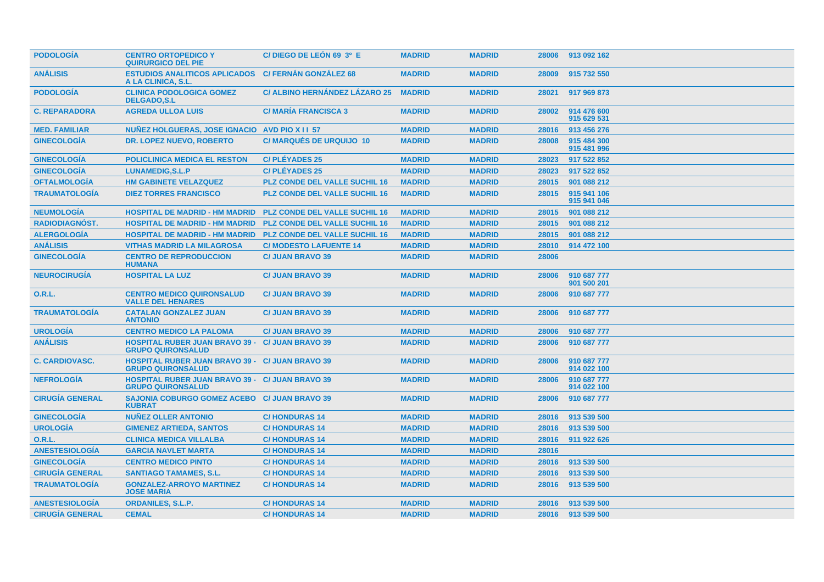| <b>PODOLOGIA</b>       | <b>CENTRO ORTOPEDICO Y</b><br><b>QUIRURGICO DEL PIE</b>                            | C/DIEGO DE LEÓN 69 3º E              | <b>MADRID</b> | <b>MADRID</b> | 28006 | 913 092 162                |
|------------------------|------------------------------------------------------------------------------------|--------------------------------------|---------------|---------------|-------|----------------------------|
| <b>ANÁLISIS</b>        | <b>ESTUDIOS ANALITICOS APLICADOS</b><br>A LA CLINICA, S.L.                         | <b>C/ FERNÁN GONZÁLEZ 68</b>         | <b>MADRID</b> | <b>MADRID</b> | 28009 | 915 732 550                |
| <b>PODOLOGIA</b>       | <b>CLINICA PODOLOGICA GOMEZ</b><br><b>DELGADO,S.L</b>                              | C/ ALBINO HERNÁNDEZ LÁZARO 25        | <b>MADRID</b> | <b>MADRID</b> | 28021 | 917 969 873                |
| <b>C. REPARADORA</b>   | <b>AGREDA ULLOA LUIS</b>                                                           | <b>C/ MARIA FRANCISCA 3</b>          | <b>MADRID</b> | <b>MADRID</b> | 28002 | 914 476 600<br>915 629 531 |
| <b>MED. FAMILIAR</b>   | NUNEZ HOLGUERAS, JOSE IGNACIO AVD PIO X II 57                                      |                                      | <b>MADRID</b> | <b>MADRID</b> | 28016 | 913 456 276                |
| <b>GINECOLOGÍA</b>     | <b>DR. LOPEZ NUEVO, ROBERTO</b>                                                    | <b>C/ MARQUES DE URQUIJO 10</b>      | <b>MADRID</b> | <b>MADRID</b> | 28008 | 915 484 300<br>915 481 996 |
| <b>GINECOLOGÍA</b>     | <b>POLICLINICA MEDICA EL RESTON</b>                                                | <b>C/PLÉYADES 25</b>                 | <b>MADRID</b> | <b>MADRID</b> | 28023 | 917 522 852                |
| <b>GINECOLOGÍA</b>     | <b>LUNAMEDIG, S.L.P</b>                                                            | <b>C/PLÉYADES 25</b>                 | <b>MADRID</b> | <b>MADRID</b> | 28023 | 917 522 852                |
| <b>OFTALMOLOGÍA</b>    | <b>HM GABINETE VELAZQUEZ</b>                                                       | <b>PLZ CONDE DEL VALLE SUCHIL 16</b> | <b>MADRID</b> | <b>MADRID</b> | 28015 | 901 088 212                |
| <b>TRAUMATOLOGIA</b>   | <b>DIEZ TORRES FRANCISCO</b>                                                       | <b>PLZ CONDE DEL VALLE SUCHIL 16</b> | <b>MADRID</b> | <b>MADRID</b> | 28015 | 915 941 106<br>915 941 046 |
| <b>NEUMOLOGÍA</b>      | <b>HOSPITAL DE MADRID - HM MADRID</b>                                              | <b>PLZ CONDE DEL VALLE SUCHIL 16</b> | <b>MADRID</b> | <b>MADRID</b> | 28015 | 901 088 212                |
| <b>RADIODIAGNOST.</b>  | <b>HOSPITAL DE MADRID - HM MADRID</b>                                              | <b>PLZ CONDE DEL VALLE SUCHIL 16</b> | <b>MADRID</b> | <b>MADRID</b> | 28015 | 901 088 212                |
| <b>ALERGOLOGÍA</b>     | <b>HOSPITAL DE MADRID - HM MADRID</b>                                              | <b>PLZ CONDE DEL VALLE SUCHIL 16</b> | <b>MADRID</b> | <b>MADRID</b> | 28015 | 901 088 212                |
| <b>ANÁLISIS</b>        | <b>VITHAS MADRID LA MILAGROSA</b>                                                  | <b>C/ MODESTO LAFUENTE 14</b>        | <b>MADRID</b> | <b>MADRID</b> | 28010 | 914 472 100                |
| <b>GINECOLOGÍA</b>     | <b>CENTRO DE REPRODUCCION</b><br><b>HUMANA</b>                                     | <b>C/ JUAN BRAVO 39</b>              | <b>MADRID</b> | <b>MADRID</b> | 28006 |                            |
| <b>NEUROCIRUGÍA</b>    | <b>HOSPITAL LA LUZ</b>                                                             | <b>C/ JUAN BRAVO 39</b>              | <b>MADRID</b> | <b>MADRID</b> | 28006 | 910 687 777<br>901 500 201 |
| <b>O.R.L.</b>          | <b>CENTRO MEDICO QUIRONSALUD</b><br><b>VALLE DEL HENARES</b>                       | <b>C/ JUAN BRAVO 39</b>              | <b>MADRID</b> | <b>MADRID</b> | 28006 | 910 687 777                |
| <b>TRAUMATOLOGIA</b>   | <b>CATALAN GONZALEZ JUAN</b><br><b>ANTONIO</b>                                     | <b>C/ JUAN BRAVO 39</b>              | <b>MADRID</b> | <b>MADRID</b> | 28006 | 910 687 777                |
| <b>UROLOGÍA</b>        | <b>CENTRO MEDICO LA PALOMA</b>                                                     | <b>C/ JUAN BRAVO 39</b>              | <b>MADRID</b> | <b>MADRID</b> | 28006 | 910 687 777                |
| <b>ANÁLISIS</b>        | <b>HOSPITAL RUBER JUAN BRAVO 39 -</b><br><b>GRUPO QUIRONSALUD</b>                  | <b>C/JUAN BRAVO 39</b>               | <b>MADRID</b> | <b>MADRID</b> | 28006 | 910 687 777                |
| <b>C. CARDIOVASC.</b>  | <b>HOSPITAL RUBER JUAN BRAVO 39 - C/ JUAN BRAVO 39</b><br><b>GRUPO QUIRONSALUD</b> |                                      | <b>MADRID</b> | <b>MADRID</b> | 28006 | 910 687 777<br>914 022 100 |
| <b>NEFROLOGIA</b>      | <b>HOSPITAL RUBER JUAN BRAVO 39 - C/ JUAN BRAVO 39</b><br><b>GRUPO QUIRONSALUD</b> |                                      | <b>MADRID</b> | <b>MADRID</b> | 28006 | 910 687 777<br>914 022 100 |
| <b>CIRUGÍA GENERAL</b> | SAJONIA COBURGO GOMEZ ACEBO C/ JUAN BRAVO 39<br><b>KUBRAT</b>                      |                                      | <b>MADRID</b> | <b>MADRID</b> | 28006 | 910 687 777                |
| <b>GINECOLOGIA</b>     | <b>NUÑEZ OLLER ANTONIO</b>                                                         | <b>C/HONDURAS 14</b>                 | <b>MADRID</b> | <b>MADRID</b> | 28016 | 913 539 500                |
| <b>UROLOGÍA</b>        | <b>GIMENEZ ARTIEDA, SANTOS</b>                                                     | <b>C/HONDURAS14</b>                  | <b>MADRID</b> | <b>MADRID</b> | 28016 | 913 539 500                |
| O.R.L.                 | <b>CLINICA MEDICA VILLALBA</b>                                                     | <b>C/HONDURAS14</b>                  | <b>MADRID</b> | <b>MADRID</b> | 28016 | 911 922 626                |
| <b>ANESTESIOLOGÍA</b>  | <b>GARCIA NAVLET MARTA</b>                                                         | <b>C/HONDURAS 14</b>                 | <b>MADRID</b> | <b>MADRID</b> | 28016 |                            |
| <b>GINECOLOGÍA</b>     | <b>CENTRO MEDICO PINTO</b>                                                         | <b>C/HONDURAS14</b>                  | <b>MADRID</b> | <b>MADRID</b> | 28016 | 913 539 500                |
| <b>CIRUGÍA GENERAL</b> | <b>SANTIAGO TAMAMES, S.L.</b>                                                      | <b>C/HONDURAS14</b>                  | <b>MADRID</b> | <b>MADRID</b> | 28016 | 913 539 500                |
| <b>TRAUMATOLOGÍA</b>   | <b>GONZALEZ-ARROYO MARTINEZ</b><br><b>JOSE MARIA</b>                               | <b>C/HONDURAS14</b>                  | <b>MADRID</b> | <b>MADRID</b> | 28016 | 913 539 500                |
| <b>ANESTESIOLOGIA</b>  | <b>ORDANILES, S.L.P.</b>                                                           | <b>C/HONDURAS14</b>                  | <b>MADRID</b> | <b>MADRID</b> | 28016 | 913 539 500                |
| <b>CIRUGÍA GENERAL</b> | <b>CEMAL</b>                                                                       | <b>C/HONDURAS14</b>                  | <b>MADRID</b> | <b>MADRID</b> | 28016 | 913 539 500                |
|                        |                                                                                    |                                      |               |               |       |                            |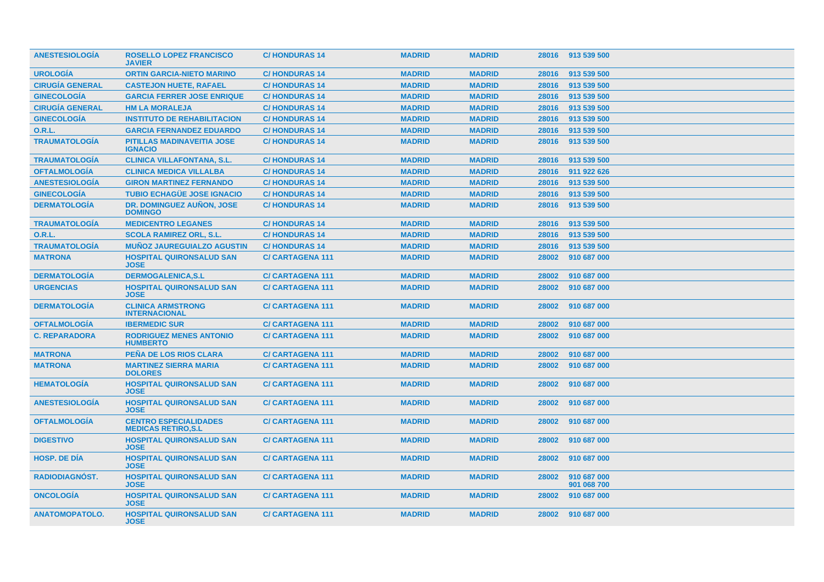| <b>ANESTESIOLOGIA</b>  | <b>ROSELLO LOPEZ FRANCISCO</b><br><b>JAVIER</b>           | <b>C/HONDURAS 14</b>   | <b>MADRID</b> | <b>MADRID</b> |       | 28016 913 539 500          |
|------------------------|-----------------------------------------------------------|------------------------|---------------|---------------|-------|----------------------------|
| <b>UROLOGIA</b>        | <b>ORTIN GARCIA-NIETO MARINO</b>                          | <b>C/HONDURAS 14</b>   | <b>MADRID</b> | <b>MADRID</b> | 28016 | 913 539 500                |
| <b>CIRUGÍA GENERAL</b> | <b>CASTEJON HUETE, RAFAEL</b>                             | <b>C/HONDURAS 14</b>   | <b>MADRID</b> | <b>MADRID</b> | 28016 | 913 539 500                |
| <b>GINECOLOGÍA</b>     | <b>GARCIA FERRER JOSE ENRIQUE</b>                         | <b>C/HONDURAS 14</b>   | <b>MADRID</b> | <b>MADRID</b> | 28016 | 913 539 500                |
| <b>CIRUGÍA GENERAL</b> | <b>HM LA MORALEJA</b>                                     | <b>C/HONDURAS 14</b>   | <b>MADRID</b> | <b>MADRID</b> | 28016 | 913 539 500                |
| <b>GINECOLOGÍA</b>     | <b>INSTITUTO DE REHABILITACION</b>                        | <b>C/HONDURAS 14</b>   | <b>MADRID</b> | <b>MADRID</b> | 28016 | 913 539 500                |
| <b>O.R.L.</b>          | <b>GARCIA FERNANDEZ EDUARDO</b>                           | <b>C/HONDURAS 14</b>   | <b>MADRID</b> | <b>MADRID</b> | 28016 | 913 539 500                |
| <b>TRAUMATOLOGÍA</b>   | PITILLAS MADINAVEITIA JOSE<br><b>IGNACIO</b>              | <b>C/HONDURAS 14</b>   | <b>MADRID</b> | <b>MADRID</b> | 28016 | 913 539 500                |
| <b>TRAUMATOLOGÍA</b>   | <b>CLINICA VILLAFONTANA, S.L.</b>                         | <b>C/HONDURAS 14</b>   | <b>MADRID</b> | <b>MADRID</b> | 28016 | 913 539 500                |
| <b>OFTALMOLOGÍA</b>    | <b>CLINICA MEDICA VILLALBA</b>                            | <b>C/HONDURAS 14</b>   | <b>MADRID</b> | <b>MADRID</b> | 28016 | 911 922 626                |
| <b>ANESTESIOLOGÍA</b>  | <b>GIRON MARTINEZ FERNANDO</b>                            | <b>C/HONDURAS 14</b>   | <b>MADRID</b> | <b>MADRID</b> | 28016 | 913 539 500                |
| <b>GINECOLOGÍA</b>     | <b>TUBIO ECHAGÜE JOSE IGNACIO</b>                         | <b>C/HONDURAS 14</b>   | <b>MADRID</b> | <b>MADRID</b> | 28016 | 913 539 500                |
| <b>DERMATOLOGÍA</b>    | DR. DOMINGUEZ AUNON, JOSE<br><b>DOMINGO</b>               | <b>C/HONDURAS14</b>    | <b>MADRID</b> | <b>MADRID</b> | 28016 | 913 539 500                |
| <b>TRAUMATOLOGÍA</b>   | <b>MEDICENTRO LEGANES</b>                                 | <b>C/HONDURAS14</b>    | <b>MADRID</b> | <b>MADRID</b> | 28016 | 913 539 500                |
| <b>O.R.L.</b>          | <b>SCOLA RAMIREZ ORL. S.L.</b>                            | <b>C/HONDURAS 14</b>   | <b>MADRID</b> | <b>MADRID</b> | 28016 | 913 539 500                |
| <b>TRAUMATOLOGÍA</b>   | <b>MUÑOZ JAUREGUIALZO AGUSTIN</b>                         | <b>C/HONDURAS 14</b>   | <b>MADRID</b> | <b>MADRID</b> | 28016 | 913 539 500                |
| <b>MATRONA</b>         | <b>HOSPITAL QUIRONSALUD SAN</b><br><b>JOSE</b>            | <b>C/CARTAGENA 111</b> | <b>MADRID</b> | <b>MADRID</b> | 28002 | 910 687 000                |
| <b>DERMATOLOGÍA</b>    | <b>DERMOGALENICA,S.L</b>                                  | <b>C/CARTAGENA 111</b> | <b>MADRID</b> | <b>MADRID</b> | 28002 | 910 687 000                |
| <b>URGENCIAS</b>       | <b>HOSPITAL QUIRONSALUD SAN</b><br><b>JOSE</b>            | <b>C/CARTAGENA 111</b> | <b>MADRID</b> | <b>MADRID</b> | 28002 | 910 687 000                |
| <b>DERMATOLOGIA</b>    | <b>CLINICA ARMSTRONG</b><br><b>INTERNACIONAL</b>          | <b>C/CARTAGENA 111</b> | <b>MADRID</b> | <b>MADRID</b> | 28002 | 910 687 000                |
| <b>OFTALMOLOGIA</b>    | <b>IBERMEDIC SUR</b>                                      | <b>C/CARTAGENA 111</b> | <b>MADRID</b> | <b>MADRID</b> | 28002 | 910 687 000                |
| <b>C. REPARADORA</b>   | <b>RODRIGUEZ MENES ANTONIO</b><br><b>HUMBERTO</b>         | <b>C/CARTAGENA 111</b> | <b>MADRID</b> | <b>MADRID</b> | 28002 | 910 687 000                |
| <b>MATRONA</b>         | <b>PENA DE LOS RIOS CLARA</b>                             | <b>C/CARTAGENA 111</b> | <b>MADRID</b> | <b>MADRID</b> | 28002 | 910 687 000                |
| <b>MATRONA</b>         | <b>MARTINEZ SIERRA MARIA</b><br><b>DOLORES</b>            | <b>C/CARTAGENA 111</b> | <b>MADRID</b> | <b>MADRID</b> | 28002 | 910 687 000                |
| <b>HEMATOLOGIA</b>     | <b>HOSPITAL QUIRONSALUD SAN</b><br><b>JOSE</b>            | <b>C/CARTAGENA 111</b> | <b>MADRID</b> | <b>MADRID</b> | 28002 | 910 687 000                |
| <b>ANESTESIOLOGÍA</b>  | <b>HOSPITAL QUIRONSALUD SAN</b><br><b>JOSE</b>            | <b>C/CARTAGENA 111</b> | <b>MADRID</b> | <b>MADRID</b> | 28002 | 910 687 000                |
| <b>OFTALMOLOGÍA</b>    | <b>CENTRO ESPECIALIDADES</b><br><b>MEDICAS RETIRO.S.L</b> | <b>C/CARTAGENA 111</b> | <b>MADRID</b> | <b>MADRID</b> | 28002 | 910 687 000                |
| <b>DIGESTIVO</b>       | <b>HOSPITAL QUIRONSALUD SAN</b><br><b>JOSE</b>            | <b>C/CARTAGENA 111</b> | <b>MADRID</b> | <b>MADRID</b> | 28002 | 910 687 000                |
| <b>HOSP, DE DIA</b>    | <b>HOSPITAL QUIRONSALUD SAN</b><br><b>JOSE</b>            | <b>C/CARTAGENA 111</b> | <b>MADRID</b> | <b>MADRID</b> | 28002 | 910 687 000                |
| <b>RADIODIAGNOST.</b>  | <b>HOSPITAL QUIRONSALUD SAN</b><br><b>JOSE</b>            | <b>C/CARTAGENA 111</b> | <b>MADRID</b> | <b>MADRID</b> | 28002 | 910 687 000<br>901 068 700 |
| <b>ONCOLOGIA</b>       | <b>HOSPITAL QUIRONSALUD SAN</b><br><b>JOSE</b>            | <b>C/CARTAGENA 111</b> | <b>MADRID</b> | <b>MADRID</b> | 28002 | 910 687 000                |
| <b>ANATOMOPATOLO.</b>  | <b>HOSPITAL QUIRONSALUD SAN</b><br><b>JOSE</b>            | <b>C/CARTAGENA 111</b> | <b>MADRID</b> | <b>MADRID</b> |       | 28002 910 687 000          |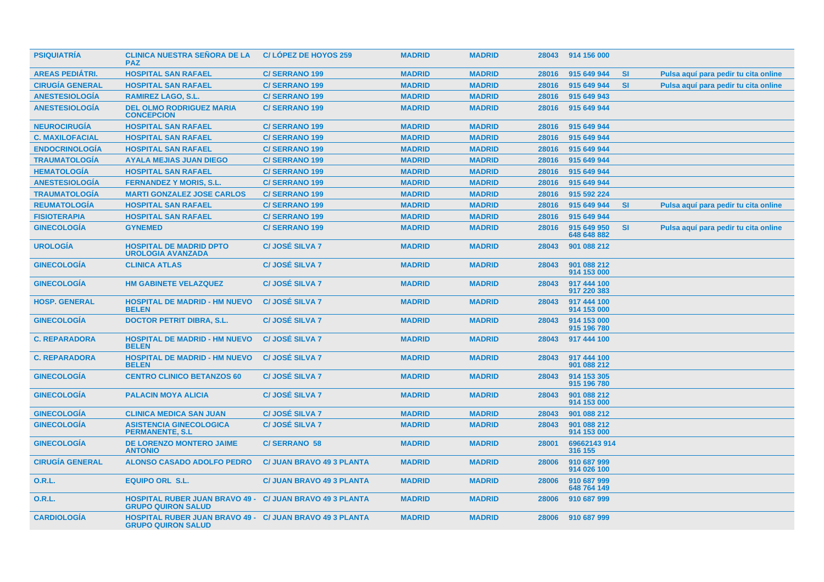| <b>PSIQUIATRIA</b>     | <b>CLINICA NUESTRA SEÑORA DE LA</b><br><b>PAZ</b>                                            | <b>C/LOPEZ DE HOYOS 259</b>      | <b>MADRID</b> | <b>MADRID</b> |       | 28043 914 156 000          |           |                                      |
|------------------------|----------------------------------------------------------------------------------------------|----------------------------------|---------------|---------------|-------|----------------------------|-----------|--------------------------------------|
| <b>AREAS PEDIÁTRI.</b> | <b>HOSPITAL SAN RAFAEL</b>                                                                   | <b>C/SERRANO 199</b>             | <b>MADRID</b> | <b>MADRID</b> | 28016 | 915 649 944                | <b>SI</b> | Pulsa aquí para pedir tu cita online |
| <b>CIRUGÍA GENERAL</b> | <b>HOSPITAL SAN RAFAEL</b>                                                                   | <b>C/SERRANO 199</b>             | <b>MADRID</b> | <b>MADRID</b> | 28016 | 915 649 944                | <b>SI</b> | Pulsa aquí para pedir tu cita online |
| <b>ANESTESIOLOGÍA</b>  | <b>RAMIREZ LAGO, S.L.</b>                                                                    | <b>C/SERRANO 199</b>             | <b>MADRID</b> | <b>MADRID</b> | 28016 | 915 649 943                |           |                                      |
| <b>ANESTESIOLOGÍA</b>  | <b>DEL OLMO RODRIGUEZ MARIA</b><br><b>CONCEPCION</b>                                         | <b>C/SERRANO 199</b>             | <b>MADRID</b> | <b>MADRID</b> | 28016 | 915 649 944                |           |                                      |
| <b>NEUROCIRUGÍA</b>    | <b>HOSPITAL SAN RAFAEL</b>                                                                   | <b>C/SERRANO 199</b>             | <b>MADRID</b> | <b>MADRID</b> | 28016 | 915 649 944                |           |                                      |
| <b>C. MAXILOFACIAL</b> | <b>HOSPITAL SAN RAFAEL</b>                                                                   | <b>C/SERRANO 199</b>             | <b>MADRID</b> | <b>MADRID</b> | 28016 | 915 649 944                |           |                                      |
| <b>ENDOCRINOLOGÍA</b>  | <b>HOSPITAL SAN RAFAEL</b>                                                                   | <b>C/SERRANO 199</b>             | <b>MADRID</b> | <b>MADRID</b> | 28016 | 915 649 944                |           |                                      |
| <b>TRAUMATOLOGÍA</b>   | <b>AYALA MEJIAS JUAN DIEGO</b>                                                               | <b>C/SERRANO 199</b>             | <b>MADRID</b> | <b>MADRID</b> | 28016 | 915 649 944                |           |                                      |
| <b>HEMATOLOGÍA</b>     | <b>HOSPITAL SAN RAFAEL</b>                                                                   | <b>C/SERRANO 199</b>             | <b>MADRID</b> | <b>MADRID</b> | 28016 | 915 649 944                |           |                                      |
| <b>ANESTESIOLOGÍA</b>  | <b>FERNANDEZ Y MORIS, S.L.</b>                                                               | <b>C/SERRANO 199</b>             | <b>MADRID</b> | <b>MADRID</b> | 28016 | 915 649 944                |           |                                      |
| <b>TRAUMATOLOGÍA</b>   | <b>MARTI GONZALEZ JOSE CARLOS</b>                                                            | <b>C/SERRANO 199</b>             | <b>MADRID</b> | <b>MADRID</b> | 28016 | 915 592 224                |           |                                      |
| <b>REUMATOLOGÍA</b>    | <b>HOSPITAL SAN RAFAEL</b>                                                                   | <b>C/SERRANO 199</b>             | <b>MADRID</b> | <b>MADRID</b> | 28016 | 915 649 944                | <b>SI</b> | Pulsa aquí para pedir tu cita online |
| <b>FISIOTERAPIA</b>    | <b>HOSPITAL SAN RAFAEL</b>                                                                   | <b>C/SERRANO 199</b>             | <b>MADRID</b> | <b>MADRID</b> | 28016 | 915 649 944                |           |                                      |
| <b>GINECOLOGÍA</b>     | <b>GYNEMED</b>                                                                               | <b>C/SERRANO 199</b>             | <b>MADRID</b> | <b>MADRID</b> | 28016 | 915 649 950<br>648 648 882 | <b>SI</b> | Pulsa aquí para pedir tu cita online |
| <b>UROLOGÍA</b>        | <b>HOSPITAL DE MADRID DPTO</b><br><b>UROLOGIA AVANZADA</b>                                   | <b>C/JOSÉ SILVA 7</b>            | <b>MADRID</b> | <b>MADRID</b> | 28043 | 901 088 212                |           |                                      |
| <b>GINECOLOGÍA</b>     | <b>CLINICA ATLAS</b>                                                                         | <b>C/JOSÉ SILVA 7</b>            | <b>MADRID</b> | <b>MADRID</b> | 28043 | 901 088 212<br>914 153 000 |           |                                      |
| <b>GINECOLOGÍA</b>     | <b>HM GABINETE VELAZQUEZ</b>                                                                 | <b>C/JOSÉ SILVA 7</b>            | <b>MADRID</b> | <b>MADRID</b> | 28043 | 917 444 100<br>917 220 383 |           |                                      |
| <b>HOSP. GENERAL</b>   | <b>HOSPITAL DE MADRID - HM NUEVO</b><br><b>BELEN</b>                                         | <b>C/JOSÉ SILVA 7</b>            | <b>MADRID</b> | <b>MADRID</b> | 28043 | 917 444 100<br>914 153 000 |           |                                      |
| <b>GINECOLOGÍA</b>     | <b>DOCTOR PETRIT DIBRA, S.L.</b>                                                             | <b>C/JOSÉ SILVA 7</b>            | <b>MADRID</b> | <b>MADRID</b> | 28043 | 914 153 000<br>915 196 780 |           |                                      |
| <b>C. REPARADORA</b>   | <b>HOSPITAL DE MADRID - HM NUEVO</b><br><b>BELEN</b>                                         | <b>C/JOSÉ SILVA 7</b>            | <b>MADRID</b> | <b>MADRID</b> | 28043 | 917 444 100                |           |                                      |
| <b>C. REPARADORA</b>   | <b>HOSPITAL DE MADRID - HM NUEVO</b><br><b>BELEN</b>                                         | <b>C/JOSÉ SILVA 7</b>            | <b>MADRID</b> | <b>MADRID</b> | 28043 | 917 444 100<br>901 088 212 |           |                                      |
| <b>GINECOLOGIA</b>     | <b>CENTRO CLINICO BETANZOS 60</b>                                                            | <b>C/JOSÉ SILVA 7</b>            | <b>MADRID</b> | <b>MADRID</b> | 28043 | 914 153 305<br>915 196 780 |           |                                      |
| <b>GINECOLOGÍA</b>     | <b>PALACIN MOYA ALICIA</b>                                                                   | <b>C/JOSÉ SILVA 7</b>            | <b>MADRID</b> | <b>MADRID</b> | 28043 | 901 088 212<br>914 153 000 |           |                                      |
| <b>GINECOLOGIA</b>     | <b>CLINICA MEDICA SAN JUAN</b>                                                               | <b>C/JOSÉ SILVA 7</b>            | <b>MADRID</b> | <b>MADRID</b> | 28043 | 901 088 212                |           |                                      |
| <b>GINECOLOGÍA</b>     | <b>ASISTENCIA GINECOLOGICA</b><br><b>PERMANENTE, S.L.</b>                                    | <b>C/JOSÉ SILVA 7</b>            | <b>MADRID</b> | <b>MADRID</b> | 28043 | 901 088 212<br>914 153 000 |           |                                      |
| <b>GINECOLOGÍA</b>     | <b>DE LORENZO MONTERO JAIME</b><br><b>ANTONIO</b>                                            | <b>C/SERRANO 58</b>              | <b>MADRID</b> | <b>MADRID</b> | 28001 | 69662143 914<br>316 155    |           |                                      |
| <b>CIRUGÍA GENERAL</b> | <b>ALONSO CASADO ADOLFO PEDRO</b>                                                            | <b>C/ JUAN BRAVO 49 3 PLANTA</b> | <b>MADRID</b> | <b>MADRID</b> | 28006 | 910 687 999<br>914 026 100 |           |                                      |
| 0.R.L.                 | <b>EQUIPO ORL S.L.</b>                                                                       | <b>C/ JUAN BRAVO 49 3 PLANTA</b> | <b>MADRID</b> | <b>MADRID</b> | 28006 | 910 687 999<br>648 764 149 |           |                                      |
| <b>O.R.L.</b>          | <b>HOSPITAL RUBER JUAN BRAVO 49 - C/ JUAN BRAVO 49 3 PLANTA</b><br><b>GRUPO QUIRON SALUD</b> |                                  | <b>MADRID</b> | <b>MADRID</b> | 28006 | 910 687 999                |           |                                      |
| <b>CARDIOLOGIA</b>     | <b>HOSPITAL RUBER JUAN BRAVO 49 - C/ JUAN BRAVO 49 3 PLANTA</b><br><b>GRUPO QUIRON SALUD</b> |                                  | <b>MADRID</b> | <b>MADRID</b> | 28006 | 910 687 999                |           |                                      |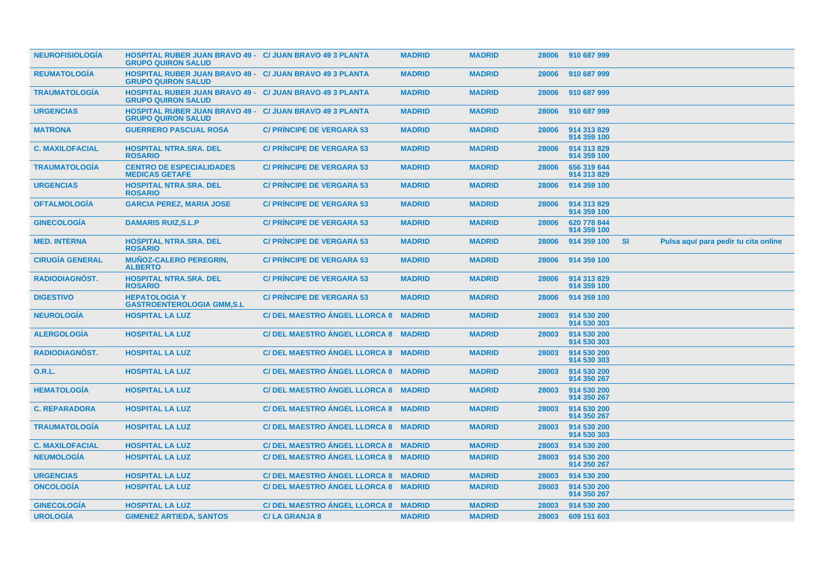| <b>NEUROFISIOLOGIA</b> | <b>HOSPITAL RUBER JUAN BRAVO 49 - C/ JUAN BRAVO 49 3 PLANTA</b><br><b>GRUPO QUIRON SALUD</b> |                                      | <b>MADRID</b> | <b>MADRID</b> | 28006 | 910 687 999                |           |                                      |
|------------------------|----------------------------------------------------------------------------------------------|--------------------------------------|---------------|---------------|-------|----------------------------|-----------|--------------------------------------|
| <b>REUMATOLOGIA</b>    | <b>HOSPITAL RUBER JUAN BRAVO 49 - C/ JUAN BRAVO 49 3 PLANTA</b><br><b>GRUPO QUIRON SALUD</b> |                                      | <b>MADRID</b> | <b>MADRID</b> | 28006 | 910 687 999                |           |                                      |
| <b>TRAUMATOLOGIA</b>   | <b>HOSPITAL RUBER JUAN BRAVO 49 - C/ JUAN BRAVO 49 3 PLANTA</b><br><b>GRUPO QUIRON SALUD</b> |                                      | <b>MADRID</b> | <b>MADRID</b> | 28006 | 910 687 999                |           |                                      |
| <b>URGENCIAS</b>       | <b>HOSPITAL RUBER JUAN BRAVO 49 - C/ JUAN BRAVO 49 3 PLANTA</b><br><b>GRUPO QUIRON SALUD</b> |                                      | <b>MADRID</b> | <b>MADRID</b> | 28006 | 910 687 999                |           |                                      |
| <b>MATRONA</b>         | <b>GUERRERO PASCUAL ROSA</b>                                                                 | <b>C/ PRINCIPE DE VERGARA 53</b>     | <b>MADRID</b> | <b>MADRID</b> | 28006 | 914 313 829<br>914 359 100 |           |                                      |
| <b>C. MAXILOFACIAL</b> | <b>HOSPITAL NTRA.SRA. DEL</b><br><b>ROSARIO</b>                                              | <b>C/ PRINCIPE DE VERGARA 53</b>     | <b>MADRID</b> | <b>MADRID</b> | 28006 | 914 313 829<br>914 359 100 |           |                                      |
| <b>TRAUMATOLOGÍA</b>   | <b>CENTRO DE ESPECIALIDADES</b><br><b>MEDICAS GETAFE</b>                                     | <b>C/ PRINCIPE DE VERGARA 53</b>     | <b>MADRID</b> | <b>MADRID</b> | 28006 | 656 319 644<br>914 313 829 |           |                                      |
| <b>URGENCIAS</b>       | <b>HOSPITAL NTRA.SRA. DEL</b><br><b>ROSARIO</b>                                              | <b>C/ PRINCIPE DE VERGARA 53</b>     | <b>MADRID</b> | <b>MADRID</b> | 28006 | 914 359 100                |           |                                      |
| <b>OFTALMOLOGÍA</b>    | <b>GARCIA PEREZ, MARIA JOSE</b>                                                              | <b>C/ PRINCIPE DE VERGARA 53</b>     | <b>MADRID</b> | <b>MADRID</b> | 28006 | 914 313 829<br>914 359 100 |           |                                      |
| <b>GINECOLOGÍA</b>     | <b>DAMARIS RUIZ, S.L.P</b>                                                                   | <b>C/ PRINCIPE DE VERGARA 53</b>     | <b>MADRID</b> | <b>MADRID</b> | 28006 | 620 778 844<br>914 359 100 |           |                                      |
| <b>MED. INTERNA</b>    | <b>HOSPITAL NTRA.SRA. DEL</b><br><b>ROSARIO</b>                                              | <b>C/ PRÍNCIPE DE VERGARA 53</b>     | <b>MADRID</b> | <b>MADRID</b> | 28006 | 914 359 100                | <b>SI</b> | Pulsa aquí para pedir tu cita online |
| <b>CIRUGÍA GENERAL</b> | <b>MUÑOZ-CALERO PEREGRIN,</b><br><b>ALBERTO</b>                                              | <b>C/ PRINCIPE DE VERGARA 53</b>     | <b>MADRID</b> | <b>MADRID</b> | 28006 | 914 359 100                |           |                                      |
| <b>RADIODIAGNÓST.</b>  | <b>HOSPITAL NTRA.SRA. DEL</b><br><b>ROSARIO</b>                                              | <b>C/ PRINCIPE DE VERGARA 53</b>     | <b>MADRID</b> | <b>MADRID</b> | 28006 | 914 313 829<br>914 359 100 |           |                                      |
| <b>DIGESTIVO</b>       | <b>HEPATOLOGIA Y</b><br><b>GASTROENTEROLOGIA GMM.S.L</b>                                     | <b>C/ PRINCIPE DE VERGARA 53</b>     | <b>MADRID</b> | <b>MADRID</b> | 28006 | 914 359 100                |           |                                      |
| <b>NEUROLOGÍA</b>      | <b>HOSPITAL LA LUZ</b>                                                                       | <b>C/ DEL MAESTRO ÁNGEL LLORCA 8</b> | <b>MADRID</b> | <b>MADRID</b> | 28003 | 914 530 200<br>914 530 303 |           |                                      |
| <b>ALERGOLOGÍA</b>     | <b>HOSPITAL LA LUZ</b>                                                                       | C/DEL MAESTRO ANGEL LLORCA 8 MADRID  |               | <b>MADRID</b> | 28003 | 914 530 200<br>914 530 303 |           |                                      |
| <b>RADIODIAGNÓST.</b>  | <b>HOSPITAL LA LUZ</b>                                                                       | C/DEL MAESTRO ANGEL LLORCA 8 MADRID  |               | <b>MADRID</b> | 28003 | 914 530 200<br>914 530 303 |           |                                      |
| <b>O.R.L.</b>          | <b>HOSPITAL LA LUZ</b>                                                                       | C/DEL MAESTRO ANGEL LLORCA 8 MADRID  |               | <b>MADRID</b> | 28003 | 914 530 200<br>914 350 267 |           |                                      |
| <b>HEMATOLOGÍA</b>     | <b>HOSPITAL LA LUZ</b>                                                                       | <b>C/ DEL MAESTRO ANGEL LLORCA 8</b> | <b>MADRID</b> | <b>MADRID</b> | 28003 | 914 530 200<br>914 350 267 |           |                                      |
| <b>C. REPARADORA</b>   | <b>HOSPITAL LA LUZ</b>                                                                       | C/DEL MAESTRO ANGEL LLORCA 8 MADRID  |               | <b>MADRID</b> | 28003 | 914 530 200<br>914 350 267 |           |                                      |
| <b>TRAUMATOLOGÍA</b>   | <b>HOSPITAL LA LUZ</b>                                                                       | C/DEL MAESTRO ANGEL LLORCA 8 MADRID  |               | <b>MADRID</b> | 28003 | 914 530 200<br>914 530 303 |           |                                      |
| <b>C. MAXILOFACIAL</b> | <b>HOSPITAL LA LUZ</b>                                                                       | C/DEL MAESTRO ANGEL LLORCA 8 MADRID  |               | <b>MADRID</b> | 28003 | 914 530 200                |           |                                      |
| <b>NEUMOLOGÍA</b>      | <b>HOSPITAL LA LUZ</b>                                                                       | C/ DEL MAESTRO ÁNGEL LLORCA 8 MADRID |               | <b>MADRID</b> | 28003 | 914 530 200<br>914 350 267 |           |                                      |
| <b>URGENCIAS</b>       | <b>HOSPITAL LA LUZ</b>                                                                       | C/ DEL MAESTRO ANGEL LLORCA 8 MADRID |               | <b>MADRID</b> | 28003 | 914 530 200                |           |                                      |
| <b>ONCOLOGIA</b>       | <b>HOSPITAL LA LUZ</b>                                                                       | C/DEL MAESTRO ANGEL LLORCA 8 MADRID  |               | <b>MADRID</b> | 28003 | 914 530 200<br>914 350 267 |           |                                      |
| <b>GINECOLOGIA</b>     | <b>HOSPITAL LA LUZ</b>                                                                       | C/ DEL MAESTRO ANGEL LLORCA 8 MADRID |               | <b>MADRID</b> | 28003 | 914 530 200                |           |                                      |
| <b>UROLOGÍA</b>        |                                                                                              | <b>C/LA GRANJA 8</b>                 | <b>MADRID</b> | <b>MADRID</b> |       | 609 151 603                |           |                                      |
|                        | <b>GIMENEZ ARTIEDA, SANTOS</b>                                                               |                                      |               |               | 28003 |                            |           |                                      |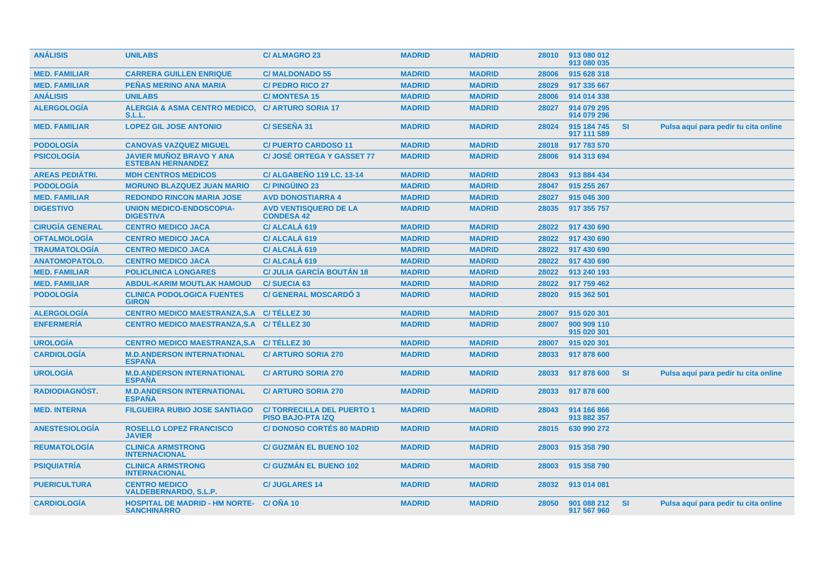| <b>ANÁLISIS</b>        | <b>UNILABS</b>                                              | <b>C/ALMAGRO 23</b>                                          | <b>MADRID</b> | <b>MADRID</b> | 28010 | 913 080 012<br>913 080 035 |           |                                      |
|------------------------|-------------------------------------------------------------|--------------------------------------------------------------|---------------|---------------|-------|----------------------------|-----------|--------------------------------------|
| <b>MED. FAMILIAR</b>   | <b>CARRERA GUILLEN ENRIQUE</b>                              | <b>C/MALDONADO 55</b>                                        | <b>MADRID</b> | <b>MADRID</b> | 28006 | 915 628 318                |           |                                      |
| <b>MED. FAMILIAR</b>   | <b>PEÑAS MERINO ANA MARIA</b>                               | <b>C/ PEDRO RICO 27</b>                                      | <b>MADRID</b> | <b>MADRID</b> | 28029 | 917 335 667                |           |                                      |
| <b>ANÁLISIS</b>        | <b>UNILABS</b>                                              | <b>C/MONTESA 15</b>                                          | <b>MADRID</b> | <b>MADRID</b> | 28006 | 914 014 338                |           |                                      |
| <b>ALERGOLOGÍA</b>     | <b>ALERGIA &amp; ASMA CENTRO MEDICO,</b><br>S.L.L.          | <b>C/ ARTURO SORIA 17</b>                                    | <b>MADRID</b> | <b>MADRID</b> | 28027 | 914 079 295<br>914 079 296 |           |                                      |
| <b>MED. FAMILIAR</b>   | <b>LOPEZ GIL JOSE ANTONIO</b>                               | C/SESEÑA 31                                                  | <b>MADRID</b> | <b>MADRID</b> | 28024 | 915 184 745<br>917 111 589 | <b>SI</b> | Pulsa aquí para pedir tu cita online |
| <b>PODOLOGÍA</b>       | <b>CANOVAS VAZQUEZ MIGUEL</b>                               | <b>C/PUERTO CARDOSO 11</b>                                   | <b>MADRID</b> | <b>MADRID</b> | 28018 | 917 783 570                |           |                                      |
| <b>PSICOLOGÍA</b>      | <b>JAVIER MUÑOZ BRAVO Y ANA</b><br><b>ESTEBAN HERNANDEZ</b> | <b>C/JOSÉ ORTEGA Y GASSET 77</b>                             | <b>MADRID</b> | <b>MADRID</b> | 28006 | 914 313 694                |           |                                      |
| <b>AREAS PEDIÁTRI.</b> | <b>MDH CENTROS MEDICOS</b>                                  | <b>C/ ALGABEÑO 119 LC. 13-14</b>                             | <b>MADRID</b> | <b>MADRID</b> | 28043 | 913 884 434                |           |                                      |
| <b>PODOLOGÍA</b>       | <b>MORUNO BLAZQUEZ JUAN MARIO</b>                           | <b>C/PINGÜINO 23</b>                                         | <b>MADRID</b> | <b>MADRID</b> | 28047 | 915 255 267                |           |                                      |
| <b>MED. FAMILIAR</b>   | <b>REDONDO RINCON MARIA JOSE</b>                            | <b>AVD DONOSTIARRA 4</b>                                     | <b>MADRID</b> | <b>MADRID</b> | 28027 | 915 045 300                |           |                                      |
| <b>DIGESTIVO</b>       | <b>UNION MEDICO-ENDOSCOPIA-</b><br><b>DIGESTIVA</b>         | <b>AVD VENTISQUERO DE LA</b><br><b>CONDESA 42</b>            | <b>MADRID</b> | <b>MADRID</b> | 28035 | 917 355 757                |           |                                      |
| <b>CIRUGÍA GENERAL</b> | <b>CENTRO MEDICO JACA</b>                                   | C/ ALCALÁ 619                                                | <b>MADRID</b> | <b>MADRID</b> | 28022 | 917 430 690                |           |                                      |
| <b>OFTALMOLOGÍA</b>    | <b>CENTRO MEDICO JACA</b>                                   | C/ ALCALÁ 619                                                | <b>MADRID</b> | <b>MADRID</b> | 28022 | 917 430 690                |           |                                      |
| <b>TRAUMATOLOGÍA</b>   | <b>CENTRO MEDICO JACA</b>                                   | C/ ALCALÁ 619                                                | <b>MADRID</b> | <b>MADRID</b> | 28022 | 917 430 690                |           |                                      |
| <b>ANATOMOPATOLO.</b>  | <b>CENTRO MEDICO JACA</b>                                   | C/ ALCALÁ 619                                                | <b>MADRID</b> | <b>MADRID</b> | 28022 | 917 430 690                |           |                                      |
| <b>MED. FAMILIAR</b>   | <b>POLICLINICA LONGARES</b>                                 | <b>C/ JULIA GARCÍA BOUTÁN 18</b>                             | <b>MADRID</b> | <b>MADRID</b> | 28022 | 913 240 193                |           |                                      |
| <b>MED. FAMILIAR</b>   | <b>ABDUL-KARIM MOUTLAK HAMOUD</b>                           | <b>C/SUECIA 63</b>                                           | <b>MADRID</b> | <b>MADRID</b> | 28022 | 917 759 462                |           |                                      |
| <b>PODOLOGÍA</b>       | <b>CLINICA PODOLOGICA FUENTES</b><br><b>GIRON</b>           | <b>C/ GENERAL MOSCARDO 3</b>                                 | <b>MADRID</b> | <b>MADRID</b> | 28020 | 915 362 501                |           |                                      |
| <b>ALERGOLOGÍA</b>     | <b>CENTRO MEDICO MAESTRANZA, S.A.</b>                       | C/TÉLLEZ 30                                                  | <b>MADRID</b> | <b>MADRID</b> | 28007 | 915 020 301                |           |                                      |
| <b>ENFERMERÍA</b>      | <b>CENTRO MEDICO MAESTRANZA, S.A.</b>                       | C/TÉLLEZ 30                                                  | <b>MADRID</b> | <b>MADRID</b> | 28007 | 900 909 110<br>915 020 301 |           |                                      |
| <b>UROLOGÍA</b>        | CENTRO MEDICO MAESTRANZA, S.A C/ TÉLLEZ 30                  |                                                              | <b>MADRID</b> | <b>MADRID</b> | 28007 | 915 020 301                |           |                                      |
| <b>CARDIOLOGÍA</b>     | <b>M.D.ANDERSON INTERNATIONAL</b><br><b>ESPAÑA</b>          | <b>C/ ARTURO SORIA 270</b>                                   | <b>MADRID</b> | <b>MADRID</b> | 28033 | 917 878 600                |           |                                      |
| <b>UROLOGÍA</b>        | <b>M.D.ANDERSON INTERNATIONAL</b><br><b>ESPAÑA</b>          | <b>C/ ARTURO SORIA 270</b>                                   | <b>MADRID</b> | <b>MADRID</b> | 28033 | 917 878 600                | <b>SI</b> | Pulsa aquí para pedir tu cita online |
| RADIODIAGNÓST.         | <b>M.D.ANDERSON INTERNATIONAL</b><br><b>ESPAÑA</b>          | <b>C/ ARTURO SORIA 270</b>                                   | <b>MADRID</b> | <b>MADRID</b> | 28033 | 917 878 600                |           |                                      |
| <b>MED. INTERNA</b>    | <b>FILGUEIRA RUBIO JOSE SANTIAGO</b>                        | <b>C/TORRECILLA DEL PUERTO 1</b><br><b>PISO BAJO-PTA IZQ</b> | <b>MADRID</b> | <b>MADRID</b> | 28043 | 914 166 866<br>913 882 357 |           |                                      |
| <b>ANESTESIOLOGÍA</b>  | <b>ROSELLO LOPEZ FRANCISCO</b><br><b>JAVIER</b>             | <b>C/DONOSO CORTÉS 80 MADRID</b>                             | <b>MADRID</b> | <b>MADRID</b> | 28015 | 630 990 272                |           |                                      |
| <b>REUMATOLOGÍA</b>    | <b>CLINICA ARMSTRONG</b><br><b>INTERNACIONAL</b>            | <b>C/ GUZMAN EL BUENO 102</b>                                | <b>MADRID</b> | <b>MADRID</b> | 28003 | 915 358 790                |           |                                      |
| <b>PSIQUIATRÍA</b>     | <b>CLINICA ARMSTRONG</b><br><b>INTERNACIONAL</b>            | <b>C/ GUZMÁN EL BUENO 102</b>                                | <b>MADRID</b> | <b>MADRID</b> | 28003 | 915 358 790                |           |                                      |
| <b>PUERICULTURA</b>    | <b>CENTRO MEDICO</b><br><b>VALDEBERNARDO, S.L.P.</b>        | <b>C/JUGLARES 14</b>                                         | <b>MADRID</b> | <b>MADRID</b> | 28032 | 913 014 081                |           |                                      |
| <b>CARDIOLOGIA</b>     | <b>HOSPITAL DE MADRID - HM NORTE-</b><br><b>SANCHINARRO</b> | C/ONA 10                                                     | <b>MADRID</b> | <b>MADRID</b> | 28050 | 901 088 212<br>917 567 960 | <b>SI</b> | Pulsa aquí para pedir tu cita online |
|                        |                                                             |                                                              |               |               |       |                            |           |                                      |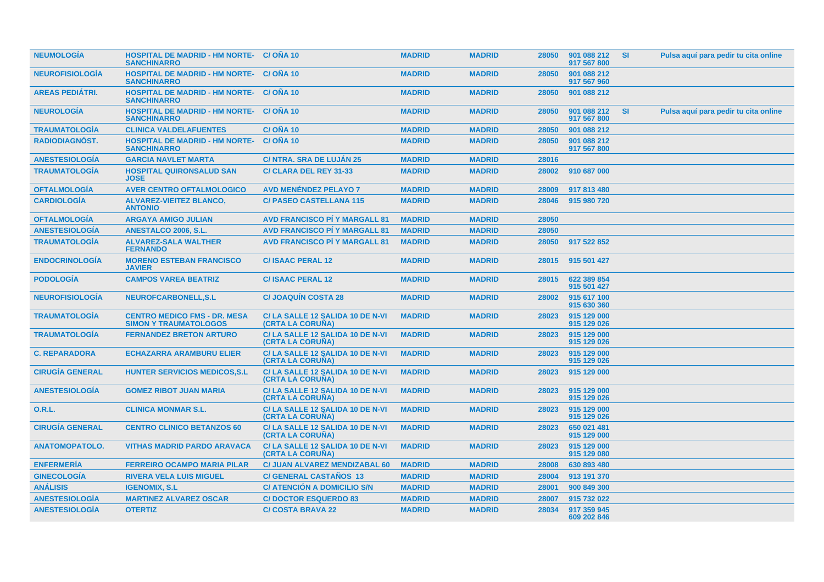| <b>NEUMOLOGIA</b>      | <b>HOSPITAL DE MADRID - HM NORTE- C/ONA 10</b><br><b>SANCHINARRO</b>  |                                                            | <b>MADRID</b> | <b>MADRID</b> | 28050 | 901 088 212<br>917 567 800 | -SI       | Pulsa aquí para pedir tu cita online |
|------------------------|-----------------------------------------------------------------------|------------------------------------------------------------|---------------|---------------|-------|----------------------------|-----------|--------------------------------------|
| <b>NEUROFISIOLOGIA</b> | <b>HOSPITAL DE MADRID - HM NORTE- C/ OÑA 10</b><br><b>SANCHINARRO</b> |                                                            | <b>MADRID</b> | <b>MADRID</b> | 28050 | 901 088 212<br>917 567 960 |           |                                      |
| <b>AREAS PEDIATRI.</b> | <b>HOSPITAL DE MADRID - HM NORTE- C/ OÑA 10</b><br><b>SANCHINARRO</b> |                                                            | <b>MADRID</b> | <b>MADRID</b> | 28050 | 901 088 212                |           |                                      |
| <b>NEUROLOGÍA</b>      | <b>HOSPITAL DE MADRID - HM NORTE-</b><br><b>SANCHINARRO</b>           | C/OÑA 10                                                   | <b>MADRID</b> | <b>MADRID</b> | 28050 | 901 088 212<br>917 567 800 | <b>SI</b> | Pulsa aquí para pedir tu cita online |
| <b>TRAUMATOLOGIA</b>   | <b>CLINICA VALDELAFUENTES</b>                                         | <b>C/OÑA 10</b>                                            | <b>MADRID</b> | <b>MADRID</b> | 28050 | 901 088 212                |           |                                      |
| <b>RADIODIAGNOST.</b>  | <b>HOSPITAL DE MADRID - HM NORTE-</b><br><b>SANCHINARRO</b>           | C/ONA 10                                                   | <b>MADRID</b> | <b>MADRID</b> | 28050 | 901 088 212<br>917 567 800 |           |                                      |
| <b>ANESTESIOLOGÍA</b>  | <b>GARCIA NAVLET MARTA</b>                                            | <b>C/ NTRA. SRA DE LUJÁN 25</b>                            | <b>MADRID</b> | <b>MADRID</b> | 28016 |                            |           |                                      |
| <b>TRAUMATOLOGÍA</b>   | <b>HOSPITAL QUIRONSALUD SAN</b><br><b>JOSE</b>                        | C/ CLARA DEL REY 31-33                                     | <b>MADRID</b> | <b>MADRID</b> | 28002 | 910 687 000                |           |                                      |
| <b>OFTALMOLOGÍA</b>    | <b>AVER CENTRO OFTALMOLOGICO</b>                                      | <b>AVD MENÉNDEZ PELAYO 7</b>                               | <b>MADRID</b> | <b>MADRID</b> | 28009 | 917 813 480                |           |                                      |
| <b>CARDIOLOGÍA</b>     | <b>ALVAREZ-VIEITEZ BLANCO,</b><br><b>ANTONIO</b>                      | <b>C/ PASEO CASTELLANA 115</b>                             | <b>MADRID</b> | <b>MADRID</b> | 28046 | 915 980 720                |           |                                      |
| <b>OFTALMOLOGIA</b>    | <b>ARGAYA AMIGO JULIAN</b>                                            | <b>AVD FRANCISCO PI Y MARGALL 81</b>                       | <b>MADRID</b> | <b>MADRID</b> | 28050 |                            |           |                                      |
| <b>ANESTESIOLOGÍA</b>  | <b>ANESTALCO 2006, S.L.</b>                                           | <b>AVD FRANCISCO PI Y MARGALL 81</b>                       | <b>MADRID</b> | <b>MADRID</b> | 28050 |                            |           |                                      |
| <b>TRAUMATOLOGÍA</b>   | <b>ALVAREZ-SALA WALTHER</b><br><b>FERNANDO</b>                        | <b>AVD FRANCISCO PI Y MARGALL 81</b>                       | <b>MADRID</b> | <b>MADRID</b> | 28050 | 917 522 852                |           |                                      |
| <b>ENDOCRINOLOGÍA</b>  | <b>MORENO ESTEBAN FRANCISCO</b><br><b>JAVIER</b>                      | <b>C/ISAAC PERAL 12</b>                                    | <b>MADRID</b> | <b>MADRID</b> | 28015 | 915 501 427                |           |                                      |
| <b>PODOLOGÍA</b>       | <b>CAMPOS VAREA BEATRIZ</b>                                           | <b>C/ISAAC PERAL 12</b>                                    | <b>MADRID</b> | <b>MADRID</b> | 28015 | 622 389 854<br>915 501 427 |           |                                      |
| <b>NEUROFISIOLOGÍA</b> | NEUROFCARBONELL, S.L                                                  | <b>C/JOAQUIN COSTA 28</b>                                  | <b>MADRID</b> | <b>MADRID</b> | 28002 | 915 617 100<br>915 630 360 |           |                                      |
| <b>TRAUMATOLOGIA</b>   | <b>CENTRO MEDICO FMS - DR. MESA</b><br><b>SIMON Y TRAUMATOLOGOS</b>   | C/LA SALLE 12 SALIDA 10 DE N-VI<br><b>(CRTA LA CORUNA)</b> | <b>MADRID</b> | <b>MADRID</b> | 28023 | 915 129 000<br>915 129 026 |           |                                      |
| <b>TRAUMATOLOGIA</b>   | <b>FERNANDEZ BRETON ARTURO</b>                                        | C/LA SALLE 12 SALIDA 10 DE N-VI<br><b>(CRTA LA CORUNA)</b> | <b>MADRID</b> | <b>MADRID</b> | 28023 | 915 129 000<br>915 129 026 |           |                                      |
| <b>C. REPARADORA</b>   | <b>ECHAZARRA ARAMBURU ELIER</b>                                       | C/LA SALLE 12 SALIDA 10 DE N-VI<br><b>(CRTA LA CORUNA)</b> | <b>MADRID</b> | <b>MADRID</b> | 28023 | 915 129 000<br>915 129 026 |           |                                      |
| <b>CIRUGÍA GENERAL</b> | <b>HUNTER SERVICIOS MEDICOS, S.L.</b>                                 | C/LA SALLE 12 SALIDA 10 DE N-VI<br><b>(CRTA LA CORUNA)</b> | <b>MADRID</b> | <b>MADRID</b> | 28023 | 915 129 000                |           |                                      |
| <b>ANESTESIOLOGIA</b>  | <b>GOMEZ RIBOT JUAN MARIA</b>                                         | C/LA SALLE 12 SALIDA 10 DE N-VI<br>(CRTA LA CORUNA)        | <b>MADRID</b> | <b>MADRID</b> | 28023 | 915 129 000<br>915 129 026 |           |                                      |
| <b>O.R.L.</b>          | <b>CLINICA MONMAR S.L.</b>                                            | C/LA SALLE 12 SALIDA 10 DE N-VI<br>(CRTA LA CORUÑA)        | <b>MADRID</b> | <b>MADRID</b> | 28023 | 915 129 000<br>915 129 026 |           |                                      |
| <b>CIRUGÍA GENERAL</b> | <b>CENTRO CLINICO BETANZOS 60</b>                                     | C/LA SALLE 12 SALIDA 10 DE N-VI<br><b>(CRTA LA CORUNA)</b> | <b>MADRID</b> | <b>MADRID</b> | 28023 | 650 021 481<br>915 129 000 |           |                                      |
| <b>ANATOMOPATOLO.</b>  | <b>VITHAS MADRID PARDO ARAVACA</b>                                    | C/LA SALLE 12 SALIDA 10 DE N-VI<br>(CRTA LA CORUÑA)        | <b>MADRID</b> | <b>MADRID</b> | 28023 | 915 129 000<br>915 129 080 |           |                                      |
| <b>ENFERMERÍA</b>      | <b>FERREIRO OCAMPO MARIA PILAR</b>                                    | C/ JUAN ALVAREZ MENDIZABAL 60                              | <b>MADRID</b> | <b>MADRID</b> | 28008 | 630 893 480                |           |                                      |
| <b>GINECOLOGÍA</b>     | <b>RIVERA VELA LUIS MIGUEL</b>                                        | <b>C/ GENERAL CASTAÑOS 13</b>                              | <b>MADRID</b> | <b>MADRID</b> | 28004 | 913 191 370                |           |                                      |
| <b>ANÁLISIS</b>        | <b>IGENOMIX, S.L.</b>                                                 | <b>C/ ATENCION A DOMICILIO S/N</b>                         | <b>MADRID</b> | <b>MADRID</b> | 28001 | 900 849 300                |           |                                      |
| <b>ANESTESIOLOGIA</b>  | <b>MARTINEZ ALVAREZ OSCAR</b>                                         | <b>C/DOCTOR ESQUERDO 83</b>                                | <b>MADRID</b> | <b>MADRID</b> | 28007 | 915 732 022                |           |                                      |
| <b>ANESTESIOLOGIA</b>  | <b>OTERTIZ</b>                                                        | <b>C/COSTA BRAVA 22</b>                                    | <b>MADRID</b> | <b>MADRID</b> | 28034 | 917 359 945<br>609 202 846 |           |                                      |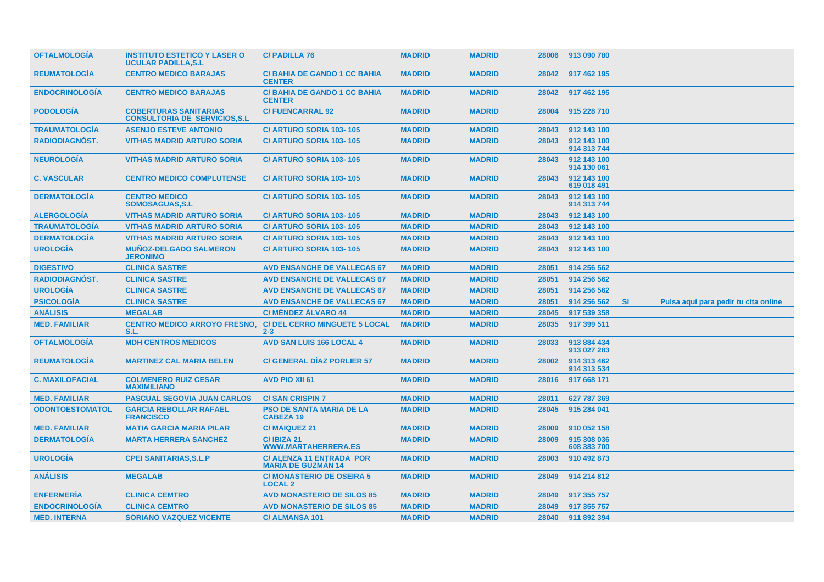| <b>OFTALMOLOGIA</b>    | <b>INSTITUTO ESTETICO Y LASER O</b><br><b>UCULAR PADILLA, S.L.</b>    | <b>C/PADILLA 76</b>                                          | <b>MADRID</b> | <b>MADRID</b> | 28006 | 913 090 780                |           |                                      |
|------------------------|-----------------------------------------------------------------------|--------------------------------------------------------------|---------------|---------------|-------|----------------------------|-----------|--------------------------------------|
| <b>REUMATOLOGIA</b>    | <b>CENTRO MEDICO BARAJAS</b>                                          | <b>C/BAHIA DE GANDO 1 CC BAHIA</b><br><b>CENTER</b>          | <b>MADRID</b> | <b>MADRID</b> | 28042 | 917 462 195                |           |                                      |
| <b>ENDOCRINOLOGIA</b>  | <b>CENTRO MEDICO BARAJAS</b>                                          | <b>C/BAHIA DE GANDO 1 CC BAHIA</b><br><b>CENTER</b>          | <b>MADRID</b> | <b>MADRID</b> | 28042 | 917 462 195                |           |                                      |
| <b>PODOLOGIA</b>       | <b>COBERTURAS SANITARIAS</b><br><b>CONSULTORIA DE SERVICIOS, S.L.</b> | <b>C/FUENCARRAL 92</b>                                       | <b>MADRID</b> | <b>MADRID</b> | 28004 | 915 228 710                |           |                                      |
| <b>TRAUMATOLOGIA</b>   | <b>ASENJO ESTEVE ANTONIO</b>                                          | C/ ARTURO SORIA 103-105                                      | <b>MADRID</b> | <b>MADRID</b> | 28043 | 912 143 100                |           |                                      |
| <b>RADIODIAGNOST.</b>  | <b>VITHAS MADRID ARTURO SORIA</b>                                     | C/ ARTURO SORIA 103-105                                      | <b>MADRID</b> | <b>MADRID</b> | 28043 | 912 143 100<br>914 313 744 |           |                                      |
| <b>NEUROLOGÍA</b>      | <b>VITHAS MADRID ARTURO SORIA</b>                                     | C/ ARTURO SORIA 103-105                                      | <b>MADRID</b> | <b>MADRID</b> | 28043 | 912 143 100<br>914 130 061 |           |                                      |
| <b>C. VASCULAR</b>     | <b>CENTRO MEDICO COMPLUTENSE</b>                                      | C/ ARTURO SORIA 103-105                                      | <b>MADRID</b> | <b>MADRID</b> | 28043 | 912 143 100<br>619 018 491 |           |                                      |
| <b>DERMATOLOGÍA</b>    | <b>CENTRO MEDICO</b><br><b>SOMOSAGUAS.S.L</b>                         | <b>C/ ARTURO SORIA 103-105</b>                               | <b>MADRID</b> | <b>MADRID</b> | 28043 | 912 143 100<br>914 313 744 |           |                                      |
| <b>ALERGOLOGÍA</b>     | <b>VITHAS MADRID ARTURO SORIA</b>                                     | C/ ARTURO SORIA 103-105                                      | <b>MADRID</b> | <b>MADRID</b> | 28043 | 912 143 100                |           |                                      |
| <b>TRAUMATOLOGIA</b>   | <b>VITHAS MADRID ARTURO SORIA</b>                                     | C/ ARTURO SORIA 103-105                                      | <b>MADRID</b> | <b>MADRID</b> | 28043 | 912 143 100                |           |                                      |
| <b>DERMATOLOGÍA</b>    | <b>VITHAS MADRID ARTURO SORIA</b>                                     | C/ ARTURO SORIA 103-105                                      | <b>MADRID</b> | <b>MADRID</b> | 28043 | 912 143 100                |           |                                      |
| <b>UROLOGÍA</b>        | <b>MUNOZ-DELGADO SALMERON</b><br><b>JERONIMO</b>                      | <b>C/ ARTURO SORIA 103-105</b>                               | <b>MADRID</b> | <b>MADRID</b> | 28043 | 912 143 100                |           |                                      |
| <b>DIGESTIVO</b>       | <b>CLINICA SASTRE</b>                                                 | <b>AVD ENSANCHE DE VALLECAS 67</b>                           | <b>MADRID</b> | <b>MADRID</b> | 28051 | 914 256 562                |           |                                      |
| RADIODIAGNÓST.         | <b>CLINICA SASTRE</b>                                                 | <b>AVD ENSANCHE DE VALLECAS 67</b>                           | <b>MADRID</b> | <b>MADRID</b> | 28051 | 914 256 562                |           |                                      |
| <b>UROLOGÍA</b>        | <b>CLINICA SASTRE</b>                                                 | <b>AVD ENSANCHE DE VALLECAS 67</b>                           | <b>MADRID</b> | <b>MADRID</b> | 28051 | 914 256 562                |           |                                      |
| <b>PSICOLOGÍA</b>      | <b>CLINICA SASTRE</b>                                                 | <b>AVD ENSANCHE DE VALLECAS 67</b>                           | <b>MADRID</b> | <b>MADRID</b> | 28051 | 914 256 562                | <b>SI</b> | Pulsa aquí para pedir tu cita online |
| <b>ANÁLISIS</b>        | <b>MEGALAB</b>                                                        | <b>C/ MÉNDEZ ALVARO 44</b>                                   | <b>MADRID</b> | <b>MADRID</b> | 28045 | 917 539 358                |           |                                      |
| <b>MED. FAMILIAR</b>   | <b>CENTRO MEDICO ARROYO FRESNO.</b><br>S.L.                           | <b>C/ DEL CERRO MINGUETE 5 LOCAL</b><br>$2 - 3$              | <b>MADRID</b> | <b>MADRID</b> | 28035 | 917 399 511                |           |                                      |
| <b>OFTALMOLOGÍA</b>    | <b>MDH CENTROS MEDICOS</b>                                            | <b>AVD SAN LUIS 166 LOCAL 4</b>                              | <b>MADRID</b> | <b>MADRID</b> | 28033 | 913 884 434<br>913 027 283 |           |                                      |
| <b>REUMATOLOGIA</b>    | <b>MARTINEZ CAL MARIA BELEN</b>                                       | <b>C/ GENERAL DIAZ PORLIER 57</b>                            | <b>MADRID</b> | <b>MADRID</b> | 28002 | 914 313 462<br>914 313 534 |           |                                      |
| <b>C. MAXILOFACIAL</b> | <b>COLMENERO RUIZ CESAR</b><br><b>MAXIMILIANO</b>                     | <b>AVD PIO XII 61</b>                                        | <b>MADRID</b> | <b>MADRID</b> | 28016 | 917 668 171                |           |                                      |
| <b>MED. FAMILIAR</b>   | <b>PASCUAL SEGOVIA JUAN CARLOS</b>                                    | <b>C/SAN CRISPIN 7</b>                                       | <b>MADRID</b> | <b>MADRID</b> | 28011 | 627 787 369                |           |                                      |
| <b>ODONTOESTOMATOL</b> | <b>GARCIA REBOLLAR RAFAEL</b><br><b>FRANCISCO</b>                     | <b>PSO DE SANTA MARIA DE LA</b><br><b>CABEZA 19</b>          | <b>MADRID</b> | <b>MADRID</b> | 28045 | 915 284 041                |           |                                      |
| <b>MED. FAMILIAR</b>   | <b>MATIA GARCIA MARIA PILAR</b>                                       | <b>C/MAIQUEZ 21</b>                                          | <b>MADRID</b> | <b>MADRID</b> | 28009 | 910 052 158                |           |                                      |
| <b>DERMATOLOGÍA</b>    | <b>MARTA HERRERA SANCHEZ</b>                                          | C/IBIZA 21<br><b>WWW.MARTAHERRERA.ES</b>                     | <b>MADRID</b> | <b>MADRID</b> | 28009 | 915 308 036<br>608 383 700 |           |                                      |
| <b>UROLOGÍA</b>        | <b>CPEI SANITARIAS, S.L.P</b>                                         | <b>C/ ALENZA 11 ENTRADA POR</b><br><b>MARIA DE GUZMAN 14</b> | <b>MADRID</b> | <b>MADRID</b> | 28003 | 910 492 873                |           |                                      |
| <b>ANÁLISIS</b>        | <b>MEGALAB</b>                                                        | <b>C/ MONASTERIO DE OSEIRA 5</b><br><b>LOCAL 2</b>           | <b>MADRID</b> | <b>MADRID</b> | 28049 | 914 214 812                |           |                                      |
| <b>ENFERMERÍA</b>      | <b>CLINICA CEMTRO</b>                                                 | <b>AVD MONASTERIO DE SILOS 85</b>                            | <b>MADRID</b> | <b>MADRID</b> | 28049 | 917 355 757                |           |                                      |
| <b>ENDOCRINOLOGIA</b>  | <b>CLINICA CEMTRO</b>                                                 | <b>AVD MONASTERIO DE SILOS 85</b>                            | <b>MADRID</b> | <b>MADRID</b> | 28049 | 917 355 757                |           |                                      |
| <b>MED. INTERNA</b>    | <b>SORIANO VAZQUEZ VICENTE</b>                                        | <b>C/ALMANSA 101</b>                                         | <b>MADRID</b> | <b>MADRID</b> | 28040 | 911 892 394                |           |                                      |
|                        |                                                                       |                                                              |               |               |       |                            |           |                                      |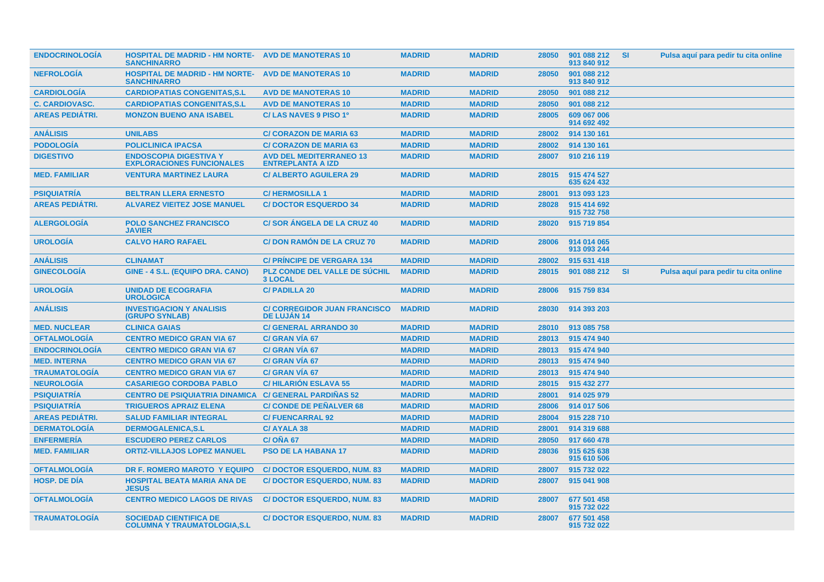| <b>ENDOCRINOLOGIA</b>  | <b>HOSPITAL DE MADRID - HM NORTE- AVD DE MANOTERAS 10</b><br><b>SANCHINARRO</b> |                                                            | <b>MADRID</b> | <b>MADRID</b> | 28050 | 901 088 212<br>913 840 912 | <b>SI</b> | Pulsa aquí para pedir tu cita online |
|------------------------|---------------------------------------------------------------------------------|------------------------------------------------------------|---------------|---------------|-------|----------------------------|-----------|--------------------------------------|
| <b>NEFROLOGÍA</b>      | <b>HOSPITAL DE MADRID - HM NORTE- AVD DE MANOTERAS 10</b><br><b>SANCHINARRO</b> |                                                            | <b>MADRID</b> | <b>MADRID</b> | 28050 | 901 088 212<br>913 840 912 |           |                                      |
| <b>CARDIOLOGIA</b>     | <b>CARDIOPATIAS CONGENITAS.S.L</b>                                              | <b>AVD DE MANOTERAS 10</b>                                 | <b>MADRID</b> | <b>MADRID</b> | 28050 | 901 088 212                |           |                                      |
| <b>C. CARDIOVASC.</b>  | <b>CARDIOPATIAS CONGENITAS, S.L.</b>                                            | <b>AVD DE MANOTERAS 10</b>                                 | <b>MADRID</b> | <b>MADRID</b> | 28050 | 901 088 212                |           |                                      |
| <b>AREAS PEDIÁTRI.</b> | <b>MONZON BUENO ANA ISABEL</b>                                                  | C/ LAS NAVES 9 PISO 1º                                     | <b>MADRID</b> | <b>MADRID</b> | 28005 | 609 067 006<br>914 692 492 |           |                                      |
| <b>ANÁLISIS</b>        | <b>UNILABS</b>                                                                  | <b>C/ CORAZON DE MARIA 63</b>                              | <b>MADRID</b> | <b>MADRID</b> | 28002 | 914 130 161                |           |                                      |
| <b>PODOLOGÍA</b>       | <b>POLICLINICA IPACSA</b>                                                       | <b>C/ CORAZON DE MARIA 63</b>                              | <b>MADRID</b> | <b>MADRID</b> | 28002 | 914 130 161                |           |                                      |
| <b>DIGESTIVO</b>       | <b>ENDOSCOPIA DIGESTIVA Y</b><br><b>EXPLORACIONES FUNCIONALES</b>               | <b>AVD DEL MEDITERRANEO 13</b><br><b>ENTREPLANTA A IZD</b> | <b>MADRID</b> | <b>MADRID</b> | 28007 | 910 216 119                |           |                                      |
| <b>MED. FAMILIAR</b>   | <b>VENTURA MARTINEZ LAURA</b>                                                   | <b>C/ ALBERTO AGUILERA 29</b>                              | <b>MADRID</b> | <b>MADRID</b> | 28015 | 915 474 527<br>635 624 432 |           |                                      |
| <b>PSIQUIATRIA</b>     | <b>BELTRAN LLERA ERNESTO</b>                                                    | <b>C/HERMOSILLA1</b>                                       | <b>MADRID</b> | <b>MADRID</b> | 28001 | 913 093 123                |           |                                      |
| <b>AREAS PEDIÁTRI.</b> | <b>ALVAREZ VIEITEZ JOSE MANUEL</b>                                              | <b>C/DOCTOR ESQUERDO 34</b>                                | <b>MADRID</b> | <b>MADRID</b> | 28028 | 915 414 692<br>915 732 758 |           |                                      |
| <b>ALERGOLOGÍA</b>     | <b>POLO SANCHEZ FRANCISCO</b><br><b>JAVIER</b>                                  | <b>C/SOR ANGELA DE LA CRUZ 40</b>                          | <b>MADRID</b> | <b>MADRID</b> | 28020 | 915 719 854                |           |                                      |
| <b>UROLOGIA</b>        | <b>CALVO HARO RAFAEL</b>                                                        | <b>C/DON RAMÓN DE LA CRUZ 70</b>                           | <b>MADRID</b> | <b>MADRID</b> | 28006 | 914 014 065<br>913 093 244 |           |                                      |
| <b>ANÁLISIS</b>        | <b>CLINAMAT</b>                                                                 | <b>C/ PRINCIPE DE VERGARA 134</b>                          | <b>MADRID</b> | <b>MADRID</b> | 28002 | 915 631 418                |           |                                      |
| <b>GINECOLOGÍA</b>     | GINE - 4 S.L. (EQUIPO DRA. CANO)                                                | <b>PLZ CONDE DEL VALLE DE SÚCHIL</b><br><b>3 LOCAL</b>     | <b>MADRID</b> | <b>MADRID</b> | 28015 | 901 088 212                | <b>SI</b> | Pulsa aquí para pedir tu cita online |
| <b>UROLOGIA</b>        | <b>UNIDAD DE ECOGRAFIA</b><br><b>UROLOGICA</b>                                  | <b>C/PADILLA 20</b>                                        | <b>MADRID</b> | <b>MADRID</b> | 28006 | 915 759 834                |           |                                      |
| <b>ANÁLISIS</b>        | <b>INVESTIGACION Y ANALISIS</b><br><b>(GRUPO SYNLAB)</b>                        | <b>C/ CORREGIDOR JUAN FRANCISCO</b><br><b>DE LUJÁN 14</b>  | <b>MADRID</b> | <b>MADRID</b> | 28030 | 914 393 203                |           |                                      |
| <b>MED. NUCLEAR</b>    | <b>CLINICA GAIAS</b>                                                            | <b>C/ GENERAL ARRANDO 30</b>                               | <b>MADRID</b> | <b>MADRID</b> | 28010 | 913 085 758                |           |                                      |
| <b>OFTALMOLOGÍA</b>    | <b>CENTRO MEDICO GRAN VIA 67</b>                                                | C/ GRAN VÍA 67                                             | <b>MADRID</b> | <b>MADRID</b> | 28013 | 915 474 940                |           |                                      |
| <b>ENDOCRINOLOGÍA</b>  | <b>CENTRO MEDICO GRAN VIA 67</b>                                                | <b>C/ GRAN VIA 67</b>                                      | <b>MADRID</b> | <b>MADRID</b> | 28013 | 915 474 940                |           |                                      |
| <b>MED. INTERNA</b>    | <b>CENTRO MEDICO GRAN VIA 67</b>                                                | <b>C/ GRAN VIA 67</b>                                      | <b>MADRID</b> | <b>MADRID</b> | 28013 | 915 474 940                |           |                                      |
| <b>TRAUMATOLOGÍA</b>   | <b>CENTRO MEDICO GRAN VIA 67</b>                                                | <b>C/ GRAN VIA 67</b>                                      | <b>MADRID</b> | <b>MADRID</b> | 28013 | 915 474 940                |           |                                      |
| <b>NEUROLOGÍA</b>      | <b>CASARIEGO CORDOBA PABLO</b>                                                  | <b>C/HILARIÓN ESLAVA 55</b>                                | <b>MADRID</b> | <b>MADRID</b> | 28015 | 915 432 277                |           |                                      |
| <b>PSIQUIATRÍA</b>     | <b>CENTRO DE PSIQUIATRIA DINAMICA</b>                                           | <b>C/ GENERAL PARDIÑAS 52</b>                              | <b>MADRID</b> | <b>MADRID</b> | 28001 | 914 025 979                |           |                                      |
| <b>PSIQUIATRÍA</b>     | <b>TRIGUEROS APRAIZ ELENA</b>                                                   | <b>C/ CONDE DE PEÑALVER 68</b>                             | <b>MADRID</b> | <b>MADRID</b> | 28006 | 914 017 506                |           |                                      |
| <b>AREAS PEDIÁTRI.</b> | <b>SALUD FAMILIAR INTEGRAL</b>                                                  | <b>C/FUENCARRAL 92</b>                                     | <b>MADRID</b> | <b>MADRID</b> | 28004 | 915 228 710                |           |                                      |
| <b>DERMATOLOGIA</b>    | <b>DERMOGALENICA,S.L</b>                                                        | <b>C/AYALA 38</b>                                          | <b>MADRID</b> | <b>MADRID</b> | 28001 | 914 319 688                |           |                                      |
| <b>ENFERMERÍA</b>      | <b>ESCUDERO PEREZ CARLOS</b>                                                    | C/OÑA 67                                                   | <b>MADRID</b> | <b>MADRID</b> | 28050 | 917 660 478                |           |                                      |
| <b>MED. FAMILIAR</b>   | <b>ORTIZ-VILLAJOS LOPEZ MANUEL</b>                                              | <b>PSO DE LA HABANA 17</b>                                 | <b>MADRID</b> | <b>MADRID</b> | 28036 | 915 625 638<br>915 610 506 |           |                                      |
| <b>OFTALMOLOGIA</b>    | DR F. ROMERO MAROTO Y EQUIPO                                                    | <b>C/DOCTOR ESQUERDO, NUM. 83</b>                          | <b>MADRID</b> | <b>MADRID</b> | 28007 | 915 732 022                |           |                                      |
| <b>HOSP, DE DÍA</b>    | <b>HOSPITAL BEATA MARIA ANA DE</b><br><b>JESUS</b>                              | <b>C/DOCTOR ESQUERDO, NUM. 83</b>                          | <b>MADRID</b> | <b>MADRID</b> | 28007 | 915 041 908                |           |                                      |
| <b>OFTALMOLOGIA</b>    | <b>CENTRO MEDICO LAGOS DE RIVAS</b>                                             | <b>C/DOCTOR ESQUERDO, NUM. 83</b>                          | <b>MADRID</b> | <b>MADRID</b> | 28007 | 677 501 458<br>915 732 022 |           |                                      |
| <b>TRAUMATOLOGIA</b>   | <b>SOCIEDAD CIENTIFICA DE</b><br><b>COLUMNA Y TRAUMATOLOGIA, S.L</b>            | <b>C/DOCTOR ESQUERDO, NUM. 83</b>                          | <b>MADRID</b> | <b>MADRID</b> | 28007 | 677 501 458<br>915 732 022 |           |                                      |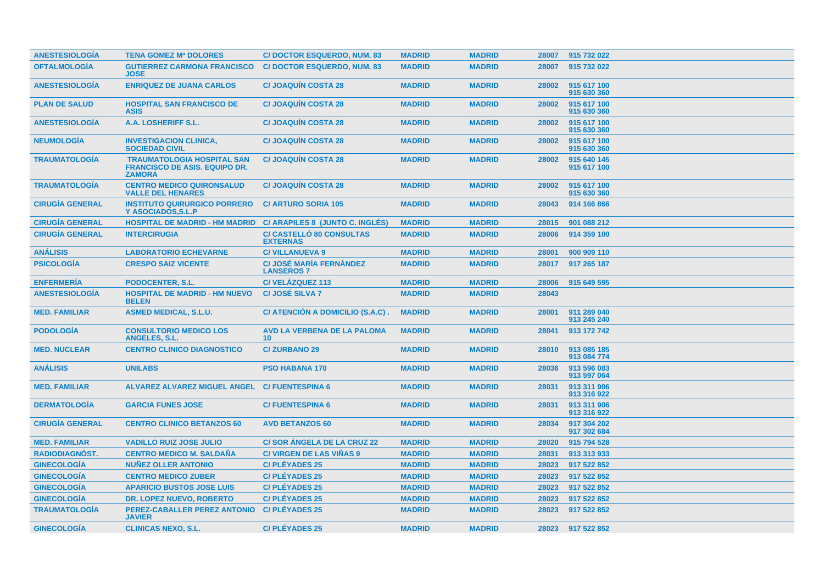| <b>ANESTESIOLOGIA</b>  | <b>TENA GOMEZ Mª DOLORES</b>                                                               | <b>C/DOCTOR ESQUERDO, NUM. 83</b>                   | <b>MADRID</b> | <b>MADRID</b> | 28007 | 915 732 022                |
|------------------------|--------------------------------------------------------------------------------------------|-----------------------------------------------------|---------------|---------------|-------|----------------------------|
| <b>OFTALMOLOGIA</b>    | <b>GUTIERREZ CARMONA FRANCISCO</b><br><b>JOSE</b>                                          | <b>C/DOCTOR ESQUERDO, NUM. 83</b>                   | <b>MADRID</b> | <b>MADRID</b> | 28007 | 915 732 022                |
| <b>ANESTESIOLOGÍA</b>  | <b>ENRIQUEZ DE JUANA CARLOS</b>                                                            | <b>C/JOAQUIN COSTA 28</b>                           | <b>MADRID</b> | <b>MADRID</b> | 28002 | 915 617 100<br>915 630 360 |
| <b>PLAN DE SALUD</b>   | <b>HOSPITAL SAN FRANCISCO DE</b><br><b>ASIS</b>                                            | <b>C/JOAQUIN COSTA 28</b>                           | <b>MADRID</b> | <b>MADRID</b> | 28002 | 915 617 100<br>915 630 360 |
| <b>ANESTESIOLOGIA</b>  | A.A. LOSHERIFF S.L.                                                                        | <b>C/JOAQUIN COSTA 28</b>                           | <b>MADRID</b> | <b>MADRID</b> | 28002 | 915 617 100<br>915 630 360 |
| <b>NEUMOLOGIA</b>      | <b>INVESTIGACION CLINICA,</b><br><b>SOCIEDAD CIVIL</b>                                     | <b>C/JOAQUIN COSTA 28</b>                           | <b>MADRID</b> | <b>MADRID</b> | 28002 | 915 617 100<br>915 630 360 |
| <b>TRAUMATOLOGIA</b>   | <b>TRAUMATOLOGIA HOSPITAL SAN</b><br><b>FRANCISCO DE ASIS. EQUIPO DR.</b><br><b>ZAMORA</b> | <b>C/JOAQUIN COSTA 28</b>                           | <b>MADRID</b> | <b>MADRID</b> | 28002 | 915 640 145<br>915 617 100 |
| <b>TRAUMATOLOGIA</b>   | <b>CENTRO MEDICO QUIRONSALUD</b><br><b>VALLE DEL HENARES</b>                               | <b>C/JOAQUIN COSTA 28</b>                           | <b>MADRID</b> | <b>MADRID</b> | 28002 | 915 617 100<br>915 630 360 |
| <b>CIRUGÍA GENERAL</b> | <b>INSTITUTO QUIRURGICO PORRERO</b><br>Y ASOCIADOS.S.L.P                                   | <b>C/ ARTURO SORIA 105</b>                          | <b>MADRID</b> | <b>MADRID</b> | 28043 | 914 166 866                |
| <b>CIRUGÍA GENERAL</b> | <b>HOSPITAL DE MADRID - HM MADRID</b>                                                      | C/ ARAPILES 8 (JUNTO C. INGLÉS)                     | <b>MADRID</b> | <b>MADRID</b> | 28015 | 901 088 212                |
| <b>CIRUGÍA GENERAL</b> | <b>INTERCIRUGIA</b>                                                                        | <b>C/ CASTELLO 80 CONSULTAS</b><br><b>EXTERNAS</b>  | <b>MADRID</b> | <b>MADRID</b> | 28006 | 914 359 100                |
| <b>ANÁLISIS</b>        | <b>LABORATORIO ECHEVARNE</b>                                                               | <b>C/ VILLANUEVA 9</b>                              | <b>MADRID</b> | <b>MADRID</b> | 28001 | 900 909 110                |
| <b>PSICOLOGÍA</b>      | <b>CRESPO SAIZ VICENTE</b>                                                                 | <b>C/ JOSÉ MARÍA FERNÁNDEZ</b><br><b>LANSEROS 7</b> | <b>MADRID</b> | <b>MADRID</b> | 28017 | 917 265 187                |
| <b>ENFERMERÍA</b>      | PODOCENTER, S.L.                                                                           | C/VELÁZQUEZ 113                                     | <b>MADRID</b> | <b>MADRID</b> | 28006 | 915 649 595                |
| <b>ANESTESIOLOGÍA</b>  | <b>HOSPITAL DE MADRID - HM NUEVO</b><br><b>BELEN</b>                                       | <b>C/ JOSÉ SILVA 7</b>                              | <b>MADRID</b> | <b>MADRID</b> | 28043 |                            |
| <b>MED. FAMILIAR</b>   | <b>ASMED MEDICAL, S.L.U.</b>                                                               | C/ ATENCIÓN A DOMICILIO (S.A.C).                    | <b>MADRID</b> | <b>MADRID</b> | 28001 | 911 289 040<br>913 245 240 |
| <b>PODOLOGÍA</b>       | <b>CONSULTORIO MEDICO LOS</b><br><b>ANGELES, S.L.</b>                                      | AVD LA VERBENA DE LA PALOMA<br>10                   | <b>MADRID</b> | <b>MADRID</b> | 28041 | 913 172 742                |
| <b>MED. NUCLEAR</b>    | <b>CENTRO CLINICO DIAGNOSTICO</b>                                                          | <b>C/ZURBANO 29</b>                                 | <b>MADRID</b> | <b>MADRID</b> | 28010 | 913 085 185<br>913 084 774 |
| <b>ANÁLISIS</b>        | <b>UNILABS</b>                                                                             | <b>PSO HABANA 170</b>                               | <b>MADRID</b> | <b>MADRID</b> | 28036 | 913 596 083<br>913 597 064 |
| <b>MED. FAMILIAR</b>   | ALVAREZ ALVAREZ MIGUEL ANGEL C/ FUENTESPINA 6                                              |                                                     | <b>MADRID</b> | <b>MADRID</b> | 28031 | 913 311 906<br>913 316 922 |
| <b>DERMATOLOGÍA</b>    | <b>GARCIA FUNES JOSE</b>                                                                   | <b>C/FUENTESPINA 6</b>                              | <b>MADRID</b> | <b>MADRID</b> | 28031 | 913 311 906<br>913 316 922 |
| <b>CIRUGÍA GENERAL</b> | <b>CENTRO CLINICO BETANZOS 60</b>                                                          | <b>AVD BETANZOS 60</b>                              | <b>MADRID</b> | <b>MADRID</b> | 28034 | 917 304 202<br>917 302 684 |
| <b>MED. FAMILIAR</b>   | <b>VADILLO RUIZ JOSE JULIO</b>                                                             | <b>C/SOR ANGELA DE LA CRUZ 22</b>                   | <b>MADRID</b> | <b>MADRID</b> | 28020 | 915 794 528                |
| <b>RADIODIAGNÓST.</b>  | <b>CENTRO MEDICO M. SALDAÑA</b>                                                            | <b>C/ VIRGEN DE LAS VIÑAS 9</b>                     | <b>MADRID</b> | <b>MADRID</b> | 28031 | 913 313 933                |
| <b>GINECOLOGÍA</b>     | <b>NUÑEZ OLLER ANTONIO</b>                                                                 | <b>C/PLÉYADES 25</b>                                | <b>MADRID</b> | <b>MADRID</b> | 28023 | 917 522 852                |
| <b>GINECOLOGÍA</b>     | <b>CENTRO MEDICO ZUBER</b>                                                                 | <b>C/PLÉYADES 25</b>                                | <b>MADRID</b> | <b>MADRID</b> | 28023 | 917 522 852                |
| <b>GINECOLOGÍA</b>     | <b>APARICIO BUSTOS JOSE LUIS</b>                                                           | <b>C/PLÉYADES 25</b>                                | <b>MADRID</b> | <b>MADRID</b> | 28023 | 917 522 852                |
| <b>GINECOLOGIA</b>     | <b>DR. LOPEZ NUEVO, ROBERTO</b>                                                            | <b>C/PLEYADES 25</b>                                | <b>MADRID</b> | <b>MADRID</b> | 28023 | 917 522 852                |
| <b>TRAUMATOLOGÍA</b>   | PEREZ-CABALLER PEREZ ANTONIO<br><b>JAVIER</b>                                              | <b>C/PLÉYADES 25</b>                                | <b>MADRID</b> | <b>MADRID</b> | 28023 | 917 522 852                |
| <b>GINECOLOGIA</b>     | <b>CLINICAS NEXO, S.L.</b>                                                                 | <b>C/PLÉYADES 25</b>                                | <b>MADRID</b> | <b>MADRID</b> | 28023 | 917 522 852                |
|                        |                                                                                            |                                                     |               |               |       |                            |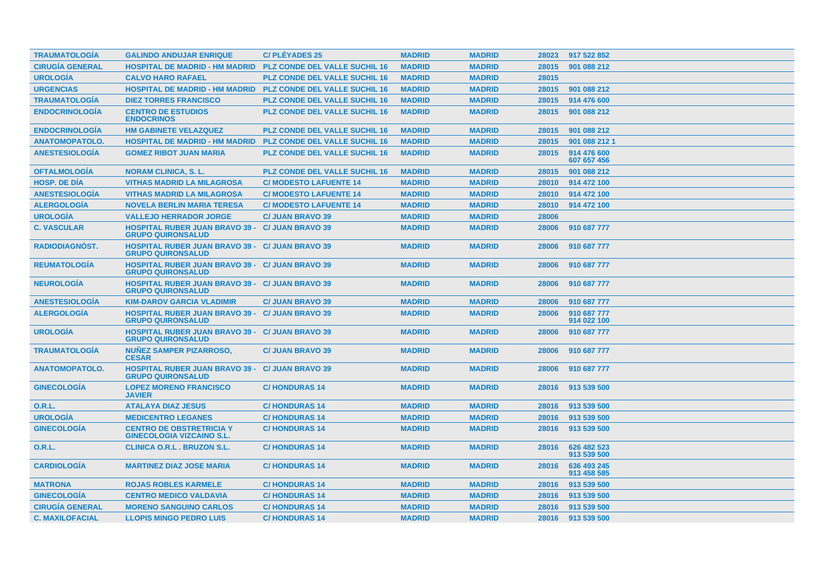| <b>TRAUMATOLOGIA</b>   | <b>GALINDO ANDUJAR ENRIQUE</b>                                                     | <b>C/PLÉYADES 25</b>                 | <b>MADRID</b> | <b>MADRID</b> | 28023 | 917 522 852                |
|------------------------|------------------------------------------------------------------------------------|--------------------------------------|---------------|---------------|-------|----------------------------|
| <b>CIRUGÍA GENERAL</b> | <b>HOSPITAL DE MADRID - HM MADRID</b>                                              | <b>PLZ CONDE DEL VALLE SUCHIL 16</b> | <b>MADRID</b> | <b>MADRID</b> | 28015 | 901 088 212                |
| <b>UROLOGÍA</b>        | <b>CALVO HARO RAFAEL</b>                                                           | <b>PLZ CONDE DEL VALLE SUCHIL 16</b> | <b>MADRID</b> | <b>MADRID</b> | 28015 |                            |
| <b>URGENCIAS</b>       | <b>HOSPITAL DE MADRID - HM MADRID</b>                                              | <b>PLZ CONDE DEL VALLE SUCHIL 16</b> | <b>MADRID</b> | <b>MADRID</b> | 28015 | 901 088 212                |
| <b>TRAUMATOLOGÍA</b>   | <b>DIEZ TORRES FRANCISCO</b>                                                       | <b>PLZ CONDE DEL VALLE SUCHIL 16</b> | <b>MADRID</b> | <b>MADRID</b> | 28015 | 914 476 600                |
| <b>ENDOCRINOLOGÍA</b>  | <b>CENTRO DE ESTUDIOS</b><br><b>ENDOCRINOS</b>                                     | <b>PLZ CONDE DEL VALLE SUCHIL 16</b> | <b>MADRID</b> | <b>MADRID</b> | 28015 | 901 088 212                |
| <b>ENDOCRINOLOGIA</b>  | <b>HM GABINETE VELAZQUEZ</b>                                                       | <b>PLZ CONDE DEL VALLE SUCHIL 16</b> | <b>MADRID</b> | <b>MADRID</b> | 28015 | 901 088 212                |
| <b>ANATOMOPATOLO.</b>  | <b>HOSPITAL DE MADRID - HM MADRID</b>                                              | <b>PLZ CONDE DEL VALLE SUCHIL 16</b> | <b>MADRID</b> | <b>MADRID</b> | 28015 | 901 088 212 1              |
| <b>ANESTESIOLOGÍA</b>  | <b>GOMEZ RIBOT JUAN MARIA</b>                                                      | <b>PLZ CONDE DEL VALLE SUCHIL 16</b> | <b>MADRID</b> | <b>MADRID</b> | 28015 | 914 476 600<br>607 657 456 |
| <b>OFTALMOLOGIA</b>    | <b>NORAM CLINICA, S. L.</b>                                                        | <b>PLZ CONDE DEL VALLE SUCHIL 16</b> | <b>MADRID</b> | <b>MADRID</b> | 28015 | 901 088 212                |
| <b>HOSP, DE DIA</b>    | <b>VITHAS MADRID LA MILAGROSA</b>                                                  | <b>C/ MODESTO LAFUENTE 14</b>        | <b>MADRID</b> | <b>MADRID</b> | 28010 | 914 472 100                |
| <b>ANESTESIOLOGIA</b>  | <b>VITHAS MADRID LA MILAGROSA</b>                                                  | <b>C/ MODESTO LAFUENTE 14</b>        | <b>MADRID</b> | <b>MADRID</b> | 28010 | 914 472 100                |
| <b>ALERGOLOGÍA</b>     | <b>NOVELA BERLIN MARIA TERESA</b>                                                  | <b>C/ MODESTO LAFUENTE 14</b>        | <b>MADRID</b> | <b>MADRID</b> | 28010 | 914 472 100                |
| <b>UROLOGÍA</b>        | <b>VALLEJO HERRADOR JORGE</b>                                                      | <b>C/ JUAN BRAVO 39</b>              | <b>MADRID</b> | <b>MADRID</b> | 28006 |                            |
| <b>C. VASCULAR</b>     | <b>HOSPITAL RUBER JUAN BRAVO 39 - C/ JUAN BRAVO 39</b><br><b>GRUPO QUIRONSALUD</b> |                                      | <b>MADRID</b> | <b>MADRID</b> | 28006 | 910 687 777                |
| <b>RADIODIAGNOST.</b>  | <b>HOSPITAL RUBER JUAN BRAVO 39 - C/ JUAN BRAVO 39</b><br><b>GRUPO QUIRONSALUD</b> |                                      | <b>MADRID</b> | <b>MADRID</b> | 28006 | 910 687 777                |
| <b>REUMATOLOGIA</b>    | <b>HOSPITAL RUBER JUAN BRAVO 39 - C/ JUAN BRAVO 39</b><br><b>GRUPO QUIRONSALUD</b> |                                      | <b>MADRID</b> | <b>MADRID</b> | 28006 | 910 687 777                |
| <b>NEUROLOGIA</b>      | <b>HOSPITAL RUBER JUAN BRAVO 39 - C/ JUAN BRAVO 39</b><br><b>GRUPO QUIRONSALUD</b> |                                      | <b>MADRID</b> | <b>MADRID</b> | 28006 | 910 687 777                |
| <b>ANESTESIOLOGÍA</b>  | <b>KIM-DAROV GARCIA VLADIMIR</b>                                                   | <b>C/ JUAN BRAVO 39</b>              | <b>MADRID</b> | <b>MADRID</b> | 28006 | 910 687 777                |
| <b>ALERGOLOGIA</b>     | <b>HOSPITAL RUBER JUAN BRAVO 39 - C/ JUAN BRAVO 39</b><br><b>GRUPO QUIRONSALUD</b> |                                      | <b>MADRID</b> | <b>MADRID</b> | 28006 | 910 687 777<br>914 022 100 |
| <b>UROLOGIA</b>        | <b>HOSPITAL RUBER JUAN BRAVO 39 - C/ JUAN BRAVO 39</b><br><b>GRUPO QUIRONSALUD</b> |                                      | <b>MADRID</b> | <b>MADRID</b> | 28006 | 910 687 777                |
| <b>TRAUMATOLOGIA</b>   | <b>NUÑEZ SAMPER PIZARROSO,</b><br><b>CESAR</b>                                     | <b>C/ JUAN BRAVO 39</b>              | <b>MADRID</b> | <b>MADRID</b> | 28006 | 910 687 777                |
| <b>ANATOMOPATOLO.</b>  | <b>HOSPITAL RUBER JUAN BRAVO 39 - C/ JUAN BRAVO 39</b><br><b>GRUPO QUIRONSALUD</b> |                                      | <b>MADRID</b> | <b>MADRID</b> | 28006 | 910 687 777                |
| <b>GINECOLOGIA</b>     | <b>LOPEZ MORENO FRANCISCO</b><br><b>JAVIER</b>                                     | <b>C/HONDURAS 14</b>                 | <b>MADRID</b> | <b>MADRID</b> | 28016 | 913 539 500                |
| 0.R.L.                 | <b>ATALAYA DIAZ JESUS</b>                                                          | <b>C/HONDURAS14</b>                  | <b>MADRID</b> | <b>MADRID</b> | 28016 | 913 539 500                |
| <b>UROLOGÍA</b>        | <b>MEDICENTRO LEGANES</b>                                                          | <b>C/HONDURAS14</b>                  | <b>MADRID</b> | <b>MADRID</b> | 28016 | 913 539 500                |
| <b>GINECOLOGÍA</b>     | <b>CENTRO DE OBSTRETRICIA Y</b><br><b>GINECOLOGIA VIZCAINO S.L.</b>                | <b>C/HONDURAS 14</b>                 | <b>MADRID</b> | <b>MADRID</b> | 28016 | 913 539 500                |
| <b>O.R.L.</b>          | <b>CLINICA O.R.L. BRUZON S.L.</b>                                                  | <b>C/HONDURAS14</b>                  | <b>MADRID</b> | <b>MADRID</b> | 28016 | 626 482 523<br>913 539 500 |
| <b>CARDIOLOGIA</b>     | <b>MARTINEZ DIAZ JOSE MARIA</b>                                                    | <b>C/HONDURAS14</b>                  | <b>MADRID</b> | <b>MADRID</b> | 28016 | 636 493 245<br>913 458 585 |
| <b>MATRONA</b>         | <b>ROJAS ROBLES KARMELE</b>                                                        | <b>C/HONDURAS 14</b>                 | <b>MADRID</b> | <b>MADRID</b> | 28016 | 913 539 500                |
| <b>GINECOLOGIA</b>     | <b>CENTRO MEDICO VALDAVIA</b>                                                      | <b>C/HONDURAS14</b>                  | <b>MADRID</b> | <b>MADRID</b> | 28016 | 913 539 500                |
| <b>CIRUGÍA GENERAL</b> | <b>MORENO SANGUINO CARLOS</b>                                                      | <b>C/HONDURAS14</b>                  | <b>MADRID</b> | <b>MADRID</b> | 28016 | 913 539 500                |
| <b>C. MAXILOFACIAL</b> | <b>LLOPIS MINGO PEDRO LUIS</b>                                                     | <b>C/HONDURAS 14</b>                 | <b>MADRID</b> | <b>MADRID</b> | 28016 | 913 539 500                |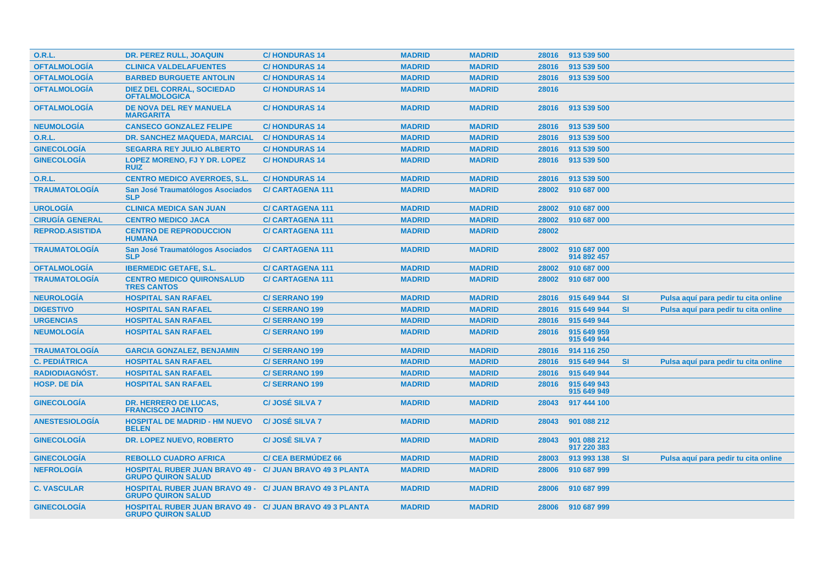| <b>O.R.L.</b>          | <b>DR. PEREZ RULL, JOAQUIN</b>                                                               | <b>C/HONDURAS 14</b>      | <b>MADRID</b> | <b>MADRID</b> |       | 28016 913 539 500          |           |                                      |
|------------------------|----------------------------------------------------------------------------------------------|---------------------------|---------------|---------------|-------|----------------------------|-----------|--------------------------------------|
| <b>OFTALMOLOGÍA</b>    | <b>CLINICA VALDELAFUENTES</b>                                                                | <b>C/HONDURAS14</b>       | <b>MADRID</b> | <b>MADRID</b> | 28016 | 913 539 500                |           |                                      |
| <b>OFTALMOLOGÍA</b>    | <b>BARBED BURGUETE ANTOLIN</b>                                                               | <b>C/HONDURAS14</b>       | <b>MADRID</b> | <b>MADRID</b> | 28016 | 913 539 500                |           |                                      |
| <b>OFTALMOLOGÍA</b>    | <b>DIEZ DEL CORRAL, SOCIEDAD</b><br><b>OFTALMOLOGICA</b>                                     | <b>C/HONDURAS 14</b>      | <b>MADRID</b> | <b>MADRID</b> | 28016 |                            |           |                                      |
| <b>OFTALMOLOGÍA</b>    | <b>DE NOVA DEL REY MANUELA</b><br><b>MARGARITA</b>                                           | <b>C/HONDURAS 14</b>      | <b>MADRID</b> | <b>MADRID</b> | 28016 | 913 539 500                |           |                                      |
| <b>NEUMOLOGÍA</b>      | <b>CANSECO GONZALEZ FELIPE</b>                                                               | <b>C/HONDURAS14</b>       | <b>MADRID</b> | <b>MADRID</b> | 28016 | 913 539 500                |           |                                      |
| <b>O.R.L.</b>          | DR. SANCHEZ MAQUEDA, MARCIAL                                                                 | <b>C/HONDURAS14</b>       | <b>MADRID</b> | <b>MADRID</b> | 28016 | 913 539 500                |           |                                      |
| <b>GINECOLOGÍA</b>     | <b>SEGARRA REY JULIO ALBERTO</b>                                                             | <b>C/HONDURAS14</b>       | <b>MADRID</b> | <b>MADRID</b> | 28016 | 913 539 500                |           |                                      |
| <b>GINECOLOGÍA</b>     | <b>LOPEZ MORENO, FJ Y DR. LOPEZ</b><br><b>RUIZ</b>                                           | <b>C/HONDURAS14</b>       | <b>MADRID</b> | <b>MADRID</b> | 28016 | 913 539 500                |           |                                      |
| <b>O.R.L.</b>          | <b>CENTRO MEDICO AVERROES, S.L.</b>                                                          | <b>C/HONDURAS 14</b>      | <b>MADRID</b> | <b>MADRID</b> | 28016 | 913 539 500                |           |                                      |
| <b>TRAUMATOLOGÍA</b>   | San José Traumatólogos Asociados<br><b>SLP</b>                                               | <b>C/CARTAGENA 111</b>    | <b>MADRID</b> | <b>MADRID</b> | 28002 | 910 687 000                |           |                                      |
| <b>UROLOGÍA</b>        | <b>CLINICA MEDICA SAN JUAN</b>                                                               | <b>C/CARTAGENA 111</b>    | <b>MADRID</b> | <b>MADRID</b> | 28002 | 910 687 000                |           |                                      |
| <b>CIRUGÍA GENERAL</b> | <b>CENTRO MEDICO JACA</b>                                                                    | <b>C/CARTAGENA 111</b>    | <b>MADRID</b> | <b>MADRID</b> | 28002 | 910 687 000                |           |                                      |
| <b>REPROD.ASISTIDA</b> | <b>CENTRO DE REPRODUCCION</b><br><b>HUMANA</b>                                               | <b>C/CARTAGENA 111</b>    | <b>MADRID</b> | <b>MADRID</b> | 28002 |                            |           |                                      |
| <b>TRAUMATOLOGÍA</b>   | San José Traumatólogos Asociados<br><b>SLP</b>                                               | <b>C/CARTAGENA 111</b>    | <b>MADRID</b> | <b>MADRID</b> | 28002 | 910 687 000<br>914 892 457 |           |                                      |
| <b>OFTALMOLOGÍA</b>    | <b>IBERMEDIC GETAFE, S.L.</b>                                                                | <b>C/CARTAGENA 111</b>    | <b>MADRID</b> | <b>MADRID</b> | 28002 | 910 687 000                |           |                                      |
| <b>TRAUMATOLOGÍA</b>   | <b>CENTRO MEDICO QUIRONSALUD</b><br><b>TRES CANTOS</b>                                       | <b>C/CARTAGENA 111</b>    | <b>MADRID</b> | <b>MADRID</b> | 28002 | 910 687 000                |           |                                      |
| <b>NEUROLOGÍA</b>      | <b>HOSPITAL SAN RAFAEL</b>                                                                   | <b>C/SERRANO 199</b>      | <b>MADRID</b> | <b>MADRID</b> | 28016 | 915 649 944                | <b>SI</b> | Pulsa aquí para pedir tu cita online |
| <b>DIGESTIVO</b>       | <b>HOSPITAL SAN RAFAEL</b>                                                                   | <b>C/SERRANO 199</b>      | <b>MADRID</b> | <b>MADRID</b> | 28016 | 915 649 944                | <b>SI</b> | Pulsa aquí para pedir tu cita online |
| <b>URGENCIAS</b>       | <b>HOSPITAL SAN RAFAEL</b>                                                                   | <b>C/SERRANO 199</b>      | <b>MADRID</b> | <b>MADRID</b> | 28016 | 915 649 944                |           |                                      |
| <b>NEUMOLOGÍA</b>      | <b>HOSPITAL SAN RAFAEL</b>                                                                   | <b>C/SERRANO 199</b>      | <b>MADRID</b> | <b>MADRID</b> | 28016 | 915 649 959<br>915 649 944 |           |                                      |
| <b>TRAUMATOLOGIA</b>   | <b>GARCIA GONZALEZ, BENJAMIN</b>                                                             | <b>C/SERRANO 199</b>      | <b>MADRID</b> | <b>MADRID</b> | 28016 | 914 116 250                |           |                                      |
| <b>C. PEDIÁTRICA</b>   | <b>HOSPITAL SAN RAFAEL</b>                                                                   | <b>C/SERRANO 199</b>      | <b>MADRID</b> | <b>MADRID</b> | 28016 | 915 649 944                | <b>SI</b> | Pulsa aquí para pedir tu cita online |
| <b>RADIODIAGNOST.</b>  | <b>HOSPITAL SAN RAFAEL</b>                                                                   | <b>C/SERRANO 199</b>      | <b>MADRID</b> | <b>MADRID</b> | 28016 | 915 649 944                |           |                                      |
| <b>HOSP. DE DIA</b>    | <b>HOSPITAL SAN RAFAEL</b>                                                                   | <b>C/SERRANO 199</b>      | <b>MADRID</b> | <b>MADRID</b> | 28016 | 915 649 943<br>915 649 949 |           |                                      |
| <b>GINECOLOGÍA</b>     | <b>DR. HERRERO DE LUCAS,</b><br><b>FRANCISCO JACINTO</b>                                     | C/ JOSÉ SILVA 7           | <b>MADRID</b> | <b>MADRID</b> | 28043 | 917 444 100                |           |                                      |
| <b>ANESTESIOLOGÍA</b>  | <b>HOSPITAL DE MADRID - HM NUEVO</b><br><b>BELEN</b>                                         | <b>C/JOSÉ SILVA 7</b>     | <b>MADRID</b> | <b>MADRID</b> | 28043 | 901 088 212                |           |                                      |
| <b>GINECOLOGÍA</b>     | DR. LOPEZ NUEVO, ROBERTO                                                                     | <b>C/JOSÉ SILVA 7</b>     | <b>MADRID</b> | <b>MADRID</b> | 28043 | 901 088 212<br>917 220 383 |           |                                      |
| <b>GINECOLOGIA</b>     | <b>REBOLLO CUADRO AFRICA</b>                                                                 | <b>C/ CEA BERMUDEZ 66</b> | <b>MADRID</b> | <b>MADRID</b> | 28003 | 913 993 138                | <b>SI</b> | Pulsa aquí para pedir tu cita online |
| <b>NEFROLOGIA</b>      | <b>HOSPITAL RUBER JUAN BRAVO 49 - C/ JUAN BRAVO 49 3 PLANTA</b><br><b>GRUPO QUIRON SALUD</b> |                           | <b>MADRID</b> | <b>MADRID</b> | 28006 | 910 687 999                |           |                                      |
| <b>C. VASCULAR</b>     | <b>HOSPITAL RUBER JUAN BRAVO 49 - C/ JUAN BRAVO 49 3 PLANTA</b><br><b>GRUPO QUIRON SALUD</b> |                           | <b>MADRID</b> | <b>MADRID</b> | 28006 | 910 687 999                |           |                                      |
| <b>GINECOLOGIA</b>     | <b>HOSPITAL RUBER JUAN BRAVO 49 - C/ JUAN BRAVO 49 3 PLANTA</b><br><b>GRUPO QUIRON SALUD</b> |                           | <b>MADRID</b> | <b>MADRID</b> |       | 28006 910 687 999          |           |                                      |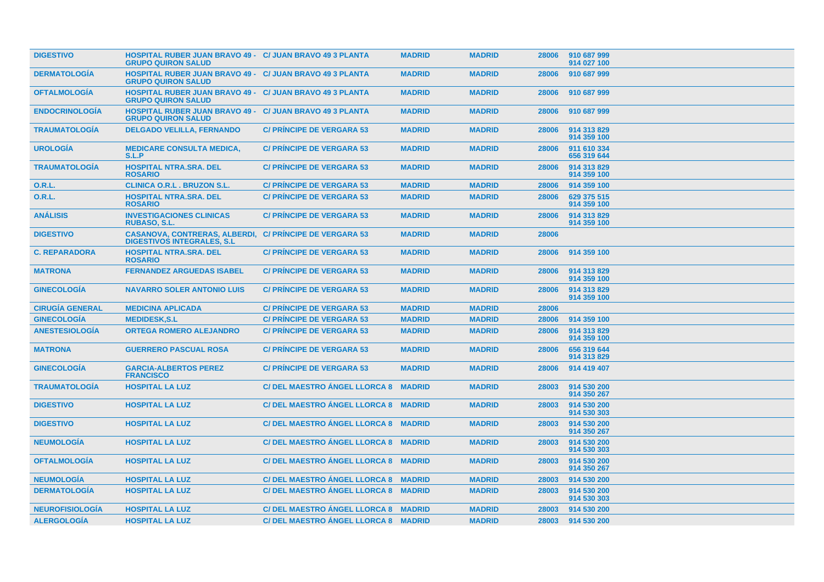| <b>DIGESTIVO</b>       | <b>HOSPITAL RUBER JUAN BRAVO 49 - C/ JUAN BRAVO 49 3 PLANTA</b><br><b>GRUPO QUIRON SALUD</b>         |                                      | <b>MADRID</b> | <b>MADRID</b> | 28006 | 910 687 999<br>914 027 100 |
|------------------------|------------------------------------------------------------------------------------------------------|--------------------------------------|---------------|---------------|-------|----------------------------|
| <b>DERMATOLOGIA</b>    | <b>HOSPITAL RUBER JUAN BRAVO 49 - C/ JUAN BRAVO 49 3 PLANTA</b><br><b>GRUPO QUIRON SALUD</b>         |                                      | <b>MADRID</b> | <b>MADRID</b> | 28006 | 910 687 999                |
| <b>OFTALMOLOGIA</b>    | <b>HOSPITAL RUBER JUAN BRAVO 49 - C/ JUAN BRAVO 49 3 PLANTA</b><br><b>GRUPO QUIRON SALUD</b>         |                                      | <b>MADRID</b> | <b>MADRID</b> | 28006 | 910 687 999                |
| <b>ENDOCRINOLOGIA</b>  | <b>HOSPITAL RUBER JUAN BRAVO 49 - C/ JUAN BRAVO 49 3 PLANTA</b><br><b>GRUPO QUIRON SALUD</b>         |                                      | <b>MADRID</b> | <b>MADRID</b> | 28006 | 910 687 999                |
| <b>TRAUMATOLOGIA</b>   | <b>DELGADO VELILLA, FERNANDO</b>                                                                     | <b>C/ PRINCIPE DE VERGARA 53</b>     | <b>MADRID</b> | <b>MADRID</b> | 28006 | 914 313 829<br>914 359 100 |
| <b>UROLOGÍA</b>        | <b>MEDICARE CONSULTA MEDICA,</b><br>S.L.P                                                            | <b>C/ PRINCIPE DE VERGARA 53</b>     | <b>MADRID</b> | <b>MADRID</b> | 28006 | 911 610 334<br>656 319 644 |
| <b>TRAUMATOLOGÍA</b>   | <b>HOSPITAL NTRA.SRA. DEL</b><br><b>ROSARIO</b>                                                      | <b>C/ PRINCIPE DE VERGARA 53</b>     | <b>MADRID</b> | <b>MADRID</b> | 28006 | 914 313 829<br>914 359 100 |
| <b>O.R.L.</b>          | <b>CLINICA O.R.L. BRUZON S.L.</b>                                                                    | <b>C/ PRINCIPE DE VERGARA 53</b>     | <b>MADRID</b> | <b>MADRID</b> | 28006 | 914 359 100                |
| <b>O.R.L.</b>          | <b>HOSPITAL NTRA.SRA. DEL</b><br><b>ROSARIO</b>                                                      | <b>C/ PRINCIPE DE VERGARA 53</b>     | <b>MADRID</b> | <b>MADRID</b> | 28006 | 629 375 515<br>914 359 100 |
| <b>ANÁLISIS</b>        | <b>INVESTIGACIONES CLINICAS</b><br>RUBASO, S.L.                                                      | <b>C/ PRINCIPE DE VERGARA 53</b>     | <b>MADRID</b> | <b>MADRID</b> | 28006 | 914 313 829<br>914 359 100 |
| <b>DIGESTIVO</b>       | <b>CASANOVA, CONTRERAS, ALBERDI, C/ PRINCIPE DE VERGARA 53</b><br><b>DIGESTIVOS INTEGRALES, S.L.</b> |                                      | <b>MADRID</b> | <b>MADRID</b> | 28006 |                            |
| <b>C. REPARADORA</b>   | <b>HOSPITAL NTRA.SRA. DEL</b><br><b>ROSARIO</b>                                                      | <b>C/ PRINCIPE DE VERGARA 53</b>     | <b>MADRID</b> | <b>MADRID</b> | 28006 | 914 359 100                |
| <b>MATRONA</b>         | <b>FERNANDEZ ARGUEDAS ISABEL</b>                                                                     | <b>C/ PRINCIPE DE VERGARA 53</b>     | <b>MADRID</b> | <b>MADRID</b> | 28006 | 914 313 829<br>914 359 100 |
| <b>GINECOLOGIA</b>     | <b>NAVARRO SOLER ANTONIO LUIS</b>                                                                    | <b>C/ PRINCIPE DE VERGARA 53</b>     | <b>MADRID</b> | <b>MADRID</b> | 28006 | 914 313 829<br>914 359 100 |
| <b>CIRUGÍA GENERAL</b> | <b>MEDICINA APLICADA</b>                                                                             | <b>C/ PRINCIPE DE VERGARA 53</b>     | <b>MADRID</b> | <b>MADRID</b> | 28006 |                            |
| <b>GINECOLOGÍA</b>     | <b>MEDIDESK.S.L</b>                                                                                  | <b>C/ PRINCIPE DE VERGARA 53</b>     | <b>MADRID</b> | <b>MADRID</b> | 28006 | 914 359 100                |
| <b>ANESTESIOLOGÍA</b>  | <b>ORTEGA ROMERO ALEJANDRO</b>                                                                       | <b>C/ PRINCIPE DE VERGARA 53</b>     | <b>MADRID</b> | <b>MADRID</b> | 28006 | 914 313 829<br>914 359 100 |
| <b>MATRONA</b>         | <b>GUERRERO PASCUAL ROSA</b>                                                                         | <b>C/ PRINCIPE DE VERGARA 53</b>     | <b>MADRID</b> | <b>MADRID</b> | 28006 | 656 319 644<br>914 313 829 |
| <b>GINECOLOGIA</b>     | <b>GARCIA-ALBERTOS PEREZ</b><br><b>FRANCISCO</b>                                                     | <b>C/ PRINCIPE DE VERGARA 53</b>     | <b>MADRID</b> | <b>MADRID</b> | 28006 | 914 419 407                |
| <b>TRAUMATOLOGÍA</b>   | <b>HOSPITAL LA LUZ</b>                                                                               | <b>C/ DEL MAESTRO ANGEL LLORCA 8</b> | <b>MADRID</b> | <b>MADRID</b> | 28003 | 914 530 200<br>914 350 267 |
| <b>DIGESTIVO</b>       | <b>HOSPITAL LA LUZ</b>                                                                               | C/ DEL MAESTRO ANGEL LLORCA 8 MADRID |               | <b>MADRID</b> | 28003 | 914 530 200<br>914 530 303 |
| <b>DIGESTIVO</b>       | <b>HOSPITAL LA LUZ</b>                                                                               | C/DEL MAESTRO ANGEL LLORCA 8 MADRID  |               | <b>MADRID</b> | 28003 | 914 530 200<br>914 350 267 |
| <b>NEUMOLOGIA</b>      | <b>HOSPITAL LA LUZ</b>                                                                               | C/DEL MAESTRO ANGEL LLORCA 8 MADRID  |               | <b>MADRID</b> | 28003 | 914 530 200<br>914 530 303 |
| <b>OFTALMOLOGÍA</b>    | <b>HOSPITAL LA LUZ</b>                                                                               | C/DEL MAESTRO ANGEL LLORCA 8 MADRID  |               | <b>MADRID</b> | 28003 | 914 530 200<br>914 350 267 |
| <b>NEUMOLOGIA</b>      | <b>HOSPITAL LA LUZ</b>                                                                               | C/ DEL MAESTRO ANGEL LLORCA 8 MADRID |               | <b>MADRID</b> | 28003 | 914 530 200                |
| <b>DERMATOLOGÍA</b>    | <b>HOSPITAL LA LUZ</b>                                                                               | C/ DEL MAESTRO ANGEL LLORCA 8 MADRID |               | <b>MADRID</b> | 28003 | 914 530 200<br>914 530 303 |
| <b>NEUROFISIOLOGÍA</b> | <b>HOSPITAL LA LUZ</b>                                                                               | C/ DEL MAESTRO ANGEL LLORCA 8 MADRID |               | <b>MADRID</b> | 28003 | 914 530 200                |
| <b>ALERGOLOGIA</b>     | <b>HOSPITAL LA LUZ</b>                                                                               | C/ DEL MAESTRO ANGEL LLORCA 8 MADRID |               | <b>MADRID</b> | 28003 | 914 530 200                |
|                        |                                                                                                      |                                      |               |               |       |                            |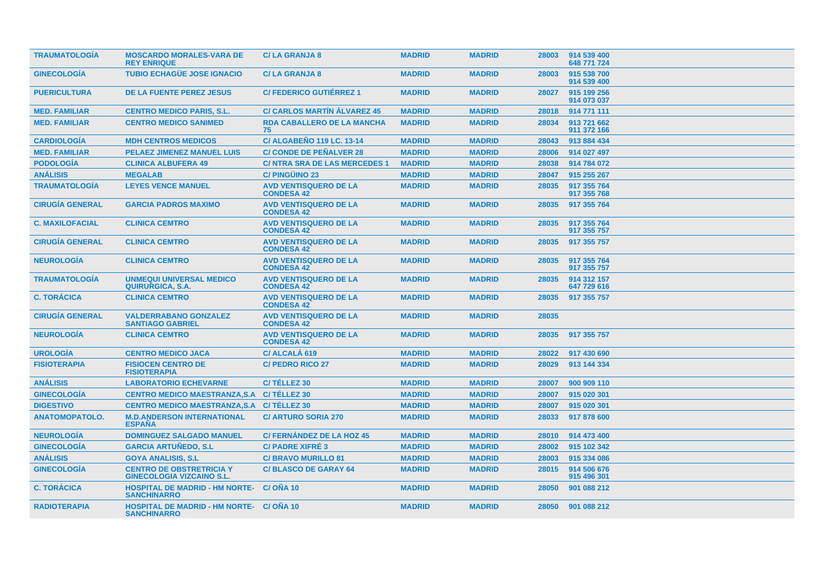| <b>TRAUMATOLOGIA</b>   | <b>MOSCARDO MORALES-VARA DE</b><br><b>REY ENRIQUE</b>                | <b>C/LA GRANJA 8</b>                              | <b>MADRID</b> | <b>MADRID</b> | 28003 | 914 539 400<br>648 771 724 |
|------------------------|----------------------------------------------------------------------|---------------------------------------------------|---------------|---------------|-------|----------------------------|
| <b>GINECOLOGÍA</b>     | <b>TUBIO ECHAGÜE JOSE IGNACIO</b>                                    | <b>C/LA GRANJA 8</b>                              | <b>MADRID</b> | <b>MADRID</b> | 28003 | 915 538 700<br>914 539 400 |
| <b>PUERICULTURA</b>    | <b>DE LA FUENTE PEREZ JESUS</b>                                      | <b>C/FEDERICO GUTIÉRREZ 1</b>                     | <b>MADRID</b> | <b>MADRID</b> | 28027 | 915 199 256<br>914 073 037 |
| <b>MED. FAMILIAR</b>   | <b>CENTRO MEDICO PARIS, S.L.</b>                                     | <b>C/ CARLOS MARTIN ALVAREZ 45</b>                | <b>MADRID</b> | <b>MADRID</b> | 28018 | 914 771 111                |
| <b>MED. FAMILIAR</b>   | <b>CENTRO MEDICO SANIMED</b>                                         | <b>RDA CABALLERO DE LA MANCHA</b><br>75           | <b>MADRID</b> | <b>MADRID</b> | 28034 | 913 721 662<br>911 372 166 |
| <b>CARDIOLOGÍA</b>     | <b>MDH CENTROS MEDICOS</b>                                           | <b>C/ ALGABENO 119 LC. 13-14</b>                  | <b>MADRID</b> | <b>MADRID</b> | 28043 | 913 884 434                |
| <b>MED. FAMILIAR</b>   | <b>PELAEZ JIMENEZ MANUEL LUIS</b>                                    | <b>C/ CONDE DE PEÑALVER 28</b>                    | <b>MADRID</b> | <b>MADRID</b> | 28006 | 914 027 497                |
| <b>PODOLOGÍA</b>       | <b>CLINICA ALBUFERA 49</b>                                           | <b>C/NTRA SRA DE LAS MERCEDES 1</b>               | <b>MADRID</b> | <b>MADRID</b> | 28038 | 914 784 072                |
| <b>ANÁLISIS</b>        | <b>MEGALAB</b>                                                       | <b>C/PINGÜINO 23</b>                              | <b>MADRID</b> | <b>MADRID</b> | 28047 | 915 255 267                |
| <b>TRAUMATOLOGÍA</b>   | <b>LEYES VENCE MANUEL</b>                                            | <b>AVD VENTISQUERO DE LA</b><br><b>CONDESA 42</b> | <b>MADRID</b> | <b>MADRID</b> | 28035 | 917 355 764<br>917 355 768 |
| <b>CIRUGÍA GENERAL</b> | <b>GARCIA PADROS MAXIMO</b>                                          | <b>AVD VENTISQUERO DE LA</b><br><b>CONDESA 42</b> | <b>MADRID</b> | <b>MADRID</b> | 28035 | 917 355 764                |
| <b>C. MAXILOFACIAL</b> | <b>CLINICA CEMTRO</b>                                                | <b>AVD VENTISQUERO DE LA</b><br><b>CONDESA 42</b> | <b>MADRID</b> | <b>MADRID</b> | 28035 | 917 355 764<br>917 355 757 |
| <b>CIRUGÍA GENERAL</b> | <b>CLINICA CEMTRO</b>                                                | <b>AVD VENTISQUERO DE LA</b><br><b>CONDESA 42</b> | <b>MADRID</b> | <b>MADRID</b> | 28035 | 917 355 757                |
| <b>NEUROLOGÍA</b>      | <b>CLINICA CEMTRO</b>                                                | <b>AVD VENTISQUERO DE LA</b><br><b>CONDESA 42</b> | <b>MADRID</b> | <b>MADRID</b> | 28035 | 917 355 764<br>917 355 757 |
| <b>TRAUMATOLOGIA</b>   | <b>UNMEQUI UNIVERSAL MEDICO</b><br><b>QUIRURGICA, S.A.</b>           | <b>AVD VENTISQUERO DE LA</b><br><b>CONDESA 42</b> | <b>MADRID</b> | <b>MADRID</b> | 28035 | 914 312 157<br>647 729 616 |
| <b>C. TORÁCICA</b>     | <b>CLINICA CEMTRO</b>                                                | <b>AVD VENTISQUERO DE LA</b><br><b>CONDESA 42</b> | <b>MADRID</b> | <b>MADRID</b> | 28035 | 917 355 757                |
| <b>CIRUGÍA GENERAL</b> | <b>VALDERRABANO GONZALEZ</b><br><b>SANTIAGO GABRIEL</b>              | <b>AVD VENTISQUERO DE LA</b><br><b>CONDESA 42</b> | <b>MADRID</b> | <b>MADRID</b> | 28035 |                            |
| <b>NEUROLOGÍA</b>      | <b>CLINICA CEMTRO</b>                                                | <b>AVD VENTISQUERO DE LA</b><br><b>CONDESA 42</b> | <b>MADRID</b> | <b>MADRID</b> | 28035 | 917 355 757                |
| <b>UROLOGÍA</b>        | <b>CENTRO MEDICO JACA</b>                                            | C/ ALCALA 619                                     | <b>MADRID</b> | <b>MADRID</b> | 28022 | 917 430 690                |
| <b>FISIOTERAPIA</b>    | <b>FISIOCEN CENTRO DE</b><br><b>FISIOTERAPIA</b>                     | <b>C/PEDRO RICO 27</b>                            | <b>MADRID</b> | <b>MADRID</b> | 28029 | 913 144 334                |
| <b>ANÁLISIS</b>        | <b>LABORATORIO ECHEVARNE</b>                                         | C/TÉLLEZ 30                                       | <b>MADRID</b> | <b>MADRID</b> | 28007 | 900 909 110                |
| <b>GINECOLOGÍA</b>     | <b>CENTRO MEDICO MAESTRANZA.S.A</b>                                  | C/TÉLLEZ 30                                       | <b>MADRID</b> | <b>MADRID</b> | 28007 | 915 020 301                |
| <b>DIGESTIVO</b>       | <b>CENTRO MEDICO MAESTRANZA, S.A.</b>                                | C/TÉLLEZ 30                                       | <b>MADRID</b> | <b>MADRID</b> | 28007 | 915 020 301                |
| <b>ANATOMOPATOLO.</b>  | <b>M.D.ANDERSON INTERNATIONAL</b><br><b>ESPAÑA</b>                   | <b>C/ ARTURO SORIA 270</b>                        | <b>MADRID</b> | <b>MADRID</b> | 28033 | 917 878 600                |
| <b>NEUROLOGÍA</b>      | <b>DOMINGUEZ SALGADO MANUEL</b>                                      | <b>C/FERNÁNDEZ DE LA HOZ 45</b>                   | <b>MADRID</b> | <b>MADRID</b> | 28010 | 914 473 400                |
| <b>GINECOLOGÍA</b>     | <b>GARCIA ARTUÑEDO, S.L.</b>                                         | <b>C/PADRE XIFRÉ 3</b>                            | <b>MADRID</b> | <b>MADRID</b> | 28002 | 915 102 342                |
| <b>ANÁLISIS</b>        | <b>GOYA ANALISIS, S.L.</b>                                           | <b>C/ BRAVO MURILLO 81</b>                        | <b>MADRID</b> | <b>MADRID</b> | 28003 | 915 334 086                |
| <b>GINECOLOGÍA</b>     | <b>CENTRO DE OBSTRETRICIA Y</b><br><b>GINECOLOGIA VIZCAINO S.L.</b>  | <b>C/BLASCO DE GARAY 64</b>                       | <b>MADRID</b> | <b>MADRID</b> | 28015 | 914 506 676<br>915 496 301 |
| <b>C. TORÁCICA</b>     | <b>HOSPITAL DE MADRID - HM NORTE-</b><br><b>SANCHINARRO</b>          | C/ONA 10                                          | <b>MADRID</b> | <b>MADRID</b> | 28050 | 901 088 212                |
| <b>RADIOTERAPIA</b>    | <b>HOSPITAL DE MADRID - HM NORTE- C/OÑA 10</b><br><b>SANCHINARRO</b> |                                                   | <b>MADRID</b> | <b>MADRID</b> | 28050 | 901 088 212                |
|                        |                                                                      |                                                   |               |               |       |                            |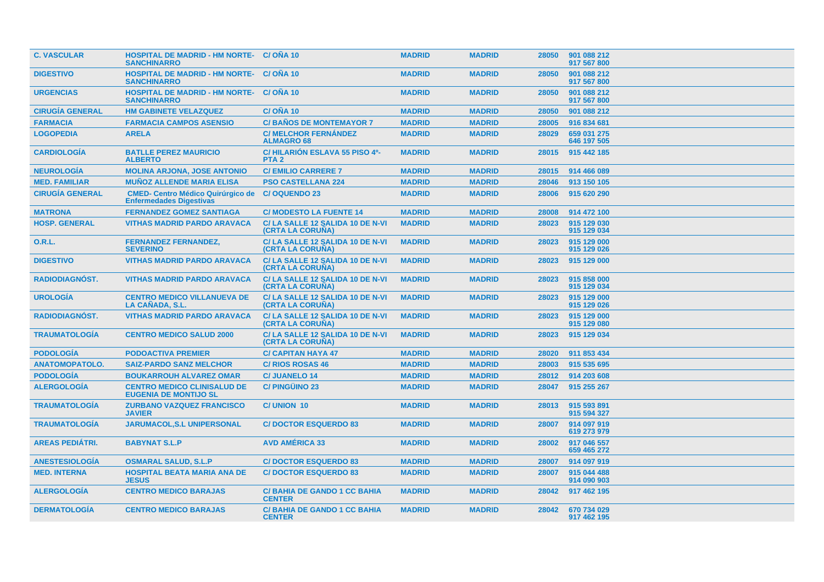| <b>C. VASCULAR</b>     | <b>HOSPITAL DE MADRID - HM NORTE- C/ONA 10</b><br><b>SANCHINARRO</b>       |                                                            | <b>MADRID</b> | <b>MADRID</b> | 28050 | 901 088 212<br>917 567 800 |
|------------------------|----------------------------------------------------------------------------|------------------------------------------------------------|---------------|---------------|-------|----------------------------|
| <b>DIGESTIVO</b>       | <b>HOSPITAL DE MADRID - HM NORTE- C/OÑA 10</b><br><b>SANCHINARRO</b>       |                                                            | <b>MADRID</b> | <b>MADRID</b> | 28050 | 901 088 212<br>917 567 800 |
| <b>URGENCIAS</b>       | <b>HOSPITAL DE MADRID - HM NORTE- C/ ONA 10</b><br><b>SANCHINARRO</b>      |                                                            | <b>MADRID</b> | <b>MADRID</b> | 28050 | 901 088 212<br>917 567 800 |
| <b>CIRUGÍA GENERAL</b> | <b>HM GABINETE VELAZQUEZ</b>                                               | <b>C/ OÑA 10</b>                                           | <b>MADRID</b> | <b>MADRID</b> | 28050 | 901 088 212                |
| <b>FARMACIA</b>        | <b>FARMACIA CAMPOS ASENSIO</b>                                             | <b>C/BAÑOS DE MONTEMAYOR 7</b>                             | <b>MADRID</b> | <b>MADRID</b> | 28005 | 916 834 681                |
| <b>LOGOPEDIA</b>       | <b>ARELA</b>                                                               | <b>C/ MELCHOR FERNANDEZ</b><br><b>ALMAGRO 68</b>           | <b>MADRID</b> | <b>MADRID</b> | 28029 | 659 031 275<br>646 197 505 |
| <b>CARDIOLOGÍA</b>     | <b>BATLLE PEREZ MAURICIO</b><br><b>ALBERTO</b>                             | C/HILARIÓN ESLAVA 55 PISO 4º-<br>PTA <sub>2</sub>          | <b>MADRID</b> | <b>MADRID</b> | 28015 | 915 442 185                |
| <b>NEUROLOGIA</b>      | <b>MOLINA ARJONA, JOSE ANTONIO</b>                                         | <b>C/EMILIO CARRERE 7</b>                                  | <b>MADRID</b> | <b>MADRID</b> | 28015 | 914 466 089                |
| <b>MED. FAMILIAR</b>   | <b>MUÑOZ ALLENDE MARIA ELISA</b>                                           | <b>PSO CASTELLANA 224</b>                                  | <b>MADRID</b> | <b>MADRID</b> | 28046 | 913 150 105                |
| <b>CIRUGÍA GENERAL</b> | <b>CMED- Centro Médico Quirúrgico de</b><br><b>Enfermedades Digestivas</b> | <b>C/OQUENDO 23</b>                                        | <b>MADRID</b> | <b>MADRID</b> | 28006 | 915 620 290                |
| <b>MATRONA</b>         | <b>FERNANDEZ GOMEZ SANTIAGA</b>                                            | <b>C/ MODESTO LA FUENTE 14</b>                             | <b>MADRID</b> | <b>MADRID</b> | 28008 | 914 472 100                |
| <b>HOSP. GENERAL</b>   | <b>VITHAS MADRID PARDO ARAVACA</b>                                         | C/LA SALLE 12 SALIDA 10 DE N-VI<br>(CRTA LA CORUNA)        | <b>MADRID</b> | <b>MADRID</b> | 28023 | 915 129 030<br>915 129 034 |
| 0.R.L.                 | <b>FERNANDEZ FERNANDEZ,</b><br><b>SEVERINO</b>                             | C/LA SALLE 12 SALIDA 10 DE N-VI<br>(CRTA LA CORUÑA)        | <b>MADRID</b> | <b>MADRID</b> | 28023 | 915 129 000<br>915 129 026 |
| <b>DIGESTIVO</b>       | <b>VITHAS MADRID PARDO ARAVACA</b>                                         | C/LA SALLE 12 SALIDA 10 DE N-VI<br><b>(CRTA LA CORUNA)</b> | <b>MADRID</b> | <b>MADRID</b> | 28023 | 915 129 000                |
| <b>RADIODIAGNÓST.</b>  | <b>VITHAS MADRID PARDO ARAVACA</b>                                         | C/LA SALLE 12 SALIDA 10 DE N-VI<br><b>(CRTA LA CORUNA)</b> | <b>MADRID</b> | <b>MADRID</b> | 28023 | 915 858 000<br>915 129 034 |
| <b>UROLOGÍA</b>        | <b>CENTRO MEDICO VILLANUEVA DE</b><br><b>LA CANADA, S.L.</b>               | C/LA SALLE 12 SALIDA 10 DE N-VI<br><b>(CRTA LA CORUNA)</b> | <b>MADRID</b> | <b>MADRID</b> | 28023 | 915 129 000<br>915 129 026 |
| <b>RADIODIAGNÓST.</b>  | <b>VITHAS MADRID PARDO ARAVACA</b>                                         | C/LA SALLE 12 SALIDA 10 DE N-VI<br><b>(CRTA LA CORUNA)</b> | <b>MADRID</b> | <b>MADRID</b> | 28023 | 915 129 000<br>915 129 080 |
| <b>TRAUMATOLOGIA</b>   | <b>CENTRO MEDICO SALUD 2000</b>                                            | C/LA SALLE 12 SALIDA 10 DE N-VI<br>(CRTA LA CORUÑA)        | <b>MADRID</b> | <b>MADRID</b> | 28023 | 915 129 034                |
| <b>PODOLOGÍA</b>       | <b>PODOACTIVA PREMIER</b>                                                  | <b>C/ CAPITAN HAYA 47</b>                                  | <b>MADRID</b> | <b>MADRID</b> | 28020 | 911 853 434                |
| <b>ANATOMOPATOLO.</b>  | <b>SAIZ-PARDO SANZ MELCHOR</b>                                             | <b>C/RIOS ROSAS 46</b>                                     | <b>MADRID</b> | <b>MADRID</b> | 28003 | 915 535 695                |
| <b>PODOLOGÍA</b>       | <b>BOUKARROUH ALVAREZ OMAR</b>                                             | <b>C/JUANELO 14</b>                                        | <b>MADRID</b> | <b>MADRID</b> | 28012 | 914 203 608                |
| <b>ALERGOLOGÍA</b>     | <b>CENTRO MEDICO CLINISALUD DE</b><br><b>EUGENIA DE MONTIJO SL</b>         | <b>C/PINGÜINO 23</b>                                       | <b>MADRID</b> | <b>MADRID</b> | 28047 | 915 255 267                |
| <b>TRAUMATOLOGÍA</b>   | <b>ZURBANO VAZQUEZ FRANCISCO</b><br><b>JAVIER</b>                          | <b>C/UNION 10</b>                                          | <b>MADRID</b> | <b>MADRID</b> | 28013 | 915 593 891<br>915 594 327 |
| <b>TRAUMATOLOGÍA</b>   | <b>JARUMACOL, S.L UNIPERSONAL</b>                                          | <b>C/DOCTOR ESQUERDO 83</b>                                | <b>MADRID</b> | <b>MADRID</b> | 28007 | 914 097 919<br>619 273 979 |
| <b>AREAS PEDIÁTRI.</b> | <b>BABYNAT S.L.P</b>                                                       | <b>AVD AMÉRICA 33</b>                                      | <b>MADRID</b> | <b>MADRID</b> | 28002 | 917 046 557<br>659 465 272 |
| <b>ANESTESIOLOGIA</b>  | <b>OSMARAL SALUD, S.L.P</b>                                                | <b>C/DOCTOR ESQUERDO 83</b>                                | <b>MADRID</b> | <b>MADRID</b> | 28007 | 914 097 919                |
| <b>MED. INTERNA</b>    | <b>HOSPITAL BEATA MARIA ANA DE</b><br><b>JESUS</b>                         | <b>C/DOCTOR ESQUERDO 83</b>                                | <b>MADRID</b> | <b>MADRID</b> | 28007 | 915 044 488<br>914 090 903 |
| <b>ALERGOLOGIA</b>     | <b>CENTRO MEDICO BARAJAS</b>                                               | <b>C/BAHIA DE GANDO 1 CC BAHIA</b><br><b>CENTER</b>        | <b>MADRID</b> | <b>MADRID</b> | 28042 | 917 462 195                |
| <b>DERMATOLOGIA</b>    | <b>CENTRO MEDICO BARAJAS</b>                                               | <b>C/BAHIA DE GANDO 1 CC BAHIA</b><br><b>CENTER</b>        | <b>MADRID</b> | <b>MADRID</b> | 28042 | 670 734 029<br>917 462 195 |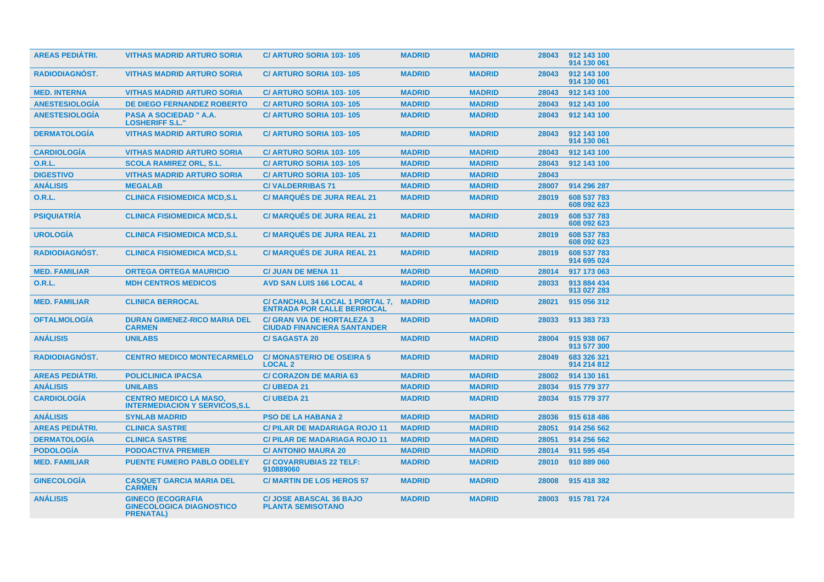| <b>AREAS PEDIÁTRI.</b> | <b>VITHAS MADRID ARTURO SORIA</b>                                               | <b>C/ ARTURO SORIA 103-105</b>                                          | <b>MADRID</b> | <b>MADRID</b> | 28043 | 912 143 100<br>914 130 061 |
|------------------------|---------------------------------------------------------------------------------|-------------------------------------------------------------------------|---------------|---------------|-------|----------------------------|
| <b>RADIODIAGNOST.</b>  | <b>VITHAS MADRID ARTURO SORIA</b>                                               | <b>C/ ARTURO SORIA 103-105</b>                                          | <b>MADRID</b> | <b>MADRID</b> | 28043 | 912 143 100<br>914 130 061 |
| <b>MED. INTERNA</b>    | <b>VITHAS MADRID ARTURO SORIA</b>                                               | C/ ARTURO SORIA 103-105                                                 | <b>MADRID</b> | <b>MADRID</b> | 28043 | 912 143 100                |
| <b>ANESTESIOLOGÍA</b>  | <b>DE DIEGO FERNANDEZ ROBERTO</b>                                               | C/ ARTURO SORIA 103-105                                                 | <b>MADRID</b> | <b>MADRID</b> | 28043 | 912 143 100                |
| <b>ANESTESIOLOGÍA</b>  | PASA A SOCIEDAD " A.A.<br><b>LOSHERIFF S.L.'</b>                                | C/ ARTURO SORIA 103-105                                                 | <b>MADRID</b> | <b>MADRID</b> | 28043 | 912 143 100                |
| <b>DERMATOLOGÍA</b>    | <b>VITHAS MADRID ARTURO SORIA</b>                                               | <b>C/ ARTURO SORIA 103-105</b>                                          | <b>MADRID</b> | <b>MADRID</b> | 28043 | 912 143 100<br>914 130 061 |
| <b>CARDIOLOGÍA</b>     | <b>VITHAS MADRID ARTURO SORIA</b>                                               | C/ ARTURO SORIA 103-105                                                 | <b>MADRID</b> | <b>MADRID</b> | 28043 | 912 143 100                |
| <b>O.R.L.</b>          | <b>SCOLA RAMIREZ ORL. S.L.</b>                                                  | C/ ARTURO SORIA 103-105                                                 | <b>MADRID</b> | <b>MADRID</b> | 28043 | 912 143 100                |
| <b>DIGESTIVO</b>       | <b>VITHAS MADRID ARTURO SORIA</b>                                               | C/ ARTURO SORIA 103-105                                                 | <b>MADRID</b> | <b>MADRID</b> | 28043 |                            |
| <b>ANÁLISIS</b>        | <b>MEGALAB</b>                                                                  | <b>C/VALDERRIBAS71</b>                                                  | <b>MADRID</b> | <b>MADRID</b> | 28007 | 914 296 287                |
| <b>O.R.L.</b>          | <b>CLINICA FISIOMEDICA MCD,S.L</b>                                              | <b>C/ MARQUÉS DE JURA REAL 21</b>                                       | <b>MADRID</b> | <b>MADRID</b> | 28019 | 608 537 783<br>608 092 623 |
| <b>PSIQUIATRÍA</b>     | <b>CLINICA FISIOMEDICA MCD,S.L</b>                                              | <b>C/MARQUÉS DE JURA REAL 21</b>                                        | <b>MADRID</b> | <b>MADRID</b> | 28019 | 608 537 783<br>608 092 623 |
| <b>UROLOGIA</b>        | <b>CLINICA FISIOMEDICA MCD,S.L</b>                                              | <b>C/ MARQUÉS DE JURA REAL 21</b>                                       | <b>MADRID</b> | <b>MADRID</b> | 28019 | 608 537 783<br>608 092 623 |
| <b>RADIODIAGNOST.</b>  | <b>CLINICA FISIOMEDICA MCD,S.L</b>                                              | <b>C/ MARQUÉS DE JURA REAL 21</b>                                       | <b>MADRID</b> | <b>MADRID</b> | 28019 | 608 537 783<br>914 695 024 |
| <b>MED. FAMILIAR</b>   | <b>ORTEGA ORTEGA MAURICIO</b>                                                   | <b>C/ JUAN DE MENA 11</b>                                               | <b>MADRID</b> | <b>MADRID</b> | 28014 | 917 173 063                |
| <b>O.R.L.</b>          | <b>MDH CENTROS MEDICOS</b>                                                      | <b>AVD SAN LUIS 166 LOCAL 4</b>                                         | <b>MADRID</b> | <b>MADRID</b> | 28033 | 913 884 434<br>913 027 283 |
| <b>MED. FAMILIAR</b>   | <b>CLINICA BERROCAL</b>                                                         | C/ CANCHAL 34 LOCAL 1 PORTAL 7.<br><b>ENTRADA POR CALLE BERROCAL</b>    | <b>MADRID</b> | <b>MADRID</b> | 28021 | 915 056 312                |
| <b>OFTALMOLOGÍA</b>    | <b>DURAN GIMENEZ-RICO MARIA DEL</b><br><b>CARMEN</b>                            | <b>C/ GRAN VIA DE HORTALEZA 3</b><br><b>CIUDAD FINANCIERA SANTANDER</b> | <b>MADRID</b> | <b>MADRID</b> | 28033 | 913 383 733                |
| <b>ANÁLISIS</b>        | <b>UNILABS</b>                                                                  | <b>C/SAGASTA 20</b>                                                     | <b>MADRID</b> | <b>MADRID</b> | 28004 | 915 938 067<br>913 577 300 |
| <b>RADIODIAGNÓST.</b>  | <b>CENTRO MEDICO MONTECARMELO</b>                                               | <b>C/MONASTERIO DE OSEIRA 5</b><br><b>LOCAL 2</b>                       | <b>MADRID</b> | <b>MADRID</b> | 28049 | 683 326 321<br>914 214 812 |
| <b>AREAS PEDIÁTRI.</b> | <b>POLICLINICA IPACSA</b>                                                       | <b>C/ CORAZON DE MARIA 63</b>                                           | <b>MADRID</b> | <b>MADRID</b> | 28002 | 914 130 161                |
| <b>ANÁLISIS</b>        | <b>UNILABS</b>                                                                  | C/UBEDA 21                                                              | <b>MADRID</b> | <b>MADRID</b> | 28034 | 915 779 377                |
| <b>CARDIOLOGÍA</b>     | <b>CENTRO MEDICO LA MASO.</b><br><b>INTERMEDIACION Y SERVICOS, S.L.</b>         | C/UBEDA 21                                                              | <b>MADRID</b> | <b>MADRID</b> | 28034 | 915 779 377                |
| <b>ANÁLISIS</b>        | <b>SYNLAB MADRID</b>                                                            | <b>PSO DE LA HABANA 2</b>                                               | <b>MADRID</b> | <b>MADRID</b> | 28036 | 915 618 486                |
| <b>AREAS PEDIÁTRI.</b> | <b>CLINICA SASTRE</b>                                                           | <b>C/PILAR DE MADARIAGA ROJO 11</b>                                     | <b>MADRID</b> | <b>MADRID</b> | 28051 | 914 256 562                |
| <b>DERMATOLOGÍA</b>    | <b>CLINICA SASTRE</b>                                                           | <b>C/PILAR DE MADARIAGA ROJO 11</b>                                     | <b>MADRID</b> | <b>MADRID</b> | 28051 | 914 256 562                |
| <b>PODOLOGÍA</b>       | <b>PODOACTIVA PREMIER</b>                                                       | <b>C/ ANTONIO MAURA 20</b>                                              | <b>MADRID</b> | <b>MADRID</b> | 28014 | 911 595 454                |
| <b>MED. FAMILIAR</b>   | <b>PUENTE FUMERO PABLO ODELEY</b>                                               | <b>C/ COVARRUBIAS 22 TELF:</b><br>910889060                             | <b>MADRID</b> | <b>MADRID</b> | 28010 | 910 889 060                |
| <b>GINECOLOGIA</b>     | <b>CASQUET GARCIA MARIA DEL</b><br><b>CARMEN</b>                                | <b>C/ MARTIN DE LOS HEROS 57</b>                                        | <b>MADRID</b> | <b>MADRID</b> | 28008 | 915 418 382                |
| <b>ANÁLISIS</b>        | <b>GINECO (ECOGRAFIA</b><br><b>GINECOLOGICA DIAGNOSTICO</b><br><b>PRENATAL)</b> | <b>C/ JOSE ABASCAL 36 BAJO</b><br><b>PLANTA SEMISOTANO</b>              | <b>MADRID</b> | <b>MADRID</b> | 28003 | 915 781 724                |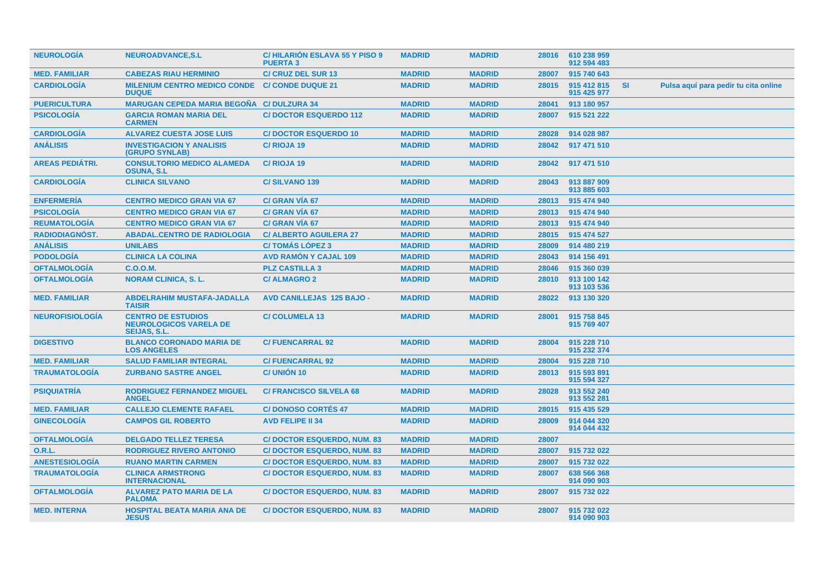| <b>NEUROLOGIA</b>      | <b>NEUROADVANCE, S.L</b>                                                          | <b>C/HILARION ESLAVA 55 Y PISO 9</b><br><b>PUERTA3</b> | <b>MADRID</b> | <b>MADRID</b> | 28016 | 610 238 959<br>912 594 483 |           |                                      |
|------------------------|-----------------------------------------------------------------------------------|--------------------------------------------------------|---------------|---------------|-------|----------------------------|-----------|--------------------------------------|
| <b>MED. FAMILIAR</b>   | <b>CABEZAS RIAU HERMINIO</b>                                                      | <b>C/ CRUZ DEL SUR 13</b>                              | <b>MADRID</b> | <b>MADRID</b> | 28007 | 915 740 643                |           |                                      |
| <b>CARDIOLOGÍA</b>     | <b>MILENIUM CENTRO MEDICO CONDE</b><br><b>DUQUE</b>                               | <b>C/ CONDE DUQUE 21</b>                               | <b>MADRID</b> | <b>MADRID</b> | 28015 | 915 412 815<br>915 425 977 | <b>SI</b> | Pulsa aquí para pedir tu cita online |
| <b>PUERICULTURA</b>    | <b>MARUGAN CEPEDA MARIA BEGOÑA C/ DULZURA 34</b>                                  |                                                        | <b>MADRID</b> | <b>MADRID</b> | 28041 | 913 180 957                |           |                                      |
| <b>PSICOLOGÍA</b>      | <b>GARCIA ROMAN MARIA DEL</b><br><b>CARMEN</b>                                    | <b>C/DOCTOR ESQUERDO 112</b>                           | <b>MADRID</b> | <b>MADRID</b> | 28007 | 915 521 222                |           |                                      |
| <b>CARDIOLOGÍA</b>     | <b>ALVAREZ CUESTA JOSE LUIS</b>                                                   | <b>C/DOCTOR ESQUERDO 10</b>                            | <b>MADRID</b> | <b>MADRID</b> | 28028 | 914 028 987                |           |                                      |
| <b>ANÁLISIS</b>        | <b>INVESTIGACION Y ANALISIS</b><br>(GRUPO SYNLAB)                                 | C/RIOJA 19                                             | <b>MADRID</b> | <b>MADRID</b> | 28042 | 917 471 510                |           |                                      |
| <b>AREAS PEDIÁTRI.</b> | <b>CONSULTORIO MEDICO ALAMEDA</b><br><b>OSUNA, S.L.</b>                           | C/RIOJA 19                                             | <b>MADRID</b> | <b>MADRID</b> | 28042 | 917 471 510                |           |                                      |
| <b>CARDIOLOGIA</b>     | <b>CLINICA SILVANO</b>                                                            | <b>C/SILVANO 139</b>                                   | <b>MADRID</b> | <b>MADRID</b> | 28043 | 913 887 909<br>913 885 603 |           |                                      |
| <b>ENFERMERÍA</b>      | <b>CENTRO MEDICO GRAN VIA 67</b>                                                  | C/ GRAN VIA 67                                         | <b>MADRID</b> | <b>MADRID</b> | 28013 | 915 474 940                |           |                                      |
| <b>PSICOLOGÍA</b>      | <b>CENTRO MEDICO GRAN VIA 67</b>                                                  | C/ GRAN VÍA 67                                         | <b>MADRID</b> | <b>MADRID</b> | 28013 | 915 474 940                |           |                                      |
| <b>REUMATOLOGÍA</b>    | <b>CENTRO MEDICO GRAN VIA 67</b>                                                  | C/ GRAN VIA 67                                         | <b>MADRID</b> | <b>MADRID</b> | 28013 | 915 474 940                |           |                                      |
| <b>RADIODIAGNOST.</b>  | <b>ABADAL.CENTRO DE RADIOLOGIA</b>                                                | <b>C/ ALBERTO AGUILERA 27</b>                          | <b>MADRID</b> | <b>MADRID</b> | 28015 | 915 474 527                |           |                                      |
| <b>ANÁLISIS</b>        | <b>UNILABS</b>                                                                    | <b>C/TOMÁS LÓPEZ 3</b>                                 | <b>MADRID</b> | <b>MADRID</b> | 28009 | 914 480 219                |           |                                      |
| <b>PODOLOGÍA</b>       | <b>CLINICA LA COLINA</b>                                                          | <b>AVD RAMON Y CAJAL 109</b>                           | <b>MADRID</b> | <b>MADRID</b> | 28043 | 914 156 491                |           |                                      |
| <b>OFTALMOLOGÍA</b>    | C.O.O.M.                                                                          | <b>PLZ CASTILLA 3</b>                                  | <b>MADRID</b> | <b>MADRID</b> | 28046 | 915 360 039                |           |                                      |
| <b>OFTALMOLOGÍA</b>    | <b>NORAM CLINICA, S. L.</b>                                                       | <b>C/ALMAGRO 2</b>                                     | <b>MADRID</b> | <b>MADRID</b> | 28010 | 913 100 142<br>913 103 536 |           |                                      |
| <b>MED. FAMILIAR</b>   | <b>ABDELRAHIM MUSTAFA-JADALLA</b><br><b>TAISIR</b>                                | <b>AVD CANILLEJAS 125 BAJO -</b>                       | <b>MADRID</b> | <b>MADRID</b> | 28022 | 913 130 320                |           |                                      |
| <b>NEUROFISIOLOGÍA</b> | <b>CENTRO DE ESTUDIOS</b><br><b>NEUROLOGICOS VARELA DE</b><br><b>SEIJAS, S.L.</b> | <b>C/COLUMELA 13</b>                                   | <b>MADRID</b> | <b>MADRID</b> | 28001 | 915 758 845<br>915 769 407 |           |                                      |
| <b>DIGESTIVO</b>       | <b>BLANCO CORONADO MARIA DE</b><br><b>LOS ANGELES</b>                             | <b>C/FUENCARRAL 92</b>                                 | <b>MADRID</b> | <b>MADRID</b> | 28004 | 915 228 710<br>915 232 374 |           |                                      |
| <b>MED. FAMILIAR</b>   | <b>SALUD FAMILIAR INTEGRAL</b>                                                    | <b>C/FUENCARRAL 92</b>                                 | <b>MADRID</b> | <b>MADRID</b> | 28004 | 915 228 710                |           |                                      |
| <b>TRAUMATOLOGÍA</b>   | <b>ZURBANO SASTRE ANGEL</b>                                                       | <b>C/ UNIÓN 10</b>                                     | <b>MADRID</b> | <b>MADRID</b> | 28013 | 915 593 891<br>915 594 327 |           |                                      |
| <b>PSIQUIATRÍA</b>     | <b>RODRIGUEZ FERNANDEZ MIGUEL</b><br><b>ANGEL</b>                                 | <b>C/ FRANCISCO SILVELA 68</b>                         | <b>MADRID</b> | <b>MADRID</b> | 28028 | 913 552 240<br>913 552 281 |           |                                      |
| <b>MED. FAMILIAR</b>   | <b>CALLEJO CLEMENTE RAFAEL</b>                                                    | <b>C/DONOSO CORTES 47</b>                              | <b>MADRID</b> | <b>MADRID</b> | 28015 | 915 435 529                |           |                                      |
| <b>GINECOLOGÍA</b>     | <b>CAMPOS GIL ROBERTO</b>                                                         | <b>AVD FELIPE II 34</b>                                | <b>MADRID</b> | <b>MADRID</b> | 28009 | 914 044 320<br>914 044 432 |           |                                      |
| <b>OFTALMOLOGIA</b>    | <b>DELGADO TELLEZ TERESA</b>                                                      | <b>C/DOCTOR ESQUERDO, NUM. 83</b>                      | <b>MADRID</b> | <b>MADRID</b> | 28007 |                            |           |                                      |
| 0.R.L.                 | <b>RODRIGUEZ RIVERO ANTONIO</b>                                                   | <b>C/DOCTOR ESQUERDO, NUM. 83</b>                      | <b>MADRID</b> | <b>MADRID</b> | 28007 | 915 732 022                |           |                                      |
| <b>ANESTESIOLOGÍA</b>  | <b>RUANO MARTIN CARMEN</b>                                                        | <b>C/DOCTOR ESQUERDO, NUM. 83</b>                      | <b>MADRID</b> | <b>MADRID</b> | 28007 | 915 732 022                |           |                                      |
| <b>TRAUMATOLOGÍA</b>   | <b>CLINICA ARMSTRONG</b><br><b>INTERNACIONAL</b>                                  | <b>C/DOCTOR ESQUERDO, NUM. 83</b>                      | <b>MADRID</b> | <b>MADRID</b> | 28007 | 638 566 368<br>914 090 903 |           |                                      |
| <b>OFTALMOLOGIA</b>    | <b>ALVAREZ PATO MARIA DE LA</b><br><b>PALOMA</b>                                  | <b>C/DOCTOR ESQUERDO, NUM. 83</b>                      | <b>MADRID</b> | <b>MADRID</b> | 28007 | 915 732 022                |           |                                      |
| <b>MED. INTERNA</b>    | <b>HOSPITAL BEATA MARIA ANA DE</b><br><b>JESUS</b>                                | <b>C/DOCTOR ESQUERDO, NUM. 83</b>                      | <b>MADRID</b> | <b>MADRID</b> | 28007 | 915 732 022<br>914 090 903 |           |                                      |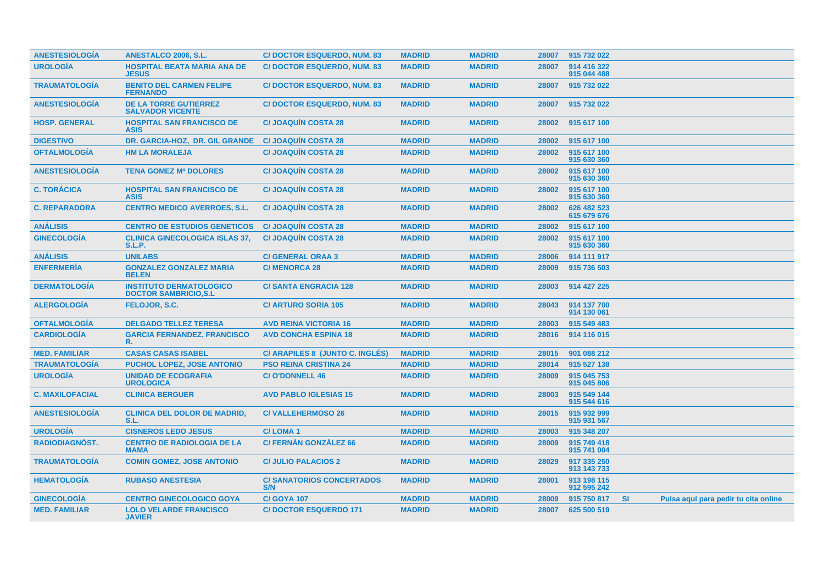| <b>ANESTESIOLOGÍA</b>  | <b>ANESTALCO 2006, S.L.</b>                                     | <b>C/DOCTOR ESQUERDO, NUM. 83</b>      | <b>MADRID</b> | <b>MADRID</b> | 28007 | 915 732 022                |      |                                      |  |
|------------------------|-----------------------------------------------------------------|----------------------------------------|---------------|---------------|-------|----------------------------|------|--------------------------------------|--|
| <b>UROLOGÍA</b>        | <b>HOSPITAL BEATA MARIA ANA DE</b><br><b>JESUS</b>              | <b>C/DOCTOR ESQUERDO, NUM. 83</b>      | <b>MADRID</b> | <b>MADRID</b> | 28007 | 914 416 322<br>915 044 488 |      |                                      |  |
| <b>TRAUMATOLOGÍA</b>   | <b>BENITO DEL CARMEN FELIPE</b><br><b>FERNANDO</b>              | <b>C/DOCTOR ESQUERDO, NUM. 83</b>      | <b>MADRID</b> | <b>MADRID</b> | 28007 | 915 732 022                |      |                                      |  |
| <b>ANESTESIOLOGIA</b>  | <b>DE LA TORRE GUTIERREZ</b><br><b>SALVADOR VICENTE</b>         | <b>C/DOCTOR ESQUERDO, NUM. 83</b>      | <b>MADRID</b> | <b>MADRID</b> | 28007 | 915 732 022                |      |                                      |  |
| <b>HOSP. GENERAL</b>   | <b>HOSPITAL SAN FRANCISCO DE</b><br><b>ASIS</b>                 | <b>C/JOAQUIN COSTA 28</b>              | <b>MADRID</b> | <b>MADRID</b> | 28002 | 915 617 100                |      |                                      |  |
| <b>DIGESTIVO</b>       | DR. GARCIA-HOZ, DR. GIL GRANDE                                  | <b>C/JOAQUIN COSTA 28</b>              | <b>MADRID</b> | <b>MADRID</b> | 28002 | 915 617 100                |      |                                      |  |
| <b>OFTALMOLOGÍA</b>    | <b>HM LA MORALEJA</b>                                           | <b>C/JOAQUIN COSTA 28</b>              | <b>MADRID</b> | <b>MADRID</b> | 28002 | 915 617 100<br>915 630 360 |      |                                      |  |
| <b>ANESTESIOLOGÍA</b>  | <b>TENA GOMEZ Mª DOLORES</b>                                    | <b>C/JOAQUÍN COSTA 28</b>              | <b>MADRID</b> | <b>MADRID</b> | 28002 | 915 617 100<br>915 630 360 |      |                                      |  |
| <b>C. TORÁCICA</b>     | <b>HOSPITAL SAN FRANCISCO DE</b><br><b>ASIS</b>                 | <b>C/JOAQUIN COSTA 28</b>              | <b>MADRID</b> | <b>MADRID</b> | 28002 | 915 617 100<br>915 630 360 |      |                                      |  |
| <b>C. REPARADORA</b>   | <b>CENTRO MEDICO AVERROES, S.L.</b>                             | <b>C/JOAQUIN COSTA 28</b>              | <b>MADRID</b> | <b>MADRID</b> | 28002 | 626 482 523<br>615 679 676 |      |                                      |  |
| <b>ANÁLISIS</b>        | <b>CENTRO DE ESTUDIOS GENETICOS</b>                             | <b>C/JOAQUIN COSTA 28</b>              | <b>MADRID</b> | <b>MADRID</b> | 28002 | 915 617 100                |      |                                      |  |
| <b>GINECOLOGIA</b>     | <b>CLINICA GINECOLOGICA ISLAS 37,</b><br><b>S.L.P.</b>          | <b>C/JOAQUIN COSTA 28</b>              | <b>MADRID</b> | <b>MADRID</b> | 28002 | 915 617 100<br>915 630 360 |      |                                      |  |
| <b>ANÁLISIS</b>        | <b>UNILABS</b>                                                  | <b>C/ GENERAL ORAA 3</b>               | <b>MADRID</b> | <b>MADRID</b> | 28006 | 914 111 917                |      |                                      |  |
| <b>ENFERMERÍA</b>      | <b>GONZALEZ GONZALEZ MARIA</b><br><b>BELEN</b>                  | <b>C/MENORCA 28</b>                    | <b>MADRID</b> | <b>MADRID</b> | 28009 | 915 736 503                |      |                                      |  |
| <b>DERMATOLOGÍA</b>    | <b>INSTITUTO DERMATOLOGICO</b><br><b>DOCTOR SAMBRICIO, S.L.</b> | <b>C/SANTA ENGRACIA 128</b>            | <b>MADRID</b> | <b>MADRID</b> | 28003 | 914 427 225                |      |                                      |  |
| <b>ALERGOLOGIA</b>     | FELOJOR, S.C.                                                   | <b>C/ ARTURO SORIA 105</b>             | <b>MADRID</b> | <b>MADRID</b> | 28043 | 914 137 700<br>914 130 061 |      |                                      |  |
| <b>OFTALMOLOGÍA</b>    | <b>DELGADO TELLEZ TERESA</b>                                    | <b>AVD REINA VICTORIA 16</b>           | <b>MADRID</b> | <b>MADRID</b> | 28003 | 915 549 483                |      |                                      |  |
| <b>CARDIOLOGÍA</b>     | <b>GARCIA FERNANDEZ, FRANCISCO</b><br>R.                        | <b>AVD CONCHA ESPINA 18</b>            | <b>MADRID</b> | <b>MADRID</b> | 28016 | 914 116 015                |      |                                      |  |
| <b>MED. FAMILIAR</b>   | <b>CASAS CASAS ISABEL</b>                                       | C/ ARAPILES 8 (JUNTO C. INGLÉS)        | <b>MADRID</b> | <b>MADRID</b> | 28015 | 901 088 212                |      |                                      |  |
| <b>TRAUMATOLOGÍA</b>   | <b>PUCHOL LOPEZ. JOSE ANTONIO</b>                               | <b>PSO REINA CRISTINA 24</b>           | <b>MADRID</b> | <b>MADRID</b> | 28014 | 915 527 138                |      |                                      |  |
| <b>UROLOGÍA</b>        | <b>UNIDAD DE ECOGRAFIA</b><br><b>UROLOGICA</b>                  | <b>C/O'DONNELL 46</b>                  | <b>MADRID</b> | <b>MADRID</b> | 28009 | 915 045 753<br>915 045 806 |      |                                      |  |
| <b>C. MAXILOFACIAL</b> | <b>CLINICA BERGUER</b>                                          | <b>AVD PABLO IGLESIAS 15</b>           | <b>MADRID</b> | <b>MADRID</b> | 28003 | 915 549 144<br>915 544 616 |      |                                      |  |
| <b>ANESTESIOLOGÍA</b>  | <b>CLINICA DEL DOLOR DE MADRID.</b><br>S.L.                     | <b>C/VALLEHERMOSO 26</b>               | <b>MADRID</b> | <b>MADRID</b> | 28015 | 915 932 999<br>915 931 567 |      |                                      |  |
| <b>UROLOGÍA</b>        | <b>CISNEROS LEDO JESUS</b>                                      | <b>C/LOMA1</b>                         | <b>MADRID</b> | <b>MADRID</b> | 28003 | 915 348 207                |      |                                      |  |
| <b>RADIODIAGNOST.</b>  | <b>CENTRO DE RADIOLOGIA DE LA</b><br><b>MAMA</b>                | <b>C/ FERNÁN GONZÁLEZ 66</b>           | <b>MADRID</b> | <b>MADRID</b> | 28009 | 915 749 418<br>915 741 004 |      |                                      |  |
| <b>TRAUMATOLOGIA</b>   | <b>COMIN GOMEZ, JOSE ANTONIO</b>                                | <b>C/ JULIO PALACIOS 2</b>             | <b>MADRID</b> | <b>MADRID</b> | 28029 | 917 335 250<br>913 143 733 |      |                                      |  |
| <b>HEMATOLOGÍA</b>     | <b>RUBASO ANESTESIA</b>                                         | <b>C/SANATORIOS CONCERTADOS</b><br>S/N | <b>MADRID</b> | <b>MADRID</b> | 28001 | 913 198 115<br>912 595 242 |      |                                      |  |
| <b>GINECOLOGIA</b>     | <b>CENTRO GINECOLOGICO GOYA</b>                                 | <b>C/GOYA 107</b>                      | <b>MADRID</b> | <b>MADRID</b> | 28009 | 915 750 817                | - SI | Pulsa aquí para pedir tu cita online |  |
| <b>MED. FAMILIAR</b>   | <b>LOLO VELARDE FRANCISCO</b><br><b>JAVIER</b>                  | <b>C/DOCTOR ESQUERDO 171</b>           | <b>MADRID</b> | <b>MADRID</b> | 28007 | 625 500 519                |      |                                      |  |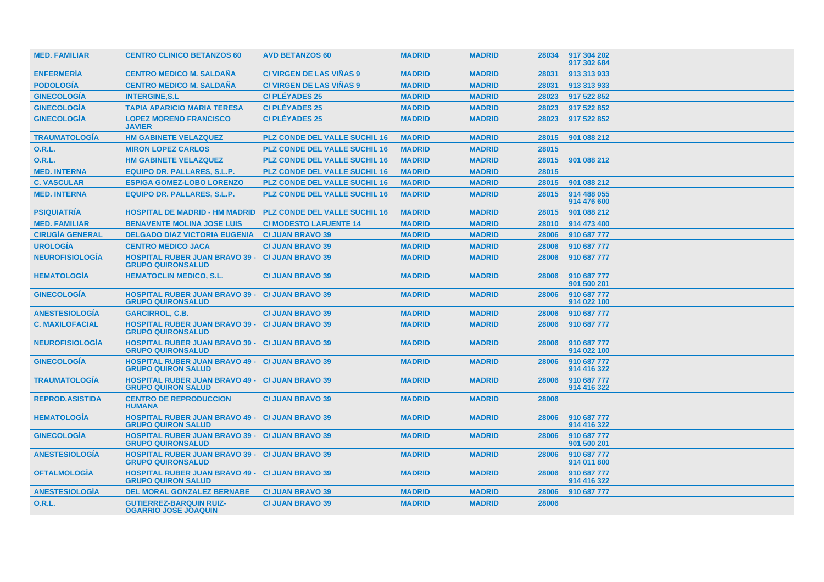| <b>MED. FAMILIAR</b>   | <b>CENTRO CLINICO BETANZOS 60</b>                                                   | <b>AVD BETANZOS 60</b>               | <b>MADRID</b> | <b>MADRID</b> | 28034 | 917 304 202<br>917 302 684 |
|------------------------|-------------------------------------------------------------------------------------|--------------------------------------|---------------|---------------|-------|----------------------------|
| <b>ENFERMERÍA</b>      | <b>CENTRO MEDICO M. SALDANA</b>                                                     | <b>C/ VIRGEN DE LAS VIÑAS 9</b>      | <b>MADRID</b> | <b>MADRID</b> | 28031 | 913 313 933                |
| <b>PODOLOGÍA</b>       | <b>CENTRO MEDICO M. SALDANA</b>                                                     | <b>C/ VIRGEN DE LAS VIÑAS 9</b>      | <b>MADRID</b> | <b>MADRID</b> | 28031 | 913 313 933                |
| <b>GINECOLOGÍA</b>     | <b>INTERGINE, S.L</b>                                                               | <b>C/PLÉYADES 25</b>                 | <b>MADRID</b> | <b>MADRID</b> | 28023 | 917 522 852                |
| <b>GINECOLOGÍA</b>     | <b>TAPIA APARICIO MARIA TERESA</b>                                                  | <b>C/PLÉYADES 25</b>                 | <b>MADRID</b> | <b>MADRID</b> | 28023 | 917 522 852                |
| <b>GINECOLOGÍA</b>     | <b>LOPEZ MORENO FRANCISCO</b><br><b>JAVIER</b>                                      | <b>C/PLÉYADES 25</b>                 | <b>MADRID</b> | <b>MADRID</b> | 28023 | 917 522 852                |
| <b>TRAUMATOLOGÍA</b>   | <b>HM GABINETE VELAZQUEZ</b>                                                        | <b>PLZ CONDE DEL VALLE SUCHIL 16</b> | <b>MADRID</b> | <b>MADRID</b> | 28015 | 901 088 212                |
| 0.R.L.                 | <b>MIRON LOPEZ CARLOS</b>                                                           | <b>PLZ CONDE DEL VALLE SUCHIL 16</b> | <b>MADRID</b> | <b>MADRID</b> | 28015 |                            |
| <b>O.R.L.</b>          | <b>HM GABINETE VELAZQUEZ</b>                                                        | <b>PLZ CONDE DEL VALLE SUCHIL 16</b> | <b>MADRID</b> | <b>MADRID</b> | 28015 | 901 088 212                |
| <b>MED. INTERNA</b>    | <b>EQUIPO DR. PALLARES, S.L.P.</b>                                                  | <b>PLZ CONDE DEL VALLE SUCHIL 16</b> | <b>MADRID</b> | <b>MADRID</b> | 28015 |                            |
| <b>C. VASCULAR</b>     | <b>ESPIGA GOMEZ-LOBO LORENZO</b>                                                    | <b>PLZ CONDE DEL VALLE SUCHIL 16</b> | <b>MADRID</b> | <b>MADRID</b> | 28015 | 901 088 212                |
| <b>MED. INTERNA</b>    | <b>EQUIPO DR. PALLARES, S.L.P.</b>                                                  | <b>PLZ CONDE DEL VALLE SUCHIL 16</b> | <b>MADRID</b> | <b>MADRID</b> | 28015 | 914 488 055<br>914 476 600 |
| <b>PSIQUIATRÍA</b>     | <b>HOSPITAL DE MADRID - HM MADRID</b>                                               | <b>PLZ CONDE DEL VALLE SUCHIL 16</b> | <b>MADRID</b> | <b>MADRID</b> | 28015 | 901 088 212                |
| <b>MED. FAMILIAR</b>   | <b>BENAVENTE MOLINA JOSE LUIS</b>                                                   | <b>C/ MODESTO LAFUENTE 14</b>        | <b>MADRID</b> | <b>MADRID</b> | 28010 | 914 473 400                |
| <b>CIRUGÍA GENERAL</b> | <b>DELGADO DIAZ VICTORIA EUGENIA</b>                                                | <b>C/ JUAN BRAVO 39</b>              | <b>MADRID</b> | <b>MADRID</b> | 28006 | 910 687 777                |
| <b>UROLOGÍA</b>        | <b>CENTRO MEDICO JACA</b>                                                           | <b>C/ JUAN BRAVO 39</b>              | <b>MADRID</b> | <b>MADRID</b> | 28006 | 910 687 777                |
| <b>NEUROFISIOLOGÍA</b> | <b>HOSPITAL RUBER JUAN BRAVO 39 -</b><br><b>GRUPO QUIRONSALUD</b>                   | <b>C/ JUAN BRAVO 39</b>              | <b>MADRID</b> | <b>MADRID</b> | 28006 | 910 687 777                |
| <b>HEMATOLOGIA</b>     | <b>HEMATOCLIN MEDICO, S.L.</b>                                                      | <b>C/ JUAN BRAVO 39</b>              | <b>MADRID</b> | <b>MADRID</b> | 28006 | 910 687 777<br>901 500 201 |
| <b>GINECOLOGÍA</b>     | <b>HOSPITAL RUBER JUAN BRAVO 39 - C/ JUAN BRAVO 39</b><br><b>GRUPO QUIRONSALUD</b>  |                                      | <b>MADRID</b> | <b>MADRID</b> | 28006 | 910 687 777<br>914 022 100 |
| <b>ANESTESIOLOGÍA</b>  | <b>GARCIRROL, C.B.</b>                                                              | <b>C/ JUAN BRAVO 39</b>              | <b>MADRID</b> | <b>MADRID</b> | 28006 | 910 687 777                |
| <b>C. MAXILOFACIAL</b> | <b>HOSPITAL RUBER JUAN BRAVO 39 - C/ JUAN BRAVO 39</b><br><b>GRUPO QUIRONSALUD</b>  |                                      | <b>MADRID</b> | <b>MADRID</b> | 28006 | 910 687 777                |
| <b>NEUROFISIOLOGIA</b> | <b>HOSPITAL RUBER JUAN BRAVO 39 - C/ JUAN BRAVO 39</b><br><b>GRUPO QUIRONSALUD</b>  |                                      | <b>MADRID</b> | <b>MADRID</b> | 28006 | 910 687 777<br>914 022 100 |
| <b>GINECOLOGÍA</b>     | <b>HOSPITAL RUBER JUAN BRAVO 49 - C/ JUAN BRAVO 39</b><br><b>GRUPO QUIRON SALUD</b> |                                      | <b>MADRID</b> | <b>MADRID</b> | 28006 | 910 687 777<br>914 416 322 |
| <b>TRAUMATOLOGÍA</b>   | <b>HOSPITAL RUBER JUAN BRAVO 49 - C/ JUAN BRAVO 39</b><br><b>GRUPO QUIRON SALUD</b> |                                      | <b>MADRID</b> | <b>MADRID</b> | 28006 | 910 687 777<br>914 416 322 |
| <b>REPROD.ASISTIDA</b> | <b>CENTRO DE REPRODUCCION</b><br><b>HUMANA</b>                                      | <b>C/ JUAN BRAVO 39</b>              | <b>MADRID</b> | <b>MADRID</b> | 28006 |                            |
| <b>HEMATOLOGIA</b>     | <b>HOSPITAL RUBER JUAN BRAVO 49 - C/ JUAN BRAVO 39</b><br><b>GRUPO QUIRON SALUD</b> |                                      | <b>MADRID</b> | <b>MADRID</b> | 28006 | 910 687 777<br>914 416 322 |
| <b>GINECOLOGÍA</b>     | <b>HOSPITAL RUBER JUAN BRAVO 39 - C/ JUAN BRAVO 39</b><br><b>GRUPO QUIRONSALUD</b>  |                                      | <b>MADRID</b> | <b>MADRID</b> | 28006 | 910 687 777<br>901 500 201 |
| <b>ANESTESIOLOGIA</b>  | <b>HOSPITAL RUBER JUAN BRAVO 39 - C/ JUAN BRAVO 39</b><br><b>GRUPO QUIRONSALUD</b>  |                                      | <b>MADRID</b> | <b>MADRID</b> | 28006 | 910 687 777<br>914 011 800 |
| <b>OFTALMOLOGÍA</b>    | <b>HOSPITAL RUBER JUAN BRAVO 49 - C/ JUAN BRAVO 39</b><br><b>GRUPO QUIRON SALUD</b> |                                      | <b>MADRID</b> | <b>MADRID</b> | 28006 | 910 687 777<br>914 416 322 |
| <b>ANESTESIOLOGÍA</b>  | <b>DEL MORAL GONZALEZ BERNABE</b>                                                   | <b>C/ JUAN BRAVO 39</b>              | <b>MADRID</b> | <b>MADRID</b> | 28006 | 910 687 777                |
| <b>O.R.L.</b>          | <b>GUTIERREZ-BARQUIN RUIZ-</b><br><b>OGARRIO JOSE JOAQUIN</b>                       | <b>C/ JUAN BRAVO 39</b>              | <b>MADRID</b> | <b>MADRID</b> | 28006 |                            |
|                        |                                                                                     |                                      |               |               |       |                            |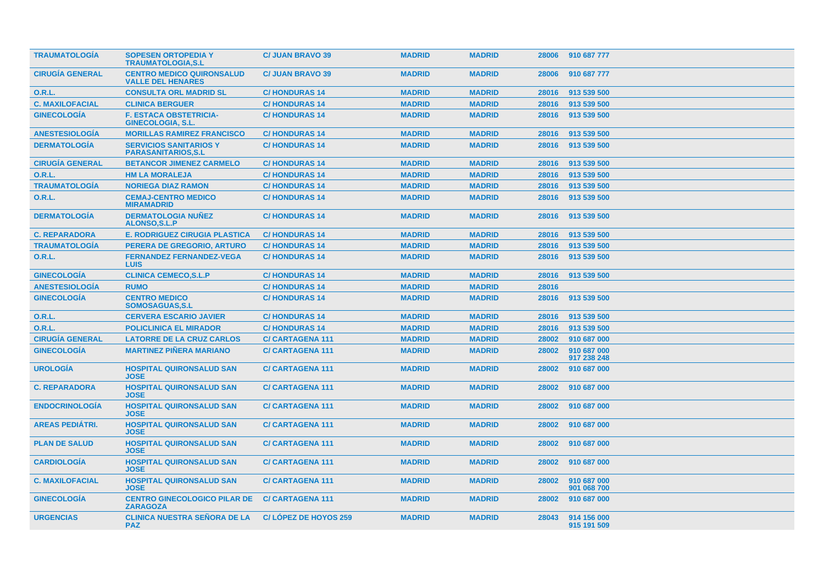| <b>TRAUMATOLOGIA</b>   | <b>SOPESEN ORTOPEDIA Y</b><br><b>TRAUMATOLOGIA.S.L</b>       | <b>C/ JUAN BRAVO 39</b>     | <b>MADRID</b> | <b>MADRID</b> | 28006 | 910 687 777                |
|------------------------|--------------------------------------------------------------|-----------------------------|---------------|---------------|-------|----------------------------|
| <b>CIRUGÍA GENERAL</b> | <b>CENTRO MEDICO QUIRONSALUD</b><br><b>VALLE DEL HENARES</b> | <b>C/ JUAN BRAVO 39</b>     | <b>MADRID</b> | <b>MADRID</b> | 28006 | 910 687 777                |
| <b>O.R.L.</b>          | <b>CONSULTA ORL MADRID SL</b>                                | <b>C/HONDURAS14</b>         | <b>MADRID</b> | <b>MADRID</b> | 28016 | 913 539 500                |
| <b>C. MAXILOFACIAL</b> | <b>CLINICA BERGUER</b>                                       | <b>C/HONDURAS 14</b>        | <b>MADRID</b> | <b>MADRID</b> | 28016 | 913 539 500                |
| <b>GINECOLOGÍA</b>     | <b>F. ESTACA OBSTETRICIA-</b><br><b>GINECOLOGIA, S.L.</b>    | <b>C/HONDURAS 14</b>        | <b>MADRID</b> | <b>MADRID</b> | 28016 | 913 539 500                |
| <b>ANESTESIOLOGIA</b>  | <b>MORILLAS RAMIREZ FRANCISCO</b>                            | <b>C/HONDURAS 14</b>        | <b>MADRID</b> | <b>MADRID</b> | 28016 | 913 539 500                |
| <b>DERMATOLOGIA</b>    | <b>SERVICIOS SANITARIOS Y</b><br><b>PARASANITARIOS,S.L</b>   | <b>C/HONDURAS 14</b>        | <b>MADRID</b> | <b>MADRID</b> | 28016 | 913 539 500                |
| <b>CIRUGÍA GENERAL</b> | <b>BETANCOR JIMENEZ CARMELO</b>                              | <b>C/HONDURAS14</b>         | <b>MADRID</b> | <b>MADRID</b> | 28016 | 913 539 500                |
| 0.R.L.                 | <b>HM LA MORALEJA</b>                                        | <b>C/HONDURAS 14</b>        | <b>MADRID</b> | <b>MADRID</b> | 28016 | 913 539 500                |
| <b>TRAUMATOLOGÍA</b>   | <b>NORIEGA DIAZ RAMON</b>                                    | <b>C/HONDURAS14</b>         | <b>MADRID</b> | <b>MADRID</b> | 28016 | 913 539 500                |
| 0.R.L.                 | <b>CEMAJ-CENTRO MEDICO</b><br><b>MIRAMADRID</b>              | <b>C/HONDURAS 14</b>        | <b>MADRID</b> | <b>MADRID</b> | 28016 | 913 539 500                |
| <b>DERMATOLOGIA</b>    | <b>DERMATOLOGIA NUÑEZ</b><br><b>ALONSO, S.L.P</b>            | <b>C/HONDURAS 14</b>        | <b>MADRID</b> | <b>MADRID</b> | 28016 | 913 539 500                |
| <b>C. REPARADORA</b>   | <b>E. RODRIGUEZ CIRUGIA PLASTICA</b>                         | <b>C/HONDURAS14</b>         | <b>MADRID</b> | <b>MADRID</b> | 28016 | 913 539 500                |
| <b>TRAUMATOLOGÍA</b>   | PERERA DE GREGORIO, ARTURO                                   | <b>C/HONDURAS14</b>         | <b>MADRID</b> | <b>MADRID</b> | 28016 | 913 539 500                |
| 0.R.L.                 | <b>FERNANDEZ FERNANDEZ-VEGA</b><br><b>LUIS</b>               | <b>C/HONDURAS 14</b>        | <b>MADRID</b> | <b>MADRID</b> | 28016 | 913 539 500                |
| <b>GINECOLOGIA</b>     | <b>CLINICA CEMECO, S.L.P</b>                                 | <b>C/HONDURAS 14</b>        | <b>MADRID</b> | <b>MADRID</b> | 28016 | 913 539 500                |
| <b>ANESTESIOLOGIA</b>  | <b>RUMO</b>                                                  | <b>C/HONDURAS 14</b>        | <b>MADRID</b> | <b>MADRID</b> | 28016 |                            |
| <b>GINECOLOGÍA</b>     | <b>CENTRO MEDICO</b><br><b>SOMOSAGUAS, S.L</b>               | <b>C/HONDURAS 14</b>        | <b>MADRID</b> | <b>MADRID</b> | 28016 | 913 539 500                |
| <b>O.R.L.</b>          | <b>CERVERA ESCARIO JAVIER</b>                                | <b>C/HONDURAS14</b>         | <b>MADRID</b> | <b>MADRID</b> | 28016 | 913 539 500                |
| <b>O.R.L.</b>          | <b>POLICLINICA EL MIRADOR</b>                                | <b>C/HONDURAS 14</b>        | <b>MADRID</b> | <b>MADRID</b> | 28016 | 913 539 500                |
| <b>CIRUGIA GENERAL</b> | <b>LATORRE DE LA CRUZ CARLOS</b>                             | <b>C/CARTAGENA 111</b>      | <b>MADRID</b> | <b>MADRID</b> | 28002 | 910 687 000                |
| <b>GINECOLOGÍA</b>     | <b>MARTINEZ PIÑERA MARIANO</b>                               | <b>C/CARTAGENA 111</b>      | <b>MADRID</b> | <b>MADRID</b> | 28002 | 910 687 000<br>917 238 248 |
| <b>UROLOGÍA</b>        | <b>HOSPITAL QUIRONSALUD SAN</b><br><b>JOSE</b>               | <b>C/CARTAGENA 111</b>      | <b>MADRID</b> | <b>MADRID</b> | 28002 | 910 687 000                |
| <b>C. REPARADORA</b>   | <b>HOSPITAL QUIRONSALUD SAN</b><br><b>JOSE</b>               | <b>C/CARTAGENA 111</b>      | <b>MADRID</b> | <b>MADRID</b> | 28002 | 910 687 000                |
| <b>ENDOCRINOLOGIA</b>  | <b>HOSPITAL QUIRONSALUD SAN</b><br><b>JOSE</b>               | <b>C/CARTAGENA 111</b>      | <b>MADRID</b> | <b>MADRID</b> | 28002 | 910 687 000                |
| <b>AREAS PEDIÁTRI.</b> | <b>HOSPITAL QUIRONSALUD SAN</b><br><b>JOSE</b>               | <b>C/CARTAGENA 111</b>      | <b>MADRID</b> | <b>MADRID</b> | 28002 | 910 687 000                |
| <b>PLAN DE SALUD</b>   | <b>HOSPITAL QUIRONSALUD SAN</b><br><b>JOSE</b>               | <b>C/CARTAGENA 111</b>      | <b>MADRID</b> | <b>MADRID</b> | 28002 | 910 687 000                |
| <b>CARDIOLOGIA</b>     | <b>HOSPITAL QUIRONSALUD SAN</b><br><b>JOSE</b>               | <b>C/CARTAGENA 111</b>      | <b>MADRID</b> | <b>MADRID</b> | 28002 | 910 687 000                |
| <b>C. MAXILOFACIAL</b> | <b>HOSPITAL QUIRONSALUD SAN</b><br><b>JOSE</b>               | <b>C/CARTAGENA 111</b>      | <b>MADRID</b> | <b>MADRID</b> | 28002 | 910 687 000<br>901 068 700 |
| <b>GINECOLOGÍA</b>     | <b>CENTRO GINECOLOGICO PILAR DE</b><br><b>ZARAGOZA</b>       | <b>C/CARTAGENA 111</b>      | <b>MADRID</b> | <b>MADRID</b> | 28002 | 910 687 000                |
| <b>URGENCIAS</b>       | <b>CLINICA NUESTRA SEÑORA DE LA</b><br><b>PAZ</b>            | <b>C/LOPEZ DE HOYOS 259</b> | <b>MADRID</b> | <b>MADRID</b> | 28043 | 914 156 000<br>915 191 509 |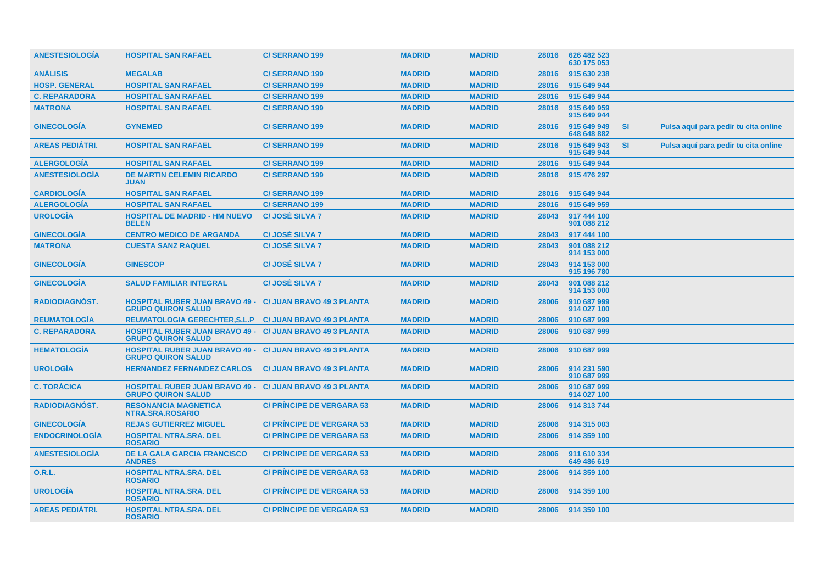| <b>ANESTESIOLOGIA</b>  | <b>HOSPITAL SAN RAFAEL</b>                                                                   | <b>C/SERRANO 199</b>             | <b>MADRID</b> | <b>MADRID</b> | 28016 | 626 482 523<br>630 175 053 |           |                                      |  |
|------------------------|----------------------------------------------------------------------------------------------|----------------------------------|---------------|---------------|-------|----------------------------|-----------|--------------------------------------|--|
| <b>ANÁLISIS</b>        | <b>MEGALAB</b>                                                                               | <b>C/SERRANO 199</b>             | <b>MADRID</b> | <b>MADRID</b> | 28016 | 915 630 238                |           |                                      |  |
| <b>HOSP. GENERAL</b>   | <b>HOSPITAL SAN RAFAEL</b>                                                                   | <b>C/SERRANO 199</b>             | <b>MADRID</b> | <b>MADRID</b> | 28016 | 915 649 944                |           |                                      |  |
| <b>C. REPARADORA</b>   | <b>HOSPITAL SAN RAFAEL</b>                                                                   | <b>C/SERRANO 199</b>             | <b>MADRID</b> | <b>MADRID</b> | 28016 | 915 649 944                |           |                                      |  |
| <b>MATRONA</b>         | <b>HOSPITAL SAN RAFAEL</b>                                                                   | <b>C/SERRANO 199</b>             | <b>MADRID</b> | <b>MADRID</b> | 28016 | 915 649 959<br>915 649 944 |           |                                      |  |
| <b>GINECOLOGÍA</b>     | <b>GYNEMED</b>                                                                               | <b>C/SERRANO 199</b>             | <b>MADRID</b> | <b>MADRID</b> | 28016 | 915 649 949<br>648 648 882 | <b>SI</b> | Pulsa aquí para pedir tu cita online |  |
| <b>AREAS PEDIÁTRI.</b> | <b>HOSPITAL SAN RAFAEL</b>                                                                   | <b>C/SERRANO 199</b>             | <b>MADRID</b> | <b>MADRID</b> | 28016 | 915 649 943<br>915 649 944 | <b>SI</b> | Pulsa aquí para pedir tu cita online |  |
| <b>ALERGOLOGÍA</b>     | <b>HOSPITAL SAN RAFAEL</b>                                                                   | <b>C/SERRANO 199</b>             | <b>MADRID</b> | <b>MADRID</b> | 28016 | 915 649 944                |           |                                      |  |
| <b>ANESTESIOLOGÍA</b>  | <b>DE MARTIN CELEMIN RICARDO</b><br><b>JUAN</b>                                              | <b>C/SERRANO 199</b>             | <b>MADRID</b> | <b>MADRID</b> | 28016 | 915 476 297                |           |                                      |  |
| <b>CARDIOLOGÍA</b>     | <b>HOSPITAL SAN RAFAEL</b>                                                                   | C/SERRANO 199                    | <b>MADRID</b> | <b>MADRID</b> | 28016 | 915 649 944                |           |                                      |  |
| <b>ALERGOLOGÍA</b>     | <b>HOSPITAL SAN RAFAEL</b>                                                                   | <b>C/SERRANO 199</b>             | <b>MADRID</b> | <b>MADRID</b> | 28016 | 915 649 959                |           |                                      |  |
| <b>UROLOGÍA</b>        | <b>HOSPITAL DE MADRID - HM NUEVO</b><br><b>BELEN</b>                                         | C/JOSÉ SILVA 7                   | <b>MADRID</b> | <b>MADRID</b> | 28043 | 917 444 100<br>901 088 212 |           |                                      |  |
| <b>GINECOLOGÍA</b>     | <b>CENTRO MEDICO DE ARGANDA</b>                                                              | C/ JOSÉ SILVA 7                  | <b>MADRID</b> | <b>MADRID</b> | 28043 | 917 444 100                |           |                                      |  |
| <b>MATRONA</b>         | <b>CUESTA SANZ RAQUEL</b>                                                                    | <b>C/JOSÉ SILVA 7</b>            | <b>MADRID</b> | <b>MADRID</b> | 28043 | 901 088 212<br>914 153 000 |           |                                      |  |
| <b>GINECOLOGIA</b>     | <b>GINESCOP</b>                                                                              | <b>C/JOSÉ SILVA 7</b>            | <b>MADRID</b> | <b>MADRID</b> | 28043 | 914 153 000<br>915 196 780 |           |                                      |  |
| <b>GINECOLOGIA</b>     | <b>SALUD FAMILIAR INTEGRAL</b>                                                               | <b>C/JOSÉ SILVA 7</b>            | <b>MADRID</b> | <b>MADRID</b> | 28043 | 901 088 212<br>914 153 000 |           |                                      |  |
| <b>RADIODIAGNOST.</b>  | <b>HOSPITAL RUBER JUAN BRAVO 49 - C/ JUAN BRAVO 49 3 PLANTA</b><br><b>GRUPO QUIRON SALUD</b> |                                  | <b>MADRID</b> | <b>MADRID</b> | 28006 | 910 687 999<br>914 027 100 |           |                                      |  |
| <b>REUMATOLOGIA</b>    | <b>REUMATOLOGIA GERECHTER, S.L.P</b>                                                         | <b>C/ JUAN BRAVO 49 3 PLANTA</b> | <b>MADRID</b> | <b>MADRID</b> | 28006 | 910 687 999                |           |                                      |  |
| <b>C. REPARADORA</b>   | <b>HOSPITAL RUBER JUAN BRAVO 49 - C/ JUAN BRAVO 49 3 PLANTA</b><br><b>GRUPO QUIRON SALUD</b> |                                  | <b>MADRID</b> | <b>MADRID</b> | 28006 | 910 687 999                |           |                                      |  |
| <b>HEMATOLOGÍA</b>     | <b>HOSPITAL RUBER JUAN BRAVO 49 -</b><br><b>GRUPO QUIRON SALUD</b>                           | <b>C/ JUAN BRAVO 49 3 PLANTA</b> | <b>MADRID</b> | <b>MADRID</b> | 28006 | 910 687 999                |           |                                      |  |
| <b>UROLOGIA</b>        | <b>HERNANDEZ FERNANDEZ CARLOS</b>                                                            | <b>C/ JUAN BRAVO 49 3 PLANTA</b> | <b>MADRID</b> | <b>MADRID</b> | 28006 | 914 231 590<br>910 687 999 |           |                                      |  |
| <b>C. TORÁCICA</b>     | <b>HOSPITAL RUBER JUAN BRAVO 49 - C/ JUAN BRAVO 49 3 PLANTA</b><br><b>GRUPO QUIRON SALUD</b> |                                  | <b>MADRID</b> | <b>MADRID</b> | 28006 | 910 687 999<br>914 027 100 |           |                                      |  |
| <b>RADIODIAGNOST.</b>  | <b>RESONANCIA MAGNETICA</b><br>NTRA.SRA.ROSARIO                                              | <b>C/ PRINCIPE DE VERGARA 53</b> | <b>MADRID</b> | <b>MADRID</b> | 28006 | 914 313 744                |           |                                      |  |
| <b>GINECOLOGÍA</b>     | <b>REJAS GUTIERREZ MIGUEL</b>                                                                | <b>C/ PRINCIPE DE VERGARA 53</b> | <b>MADRID</b> | <b>MADRID</b> | 28006 | 914 315 003                |           |                                      |  |
| <b>ENDOCRINOLOGÍA</b>  | <b>HOSPITAL NTRA.SRA. DEL</b><br><b>ROSARIO</b>                                              | <b>C/ PRINCIPE DE VERGARA 53</b> | <b>MADRID</b> | <b>MADRID</b> | 28006 | 914 359 100                |           |                                      |  |
| <b>ANESTESIOLOGÍA</b>  | <b>DE LA GALA GARCIA FRANCISCO</b><br><b>ANDRES</b>                                          | <b>C/ PRINCIPE DE VERGARA 53</b> | <b>MADRID</b> | <b>MADRID</b> | 28006 | 911 610 334<br>649 486 619 |           |                                      |  |
| <b>O.R.L.</b>          | <b>HOSPITAL NTRA.SRA. DEL</b><br><b>ROSARIO</b>                                              | <b>C/ PRINCIPE DE VERGARA 53</b> | <b>MADRID</b> | <b>MADRID</b> | 28006 | 914 359 100                |           |                                      |  |
| <b>UROLOGÍA</b>        | <b>HOSPITAL NTRA.SRA. DEL</b><br><b>ROSARIO</b>                                              | <b>C/ PRINCIPE DE VERGARA 53</b> | <b>MADRID</b> | <b>MADRID</b> | 28006 | 914 359 100                |           |                                      |  |
| <b>AREAS PEDIATRI.</b> | <b>HOSPITAL NTRA.SRA. DEL</b><br><b>ROSARIO</b>                                              | <b>C/ PRINCIPE DE VERGARA 53</b> | <b>MADRID</b> | <b>MADRID</b> |       | 28006 914 359 100          |           |                                      |  |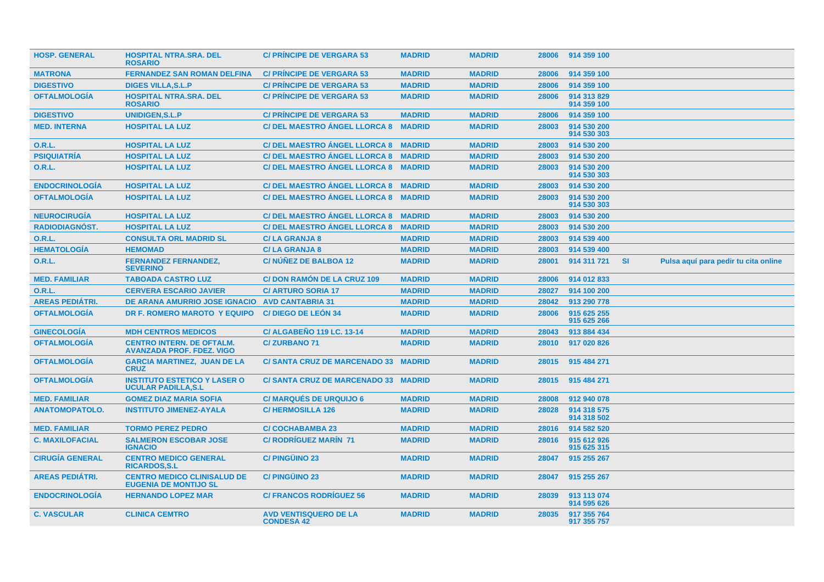| <b>HOSP. GENERAL</b>   | <b>HOSPITAL NTRA.SRA. DEL</b><br><b>ROSARIO</b>                      | <b>C/ PRINCIPE DE VERGARA 53</b>                  | <b>MADRID</b> | <b>MADRID</b> | 28006 | 914 359 100                |           |                                      |
|------------------------|----------------------------------------------------------------------|---------------------------------------------------|---------------|---------------|-------|----------------------------|-----------|--------------------------------------|
| <b>MATRONA</b>         | <b>FERNANDEZ SAN ROMAN DELFINA</b>                                   | <b>C/ PRINCIPE DE VERGARA 53</b>                  | <b>MADRID</b> | <b>MADRID</b> | 28006 | 914 359 100                |           |                                      |
| <b>DIGESTIVO</b>       | <b>DIGES VILLA, S.L.P</b>                                            | <b>C/ PRINCIPE DE VERGARA 53</b>                  | <b>MADRID</b> | <b>MADRID</b> | 28006 | 914 359 100                |           |                                      |
| <b>OFTALMOLOGIA</b>    | <b>HOSPITAL NTRA.SRA. DEL</b><br><b>ROSARIO</b>                      | <b>C/ PRINCIPE DE VERGARA 53</b>                  | <b>MADRID</b> | <b>MADRID</b> | 28006 | 914 313 829<br>914 359 100 |           |                                      |
| <b>DIGESTIVO</b>       | <b>UNIDIGEN.S.L.P</b>                                                | <b>C/ PRINCIPE DE VERGARA 53</b>                  | <b>MADRID</b> | <b>MADRID</b> | 28006 | 914 359 100                |           |                                      |
| <b>MED. INTERNA</b>    | <b>HOSPITAL LA LUZ</b>                                               | <b>C/DEL MAESTRO ÁNGEL LLORCA 8</b>               | <b>MADRID</b> | <b>MADRID</b> | 28003 | 914 530 200<br>914 530 303 |           |                                      |
| <b>O.R.L.</b>          | <b>HOSPITAL LA LUZ</b>                                               | C/ DEL MAESTRO ANGEL LLORCA 8 MADRID              |               | <b>MADRID</b> | 28003 | 914 530 200                |           |                                      |
| <b>PSIQUIATRÍA</b>     | <b>HOSPITAL LA LUZ</b>                                               | C/DEL MAESTRO ANGEL LLORCA 8 MADRID               |               | <b>MADRID</b> | 28003 | 914 530 200                |           |                                      |
| <b>O.R.L.</b>          | <b>HOSPITAL LA LUZ</b>                                               | C/ DEL MAESTRO ÁNGEL LLORCA 8 MADRID              |               | <b>MADRID</b> | 28003 | 914 530 200<br>914 530 303 |           |                                      |
| <b>ENDOCRINOLOGÍA</b>  | <b>HOSPITAL LA LUZ</b>                                               | C/DEL MAESTRO ANGEL LLORCA 8 MADRID               |               | <b>MADRID</b> | 28003 | 914 530 200                |           |                                      |
| <b>OFTALMOLOGÍA</b>    | <b>HOSPITAL LA LUZ</b>                                               | <b>C/ DEL MAESTRO ANGEL LLORCA 8</b>              | <b>MADRID</b> | <b>MADRID</b> | 28003 | 914 530 200<br>914 530 303 |           |                                      |
| <b>NEUROCIRUGÍA</b>    | <b>HOSPITAL LA LUZ</b>                                               | C/ DEL MAESTRO ÁNGEL LLORCA 8 MADRID              |               | <b>MADRID</b> | 28003 | 914 530 200                |           |                                      |
| <b>RADIODIAGNÓST.</b>  | <b>HOSPITAL LA LUZ</b>                                               | C/DEL MAESTRO ANGEL LLORCA 8 MADRID               |               | <b>MADRID</b> | 28003 | 914 530 200                |           |                                      |
| <b>O.R.L.</b>          | <b>CONSULTA ORL MADRID SL</b>                                        | <b>C/LA GRANJA 8</b>                              | <b>MADRID</b> | <b>MADRID</b> | 28003 | 914 539 400                |           |                                      |
| <b>HEMATOLOGÍA</b>     | <b>HEMOMAD</b>                                                       | <b>C/LA GRANJA 8</b>                              | <b>MADRID</b> | <b>MADRID</b> | 28003 | 914 539 400                |           |                                      |
| <b>O.R.L.</b>          | <b>FERNANDEZ FERNANDEZ,</b><br><b>SEVERINO</b>                       | C/NÚÑEZ DE BALBOA 12                              | <b>MADRID</b> | <b>MADRID</b> | 28001 | 914 311 721                | <b>SI</b> | Pulsa aquí para pedir tu cita online |
| <b>MED. FAMILIAR</b>   | <b>TABOADA CASTRO LUZ</b>                                            | C/DON RAMÓN DE LA CRUZ 109                        | <b>MADRID</b> | <b>MADRID</b> | 28006 | 914 012 833                |           |                                      |
| 0.R.L.                 | <b>CERVERA ESCARIO JAVIER</b>                                        | <b>C/ ARTURO SORIA 17</b>                         | <b>MADRID</b> | <b>MADRID</b> | 28027 | 914 100 200                |           |                                      |
| <b>AREAS PEDIÁTRI.</b> | DE ARANA AMURRIO JOSE IGNACIO                                        | <b>AVD CANTABRIA 31</b>                           | <b>MADRID</b> | <b>MADRID</b> | 28042 | 913 290 778                |           |                                      |
| <b>OFTALMOLOGÍA</b>    | DR F. ROMERO MAROTO Y EQUIPO                                         | <b>C/DIEGO DE LEÓN 34</b>                         | <b>MADRID</b> | <b>MADRID</b> | 28006 | 915 625 255<br>915 625 266 |           |                                      |
| <b>GINECOLOGÍA</b>     | <b>MDH CENTROS MEDICOS</b>                                           | <b>C/ALGABENO 119 LC, 13-14</b>                   | <b>MADRID</b> | <b>MADRID</b> | 28043 | 913 884 434                |           |                                      |
| <b>OFTALMOLOGÍA</b>    | <b>CENTRO INTERN. DE OFTALM.</b><br><b>AVANZADA PROF. FDEZ. VIGO</b> | <b>C/ZURBANO71</b>                                | <b>MADRID</b> | <b>MADRID</b> | 28010 | 917 020 826                |           |                                      |
| <b>OFTALMOLOGIA</b>    | <b>GARCIA MARTINEZ, JUAN DE LA</b><br><b>CRUZ</b>                    | C/SANTA CRUZ DE MARCENADO 33 MADRID               |               | <b>MADRID</b> | 28015 | 915 484 271                |           |                                      |
| <b>OFTALMOLOGIA</b>    | <b>INSTITUTO ESTETICO Y LASER O</b><br><b>UCULAR PADILLA, S.L</b>    | C/SANTA CRUZ DE MARCENADO 33 MADRID               |               | <b>MADRID</b> | 28015 | 915 484 271                |           |                                      |
| <b>MED. FAMILIAR</b>   | <b>GOMEZ DIAZ MARIA SOFIA</b>                                        | <b>C/ MARQUÉS DE URQUIJO 6</b>                    | <b>MADRID</b> | <b>MADRID</b> | 28008 | 912 940 078                |           |                                      |
| <b>ANATOMOPATOLO.</b>  | <b>INSTITUTO JIMENEZ-AYALA</b>                                       | <b>C/HERMOSILLA 126</b>                           | <b>MADRID</b> | <b>MADRID</b> | 28028 | 914 318 575<br>914 318 502 |           |                                      |
| <b>MED. FAMILIAR</b>   | <b>TORMO PEREZ PEDRO</b>                                             | <b>C/ COCHABAMBA 23</b>                           | <b>MADRID</b> | <b>MADRID</b> | 28016 | 914 582 520                |           |                                      |
| <b>C. MAXILOFACIAL</b> | <b>SALMERON ESCOBAR JOSE</b><br><b>IGNACIO</b>                       | <b>C/ RODRÍGUEZ MARÍN 71</b>                      | <b>MADRID</b> | <b>MADRID</b> | 28016 | 915 612 926<br>915 625 315 |           |                                      |
| <b>CIRUGÍA GENERAL</b> | <b>CENTRO MEDICO GENERAL</b><br><b>RICARDOS, S.L</b>                 | <b>C/PINGÜINO 23</b>                              | <b>MADRID</b> | <b>MADRID</b> | 28047 | 915 255 267                |           |                                      |
| <b>AREAS PEDIÁTRI.</b> | <b>CENTRO MEDICO CLINISALUD DE</b><br><b>EUGENIA DE MONTIJO SL</b>   | <b>C/PINGÜINO 23</b>                              | <b>MADRID</b> | <b>MADRID</b> | 28047 | 915 255 267                |           |                                      |
| <b>ENDOCRINOLOGIA</b>  | <b>HERNANDO LOPEZ MAR</b>                                            | <b>C/ FRANCOS RODRIGUEZ 56</b>                    | <b>MADRID</b> | <b>MADRID</b> | 28039 | 913 113 074<br>914 595 626 |           |                                      |
| <b>C. VASCULAR</b>     | <b>CLINICA CEMTRO</b>                                                | <b>AVD VENTISQUERO DE LA</b><br><b>CONDESA 42</b> | <b>MADRID</b> | <b>MADRID</b> | 28035 | 917 355 764<br>917 355 757 |           |                                      |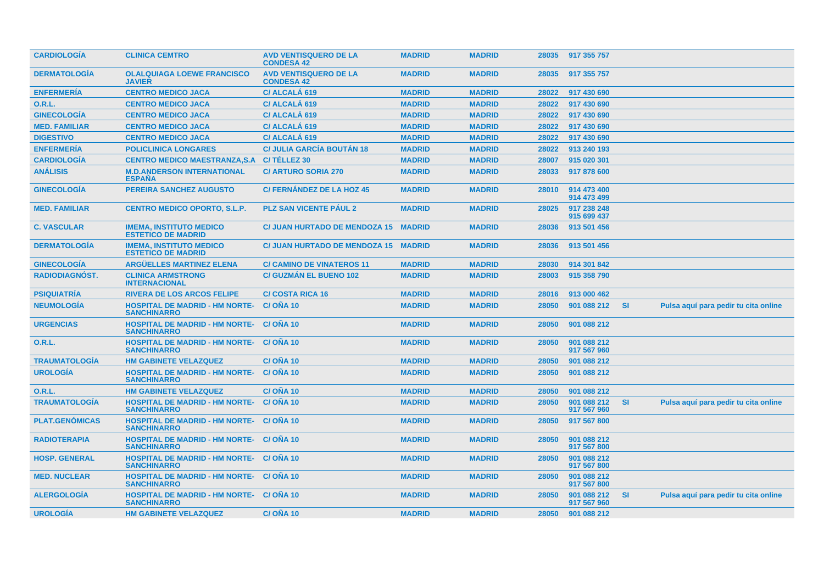| <b>CARDIOLOGIA</b>    | <b>CLINICA CEMTRO</b>                                                 | <b>AVD VENTISQUERO DE LA</b><br><b>CONDESA 42</b> | <b>MADRID</b> | <b>MADRID</b> | 28035 | 917 355 757                |           |                                      |
|-----------------------|-----------------------------------------------------------------------|---------------------------------------------------|---------------|---------------|-------|----------------------------|-----------|--------------------------------------|
| <b>DERMATOLOGIA</b>   | <b>OLALQUIAGA LOEWE FRANCISCO</b><br><b>JAVIER</b>                    | <b>AVD VENTISQUERO DE LA</b><br><b>CONDESA 42</b> | <b>MADRID</b> | <b>MADRID</b> | 28035 | 917 355 757                |           |                                      |
| <b>ENFERMERÍA</b>     | <b>CENTRO MEDICO JACA</b>                                             | C/ ALCALÁ 619                                     | <b>MADRID</b> | <b>MADRID</b> | 28022 | 917 430 690                |           |                                      |
| <b>O.R.L.</b>         | <b>CENTRO MEDICO JACA</b>                                             | C/ ALCALA 619                                     | <b>MADRID</b> | <b>MADRID</b> | 28022 | 917 430 690                |           |                                      |
| <b>GINECOLOGÍA</b>    | <b>CENTRO MEDICO JACA</b>                                             | C/ ALCALA 619                                     | <b>MADRID</b> | <b>MADRID</b> | 28022 | 917 430 690                |           |                                      |
| <b>MED. FAMILIAR</b>  | <b>CENTRO MEDICO JACA</b>                                             | C/ ALCALÁ 619                                     | <b>MADRID</b> | <b>MADRID</b> | 28022 | 917 430 690                |           |                                      |
| <b>DIGESTIVO</b>      | <b>CENTRO MEDICO JACA</b>                                             | C/ ALCALA 619                                     | <b>MADRID</b> | <b>MADRID</b> | 28022 | 917 430 690                |           |                                      |
| <b>ENFERMERIA</b>     | <b>POLICLINICA LONGARES</b>                                           | <b>C/ JULIA GARCÍA BOUTÁN 18</b>                  | <b>MADRID</b> | <b>MADRID</b> | 28022 | 913 240 193                |           |                                      |
| <b>CARDIOLOGÍA</b>    | <b>CENTRO MEDICO MAESTRANZA, S.A.</b>                                 | C/TÉLLEZ 30                                       | <b>MADRID</b> | <b>MADRID</b> | 28007 | 915 020 301                |           |                                      |
| <b>ANÁLISIS</b>       | <b>M.D.ANDERSON INTERNATIONAL</b><br><b>ESPAÑA</b>                    | <b>C/ ARTURO SORIA 270</b>                        | <b>MADRID</b> | <b>MADRID</b> | 28033 | 917 878 600                |           |                                      |
| <b>GINECOLOGÍA</b>    | <b>PEREIRA SANCHEZ AUGUSTO</b>                                        | <b>C/FERNANDEZ DE LA HOZ 45</b>                   | <b>MADRID</b> | <b>MADRID</b> | 28010 | 914 473 400<br>914 473 499 |           |                                      |
| <b>MED. FAMILIAR</b>  | <b>CENTRO MEDICO OPORTO, S.L.P.</b>                                   | <b>PLZ SAN VICENTE PAUL 2</b>                     | <b>MADRID</b> | <b>MADRID</b> | 28025 | 917 238 248<br>915 699 437 |           |                                      |
| <b>C. VASCULAR</b>    | <b>IMEMA, INSTITUTO MEDICO</b><br><b>ESTETICO DE MADRID</b>           | <b>C/ JUAN HURTADO DE MENDOZA 15</b>              | <b>MADRID</b> | <b>MADRID</b> | 28036 | 913 501 456                |           |                                      |
| <b>DERMATOLOGIA</b>   | <b>IMEMA, INSTITUTO MEDICO</b><br><b>ESTETICO DE MADRID</b>           | C/ JUAN HURTADO DE MENDOZA 15 MADRID              |               | <b>MADRID</b> | 28036 | 913 501 456                |           |                                      |
| <b>GINECOLOGÍA</b>    | <b>ARGÜELLES MARTINEZ ELENA</b>                                       | <b>C/ CAMINO DE VINATEROS 11</b>                  | <b>MADRID</b> | <b>MADRID</b> | 28030 | 914 301 842                |           |                                      |
| <b>RADIODIAGNÓST.</b> | <b>CLINICA ARMSTRONG</b><br><b>INTERNACIONAL</b>                      | <b>C/ GUZMAN EL BUENO 102</b>                     | <b>MADRID</b> | <b>MADRID</b> | 28003 | 915 358 790                |           |                                      |
| <b>PSIQUIATRIA</b>    | <b>RIVERA DE LOS ARCOS FELIPE</b>                                     | <b>C/COSTA RICA 16</b>                            | <b>MADRID</b> | <b>MADRID</b> | 28016 | 913 000 462                |           |                                      |
| <b>NEUMOLOGÍA</b>     | <b>HOSPITAL DE MADRID - HM NORTE-</b><br><b>SANCHINARRO</b>           | C/ONA 10                                          | <b>MADRID</b> | <b>MADRID</b> | 28050 | 901 088 212                | <b>SI</b> | Pulsa aquí para pedir tu cita online |
| <b>URGENCIAS</b>      | <b>HOSPITAL DE MADRID - HM NORTE-</b><br><b>SANCHINARRO</b>           | C/ONA 10                                          | <b>MADRID</b> | <b>MADRID</b> | 28050 | 901 088 212                |           |                                      |
| <b>O.R.L.</b>         | <b>HOSPITAL DE MADRID - HM NORTE- C/ OÑA 10</b><br><b>SANCHINARRO</b> |                                                   | <b>MADRID</b> | <b>MADRID</b> | 28050 | 901 088 212<br>917 567 960 |           |                                      |
| <b>TRAUMATOLOGÍA</b>  | <b>HM GABINETE VELAZQUEZ</b>                                          | C/OÑA 10                                          | <b>MADRID</b> | <b>MADRID</b> | 28050 | 901 088 212                |           |                                      |
| <b>UROLOGÍA</b>       | <b>HOSPITAL DE MADRID - HM NORTE-</b><br><b>SANCHINARRO</b>           | C/OÑA 10                                          | <b>MADRID</b> | <b>MADRID</b> | 28050 | 901 088 212                |           |                                      |
| O.R.L.                | <b>HM GABINETE VELAZQUEZ</b>                                          | C/O <sub>N</sub> A <sub>10</sub>                  | <b>MADRID</b> | <b>MADRID</b> | 28050 | 901 088 212                |           |                                      |
| <b>TRAUMATOLOGÍA</b>  | <b>HOSPITAL DE MADRID - HM NORTE-</b><br><b>SANCHINARRO</b>           | C/ONA 10                                          | <b>MADRID</b> | <b>MADRID</b> | 28050 | 901 088 212<br>917 567 960 | <b>SI</b> | Pulsa aquí para pedir tu cita online |
| <b>PLAT.GENOMICAS</b> | <b>HOSPITAL DE MADRID - HM NORTE- C/ OÑA 10</b><br><b>SANCHINARRO</b> |                                                   | <b>MADRID</b> | <b>MADRID</b> | 28050 | 917 567 800                |           |                                      |
| <b>RADIOTERAPIA</b>   | <b>HOSPITAL DE MADRID - HM NORTE-</b><br><b>SANCHINARRO</b>           | C/ONA 10                                          | <b>MADRID</b> | <b>MADRID</b> | 28050 | 901 088 212<br>917 567 800 |           |                                      |
| <b>HOSP. GENERAL</b>  | <b>HOSPITAL DE MADRID - HM NORTE- C/OÑA 10</b><br><b>SANCHINARRO</b>  |                                                   | <b>MADRID</b> | <b>MADRID</b> | 28050 | 901 088 212<br>917 567 800 |           |                                      |
| <b>MED. NUCLEAR</b>   | <b>HOSPITAL DE MADRID - HM NORTE-</b><br><b>SANCHINARRO</b>           | C/ONA 10                                          | <b>MADRID</b> | <b>MADRID</b> | 28050 | 901 088 212<br>917 567 800 |           |                                      |
| <b>ALERGOLOGIA</b>    | <b>HOSPITAL DE MADRID - HM NORTE- C/ONA 10</b><br><b>SANCHINARRO</b>  |                                                   | <b>MADRID</b> | <b>MADRID</b> | 28050 | 901 088 212<br>917 567 960 | <b>SI</b> | Pulsa aquí para pedir tu cita online |
| <b>UROLOGÍA</b>       | <b>HM GABINETE VELAZQUEZ</b>                                          | $C/ONA$ 10                                        | <b>MADRID</b> | <b>MADRID</b> | 28050 | 901 088 212                |           |                                      |
|                       |                                                                       |                                                   |               |               |       |                            |           |                                      |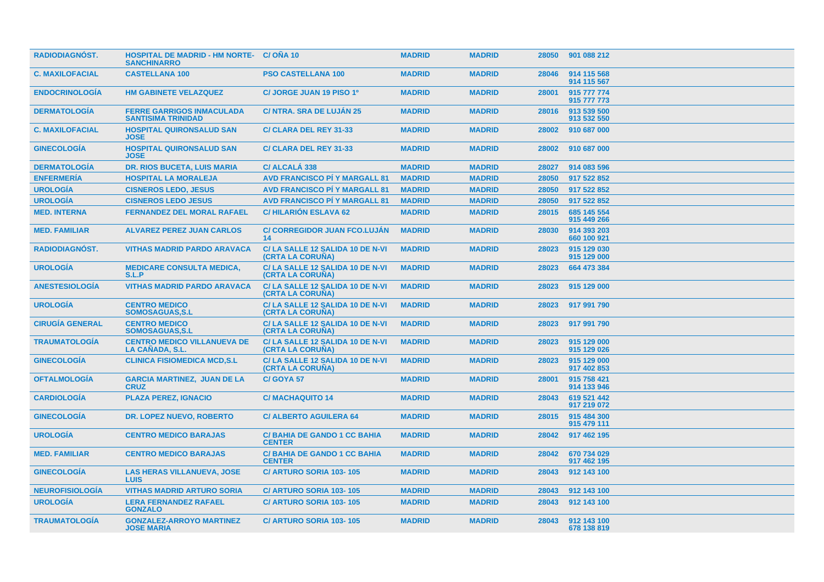| <b>RADIODIAGNÓST.</b>  | <b>HOSPITAL DE MADRID - HM NORTE- C/OÑA 10</b><br><b>SANCHINARRO</b> |                                                            | <b>MADRID</b> | <b>MADRID</b> | 28050 | 901 088 212                |
|------------------------|----------------------------------------------------------------------|------------------------------------------------------------|---------------|---------------|-------|----------------------------|
| <b>C. MAXILOFACIAL</b> | <b>CASTELLANA 100</b>                                                | <b>PSO CASTELLANA 100</b>                                  | <b>MADRID</b> | <b>MADRID</b> | 28046 | 914 115 568<br>914 115 567 |
| <b>ENDOCRINOLOGIA</b>  | <b>HM GABINETE VELAZQUEZ</b>                                         | C/ JORGE JUAN 19 PISO 1º                                   | <b>MADRID</b> | <b>MADRID</b> | 28001 | 915 777 774<br>915 777 773 |
| <b>DERMATOLOGÍA</b>    | <b>FERRE GARRIGOS INMACULADA</b><br><b>SANTISIMA TRINIDAD</b>        | <b>C/ NTRA. SRA DE LUJÁN 25</b>                            | <b>MADRID</b> | <b>MADRID</b> | 28016 | 913 539 500<br>913 532 550 |
| <b>C. MAXILOFACIAL</b> | <b>HOSPITAL QUIRONSALUD SAN</b><br><b>JOSE</b>                       | C/ CLARA DEL REY 31-33                                     | <b>MADRID</b> | <b>MADRID</b> | 28002 | 910 687 000                |
| <b>GINECOLOGÍA</b>     | <b>HOSPITAL QUIRONSALUD SAN</b><br><b>JOSE</b>                       | <b>C/ CLARA DEL REY 31-33</b>                              | <b>MADRID</b> | <b>MADRID</b> | 28002 | 910 687 000                |
| <b>DERMATOLOGIA</b>    | <b>DR. RIOS BUCETA, LUIS MARIA</b>                                   | C/ ALCALA 338                                              | <b>MADRID</b> | <b>MADRID</b> | 28027 | 914 083 596                |
| <b>ENFERMERÍA</b>      | <b>HOSPITAL LA MORALEJA</b>                                          | <b>AVD FRANCISCO PI Y MARGALL 81</b>                       | <b>MADRID</b> | <b>MADRID</b> | 28050 | 917 522 852                |
| <b>UROLOGÍA</b>        | <b>CISNEROS LEDO, JESUS</b>                                          | <b>AVD FRANCISCO PI Y MARGALL 81</b>                       | <b>MADRID</b> | <b>MADRID</b> | 28050 | 917 522 852                |
| <b>UROLOGÍA</b>        | <b>CISNEROS LEDO JESUS</b>                                           | <b>AVD FRANCISCO PI Y MARGALL 81</b>                       | <b>MADRID</b> | <b>MADRID</b> | 28050 | 917 522 852                |
| <b>MED. INTERNA</b>    | <b>FERNANDEZ DEL MORAL RAFAEL</b>                                    | <b>C/HILARIÓN ESLAVA 62</b>                                | <b>MADRID</b> | <b>MADRID</b> | 28015 | 685 145 554<br>915 449 266 |
| <b>MED. FAMILIAR</b>   | <b>ALVAREZ PEREZ JUAN CARLOS</b>                                     | <b>C/ CORREGIDOR JUAN FCO.LUJÁN</b><br>14                  | <b>MADRID</b> | <b>MADRID</b> | 28030 | 914 393 203<br>660 100 921 |
| RADIODIAGNÓST.         | <b>VITHAS MADRID PARDO ARAVACA</b>                                   | C/LA SALLE 12 SALIDA 10 DE N-VI<br>(CRTA LA CORUÑA)        | <b>MADRID</b> | <b>MADRID</b> | 28023 | 915 129 030<br>915 129 000 |
| <b>UROLOGIA</b>        | <b>MEDICARE CONSULTA MEDICA,</b><br>S.L.P                            | C/LA SALLE 12 SALIDA 10 DE N-VI<br>(CRTA LA CORUNA)        | <b>MADRID</b> | <b>MADRID</b> | 28023 | 664 473 384                |
| <b>ANESTESIOLOGIA</b>  | <b>VITHAS MADRID PARDO ARAVACA</b>                                   | C/ LA SALLE 12 SALIDA 10 DE N-VI<br>(CRTA LA CORUNA)       | <b>MADRID</b> | <b>MADRID</b> | 28023 | 915 129 000                |
| <b>UROLOGIA</b>        | <b>CENTRO MEDICO</b><br><b>SOMOSAGUAS, S.L.</b>                      | C/LA SALLE 12 SALIDA 10 DE N-VI<br>(CRTA LA CORUNA)        | <b>MADRID</b> | <b>MADRID</b> | 28023 | 917 991 790                |
| <b>CIRUGÍA GENERAL</b> | <b>CENTRO MEDICO</b><br><b>SOMOSAGUAS, S.L.</b>                      | C/ LA SALLE 12 SALIDA 10 DE N-VI<br>(CRTA LA CORUÑA)       | <b>MADRID</b> | <b>MADRID</b> | 28023 | 917 991 790                |
| <b>TRAUMATOLOGÍA</b>   | <b>CENTRO MEDICO VILLANUEVA DE</b><br>LA CAÑADA, S.L.                | C/LA SALLE 12 SALIDA 10 DE N-VI<br>(CRTA LA CORUÑA)        | <b>MADRID</b> | <b>MADRID</b> | 28023 | 915 129 000<br>915 129 026 |
| <b>GINECOLOGÍA</b>     | <b>CLINICA FISIOMEDICA MCD,S.L</b>                                   | C/LA SALLE 12 SALIDA 10 DE N-VI<br><b>(CRTA LA CORUNA)</b> | <b>MADRID</b> | <b>MADRID</b> | 28023 | 915 129 000<br>917 402 853 |
| <b>OFTALMOLOGIA</b>    | <b>GARCIA MARTINEZ, JUAN DE LA</b><br><b>CRUZ</b>                    | C/GOYA 57                                                  | <b>MADRID</b> | <b>MADRID</b> | 28001 | 915 758 421<br>914 133 946 |
| <b>CARDIOLOGIA</b>     | <b>PLAZA PEREZ, IGNACIO</b>                                          | <b>C/MACHAQUITO 14</b>                                     | <b>MADRID</b> | <b>MADRID</b> | 28043 | 619 521 442<br>917 219 072 |
| <b>GINECOLOGIA</b>     | DR. LOPEZ NUEVO, ROBERTO                                             | <b>C/ALBERTO AGUILERA 64</b>                               | <b>MADRID</b> | <b>MADRID</b> | 28015 | 915 484 300<br>915 479 111 |
| <b>UROLOGÍA</b>        | <b>CENTRO MEDICO BARAJAS</b>                                         | <b>C/BAHIA DE GANDO 1 CC BAHIA</b><br><b>CENTER</b>        | <b>MADRID</b> | <b>MADRID</b> | 28042 | 917 462 195                |
| <b>MED. FAMILIAR</b>   | <b>CENTRO MEDICO BARAJAS</b>                                         | <b>C/BAHIA DE GANDO 1 CC BAHIA</b><br><b>CENTER</b>        | <b>MADRID</b> | <b>MADRID</b> | 28042 | 670 734 029<br>917 462 195 |
| <b>GINECOLOGÍA</b>     | <b>LAS HERAS VILLANUEVA, JOSE</b><br><b>LUIS</b>                     | <b>C/ ARTURO SORIA 103-105</b>                             | <b>MADRID</b> | <b>MADRID</b> | 28043 | 912 143 100                |
| <b>NEUROFISIOLOGIA</b> | <b>VITHAS MADRID ARTURO SORIA</b>                                    | <b>C/ ARTURO SORIA 103-105</b>                             | <b>MADRID</b> | <b>MADRID</b> | 28043 | 912 143 100                |
| <b>UROLOGIA</b>        | <b>LERA FERNANDEZ RAFAEL</b><br><b>GONZALO</b>                       | <b>C/ ARTURO SORIA 103-105</b>                             | <b>MADRID</b> | <b>MADRID</b> | 28043 | 912 143 100                |
| <b>TRAUMATOLOGIA</b>   | <b>GONZALEZ-ARROYO MARTINEZ</b><br><b>JOSE MARIA</b>                 | C/ ARTURO SORIA 103-105                                    | <b>MADRID</b> | <b>MADRID</b> | 28043 | 912 143 100<br>678 138 819 |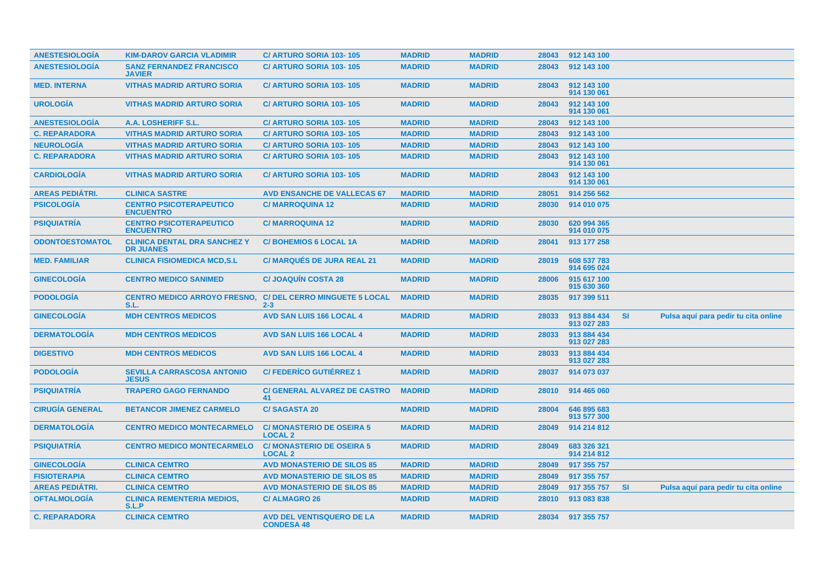| <b>ANESTESIOLOGIA</b>  | <b>KIM-DAROV GARCIA VLADIMIR</b>                        | C/ ARTURO SORIA 103-105                               | <b>MADRID</b> | <b>MADRID</b> |       | 28043 912 143 100          |           |                                      |
|------------------------|---------------------------------------------------------|-------------------------------------------------------|---------------|---------------|-------|----------------------------|-----------|--------------------------------------|
| <b>ANESTESIOLOGÍA</b>  | <b>SANZ FERNANDEZ FRANCISCO</b><br><b>JAVIER</b>        | C/ ARTURO SORIA 103-105                               | <b>MADRID</b> | <b>MADRID</b> | 28043 | 912 143 100                |           |                                      |
| <b>MED. INTERNA</b>    | <b>VITHAS MADRID ARTURO SORIA</b>                       | <b>C/ ARTURO SORIA 103-105</b>                        | <b>MADRID</b> | <b>MADRID</b> | 28043 | 912 143 100<br>914 130 061 |           |                                      |
| <b>UROLOGÍA</b>        | <b>VITHAS MADRID ARTURO SORIA</b>                       | C/ ARTURO SORIA 103-105                               | <b>MADRID</b> | <b>MADRID</b> | 28043 | 912 143 100<br>914 130 061 |           |                                      |
| <b>ANESTESIOLOGÍA</b>  | A.A. LOSHERIFF S.L.                                     | C/ ARTURO SORIA 103-105                               | <b>MADRID</b> | <b>MADRID</b> | 28043 | 912 143 100                |           |                                      |
| <b>C. REPARADORA</b>   | <b>VITHAS MADRID ARTURO SORIA</b>                       | C/ ARTURO SORIA 103-105                               | <b>MADRID</b> | <b>MADRID</b> | 28043 | 912 143 100                |           |                                      |
| <b>NEUROLOGÍA</b>      | <b>VITHAS MADRID ARTURO SORIA</b>                       | <b>C/ ARTURO SORIA 103-105</b>                        | <b>MADRID</b> | <b>MADRID</b> | 28043 | 912 143 100                |           |                                      |
| <b>C. REPARADORA</b>   | <b>VITHAS MADRID ARTURO SORIA</b>                       | <b>C/ ARTURO SORIA 103-105</b>                        | <b>MADRID</b> | <b>MADRID</b> | 28043 | 912 143 100<br>914 130 061 |           |                                      |
| <b>CARDIOLOGÍA</b>     | <b>VITHAS MADRID ARTURO SORIA</b>                       | C/ ARTURO SORIA 103-105                               | <b>MADRID</b> | <b>MADRID</b> | 28043 | 912 143 100<br>914 130 061 |           |                                      |
| <b>AREAS PEDIÁTRI.</b> | <b>CLINICA SASTRE</b>                                   | <b>AVD ENSANCHE DE VALLECAS 67</b>                    | <b>MADRID</b> | <b>MADRID</b> | 28051 | 914 256 562                |           |                                      |
| <b>PSICOLOGÍA</b>      | <b>CENTRO PSICOTERAPEUTICO</b><br><b>ENCUENTRO</b>      | <b>C/MARROQUINA 12</b>                                | <b>MADRID</b> | <b>MADRID</b> | 28030 | 914 010 075                |           |                                      |
| <b>PSIQUIATRÍA</b>     | <b>CENTRO PSICOTERAPEUTICO</b><br><b>ENCUENTRO</b>      | <b>C/MARROQUINA 12</b>                                | <b>MADRID</b> | <b>MADRID</b> | 28030 | 620 994 365<br>914 010 075 |           |                                      |
| <b>ODONTOESTOMATOL</b> | <b>CLINICA DENTAL DRA SANCHEZ Y</b><br><b>DR JUANES</b> | <b>C/BOHEMIOS 6 LOCAL 1A</b>                          | <b>MADRID</b> | <b>MADRID</b> | 28041 | 913 177 258                |           |                                      |
| <b>MED. FAMILIAR</b>   | <b>CLINICA FISIOMEDICA MCD,S.L</b>                      | <b>C/ MARQUÉS DE JURA REAL 21</b>                     | <b>MADRID</b> | <b>MADRID</b> | 28019 | 608 537 783<br>914 695 024 |           |                                      |
| <b>GINECOLOGIA</b>     | <b>CENTRO MEDICO SANIMED</b>                            | <b>C/JOAQUIN COSTA 28</b>                             | <b>MADRID</b> | <b>MADRID</b> | 28006 | 915 617 100<br>915 630 360 |           |                                      |
| <b>PODOLOGÍA</b>       | <b>CENTRO MEDICO ARROYO FRESNO.</b><br>S.L.             | <b>C/ DEL CERRO MINGUETE 5 LOCAL</b><br>$2 - 3$       | <b>MADRID</b> | <b>MADRID</b> | 28035 | 917 399 511                |           |                                      |
| <b>GINECOLOGÍA</b>     | <b>MDH CENTROS MEDICOS</b>                              | <b>AVD SAN LUIS 166 LOCAL 4</b>                       | <b>MADRID</b> | <b>MADRID</b> | 28033 | 913 884 434<br>913 027 283 | <b>SI</b> | Pulsa aquí para pedir tu cita online |
| <b>DERMATOLOGIA</b>    | <b>MDH CENTROS MEDICOS</b>                              | <b>AVD SAN LUIS 166 LOCAL 4</b>                       | <b>MADRID</b> | <b>MADRID</b> | 28033 | 913 884 434<br>913 027 283 |           |                                      |
| <b>DIGESTIVO</b>       | <b>MDH CENTROS MEDICOS</b>                              | <b>AVD SAN LUIS 166 LOCAL 4</b>                       | <b>MADRID</b> | <b>MADRID</b> | 28033 | 913 884 434<br>913 027 283 |           |                                      |
| <b>PODOLOGIA</b>       | <b>SEVILLA CARRASCOSA ANTONIO</b><br><b>JESUS</b>       | <b>C/FEDERÍCO GUTIÉRREZ 1</b>                         | <b>MADRID</b> | <b>MADRID</b> | 28037 | 914 073 037                |           |                                      |
| <b>PSIQUIATRÍA</b>     | <b>TRAPERO GAGO FERNANDO</b>                            | <b>C/ GENERAL ALVAREZ DE CASTRO</b><br>41             | <b>MADRID</b> | <b>MADRID</b> | 28010 | 914 465 060                |           |                                      |
| <b>CIRUGÍA GENERAL</b> | <b>BETANCOR JIMENEZ CARMELO</b>                         | <b>C/SAGASTA 20</b>                                   | <b>MADRID</b> | <b>MADRID</b> | 28004 | 646 895 683<br>913 577 300 |           |                                      |
| <b>DERMATOLOGIA</b>    | <b>CENTRO MEDICO MONTECARMELO</b>                       | <b>C/MONASTERIO DE OSEIRA 5</b><br><b>LOCAL 2</b>     | <b>MADRID</b> | <b>MADRID</b> | 28049 | 914 214 812                |           |                                      |
| <b>PSIQUIATRÍA</b>     | <b>CENTRO MEDICO MONTECARMELO</b>                       | <b>C/ MONASTERIO DE OSEIRA 5</b><br><b>LOCAL 2</b>    | <b>MADRID</b> | <b>MADRID</b> | 28049 | 683 326 321<br>914 214 812 |           |                                      |
| <b>GINECOLOGIA</b>     | <b>CLINICA CEMTRO</b>                                   | <b>AVD MONASTERIO DE SILOS 85</b>                     | <b>MADRID</b> | <b>MADRID</b> | 28049 | 917 355 757                |           |                                      |
| <b>FISIOTERAPIA</b>    | <b>CLINICA CEMTRO</b>                                   | <b>AVD MONASTERIO DE SILOS 85</b>                     | <b>MADRID</b> | <b>MADRID</b> | 28049 | 917 355 757                |           |                                      |
| <b>AREAS PEDIÁTRI.</b> | <b>CLINICA CEMTRO</b>                                   | <b>AVD MONASTERIO DE SILOS 85</b>                     | <b>MADRID</b> | <b>MADRID</b> | 28049 | 917 355 757                | <b>SI</b> | Pulsa aguí para pedir tu cita online |
| <b>OFTALMOLOGIA</b>    | <b>CLINICA REMENTERIA MEDIOS,</b><br>S.L.P              | <b>C/ALMAGRO 26</b>                                   | <b>MADRID</b> | <b>MADRID</b> | 28010 | 913 083 838                |           |                                      |
| <b>C. REPARADORA</b>   | <b>CLINICA CEMTRO</b>                                   | <b>AVD DEL VENTISQUERO DE LA</b><br><b>CONDESA 48</b> | <b>MADRID</b> | <b>MADRID</b> |       | 28034 917 355 757          |           |                                      |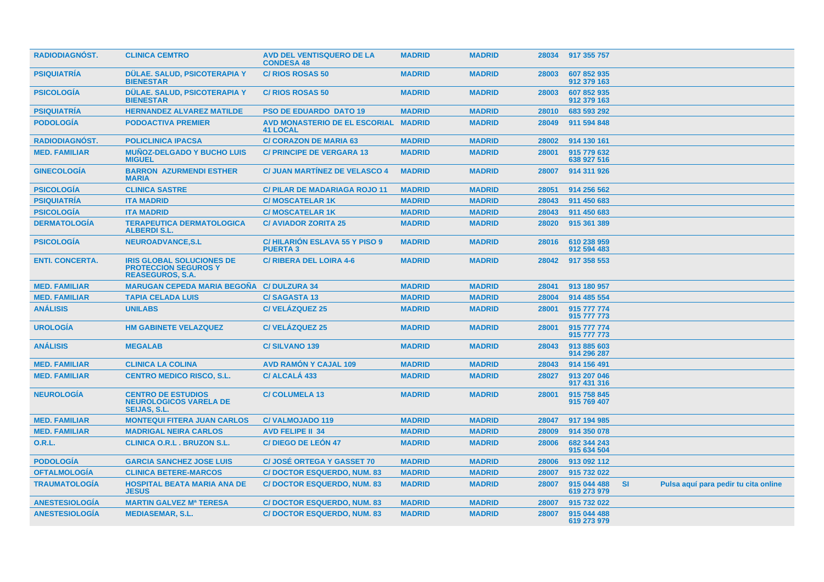| <b>RADIODIAGNOST.</b>  | <b>CLINICA CEMTRO</b>                                                                      | <b>AVD DEL VENTISQUERO DE LA</b><br><b>CONDESA 48</b>   | <b>MADRID</b> | <b>MADRID</b> | 28034 | 917 355 757                |           |                                      |  |
|------------------------|--------------------------------------------------------------------------------------------|---------------------------------------------------------|---------------|---------------|-------|----------------------------|-----------|--------------------------------------|--|
| <b>PSIQUIATRIA</b>     | DÜLAE. SALUD, PSICOTERAPIA Y<br><b>BIENESTAR</b>                                           | <b>C/RIOS ROSAS 50</b>                                  | <b>MADRID</b> | <b>MADRID</b> | 28003 | 607 852 935<br>912 379 163 |           |                                      |  |
| <b>PSICOLOGÍA</b>      | DÜLAE, SALUD, PSICOTERAPIA Y<br><b>BIENESTAR</b>                                           | <b>C/RIOS ROSAS 50</b>                                  | <b>MADRID</b> | <b>MADRID</b> | 28003 | 607 852 935<br>912 379 163 |           |                                      |  |
| <b>PSIQUIATRÍA</b>     | <b>HERNANDEZ ALVAREZ MATILDE</b>                                                           | <b>PSO DE EDUARDO DATO 19</b>                           | <b>MADRID</b> | <b>MADRID</b> | 28010 | 683 593 292                |           |                                      |  |
| <b>PODOLOGIA</b>       | <b>PODOACTIVA PREMIER</b>                                                                  | AVD MONASTERIO DE EL ESCORIAL MADRID<br><b>41 LOCAL</b> |               | <b>MADRID</b> | 28049 | 911 594 848                |           |                                      |  |
| <b>RADIODIAGNÓST.</b>  | <b>POLICLINICA IPACSA</b>                                                                  | <b>C/ CORAZON DE MARIA 63</b>                           | <b>MADRID</b> | <b>MADRID</b> | 28002 | 914 130 161                |           |                                      |  |
| <b>MED. FAMILIAR</b>   | <b>MUÑOZ-DELGADO Y BUCHO LUIS</b><br><b>MIGUEL</b>                                         | <b>C/ PRINCIPE DE VERGARA 13</b>                        | <b>MADRID</b> | <b>MADRID</b> | 28001 | 915 779 632<br>638 927 516 |           |                                      |  |
| <b>GINECOLOGÍA</b>     | <b>BARRON AZURMENDI ESTHER</b><br><b>MARIA</b>                                             | <b>C/ JUAN MARTINEZ DE VELASCO 4</b>                    | <b>MADRID</b> | <b>MADRID</b> | 28007 | 914 311 926                |           |                                      |  |
| <b>PSICOLOGÍA</b>      | <b>CLINICA SASTRE</b>                                                                      | <b>C/PILAR DE MADARIAGA ROJO 11</b>                     | <b>MADRID</b> | <b>MADRID</b> | 28051 | 914 256 562                |           |                                      |  |
| <b>PSIQUIATRÍA</b>     | <b>ITA MADRID</b>                                                                          | <b>C/MOSCATELAR 1K</b>                                  | <b>MADRID</b> | <b>MADRID</b> | 28043 | 911 450 683                |           |                                      |  |
| <b>PSICOLOGÍA</b>      | <b>ITA MADRID</b>                                                                          | <b>C/MOSCATELAR 1K</b>                                  | <b>MADRID</b> | <b>MADRID</b> | 28043 | 911 450 683                |           |                                      |  |
| <b>DERMATOLOGÍA</b>    | <b>TERAPEUTICA DERMATOLOGICA</b><br><b>ALBERDIS.L.</b>                                     | <b>C/ AVIADOR ZORITA 25</b>                             | <b>MADRID</b> | <b>MADRID</b> | 28020 | 915 361 389                |           |                                      |  |
| <b>PSICOLOGIA</b>      | <b>NEUROADVANCE.S.L</b>                                                                    | <b>C/HILARIÓN ESLAVA 55 Y PISO 9</b><br><b>PUERTA3</b>  | <b>MADRID</b> | <b>MADRID</b> | 28016 | 610 238 959<br>912 594 483 |           |                                      |  |
| <b>ENTI. CONCERTA.</b> | <b>IRIS GLOBAL SOLUCIONES DE</b><br><b>PROTECCION SEGUROS Y</b><br><b>REASEGUROS, S.A.</b> | <b>C/ RIBERA DEL LOIRA 4-6</b>                          | <b>MADRID</b> | <b>MADRID</b> | 28042 | 917 358 553                |           |                                      |  |
| <b>MED. FAMILIAR</b>   | <b>MARUGAN CEPEDA MARIA BEGOÑA</b>                                                         | <b>C/DULZURA 34</b>                                     | <b>MADRID</b> | <b>MADRID</b> | 28041 | 913 180 957                |           |                                      |  |
| <b>MED. FAMILIAR</b>   | <b>TAPIA CELADA LUIS</b>                                                                   | <b>C/SAGASTA13</b>                                      | <b>MADRID</b> | <b>MADRID</b> | 28004 | 914 485 554                |           |                                      |  |
| <b>ANÁLISIS</b>        | <b>UNILABS</b>                                                                             | <b>C/VELÁZQUEZ 25</b>                                   | <b>MADRID</b> | <b>MADRID</b> | 28001 | 915 777 774<br>915 777 773 |           |                                      |  |
| <b>UROLOGÍA</b>        | <b>HM GABINETE VELAZQUEZ</b>                                                               | <b>C/VELÁZQUEZ 25</b>                                   | <b>MADRID</b> | <b>MADRID</b> | 28001 | 915 777 774<br>915 777 773 |           |                                      |  |
| <b>ANÁLISIS</b>        | <b>MEGALAB</b>                                                                             | <b>C/SILVANO 139</b>                                    | <b>MADRID</b> | <b>MADRID</b> | 28043 | 913 885 603<br>914 296 287 |           |                                      |  |
| <b>MED. FAMILIAR</b>   | <b>CLINICA LA COLINA</b>                                                                   | <b>AVD RAMÓN Y CAJAL 109</b>                            | <b>MADRID</b> | <b>MADRID</b> | 28043 | 914 156 491                |           |                                      |  |
| <b>MED. FAMILIAR</b>   | <b>CENTRO MEDICO RISCO, S.L.</b>                                                           | C/ ALCALÁ 433                                           | <b>MADRID</b> | <b>MADRID</b> | 28027 | 913 207 046<br>917 431 316 |           |                                      |  |
| <b>NEUROLOGIA</b>      | <b>CENTRO DE ESTUDIOS</b><br><b>NEUROLOGICOS VARELA DE</b><br><b>SEIJAS, S.L.</b>          | <b>C/COLUMELA 13</b>                                    | <b>MADRID</b> | <b>MADRID</b> | 28001 | 915 758 845<br>915 769 407 |           |                                      |  |
| <b>MED. FAMILIAR</b>   | <b>MONTEQUI FITERA JUAN CARLOS</b>                                                         | <b>C/VALMOJADO 119</b>                                  | <b>MADRID</b> | <b>MADRID</b> | 28047 | 917 194 985                |           |                                      |  |
| <b>MED. FAMILIAR</b>   | <b>MADRIGAL NEIRA CARLOS</b>                                                               | <b>AVD FELIPE II 34</b>                                 | <b>MADRID</b> | <b>MADRID</b> | 28009 | 914 350 078                |           |                                      |  |
| <b>O.R.L.</b>          | <b>CLINICA O.R.L. BRUZON S.L.</b>                                                          | C/DIEGO DE LEÓN 47                                      | <b>MADRID</b> | <b>MADRID</b> | 28006 | 682 344 243<br>915 634 504 |           |                                      |  |
| <b>PODOLOGÍA</b>       | <b>GARCIA SANCHEZ JOSE LUIS</b>                                                            | <b>C/JOSÉ ORTEGA Y GASSET 70</b>                        | <b>MADRID</b> | <b>MADRID</b> | 28006 | 913 092 112                |           |                                      |  |
| <b>OFTALMOLOGÍA</b>    | <b>CLINICA BETERE-MARCOS</b>                                                               | <b>C/DOCTOR ESQUERDO, NUM. 83</b>                       | <b>MADRID</b> | <b>MADRID</b> | 28007 | 915 732 022                |           |                                      |  |
| <b>TRAUMATOLOGÍA</b>   | <b>HOSPITAL BEATA MARIA ANA DE</b><br><b>JESUS</b>                                         | <b>C/DOCTOR ESQUERDO, NUM. 83</b>                       | <b>MADRID</b> | <b>MADRID</b> | 28007 | 915 044 488<br>619 273 979 | <b>SI</b> | Pulsa aquí para pedir tu cita online |  |
| <b>ANESTESIOLOGIA</b>  | <b>MARTIN GALVEZ Mª TERESA</b>                                                             | <b>C/DOCTOR ESQUERDO, NUM. 83</b>                       | <b>MADRID</b> | <b>MADRID</b> | 28007 | 915 732 022                |           |                                      |  |
| <b>ANESTESIOLOGÍA</b>  | <b>MEDIASEMAR, S.L.</b>                                                                    | <b>C/DOCTOR ESQUERDO, NUM. 83</b>                       | <b>MADRID</b> | <b>MADRID</b> | 28007 | 915 044 488<br>619 273 979 |           |                                      |  |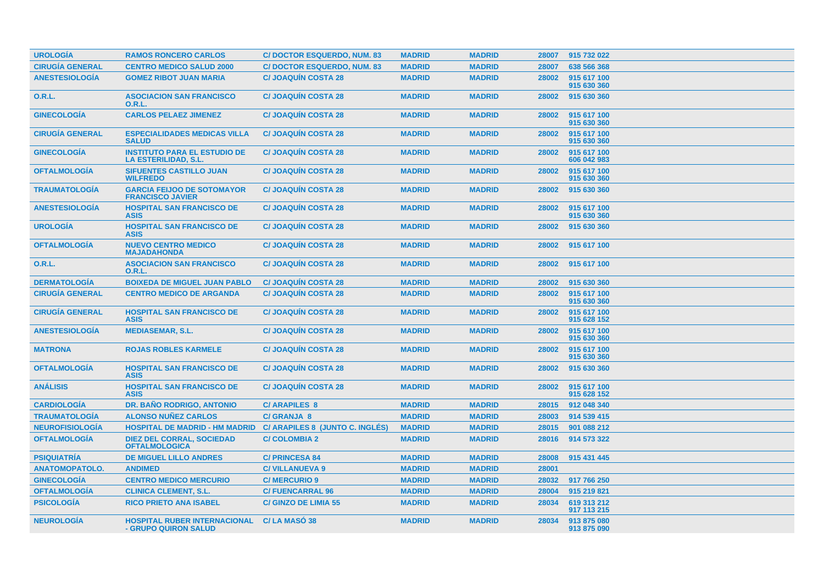| <b>UROLOGÍA</b>        | <b>RAMOS RONCERO CARLOS</b>                                        | <b>C/DOCTOR ESQUERDO, NUM. 83</b> | <b>MADRID</b> | <b>MADRID</b> | 28007 | 915 732 022                |
|------------------------|--------------------------------------------------------------------|-----------------------------------|---------------|---------------|-------|----------------------------|
| <b>CIRUGÍA GENERAL</b> | <b>CENTRO MEDICO SALUD 2000</b>                                    | <b>C/DOCTOR ESQUERDO, NUM. 83</b> | <b>MADRID</b> | <b>MADRID</b> | 28007 | 638 566 368                |
| <b>ANESTESIOLOGÍA</b>  | <b>GOMEZ RIBOT JUAN MARIA</b>                                      | <b>C/JOAQUÍN COSTA 28</b>         | <b>MADRID</b> | <b>MADRID</b> | 28002 | 915 617 100<br>915 630 360 |
| <b>O.R.L.</b>          | <b>ASOCIACION SAN FRANCISCO</b><br>O.R.L.                          | <b>C/JOAQUÍN COSTA 28</b>         | <b>MADRID</b> | <b>MADRID</b> | 28002 | 915 630 360                |
| <b>GINECOLOGÍA</b>     | <b>CARLOS PELAEZ JIMENEZ</b>                                       | <b>C/JOAQUIN COSTA 28</b>         | <b>MADRID</b> | <b>MADRID</b> | 28002 | 915 617 100<br>915 630 360 |
| <b>CIRUGIA GENERAL</b> | <b>ESPECIALIDADES MEDICAS VILLA</b><br><b>SALUD</b>                | <b>C/JOAQUIN COSTA 28</b>         | <b>MADRID</b> | <b>MADRID</b> | 28002 | 915 617 100<br>915 630 360 |
| <b>GINECOLOGÍA</b>     | <b>INSTITUTO PARA EL ESTUDIO DE</b><br><b>LA ESTERILIDAD, S.L.</b> | <b>C/JOAQUIN COSTA 28</b>         | <b>MADRID</b> | <b>MADRID</b> | 28002 | 915 617 100<br>606 042 983 |
| <b>OFTALMOLOGIA</b>    | <b>SIFUENTES CASTILLO JUAN</b><br><b>WILFREDO</b>                  | <b>C/JOAQUIN COSTA 28</b>         | <b>MADRID</b> | <b>MADRID</b> | 28002 | 915 617 100<br>915 630 360 |
| <b>TRAUMATOLOGÍA</b>   | <b>GARCIA FEIJOO DE SOTOMAYOR</b><br><b>FRANCISCO JAVIER</b>       | <b>C/ JOAQUÍN COSTA 28</b>        | <b>MADRID</b> | <b>MADRID</b> | 28002 | 915 630 360                |
| <b>ANESTESIOLOGÍA</b>  | <b>HOSPITAL SAN FRANCISCO DE</b><br><b>ASIS</b>                    | <b>C/JOAQUIN COSTA 28</b>         | <b>MADRID</b> | <b>MADRID</b> | 28002 | 915 617 100<br>915 630 360 |
| <b>UROLOGÍA</b>        | <b>HOSPITAL SAN FRANCISCO DE</b><br><b>ASIS</b>                    | <b>C/JOAQUIN COSTA 28</b>         | <b>MADRID</b> | <b>MADRID</b> | 28002 | 915 630 360                |
| <b>OFTALMOLOGÍA</b>    | <b>NUEVO CENTRO MEDICO</b><br><b>MAJADAHONDA</b>                   | <b>C/JOAQUIN COSTA 28</b>         | <b>MADRID</b> | <b>MADRID</b> | 28002 | 915 617 100                |
| 0.R.L.                 | <b>ASOCIACION SAN FRANCISCO</b><br><b>O.R.L.</b>                   | <b>C/JOAQUIN COSTA 28</b>         | <b>MADRID</b> | <b>MADRID</b> | 28002 | 915 617 100                |
| <b>DERMATOLOGÍA</b>    | <b>BOIXEDA DE MIGUEL JUAN PABLO</b>                                | <b>C/JOAQUIN COSTA 28</b>         | <b>MADRID</b> | <b>MADRID</b> | 28002 | 915 630 360                |
| <b>CIRUGÍA GENERAL</b> | <b>CENTRO MEDICO DE ARGANDA</b>                                    | <b>C/JOAQUIN COSTA 28</b>         | <b>MADRID</b> | <b>MADRID</b> | 28002 | 915 617 100<br>915 630 360 |
| <b>CIRUGÍA GENERAL</b> | <b>HOSPITAL SAN FRANCISCO DE</b><br><b>ASIS</b>                    | <b>C/JOAQUIN COSTA 28</b>         | <b>MADRID</b> | <b>MADRID</b> | 28002 | 915 617 100<br>915 628 152 |
| <b>ANESTESIOLOGÍA</b>  | <b>MEDIASEMAR, S.L.</b>                                            | <b>C/JOAQUIN COSTA 28</b>         | <b>MADRID</b> | <b>MADRID</b> | 28002 | 915 617 100<br>915 630 360 |
| <b>MATRONA</b>         | <b>ROJAS ROBLES KARMELE</b>                                        | <b>C/JOAQUIN COSTA 28</b>         | <b>MADRID</b> | <b>MADRID</b> | 28002 | 915 617 100<br>915 630 360 |
| <b>OFTALMOLOGIA</b>    | <b>HOSPITAL SAN FRANCISCO DE</b><br><b>ASIS</b>                    | <b>C/JOAQUIN COSTA 28</b>         | <b>MADRID</b> | <b>MADRID</b> | 28002 | 915 630 360                |
| <b>ANÁLISIS</b>        | <b>HOSPITAL SAN FRANCISCO DE</b><br><b>ASIS</b>                    | <b>C/JOAQUÍN COSTA 28</b>         | <b>MADRID</b> | <b>MADRID</b> | 28002 | 915 617 100<br>915 628 152 |
| <b>CARDIOLOGÍA</b>     | DR. BAÑO RODRIGO, ANTONIO                                          | <b>C/ARAPILES 8</b>               | <b>MADRID</b> | <b>MADRID</b> | 28015 | 912 048 340                |
| <b>TRAUMATOLOGÍA</b>   | <b>ALONSO NUÑEZ CARLOS</b>                                         | <b>C/ GRANJA 8</b>                | <b>MADRID</b> | <b>MADRID</b> | 28003 | 914 539 415                |
| <b>NEUROFISIOLOGÍA</b> | <b>HOSPITAL DE MADRID - HM MADRID</b>                              | C/ ARAPILES 8 (JUNTO C. INGLÉS)   | <b>MADRID</b> | <b>MADRID</b> | 28015 | 901 088 212                |
| <b>OFTALMOLOGÍA</b>    | <b>DIEZ DEL CORRAL, SOCIEDAD</b><br><b>OFTALMOLOGICA</b>           | <b>C/COLOMBIA 2</b>               | <b>MADRID</b> | <b>MADRID</b> | 28016 | 914 573 322                |
| <b>PSIQUIATRÍA</b>     | <b>DE MIGUEL LILLO ANDRES</b>                                      | <b>C/ PRINCESA 84</b>             | <b>MADRID</b> | <b>MADRID</b> | 28008 | 915 431 445                |
| <b>ANATOMOPATOLO.</b>  | <b>ANDIMED</b>                                                     | <b>C/VILLANUEVA 9</b>             | <b>MADRID</b> | <b>MADRID</b> | 28001 |                            |
| <b>GINECOLOGÍA</b>     | <b>CENTRO MEDICO MERCURIO</b>                                      | <b>C/MERCURIO 9</b>               | <b>MADRID</b> | <b>MADRID</b> | 28032 | 917 766 250                |
| <b>OFTALMOLOGÍA</b>    | <b>CLINICA CLEMENT, S.L.</b>                                       | <b>C/FUENCARRAL 96</b>            | <b>MADRID</b> | <b>MADRID</b> | 28004 | 915 219 821                |
| <b>PSICOLOGÍA</b>      | <b>RICO PRIETO ANA ISABEL</b>                                      | <b>C/ GINZO DE LIMIA 55</b>       | <b>MADRID</b> | <b>MADRID</b> | 28034 | 619 313 212<br>917 113 215 |
| <b>NEUROLOGÍA</b>      | <b>HOSPITAL RUBER INTERNACIONAL</b><br>- GRUPO QUIRON SALUD        | C/LA MASO 38                      | <b>MADRID</b> | <b>MADRID</b> | 28034 | 913 875 080<br>913 875 090 |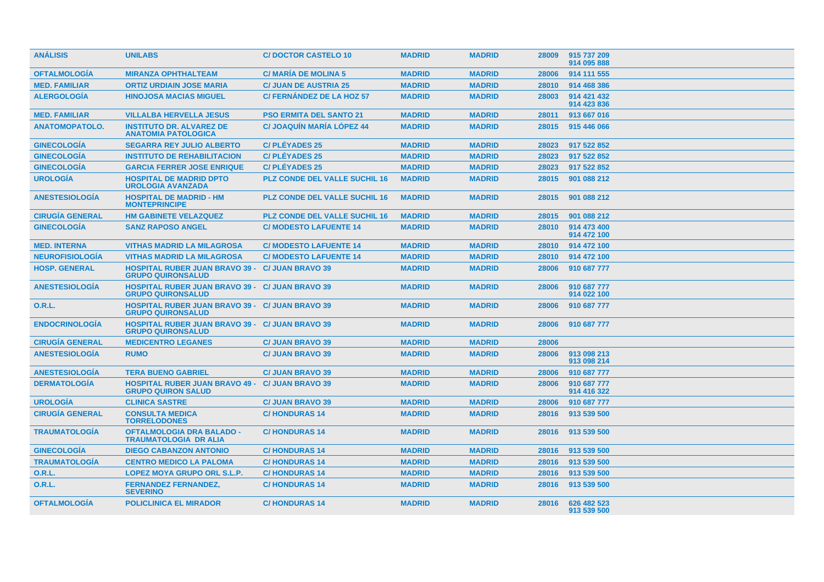| <b>ANÁLISIS</b>        | <b>UNILABS</b>                                                                      | <b>C/DOCTOR CASTELO 10</b>           | <b>MADRID</b> | <b>MADRID</b> | 28009 | 915 737 209<br>914 095 888 |
|------------------------|-------------------------------------------------------------------------------------|--------------------------------------|---------------|---------------|-------|----------------------------|
| <b>OFTALMOLOGÍA</b>    | <b>MIRANZA OPHTHALTEAM</b>                                                          | <b>C/ MARIA DE MOLINA 5</b>          | <b>MADRID</b> | <b>MADRID</b> | 28006 | 914 111 555                |
| <b>MED. FAMILIAR</b>   | <b>ORTIZ URDIAIN JOSE MARIA</b>                                                     | <b>C/ JUAN DE AUSTRIA 25</b>         | <b>MADRID</b> | <b>MADRID</b> | 28010 | 914 468 386                |
| <b>ALERGOLOGIA</b>     | <b>HINOJOSA MACIAS MIGUEL</b>                                                       | C/FERNANDEZ DE LA HOZ 57             | <b>MADRID</b> | <b>MADRID</b> | 28003 | 914 421 432<br>914 423 836 |
| <b>MED. FAMILIAR</b>   | <b>VILLALBA HERVELLA JESUS</b>                                                      | <b>PSO ERMITA DEL SANTO 21</b>       | <b>MADRID</b> | <b>MADRID</b> | 28011 | 913 667 016                |
| <b>ANATOMOPATOLO.</b>  | <b>INSTITUTO DR. ALVAREZ DE</b><br><b>ANATOMIA PATOLOGICA</b>                       | <b>C/JOAQUIN MARIA LOPEZ 44</b>      | <b>MADRID</b> | <b>MADRID</b> | 28015 | 915 446 066                |
| <b>GINECOLOGÍA</b>     | <b>SEGARRA REY JULIO ALBERTO</b>                                                    | <b>C/PLÉYADES 25</b>                 | <b>MADRID</b> | <b>MADRID</b> | 28023 | 917 522 852                |
| <b>GINECOLOGÍA</b>     | <b>INSTITUTO DE REHABILITACION</b>                                                  | <b>C/PLÉYADES 25</b>                 | <b>MADRID</b> | <b>MADRID</b> | 28023 | 917 522 852                |
| <b>GINECOLOGÍA</b>     | <b>GARCIA FERRER JOSE ENRIQUE</b>                                                   | <b>C/PLÉYADES 25</b>                 | <b>MADRID</b> | <b>MADRID</b> | 28023 | 917 522 852                |
| <b>UROLOGÍA</b>        | <b>HOSPITAL DE MADRID DPTO</b><br><b>UROLOGIA AVANZADA</b>                          | <b>PLZ CONDE DEL VALLE SUCHIL 16</b> | <b>MADRID</b> | <b>MADRID</b> | 28015 | 901 088 212                |
| <b>ANESTESIOLOGIA</b>  | <b>HOSPITAL DE MADRID - HM</b><br><b>MONTEPRINCIPE</b>                              | <b>PLZ CONDE DEL VALLE SUCHIL 16</b> | <b>MADRID</b> | <b>MADRID</b> | 28015 | 901 088 212                |
| <b>CIRUGÍA GENERAL</b> | <b>HM GABINETE VELAZQUEZ</b>                                                        | <b>PLZ CONDE DEL VALLE SUCHIL 16</b> | <b>MADRID</b> | <b>MADRID</b> | 28015 | 901 088 212                |
| <b>GINECOLOGÍA</b>     | <b>SANZ RAPOSO ANGEL</b>                                                            | <b>C/ MODESTO LAFUENTE 14</b>        | <b>MADRID</b> | <b>MADRID</b> | 28010 | 914 473 400<br>914 472 100 |
| <b>MED. INTERNA</b>    | <b>VITHAS MADRID LA MILAGROSA</b>                                                   | <b>C/ MODESTO LAFUENTE 14</b>        | <b>MADRID</b> | <b>MADRID</b> | 28010 | 914 472 100                |
| <b>NEUROFISIOLOGIA</b> | <b>VITHAS MADRID LA MILAGROSA</b>                                                   | <b>C/MODESTO LAFUENTE 14</b>         | <b>MADRID</b> | <b>MADRID</b> | 28010 | 914 472 100                |
| <b>HOSP. GENERAL</b>   | <b>HOSPITAL RUBER JUAN BRAVO 39 - C/ JUAN BRAVO 39</b><br><b>GRUPO QUIRONSALUD</b>  |                                      | <b>MADRID</b> | <b>MADRID</b> | 28006 | 910 687 777                |
| <b>ANESTESIOLOGIA</b>  | <b>HOSPITAL RUBER JUAN BRAVO 39 - C/ JUAN BRAVO 39</b><br><b>GRUPO QUIRONSALUD</b>  |                                      | <b>MADRID</b> | <b>MADRID</b> | 28006 | 910 687 777<br>914 022 100 |
| <b>O.R.L.</b>          | <b>HOSPITAL RUBER JUAN BRAVO 39 - C/ JUAN BRAVO 39</b><br><b>GRUPO QUIRONSALUD</b>  |                                      | <b>MADRID</b> | <b>MADRID</b> | 28006 | 910 687 777                |
| <b>ENDOCRINOLOGIA</b>  | <b>HOSPITAL RUBER JUAN BRAVO 39 - C/ JUAN BRAVO 39</b><br><b>GRUPO QUIRONSALUD</b>  |                                      | <b>MADRID</b> | <b>MADRID</b> | 28006 | 910 687 777                |
| <b>CIRUGÍA GENERAL</b> | <b>MEDICENTRO LEGANES</b>                                                           | <b>C/ JUAN BRAVO 39</b>              | <b>MADRID</b> | <b>MADRID</b> | 28006 |                            |
| <b>ANESTESIOLOGÍA</b>  | <b>RUMO</b>                                                                         | <b>C/ JUAN BRAVO 39</b>              | <b>MADRID</b> | <b>MADRID</b> | 28006 | 913 098 213<br>913 098 214 |
| <b>ANESTESIOLOGÍA</b>  | <b>TERA BUENO GABRIEL</b>                                                           | <b>C/ JUAN BRAVO 39</b>              | <b>MADRID</b> | <b>MADRID</b> | 28006 | 910 687 777                |
| <b>DERMATOLOGÍA</b>    | <b>HOSPITAL RUBER JUAN BRAVO 49 - C/ JUAN BRAVO 39</b><br><b>GRUPO QUIRON SALUD</b> |                                      | <b>MADRID</b> | <b>MADRID</b> | 28006 | 910 687 777<br>914 416 322 |
| <b>UROLOGÍA</b>        | <b>CLINICA SASTRE</b>                                                               | <b>C/ JUAN BRAVO 39</b>              | <b>MADRID</b> | <b>MADRID</b> | 28006 | 910 687 777                |
| <b>CIRUGÍA GENERAL</b> | <b>CONSULTA MEDICA</b><br><b>TORRELODONES</b>                                       | <b>C/HONDURAS14</b>                  | <b>MADRID</b> | <b>MADRID</b> | 28016 | 913 539 500                |
| <b>TRAUMATOLOGIA</b>   | <b>OFTALMOLOGIA DRA BALADO -</b><br><b>TRAUMATOLOGIA DR ALIA</b>                    | <b>C/HONDURAS14</b>                  | <b>MADRID</b> | <b>MADRID</b> | 28016 | 913 539 500                |
| <b>GINECOLOGÍA</b>     | <b>DIEGO CABANZON ANTONIO</b>                                                       | <b>C/HONDURAS 14</b>                 | <b>MADRID</b> | <b>MADRID</b> | 28016 | 913 539 500                |
| <b>TRAUMATOLOGÍA</b>   | <b>CENTRO MEDICO LA PALOMA</b>                                                      | <b>C/HONDURAS 14</b>                 | <b>MADRID</b> | <b>MADRID</b> | 28016 | 913 539 500                |
| <b>O.R.L.</b>          | <b>LOPEZ MOYA GRUPO ORL S.L.P.</b>                                                  | <b>C/HONDURAS 14</b>                 | <b>MADRID</b> | <b>MADRID</b> | 28016 | 913 539 500                |
| <b>O.R.L.</b>          | <b>FERNANDEZ FERNANDEZ,</b><br><b>SEVERINO</b>                                      | <b>C/HONDURAS 14</b>                 | <b>MADRID</b> | <b>MADRID</b> | 28016 | 913 539 500                |
| <b>OFTALMOLOGIA</b>    | <b>POLICLINICA EL MIRADOR</b>                                                       | <b>C/HONDURAS 14</b>                 | <b>MADRID</b> | <b>MADRID</b> | 28016 | 626 482 523<br>913 539 500 |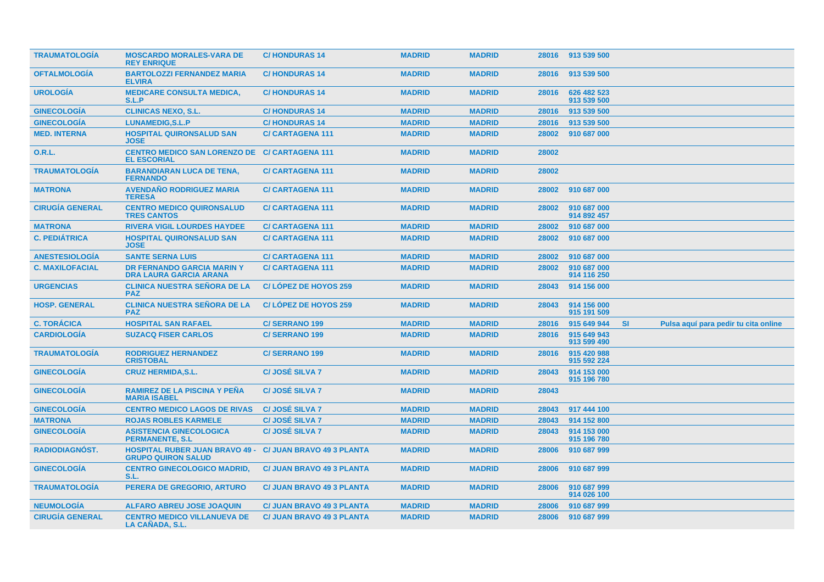| <b>TRAUMATOLOGIA</b>   | <b>MOSCARDO MORALES-VARA DE</b><br><b>REY ENRIQUE</b>               | <b>C/HONDURAS 14</b>             | <b>MADRID</b> | <b>MADRID</b> |       | 28016 913 539 500          |           |                                      |  |
|------------------------|---------------------------------------------------------------------|----------------------------------|---------------|---------------|-------|----------------------------|-----------|--------------------------------------|--|
| <b>OFTALMOLOGÍA</b>    | <b>BARTOLOZZI FERNANDEZ MARIA</b><br><b>ELVIRA</b>                  | <b>C/HONDURAS 14</b>             | <b>MADRID</b> | <b>MADRID</b> | 28016 | 913 539 500                |           |                                      |  |
| <b>UROLOGÍA</b>        | <b>MEDICARE CONSULTA MEDICA.</b><br>S.L.P                           | <b>C/HONDURAS 14</b>             | <b>MADRID</b> | <b>MADRID</b> | 28016 | 626 482 523<br>913 539 500 |           |                                      |  |
| <b>GINECOLOGIA</b>     | <b>CLINICAS NEXO, S.L.</b>                                          | <b>C/HONDURAS 14</b>             | <b>MADRID</b> | <b>MADRID</b> | 28016 | 913 539 500                |           |                                      |  |
| <b>GINECOLOGÍA</b>     | LUNAMEDIG, S.L.P                                                    | <b>C/HONDURAS14</b>              | <b>MADRID</b> | <b>MADRID</b> | 28016 | 913 539 500                |           |                                      |  |
| <b>MED. INTERNA</b>    | <b>HOSPITAL QUIRONSALUD SAN</b><br><b>JOSE</b>                      | <b>C/CARTAGENA 111</b>           | <b>MADRID</b> | <b>MADRID</b> | 28002 | 910 687 000                |           |                                      |  |
| <b>O.R.L.</b>          | CENTRO MEDICO SAN LORENZO DE C/ CARTAGENA 111<br><b>EL ESCORIAL</b> |                                  | <b>MADRID</b> | <b>MADRID</b> | 28002 |                            |           |                                      |  |
| <b>TRAUMATOLOGIA</b>   | <b>BARANDIARAN LUCA DE TENA,</b><br><b>FERNANDO</b>                 | <b>C/CARTAGENA 111</b>           | <b>MADRID</b> | <b>MADRID</b> | 28002 |                            |           |                                      |  |
| <b>MATRONA</b>         | <b>AVENDAÑO RODRIGUEZ MARIA</b><br><b>TERESA</b>                    | <b>C/CARTAGENA 111</b>           | <b>MADRID</b> | <b>MADRID</b> | 28002 | 910 687 000                |           |                                      |  |
| <b>CIRUGÍA GENERAL</b> | <b>CENTRO MEDICO QUIRONSALUD</b><br><b>TRES CANTOS</b>              | <b>C/CARTAGENA 111</b>           | <b>MADRID</b> | <b>MADRID</b> | 28002 | 910 687 000<br>914 892 457 |           |                                      |  |
| <b>MATRONA</b>         | <b>RIVERA VIGIL LOURDES HAYDEE</b>                                  | <b>C/CARTAGENA 111</b>           | <b>MADRID</b> | <b>MADRID</b> | 28002 | 910 687 000                |           |                                      |  |
| <b>C. PEDIÁTRICA</b>   | <b>HOSPITAL QUIRONSALUD SAN</b><br><b>JOSE</b>                      | <b>C/CARTAGENA 111</b>           | <b>MADRID</b> | <b>MADRID</b> | 28002 | 910 687 000                |           |                                      |  |
| <b>ANESTESIOLOGIA</b>  | <b>SANTE SERNA LUIS</b>                                             | <b>C/CARTAGENA 111</b>           | <b>MADRID</b> | <b>MADRID</b> | 28002 | 910 687 000                |           |                                      |  |
| <b>C. MAXILOFACIAL</b> | <b>DR FERNANDO GARCIA MARIN Y</b><br><b>DRA LAURA GARCIA ARANA</b>  | <b>C/CARTAGENA 111</b>           | <b>MADRID</b> | <b>MADRID</b> | 28002 | 910 687 000<br>914 116 250 |           |                                      |  |
| <b>URGENCIAS</b>       | <b>CLINICA NUESTRA SEÑORA DE LA</b><br><b>PAZ</b>                   | C/LOPEZ DE HOYOS 259             | <b>MADRID</b> | <b>MADRID</b> | 28043 | 914 156 000                |           |                                      |  |
| <b>HOSP. GENERAL</b>   | <b>CLINICA NUESTRA SEÑORA DE LA</b><br><b>PAZ</b>                   | C/LOPEZ DE HOYOS 259             | <b>MADRID</b> | <b>MADRID</b> | 28043 | 914 156 000<br>915 191 509 |           |                                      |  |
| <b>C. TORÁCICA</b>     | <b>HOSPITAL SAN RAFAEL</b>                                          | <b>C/SERRANO 199</b>             | <b>MADRID</b> | <b>MADRID</b> | 28016 | 915 649 944                | <b>SI</b> | Pulsa aquí para pedir tu cita online |  |
| <b>CARDIOLOGIA</b>     | <b>SUZACQ FISER CARLOS</b>                                          | <b>C/SERRANO 199</b>             | <b>MADRID</b> | <b>MADRID</b> | 28016 | 915 649 943<br>913 599 490 |           |                                      |  |
| <b>TRAUMATOLOGÍA</b>   | <b>RODRIGUEZ HERNANDEZ</b><br><b>CRISTOBAL</b>                      | <b>C/SERRANO 199</b>             | <b>MADRID</b> | <b>MADRID</b> | 28016 | 915 420 988<br>915 592 224 |           |                                      |  |
| <b>GINECOLOGIA</b>     | <b>CRUZ HERMIDA, S.L.</b>                                           | <b>C/JOSÉ SILVA 7</b>            | <b>MADRID</b> | <b>MADRID</b> | 28043 | 914 153 000<br>915 196 780 |           |                                      |  |
| <b>GINECOLOGÍA</b>     | <b>RAMIREZ DE LA PISCINA Y PEÑA</b><br><b>MARIA ISABEL</b>          | <b>C/JOSÉ SILVA 7</b>            | <b>MADRID</b> | <b>MADRID</b> | 28043 |                            |           |                                      |  |
| <b>GINECOLOGIA</b>     | <b>CENTRO MEDICO LAGOS DE RIVAS</b>                                 | <b>C/JOSÉ SILVA 7</b>            | <b>MADRID</b> | <b>MADRID</b> | 28043 | 917 444 100                |           |                                      |  |
| <b>MATRONA</b>         | <b>ROJAS ROBLES KARMELE</b>                                         | <b>C/JOSÉ SILVA 7</b>            | <b>MADRID</b> | <b>MADRID</b> | 28043 | 914 152 800                |           |                                      |  |
| <b>GINECOLOGÍA</b>     | <b>ASISTENCIA GINECOLOGICA</b><br><b>PERMANENTE, S.L.</b>           | <b>C/JOSÉ SILVA 7</b>            | <b>MADRID</b> | <b>MADRID</b> | 28043 | 914 153 000<br>915 196 780 |           |                                      |  |
| <b>RADIODIAGNOST.</b>  | <b>HOSPITAL RUBER JUAN BRAVO 49 -</b><br><b>GRUPO QUIRON SALUD</b>  | <b>C/ JUAN BRAVO 49 3 PLANTA</b> | <b>MADRID</b> | <b>MADRID</b> | 28006 | 910 687 999                |           |                                      |  |
| <b>GINECOLOGÍA</b>     | <b>CENTRO GINECOLOGICO MADRID,</b><br>S.L                           | <b>C/ JUAN BRAVO 49 3 PLANTA</b> | <b>MADRID</b> | <b>MADRID</b> | 28006 | 910 687 999                |           |                                      |  |
| <b>TRAUMATOLOGIA</b>   | <b>PERERA DE GREGORIO, ARTURO</b>                                   | <b>C/ JUAN BRAVO 49 3 PLANTA</b> | <b>MADRID</b> | <b>MADRID</b> | 28006 | 910 687 999<br>914 026 100 |           |                                      |  |
| <b>NEUMOLOGIA</b>      | <b>ALFARO ABREU JOSE JOAQUIN</b>                                    | <b>C/ JUAN BRAVO 49 3 PLANTA</b> | <b>MADRID</b> | <b>MADRID</b> | 28006 | 910 687 999                |           |                                      |  |
| <b>CIRUGÍA GENERAL</b> | <b>CENTRO MEDICO VILLANUEVA DE</b><br><b>LA CANADA, S.L.</b>        | <b>C/ JUAN BRAVO 49 3 PLANTA</b> | <b>MADRID</b> | <b>MADRID</b> | 28006 | 910 687 999                |           |                                      |  |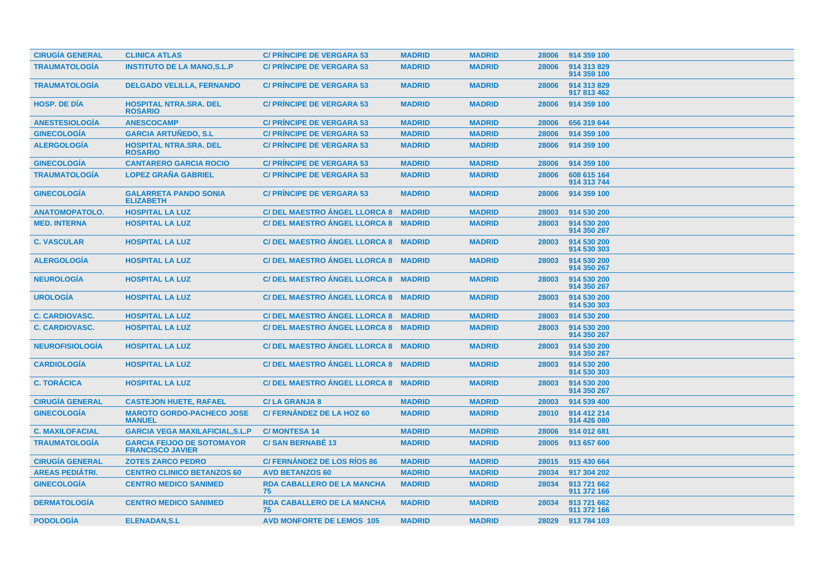| <b>CIRUGÍA GENERAL</b> | <b>CLINICA ATLAS</b>                                         | <b>C/ PRINCIPE DE VERGARA 53</b>        | <b>MADRID</b> | <b>MADRID</b> | 28006 | 914 359 100                |
|------------------------|--------------------------------------------------------------|-----------------------------------------|---------------|---------------|-------|----------------------------|
| <b>TRAUMATOLOGÍA</b>   | <b>INSTITUTO DE LA MANO, S.L.P</b>                           | <b>C/ PRÍNCIPE DE VERGARA 53</b>        | <b>MADRID</b> | <b>MADRID</b> | 28006 | 914 313 829<br>914 359 100 |
| <b>TRAUMATOLOGÍA</b>   | <b>DELGADO VELILLA, FERNANDO</b>                             | <b>C/ PRINCIPE DE VERGARA 53</b>        | <b>MADRID</b> | <b>MADRID</b> | 28006 | 914 313 829<br>917 813 462 |
| <b>HOSP. DE DÍA</b>    | <b>HOSPITAL NTRA.SRA. DEL</b><br><b>ROSARIO</b>              | <b>C/ PRINCIPE DE VERGARA 53</b>        | <b>MADRID</b> | <b>MADRID</b> | 28006 | 914 359 100                |
| <b>ANESTESIOLOGÍA</b>  | <b>ANESCOCAMP</b>                                            | <b>C/ PRINCIPE DE VERGARA 53</b>        | <b>MADRID</b> | <b>MADRID</b> | 28006 | 656 319 644                |
| <b>GINECOLOGÍA</b>     | <b>GARCIA ARTUÑEDO, S.L.</b>                                 | <b>C/ PRÍNCIPE DE VERGARA 53</b>        | <b>MADRID</b> | <b>MADRID</b> | 28006 | 914 359 100                |
| <b>ALERGOLOGÍA</b>     | <b>HOSPITAL NTRA.SRA. DEL</b><br><b>ROSARIO</b>              | <b>C/ PRINCIPE DE VERGARA 53</b>        | <b>MADRID</b> | <b>MADRID</b> | 28006 | 914 359 100                |
| <b>GINECOLOGÍA</b>     | <b>CANTARERO GARCIA ROCIO</b>                                | <b>C/ PRINCIPE DE VERGARA 53</b>        | <b>MADRID</b> | <b>MADRID</b> | 28006 | 914 359 100                |
| <b>TRAUMATOLOGÍA</b>   | <b>LOPEZ GRAÑA GABRIEL</b>                                   | <b>C/ PRINCIPE DE VERGARA 53</b>        | <b>MADRID</b> | <b>MADRID</b> | 28006 | 608 615 164<br>914 313 744 |
| <b>GINECOLOGÍA</b>     | <b>GALARRETA PANDO SONIA</b><br><b>ELIZABETH</b>             | <b>C/ PRINCIPE DE VERGARA 53</b>        | <b>MADRID</b> | <b>MADRID</b> | 28006 | 914 359 100                |
| <b>ANATOMOPATOLO.</b>  | <b>HOSPITAL LA LUZ</b>                                       | C/DEL MAESTRO ANGEL LLORCA 8 MADRID     |               | <b>MADRID</b> | 28003 | 914 530 200                |
| <b>MED. INTERNA</b>    | <b>HOSPITAL LA LUZ</b>                                       | C/ DEL MAESTRO ANGEL LLORCA 8 MADRID    |               | <b>MADRID</b> | 28003 | 914 530 200<br>914 350 267 |
| <b>C. VASCULAR</b>     | <b>HOSPITAL LA LUZ</b>                                       | C/DEL MAESTRO ANGEL LLORCA 8 MADRID     |               | <b>MADRID</b> | 28003 | 914 530 200<br>914 530 303 |
| <b>ALERGOLOGÍA</b>     | <b>HOSPITAL LA LUZ</b>                                       | C/ DEL MAESTRO ANGEL LLORCA 8 MADRID    |               | <b>MADRID</b> | 28003 | 914 530 200<br>914 350 267 |
| <b>NEUROLOGIA</b>      | <b>HOSPITAL LA LUZ</b>                                       | C/DEL MAESTRO ANGEL LLORCA 8 MADRID     |               | <b>MADRID</b> | 28003 | 914 530 200<br>914 350 267 |
| <b>UROLOGÍA</b>        | <b>HOSPITAL LA LUZ</b>                                       | C/DEL MAESTRO ANGEL LLORCA 8 MADRID     |               | <b>MADRID</b> | 28003 | 914 530 200<br>914 530 303 |
| <b>C. CARDIOVASC.</b>  | <b>HOSPITAL LA LUZ</b>                                       | C/ DEL MAESTRO ANGEL LLORCA 8 MADRID    |               | <b>MADRID</b> | 28003 | 914 530 200                |
| <b>C. CARDIOVASC.</b>  | <b>HOSPITAL LA LUZ</b>                                       | C/DEL MAESTRO ANGEL LLORCA 8 MADRID     |               | <b>MADRID</b> | 28003 | 914 530 200<br>914 350 267 |
| <b>NEUROFISIOLOGÍA</b> | <b>HOSPITAL LA LUZ</b>                                       | C/ DEL MAESTRO ÁNGEL LLORCA 8 MADRID    |               | <b>MADRID</b> | 28003 | 914 530 200<br>914 350 267 |
| <b>CARDIOLOGÍA</b>     | <b>HOSPITAL LA LUZ</b>                                       | C/DEL MAESTRO ANGEL LLORCA 8 MADRID     |               | <b>MADRID</b> | 28003 | 914 530 200<br>914 530 303 |
| <b>C. TORÁCICA</b>     | <b>HOSPITAL LA LUZ</b>                                       | C/ DEL MAESTRO ANGEL LLORCA 8 MADRID    |               | <b>MADRID</b> | 28003 | 914 530 200<br>914 350 267 |
| <b>CIRUGIA GENERAL</b> | <b>CASTEJON HUETE, RAFAEL</b>                                | <b>C/LA GRANJA 8</b>                    | <b>MADRID</b> | <b>MADRID</b> | 28003 | 914 539 400                |
| <b>GINECOLOGÍA</b>     | <b>MAROTO GORDO-PACHECO JOSE</b><br><b>MANUEL</b>            | <b>C/FERNÁNDEZ DE LA HOZ 60</b>         | <b>MADRID</b> | <b>MADRID</b> | 28010 | 914 412 214<br>914 426 080 |
| <b>C. MAXILOFACIAL</b> | <b>GARCIA VEGA MAXILAFICIAL, S.L.P</b>                       | <b>C/MONTESA 14</b>                     | <b>MADRID</b> | <b>MADRID</b> | 28006 | 914 012 681                |
| <b>TRAUMATOLOGÍA</b>   | <b>GARCIA FEIJOO DE SOTOMAYOR</b><br><b>FRANCISCO JAVIER</b> | <b>C/SAN BERNABE 13</b>                 | <b>MADRID</b> | <b>MADRID</b> | 28005 | 913 657 600                |
| <b>CIRUGÍA GENERAL</b> | <b>ZOTES ZARCO PEDRO</b>                                     | <b>C/FERNANDEZ DE LOS RIOS 86</b>       | <b>MADRID</b> | <b>MADRID</b> | 28015 | 915 430 664                |
| <b>AREAS PEDIÁTRI.</b> | <b>CENTRO CLINICO BETANZOS 60</b>                            | <b>AVD BETANZOS 60</b>                  | <b>MADRID</b> | <b>MADRID</b> | 28034 | 917 304 202                |
| <b>GINECOLOGÍA</b>     | <b>CENTRO MEDICO SANIMED</b>                                 | <b>RDA CABALLERO DE LA MANCHA</b><br>75 | <b>MADRID</b> | <b>MADRID</b> | 28034 | 913 721 662<br>911 372 166 |
| <b>DERMATOLOGIA</b>    | <b>CENTRO MEDICO SANIMED</b>                                 | <b>RDA CABALLERO DE LA MANCHA</b><br>75 | <b>MADRID</b> | <b>MADRID</b> | 28034 | 913 721 662<br>911 372 166 |
| <b>PODOLOGIA</b>       | <b>ELENADAN, S.L</b>                                         | <b>AVD MONFORTE DE LEMOS 105</b>        | <b>MADRID</b> | <b>MADRID</b> | 28029 | 913 784 103                |
|                        |                                                              |                                         |               |               |       |                            |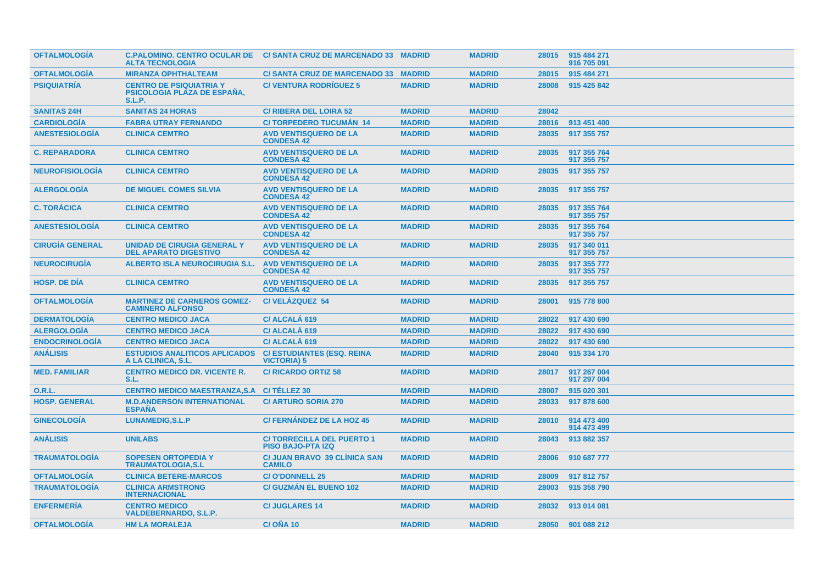| <b>OFTALMOLOGÍA</b>    | <b>ALTA TECNOLOGIA</b>                                                         | C.PALOMINO. CENTRO OCULAR DE  C/ SANTA CRUZ DE MARCENADO 33 MADRID |               | <b>MADRID</b> | 28015 | 915 484 271<br>916 705 091 |
|------------------------|--------------------------------------------------------------------------------|--------------------------------------------------------------------|---------------|---------------|-------|----------------------------|
| <b>OFTALMOLOGIA</b>    | <b>MIRANZA OPHTHALTEAM</b>                                                     | C/SANTA CRUZ DE MARCENADO 33 MADRID                                |               | <b>MADRID</b> | 28015 | 915 484 271                |
| <b>PSIQUIATRÍA</b>     | <b>CENTRO DE PSIQUIATRIA Y</b><br><b>PSICOLOGIA PLAZA DE ESPANA,</b><br>S.L.P. | <b>C/VENTURA RODRIGUEZ 5</b>                                       | <b>MADRID</b> | <b>MADRID</b> | 28008 | 915 425 842                |
| <b>SANITAS 24H</b>     | <b>SANITAS 24 HORAS</b>                                                        | <b>C/ RIBERA DEL LOIRA 52</b>                                      | <b>MADRID</b> | <b>MADRID</b> | 28042 |                            |
| <b>CARDIOLOGÍA</b>     | <b>FABRA UTRAY FERNANDO</b>                                                    | <b>C/TORPEDERO TUCUMÁN 14</b>                                      | <b>MADRID</b> | <b>MADRID</b> | 28016 | 913 451 400                |
| <b>ANESTESIOLOGÍA</b>  | <b>CLINICA CEMTRO</b>                                                          | <b>AVD VENTISQUERO DE LA</b><br><b>CONDESA 42</b>                  | <b>MADRID</b> | <b>MADRID</b> | 28035 | 917 355 757                |
| <b>C. REPARADORA</b>   | <b>CLINICA CEMTRO</b>                                                          | <b>AVD VENTISQUERO DE LA</b><br><b>CONDESA 42</b>                  | <b>MADRID</b> | <b>MADRID</b> | 28035 | 917 355 764<br>917 355 757 |
| <b>NEUROFISIOLOGIA</b> | <b>CLINICA CEMTRO</b>                                                          | <b>AVD VENTISQUERO DE LA</b><br><b>CONDESA 42</b>                  | <b>MADRID</b> | <b>MADRID</b> | 28035 | 917 355 757                |
| <b>ALERGOLOGIA</b>     | <b>DE MIGUEL COMES SILVIA</b>                                                  | <b>AVD VENTISQUERO DE LA</b><br><b>CONDESA 42</b>                  | <b>MADRID</b> | <b>MADRID</b> | 28035 | 917 355 757                |
| <b>C. TORÁCICA</b>     | <b>CLINICA CEMTRO</b>                                                          | <b>AVD VENTISQUERO DE LA</b><br><b>CONDESA 42</b>                  | <b>MADRID</b> | <b>MADRID</b> | 28035 | 917 355 764<br>917 355 757 |
| <b>ANESTESIOLOGIA</b>  | <b>CLINICA CEMTRO</b>                                                          | <b>AVD VENTISQUERO DE LA</b><br><b>CONDESA 42</b>                  | <b>MADRID</b> | <b>MADRID</b> | 28035 | 917 355 764<br>917 355 757 |
| <b>CIRUGÍA GENERAL</b> | <b>UNIDAD DE CIRUGIA GENERAL Y</b><br><b>DEL APARATO DIGESTIVO</b>             | <b>AVD VENTISQUERO DE LA</b><br><b>CONDESA 42</b>                  | <b>MADRID</b> | <b>MADRID</b> | 28035 | 917 340 011<br>917 355 757 |
| <b>NEUROCIRUGIA</b>    | <b>ALBERTO ISLA NEUROCIRUGIA S.L.</b>                                          | <b>AVD VENTISQUERO DE LA</b><br><b>CONDESA 42</b>                  | <b>MADRID</b> | <b>MADRID</b> | 28035 | 917 355 777<br>917 355 757 |
| <b>HOSP. DE DÍA</b>    | <b>CLINICA CEMTRO</b>                                                          | <b>AVD VENTISQUERO DE LA</b><br><b>CONDESA 42</b>                  | <b>MADRID</b> | <b>MADRID</b> | 28035 | 917 355 757                |
| <b>OFTALMOLOGIA</b>    | <b>MARTINEZ DE CARNEROS GOMEZ-</b><br><b>CAMINERO ALFONSO</b>                  | <b>C/VELÁZQUEZ 54</b>                                              | <b>MADRID</b> | <b>MADRID</b> | 28001 | 915 778 800                |
| <b>DERMATOLOGIA</b>    | <b>CENTRO MEDICO JACA</b>                                                      | C/ ALCALA 619                                                      | <b>MADRID</b> | <b>MADRID</b> | 28022 | 917 430 690                |
| <b>ALERGOLOGÍA</b>     | <b>CENTRO MEDICO JACA</b>                                                      | C/ ALCALA 619                                                      | <b>MADRID</b> | <b>MADRID</b> | 28022 | 917 430 690                |
| <b>ENDOCRINOLOGÍA</b>  | <b>CENTRO MEDICO JACA</b>                                                      | C/ ALCALA 619                                                      | <b>MADRID</b> | <b>MADRID</b> | 28022 | 917 430 690                |
| <b>ANÁLISIS</b>        | <b>ESTUDIOS ANALITICOS APLICADOS</b><br>A LA CLINICA, S.L.                     | <b>C/ ESTUDIANTES (ESQ. REINA</b><br><b>VICTORIA) 5</b>            | <b>MADRID</b> | <b>MADRID</b> | 28040 | 915 334 170                |
| <b>MED. FAMILIAR</b>   | <b>CENTRO MEDICO DR. VICENTE R.</b><br>S.L.                                    | <b>C/RICARDO ORTIZ 58</b>                                          | <b>MADRID</b> | <b>MADRID</b> | 28017 | 917 267 004<br>917 297 004 |
| <b>O.R.L.</b>          | CENTRO MEDICO MAESTRANZA, S.A C/ TÉLLEZ 30                                     |                                                                    | <b>MADRID</b> | <b>MADRID</b> | 28007 | 915 020 301                |
| <b>HOSP. GENERAL</b>   | <b>M.D.ANDERSON INTERNATIONAL</b><br><b>ESPANA</b>                             | <b>C/ ARTURO SORIA 270</b>                                         | <b>MADRID</b> | <b>MADRID</b> | 28033 | 917 878 600                |
| <b>GINECOLOGIA</b>     | <b>LUNAMEDIG, S.L.P</b>                                                        | C/FERNANDEZ DE LA HOZ 45                                           | <b>MADRID</b> | <b>MADRID</b> | 28010 | 914 473 400<br>914 473 499 |
| <b>ANÁLISIS</b>        | <b>UNILABS</b>                                                                 | <b>C/TORRECILLA DEL PUERTO 1</b><br><b>PISO BAJO-PTA IZQ</b>       | <b>MADRID</b> | <b>MADRID</b> | 28043 | 913 882 357                |
| <b>TRAUMATOLOGÍA</b>   | <b>SOPESEN ORTOPEDIA Y</b><br><b>TRAUMATOLOGIA,S.L</b>                         | <b>C/ JUAN BRAVO 39 CLÍNICA SAN</b><br><b>CAMILO</b>               | <b>MADRID</b> | <b>MADRID</b> | 28006 | 910 687 777                |
| <b>OFTALMOLOGÍA</b>    | <b>CLINICA BETERE-MARCOS</b>                                                   | <b>C/O'DONNELL 25</b>                                              | <b>MADRID</b> | <b>MADRID</b> | 28009 | 917 812 757                |
| <b>TRAUMATOLOGÍA</b>   | <b>CLINICA ARMSTRONG</b><br><b>INTERNACIONAL</b>                               | <b>C/ GUZMÁN EL BUENO 102</b>                                      | <b>MADRID</b> | <b>MADRID</b> | 28003 | 915 358 790                |
| <b>ENFERMERÍA</b>      | <b>CENTRO MEDICO</b><br><b>VALDEBERNARDO, S.L.P.</b>                           | <b>C/JUGLARES 14</b>                                               | <b>MADRID</b> | <b>MADRID</b> | 28032 | 913 014 081                |
| <b>OFTALMOLOGIA</b>    | <b>HM LA MORALEJA</b>                                                          | C/ONA 10                                                           | <b>MADRID</b> | <b>MADRID</b> | 28050 | 901 088 212                |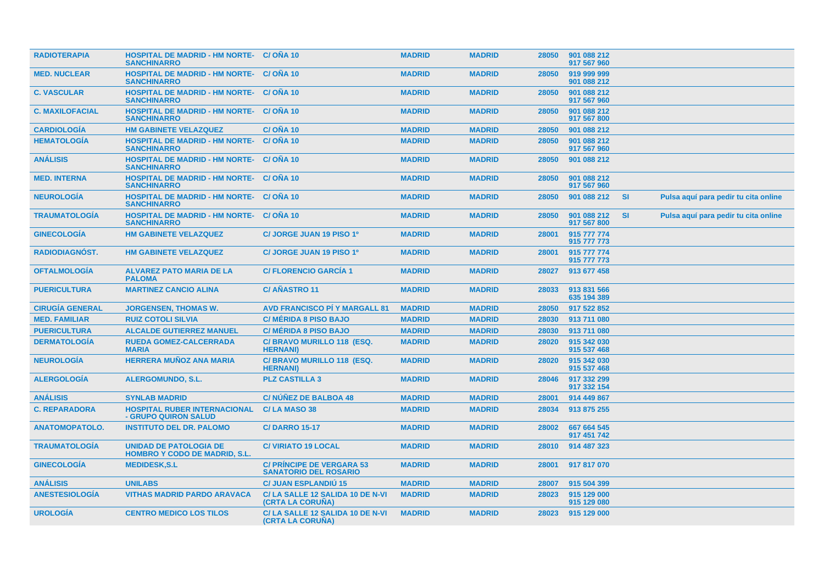| <b>RADIOTERAPIA</b>    | <b>HOSPITAL DE MADRID - HM NORTE- C/ONA 10</b><br><b>SANCHINARRO</b>  |                                                                  | <b>MADRID</b> | <b>MADRID</b> | 28050 | 901 088 212<br>917 567 960 |           |                                      |
|------------------------|-----------------------------------------------------------------------|------------------------------------------------------------------|---------------|---------------|-------|----------------------------|-----------|--------------------------------------|
| <b>MED. NUCLEAR</b>    | <b>HOSPITAL DE MADRID - HM NORTE- C/ ONA 10</b><br><b>SANCHINARRO</b> |                                                                  | <b>MADRID</b> | <b>MADRID</b> | 28050 | 919 999 999<br>901 088 212 |           |                                      |
| <b>C. VASCULAR</b>     | <b>HOSPITAL DE MADRID - HM NORTE- C/ OÑA 10</b><br><b>SANCHINARRO</b> |                                                                  | <b>MADRID</b> | <b>MADRID</b> | 28050 | 901 088 212<br>917 567 960 |           |                                      |
| <b>C. MAXILOFACIAL</b> | <b>HOSPITAL DE MADRID - HM NORTE- C/ OÑA 10</b><br><b>SANCHINARRO</b> |                                                                  | <b>MADRID</b> | <b>MADRID</b> | 28050 | 901 088 212<br>917 567 800 |           |                                      |
| <b>CARDIOLOGÍA</b>     | <b>HM GABINETE VELAZQUEZ</b>                                          | C/OÑA 10                                                         | <b>MADRID</b> | <b>MADRID</b> | 28050 | 901 088 212                |           |                                      |
| <b>HEMATOLOGÍA</b>     | <b>HOSPITAL DE MADRID - HM NORTE-</b><br><b>SANCHINARRO</b>           | C/ONA 10                                                         | <b>MADRID</b> | <b>MADRID</b> | 28050 | 901 088 212<br>917 567 960 |           |                                      |
| <b>ANÁLISIS</b>        | <b>HOSPITAL DE MADRID - HM NORTE- C/ OÑA 10</b><br><b>SANCHINARRO</b> |                                                                  | <b>MADRID</b> | <b>MADRID</b> | 28050 | 901 088 212                |           |                                      |
| <b>MED. INTERNA</b>    | <b>HOSPITAL DE MADRID - HM NORTE- C/ ONA 10</b><br><b>SANCHINARRO</b> |                                                                  | <b>MADRID</b> | <b>MADRID</b> | 28050 | 901 088 212<br>917 567 960 |           |                                      |
| <b>NEUROLOGIA</b>      | <b>HOSPITAL DE MADRID - HM NORTE- C/ OÑA 10</b><br><b>SANCHINARRO</b> |                                                                  | <b>MADRID</b> | <b>MADRID</b> | 28050 | 901 088 212                | -SI       | Pulsa aquí para pedir tu cita online |
| <b>TRAUMATOLOGIA</b>   | <b>HOSPITAL DE MADRID - HM NORTE- C/ONA 10</b><br><b>SANCHINARRO</b>  |                                                                  | <b>MADRID</b> | <b>MADRID</b> | 28050 | 901 088 212<br>917 567 800 | <b>SI</b> | Pulsa aquí para pedir tu cita online |
| <b>GINECOLOGIA</b>     | <b>HM GABINETE VELAZQUEZ</b>                                          | C/ JORGE JUAN 19 PISO 1º                                         | <b>MADRID</b> | <b>MADRID</b> | 28001 | 915 777 774<br>915 777 773 |           |                                      |
| <b>RADIODIAGNOST.</b>  | <b>HM GABINETE VELAZQUEZ</b>                                          | C/ JORGE JUAN 19 PISO 1º                                         | <b>MADRID</b> | <b>MADRID</b> | 28001 | 915 777 774<br>915 777 773 |           |                                      |
| <b>OFTALMOLOGÍA</b>    | <b>ALVAREZ PATO MARIA DE LA</b><br><b>PALOMA</b>                      | <b>C/FLORENCIO GARCÍA 1</b>                                      | <b>MADRID</b> | <b>MADRID</b> | 28027 | 913 677 458                |           |                                      |
| <b>PUERICULTURA</b>    | <b>MARTINEZ CANCIO ALINA</b>                                          | <b>C/AÑASTRO 11</b>                                              | <b>MADRID</b> | <b>MADRID</b> | 28033 | 913 831 566<br>635 194 389 |           |                                      |
| <b>CIRUGÍA GENERAL</b> | <b>JORGENSEN, THOMAS W.</b>                                           | <b>AVD FRANCISCO PI Y MARGALL 81</b>                             | <b>MADRID</b> | <b>MADRID</b> | 28050 | 917 522 852                |           |                                      |
| <b>MED. FAMILIAR</b>   | <b>RUIZ COTOLI SILVIA</b>                                             | <b>C/ MÉRIDA 8 PISO BAJO</b>                                     | <b>MADRID</b> | <b>MADRID</b> | 28030 | 913 711 080                |           |                                      |
| <b>PUERICULTURA</b>    | <b>ALCALDE GUTIERREZ MANUEL</b>                                       | <b>C/MÉRIDA 8 PISO BAJO</b>                                      | <b>MADRID</b> | <b>MADRID</b> | 28030 | 913 711 080                |           |                                      |
| <b>DERMATOLOGIA</b>    | <b>RUEDA GOMEZ-CALCERRADA</b><br><b>MARIA</b>                         | C/ BRAVO MURILLO 118 (ESQ.<br><b>HERNANI</b> )                   | <b>MADRID</b> | <b>MADRID</b> | 28020 | 915 342 030<br>915 537 468 |           |                                      |
| <b>NEUROLOGIA</b>      | <b>HERRERA MUÑOZ ANA MARIA</b>                                        | C/ BRAVO MURILLO 118 (ESQ.<br><b>HERNANI</b> )                   | <b>MADRID</b> | <b>MADRID</b> | 28020 | 915 342 030<br>915 537 468 |           |                                      |
| <b>ALERGOLOGIA</b>     | <b>ALERGOMUNDO, S.L.</b>                                              | <b>PLZ CASTILLA 3</b>                                            | <b>MADRID</b> | <b>MADRID</b> | 28046 | 917 332 299<br>917 332 154 |           |                                      |
| <b>ANÁLISIS</b>        | <b>SYNLAB MADRID</b>                                                  | C/NUNEZ DE BALBOA 48                                             | <b>MADRID</b> | <b>MADRID</b> | 28001 | 914 449 867                |           |                                      |
| <b>C. REPARADORA</b>   | <b>HOSPITAL RUBER INTERNACIONAL</b><br>- GRUPO QUIRON SALUD           | C/LA MASO 38                                                     | <b>MADRID</b> | <b>MADRID</b> | 28034 | 913 875 255                |           |                                      |
| <b>ANATOMOPATOLO.</b>  | <b>INSTITUTO DEL DR. PALOMO</b>                                       | <b>C/DARRO 15-17</b>                                             | <b>MADRID</b> | <b>MADRID</b> | 28002 | 667 664 545<br>917 451 742 |           |                                      |
| <b>TRAUMATOLOGÍA</b>   | <b>UNIDAD DE PATOLOGIA DE</b><br><b>HOMBRO Y CODO DE MADRID, S.L.</b> | <b>C/VIRIATO 19 LOCAL</b>                                        | <b>MADRID</b> | <b>MADRID</b> | 28010 | 914 487 323                |           |                                      |
| <b>GINECOLOGIA</b>     | <b>MEDIDESK,S.L</b>                                                   | <b>C/ PRINCIPE DE VERGARA 53</b><br><b>SANATORIO DEL ROSARIO</b> | <b>MADRID</b> | <b>MADRID</b> | 28001 | 917 817 070                |           |                                      |
| <b>ANÁLISIS</b>        | <b>UNILABS</b>                                                        | <b>C/ JUAN ESPLANDIU 15</b>                                      | <b>MADRID</b> | <b>MADRID</b> | 28007 | 915 504 399                |           |                                      |
| <b>ANESTESIOLOGÍA</b>  | <b>VITHAS MADRID PARDO ARAVACA</b>                                    | C/LA SALLE 12 SALIDA 10 DE N-VI<br>(CRTA LA CORUÑA)              | <b>MADRID</b> | <b>MADRID</b> | 28023 | 915 129 000<br>915 129 080 |           |                                      |
| <b>UROLOGÍA</b>        | <b>CENTRO MEDICO LOS TILOS</b>                                        | C/LA SALLE 12 SALIDA 10 DE N-VI<br>(CRTA LA CORUNA)              | <b>MADRID</b> | <b>MADRID</b> | 28023 | 915 129 000                |           |                                      |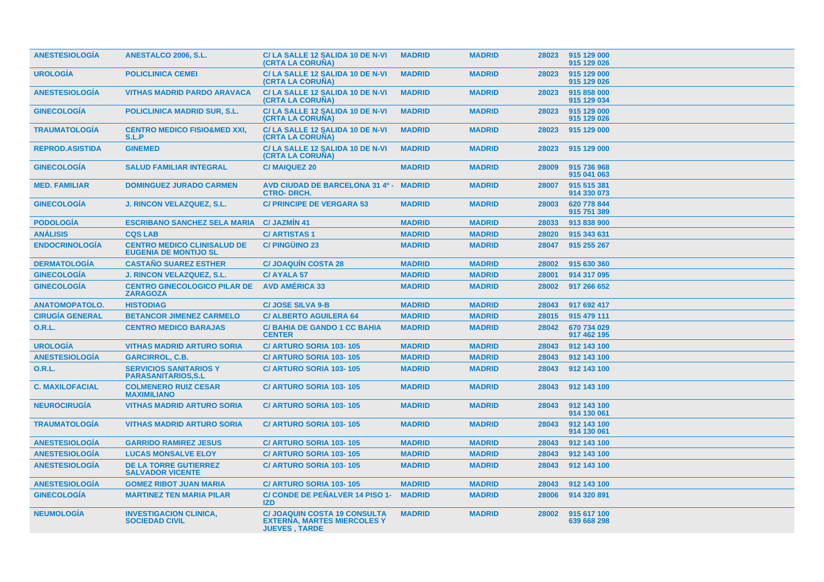| <b>ANESTESIOLOGIA</b>  | <b>ANESTALCO 2006, S.L.</b>                                        | C/LA SALLE 12 SALIDA 10 DE N-VI<br>(CRTA LA CORUÑA)                                               | <b>MADRID</b> | <b>MADRID</b> | 28023 | 915 129 000<br>915 129 026 |
|------------------------|--------------------------------------------------------------------|---------------------------------------------------------------------------------------------------|---------------|---------------|-------|----------------------------|
| <b>UROLOGÍA</b>        | <b>POLICLINICA CEMEI</b>                                           | C/LA SALLE 12 SALIDA 10 DE N-VI<br>(CRTA LA CORUNA)                                               | <b>MADRID</b> | <b>MADRID</b> | 28023 | 915 129 000<br>915 129 026 |
| <b>ANESTESIOLOGÍA</b>  | <b>VITHAS MADRID PARDO ARAVACA</b>                                 | C/LA SALLE 12 SALIDA 10 DE N-VI<br>(CRTA LA CORUNA)                                               | <b>MADRID</b> | <b>MADRID</b> | 28023 | 915 858 000<br>915 129 034 |
| <b>GINECOLOGÍA</b>     | <b>POLICLINICA MADRID SUR, S.L.</b>                                | C/LA SALLE 12 SALIDA 10 DE N-VI<br>(CRTA LA CORUÑA)                                               | <b>MADRID</b> | <b>MADRID</b> | 28023 | 915 129 000<br>915 129 026 |
| <b>TRAUMATOLOGÍA</b>   | <b>CENTRO MEDICO FISIO&amp;MED XXI,</b><br>S.L.P                   | C/LA SALLE 12 SALIDA 10 DE N-VI<br>(CRTA LA CORUNA)                                               | <b>MADRID</b> | <b>MADRID</b> | 28023 | 915 129 000                |
| <b>REPROD.ASISTIDA</b> | <b>GINEMED</b>                                                     | C/LA SALLE 12 SALIDA 10 DE N-VI<br>(CRTA LA CORUÑA)                                               | <b>MADRID</b> | <b>MADRID</b> | 28023 | 915 129 000                |
| <b>GINECOLOGÍA</b>     | <b>SALUD FAMILIAR INTEGRAL</b>                                     | <b>C/MAIQUEZ 20</b>                                                                               | <b>MADRID</b> | <b>MADRID</b> | 28009 | 915 736 968<br>915 041 063 |
| <b>MED. FAMILIAR</b>   | <b>DOMINGUEZ JURADO CARMEN</b>                                     | <b>AVD CIUDAD DE BARCELONA 31 4º -</b><br><b>CTRO-DRCH.</b>                                       | <b>MADRID</b> | <b>MADRID</b> | 28007 | 915 515 381<br>914 330 073 |
| <b>GINECOLOGÍA</b>     | <b>J. RINCON VELAZQUEZ, S.L.</b>                                   | <b>C/ PRINCIPE DE VERGARA 53</b>                                                                  | <b>MADRID</b> | <b>MADRID</b> | 28003 | 620 778 844<br>915 751 389 |
| <b>PODOLOGÍA</b>       | <b>ESCRIBANO SANCHEZ SELA MARIA</b>                                | <b>C/ JAZMIN 41</b>                                                                               | <b>MADRID</b> | <b>MADRID</b> | 28033 | 913 838 900                |
| <b>ANÁLISIS</b>        | <b>CQS LAB</b>                                                     | <b>C/ARTISTAS1</b>                                                                                | <b>MADRID</b> | <b>MADRID</b> | 28020 | 915 343 631                |
| <b>ENDOCRINOLOGÍA</b>  | <b>CENTRO MEDICO CLINISALUD DE</b><br><b>EUGENIA DE MONTIJO SL</b> | <b>C/PINGÜINO 23</b>                                                                              | <b>MADRID</b> | <b>MADRID</b> | 28047 | 915 255 267                |
| <b>DERMATOLOGÍA</b>    | <b>CASTAÑO SUAREZ ESTHER</b>                                       | <b>C/JOAQUIN COSTA 28</b>                                                                         | <b>MADRID</b> | <b>MADRID</b> | 28002 | 915 630 360                |
| <b>GINECOLOGÍA</b>     | <b>J. RINCON VELAZQUEZ, S.L.</b>                                   | <b>C/AYALA 57</b>                                                                                 | <b>MADRID</b> | <b>MADRID</b> | 28001 | 914 317 095                |
| <b>GINECOLOGÍA</b>     | <b>CENTRO GINECOLOGICO PILAR DE</b><br><b>ZARAGOZA</b>             | <b>AVD AMÉRICA 33</b>                                                                             | <b>MADRID</b> | <b>MADRID</b> | 28002 | 917 266 652                |
| <b>ANATOMOPATOLO.</b>  | <b>HISTODIAG</b>                                                   | <b>C/JOSE SILVA 9-B</b>                                                                           | <b>MADRID</b> | <b>MADRID</b> | 28043 | 917 692 417                |
| <b>CIRUGÍA GENERAL</b> | <b>BETANCOR JIMENEZ CARMELO</b>                                    | <b>C/ ALBERTO AGUILERA 64</b>                                                                     | <b>MADRID</b> | <b>MADRID</b> | 28015 | 915 479 111                |
| <b>O.R.L.</b>          | <b>CENTRO MEDICO BARAJAS</b>                                       | <b>C/BAHIA DE GANDO 1 CC BAHIA</b><br><b>CENTER</b>                                               | <b>MADRID</b> | <b>MADRID</b> | 28042 | 670 734 029<br>917 462 195 |
| <b>UROLOGÍA</b>        | <b>VITHAS MADRID ARTURO SORIA</b>                                  | C/ ARTURO SORIA 103-105                                                                           | <b>MADRID</b> | <b>MADRID</b> | 28043 | 912 143 100                |
| <b>ANESTESIOLOGIA</b>  | <b>GARCIRROL, C.B.</b>                                             | C/ ARTURO SORIA 103-105                                                                           | <b>MADRID</b> | <b>MADRID</b> | 28043 | 912 143 100                |
| <b>O.R.L.</b>          | <b>SERVICIOS SANITARIOS Y</b><br><b>PARASANITARIOS.S.L</b>         | <b>C/ ARTURO SORIA 103-105</b>                                                                    | <b>MADRID</b> | <b>MADRID</b> | 28043 | 912 143 100                |
| <b>C. MAXILOFACIAL</b> | <b>COLMENERO RUIZ CESAR</b><br><b>MAXIMILIANO</b>                  | <b>C/ ARTURO SORIA 103-105</b>                                                                    | <b>MADRID</b> | <b>MADRID</b> | 28043 | 912 143 100                |
| <b>NEUROCIRUGIA</b>    | <b>VITHAS MADRID ARTURO SORIA</b>                                  | C/ ARTURO SORIA 103-105                                                                           | <b>MADRID</b> | <b>MADRID</b> | 28043 | 912 143 100<br>914 130 061 |
| <b>TRAUMATOLOGIA</b>   | <b>VITHAS MADRID ARTURO SORIA</b>                                  | <b>C/ ARTURO SORIA 103-105</b>                                                                    | <b>MADRID</b> | <b>MADRID</b> | 28043 | 912 143 100<br>914 130 061 |
| <b>ANESTESIOLOGIA</b>  | <b>GARRIDO RAMIREZ JESUS</b>                                       | C/ ARTURO SORIA 103-105                                                                           | <b>MADRID</b> | <b>MADRID</b> | 28043 | 912 143 100                |
| <b>ANESTESIOLOGÍA</b>  | <b>LUCAS MONSALVE ELOY</b>                                         | <b>C/ ARTURO SORIA 103-105</b>                                                                    | <b>MADRID</b> | <b>MADRID</b> | 28043 | 912 143 100                |
| <b>ANESTESIOLOGIA</b>  | <b>DE LA TORRE GUTIERREZ</b><br><b>SALVADOR VICENTE</b>            | <b>C/ ARTURO SORIA 103-105</b>                                                                    | <b>MADRID</b> | <b>MADRID</b> | 28043 | 912 143 100                |
| <b>ANESTESIOLOGIA</b>  | <b>GOMEZ RIBOT JUAN MARIA</b>                                      | <b>C/ ARTURO SORIA 103-105</b>                                                                    | <b>MADRID</b> | <b>MADRID</b> | 28043 | 912 143 100                |
| <b>GINECOLOGIA</b>     | <b>MARTINEZ TEN MARIA PILAR</b>                                    | C/ CONDE DE PEÑALVER 14 PISO 1-<br><b>IZD</b>                                                     | <b>MADRID</b> | <b>MADRID</b> | 28006 | 914 320 891                |
| <b>NEUMOLOGIA</b>      | <b>INVESTIGACION CLINICA,</b><br><b>SOCIEDAD CIVIL</b>             | <b>C/ JOAQUIN COSTA 19 CONSULTA</b><br><b>EXTERNA, MARTES MIERCOLES Y</b><br><b>JUEVES, TARDE</b> | <b>MADRID</b> | <b>MADRID</b> | 28002 | 915 617 100<br>639 668 298 |
|                        |                                                                    |                                                                                                   |               |               |       |                            |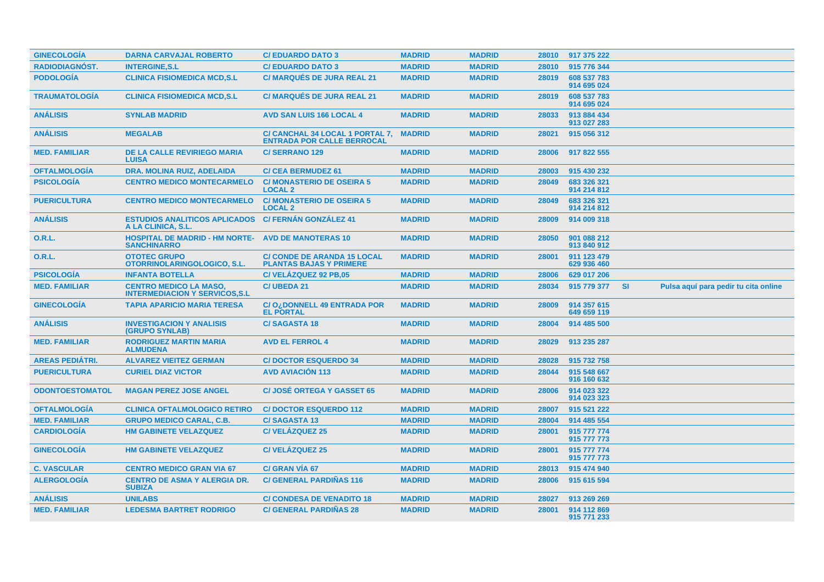| <b>GINECOLOGÍA</b>     | <b>DARNA CARVAJAL ROBERTO</b>                                                    | <b>C/EDUARDO DATO 3</b>                                              | <b>MADRID</b> | <b>MADRID</b> | 28010 | 917 375 222                |           |                                      |
|------------------------|----------------------------------------------------------------------------------|----------------------------------------------------------------------|---------------|---------------|-------|----------------------------|-----------|--------------------------------------|
| RADIODIAGNÓST.         | <b>INTERGINE, S.L</b>                                                            | <b>C/EDUARDO DATO 3</b>                                              | <b>MADRID</b> | <b>MADRID</b> | 28010 | 915 776 344                |           |                                      |
| <b>PODOLOGÍA</b>       | <b>CLINICA FISIOMEDICA MCD,S.L</b>                                               | <b>C/ MARQUÉS DE JURA REAL 21</b>                                    | <b>MADRID</b> | <b>MADRID</b> | 28019 | 608 537 783<br>914 695 024 |           |                                      |
| <b>TRAUMATOLOGÍA</b>   | <b>CLINICA FISIOMEDICA MCD,S.L</b>                                               | <b>C/ MARQUÉS DE JURA REAL 21</b>                                    | <b>MADRID</b> | <b>MADRID</b> | 28019 | 608 537 783<br>914 695 024 |           |                                      |
| <b>ANÁLISIS</b>        | <b>SYNLAB MADRID</b>                                                             | <b>AVD SAN LUIS 166 LOCAL 4</b>                                      | <b>MADRID</b> | <b>MADRID</b> | 28033 | 913 884 434<br>913 027 283 |           |                                      |
| <b>ANÁLISIS</b>        | <b>MEGALAB</b>                                                                   | C/ CANCHAL 34 LOCAL 1 PORTAL 7,<br><b>ENTRADA POR CALLE BERROCAL</b> | <b>MADRID</b> | <b>MADRID</b> | 28021 | 915 056 312                |           |                                      |
| <b>MED. FAMILIAR</b>   | <b>DE LA CALLE REVIRIEGO MARIA</b><br><b>LUISA</b>                               | <b>C/SERRANO 129</b>                                                 | <b>MADRID</b> | <b>MADRID</b> | 28006 | 917 822 555                |           |                                      |
| <b>OFTALMOLOGIA</b>    | <b>DRA. MOLINA RUIZ, ADELAIDA</b>                                                | <b>C/ CEA BERMUDEZ 61</b>                                            | <b>MADRID</b> | <b>MADRID</b> | 28003 | 915 430 232                |           |                                      |
| <b>PSICOLOGIA</b>      | <b>CENTRO MEDICO MONTECARMELO</b>                                                | <b>C/MONASTERIO DE OSEIRA 5</b><br><b>LOCAL 2</b>                    | <b>MADRID</b> | <b>MADRID</b> | 28049 | 683 326 321<br>914 214 812 |           |                                      |
| <b>PUERICULTURA</b>    | <b>CENTRO MEDICO MONTECARMELO</b>                                                | <b>C/MONASTERIO DE OSEIRA 5</b><br><b>LOCAL 2</b>                    | <b>MADRID</b> | <b>MADRID</b> | 28049 | 683 326 321<br>914 214 812 |           |                                      |
| <b>ANÁLISIS</b>        | <b>ESTUDIOS ANALITICOS APLICADOS C/ FERNÁN GONZÁLEZ 41</b><br>A LA CLINICA, S.L. |                                                                      | <b>MADRID</b> | <b>MADRID</b> | 28009 | 914 009 318                |           |                                      |
| 0.R.L.                 | <b>HOSPITAL DE MADRID - HM NORTE-</b><br><b>SANCHINARRO</b>                      | <b>AVD DE MANOTERAS 10</b>                                           | <b>MADRID</b> | <b>MADRID</b> | 28050 | 901 088 212<br>913 840 912 |           |                                      |
| 0.R.L.                 | <b>OTOTEC GRUPO</b><br>OTORRINOLARINGOLOGICO, S.L.                               | <b>C/ CONDE DE ARANDA 15 LOCAL</b><br><b>PLANTAS BAJAS Y PRIMERE</b> | <b>MADRID</b> | <b>MADRID</b> | 28001 | 911 123 479<br>629 936 460 |           |                                      |
| <b>PSICOLOGÍA</b>      | <b>INFANTA BOTELLA</b>                                                           | C/VELAZQUEZ 92 PB,05                                                 | <b>MADRID</b> | <b>MADRID</b> | 28006 | 629 017 206                |           |                                      |
| <b>MED. FAMILIAR</b>   | <b>CENTRO MEDICO LA MASO,</b><br><b>INTERMEDIACION Y SERVICOS, S.L.</b>          | <b>C/UBEDA 21</b>                                                    | <b>MADRID</b> | <b>MADRID</b> | 28034 | 915 779 377                | <b>SI</b> | Pulsa aquí para pedir tu cita online |
| <b>GINECOLOGIA</b>     | <b>TAPIA APARICIO MARIA TERESA</b>                                               | C/O <sub>i</sub> DONNELL 49 ENTRADA POR<br><b>EL PORTAL</b>          | <b>MADRID</b> | <b>MADRID</b> | 28009 | 914 357 615<br>649 659 119 |           |                                      |
| <b>ANÁLISIS</b>        | <b>INVESTIGACION Y ANALISIS</b><br>(GRUPO SYNLAB)                                | <b>C/SAGASTA18</b>                                                   | <b>MADRID</b> | <b>MADRID</b> | 28004 | 914 485 500                |           |                                      |
| <b>MED. FAMILIAR</b>   | <b>RODRIGUEZ MARTIN MARIA</b><br><b>ALMUDENA</b>                                 | <b>AVD EL FERROL 4</b>                                               | <b>MADRID</b> | <b>MADRID</b> | 28029 | 913 235 287                |           |                                      |
| <b>AREAS PEDIÁTRI.</b> | <b>ALVAREZ VIEITEZ GERMAN</b>                                                    | <b>C/DOCTOR ESQUERDO 34</b>                                          | <b>MADRID</b> | <b>MADRID</b> | 28028 | 915 732 758                |           |                                      |
| <b>PUERICULTURA</b>    | <b>CURIEL DIAZ VICTOR</b>                                                        | <b>AVD AVIACIÓN 113</b>                                              | <b>MADRID</b> | <b>MADRID</b> | 28044 | 915 548 667<br>916 160 632 |           |                                      |
| <b>ODONTOESTOMATOL</b> | <b>MAGAN PEREZ JOSE ANGEL</b>                                                    | <b>C/JOSÉ ORTEGA Y GASSET 65</b>                                     | <b>MADRID</b> | <b>MADRID</b> | 28006 | 914 023 322<br>914 023 323 |           |                                      |
| <b>OFTALMOLOGÍA</b>    | <b>CLINICA OFTALMOLOGICO RETIRO</b>                                              | <b>C/DOCTOR ESQUERDO 112</b>                                         | <b>MADRID</b> | <b>MADRID</b> | 28007 | 915 521 222                |           |                                      |
| <b>MED. FAMILIAR</b>   | <b>GRUPO MEDICO CARAL, C.B.</b>                                                  | <b>C/SAGASTA13</b>                                                   | <b>MADRID</b> | <b>MADRID</b> | 28004 | 914 485 554                |           |                                      |
| <b>CARDIOLOGIA</b>     | <b>HM GABINETE VELAZQUEZ</b>                                                     | <b>C/VELAZQUEZ 25</b>                                                | <b>MADRID</b> | <b>MADRID</b> | 28001 | 915 777 774<br>915 777 773 |           |                                      |
| <b>GINECOLOGÍA</b>     | <b>HM GABINETE VELAZQUEZ</b>                                                     | <b>C/VELÁZQUEZ 25</b>                                                | <b>MADRID</b> | <b>MADRID</b> | 28001 | 915 777 774<br>915 777 773 |           |                                      |
| <b>C. VASCULAR</b>     | <b>CENTRO MEDICO GRAN VIA 67</b>                                                 | <b>C/ GRAN VIA 67</b>                                                | <b>MADRID</b> | <b>MADRID</b> | 28013 | 915 474 940                |           |                                      |
| <b>ALERGOLOGÍA</b>     | <b>CENTRO DE ASMA Y ALERGIA DR.</b><br><b>SUBIZA</b>                             | <b>C/ GENERAL PARDIÑAS 116</b>                                       | <b>MADRID</b> | <b>MADRID</b> | 28006 | 915 615 594                |           |                                      |
| <b>ANÁLISIS</b>        | <b>UNILABS</b>                                                                   | <b>C/ CONDESA DE VENADITO 18</b>                                     | <b>MADRID</b> | <b>MADRID</b> | 28027 | 913 269 269                |           |                                      |
| <b>MED. FAMILIAR</b>   | <b>LEDESMA BARTRET RODRIGO</b>                                                   | <b>C/ GENERAL PARDINAS 28</b>                                        | <b>MADRID</b> | <b>MADRID</b> | 28001 | 914 112 869<br>915 771 233 |           |                                      |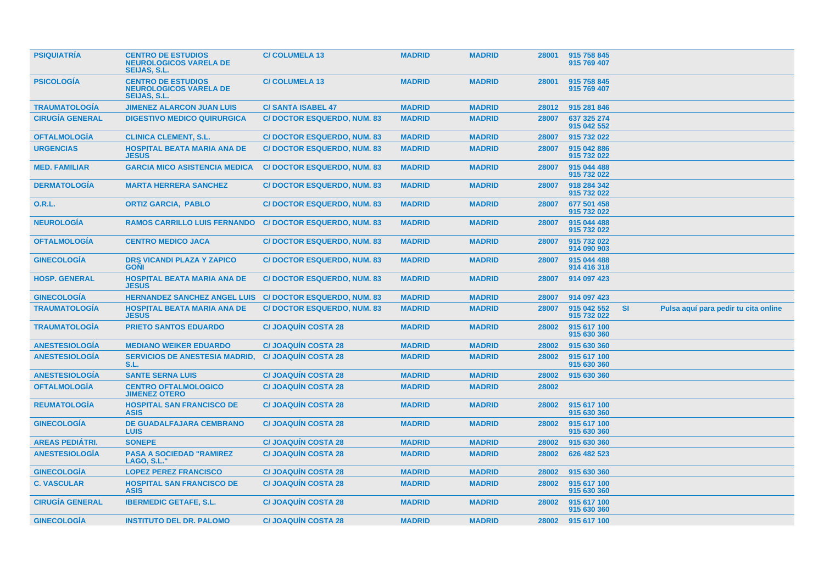| <b>PSIQUIATRIA</b>     | <b>CENTRO DE ESTUDIOS</b><br><b>NEUROLOGICOS VARELA DE</b><br><b>SEIJAS, S.L.</b> | <b>C/COLUMELA 13</b>              | <b>MADRID</b> | <b>MADRID</b> | 28001 | 915 758 845<br>915 769 407 |           |                                      |
|------------------------|-----------------------------------------------------------------------------------|-----------------------------------|---------------|---------------|-------|----------------------------|-----------|--------------------------------------|
| <b>PSICOLOGIA</b>      | <b>CENTRO DE ESTUDIOS</b><br><b>NEUROLOGICOS VARELA DE</b><br><b>SEIJAS, S.L.</b> | <b>C/COLUMELA 13</b>              | <b>MADRID</b> | <b>MADRID</b> | 28001 | 915 758 845<br>915 769 407 |           |                                      |
| <b>TRAUMATOLOGIA</b>   | <b>JIMENEZ ALARCON JUAN LUIS</b>                                                  | <b>C/SANTA ISABEL 47</b>          | <b>MADRID</b> | <b>MADRID</b> | 28012 | 915 281 846                |           |                                      |
| <b>CIRUGÍA GENERAL</b> | <b>DIGESTIVO MEDICO QUIRURGICA</b>                                                | <b>C/DOCTOR ESQUERDO, NUM. 83</b> | <b>MADRID</b> | <b>MADRID</b> | 28007 | 637 325 274<br>915 042 552 |           |                                      |
| <b>OFTALMOLOGÍA</b>    | <b>CLINICA CLEMENT, S.L.</b>                                                      | <b>C/DOCTOR ESQUERDO, NUM. 83</b> | <b>MADRID</b> | <b>MADRID</b> | 28007 | 915 732 022                |           |                                      |
| <b>URGENCIAS</b>       | <b>HOSPITAL BEATA MARIA ANA DE</b><br><b>JESUS</b>                                | <b>C/DOCTOR ESQUERDO, NUM. 83</b> | <b>MADRID</b> | <b>MADRID</b> | 28007 | 915 042 886<br>915 732 022 |           |                                      |
| <b>MED. FAMILIAR</b>   | <b>GARCIA MICO ASISTENCIA MEDICA</b>                                              | <b>C/DOCTOR ESQUERDO, NUM. 83</b> | <b>MADRID</b> | <b>MADRID</b> | 28007 | 915 044 488<br>915 732 022 |           |                                      |
| <b>DERMATOLOGÍA</b>    | <b>MARTA HERRERA SANCHEZ</b>                                                      | <b>C/DOCTOR ESQUERDO, NUM. 83</b> | <b>MADRID</b> | <b>MADRID</b> | 28007 | 918 284 342<br>915 732 022 |           |                                      |
| 0.R.L.                 | <b>ORTIZ GARCIA, PABLO</b>                                                        | <b>C/DOCTOR ESQUERDO, NUM. 83</b> | <b>MADRID</b> | <b>MADRID</b> | 28007 | 677 501 458<br>915 732 022 |           |                                      |
| <b>NEUROLOGIA</b>      | <b>RAMOS CARRILLO LUIS FERNANDO</b>                                               | <b>C/DOCTOR ESQUERDO, NUM. 83</b> | <b>MADRID</b> | <b>MADRID</b> | 28007 | 915 044 488<br>915 732 022 |           |                                      |
| <b>OFTALMOLOGÍA</b>    | <b>CENTRO MEDICO JACA</b>                                                         | <b>C/DOCTOR ESQUERDO, NUM. 83</b> | <b>MADRID</b> | <b>MADRID</b> | 28007 | 915 732 022<br>914 090 903 |           |                                      |
| <b>GINECOLOGIA</b>     | <b>DRS VICANDI PLAZA Y ZAPICO</b><br><b>GONI</b>                                  | <b>C/DOCTOR ESQUERDO, NUM. 83</b> | <b>MADRID</b> | <b>MADRID</b> | 28007 | 915 044 488<br>914 416 318 |           |                                      |
| <b>HOSP. GENERAL</b>   | <b>HOSPITAL BEATA MARIA ANA DE</b><br><b>JESUS</b>                                | <b>C/DOCTOR ESQUERDO, NUM. 83</b> | <b>MADRID</b> | <b>MADRID</b> | 28007 | 914 097 423                |           |                                      |
| <b>GINECOLOGÍA</b>     | <b>HERNANDEZ SANCHEZ ANGEL LUIS</b>                                               | <b>C/DOCTOR ESQUERDO, NUM. 83</b> | <b>MADRID</b> | <b>MADRID</b> | 28007 | 914 097 423                |           |                                      |
| <b>TRAUMATOLOGÍA</b>   | <b>HOSPITAL BEATA MARIA ANA DE</b><br><b>JESUS</b>                                | <b>C/DOCTOR ESQUERDO, NUM. 83</b> | <b>MADRID</b> | <b>MADRID</b> | 28007 | 915 042 552<br>915 732 022 | <b>SI</b> | Pulsa aquí para pedir tu cita online |
| <b>TRAUMATOLOGÍA</b>   | <b>PRIETO SANTOS EDUARDO</b>                                                      | <b>C/JOAQUÍN COSTA 28</b>         | <b>MADRID</b> | <b>MADRID</b> | 28002 | 915 617 100<br>915 630 360 |           |                                      |
| <b>ANESTESIOLOGIA</b>  | <b>MEDIANO WEIKER EDUARDO</b>                                                     | <b>C/JOAQUIN COSTA 28</b>         | <b>MADRID</b> | <b>MADRID</b> | 28002 | 915 630 360                |           |                                      |
| <b>ANESTESIOLOGÍA</b>  | <b>SERVICIOS DE ANESTESIA MADRID,</b><br>S.L.                                     | <b>C/JOAQUÍN COSTA 28</b>         | <b>MADRID</b> | <b>MADRID</b> | 28002 | 915 617 100<br>915 630 360 |           |                                      |
| <b>ANESTESIOLOGIA</b>  | <b>SANTE SERNA LUIS</b>                                                           | <b>C/JOAQUIN COSTA 28</b>         | <b>MADRID</b> | <b>MADRID</b> | 28002 | 915 630 360                |           |                                      |
| <b>OFTALMOLOGÍA</b>    | <b>CENTRO OFTALMOLOGICO</b><br><b>JIMENEZ OTERO</b>                               | <b>C/JOAQUIN COSTA 28</b>         | <b>MADRID</b> | <b>MADRID</b> | 28002 |                            |           |                                      |
| <b>REUMATOLOGÍA</b>    | <b>HOSPITAL SAN FRANCISCO DE</b><br><b>ASIS</b>                                   | <b>C/JOAQUIN COSTA 28</b>         | <b>MADRID</b> | <b>MADRID</b> | 28002 | 915 617 100<br>915 630 360 |           |                                      |
| <b>GINECOLOGÍA</b>     | <b>DE GUADALFAJARA CEMBRANO</b><br><b>LUIS</b>                                    | <b>C/JOAQUIN COSTA 28</b>         | <b>MADRID</b> | <b>MADRID</b> | 28002 | 915 617 100<br>915 630 360 |           |                                      |
| <b>AREAS PEDIATRI.</b> | <b>SONEPE</b>                                                                     | <b>C/JOAQUIN COSTA 28</b>         | <b>MADRID</b> | <b>MADRID</b> | 28002 | 915 630 360                |           |                                      |
| <b>ANESTESIOLOGÍA</b>  | <b>PASA A SOCIEDAD "RAMIREZ</b><br>LAGO, S.L.                                     | <b>C/JOAQUIN COSTA 28</b>         | <b>MADRID</b> | <b>MADRID</b> | 28002 | 626 482 523                |           |                                      |
| <b>GINECOLOGÍA</b>     | <b>LOPEZ PEREZ FRANCISCO</b>                                                      | <b>C/JOAQUÍN COSTA 28</b>         | <b>MADRID</b> | <b>MADRID</b> | 28002 | 915 630 360                |           |                                      |
| <b>C. VASCULAR</b>     | <b>HOSPITAL SAN FRANCISCO DE</b><br><b>ASIS</b>                                   | <b>C/JOAQUIN COSTA 28</b>         | <b>MADRID</b> | <b>MADRID</b> | 28002 | 915 617 100<br>915 630 360 |           |                                      |
| <b>CIRUGÍA GENERAL</b> | <b>IBERMEDIC GETAFE, S.L.</b>                                                     | <b>C/JOAQUIN COSTA 28</b>         | <b>MADRID</b> | <b>MADRID</b> | 28002 | 915 617 100<br>915 630 360 |           |                                      |
| <b>GINECOLOGÍA</b>     | <b>INSTITUTO DEL DR. PALOMO</b>                                                   | <b>C/JOAQUIN COSTA 28</b>         | <b>MADRID</b> | <b>MADRID</b> |       | 28002 915 617 100          |           |                                      |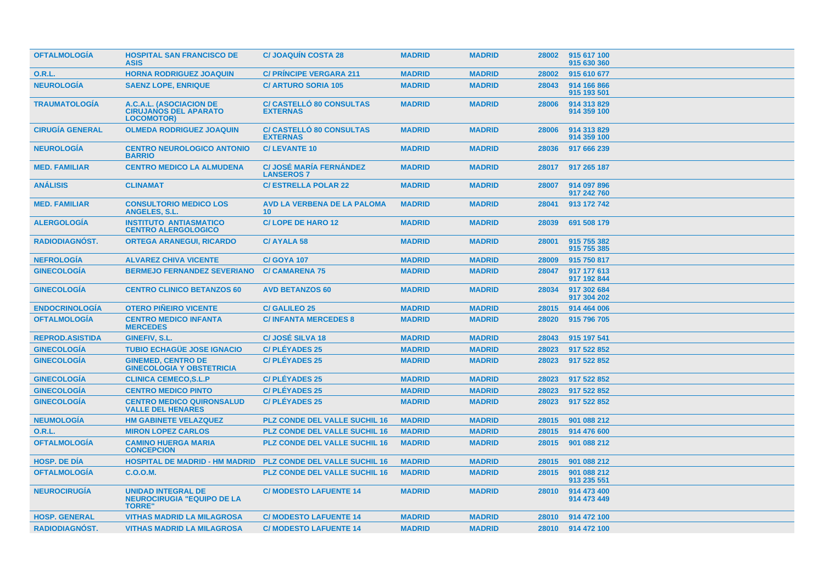| <b>OFTALMOLOGIA</b>    | <b>HOSPITAL SAN FRANCISCO DE</b><br><b>ASIS</b>                                 | <b>C/JOAQUIN COSTA 28</b>                           | <b>MADRID</b> | <b>MADRID</b> | 28002 | 915 617 100<br>915 630 360 |
|------------------------|---------------------------------------------------------------------------------|-----------------------------------------------------|---------------|---------------|-------|----------------------------|
| <b>O.R.L.</b>          | <b>HORNA RODRIGUEZ JOAQUIN</b>                                                  | <b>C/ PRINCIPE VERGARA 211</b>                      | <b>MADRID</b> | <b>MADRID</b> | 28002 | 915 610 677                |
| <b>NEUROLOGÍA</b>      | <b>SAENZ LOPE, ENRIQUE</b>                                                      | <b>C/ ARTURO SORIA 105</b>                          | <b>MADRID</b> | <b>MADRID</b> | 28043 | 914 166 866<br>915 193 501 |
| <b>TRAUMATOLOGÍA</b>   | A.C.A.L. (ASOCIACION DE<br><b>CIRUJANOS DEL APARATO</b><br><b>LOCOMOTOR)</b>    | <b>C/ CASTELLO 80 CONSULTAS</b><br><b>EXTERNAS</b>  | <b>MADRID</b> | <b>MADRID</b> | 28006 | 914 313 829<br>914 359 100 |
| <b>CIRUGÍA GENERAL</b> | <b>OLMEDA RODRIGUEZ JOAQUIN</b>                                                 | <b>C/ CASTELLO 80 CONSULTAS</b><br><b>EXTERNAS</b>  | <b>MADRID</b> | <b>MADRID</b> | 28006 | 914 313 829<br>914 359 100 |
| <b>NEUROLOGÍA</b>      | <b>CENTRO NEUROLOGICO ANTONIO</b><br><b>BARRIO</b>                              | <b>C/LEVANTE 10</b>                                 | <b>MADRID</b> | <b>MADRID</b> | 28036 | 917 666 239                |
| <b>MED. FAMILIAR</b>   | <b>CENTRO MEDICO LA ALMUDENA</b>                                                | <b>C/ JOSÉ MARÍA FERNÁNDEZ</b><br><b>LANSEROS 7</b> | <b>MADRID</b> | <b>MADRID</b> | 28017 | 917 265 187                |
| <b>ANÁLISIS</b>        | <b>CLINAMAT</b>                                                                 | <b>C/ ESTRELLA POLAR 22</b>                         | <b>MADRID</b> | <b>MADRID</b> | 28007 | 914 097 896<br>917 242 760 |
| <b>MED. FAMILIAR</b>   | <b>CONSULTORIO MEDICO LOS</b><br>ANGELES, S.L.                                  | <b>AVD LA VERBENA DE LA PALOMA</b><br>10            | <b>MADRID</b> | <b>MADRID</b> | 28041 | 913 172 742                |
| <b>ALERGOLOGÍA</b>     | <b>INSTITUTO ANTIASMATICO</b><br><b>CENTRO ALERGOLOGICO</b>                     | <b>C/LOPE DE HARO 12</b>                            | <b>MADRID</b> | <b>MADRID</b> | 28039 | 691 508 179                |
| <b>RADIODIAGNOST.</b>  | <b>ORTEGA ARANEGUI, RICARDO</b>                                                 | <b>C/AYALA 58</b>                                   | <b>MADRID</b> | <b>MADRID</b> | 28001 | 915 755 382<br>915 755 385 |
| <b>NEFROLOGÍA</b>      | <b>ALVAREZ CHIVA VICENTE</b>                                                    | <b>C/ GOYA 107</b>                                  | <b>MADRID</b> | <b>MADRID</b> | 28009 | 915 750 817                |
| <b>GINECOLOGIA</b>     | <b>BERMEJO FERNANDEZ SEVERIANO</b>                                              | <b>C/CAMARENA 75</b>                                | <b>MADRID</b> | <b>MADRID</b> | 28047 | 917 177 613<br>917 192 844 |
| <b>GINECOLOGIA</b>     | <b>CENTRO CLINICO BETANZOS 60</b>                                               | <b>AVD BETANZOS 60</b>                              | <b>MADRID</b> | <b>MADRID</b> | 28034 | 917 302 684<br>917 304 202 |
| <b>ENDOCRINOLOGIA</b>  | <b>OTERO PIÑEIRO VICENTE</b>                                                    | <b>C/ GALILEO 25</b>                                | <b>MADRID</b> | <b>MADRID</b> | 28015 | 914 464 006                |
| <b>OFTALMOLOGIA</b>    | <b>CENTRO MEDICO INFANTA</b><br><b>MERCEDES</b>                                 | <b>C/INFANTA MERCEDES 8</b>                         | <b>MADRID</b> | <b>MADRID</b> | 28020 | 915 796 705                |
| <b>REPROD.ASISTIDA</b> | <b>GINEFIV. S.L.</b>                                                            | <b>C/JOSÉ SILVA 18</b>                              | <b>MADRID</b> | <b>MADRID</b> | 28043 | 915 197 541                |
| <b>GINECOLOGIA</b>     | <b>TUBIO ECHAGÜE JOSE IGNACIO</b>                                               | <b>C/PLÉYADES 25</b>                                | <b>MADRID</b> | <b>MADRID</b> | 28023 | 917 522 852                |
| <b>GINECOLOGÍA</b>     | <b>GINEMED, CENTRO DE</b><br><b>GINECOLOGIA Y OBSTETRICIA</b>                   | <b>C/PLÉYADES 25</b>                                | <b>MADRID</b> | <b>MADRID</b> | 28023 | 917 522 852                |
| <b>GINECOLOGÍA</b>     | <b>CLINICA CEMECO, S.L.P</b>                                                    | <b>C/PLÉYADES 25</b>                                | <b>MADRID</b> | <b>MADRID</b> | 28023 | 917 522 852                |
| <b>GINECOLOGÍA</b>     | <b>CENTRO MEDICO PINTO</b>                                                      | <b>C/PLÉYADES 25</b>                                | <b>MADRID</b> | <b>MADRID</b> | 28023 | 917 522 852                |
| <b>GINECOLOGÍA</b>     | <b>CENTRO MEDICO QUIRONSALUD</b><br><b>VALLE DEL HENARES</b>                    | <b>C/PLÉYADES 25</b>                                | <b>MADRID</b> | <b>MADRID</b> | 28023 | 917 522 852                |
| <b>NEUMOLOGÍA</b>      | <b>HM GABINETE VELAZQUEZ</b>                                                    | <b>PLZ CONDE DEL VALLE SUCHIL 16</b>                | <b>MADRID</b> | <b>MADRID</b> | 28015 | 901 088 212                |
| <b>O.R.L.</b>          | <b>MIRON LOPEZ CARLOS</b>                                                       | <b>PLZ CONDE DEL VALLE SUCHIL 16</b>                | <b>MADRID</b> | <b>MADRID</b> | 28015 | 914 476 600                |
| <b>OFTALMOLOGÍA</b>    | <b>CAMINO HUERGA MARIA</b><br><b>CONCEPCION</b>                                 | <b>PLZ CONDE DEL VALLE SUCHIL 16</b>                | <b>MADRID</b> | <b>MADRID</b> | 28015 | 901 088 212                |
| <b>HOSP, DE DIA</b>    | <b>HOSPITAL DE MADRID - HM MADRID</b>                                           | <b>PLZ CONDE DEL VALLE SUCHIL 16</b>                | <b>MADRID</b> | <b>MADRID</b> | 28015 | 901 088 212                |
| <b>OFTALMOLOGÍA</b>    | C.O.O.M.                                                                        | <b>PLZ CONDE DEL VALLE SUCHIL 16</b>                | <b>MADRID</b> | <b>MADRID</b> | 28015 | 901 088 212<br>913 235 551 |
| <b>NEUROCIRUGÍA</b>    | <b>UNIDAD INTEGRAL DE</b><br><b>NEUROCIRUGIA "EQUIPO DE LA</b><br><b>TORRE"</b> | <b>C/ MODESTO LAFUENTE 14</b>                       | <b>MADRID</b> | <b>MADRID</b> | 28010 | 914 473 400<br>914 473 449 |
| <b>HOSP. GENERAL</b>   | <b>VITHAS MADRID LA MILAGROSA</b>                                               | <b>C/ MODESTO LAFUENTE 14</b>                       | <b>MADRID</b> | <b>MADRID</b> | 28010 | 914 472 100                |
| <b>RADIODIAGNOST.</b>  | <b>VITHAS MADRID LA MILAGROSA</b>                                               | <b>C/MODESTO LAFUENTE 14</b>                        | <b>MADRID</b> | <b>MADRID</b> | 28010 | 914 472 100                |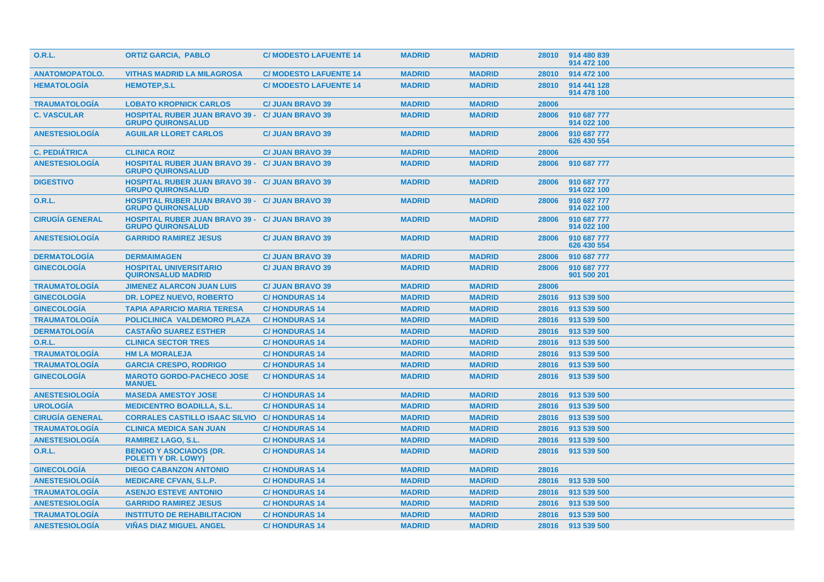| <b>O.R.L.</b>          | <b>ORTIZ GARCIA, PABLO</b>                                                         | <b>C/ MODESTO LAFUENTE 14</b> | <b>MADRID</b> | <b>MADRID</b> | 28010 | 914 480 839<br>914 472 100 |
|------------------------|------------------------------------------------------------------------------------|-------------------------------|---------------|---------------|-------|----------------------------|
| <b>ANATOMOPATOLO.</b>  | <b>VITHAS MADRID LA MILAGROSA</b>                                                  | <b>C/ MODESTO LAFUENTE 14</b> | <b>MADRID</b> | <b>MADRID</b> | 28010 | 914 472 100                |
| <b>HEMATOLOGIA</b>     | <b>HEMOTEP,S.L</b>                                                                 | <b>C/MODESTO LAFUENTE 14</b>  | <b>MADRID</b> | <b>MADRID</b> | 28010 | 914 441 128<br>914 478 100 |
| <b>TRAUMATOLOGIA</b>   | <b>LOBATO KROPNICK CARLOS</b>                                                      | <b>C/ JUAN BRAVO 39</b>       | <b>MADRID</b> | <b>MADRID</b> | 28006 |                            |
| <b>C. VASCULAR</b>     | <b>HOSPITAL RUBER JUAN BRAVO 39 -</b><br><b>GRUPO QUIRONSALUD</b>                  | <b>C/ JUAN BRAVO 39</b>       | <b>MADRID</b> | <b>MADRID</b> | 28006 | 910 687 777<br>914 022 100 |
| <b>ANESTESIOLOGIA</b>  | <b>AGUILAR LLORET CARLOS</b>                                                       | <b>C/ JUAN BRAVO 39</b>       | <b>MADRID</b> | <b>MADRID</b> | 28006 | 910 687 777<br>626 430 554 |
| <b>C. PEDIÁTRICA</b>   | <b>CLINICA ROIZ</b>                                                                | <b>C/ JUAN BRAVO 39</b>       | <b>MADRID</b> | <b>MADRID</b> | 28006 |                            |
| <b>ANESTESIOLOGÍA</b>  | <b>HOSPITAL RUBER JUAN BRAVO 39 - C/ JUAN BRAVO 39</b><br><b>GRUPO QUIRONSALUD</b> |                               | <b>MADRID</b> | <b>MADRID</b> | 28006 | 910 687 777                |
| <b>DIGESTIVO</b>       | <b>HOSPITAL RUBER JUAN BRAVO 39 - C/ JUAN BRAVO 39</b><br><b>GRUPO QUIRONSALUD</b> |                               | <b>MADRID</b> | <b>MADRID</b> | 28006 | 910 687 777<br>914 022 100 |
| 0.R.L.                 | <b>HOSPITAL RUBER JUAN BRAVO 39 - C/ JUAN BRAVO 39</b><br><b>GRUPO QUIRONSALUD</b> |                               | <b>MADRID</b> | <b>MADRID</b> | 28006 | 910 687 777<br>914 022 100 |
| <b>CIRUGIA GENERAL</b> | <b>HOSPITAL RUBER JUAN BRAVO 39 - C/ JUAN BRAVO 39</b><br><b>GRUPO QUIRONSALUD</b> |                               | <b>MADRID</b> | <b>MADRID</b> | 28006 | 910 687 777<br>914 022 100 |
| <b>ANESTESIOLOGIA</b>  | <b>GARRIDO RAMIREZ JESUS</b>                                                       | <b>C/ JUAN BRAVO 39</b>       | <b>MADRID</b> | <b>MADRID</b> | 28006 | 910 687 777<br>626 430 554 |
| <b>DERMATOLOGIA</b>    | <b>DERMAIMAGEN</b>                                                                 | <b>C/ JUAN BRAVO 39</b>       | <b>MADRID</b> | <b>MADRID</b> | 28006 | 910 687 777                |
| <b>GINECOLOGÍA</b>     | <b>HOSPITAL UNIVERSITARIO</b><br><b>QUIRONSALUD MADRID</b>                         | <b>C/ JUAN BRAVO 39</b>       | <b>MADRID</b> | <b>MADRID</b> | 28006 | 910 687 777<br>901 500 201 |
| <b>TRAUMATOLOGIA</b>   | <b>JIMENEZ ALARCON JUAN LUIS</b>                                                   | <b>C/ JUAN BRAVO 39</b>       | <b>MADRID</b> | <b>MADRID</b> | 28006 |                            |
| <b>GINECOLOGÍA</b>     | <b>DR. LOPEZ NUEVO, ROBERTO</b>                                                    | <b>C/HONDURAS14</b>           | <b>MADRID</b> | <b>MADRID</b> | 28016 | 913 539 500                |
| <b>GINECOLOGÍA</b>     | <b>TAPIA APARICIO MARIA TERESA</b>                                                 | <b>C/HONDURAS14</b>           | <b>MADRID</b> | <b>MADRID</b> | 28016 | 913 539 500                |
| <b>TRAUMATOLOGIA</b>   | POLICLINICA VALDEMORO PLAZA                                                        | <b>C/HONDURAS 14</b>          | <b>MADRID</b> | <b>MADRID</b> | 28016 | 913 539 500                |
| <b>DERMATOLOGIA</b>    | <b>CASTANO SUAREZ ESTHER</b>                                                       | <b>C/HONDURAS 14</b>          | <b>MADRID</b> | <b>MADRID</b> | 28016 | 913 539 500                |
| 0.R.L.                 | <b>CLINICA SECTOR TRES</b>                                                         | <b>C/HONDURAS 14</b>          | <b>MADRID</b> | <b>MADRID</b> | 28016 | 913 539 500                |
| <b>TRAUMATOLOGIA</b>   | <b>HM LA MORALEJA</b>                                                              | <b>C/HONDURAS 14</b>          | <b>MADRID</b> | <b>MADRID</b> | 28016 | 913 539 500                |
| <b>TRAUMATOLOGIA</b>   | <b>GARCIA CRESPO, RODRIGO</b>                                                      | <b>C/HONDURAS 14</b>          | <b>MADRID</b> | <b>MADRID</b> | 28016 | 913 539 500                |
| <b>GINECOLOGIA</b>     | <b>MAROTO GORDO-PACHECO JOSE</b><br><b>MANUEL</b>                                  | <b>C/HONDURAS 14</b>          | <b>MADRID</b> | <b>MADRID</b> | 28016 | 913 539 500                |
| <b>ANESTESIOLOGÍA</b>  | <b>MASEDA AMESTOY JOSE</b>                                                         | <b>C/HONDURAS14</b>           | <b>MADRID</b> | <b>MADRID</b> | 28016 | 913 539 500                |
| <b>UROLOGÍA</b>        | <b>MEDICENTRO BOADILLA, S.L.</b>                                                   | <b>C/HONDURAS14</b>           | <b>MADRID</b> | <b>MADRID</b> | 28016 | 913 539 500                |
| <b>CIRUGÍA GENERAL</b> | <b>CORRALES CASTILLO ISAAC SILVIO</b>                                              | <b>C/HONDURAS 14</b>          | <b>MADRID</b> | <b>MADRID</b> | 28016 | 913 539 500                |
| <b>TRAUMATOLOGÍA</b>   | <b>CLINICA MEDICA SAN JUAN</b>                                                     | <b>C/HONDURAS14</b>           | <b>MADRID</b> | <b>MADRID</b> | 28016 | 913 539 500                |
| <b>ANESTESIOLOGÍA</b>  | <b>RAMIREZ LAGO, S.L.</b>                                                          | <b>C/HONDURAS14</b>           | <b>MADRID</b> | <b>MADRID</b> | 28016 | 913 539 500                |
| 0.R.L.                 | <b>BENGIO Y ASOCIADOS (DR.</b><br><b>POLETTI Y DR. LOWY)</b>                       | <b>C/HONDURAS14</b>           | <b>MADRID</b> | <b>MADRID</b> | 28016 | 913 539 500                |
| <b>GINECOLOGIA</b>     | <b>DIEGO CABANZON ANTONIO</b>                                                      | <b>C/HONDURAS14</b>           | <b>MADRID</b> | <b>MADRID</b> | 28016 |                            |
| <b>ANESTESIOLOGÍA</b>  | <b>MEDICARE CFVAN, S.L.P.</b>                                                      | <b>C/HONDURAS 14</b>          | <b>MADRID</b> | <b>MADRID</b> | 28016 | 913 539 500                |
| <b>TRAUMATOLOGÍA</b>   | <b>ASENJO ESTEVE ANTONIO</b>                                                       | <b>C/HONDURAS 14</b>          | <b>MADRID</b> | <b>MADRID</b> | 28016 | 913 539 500                |
| <b>ANESTESIOLOGIA</b>  | <b>GARRIDO RAMIREZ JESUS</b>                                                       | <b>C/HONDURAS14</b>           | <b>MADRID</b> | <b>MADRID</b> | 28016 | 913 539 500                |
| <b>TRAUMATOLOGIA</b>   | <b>INSTITUTO DE REHABILITACION</b>                                                 | <b>C/HONDURAS14</b>           | <b>MADRID</b> | <b>MADRID</b> | 28016 | 913 539 500                |
| <b>ANESTESIOLOGIA</b>  | <b>VINAS DIAZ MIGUEL ANGEL</b>                                                     | <b>C/HONDURAS 14</b>          | <b>MADRID</b> | <b>MADRID</b> | 28016 | 913 539 500                |
|                        |                                                                                    |                               |               |               |       |                            |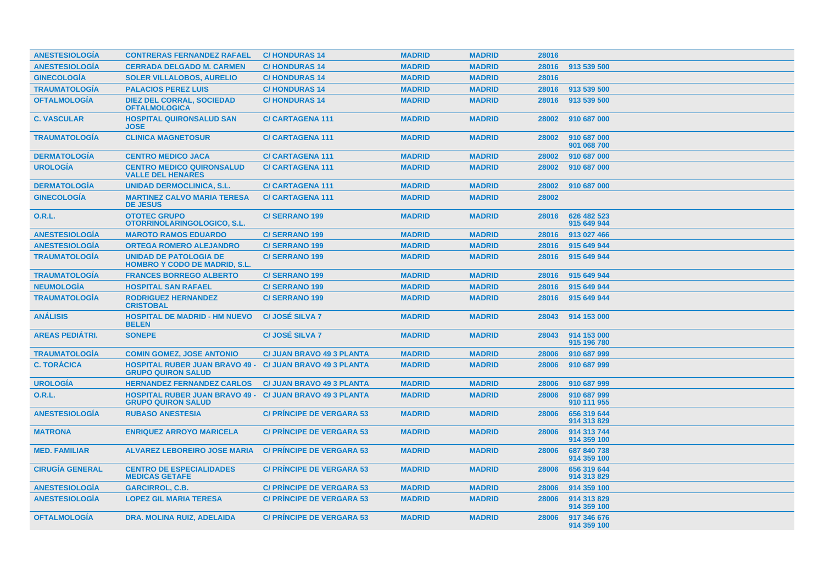| <b>ANESTESIOLOGIA</b>  | <b>CONTRERAS FERNANDEZ RAFAEL</b>                                                            | <b>C/HONDURAS 14</b>             | <b>MADRID</b> | <b>MADRID</b> | 28016 |                            |
|------------------------|----------------------------------------------------------------------------------------------|----------------------------------|---------------|---------------|-------|----------------------------|
| <b>ANESTESIOLOGÍA</b>  | <b>CERRADA DELGADO M. CARMEN</b>                                                             | <b>C/HONDURAS 14</b>             | <b>MADRID</b> | <b>MADRID</b> | 28016 | 913 539 500                |
| <b>GINECOLOGÍA</b>     | <b>SOLER VILLALOBOS, AURELIO</b>                                                             | <b>C/HONDURAS 14</b>             | <b>MADRID</b> | <b>MADRID</b> | 28016 |                            |
| <b>TRAUMATOLOGÍA</b>   | <b>PALACIOS PEREZ LUIS</b>                                                                   | <b>C/HONDURAS 14</b>             | <b>MADRID</b> | <b>MADRID</b> | 28016 | 913 539 500                |
| <b>OFTALMOLOGÍA</b>    | <b>DIEZ DEL CORRAL, SOCIEDAD</b><br><b>OFTALMOLOGICA</b>                                     | <b>C/HONDURAS 14</b>             | <b>MADRID</b> | <b>MADRID</b> | 28016 | 913 539 500                |
| <b>C. VASCULAR</b>     | <b>HOSPITAL QUIRONSALUD SAN</b><br><b>JOSE</b>                                               | <b>C/CARTAGENA 111</b>           | <b>MADRID</b> | <b>MADRID</b> | 28002 | 910 687 000                |
| <b>TRAUMATOLOGIA</b>   | <b>CLINICA MAGNETOSUR</b>                                                                    | <b>C/CARTAGENA 111</b>           | <b>MADRID</b> | <b>MADRID</b> | 28002 | 910 687 000<br>901 068 700 |
| <b>DERMATOLOGÍA</b>    | <b>CENTRO MEDICO JACA</b>                                                                    | <b>C/CARTAGENA 111</b>           | <b>MADRID</b> | <b>MADRID</b> | 28002 | 910 687 000                |
| <b>UROLOGÍA</b>        | <b>CENTRO MEDICO QUIRONSALUD</b><br><b>VALLE DEL HENARES</b>                                 | <b>C/CARTAGENA 111</b>           | <b>MADRID</b> | <b>MADRID</b> | 28002 | 910 687 000                |
| <b>DERMATOLOGIA</b>    | <b>UNIDAD DERMOCLINICA, S.L.</b>                                                             | <b>C/CARTAGENA 111</b>           | <b>MADRID</b> | <b>MADRID</b> | 28002 | 910 687 000                |
| <b>GINECOLOGIA</b>     | <b>MARTINEZ CALVO MARIA TERESA</b><br><b>DE JESUS</b>                                        | <b>C/CARTAGENA 111</b>           | <b>MADRID</b> | <b>MADRID</b> | 28002 |                            |
| O.R.L.                 | <b>OTOTEC GRUPO</b><br>OTORRINOLARINGOLOGICO, S.L.                                           | <b>C/SERRANO 199</b>             | <b>MADRID</b> | <b>MADRID</b> | 28016 | 626 482 523<br>915 649 944 |
| <b>ANESTESIOLOGÍA</b>  | <b>MAROTO RAMOS EDUARDO</b>                                                                  | <b>C/SERRANO 199</b>             | <b>MADRID</b> | <b>MADRID</b> | 28016 | 913 027 466                |
| <b>ANESTESIOLOGIA</b>  | <b>ORTEGA ROMERO ALEJANDRO</b>                                                               | <b>C/SERRANO 199</b>             | <b>MADRID</b> | <b>MADRID</b> | 28016 | 915 649 944                |
| <b>TRAUMATOLOGÍA</b>   | <b>UNIDAD DE PATOLOGIA DE</b><br><b>HOMBRO Y CODO DE MADRID, S.L.</b>                        | <b>C/SERRANO 199</b>             | <b>MADRID</b> | <b>MADRID</b> | 28016 | 915 649 944                |
| <b>TRAUMATOLOGIA</b>   | <b>FRANCES BORREGO ALBERTO</b>                                                               | <b>C/SERRANO 199</b>             | <b>MADRID</b> | <b>MADRID</b> | 28016 | 915 649 944                |
| <b>NEUMOLOGÍA</b>      | <b>HOSPITAL SAN RAFAEL</b>                                                                   | <b>C/SERRANO 199</b>             | <b>MADRID</b> | <b>MADRID</b> | 28016 | 915 649 944                |
| <b>TRAUMATOLOGÍA</b>   | <b>RODRIGUEZ HERNANDEZ</b><br><b>CRISTOBAL</b>                                               | C/SERRANO 199                    | <b>MADRID</b> | <b>MADRID</b> | 28016 | 915 649 944                |
| <b>ANÁLISIS</b>        | <b>HOSPITAL DE MADRID - HM NUEVO</b><br><b>BELEN</b>                                         | C/ JOSÉ SILVA 7                  | <b>MADRID</b> | <b>MADRID</b> | 28043 | 914 153 000                |
| <b>AREAS PEDIATRI.</b> | <b>SONEPE</b>                                                                                | <b>C/JOSE SILVA 7</b>            | <b>MADRID</b> | <b>MADRID</b> | 28043 | 914 153 000<br>915 196 780 |
| <b>TRAUMATOLOGÍA</b>   | <b>COMIN GOMEZ, JOSE ANTONIO</b>                                                             | <b>C/ JUAN BRAVO 49 3 PLANTA</b> | <b>MADRID</b> | <b>MADRID</b> | 28006 | 910 687 999                |
| <b>C. TORÁCICA</b>     | <b>HOSPITAL RUBER JUAN BRAVO 49 - C/ JUAN BRAVO 49 3 PLANTA</b><br><b>GRUPO QUIRON SALUD</b> |                                  | <b>MADRID</b> | <b>MADRID</b> | 28006 | 910 687 999                |
| <b>UROLOGÍA</b>        | <b>HERNANDEZ FERNANDEZ CARLOS</b>                                                            | <b>C/ JUAN BRAVO 49 3 PLANTA</b> | <b>MADRID</b> | <b>MADRID</b> | 28006 | 910 687 999                |
| <b>O.R.L.</b>          | <b>HOSPITAL RUBER JUAN BRAVO 49 - C/ JUAN BRAVO 49 3 PLANTA</b><br><b>GRUPO QUIRON SALUD</b> |                                  | <b>MADRID</b> | <b>MADRID</b> | 28006 | 910 687 999<br>910 111 955 |
| <b>ANESTESIOLOGÍA</b>  | <b>RUBASO ANESTESIA</b>                                                                      | <b>C/ PRINCIPE DE VERGARA 53</b> | <b>MADRID</b> | <b>MADRID</b> | 28006 | 656 319 644<br>914 313 829 |
| <b>MATRONA</b>         | <b>ENRIQUEZ ARROYO MARICELA</b>                                                              | <b>C/ PRINCIPE DE VERGARA 53</b> | <b>MADRID</b> | <b>MADRID</b> | 28006 | 914 313 744<br>914 359 100 |
| <b>MED. FAMILIAR</b>   | <b>ALVAREZ LEBOREIRO JOSE MARIA</b>                                                          | <b>C/ PRINCIPE DE VERGARA 53</b> | <b>MADRID</b> | <b>MADRID</b> | 28006 | 687 840 738<br>914 359 100 |
| <b>CIRUGÍA GENERAL</b> | <b>CENTRO DE ESPECIALIDADES</b><br><b>MEDICAS GETAFE</b>                                     | <b>C/ PRINCIPE DE VERGARA 53</b> | <b>MADRID</b> | <b>MADRID</b> | 28006 | 656 319 644<br>914 313 829 |
| <b>ANESTESIOLOGIA</b>  | <b>GARCIRROL, C.B.</b>                                                                       | <b>C/ PRINCIPE DE VERGARA 53</b> | <b>MADRID</b> | <b>MADRID</b> | 28006 | 914 359 100                |
| <b>ANESTESIOLOGIA</b>  | <b>LOPEZ GIL MARIA TERESA</b>                                                                | <b>C/ PRINCIPE DE VERGARA 53</b> | <b>MADRID</b> | <b>MADRID</b> | 28006 | 914 313 829<br>914 359 100 |
| <b>OFTALMOLOGÍA</b>    | DRA. MOLINA RUIZ, ADELAIDA                                                                   | <b>C/PRINCIPE DE VERGARA 53</b>  | <b>MADRID</b> | <b>MADRID</b> | 28006 | 917 346 676<br>914 359 100 |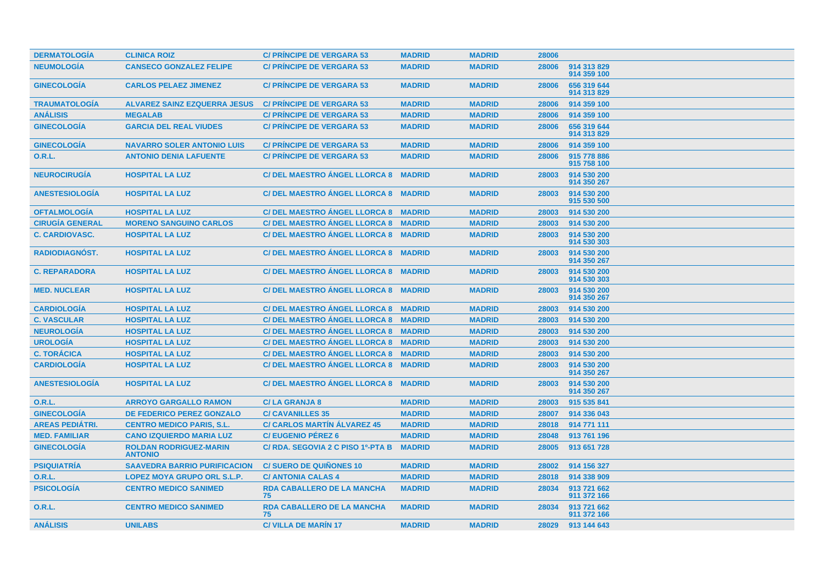| <b>DERMATOLOGÍA</b>    | <b>CLINICA ROIZ</b>                             | <b>C/ PRINCIPE DE VERGARA 53</b>        | <b>MADRID</b> | <b>MADRID</b> | 28006 |                            |
|------------------------|-------------------------------------------------|-----------------------------------------|---------------|---------------|-------|----------------------------|
| <b>NEUMOLOGÍA</b>      | <b>CANSECO GONZALEZ FELIPE</b>                  | <b>C/ PRINCIPE DE VERGARA 53</b>        | <b>MADRID</b> | <b>MADRID</b> | 28006 | 914 313 829<br>914 359 100 |
| <b>GINECOLOGÍA</b>     | <b>CARLOS PELAEZ JIMENEZ</b>                    | <b>C/ PRINCIPE DE VERGARA 53</b>        | <b>MADRID</b> | <b>MADRID</b> | 28006 | 656 319 644<br>914 313 829 |
| <b>TRAUMATOLOGIA</b>   | <b>ALVAREZ SAINZ EZQUERRA JESUS</b>             | <b>C/ PRINCIPE DE VERGARA 53</b>        | <b>MADRID</b> | <b>MADRID</b> | 28006 | 914 359 100                |
| <b>ANÁLISIS</b>        | <b>MEGALAB</b>                                  | <b>C/ PRINCIPE DE VERGARA 53</b>        | <b>MADRID</b> | <b>MADRID</b> | 28006 | 914 359 100                |
| <b>GINECOLOGIA</b>     | <b>GARCIA DEL REAL VIUDES</b>                   | <b>C/ PRINCIPE DE VERGARA 53</b>        | <b>MADRID</b> | <b>MADRID</b> | 28006 | 656 319 644<br>914 313 829 |
| <b>GINECOLOGIA</b>     | <b>NAVARRO SOLER ANTONIO LUIS</b>               | <b>C/ PRINCIPE DE VERGARA 53</b>        | <b>MADRID</b> | <b>MADRID</b> | 28006 | 914 359 100                |
| <b>O.R.L.</b>          | <b>ANTONIO DENIA LAFUENTE</b>                   | <b>C/ PRINCIPE DE VERGARA 53</b>        | <b>MADRID</b> | <b>MADRID</b> | 28006 | 915 778 886<br>915 758 100 |
| <b>NEUROCIRUGÍA</b>    | <b>HOSPITAL LA LUZ</b>                          | <b>C/DEL MAESTRO ÁNGEL LLORCA 8</b>     | <b>MADRID</b> | <b>MADRID</b> | 28003 | 914 530 200<br>914 350 267 |
| <b>ANESTESIOLOGÍA</b>  | <b>HOSPITAL LA LUZ</b>                          | C/ DEL MAESTRO ÁNGEL LLORCA 8 MADRID    |               | <b>MADRID</b> | 28003 | 914 530 200<br>915 530 500 |
| <b>OFTALMOLOGÍA</b>    | <b>HOSPITAL LA LUZ</b>                          | C/DEL MAESTRO ANGEL LLORCA 8 MADRID     |               | <b>MADRID</b> | 28003 | 914 530 200                |
| <b>CIRUGÍA GENERAL</b> | <b>MORENO SANGUINO CARLOS</b>                   | C/ DEL MAESTRO ANGEL LLORCA 8 MADRID    |               | <b>MADRID</b> | 28003 | 914 530 200                |
| <b>C. CARDIOVASC.</b>  | <b>HOSPITAL LA LUZ</b>                          | C/ DEL MAESTRO ÁNGEL LLORCA 8 MADRID    |               | <b>MADRID</b> | 28003 | 914 530 200<br>914 530 303 |
| <b>RADIODIAGNOST.</b>  | <b>HOSPITAL LA LUZ</b>                          | C/ DEL MAESTRO ANGEL LLORCA 8 MADRID    |               | <b>MADRID</b> | 28003 | 914 530 200<br>914 350 267 |
| <b>C. REPARADORA</b>   | <b>HOSPITAL LA LUZ</b>                          | C/DEL MAESTRO ANGEL LLORCA 8 MADRID     |               | <b>MADRID</b> | 28003 | 914 530 200<br>914 530 303 |
| <b>MED. NUCLEAR</b>    | <b>HOSPITAL LA LUZ</b>                          | C/DEL MAESTRO ANGEL LLORCA 8 MADRID     |               | <b>MADRID</b> | 28003 | 914 530 200<br>914 350 267 |
| <b>CARDIOLOGÍA</b>     | <b>HOSPITAL LA LUZ</b>                          | C/DEL MAESTRO ANGEL LLORCA 8 MADRID     |               | <b>MADRID</b> | 28003 | 914 530 200                |
| <b>C. VASCULAR</b>     | <b>HOSPITAL LA LUZ</b>                          | C/DEL MAESTRO ANGEL LLORCA 8 MADRID     |               | <b>MADRID</b> | 28003 | 914 530 200                |
| <b>NEUROLOGÍA</b>      | <b>HOSPITAL LA LUZ</b>                          | C/ DEL MAESTRO ANGEL LLORCA 8 MADRID    |               | <b>MADRID</b> | 28003 | 914 530 200                |
| <b>UROLOGÍA</b>        | <b>HOSPITAL LA LUZ</b>                          | C/DEL MAESTRO ANGEL LLORCA 8 MADRID     |               | <b>MADRID</b> | 28003 | 914 530 200                |
| <b>C. TORÁCICA</b>     | <b>HOSPITAL LA LUZ</b>                          | C/ DEL MAESTRO ANGEL LLORCA 8 MADRID    |               | <b>MADRID</b> | 28003 | 914 530 200                |
| <b>CARDIOLOGÍA</b>     | <b>HOSPITAL LA LUZ</b>                          | C/ DEL MAESTRO ÁNGEL LLORCA 8 MADRID    |               | <b>MADRID</b> | 28003 | 914 530 200<br>914 350 267 |
| <b>ANESTESIOLOGÍA</b>  | <b>HOSPITAL LA LUZ</b>                          | C/ DEL MAESTRO ÁNGEL LLORCA 8 MADRID    |               | <b>MADRID</b> | 28003 | 914 530 200<br>914 350 267 |
| <b>O.R.L.</b>          | <b>ARROYO GARGALLO RAMON</b>                    | <b>C/LA GRANJA 8</b>                    | <b>MADRID</b> | <b>MADRID</b> | 28003 | 915 535 841                |
| <b>GINECOLOGÍA</b>     | <b>DE FEDERICO PEREZ GONZALO</b>                | <b>C/CAVANILLES 35</b>                  | <b>MADRID</b> | <b>MADRID</b> | 28007 | 914 336 043                |
| <b>AREAS PEDIÁTRI.</b> | <b>CENTRO MEDICO PARIS, S.L.</b>                | <b>C/ CARLOS MARTIN ALVAREZ 45</b>      | <b>MADRID</b> | <b>MADRID</b> | 28018 | 914 771 111                |
| <b>MED. FAMILIAR</b>   | <b>CANO IZQUIERDO MARIA LUZ</b>                 | <b>C/EUGENIO PÉREZ 6</b>                | <b>MADRID</b> | <b>MADRID</b> | 28048 | 913 761 196                |
| <b>GINECOLOGÍA</b>     | <b>ROLDAN RODRIGUEZ-MARIN</b><br><b>ANTONIO</b> | C/ RDA. SEGOVIA 2 C PISO 1º-PTA B       | <b>MADRID</b> | <b>MADRID</b> | 28005 | 913 651 728                |
| <b>PSIQUIATRÍA</b>     | <b>SAAVEDRA BARRIO PURIFICACION</b>             | <b>C/SUERO DE QUIÑONES 10</b>           | <b>MADRID</b> | <b>MADRID</b> | 28002 | 914 156 327                |
| <b>O.R.L.</b>          | <b>LOPEZ MOYA GRUPO ORL S.L.P.</b>              | <b>C/ ANTONIA CALAS 4</b>               | <b>MADRID</b> | <b>MADRID</b> | 28018 | 914 338 909                |
| <b>PSICOLOGÍA</b>      | <b>CENTRO MEDICO SANIMED</b>                    | <b>RDA CABALLERO DE LA MANCHA</b><br>75 | <b>MADRID</b> | <b>MADRID</b> | 28034 | 913 721 662<br>911 372 166 |
| <b>O.R.L.</b>          | <b>CENTRO MEDICO SANIMED</b>                    | <b>RDA CABALLERO DE LA MANCHA</b><br>75 | <b>MADRID</b> | <b>MADRID</b> | 28034 | 913 721 662<br>911 372 166 |
| <b>ANÁLISIS</b>        | <b>UNILABS</b>                                  | <b>C/VILLA DE MARIN 17</b>              | <b>MADRID</b> | <b>MADRID</b> | 28029 | 913 144 643                |
|                        |                                                 |                                         |               |               |       |                            |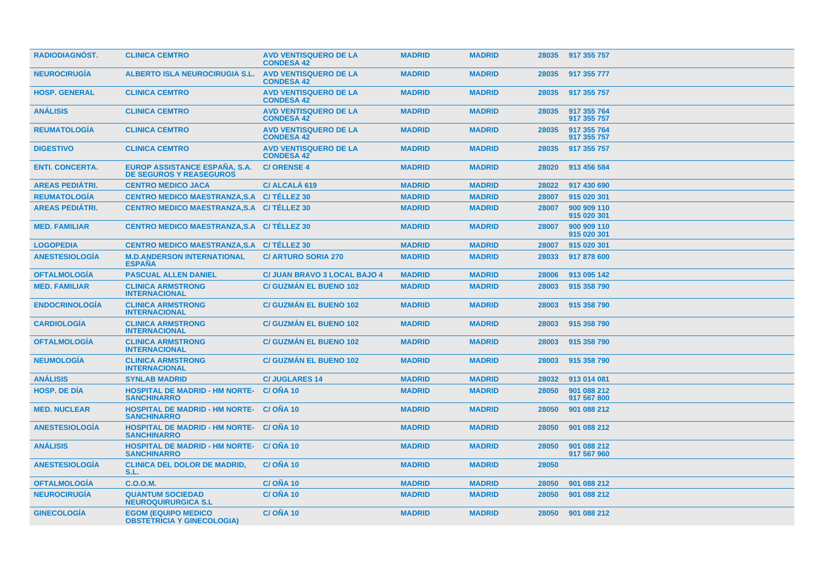| <b>RADIODIAGNÓST.</b>  | <b>CLINICA CEMTRO</b>                                                 | <b>AVD VENTISQUERO DE LA</b><br><b>CONDESA 42</b> | <b>MADRID</b> | <b>MADRID</b> |       | 28035 917 355 757          |
|------------------------|-----------------------------------------------------------------------|---------------------------------------------------|---------------|---------------|-------|----------------------------|
| <b>NEUROCIRUGIA</b>    | <b>ALBERTO ISLA NEUROCIRUGIA S.L.</b>                                 | <b>AVD VENTISQUERO DE LA</b><br><b>CONDESA 42</b> | <b>MADRID</b> | <b>MADRID</b> | 28035 | 917 355 777                |
| <b>HOSP. GENERAL</b>   | <b>CLINICA CEMTRO</b>                                                 | <b>AVD VENTISQUERO DE LA</b><br><b>CONDESA 42</b> | <b>MADRID</b> | <b>MADRID</b> | 28035 | 917 355 757                |
| <b>ANÁLISIS</b>        | <b>CLINICA CEMTRO</b>                                                 | <b>AVD VENTISQUERO DE LA</b><br><b>CONDESA 42</b> | <b>MADRID</b> | <b>MADRID</b> | 28035 | 917 355 764<br>917 355 757 |
| <b>REUMATOLOGÍA</b>    | <b>CLINICA CEMTRO</b>                                                 | <b>AVD VENTISQUERO DE LA</b><br><b>CONDESA 42</b> | <b>MADRID</b> | <b>MADRID</b> | 28035 | 917 355 764<br>917 355 757 |
| <b>DIGESTIVO</b>       | <b>CLINICA CEMTRO</b>                                                 | <b>AVD VENTISQUERO DE LA</b><br><b>CONDESA 42</b> | <b>MADRID</b> | <b>MADRID</b> | 28035 | 917 355 757                |
| <b>ENTI. CONCERTA.</b> | EUROP ASSISTANCE ESPAÑA, S.A.<br><b>DE SEGUROS Y REASEGUROS</b>       | <b>C/ORENSE4</b>                                  | <b>MADRID</b> | <b>MADRID</b> | 28020 | 913 456 584                |
| <b>AREAS PEDIÁTRI.</b> | <b>CENTRO MEDICO JACA</b>                                             | C/ ALCALÁ 619                                     | <b>MADRID</b> | <b>MADRID</b> | 28022 | 917 430 690                |
| <b>REUMATOLOGÍA</b>    | CENTRO MEDICO MAESTRANZA, S.A C/ TÉLLEZ 30                            |                                                   | <b>MADRID</b> | <b>MADRID</b> | 28007 | 915 020 301                |
| <b>AREAS PEDIÁTRI.</b> | CENTRO MEDICO MAESTRANZA, S.A C/ TÉLLEZ 30                            |                                                   | <b>MADRID</b> | <b>MADRID</b> | 28007 | 900 909 110<br>915 020 301 |
| <b>MED. FAMILIAR</b>   | CENTRO MEDICO MAESTRANZA, S.A C/ TÉLLEZ 30                            |                                                   | <b>MADRID</b> | <b>MADRID</b> | 28007 | 900 909 110<br>915 020 301 |
| <b>LOGOPEDIA</b>       | CENTRO MEDICO MAESTRANZA, S.A C/ TÉLLEZ 30                            |                                                   | <b>MADRID</b> | <b>MADRID</b> | 28007 | 915 020 301                |
| <b>ANESTESIOLOGIA</b>  | <b>M.D.ANDERSON INTERNATIONAL</b><br><b>ESPANA</b>                    | <b>C/ ARTURO SORIA 270</b>                        | <b>MADRID</b> | <b>MADRID</b> | 28033 | 917 878 600                |
| <b>OFTALMOLOGÍA</b>    | <b>PASCUAL ALLEN DANIEL</b>                                           | <b>C/ JUAN BRAVO 3 LOCAL BAJO 4</b>               | <b>MADRID</b> | <b>MADRID</b> | 28006 | 913 095 142                |
| <b>MED. FAMILIAR</b>   | <b>CLINICA ARMSTRONG</b><br><b>INTERNACIONAL</b>                      | <b>C/ GUZMÁN EL BUENO 102</b>                     | <b>MADRID</b> | <b>MADRID</b> | 28003 | 915 358 790                |
| <b>ENDOCRINOLOGIA</b>  | <b>CLINICA ARMSTRONG</b><br><b>INTERNACIONAL</b>                      | <b>C/ GUZMÁN EL BUENO 102</b>                     | <b>MADRID</b> | <b>MADRID</b> | 28003 | 915 358 790                |
| <b>CARDIOLOGIA</b>     | <b>CLINICA ARMSTRONG</b><br><b>INTERNACIONAL</b>                      | <b>C/ GUZMAN EL BUENO 102</b>                     | <b>MADRID</b> | <b>MADRID</b> | 28003 | 915 358 790                |
| <b>OFTALMOLOGIA</b>    | <b>CLINICA ARMSTRONG</b><br><b>INTERNACIONAL</b>                      | <b>C/ GUZMAN EL BUENO 102</b>                     | <b>MADRID</b> | <b>MADRID</b> | 28003 | 915 358 790                |
| <b>NEUMOLOGIA</b>      | <b>CLINICA ARMSTRONG</b><br><b>INTERNACIONAL</b>                      | <b>C/ GUZMAN EL BUENO 102</b>                     | <b>MADRID</b> | <b>MADRID</b> | 28003 | 915 358 790                |
| <b>ANÁLISIS</b>        | <b>SYNLAB MADRID</b>                                                  | <b>C/JUGLARES 14</b>                              | <b>MADRID</b> | <b>MADRID</b> | 28032 | 913 014 081                |
| <b>HOSP, DE DIA</b>    | <b>HOSPITAL DE MADRID - HM NORTE-</b><br><b>SANCHINARRO</b>           | C/ONA 10                                          | <b>MADRID</b> | <b>MADRID</b> | 28050 | 901 088 212<br>917 567 800 |
| <b>MED. NUCLEAR</b>    | <b>HOSPITAL DE MADRID - HM NORTE-</b><br><b>SANCHINARRO</b>           | C/ONA 10                                          | <b>MADRID</b> | <b>MADRID</b> | 28050 | 901 088 212                |
| <b>ANESTESIOLOGIA</b>  | <b>HOSPITAL DE MADRID - HM NORTE- C/ ONA 10</b><br><b>SANCHINARRO</b> |                                                   | <b>MADRID</b> | <b>MADRID</b> | 28050 | 901 088 212                |
| <b>ANÁLISIS</b>        | <b>HOSPITAL DE MADRID - HM NORTE- C/ONA 10</b><br><b>SANCHINARRO</b>  |                                                   | <b>MADRID</b> | <b>MADRID</b> | 28050 | 901 088 212<br>917 567 960 |
| <b>ANESTESIOLOGIA</b>  | <b>CLINICA DEL DOLOR DE MADRID,</b><br>S.L.                           | <b>C/ONA 10</b>                                   | <b>MADRID</b> | <b>MADRID</b> | 28050 |                            |
| <b>OFTALMOLOGIA</b>    | C.O.O.M.                                                              | C/ONA 10                                          | <b>MADRID</b> | <b>MADRID</b> | 28050 | 901 088 212                |
| <b>NEUROCIRUGÍA</b>    | <b>QUANTUM SOCIEDAD</b><br><b>NEUROQUIRURGICA S.L</b>                 | C/ONA 10                                          | <b>MADRID</b> | <b>MADRID</b> | 28050 | 901 088 212                |
| <b>GINECOLOGÍA</b>     | <b>EGOM (EQUIPO MEDICO)</b><br><b>OBSTETRICIA Y GINECOLOGIA)</b>      | <b>C/OÑA 10</b>                                   | <b>MADRID</b> | <b>MADRID</b> | 28050 | 901 088 212                |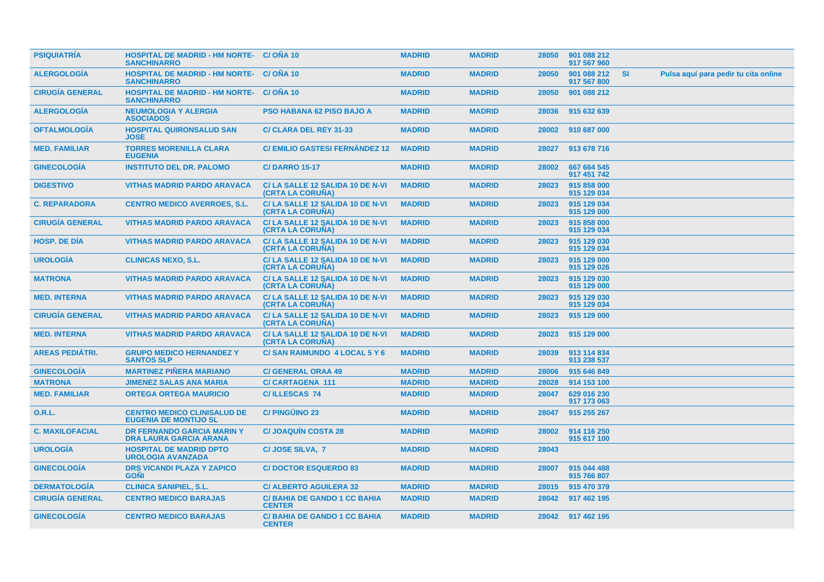| <b>PSIQUIATRIA</b>     | <b>HOSPITAL DE MADRID - HM NORTE- C/ONA 10</b><br><b>SANCHINARRO</b> |                                                     | <b>MADRID</b> | <b>MADRID</b> | 28050 | 901 088 212<br>917 567 960 |           |                                      |
|------------------------|----------------------------------------------------------------------|-----------------------------------------------------|---------------|---------------|-------|----------------------------|-----------|--------------------------------------|
| <b>ALERGOLOGÍA</b>     | <b>HOSPITAL DE MADRID - HM NORTE-</b><br><b>SANCHINARRO</b>          | C/ONA 10                                            | <b>MADRID</b> | <b>MADRID</b> | 28050 | 901 088 212<br>917 567 800 | <b>SI</b> | Pulsa aquí para pedir tu cita online |
| <b>CIRUGIA GENERAL</b> | <b>HOSPITAL DE MADRID - HM NORTE- C/ONA 10</b><br><b>SANCHINARRO</b> |                                                     | <b>MADRID</b> | <b>MADRID</b> | 28050 | 901 088 212                |           |                                      |
| <b>ALERGOLOGÍA</b>     | <b>NEUMOLOGIA Y ALERGIA</b><br><b>ASOCIADOS</b>                      | <b>PSO HABANA 62 PISO BAJO A</b>                    | <b>MADRID</b> | <b>MADRID</b> | 28036 | 915 632 639                |           |                                      |
| <b>OFTALMOLOGÍA</b>    | <b>HOSPITAL QUIRONSALUD SAN</b><br><b>JOSE</b>                       | C/ CLARA DEL REY 31-33                              | <b>MADRID</b> | <b>MADRID</b> | 28002 | 910 687 000                |           |                                      |
| <b>MED. FAMILIAR</b>   | <b>TORRES MORENILLA CLARA</b><br><b>EUGENIA</b>                      | <b>C/EMILIO GASTESI FERNANDEZ 12</b>                | <b>MADRID</b> | <b>MADRID</b> | 28027 | 913 678 716                |           |                                      |
| <b>GINECOLOGÍA</b>     | <b>INSTITUTO DEL DR. PALOMO</b>                                      | <b>C/DARRO 15-17</b>                                | <b>MADRID</b> | <b>MADRID</b> | 28002 | 667 664 545<br>917 451 742 |           |                                      |
| <b>DIGESTIVO</b>       | <b>VITHAS MADRID PARDO ARAVACA</b>                                   | C/LA SALLE 12 SALIDA 10 DE N-VI<br>(CRTA LA CORUNA) | <b>MADRID</b> | <b>MADRID</b> | 28023 | 915 858 000<br>915 129 034 |           |                                      |
| <b>C. REPARADORA</b>   | <b>CENTRO MEDICO AVERROES, S.L.</b>                                  | C/LA SALLE 12 SALIDA 10 DE N-VI<br>(CRTA LA CORUNA) | <b>MADRID</b> | <b>MADRID</b> | 28023 | 915 129 034<br>915 129 000 |           |                                      |
| <b>CIRUGIA GENERAL</b> | <b>VITHAS MADRID PARDO ARAVACA</b>                                   | C/LA SALLE 12 SALIDA 10 DE N-VI<br>(CRTA LA CORUÑA) | <b>MADRID</b> | <b>MADRID</b> | 28023 | 915 858 000<br>915 129 034 |           |                                      |
| <b>HOSP, DE DIA</b>    | <b>VITHAS MADRID PARDO ARAVACA</b>                                   | C/LA SALLE 12 SALIDA 10 DE N-VI<br>(CRTA LA CORUNA) | <b>MADRID</b> | <b>MADRID</b> | 28023 | 915 129 030<br>915 129 034 |           |                                      |
| <b>UROLOGIA</b>        | <b>CLINICAS NEXO, S.L.</b>                                           | C/LA SALLE 12 SALIDA 10 DE N-VI<br>(CRTA LA CORUÑA) | <b>MADRID</b> | <b>MADRID</b> | 28023 | 915 129 000<br>915 129 026 |           |                                      |
| <b>MATRONA</b>         | <b>VITHAS MADRID PARDO ARAVACA</b>                                   | C/LA SALLE 12 SALIDA 10 DE N-VI<br>(CRTA LA CORUNA) | <b>MADRID</b> | <b>MADRID</b> | 28023 | 915 129 030<br>915 129 000 |           |                                      |
| <b>MED. INTERNA</b>    | <b>VITHAS MADRID PARDO ARAVACA</b>                                   | C/LA SALLE 12 SALIDA 10 DE N-VI<br>(CRTA LA CORUNA) | <b>MADRID</b> | <b>MADRID</b> | 28023 | 915 129 030<br>915 129 034 |           |                                      |
| <b>CIRUGÍA GENERAL</b> | <b>VITHAS MADRID PARDO ARAVACA</b>                                   | C/LA SALLE 12 SALIDA 10 DE N-VI<br>(CRTA LA CORUNA) | <b>MADRID</b> | <b>MADRID</b> | 28023 | 915 129 000                |           |                                      |
| <b>MED. INTERNA</b>    | <b>VITHAS MADRID PARDO ARAVACA</b>                                   | C/LA SALLE 12 SALIDA 10 DE N-VI<br>(CRTA LA CORUNA) | <b>MADRID</b> | <b>MADRID</b> | 28023 | 915 129 000                |           |                                      |
| <b>AREAS PEDIÁTRI.</b> | <b>GRUPO MEDICO HERNANDEZ Y</b><br><b>SANTOS SLP</b>                 | C/SAN RAIMUNDO 4 LOCAL 5 Y 6                        | <b>MADRID</b> | <b>MADRID</b> | 28039 | 913 114 834<br>913 238 537 |           |                                      |
| <b>GINECOLOGÍA</b>     | <b>MARTINEZ PIÑERA MARIANO</b>                                       | <b>C/ GENERAL ORAA 49</b>                           | <b>MADRID</b> | <b>MADRID</b> | 28006 | 915 646 849                |           |                                      |
| <b>MATRONA</b>         | <b>JIMENEZ SALAS ANA MARIA</b>                                       | <b>C/CARTAGENA 111</b>                              | <b>MADRID</b> | <b>MADRID</b> | 28028 | 914 153 100                |           |                                      |
| <b>MED. FAMILIAR</b>   | <b>ORTEGA ORTEGA MAURICIO</b>                                        | <b>C/ILLESCAS 74</b>                                | <b>MADRID</b> | <b>MADRID</b> | 28047 | 629 016 230<br>917 173 063 |           |                                      |
| <b>O.R.L.</b>          | <b>CENTRO MEDICO CLINISALUD DE</b><br><b>EUGENIA DE MONTIJO SL</b>   | <b>C/PINGÜINO 23</b>                                | <b>MADRID</b> | <b>MADRID</b> | 28047 | 915 255 267                |           |                                      |
| <b>C. MAXILOFACIAL</b> | <b>DR FERNANDO GARCIA MARIN Y</b><br><b>DRA LAURA GARCIA ARANA</b>   | <b>C/JOAQUIN COSTA 28</b>                           | <b>MADRID</b> | <b>MADRID</b> | 28002 | 914 116 250<br>915 617 100 |           |                                      |
| <b>UROLOGÍA</b>        | <b>HOSPITAL DE MADRID DPTO</b><br><b>UROLOGIA AVANZADA</b>           | C/JOSE SILVA, 7                                     | <b>MADRID</b> | <b>MADRID</b> | 28043 |                            |           |                                      |
| <b>GINECOLOGÍA</b>     | <b>DRS VICANDI PLAZA Y ZAPICO</b><br><b>GONI</b>                     | <b>C/DOCTOR ESQUERDO 83</b>                         | <b>MADRID</b> | <b>MADRID</b> | 28007 | 915 044 488<br>915 766 807 |           |                                      |
| <b>DERMATOLOGIA</b>    | <b>CLINICA SANIPIEL, S.L.</b>                                        | <b>C/ ALBERTO AGUILERA 32</b>                       | <b>MADRID</b> | <b>MADRID</b> | 28015 | 915 470 379                |           |                                      |
| <b>CIRUGÍA GENERAL</b> | <b>CENTRO MEDICO BARAJAS</b>                                         | <b>C/BAHIA DE GANDO 1 CC BAHIA</b><br><b>CENTER</b> | <b>MADRID</b> | <b>MADRID</b> | 28042 | 917 462 195                |           |                                      |
| <b>GINECOLOGIA</b>     | <b>CENTRO MEDICO BARAJAS</b>                                         | <b>C/BAHIA DE GANDO 1 CC BAHIA</b><br><b>CENTER</b> | <b>MADRID</b> | <b>MADRID</b> | 28042 | 917 462 195                |           |                                      |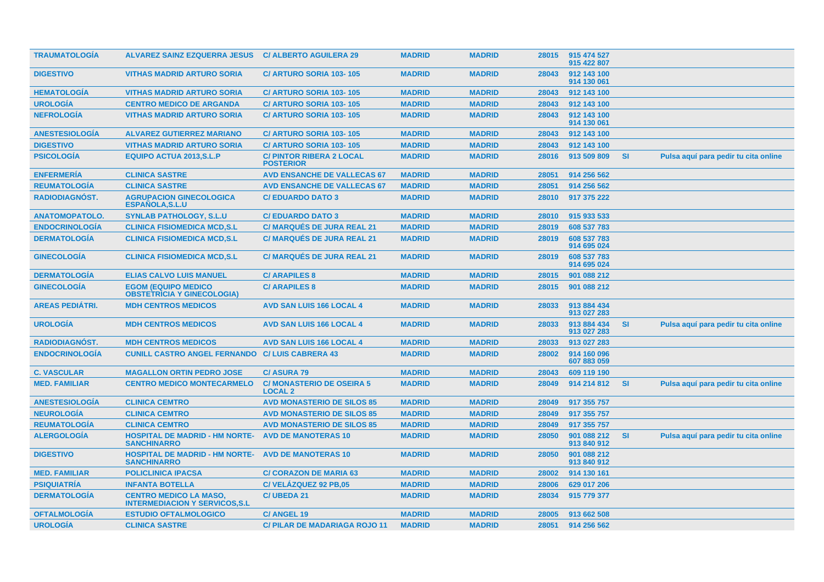| <b>TRAUMATOLOGÍA</b>   | <b>ALVAREZ SAINZ EZQUERRA JESUS</b>                                     | <b>C/ ALBERTO AGUILERA 29</b>                       | <b>MADRID</b> | <b>MADRID</b> | 28015 | 915 474 527<br>915 422 807 |           |                                      |
|------------------------|-------------------------------------------------------------------------|-----------------------------------------------------|---------------|---------------|-------|----------------------------|-----------|--------------------------------------|
| <b>DIGESTIVO</b>       | <b>VITHAS MADRID ARTURO SORIA</b>                                       | <b>C/ ARTURO SORIA 103-105</b>                      | <b>MADRID</b> | <b>MADRID</b> | 28043 | 912 143 100<br>914 130 061 |           |                                      |
| <b>HEMATOLOGIA</b>     | <b>VITHAS MADRID ARTURO SORIA</b>                                       | C/ ARTURO SORIA 103-105                             | <b>MADRID</b> | <b>MADRID</b> | 28043 | 912 143 100                |           |                                      |
| <b>UROLOGIA</b>        | <b>CENTRO MEDICO DE ARGANDA</b>                                         | C/ ARTURO SORIA 103-105                             | <b>MADRID</b> | <b>MADRID</b> | 28043 | 912 143 100                |           |                                      |
| <b>NEFROLOGÍA</b>      | <b>VITHAS MADRID ARTURO SORIA</b>                                       | C/ ARTURO SORIA 103-105                             | <b>MADRID</b> | <b>MADRID</b> | 28043 | 912 143 100<br>914 130 061 |           |                                      |
| <b>ANESTESIOLOGÍA</b>  | <b>ALVAREZ GUTIERREZ MARIANO</b>                                        | C/ ARTURO SORIA 103-105                             | <b>MADRID</b> | <b>MADRID</b> | 28043 | 912 143 100                |           |                                      |
| <b>DIGESTIVO</b>       | <b>VITHAS MADRID ARTURO SORIA</b>                                       | C/ ARTURO SORIA 103-105                             | <b>MADRID</b> | <b>MADRID</b> | 28043 | 912 143 100                |           |                                      |
| <b>PSICOLOGÍA</b>      | <b>EQUIPO ACTUA 2013, S.L.P</b>                                         | <b>C/ PINTOR RIBERA 2 LOCAL</b><br><b>POSTERIOR</b> | <b>MADRID</b> | <b>MADRID</b> | 28016 | 913 509 809                | <b>SI</b> | Pulsa aquí para pedir tu cita online |
| <b>ENFERMERÍA</b>      | <b>CLINICA SASTRE</b>                                                   | <b>AVD ENSANCHE DE VALLECAS 67</b>                  | <b>MADRID</b> | <b>MADRID</b> | 28051 | 914 256 562                |           |                                      |
| <b>REUMATOLOGÍA</b>    | <b>CLINICA SASTRE</b>                                                   | <b>AVD ENSANCHE DE VALLECAS 67</b>                  | <b>MADRID</b> | <b>MADRID</b> | 28051 | 914 256 562                |           |                                      |
| <b>RADIODIAGNÓST.</b>  | <b>AGRUPACION GINECOLOGICA</b><br><b>ESPAÑOLA, S.L.U</b>                | <b>C/EDUARDO DATO 3</b>                             | <b>MADRID</b> | <b>MADRID</b> | 28010 | 917 375 222                |           |                                      |
| <b>ANATOMOPATOLO.</b>  | <b>SYNLAB PATHOLOGY, S.L.U</b>                                          | <b>C/EDUARDO DATO 3</b>                             | <b>MADRID</b> | <b>MADRID</b> | 28010 | 915 933 533                |           |                                      |
| <b>ENDOCRINOLOGÍA</b>  | <b>CLINICA FISIOMEDICA MCD,S.L</b>                                      | <b>C/ MARQUÉS DE JURA REAL 21</b>                   | <b>MADRID</b> | <b>MADRID</b> | 28019 | 608 537 783                |           |                                      |
| <b>DERMATOLOGÍA</b>    | <b>CLINICA FISIOMEDICA MCD,S.L</b>                                      | <b>C/ MARQUÉS DE JURA REAL 21</b>                   | <b>MADRID</b> | <b>MADRID</b> | 28019 | 608 537 783<br>914 695 024 |           |                                      |
| <b>GINECOLOGIA</b>     | <b>CLINICA FISIOMEDICA MCD,S.L</b>                                      | <b>C/ MARQUÉS DE JURA REAL 21</b>                   | <b>MADRID</b> | <b>MADRID</b> | 28019 | 608 537 783<br>914 695 024 |           |                                      |
| <b>DERMATOLOGÍA</b>    | <b>ELIAS CALVO LUIS MANUEL</b>                                          | <b>C/ARAPILES 8</b>                                 | <b>MADRID</b> | <b>MADRID</b> | 28015 | 901 088 212                |           |                                      |
| <b>GINECOLOGÍA</b>     | <b>EGOM (EQUIPO MEDICO)</b><br><b>OBSTETRICIA Y GINECOLOGIA)</b>        | <b>C/ARAPILES 8</b>                                 | <b>MADRID</b> | <b>MADRID</b> | 28015 | 901 088 212                |           |                                      |
| <b>AREAS PEDIATRI.</b> | <b>MDH CENTROS MEDICOS</b>                                              | <b>AVD SAN LUIS 166 LOCAL 4</b>                     | <b>MADRID</b> | <b>MADRID</b> | 28033 | 913 884 434<br>913 027 283 |           |                                      |
| <b>UROLOGÍA</b>        | <b>MDH CENTROS MEDICOS</b>                                              | <b>AVD SAN LUIS 166 LOCAL 4</b>                     | <b>MADRID</b> | <b>MADRID</b> | 28033 | 913 884 434<br>913 027 283 | <b>SI</b> | Pulsa aquí para pedir tu cita online |
| <b>RADIODIAGNÓST.</b>  | <b>MDH CENTROS MEDICOS</b>                                              | <b>AVD SAN LUIS 166 LOCAL 4</b>                     | <b>MADRID</b> | <b>MADRID</b> | 28033 | 913 027 283                |           |                                      |
| <b>ENDOCRINOLOGIA</b>  | <b>CUNILL CASTRO ANGEL FERNANDO</b>                                     | <b>C/LUIS CABRERA 43</b>                            | <b>MADRID</b> | <b>MADRID</b> | 28002 | 914 160 096<br>607 883 059 |           |                                      |
| <b>C. VASCULAR</b>     | <b>MAGALLON ORTIN PEDRO JOSE</b>                                        | <b>C/ASURA 79</b>                                   | <b>MADRID</b> | <b>MADRID</b> | 28043 | 609 119 190                |           |                                      |
| <b>MED. FAMILIAR</b>   | <b>CENTRO MEDICO MONTECARMELO</b>                                       | <b>C/MONASTERIO DE OSEIRA 5</b><br><b>LOCAL 2</b>   | <b>MADRID</b> | <b>MADRID</b> | 28049 | 914 214 812                | <b>SI</b> | Pulsa aquí para pedir tu cita online |
| <b>ANESTESIOLOGÍA</b>  | <b>CLINICA CEMTRO</b>                                                   | <b>AVD MONASTERIO DE SILOS 85</b>                   | <b>MADRID</b> | <b>MADRID</b> | 28049 | 917 355 757                |           |                                      |
| <b>NEUROLOGÍA</b>      | <b>CLINICA CEMTRO</b>                                                   | <b>AVD MONASTERIO DE SILOS 85</b>                   | <b>MADRID</b> | <b>MADRID</b> | 28049 | 917 355 757                |           |                                      |
| <b>REUMATOLOGÍA</b>    | <b>CLINICA CEMTRO</b>                                                   | <b>AVD MONASTERIO DE SILOS 85</b>                   | <b>MADRID</b> | <b>MADRID</b> | 28049 | 917 355 757                |           |                                      |
| <b>ALERGOLOGÍA</b>     | <b>HOSPITAL DE MADRID - HM NORTE-</b><br><b>SANCHINARRO</b>             | <b>AVD DE MANOTERAS 10</b>                          | <b>MADRID</b> | <b>MADRID</b> | 28050 | 901 088 212<br>913 840 912 | <b>SI</b> | Pulsa aquí para pedir tu cita online |
| <b>DIGESTIVO</b>       | <b>HOSPITAL DE MADRID - HM NORTE-</b><br><b>SANCHINARRO</b>             | <b>AVD DE MANOTERAS 10</b>                          | <b>MADRID</b> | <b>MADRID</b> | 28050 | 901 088 212<br>913 840 912 |           |                                      |
| <b>MED. FAMILIAR</b>   | <b>POLICLINICA IPACSA</b>                                               | <b>C/ CORAZON DE MARIA 63</b>                       | <b>MADRID</b> | <b>MADRID</b> | 28002 | 914 130 161                |           |                                      |
| <b>PSIQUIATRÍA</b>     | <b>INFANTA BOTELLA</b>                                                  | C/VELÁZQUEZ 92 PB.05                                | <b>MADRID</b> | <b>MADRID</b> | 28006 | 629 017 206                |           |                                      |
| <b>DERMATOLOGÍA</b>    | <b>CENTRO MEDICO LA MASO,</b><br><b>INTERMEDIACION Y SERVICOS, S.L.</b> | C/UBEDA 21                                          | <b>MADRID</b> | <b>MADRID</b> | 28034 | 915 779 377                |           |                                      |
| <b>OFTALMOLOGÍA</b>    | <b>ESTUDIO OFTALMOLOGICO</b>                                            | <b>C/ ANGEL 19</b>                                  | <b>MADRID</b> | <b>MADRID</b> | 28005 | 913 662 508                |           |                                      |
| <b>UROLOGÍA</b>        | <b>CLINICA SASTRE</b>                                                   | <b>C/PILAR DE MADARIAGA ROJO 11</b>                 | <b>MADRID</b> | <b>MADRID</b> | 28051 | 914 256 562                |           |                                      |
|                        |                                                                         |                                                     |               |               |       |                            |           |                                      |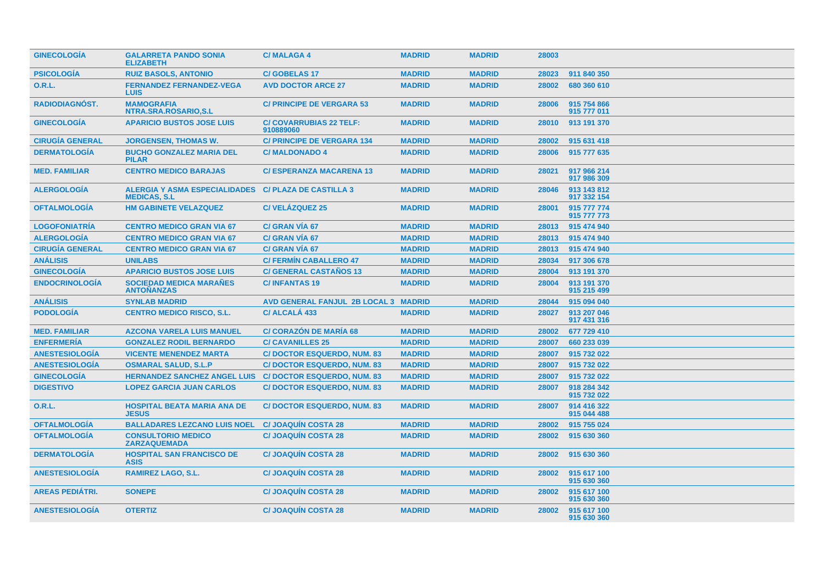| <b>GINECOLOGIA</b>     | <b>GALARRETA PANDO SONIA</b><br><b>ELIZABETH</b>             | <b>C/MALAGA4</b>                            | <b>MADRID</b> | <b>MADRID</b> | 28003 |                            |
|------------------------|--------------------------------------------------------------|---------------------------------------------|---------------|---------------|-------|----------------------------|
| <b>PSICOLOGÍA</b>      | <b>RUIZ BASOLS, ANTONIO</b>                                  | <b>C/GOBELAS17</b>                          | <b>MADRID</b> | <b>MADRID</b> | 28023 | 911 840 350                |
| <b>O.R.L.</b>          | <b>FERNANDEZ FERNANDEZ-VEGA</b><br><b>LUIS</b>               | <b>AVD DOCTOR ARCE 27</b>                   | <b>MADRID</b> | <b>MADRID</b> | 28002 | 680 360 610                |
| <b>RADIODIAGNOST.</b>  | <b>MAMOGRAFIA</b><br>NTRA.SRA.ROSARIO, S.L                   | <b>C/ PRINCIPE DE VERGARA 53</b>            | <b>MADRID</b> | <b>MADRID</b> | 28006 | 915 754 866<br>915 777 011 |
| <b>GINECOLOGÍA</b>     | <b>APARICIO BUSTOS JOSE LUIS</b>                             | <b>C/ COVARRUBIAS 22 TELF:</b><br>910889060 | <b>MADRID</b> | <b>MADRID</b> | 28010 | 913 191 370                |
| <b>CIRUGÍA GENERAL</b> | <b>JORGENSEN, THOMAS W.</b>                                  | <b>C/ PRINCIPE DE VERGARA 134</b>           | <b>MADRID</b> | <b>MADRID</b> | 28002 | 915 631 418                |
| <b>DERMATOLOGIA</b>    | <b>BUCHO GONZALEZ MARIA DEL</b><br><b>PILAR</b>              | <b>C/MALDONADO 4</b>                        | <b>MADRID</b> | <b>MADRID</b> | 28006 | 915 777 635                |
| <b>MED. FAMILIAR</b>   | <b>CENTRO MEDICO BARAJAS</b>                                 | <b>C/ESPERANZA MACARENA 13</b>              | <b>MADRID</b> | <b>MADRID</b> | 28021 | 917 966 214<br>917 986 309 |
| <b>ALERGOLOGÍA</b>     | <b>ALERGIA Y ASMA ESPECIALIDADES</b><br><b>MEDICAS, S.L.</b> | <b>C/ PLAZA DE CASTILLA 3</b>               | <b>MADRID</b> | <b>MADRID</b> | 28046 | 913 143 812<br>917 332 154 |
| <b>OFTALMOLOGÍA</b>    | <b>HM GABINETE VELAZQUEZ</b>                                 | C/VELÁZQUEZ 25                              | <b>MADRID</b> | <b>MADRID</b> | 28001 | 915 777 774<br>915 777 773 |
| <b>LOGOFONIATRÍA</b>   | <b>CENTRO MEDICO GRAN VIA 67</b>                             | <b>C/ GRAN VIA 67</b>                       | <b>MADRID</b> | <b>MADRID</b> | 28013 | 915 474 940                |
| <b>ALERGOLOGIA</b>     | <b>CENTRO MEDICO GRAN VIA 67</b>                             | C/ GRAN VIA 67                              | <b>MADRID</b> | <b>MADRID</b> | 28013 | 915 474 940                |
| <b>CIRUGÍA GENERAL</b> | <b>CENTRO MEDICO GRAN VIA 67</b>                             | C/ GRAN VÍA 67                              | <b>MADRID</b> | <b>MADRID</b> | 28013 | 915 474 940                |
| <b>ANÁLISIS</b>        | <b>UNILABS</b>                                               | <b>C/ FERMIN CABALLERO 47</b>               | <b>MADRID</b> | <b>MADRID</b> | 28034 | 917 306 678                |
| <b>GINECOLOGÍA</b>     | <b>APARICIO BUSTOS JOSE LUIS</b>                             | <b>C/ GENERAL CASTAÑOS 13</b>               | <b>MADRID</b> | <b>MADRID</b> | 28004 | 913 191 370                |
| <b>ENDOCRINOLOGÍA</b>  | <b>SOCIEDAD MEDICA MARAÑES</b><br><b>ANTOÑANZAS</b>          | <b>C/INFANTAS19</b>                         | <b>MADRID</b> | <b>MADRID</b> | 28004 | 913 191 370<br>915 215 499 |
| <b>ANÁLISIS</b>        | <b>SYNLAB MADRID</b>                                         | AVD GENERAL FANJUL 2B LOCAL 3 MADRID        |               | <b>MADRID</b> | 28044 | 915 094 040                |
| <b>PODOLOGÍA</b>       | <b>CENTRO MEDICO RISCO, S.L.</b>                             | C/ ALCALA 433                               | <b>MADRID</b> | <b>MADRID</b> | 28027 | 913 207 046<br>917 431 316 |
| <b>MED. FAMILIAR</b>   | <b>AZCONA VARELA LUIS MANUEL</b>                             | <b>C/ CORAZÓN DE MARÍA 68</b>               | <b>MADRID</b> | <b>MADRID</b> | 28002 | 677 729 410                |
| <b>ENFERMERÍA</b>      | <b>GONZALEZ RODIL BERNARDO</b>                               | <b>C/CAVANILLES 25</b>                      | <b>MADRID</b> | <b>MADRID</b> | 28007 | 660 233 039                |
| <b>ANESTESIOLOGÍA</b>  | <b>VICENTE MENENDEZ MARTA</b>                                | <b>C/DOCTOR ESQUERDO, NUM. 83</b>           | <b>MADRID</b> | <b>MADRID</b> | 28007 | 915 732 022                |
| <b>ANESTESIOLOGÍA</b>  | <b>OSMARAL SALUD, S.L.P</b>                                  | <b>C/DOCTOR ESQUERDO, NUM. 83</b>           | <b>MADRID</b> | <b>MADRID</b> | 28007 | 915 732 022                |
| <b>GINECOLOGÍA</b>     | <b>HERNANDEZ SANCHEZ ANGEL LUIS</b>                          | <b>C/DOCTOR ESQUERDO, NUM. 83</b>           | <b>MADRID</b> | <b>MADRID</b> | 28007 | 915 732 022                |
| <b>DIGESTIVO</b>       | <b>LOPEZ GARCIA JUAN CARLOS</b>                              | <b>C/DOCTOR ESQUERDO, NUM. 83</b>           | <b>MADRID</b> | <b>MADRID</b> | 28007 | 918 284 342<br>915 732 022 |
| <b>O.R.L.</b>          | <b>HOSPITAL BEATA MARIA ANA DE</b><br><b>JESUS</b>           | <b>C/DOCTOR ESQUERDO, NUM. 83</b>           | <b>MADRID</b> | <b>MADRID</b> | 28007 | 914 416 322<br>915 044 488 |
| <b>OFTALMOLOGIA</b>    | <b>BALLADARES LEZCANO LUIS NOEL</b>                          | <b>C/JOAQUIN COSTA 28</b>                   | <b>MADRID</b> | <b>MADRID</b> | 28002 | 915 755 024                |
| <b>OFTALMOLOGÍA</b>    | <b>CONSULTORIO MEDICO</b><br><b>ZARZAQUEMADA</b>             | <b>C/JOAQUIN COSTA 28</b>                   | <b>MADRID</b> | <b>MADRID</b> | 28002 | 915 630 360                |
| <b>DERMATOLOGIA</b>    | <b>HOSPITAL SAN FRANCISCO DE</b><br><b>ASIS</b>              | <b>C/ JOAQUÍN COSTA 28</b>                  | <b>MADRID</b> | <b>MADRID</b> | 28002 | 915 630 360                |
| <b>ANESTESIOLOGÍA</b>  | <b>RAMIREZ LAGO, S.L.</b>                                    | <b>C/JOAQUIN COSTA 28</b>                   | <b>MADRID</b> | <b>MADRID</b> | 28002 | 915 617 100<br>915 630 360 |
| <b>AREAS PEDIÁTRI.</b> | <b>SONEPE</b>                                                | <b>C/JOAQUIN COSTA 28</b>                   | <b>MADRID</b> | <b>MADRID</b> | 28002 | 915 617 100<br>915 630 360 |
| <b>ANESTESIOLOGIA</b>  | <b>OTERTIZ</b>                                               | <b>C/JOAQUIN COSTA 28</b>                   | <b>MADRID</b> | <b>MADRID</b> | 28002 | 915 617 100<br>915 630 360 |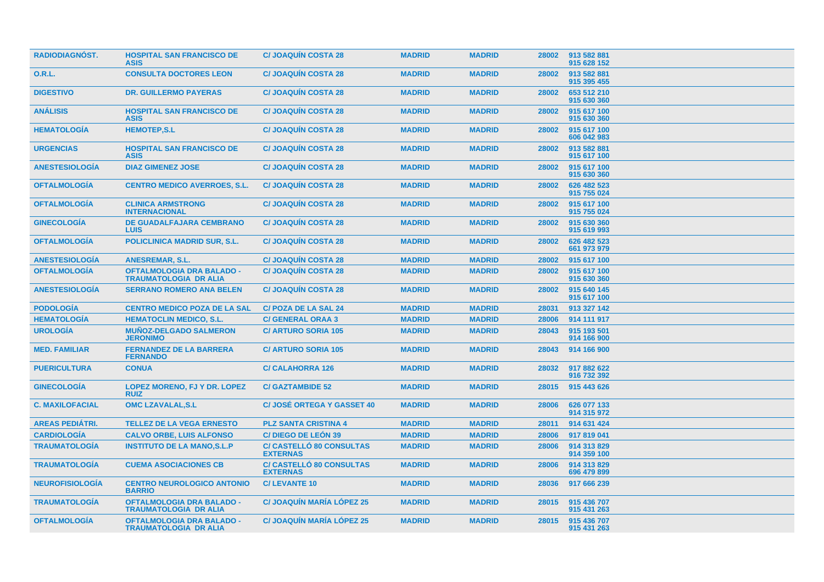| <b>RADIODIAGNÓST.</b>  | <b>HOSPITAL SAN FRANCISCO DE</b><br><b>ASIS</b>                  | <b>C/JOAQUIN COSTA 28</b>                          | <b>MADRID</b> | <b>MADRID</b> | 28002 | 913 582 881<br>915 628 152 |
|------------------------|------------------------------------------------------------------|----------------------------------------------------|---------------|---------------|-------|----------------------------|
| <b>O.R.L.</b>          | <b>CONSULTA DOCTORES LEON</b>                                    | <b>C/JOAQUIN COSTA 28</b>                          | <b>MADRID</b> | <b>MADRID</b> | 28002 | 913 582 881<br>915 395 455 |
| <b>DIGESTIVO</b>       | <b>DR. GUILLERMO PAYERAS</b>                                     | <b>C/JOAQUIN COSTA 28</b>                          | <b>MADRID</b> | <b>MADRID</b> | 28002 | 653 512 210<br>915 630 360 |
| <b>ANÁLISIS</b>        | <b>HOSPITAL SAN FRANCISCO DE</b><br><b>ASIS</b>                  | <b>C/JOAQUIN COSTA 28</b>                          | <b>MADRID</b> | <b>MADRID</b> | 28002 | 915 617 100<br>915 630 360 |
| <b>HEMATOLOGÍA</b>     | <b>HEMOTEP,S.L</b>                                               | <b>C/JOAQUÍN COSTA 28</b>                          | <b>MADRID</b> | <b>MADRID</b> | 28002 | 915 617 100<br>606 042 983 |
| <b>URGENCIAS</b>       | <b>HOSPITAL SAN FRANCISCO DE</b><br><b>ASIS</b>                  | <b>C/JOAQUIN COSTA 28</b>                          | <b>MADRID</b> | <b>MADRID</b> | 28002 | 913 582 881<br>915 617 100 |
| <b>ANESTESIOLOGIA</b>  | <b>DIAZ GIMENEZ JOSE</b>                                         | <b>C/JOAQUIN COSTA 28</b>                          | <b>MADRID</b> | <b>MADRID</b> | 28002 | 915 617 100<br>915 630 360 |
| <b>OFTALMOLOGÍA</b>    | <b>CENTRO MEDICO AVERROES, S.L.</b>                              | <b>C/JOAQUIN COSTA 28</b>                          | <b>MADRID</b> | <b>MADRID</b> | 28002 | 626 482 523<br>915 755 024 |
| <b>OFTALMOLOGIA</b>    | <b>CLINICA ARMSTRONG</b><br><b>INTERNACIONAL</b>                 | <b>C/JOAQUIN COSTA 28</b>                          | <b>MADRID</b> | <b>MADRID</b> | 28002 | 915 617 100<br>915 755 024 |
| <b>GINECOLOGIA</b>     | <b>DE GUADALFAJARA CEMBRANO</b><br><b>LUIS</b>                   | <b>C/JOAQUIN COSTA 28</b>                          | <b>MADRID</b> | <b>MADRID</b> | 28002 | 915 630 360<br>915 619 993 |
| <b>OFTALMOLOGÍA</b>    | <b>POLICLINICA MADRID SUR, S.L.</b>                              | <b>C/ JOAQUÍN COSTA 28</b>                         | <b>MADRID</b> | <b>MADRID</b> | 28002 | 626 482 523<br>661 973 979 |
| <b>ANESTESIOLOGÍA</b>  | <b>ANESREMAR, S.L.</b>                                           | <b>C/JOAQUIN COSTA 28</b>                          | <b>MADRID</b> | <b>MADRID</b> | 28002 | 915 617 100                |
| <b>OFTALMOLOGÍA</b>    | <b>OFTALMOLOGIA DRA BALADO -</b><br><b>TRAUMATOLOGIA DR ALIA</b> | <b>C/JOAQUIN COSTA 28</b>                          | <b>MADRID</b> | <b>MADRID</b> | 28002 | 915 617 100<br>915 630 360 |
| <b>ANESTESIOLOGÍA</b>  | <b>SERRANO ROMERO ANA BELEN</b>                                  | <b>C/JOAQUIN COSTA 28</b>                          | <b>MADRID</b> | <b>MADRID</b> | 28002 | 915 640 145<br>915 617 100 |
| <b>PODOLOGÍA</b>       | <b>CENTRO MEDICO POZA DE LA SAL</b>                              | <b>C/POZA DE LA SAL 24</b>                         | <b>MADRID</b> | <b>MADRID</b> | 28031 | 913 327 142                |
| <b>HEMATOLOGÍA</b>     | <b>HEMATOCLIN MEDICO, S.L.</b>                                   | <b>C/ GENERAL ORAA 3</b>                           | <b>MADRID</b> | <b>MADRID</b> | 28006 | 914 111 917                |
| <b>UROLOGÍA</b>        | <b>MUÑOZ-DELGADO SALMERON</b><br><b>JERONIMO</b>                 | <b>C/ ARTURO SORIA 105</b>                         | <b>MADRID</b> | <b>MADRID</b> | 28043 | 915 193 501<br>914 166 900 |
| <b>MED. FAMILIAR</b>   | <b>FERNANDEZ DE LA BARRERA</b><br><b>FERNANDO</b>                | <b>C/ ARTURO SORIA 105</b>                         | <b>MADRID</b> | <b>MADRID</b> | 28043 | 914 166 900                |
| <b>PUERICULTURA</b>    | <b>CONUA</b>                                                     | <b>C/CALAHORRA 126</b>                             | <b>MADRID</b> | <b>MADRID</b> | 28032 | 917 882 622<br>916 732 392 |
| <b>GINECOLOGÍA</b>     | LOPEZ MORENO, FJ Y DR. LOPEZ<br><b>RUIZ</b>                      | <b>C/GAZTAMBIDE 52</b>                             | <b>MADRID</b> | <b>MADRID</b> | 28015 | 915 443 626                |
| <b>C. MAXILOFACIAL</b> | <b>OMC LZAVALAL, S.L</b>                                         | <b>C/ JOSE ORTEGA Y GASSET 40</b>                  | <b>MADRID</b> | <b>MADRID</b> | 28006 | 626 077 133<br>914 315 972 |
| <b>AREAS PEDIÁTRI.</b> | <b>TELLEZ DE LA VEGA ERNESTO</b>                                 | <b>PLZ SANTA CRISTINA 4</b>                        | <b>MADRID</b> | <b>MADRID</b> | 28011 | 914 631 424                |
| <b>CARDIOLOGÍA</b>     | <b>CALVO ORBE, LUIS ALFONSO</b>                                  | <b>C/DIEGO DE LEÓN 39</b>                          | <b>MADRID</b> | <b>MADRID</b> | 28006 | 917 819 041                |
| <b>TRAUMATOLOGÍA</b>   | <b>INSTITUTO DE LA MANO, S.L.P</b>                               | <b>C/ CASTELLO 80 CONSULTAS</b><br><b>EXTERNAS</b> | <b>MADRID</b> | <b>MADRID</b> | 28006 | 914 313 829<br>914 359 100 |
| <b>TRAUMATOLOGIA</b>   | <b>CUEMA ASOCIACIONES CB</b>                                     | <b>C/ CASTELLO 80 CONSULTAS</b><br><b>EXTERNAS</b> | <b>MADRID</b> | <b>MADRID</b> | 28006 | 914 313 829<br>696 479 899 |
| <b>NEUROFISIOLOGÍA</b> | <b>CENTRO NEUROLOGICO ANTONIO</b><br><b>BARRIO</b>               | <b>C/LEVANTE 10</b>                                | <b>MADRID</b> | <b>MADRID</b> | 28036 | 917 666 239                |
| <b>TRAUMATOLOGIA</b>   | <b>OFTALMOLOGIA DRA BALADO -</b><br><b>TRAUMATOLOGIA DR ALIA</b> | <b>C/ JOAQUIN MARIA LOPEZ 25</b>                   | <b>MADRID</b> | <b>MADRID</b> | 28015 | 915 436 707<br>915 431 263 |
| <b>OFTALMOLOGIA</b>    | <b>OFTALMOLOGIA DRA BALADO -</b><br><b>TRAUMATOLOGIA DR ALIA</b> | <b>C/JOAQUIN MARIA LOPEZ 25</b>                    | <b>MADRID</b> | <b>MADRID</b> | 28015 | 915 436 707<br>915 431 263 |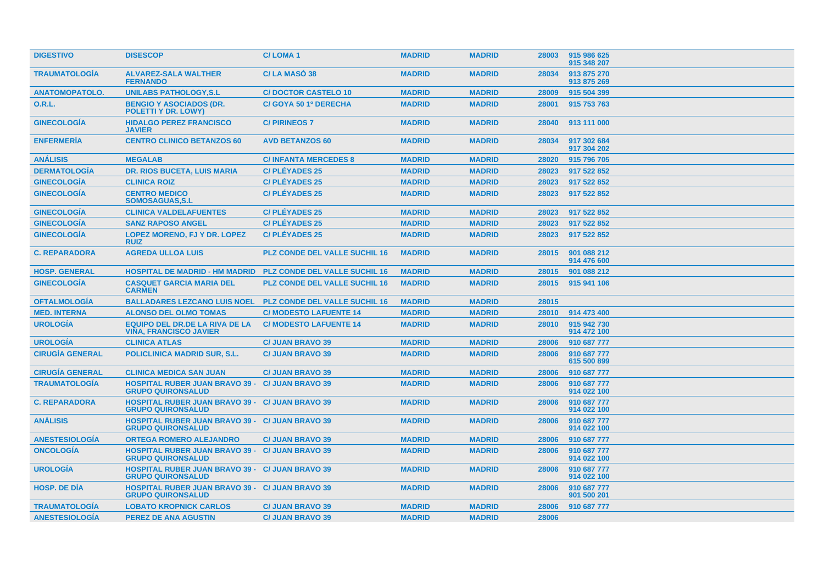| <b>DISESCOP</b>                                                        | <b>C/LOMA1</b>                       | <b>MADRID</b>                                                                                                                                                                                                                                                                                                                                                                                     | <b>MADRID</b> | 28003 | 915 986 625<br>915 348 207 |
|------------------------------------------------------------------------|--------------------------------------|---------------------------------------------------------------------------------------------------------------------------------------------------------------------------------------------------------------------------------------------------------------------------------------------------------------------------------------------------------------------------------------------------|---------------|-------|----------------------------|
| <b>ALVAREZ-SALA WALTHER</b><br><b>FERNANDO</b>                         | C/LA MASO 38                         | <b>MADRID</b>                                                                                                                                                                                                                                                                                                                                                                                     | <b>MADRID</b> | 28034 | 913 875 270<br>913 875 269 |
| <b>UNILABS PATHOLOGY, S.L</b>                                          | <b>C/DOCTOR CASTELO 10</b>           | <b>MADRID</b>                                                                                                                                                                                                                                                                                                                                                                                     | <b>MADRID</b> | 28009 | 915 504 399                |
| <b>BENGIO Y ASOCIADOS (DR.</b><br>POLETTI Y DR. LOWY)                  | C/ GOYA 50 1º DERECHA                | <b>MADRID</b>                                                                                                                                                                                                                                                                                                                                                                                     | <b>MADRID</b> | 28001 | 915 753 763                |
| <b>HIDALGO PEREZ FRANCISCO</b><br><b>JAVIER</b>                        | <b>C/PIRINEOS 7</b>                  | <b>MADRID</b>                                                                                                                                                                                                                                                                                                                                                                                     | <b>MADRID</b> | 28040 | 913 111 000                |
| <b>CENTRO CLINICO BETANZOS 60</b>                                      | <b>AVD BETANZOS 60</b>               | <b>MADRID</b>                                                                                                                                                                                                                                                                                                                                                                                     | <b>MADRID</b> | 28034 | 917 302 684<br>917 304 202 |
| <b>MEGALAB</b>                                                         | <b>C/INFANTA MERCEDES 8</b>          | <b>MADRID</b>                                                                                                                                                                                                                                                                                                                                                                                     | <b>MADRID</b> | 28020 | 915 796 705                |
| <b>DR. RIOS BUCETA, LUIS MARIA</b>                                     | <b>C/PLÉYADES 25</b>                 | <b>MADRID</b>                                                                                                                                                                                                                                                                                                                                                                                     | <b>MADRID</b> | 28023 | 917 522 852                |
| <b>CLINICA ROIZ</b>                                                    | <b>C/PLÉYADES 25</b>                 | <b>MADRID</b>                                                                                                                                                                                                                                                                                                                                                                                     | <b>MADRID</b> | 28023 | 917 522 852                |
| <b>CENTRO MEDICO</b><br><b>SOMOSAGUAS, S.L.</b>                        | <b>C/PLÉYADES 25</b>                 | <b>MADRID</b>                                                                                                                                                                                                                                                                                                                                                                                     | <b>MADRID</b> | 28023 | 917 522 852                |
| <b>CLINICA VALDELAFUENTES</b>                                          | <b>C/PLÉYADES 25</b>                 | <b>MADRID</b>                                                                                                                                                                                                                                                                                                                                                                                     | <b>MADRID</b> | 28023 | 917 522 852                |
| <b>SANZ RAPOSO ANGEL</b>                                               | <b>C/PLÉYADES 25</b>                 | <b>MADRID</b>                                                                                                                                                                                                                                                                                                                                                                                     | <b>MADRID</b> | 28023 | 917 522 852                |
| LOPEZ MORENO, FJ Y DR. LOPEZ<br><b>RUIZ</b>                            | <b>C/PLÉYADES 25</b>                 | <b>MADRID</b>                                                                                                                                                                                                                                                                                                                                                                                     | <b>MADRID</b> | 28023 | 917 522 852                |
| <b>AGREDA ULLOA LUIS</b>                                               | <b>PLZ CONDE DEL VALLE SUCHIL 16</b> | <b>MADRID</b>                                                                                                                                                                                                                                                                                                                                                                                     | <b>MADRID</b> | 28015 | 901 088 212<br>914 476 600 |
|                                                                        | <b>PLZ CONDE DEL VALLE SUCHIL 16</b> | <b>MADRID</b>                                                                                                                                                                                                                                                                                                                                                                                     | <b>MADRID</b> | 28015 | 901 088 212                |
| <b>CASQUET GARCIA MARIA DEL</b><br><b>CARMEN</b>                       | <b>PLZ CONDE DEL VALLE SUCHIL 16</b> | <b>MADRID</b>                                                                                                                                                                                                                                                                                                                                                                                     | <b>MADRID</b> | 28015 | 915 941 106                |
| <b>BALLADARES LEZCANO LUIS NOEL</b>                                    | <b>PLZ CONDE DEL VALLE SUCHIL 16</b> | <b>MADRID</b>                                                                                                                                                                                                                                                                                                                                                                                     | <b>MADRID</b> | 28015 |                            |
| <b>ALONSO DEL OLMO TOMAS</b>                                           | <b>C/ MODESTO LAFUENTE 14</b>        | <b>MADRID</b>                                                                                                                                                                                                                                                                                                                                                                                     | <b>MADRID</b> | 28010 | 914 473 400                |
| <b>EQUIPO DEL DR.DE LA RIVA DE LA</b><br><b>VIÑA, FRANCISCO JAVIER</b> | <b>C/ MODESTO LAFUENTE 14</b>        | <b>MADRID</b>                                                                                                                                                                                                                                                                                                                                                                                     | <b>MADRID</b> | 28010 | 915 942 730<br>914 472 100 |
| <b>CLINICA ATLAS</b>                                                   | <b>C/ JUAN BRAVO 39</b>              | <b>MADRID</b>                                                                                                                                                                                                                                                                                                                                                                                     | <b>MADRID</b> | 28006 | 910 687 777                |
| <b>POLICLINICA MADRID SUR, S.L.</b>                                    | <b>C/ JUAN BRAVO 39</b>              | <b>MADRID</b>                                                                                                                                                                                                                                                                                                                                                                                     | <b>MADRID</b> | 28006 | 910 687 777<br>615 500 899 |
| <b>CLINICA MEDICA SAN JUAN</b>                                         | <b>C/ JUAN BRAVO 39</b>              | <b>MADRID</b>                                                                                                                                                                                                                                                                                                                                                                                     | <b>MADRID</b> | 28006 | 910 687 777                |
| <b>GRUPO QUIRONSALUD</b>                                               |                                      | <b>MADRID</b>                                                                                                                                                                                                                                                                                                                                                                                     | <b>MADRID</b> | 28006 | 910 687 777<br>914 022 100 |
| <b>GRUPO QUIRONSALUD</b>                                               |                                      | <b>MADRID</b>                                                                                                                                                                                                                                                                                                                                                                                     | <b>MADRID</b> | 28006 | 910 687 777<br>914 022 100 |
| <b>GRUPO QUIRONSALUD</b>                                               |                                      | <b>MADRID</b>                                                                                                                                                                                                                                                                                                                                                                                     | <b>MADRID</b> | 28006 | 910 687 777<br>914 022 100 |
| <b>ORTEGA ROMERO ALEJANDRO</b>                                         | <b>C/ JUAN BRAVO 39</b>              | <b>MADRID</b>                                                                                                                                                                                                                                                                                                                                                                                     | <b>MADRID</b> | 28006 | 910 687 777                |
| <b>GRUPO QUIRONSALUD</b>                                               |                                      | <b>MADRID</b>                                                                                                                                                                                                                                                                                                                                                                                     | <b>MADRID</b> | 28006 | 910 687 777<br>914 022 100 |
| <b>GRUPO QUIRONSALUD</b>                                               |                                      | <b>MADRID</b>                                                                                                                                                                                                                                                                                                                                                                                     | <b>MADRID</b> | 28006 | 910 687 777<br>914 022 100 |
| <b>GRUPO QUIRONSALUD</b>                                               |                                      | <b>MADRID</b>                                                                                                                                                                                                                                                                                                                                                                                     | <b>MADRID</b> | 28006 | 910 687 777<br>901 500 201 |
| <b>LOBATO KROPNICK CARLOS</b>                                          | <b>C/ JUAN BRAVO 39</b>              | <b>MADRID</b>                                                                                                                                                                                                                                                                                                                                                                                     | <b>MADRID</b> | 28006 | 910 687 777                |
| <b>PEREZ DE ANA AGUSTIN</b>                                            | <b>C/ JUAN BRAVO 39</b>              | <b>MADRID</b>                                                                                                                                                                                                                                                                                                                                                                                     | <b>MADRID</b> | 28006 |                            |
|                                                                        |                                      | <b>HOSPITAL DE MADRID - HM MADRID</b><br><b>HOSPITAL RUBER JUAN BRAVO 39 - C/ JUAN BRAVO 39</b><br><b>HOSPITAL RUBER JUAN BRAVO 39 - C/ JUAN BRAVO 39</b><br><b>HOSPITAL RUBER JUAN BRAVO 39 - C/ JUAN BRAVO 39</b><br><b>HOSPITAL RUBER JUAN BRAVO 39 - C/ JUAN BRAVO 39</b><br><b>HOSPITAL RUBER JUAN BRAVO 39 - C/ JUAN BRAVO 39</b><br><b>HOSPITAL RUBER JUAN BRAVO 39 - C/ JUAN BRAVO 39</b> |               |       |                            |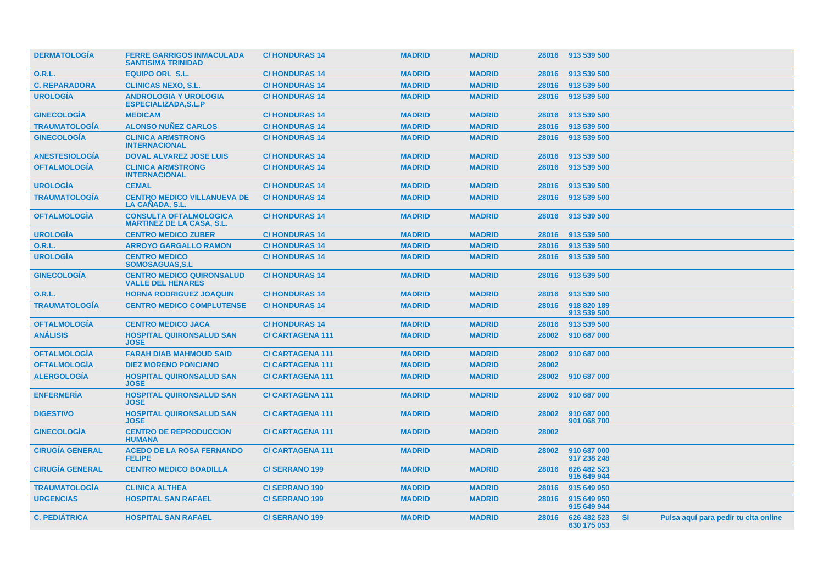| <b>DERMATOLOGIA</b>    | <b>FERRE GARRIGOS INMACULADA</b><br><b>SANTISIMA TRINIDAD</b>     | <b>C/HONDURAS14</b>    | <b>MADRID</b> | <b>MADRID</b> |       | 28016 913 539 500          |           |                                      |
|------------------------|-------------------------------------------------------------------|------------------------|---------------|---------------|-------|----------------------------|-----------|--------------------------------------|
| <b>O.R.L.</b>          | <b>EQUIPO ORL S.L.</b>                                            | <b>C/HONDURAS14</b>    | <b>MADRID</b> | <b>MADRID</b> | 28016 | 913 539 500                |           |                                      |
| <b>C. REPARADORA</b>   | <b>CLINICAS NEXO, S.L.</b>                                        | <b>C/HONDURAS14</b>    | <b>MADRID</b> | <b>MADRID</b> | 28016 | 913 539 500                |           |                                      |
| <b>UROLOGÍA</b>        | <b>ANDROLOGIA Y UROLOGIA</b><br><b>ESPECIALIZADA.S.L.P</b>        | <b>C/HONDURAS 14</b>   | <b>MADRID</b> | <b>MADRID</b> | 28016 | 913 539 500                |           |                                      |
| <b>GINECOLOGIA</b>     | <b>MEDICAM</b>                                                    | <b>C/HONDURAS14</b>    | <b>MADRID</b> | <b>MADRID</b> | 28016 | 913 539 500                |           |                                      |
| <b>TRAUMATOLOGÍA</b>   | <b>ALONSO NUÑEZ CARLOS</b>                                        | <b>C/HONDURAS14</b>    | <b>MADRID</b> | <b>MADRID</b> | 28016 | 913 539 500                |           |                                      |
| <b>GINECOLOGÍA</b>     | <b>CLINICA ARMSTRONG</b><br><b>INTERNACIONAL</b>                  | <b>C/HONDURAS14</b>    | <b>MADRID</b> | <b>MADRID</b> | 28016 | 913 539 500                |           |                                      |
| <b>ANESTESIOLOGIA</b>  | <b>DOVAL ALVAREZ JOSE LUIS</b>                                    | <b>C/HONDURAS14</b>    | <b>MADRID</b> | <b>MADRID</b> | 28016 | 913 539 500                |           |                                      |
| <b>OFTALMOLOGIA</b>    | <b>CLINICA ARMSTRONG</b><br><b>INTERNACIONAL</b>                  | <b>C/HONDURAS 14</b>   | <b>MADRID</b> | <b>MADRID</b> | 28016 | 913 539 500                |           |                                      |
| <b>UROLOGÍA</b>        | <b>CEMAL</b>                                                      | <b>C/HONDURAS14</b>    | <b>MADRID</b> | <b>MADRID</b> | 28016 | 913 539 500                |           |                                      |
| <b>TRAUMATOLOGIA</b>   | <b>CENTRO MEDICO VILLANUEVA DE</b><br>LA CAÑADA, S.L.             | <b>C/HONDURAS14</b>    | <b>MADRID</b> | <b>MADRID</b> | 28016 | 913 539 500                |           |                                      |
| <b>OFTALMOLOGIA</b>    | <b>CONSULTA OFTALMOLOGICA</b><br><b>MARTINEZ DE LA CASA, S.L.</b> | <b>C/HONDURAS14</b>    | <b>MADRID</b> | <b>MADRID</b> | 28016 | 913 539 500                |           |                                      |
| <b>UROLOGÍA</b>        | <b>CENTRO MEDICO ZUBER</b>                                        | <b>C/HONDURAS14</b>    | <b>MADRID</b> | <b>MADRID</b> | 28016 | 913 539 500                |           |                                      |
| O.R.L.                 | <b>ARROYO GARGALLO RAMON</b>                                      | <b>C/HONDURAS14</b>    | <b>MADRID</b> | <b>MADRID</b> | 28016 | 913 539 500                |           |                                      |
| <b>UROLOGÍA</b>        | <b>CENTRO MEDICO</b><br><b>SOMOSAGUAS, S.L</b>                    | <b>C/HONDURAS 14</b>   | <b>MADRID</b> | <b>MADRID</b> | 28016 | 913 539 500                |           |                                      |
| <b>GINECOLOGÍA</b>     | <b>CENTRO MEDICO QUIRONSALUD</b><br><b>VALLE DEL HENARES</b>      | <b>C/HONDURAS14</b>    | <b>MADRID</b> | <b>MADRID</b> | 28016 | 913 539 500                |           |                                      |
| <b>O.R.L.</b>          | <b>HORNA RODRIGUEZ JOAQUIN</b>                                    | <b>C/HONDURAS14</b>    | <b>MADRID</b> | <b>MADRID</b> | 28016 | 913 539 500                |           |                                      |
| <b>TRAUMATOLOGÍA</b>   | <b>CENTRO MEDICO COMPLUTENSE</b>                                  | <b>C/HONDURAS 14</b>   | <b>MADRID</b> | <b>MADRID</b> | 28016 | 918 820 189<br>913 539 500 |           |                                      |
| <b>OFTALMOLOGÍA</b>    | <b>CENTRO MEDICO JACA</b>                                         | <b>C/HONDURAS14</b>    | <b>MADRID</b> | <b>MADRID</b> | 28016 | 913 539 500                |           |                                      |
| <b>ANÁLISIS</b>        | <b>HOSPITAL QUIRONSALUD SAN</b><br><b>JOSE</b>                    | <b>C/CARTAGENA 111</b> | <b>MADRID</b> | <b>MADRID</b> | 28002 | 910 687 000                |           |                                      |
| <b>OFTALMOLOGÍA</b>    | <b>FARAH DIAB MAHMOUD SAID</b>                                    | <b>C/CARTAGENA 111</b> | <b>MADRID</b> | <b>MADRID</b> | 28002 | 910 687 000                |           |                                      |
| <b>OFTALMOLOGÍA</b>    | <b>DIEZ MORENO PONCIANO</b>                                       | <b>C/CARTAGENA 111</b> | <b>MADRID</b> | <b>MADRID</b> | 28002 |                            |           |                                      |
| <b>ALERGOLOGÍA</b>     | <b>HOSPITAL QUIRONSALUD SAN</b><br><b>JOSE</b>                    | <b>C/CARTAGENA 111</b> | <b>MADRID</b> | <b>MADRID</b> | 28002 | 910 687 000                |           |                                      |
| <b>ENFERMERIA</b>      | <b>HOSPITAL QUIRONSALUD SAN</b><br><b>JOSE</b>                    | <b>C/CARTAGENA 111</b> | <b>MADRID</b> | <b>MADRID</b> | 28002 | 910 687 000                |           |                                      |
| <b>DIGESTIVO</b>       | <b>HOSPITAL QUIRONSALUD SAN</b><br><b>JOSE</b>                    | <b>C/CARTAGENA 111</b> | <b>MADRID</b> | <b>MADRID</b> | 28002 | 910 687 000<br>901 068 700 |           |                                      |
| <b>GINECOLOGÍA</b>     | <b>CENTRO DE REPRODUCCION</b><br><b>HUMANA</b>                    | <b>C/CARTAGENA 111</b> | <b>MADRID</b> | <b>MADRID</b> | 28002 |                            |           |                                      |
| <b>CIRUGIA GENERAL</b> | <b>ACEDO DE LA ROSA FERNANDO</b><br><b>FELIPE</b>                 | <b>C/CARTAGENA 111</b> | <b>MADRID</b> | <b>MADRID</b> | 28002 | 910 687 000<br>917 238 248 |           |                                      |
| <b>CIRUGIA GENERAL</b> | <b>CENTRO MEDICO BOADILLA</b>                                     | <b>C/SERRANO 199</b>   | <b>MADRID</b> | <b>MADRID</b> | 28016 | 626 482 523<br>915 649 944 |           |                                      |
| <b>TRAUMATOLOGÍA</b>   | <b>CLINICA ALTHEA</b>                                             | <b>C/SERRANO 199</b>   | <b>MADRID</b> | <b>MADRID</b> | 28016 | 915 649 950                |           |                                      |
| <b>URGENCIAS</b>       | <b>HOSPITAL SAN RAFAEL</b>                                        | <b>C/SERRANO 199</b>   | <b>MADRID</b> | <b>MADRID</b> | 28016 | 915 649 950<br>915 649 944 |           |                                      |
| <b>C. PEDIÁTRICA</b>   | <b>HOSPITAL SAN RAFAEL</b>                                        | <b>C/SERRANO 199</b>   | <b>MADRID</b> | <b>MADRID</b> | 28016 | 626 482 523<br>630 175 053 | <b>SI</b> | Pulsa aquí para pedir tu cita online |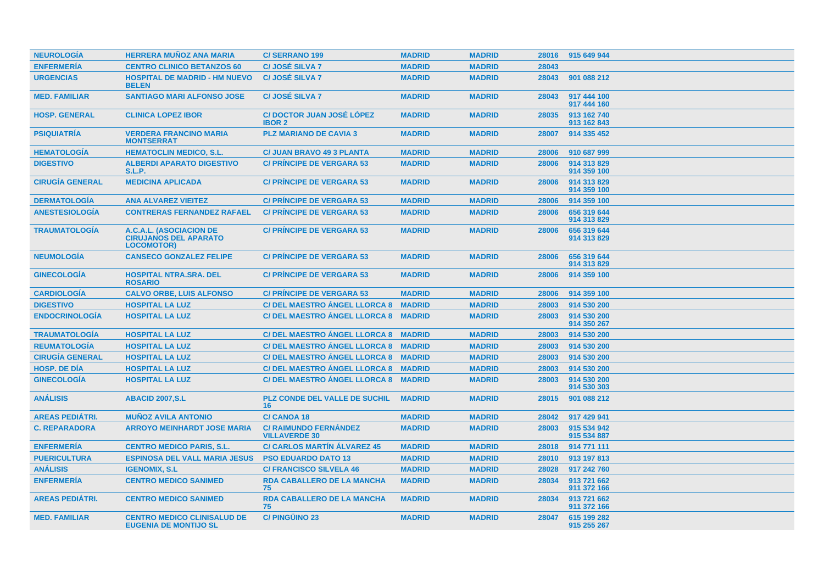| <b>NEUROLOGÍA</b>      | <b>HERRERA MUÑOZ ANA MARIA</b>                                               | <b>C/SERRANO 199</b>                                 | <b>MADRID</b> | <b>MADRID</b> | 28016 | 915 649 944                |
|------------------------|------------------------------------------------------------------------------|------------------------------------------------------|---------------|---------------|-------|----------------------------|
| <b>ENFERMERÍA</b>      | <b>CENTRO CLINICO BETANZOS 60</b>                                            | <b>C/JOSÉ SILVA 7</b>                                | <b>MADRID</b> | <b>MADRID</b> | 28043 |                            |
| <b>URGENCIAS</b>       | <b>HOSPITAL DE MADRID - HM NUEVO</b><br><b>BELEN</b>                         | <b>C/JOSÉ SILVA 7</b>                                | <b>MADRID</b> | <b>MADRID</b> | 28043 | 901 088 212                |
| <b>MED. FAMILIAR</b>   | <b>SANTIAGO MARI ALFONSO JOSE</b>                                            | <b>C/JOSÉ SILVA 7</b>                                | <b>MADRID</b> | <b>MADRID</b> | 28043 | 917 444 100<br>917 444 160 |
| <b>HOSP. GENERAL</b>   | <b>CLINICA LOPEZ IBOR</b>                                                    | <b>C/DOCTOR JUAN JOSÉ LÓPEZ</b><br><b>IBOR 2</b>     | <b>MADRID</b> | <b>MADRID</b> | 28035 | 913 162 740<br>913 162 843 |
| <b>PSIQUIATRÍA</b>     | <b>VERDERA FRANCINO MARIA</b><br><b>MONTSERRAT</b>                           | <b>PLZ MARIANO DE CAVIA 3</b>                        | <b>MADRID</b> | <b>MADRID</b> | 28007 | 914 335 452                |
| <b>HEMATOLOGIA</b>     | <b>HEMATOCLIN MEDICO, S.L.</b>                                               | <b>C/ JUAN BRAVO 49 3 PLANTA</b>                     | <b>MADRID</b> | <b>MADRID</b> | 28006 | 910 687 999                |
| <b>DIGESTIVO</b>       | <b>ALBERDI APARATO DIGESTIVO</b><br><b>S.L.P.</b>                            | <b>C/ PRINCIPE DE VERGARA 53</b>                     | <b>MADRID</b> | <b>MADRID</b> | 28006 | 914 313 829<br>914 359 100 |
| <b>CIRUGÍA GENERAL</b> | <b>MEDICINA APLICADA</b>                                                     | <b>C/ PRINCIPE DE VERGARA 53</b>                     | <b>MADRID</b> | <b>MADRID</b> | 28006 | 914 313 829<br>914 359 100 |
| <b>DERMATOLOGÍA</b>    | <b>ANA ALVAREZ VIEITEZ</b>                                                   | <b>C/ PRINCIPE DE VERGARA 53</b>                     | <b>MADRID</b> | <b>MADRID</b> | 28006 | 914 359 100                |
| <b>ANESTESIOLOGÍA</b>  | <b>CONTRERAS FERNANDEZ RAFAEL</b>                                            | <b>C/ PRINCIPE DE VERGARA 53</b>                     | <b>MADRID</b> | <b>MADRID</b> | 28006 | 656 319 644<br>914 313 829 |
| <b>TRAUMATOLOGÍA</b>   | A.C.A.L. (ASOCIACION DE<br><b>CIRUJANOS DEL APARATO</b><br><b>LOCOMOTOR)</b> | <b>C/ PRINCIPE DE VERGARA 53</b>                     | <b>MADRID</b> | <b>MADRID</b> | 28006 | 656 319 644<br>914 313 829 |
| <b>NEUMOLOGÍA</b>      | <b>CANSECO GONZALEZ FELIPE</b>                                               | <b>C/ PRINCIPE DE VERGARA 53</b>                     | <b>MADRID</b> | <b>MADRID</b> | 28006 | 656 319 644<br>914 313 829 |
| <b>GINECOLOGIA</b>     | <b>HOSPITAL NTRA.SRA. DEL</b><br><b>ROSARIO</b>                              | <b>C/ PRINCIPE DE VERGARA 53</b>                     | <b>MADRID</b> | <b>MADRID</b> | 28006 | 914 359 100                |
| <b>CARDIOLOGÍA</b>     | <b>CALVO ORBE. LUIS ALFONSO</b>                                              | <b>C/ PRINCIPE DE VERGARA 53</b>                     | <b>MADRID</b> | <b>MADRID</b> | 28006 | 914 359 100                |
| <b>DIGESTIVO</b>       | <b>HOSPITAL LA LUZ</b>                                                       | C/ DEL MAESTRO ANGEL LLORCA 8 MADRID                 |               | <b>MADRID</b> | 28003 | 914 530 200                |
| <b>ENDOCRINOLOGÍA</b>  | <b>HOSPITAL LA LUZ</b>                                                       | C/ DEL MAESTRO ANGEL LLORCA 8 MADRID                 |               | <b>MADRID</b> | 28003 | 914 530 200<br>914 350 267 |
| <b>TRAUMATOLOGÍA</b>   | <b>HOSPITAL LA LUZ</b>                                                       | C/DEL MAESTRO ANGEL LLORCA 8 MADRID                  |               | <b>MADRID</b> | 28003 | 914 530 200                |
| <b>REUMATOLOGÍA</b>    | <b>HOSPITAL LA LUZ</b>                                                       | C/ DEL MAESTRO ÁNGEL LLORCA 8 MADRID                 |               | <b>MADRID</b> | 28003 | 914 530 200                |
| <b>CIRUGÍA GENERAL</b> | <b>HOSPITAL LA LUZ</b>                                                       | C/ DEL MAESTRO ANGEL LLORCA 8 MADRID                 |               | <b>MADRID</b> | 28003 | 914 530 200                |
| <b>HOSP, DE DIA</b>    | <b>HOSPITAL LA LUZ</b>                                                       | C/ DEL MAESTRO ANGEL LLORCA 8 MADRID                 |               | <b>MADRID</b> | 28003 | 914 530 200                |
| <b>GINECOLOGÍA</b>     | <b>HOSPITAL LA LUZ</b>                                                       | C/ DEL MAESTRO ÁNGEL LLORCA 8 MADRID                 |               | <b>MADRID</b> | 28003 | 914 530 200<br>914 530 303 |
| <b>ANÁLISIS</b>        | <b>ABACID 2007, S.L.</b>                                                     | <b>PLZ CONDE DEL VALLE DE SUCHIL</b><br>16           | <b>MADRID</b> | <b>MADRID</b> | 28015 | 901 088 212                |
| <b>AREAS PEDIÁTRI.</b> | <b>MUNOZ AVILA ANTONIO</b>                                                   | <b>C/CANOA 18</b>                                    | <b>MADRID</b> | <b>MADRID</b> | 28042 | 917 429 941                |
| <b>C. REPARADORA</b>   | <b>ARROYO MEINHARDT JOSE MARIA</b>                                           | <b>C/ RAIMUNDO FERNÁNDEZ</b><br><b>VILLAVERDE 30</b> | <b>MADRID</b> | <b>MADRID</b> | 28003 | 915 534 942<br>915 534 887 |
| <b>ENFERMERÍA</b>      | <b>CENTRO MEDICO PARIS, S.L.</b>                                             | <b>C/ CARLOS MARTIN ALVAREZ 45</b>                   | <b>MADRID</b> | <b>MADRID</b> | 28018 | 914 771 111                |
| <b>PUERICULTURA</b>    | <b>ESPINOSA DEL VALL MARIA JESUS</b>                                         | <b>PSO EDUARDO DATO 13</b>                           | <b>MADRID</b> | <b>MADRID</b> | 28010 | 913 197 813                |
| <b>ANÁLISIS</b>        | <b>IGENOMIX, S.L</b>                                                         | <b>C/ FRANCISCO SILVELA 46</b>                       | <b>MADRID</b> | <b>MADRID</b> | 28028 | 917 242 760                |
| <b>ENFERMERÍA</b>      | <b>CENTRO MEDICO SANIMED</b>                                                 | <b>RDA CABALLERO DE LA MANCHA</b><br>75              | <b>MADRID</b> | <b>MADRID</b> | 28034 | 913 721 662<br>911 372 166 |
| <b>AREAS PEDIÁTRI.</b> | <b>CENTRO MEDICO SANIMED</b>                                                 | <b>RDA CABALLERO DE LA MANCHA</b><br>75              | <b>MADRID</b> | <b>MADRID</b> | 28034 | 913 721 662<br>911 372 166 |
| <b>MED. FAMILIAR</b>   | <b>CENTRO MEDICO CLINISALUD DE</b><br><b>EUGENIA DE MONTIJO SL</b>           | <b>C/PINGÜINO 23</b>                                 | <b>MADRID</b> | <b>MADRID</b> | 28047 | 615 199 282<br>915 255 267 |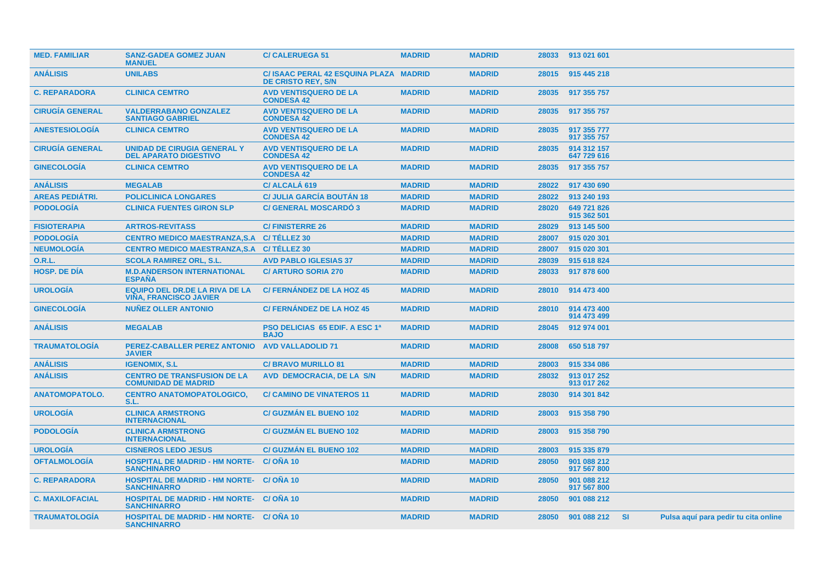| <b>MED. FAMILIAR</b>   | <b>SANZ-GADEA GOMEZ JUAN</b><br><b>MANUEL</b>                          | <b>C/CALERUEGA 51</b>                                               | <b>MADRID</b> | <b>MADRID</b> | 28033 | 913 021 601                |     |                                      |  |
|------------------------|------------------------------------------------------------------------|---------------------------------------------------------------------|---------------|---------------|-------|----------------------------|-----|--------------------------------------|--|
| <b>ANÁLISIS</b>        | <b>UNILABS</b>                                                         | C/ ISAAC PERAL 42 ESQUINA PLAZA MADRID<br><b>DE CRISTO REY, S/N</b> |               | <b>MADRID</b> | 28015 | 915 445 218                |     |                                      |  |
| <b>C. REPARADORA</b>   | <b>CLINICA CEMTRO</b>                                                  | <b>AVD VENTISQUERO DE LA</b><br><b>CONDESA 42</b>                   | <b>MADRID</b> | <b>MADRID</b> | 28035 | 917 355 757                |     |                                      |  |
| <b>CIRUGÍA GENERAL</b> | <b>VALDERRABANO GONZALEZ</b><br><b>SANTIAGO GABRIEL</b>                | <b>AVD VENTISQUERO DE LA</b><br><b>CONDESA 42</b>                   | <b>MADRID</b> | <b>MADRID</b> | 28035 | 917 355 757                |     |                                      |  |
| <b>ANESTESIOLOGIA</b>  | <b>CLINICA CEMTRO</b>                                                  | <b>AVD VENTISQUERO DE LA</b><br><b>CONDESA 42</b>                   | <b>MADRID</b> | <b>MADRID</b> | 28035 | 917 355 777<br>917 355 757 |     |                                      |  |
| <b>CIRUGÍA GENERAL</b> | <b>UNIDAD DE CIRUGIA GENERAL Y</b><br><b>DEL APARATO DIGESTIVO</b>     | <b>AVD VENTISQUERO DE LA</b><br><b>CONDESA 42</b>                   | <b>MADRID</b> | <b>MADRID</b> | 28035 | 914 312 157<br>647 729 616 |     |                                      |  |
| <b>GINECOLOGÍA</b>     | <b>CLINICA CEMTRO</b>                                                  | <b>AVD VENTISQUERO DE LA</b><br><b>CONDESA 42</b>                   | <b>MADRID</b> | <b>MADRID</b> | 28035 | 917 355 757                |     |                                      |  |
| <b>ANÁLISIS</b>        | <b>MEGALAB</b>                                                         | C/ ALCALÁ 619                                                       | <b>MADRID</b> | <b>MADRID</b> | 28022 | 917 430 690                |     |                                      |  |
| <b>AREAS PEDIÁTRI.</b> | <b>POLICLINICA LONGARES</b>                                            | <b>C/ JULIA GARCÍA BOUTÁN 18</b>                                    | <b>MADRID</b> | <b>MADRID</b> | 28022 | 913 240 193                |     |                                      |  |
| <b>PODOLOGÍA</b>       | <b>CLINICA FUENTES GIRON SLP</b>                                       | <b>C/ GENERAL MOSCARDO 3</b>                                        | <b>MADRID</b> | <b>MADRID</b> | 28020 | 649 721 826<br>915 362 501 |     |                                      |  |
| <b>FISIOTERAPIA</b>    | <b>ARTROS-REVITASS</b>                                                 | <b>C/FINISTERRE 26</b>                                              | <b>MADRID</b> | <b>MADRID</b> | 28029 | 913 145 500                |     |                                      |  |
| <b>PODOLOGÍA</b>       | <b>CENTRO MEDICO MAESTRANZA.S.A</b>                                    | C/TÉLLEZ 30                                                         | <b>MADRID</b> | <b>MADRID</b> | 28007 | 915 020 301                |     |                                      |  |
| <b>NEUMOLOGÍA</b>      | <b>CENTRO MEDICO MAESTRANZA.S.A</b>                                    | C/TÉLLEZ 30                                                         | <b>MADRID</b> | <b>MADRID</b> | 28007 | 915 020 301                |     |                                      |  |
| <b>O.R.L.</b>          | <b>SCOLA RAMIREZ ORL, S.L.</b>                                         | <b>AVD PABLO IGLESIAS 37</b>                                        | <b>MADRID</b> | <b>MADRID</b> | 28039 | 915 618 824                |     |                                      |  |
| <b>HOSP. DE DÍA</b>    | <b>M.D.ANDERSON INTERNATIONAL</b><br><b>ESPAÑA</b>                     | <b>C/ ARTURO SORIA 270</b>                                          | <b>MADRID</b> | <b>MADRID</b> | 28033 | 917 878 600                |     |                                      |  |
| <b>UROLOGÍA</b>        | <b>EQUIPO DEL DR.DE LA RIVA DE LA</b><br><b>VIÑA, FRANCISCO JAVIER</b> | <b>C/FERNÁNDEZ DE LA HOZ 45</b>                                     | <b>MADRID</b> | <b>MADRID</b> | 28010 | 914 473 400                |     |                                      |  |
| <b>GINECOLOGÍA</b>     | <b>NUÑEZ OLLER ANTONIO</b>                                             | <b>C/FERNÁNDEZ DE LA HOZ 45</b>                                     | <b>MADRID</b> | <b>MADRID</b> | 28010 | 914 473 400<br>914 473 499 |     |                                      |  |
| <b>ANÁLISIS</b>        | <b>MEGALAB</b>                                                         | <b>PSO DELICIAS 65 EDIF. A ESC 1ª</b><br><b>BAJO</b>                | <b>MADRID</b> | <b>MADRID</b> | 28045 | 912 974 001                |     |                                      |  |
| <b>TRAUMATOLOGÍA</b>   | PEREZ-CABALLER PEREZ ANTONIO<br><b>JAVIER</b>                          | <b>AVD VALLADOLID 71</b>                                            | <b>MADRID</b> | <b>MADRID</b> | 28008 | 650 518 797                |     |                                      |  |
| <b>ANÁLISIS</b>        | <b>IGENOMIX, S.L.</b>                                                  | <b>C/ BRAVO MURILLO 81</b>                                          | <b>MADRID</b> | <b>MADRID</b> | 28003 | 915 334 086                |     |                                      |  |
| <b>ANÁLISIS</b>        | <b>CENTRO DE TRANSFUSION DE LA</b><br><b>COMUNIDAD DE MADRID</b>       | AVD DEMOCRACIA, DE LA S/N                                           | <b>MADRID</b> | <b>MADRID</b> | 28032 | 913 017 252<br>913 017 262 |     |                                      |  |
| <b>ANATOMOPATOLO.</b>  | <b>CENTRO ANATOMOPATOLOGICO,</b><br>S.L.                               | <b>C/ CAMINO DE VINATEROS 11</b>                                    | <b>MADRID</b> | <b>MADRID</b> | 28030 | 914 301 842                |     |                                      |  |
| <b>UROLOGÍA</b>        | <b>CLINICA ARMSTRONG</b><br><b>INTERNACIONAL</b>                       | <b>C/ GUZMÁN EL BUENO 102</b>                                       | <b>MADRID</b> | <b>MADRID</b> | 28003 | 915 358 790                |     |                                      |  |
| <b>PODOLOGIA</b>       | <b>CLINICA ARMSTRONG</b><br><b>INTERNACIONAL</b>                       | <b>C/ GUZMÁN EL BUENO 102</b>                                       | <b>MADRID</b> | <b>MADRID</b> | 28003 | 915 358 790                |     |                                      |  |
| <b>UROLOGIA</b>        | <b>CISNEROS LEDO JESUS</b>                                             | <b>C/ GUZMÁN EL BUENO 102</b>                                       | <b>MADRID</b> | <b>MADRID</b> | 28003 | 915 335 879                |     |                                      |  |
| <b>OFTALMOLOGÍA</b>    | <b>HOSPITAL DE MADRID - HM NORTE-</b><br><b>SANCHINARRO</b>            | C/ONA 10                                                            | <b>MADRID</b> | <b>MADRID</b> | 28050 | 901 088 212<br>917 567 800 |     |                                      |  |
| <b>C. REPARADORA</b>   | <b>HOSPITAL DE MADRID - HM NORTE-</b><br><b>SANCHINARRO</b>            | C/ONA 10                                                            | <b>MADRID</b> | <b>MADRID</b> | 28050 | 901 088 212<br>917 567 800 |     |                                      |  |
| <b>C. MAXILOFACIAL</b> | <b>HOSPITAL DE MADRID - HM NORTE-</b><br><b>SANCHINARRO</b>            | C/ONA 10                                                            | <b>MADRID</b> | <b>MADRID</b> | 28050 | 901 088 212                |     |                                      |  |
| <b>TRAUMATOLOGIA</b>   | <b>HOSPITAL DE MADRID - HM NORTE- C/OÑA 10</b><br><b>SANCHINARRO</b>   |                                                                     | <b>MADRID</b> | <b>MADRID</b> | 28050 | 901 088 212                | -SI | Pulsa aguí para pedir tu cita online |  |
|                        |                                                                        |                                                                     |               |               |       |                            |     |                                      |  |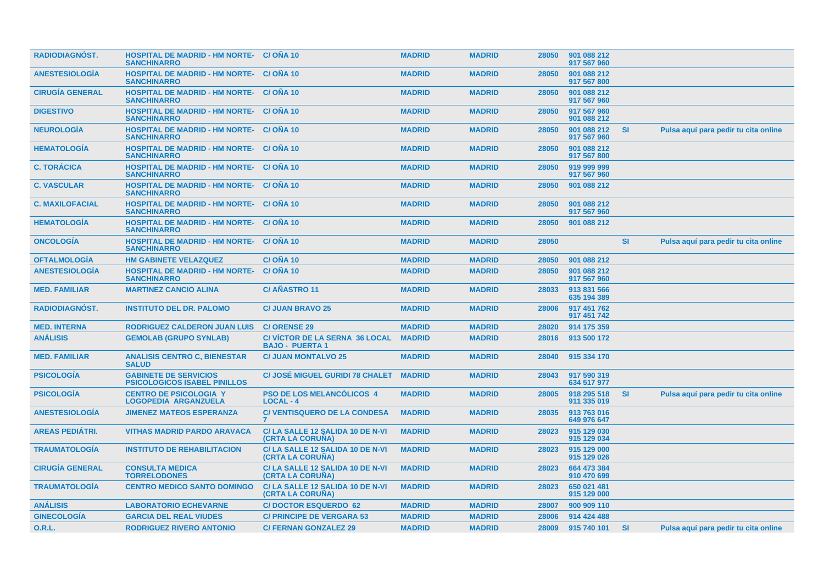| <b>RADIODIAGNÓST.</b>  | <b>HOSPITAL DE MADRID - HM NORTE- C/ ONA 10</b><br><b>SANCHINARRO</b> |                                                                | <b>MADRID</b> | <b>MADRID</b> | 28050 | 901 088 212<br>917 567 960 |           |                                      |
|------------------------|-----------------------------------------------------------------------|----------------------------------------------------------------|---------------|---------------|-------|----------------------------|-----------|--------------------------------------|
| <b>ANESTESIOLOGIA</b>  | <b>HOSPITAL DE MADRID - HM NORTE- C/ OÑA 10</b><br><b>SANCHINARRO</b> |                                                                | <b>MADRID</b> | <b>MADRID</b> | 28050 | 901 088 212<br>917 567 800 |           |                                      |
| <b>CIRUGIA GENERAL</b> | <b>HOSPITAL DE MADRID - HM NORTE- C/ ONA 10</b><br><b>SANCHINARRO</b> |                                                                | <b>MADRID</b> | <b>MADRID</b> | 28050 | 901 088 212<br>917 567 960 |           |                                      |
| <b>DIGESTIVO</b>       | <b>HOSPITAL DE MADRID - HM NORTE- C/OÑA 10</b><br><b>SANCHINARRO</b>  |                                                                | <b>MADRID</b> | <b>MADRID</b> | 28050 | 917 567 960<br>901 088 212 |           |                                      |
| <b>NEUROLOGÍA</b>      | <b>HOSPITAL DE MADRID - HM NORTE- C/ ONA 10</b><br><b>SANCHINARRO</b> |                                                                | <b>MADRID</b> | <b>MADRID</b> | 28050 | 901 088 212<br>917 567 960 | <b>SI</b> | Pulsa aquí para pedir tu cita online |
| <b>HEMATOLOGÍA</b>     | <b>HOSPITAL DE MADRID - HM NORTE- C/ OÑA 10</b><br><b>SANCHINARRO</b> |                                                                | <b>MADRID</b> | <b>MADRID</b> | 28050 | 901 088 212<br>917 567 800 |           |                                      |
| <b>C. TORÁCICA</b>     | <b>HOSPITAL DE MADRID - HM NORTE- C/ ONA 10</b><br><b>SANCHINARRO</b> |                                                                | <b>MADRID</b> | <b>MADRID</b> | 28050 | 919 999 999<br>917 567 960 |           |                                      |
| <b>C. VASCULAR</b>     | <b>HOSPITAL DE MADRID - HM NORTE- C/ OÑA 10</b><br><b>SANCHINARRO</b> |                                                                | <b>MADRID</b> | <b>MADRID</b> | 28050 | 901 088 212                |           |                                      |
| <b>C. MAXILOFACIAL</b> | <b>HOSPITAL DE MADRID - HM NORTE-</b><br><b>SANCHINARRO</b>           | C/ONA 10                                                       | <b>MADRID</b> | <b>MADRID</b> | 28050 | 901 088 212<br>917 567 960 |           |                                      |
| <b>HEMATOLOGIA</b>     | <b>HOSPITAL DE MADRID - HM NORTE-</b><br><b>SANCHINARRO</b>           | C/ONA 10                                                       | <b>MADRID</b> | <b>MADRID</b> | 28050 | 901 088 212                |           |                                      |
| <b>ONCOLOGÍA</b>       | <b>HOSPITAL DE MADRID - HM NORTE- C/OÑA 10</b><br><b>SANCHINARRO</b>  |                                                                | <b>MADRID</b> | <b>MADRID</b> | 28050 |                            | <b>SI</b> | Pulsa aquí para pedir tu cita online |
| <b>OFTALMOLOGÍA</b>    | <b>HM GABINETE VELAZQUEZ</b>                                          | $C/ONA$ 10                                                     | <b>MADRID</b> | <b>MADRID</b> | 28050 | 901 088 212                |           |                                      |
| <b>ANESTESIOLOGÍA</b>  | <b>HOSPITAL DE MADRID - HM NORTE-</b><br><b>SANCHINARRO</b>           | C/ONA 10                                                       | <b>MADRID</b> | <b>MADRID</b> | 28050 | 901 088 212<br>917 567 960 |           |                                      |
| <b>MED. FAMILIAR</b>   | <b>MARTINEZ CANCIO ALINA</b>                                          | <b>C/ AÑASTRO 11</b>                                           | <b>MADRID</b> | <b>MADRID</b> | 28033 | 913 831 566<br>635 194 389 |           |                                      |
| <b>RADIODIAGNÓST.</b>  | <b>INSTITUTO DEL DR. PALOMO</b>                                       | <b>C/ JUAN BRAVO 25</b>                                        | <b>MADRID</b> | <b>MADRID</b> | 28006 | 917 451 762<br>917 451 742 |           |                                      |
| <b>MED. INTERNA</b>    | <b>RODRIGUEZ CALDERON JUAN LUIS</b>                                   | <b>C/ORENSE 29</b>                                             | <b>MADRID</b> | <b>MADRID</b> | 28020 | 914 175 359                |           |                                      |
| <b>ANÁLISIS</b>        | <b>GEMOLAB (GRUPO SYNLAB)</b>                                         | <b>C/ VICTOR DE LA SERNA 36 LOCAL</b><br><b>BAJO - PUERTA1</b> | <b>MADRID</b> | <b>MADRID</b> | 28016 | 913 500 172                |           |                                      |
| <b>MED. FAMILIAR</b>   | <b>ANALISIS CENTRO C, BIENESTAR</b><br><b>SALUD</b>                   | <b>C/ JUAN MONTALVO 25</b>                                     | <b>MADRID</b> | <b>MADRID</b> | 28040 | 915 334 170                |           |                                      |
| <b>PSICOLOGIA</b>      | <b>GABINETE DE SERVICIOS</b><br><b>PSICOLOGICOS ISABEL PINILLOS</b>   | <b>C/ JOSÉ MIGUEL GURIDI 78 CHALET</b>                         | <b>MADRID</b> | <b>MADRID</b> | 28043 | 917 590 319<br>634 517 977 |           |                                      |
| <b>PSICOLOGÍA</b>      | <b>CENTRO DE PSICOLOGIA Y</b><br><b>LOGOPEDIA ARGANZUELA</b>          | <b>PSO DE LOS MELANCÓLICOS 4</b><br><b>LOCAL - 4</b>           | <b>MADRID</b> | <b>MADRID</b> | 28005 | 918 295 518<br>911 335 019 | <b>SI</b> | Pulsa aquí para pedir tu cita online |
| <b>ANESTESIOLOGÍA</b>  | <b>JIMENEZ MATEOS ESPERANZA</b>                                       | <b>C/ VENTISQUERO DE LA CONDESA</b>                            | <b>MADRID</b> | <b>MADRID</b> | 28035 | 913 763 016<br>649 976 647 |           |                                      |
| <b>AREAS PEDIÁTRI.</b> | <b>VITHAS MADRID PARDO ARAVACA</b>                                    | C/LA SALLE 12 SALIDA 10 DE N-VI<br>(CRTA LA CORUÑA)            | <b>MADRID</b> | <b>MADRID</b> | 28023 | 915 129 030<br>915 129 034 |           |                                      |
| <b>TRAUMATOLOGÍA</b>   | <b>INSTITUTO DE REHABILITACION</b>                                    | C/LA SALLE 12 SALIDA 10 DE N-VI<br>(CRTA LA CORUÑA)            | <b>MADRID</b> | <b>MADRID</b> | 28023 | 915 129 000<br>915 129 026 |           |                                      |
| <b>CIRUGÍA GENERAL</b> | <b>CONSULTA MEDICA</b><br><b>TORRELODONES</b>                         | C/LA SALLE 12 SALIDA 10 DE N-VI<br>(CRTA LA CORUÑA)            | <b>MADRID</b> | <b>MADRID</b> | 28023 | 664 473 384<br>910 470 699 |           |                                      |
| <b>TRAUMATOLOGÍA</b>   | <b>CENTRO MEDICO SANTO DOMINGO</b>                                    | C/LA SALLE 12 SALIDA 10 DE N-VI<br>(CRTA LA CORUNA)            | <b>MADRID</b> | <b>MADRID</b> | 28023 | 650 021 481<br>915 129 000 |           |                                      |
| <b>ANÁLISIS</b>        | <b>LABORATORIO ECHEVARNE</b>                                          | <b>C/DOCTOR ESQUERDO 62</b>                                    | <b>MADRID</b> | <b>MADRID</b> | 28007 | 900 909 110                |           |                                      |
| <b>GINECOLOGÍA</b>     | <b>GARCIA DEL REAL VIUDES</b>                                         | <b>C/ PRINCIPE DE VERGARA 53</b>                               | <b>MADRID</b> | <b>MADRID</b> | 28006 | 914 424 488                |           |                                      |
| <b>O.R.L.</b>          | <b>RODRIGUEZ RIVERO ANTONIO</b>                                       | <b>C/FERNAN GONZALEZ 29</b>                                    | <b>MADRID</b> | <b>MADRID</b> | 28009 | 915 740 101                | <b>SI</b> | Pulsa aquí para pedir tu cita online |
|                        |                                                                       |                                                                |               |               |       |                            |           |                                      |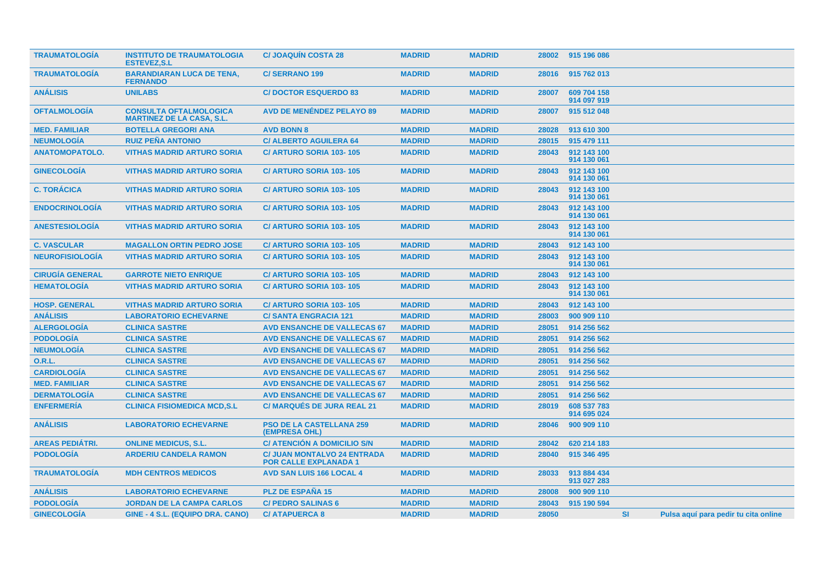| <b>TRAUMATOLOGIA</b>   | <b>INSTITUTO DE TRAUMATOLOGIA</b><br><b>ESTEVEZ.S.L</b>           | <b>C/JOAQUIN COSTA 28</b>                                          | <b>MADRID</b> | <b>MADRID</b> | 28002 | 915 196 086                |           |                                      |  |
|------------------------|-------------------------------------------------------------------|--------------------------------------------------------------------|---------------|---------------|-------|----------------------------|-----------|--------------------------------------|--|
| <b>TRAUMATOLOGÍA</b>   | <b>BARANDIARAN LUCA DE TENA,</b><br><b>FERNANDO</b>               | <b>C/SERRANO 199</b>                                               | <b>MADRID</b> | <b>MADRID</b> | 28016 | 915 762 013                |           |                                      |  |
| <b>ANÁLISIS</b>        | <b>UNILABS</b>                                                    | <b>C/DOCTOR ESQUERDO 83</b>                                        | <b>MADRID</b> | <b>MADRID</b> | 28007 | 609 704 158<br>914 097 919 |           |                                      |  |
| <b>OFTALMOLOGÍA</b>    | <b>CONSULTA OFTALMOLOGICA</b><br><b>MARTINEZ DE LA CASA, S.L.</b> | <b>AVD DE MENÉNDEZ PELAYO 89</b>                                   | <b>MADRID</b> | <b>MADRID</b> | 28007 | 915 512 048                |           |                                      |  |
| <b>MED. FAMILIAR</b>   | <b>BOTELLA GREGORI ANA</b>                                        | <b>AVD BONN 8</b>                                                  | <b>MADRID</b> | <b>MADRID</b> | 28028 | 913 610 300                |           |                                      |  |
| <b>NEUMOLOGÍA</b>      | <b>RUIZ PEÑA ANTONIO</b>                                          | <b>C/ ALBERTO AGUILERA 64</b>                                      | <b>MADRID</b> | <b>MADRID</b> | 28015 | 915 479 111                |           |                                      |  |
| <b>ANATOMOPATOLO.</b>  | <b>VITHAS MADRID ARTURO SORIA</b>                                 | <b>C/ ARTURO SORIA 103-105</b>                                     | <b>MADRID</b> | <b>MADRID</b> | 28043 | 912 143 100<br>914 130 061 |           |                                      |  |
| <b>GINECOLOGÍA</b>     | <b>VITHAS MADRID ARTURO SORIA</b>                                 | <b>C/ ARTURO SORIA 103-105</b>                                     | <b>MADRID</b> | <b>MADRID</b> | 28043 | 912 143 100<br>914 130 061 |           |                                      |  |
| <b>C. TORÁCICA</b>     | <b>VITHAS MADRID ARTURO SORIA</b>                                 | <b>C/ ARTURO SORIA 103-105</b>                                     | <b>MADRID</b> | <b>MADRID</b> | 28043 | 912 143 100<br>914 130 061 |           |                                      |  |
| <b>ENDOCRINOLOGIA</b>  | <b>VITHAS MADRID ARTURO SORIA</b>                                 | <b>C/ ARTURO SORIA 103-105</b>                                     | <b>MADRID</b> | <b>MADRID</b> | 28043 | 912 143 100<br>914 130 061 |           |                                      |  |
| <b>ANESTESIOLOGIA</b>  | <b>VITHAS MADRID ARTURO SORIA</b>                                 | <b>C/ ARTURO SORIA 103-105</b>                                     | <b>MADRID</b> | <b>MADRID</b> | 28043 | 912 143 100<br>914 130 061 |           |                                      |  |
| <b>C. VASCULAR</b>     | <b>MAGALLON ORTIN PEDRO JOSE</b>                                  | <b>C/ ARTURO SORIA 103-105</b>                                     | <b>MADRID</b> | <b>MADRID</b> | 28043 | 912 143 100                |           |                                      |  |
| <b>NEUROFISIOLOGÍA</b> | <b>VITHAS MADRID ARTURO SORIA</b>                                 | <b>C/ ARTURO SORIA 103-105</b>                                     | <b>MADRID</b> | <b>MADRID</b> | 28043 | 912 143 100<br>914 130 061 |           |                                      |  |
| <b>CIRUGÍA GENERAL</b> | <b>GARROTE NIETO ENRIQUE</b>                                      | <b>C/ ARTURO SORIA 103-105</b>                                     | <b>MADRID</b> | <b>MADRID</b> | 28043 | 912 143 100                |           |                                      |  |
| <b>HEMATOLOGÍA</b>     | <b>VITHAS MADRID ARTURO SORIA</b>                                 | <b>C/ ARTURO SORIA 103-105</b>                                     | <b>MADRID</b> | <b>MADRID</b> | 28043 | 912 143 100<br>914 130 061 |           |                                      |  |
| <b>HOSP. GENERAL</b>   | <b>VITHAS MADRID ARTURO SORIA</b>                                 | <b>C/ ARTURO SORIA 103-105</b>                                     | <b>MADRID</b> | <b>MADRID</b> | 28043 | 912 143 100                |           |                                      |  |
| <b>ANÁLISIS</b>        | <b>LABORATORIO ECHEVARNE</b>                                      | <b>C/SANTA ENGRACIA 121</b>                                        | <b>MADRID</b> | <b>MADRID</b> | 28003 | 900 909 110                |           |                                      |  |
| <b>ALERGOLOGÍA</b>     | <b>CLINICA SASTRE</b>                                             | <b>AVD ENSANCHE DE VALLECAS 67</b>                                 | <b>MADRID</b> | <b>MADRID</b> | 28051 | 914 256 562                |           |                                      |  |
| <b>PODOLOGÍA</b>       | <b>CLINICA SASTRE</b>                                             | <b>AVD ENSANCHE DE VALLECAS 67</b>                                 | <b>MADRID</b> | <b>MADRID</b> | 28051 | 914 256 562                |           |                                      |  |
| <b>NEUMOLOGÍA</b>      | <b>CLINICA SASTRE</b>                                             | <b>AVD ENSANCHE DE VALLECAS 67</b>                                 | <b>MADRID</b> | <b>MADRID</b> | 28051 | 914 256 562                |           |                                      |  |
| <b>O.R.L.</b>          | <b>CLINICA SASTRE</b>                                             | <b>AVD ENSANCHE DE VALLECAS 67</b>                                 | <b>MADRID</b> | <b>MADRID</b> | 28051 | 914 256 562                |           |                                      |  |
| <b>CARDIOLOGÍA</b>     | <b>CLINICA SASTRE</b>                                             | <b>AVD ENSANCHE DE VALLECAS 67</b>                                 | <b>MADRID</b> | <b>MADRID</b> | 28051 | 914 256 562                |           |                                      |  |
| <b>MED. FAMILIAR</b>   | <b>CLINICA SASTRE</b>                                             | <b>AVD ENSANCHE DE VALLECAS 67</b>                                 | <b>MADRID</b> | <b>MADRID</b> | 28051 | 914 256 562                |           |                                      |  |
| <b>DERMATOLOGÍA</b>    | <b>CLINICA SASTRE</b>                                             | <b>AVD ENSANCHE DE VALLECAS 67</b>                                 | <b>MADRID</b> | <b>MADRID</b> | 28051 | 914 256 562                |           |                                      |  |
| <b>ENFERMERÍA</b>      | <b>CLINICA FISIOMEDICA MCD,S.L</b>                                | <b>C/ MARQUÉS DE JURA REAL 21</b>                                  | <b>MADRID</b> | <b>MADRID</b> | 28019 | 608 537 783<br>914 695 024 |           |                                      |  |
| <b>ANÁLISIS</b>        | <b>LABORATORIO ECHEVARNE</b>                                      | <b>PSO DE LA CASTELLANA 259</b><br>(EMPRESA OHL)                   | <b>MADRID</b> | <b>MADRID</b> | 28046 | 900 909 110                |           |                                      |  |
| <b>AREAS PEDIÁTRI.</b> | <b>ONLINE MEDICUS, S.L.</b>                                       | C/ ATENCIÓN A DOMICILIO S/N                                        | <b>MADRID</b> | <b>MADRID</b> | 28042 | 620 214 183                |           |                                      |  |
| <b>PODOLOGÍA</b>       | <b>ARDERIU CANDELA RAMON</b>                                      | <b>C/ JUAN MONTALVO 24 ENTRADA</b><br><b>POR CALLE EXPLANADA 1</b> | <b>MADRID</b> | <b>MADRID</b> | 28040 | 915 346 495                |           |                                      |  |
| <b>TRAUMATOLOGIA</b>   | <b>MDH CENTROS MEDICOS</b>                                        | <b>AVD SAN LUIS 166 LOCAL 4</b>                                    | <b>MADRID</b> | <b>MADRID</b> | 28033 | 913 884 434<br>913 027 283 |           |                                      |  |
| <b>ANÁLISIS</b>        | <b>LABORATORIO ECHEVARNE</b>                                      | <b>PLZ DE ESPANA 15</b>                                            | <b>MADRID</b> | <b>MADRID</b> | 28008 | 900 909 110                |           |                                      |  |
| <b>PODOLOGÍA</b>       | <b>JORDAN DE LA CAMPA CARLOS</b>                                  | <b>C/ PEDRO SALINAS 6</b>                                          | <b>MADRID</b> | <b>MADRID</b> | 28043 | 915 190 594                |           |                                      |  |
| <b>GINECOLOGÍA</b>     | GINE - 4 S.L. (EQUIPO DRA. CANO)                                  | <b>C/ ATAPUERCA 8</b>                                              | <b>MADRID</b> | <b>MADRID</b> | 28050 |                            | <b>SI</b> | Pulsa aquí para pedir tu cita online |  |
|                        |                                                                   |                                                                    |               |               |       |                            |           |                                      |  |